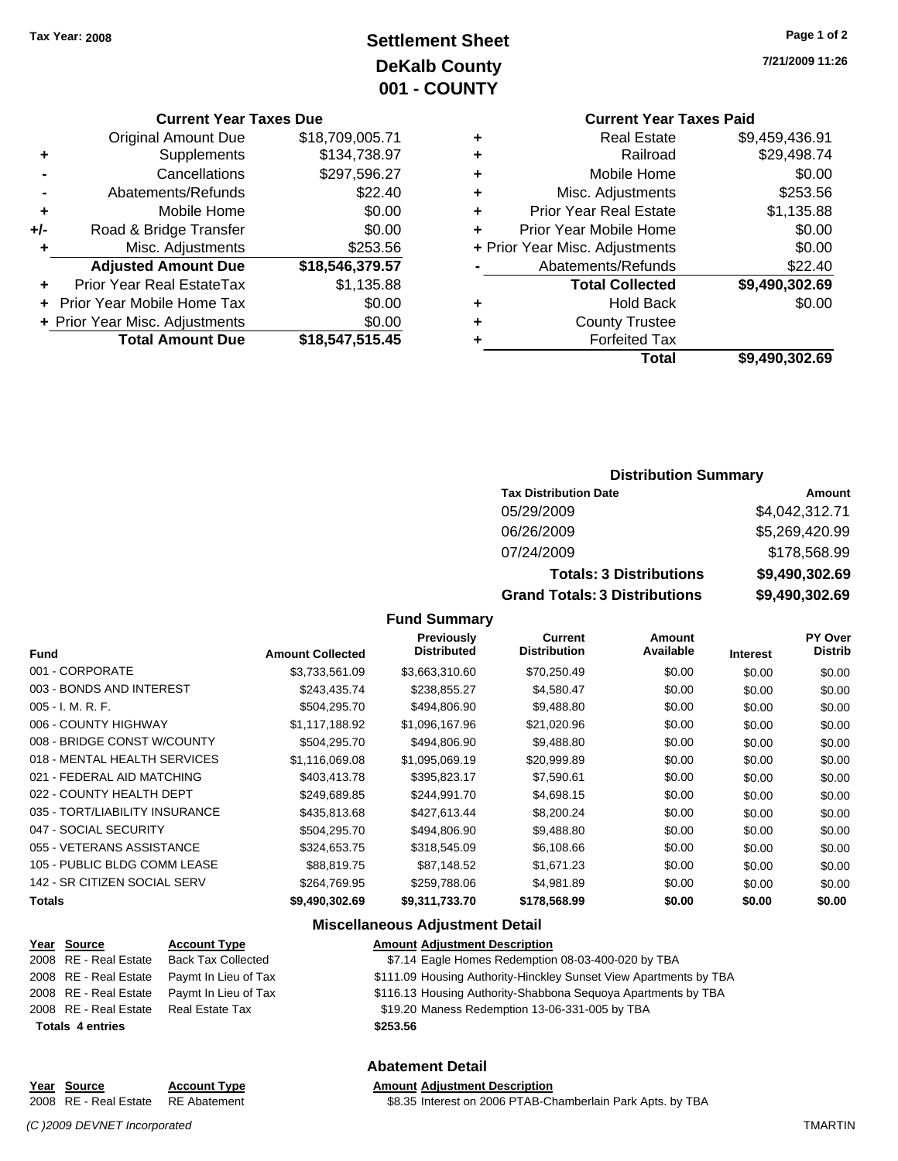# **Settlement Sheet Tax Year: 2008 Page 1 of 2 DeKalb County 001 - COUNTY**

#### **Current Year Taxes Due**

|       | <b>Original Amount Due</b>        | \$18,709,005.71 |
|-------|-----------------------------------|-----------------|
| ٠     | Supplements                       | \$134,738.97    |
|       | Cancellations                     | \$297,596.27    |
|       | Abatements/Refunds                | \$22.40         |
| ٠     | Mobile Home                       | \$0.00          |
| $+/-$ | Road & Bridge Transfer            | \$0.00          |
| ٠     | Misc. Adjustments                 | \$253.56        |
|       | <b>Adjusted Amount Due</b>        | \$18,546,379.57 |
|       | Prior Year Real EstateTax         | \$1,135.88      |
|       | <b>Prior Year Mobile Home Tax</b> | \$0.00          |
|       | + Prior Year Misc. Adjustments    | \$0.00          |
|       | <b>Total Amount Due</b>           | \$18,547,515.45 |

#### **Current Year Taxes Paid +** Real Estate \$9,459,436.91

|   | Total                          | \$9,490,302.69 |
|---|--------------------------------|----------------|
|   | <b>Forfeited Tax</b>           |                |
| ٠ | <b>County Trustee</b>          |                |
| ٠ | <b>Hold Back</b>               | \$0.00         |
|   | <b>Total Collected</b>         | \$9,490,302.69 |
|   | Abatements/Refunds             | \$22.40        |
|   | + Prior Year Misc. Adjustments | \$0.00         |
| ٠ | Prior Year Mobile Home         | \$0.00         |
| ٠ | <b>Prior Year Real Estate</b>  | \$1,135.88     |
| ٠ | Misc. Adjustments              | \$253.56       |
| ٠ | Mobile Home                    | \$0.00         |
| ٠ | Railroad                       | \$29,498.74    |
|   | Real Estate                    | \$9,459,436.91 |

### **Distribution Summary**

| <b>Tax Distribution Date</b>         | Amount         |
|--------------------------------------|----------------|
| 05/29/2009                           | \$4,042,312.71 |
| 06/26/2009                           | \$5,269,420.99 |
| 07/24/2009                           | \$178,568.99   |
| <b>Totals: 3 Distributions</b>       | \$9,490,302.69 |
| <b>Grand Totals: 3 Distributions</b> | \$9,490,302.69 |

### **Fund Summary**

| <b>Fund</b>                    | <b>Amount Collected</b> | <b>Previously</b><br><b>Distributed</b> | Current<br><b>Distribution</b> | Amount<br>Available | <b>Interest</b> | <b>PY Over</b><br>Distrib |
|--------------------------------|-------------------------|-----------------------------------------|--------------------------------|---------------------|-----------------|---------------------------|
| 001 - CORPORATE                | \$3,733,561.09          | \$3,663,310.60                          | \$70,250.49                    | \$0.00              | \$0.00          | \$0.00                    |
| 003 - BONDS AND INTEREST       | \$243,435.74            | \$238,855.27                            | \$4,580.47                     | \$0.00              | \$0.00          | \$0.00                    |
| $005 - I. M. R. F.$            | \$504,295.70            | \$494,806.90                            | \$9,488.80                     | \$0.00              | \$0.00          | \$0.00                    |
| 006 - COUNTY HIGHWAY           | \$1.117.188.92          | \$1,096,167.96                          | \$21,020.96                    | \$0.00              | \$0.00          | \$0.00                    |
| 008 - BRIDGE CONST W/COUNTY    | \$504,295.70            | \$494,806.90                            | \$9,488.80                     | \$0.00              | \$0.00          | \$0.00                    |
| 018 - MENTAL HEALTH SERVICES   | \$1,116,069.08          | \$1,095,069.19                          | \$20,999.89                    | \$0.00              | \$0.00          | \$0.00                    |
| 021 - FEDERAL AID MATCHING     | \$403,413.78            | \$395.823.17                            | \$7,590.61                     | \$0.00              | \$0.00          | \$0.00                    |
| 022 - COUNTY HEALTH DEPT       | \$249,689.85            | \$244,991.70                            | \$4,698.15                     | \$0.00              | \$0.00          | \$0.00                    |
| 035 - TORT/LIABILITY INSURANCE | \$435,813,68            | \$427.613.44                            | \$8,200.24                     | \$0.00              | \$0.00          | \$0.00                    |
| 047 - SOCIAL SECURITY          | \$504,295.70            | \$494,806.90                            | \$9,488.80                     | \$0.00              | \$0.00          | \$0.00                    |
| 055 - VETERANS ASSISTANCE      | \$324,653.75            | \$318,545.09                            | \$6,108.66                     | \$0.00              | \$0.00          | \$0.00                    |
| 105 - PUBLIC BLDG COMM LEASE   | \$88,819.75             | \$87,148.52                             | \$1,671.23                     | \$0.00              | \$0.00          | \$0.00                    |
| 142 - SR CITIZEN SOCIAL SERV   | \$264,769.95            | \$259,788.06                            | \$4,981.89                     | \$0.00              | \$0.00          | \$0.00                    |
| <b>Totals</b>                  | \$9.490.302.69          | \$9,311,733.70                          | \$178,568.99                   | \$0.00              | \$0.00          | \$0.00                    |

### **Miscellaneous Adjustment Detail**

| Year Source             | <b>Account Type</b>       | <b>Amount Adjustment Description</b>                              |
|-------------------------|---------------------------|-------------------------------------------------------------------|
| 2008 RE - Real Estate   | <b>Back Tax Collected</b> | \$7.14 Eagle Homes Redemption 08-03-400-020 by TBA                |
| 2008 RE - Real Estate   | Paymt In Lieu of Tax      | \$111.09 Housing Authority-Hinckley Sunset View Apartments by TBA |
| 2008 RE - Real Estate   | Paymt In Lieu of Tax      | \$116.13 Housing Authority-Shabbona Sequoya Apartments by TBA     |
| 2008 RE - Real Estate   | Real Estate Tax           | \$19.20 Maness Redemption 13-06-331-005 by TBA                    |
| <b>Totals 4 entries</b> |                           | \$253.56                                                          |

### **Abatement Detail**

#### **Year Source Account Type Amount Adjustment Description**

2008 RE - Real Estate RE Abatement \$8.35 Interest on 2006 PTAB-Chamberlain Park Apts. by TBA

*(C )2009 DEVNET Incorporated* TMARTIN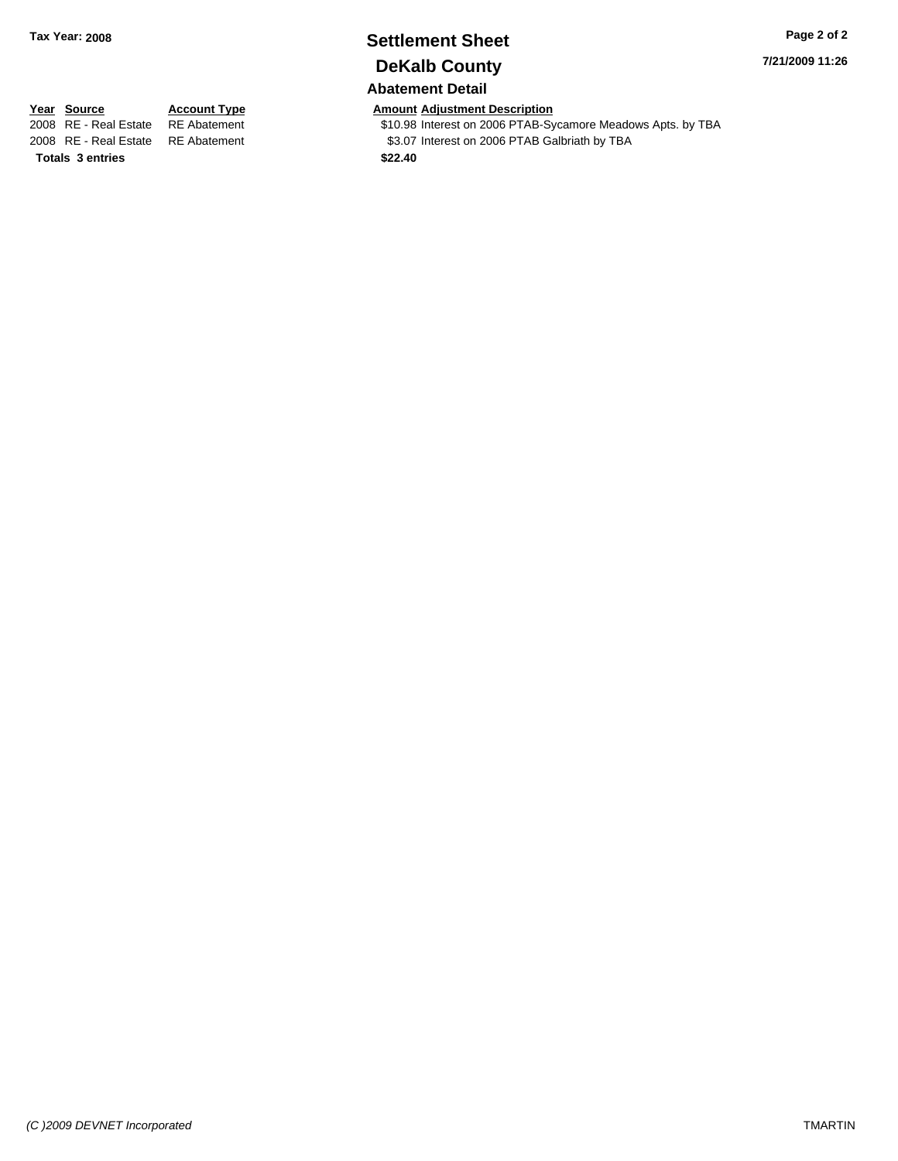# **Settlement Sheet Tax Year: 2008 Page 2 of 2 DeKalb County**

### **Abatement Detail**

**7/21/2009 11:26**

# **Totals \$22.40 3 entries**

**Year Source Account Type Amount Adjustment Description**<br>
2008 RE - Real Estate RE Abatement **Amount** \$10.98 Interest on 2006 PTAB-Sy \$10.98 Interest on 2006 PTAB-Sycamore Meadows Apts. by TBA 2008 RE - Real Estate RE Abatement S3.07 Interest on 2006 PTAB Galbriath by TBA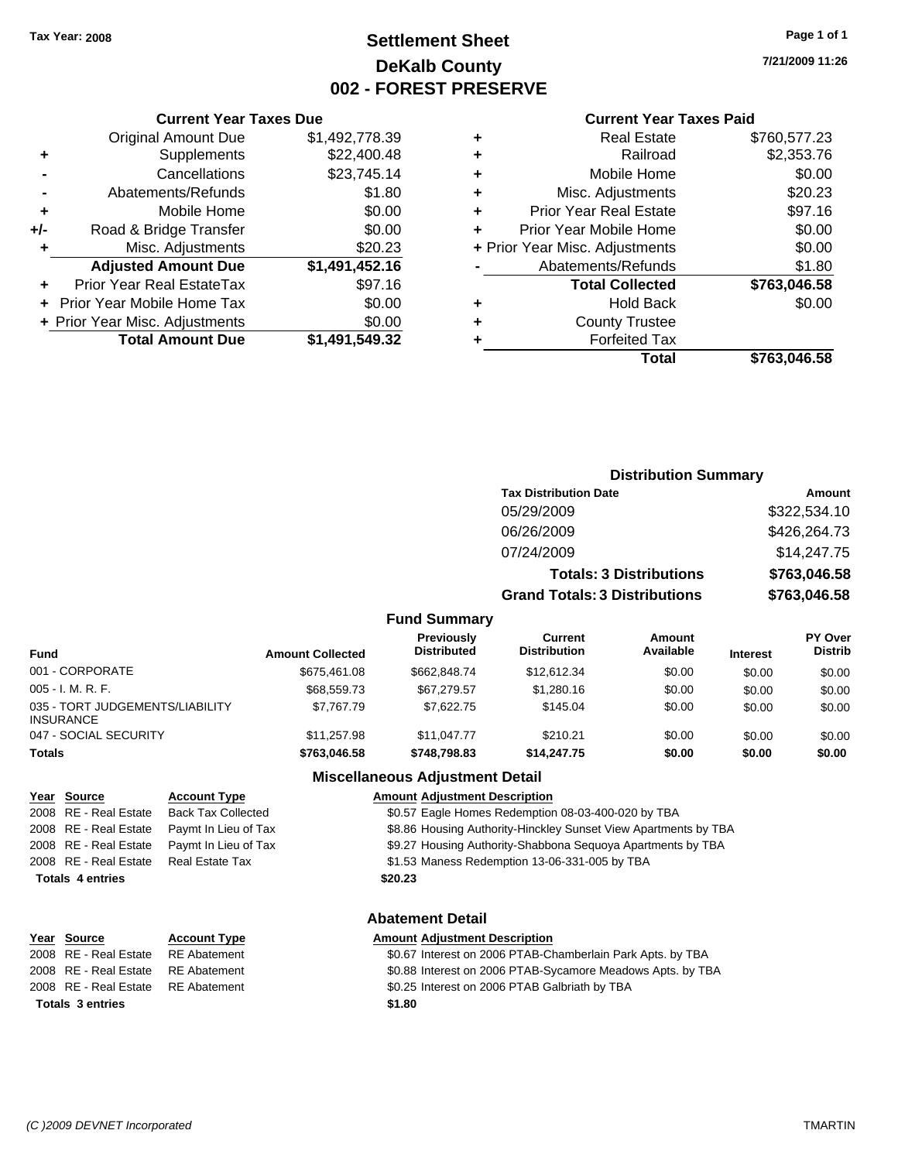### **Settlement Sheet Tax Year: 2008 Page 1 of 1 DeKalb County 002 - FOREST PRESERVE**

**7/21/2009 11:26**

#### **Current Year Taxes Paid**

| Total                              | \$763.046.58 |
|------------------------------------|--------------|
| <b>Forfeited Tax</b>               |              |
| <b>County Trustee</b><br>٠         |              |
| <b>Hold Back</b><br>÷              | \$0.00       |
| <b>Total Collected</b>             | \$763,046.58 |
| Abatements/Refunds                 | \$1.80       |
| + Prior Year Misc. Adjustments     | \$0.00       |
| Prior Year Mobile Home             | \$0.00       |
| <b>Prior Year Real Estate</b><br>÷ | \$97.16      |
| Misc. Adjustments<br>٠             | \$20.23      |
| Mobile Home<br>٠                   | \$0.00       |
| Railroad                           | \$2,353.76   |
| <b>Real Estate</b><br>٠            | \$760,577.23 |
|                                    |              |

|     | <b>Current Year Taxes Due</b>     |                |  |  |  |  |
|-----|-----------------------------------|----------------|--|--|--|--|
|     | <b>Original Amount Due</b>        | \$1,492,778.39 |  |  |  |  |
| ٠   | Supplements                       | \$22,400.48    |  |  |  |  |
|     | Cancellations                     | \$23,745.14    |  |  |  |  |
|     | Abatements/Refunds                | \$1.80         |  |  |  |  |
| ٠   | Mobile Home                       | \$0.00         |  |  |  |  |
| +/- | Road & Bridge Transfer            | \$0.00         |  |  |  |  |
| ٠   | Misc. Adjustments                 | \$20.23        |  |  |  |  |
|     | <b>Adjusted Amount Due</b>        | \$1,491,452.16 |  |  |  |  |
|     | Prior Year Real EstateTax         | \$97.16        |  |  |  |  |
|     | <b>Prior Year Mobile Home Tax</b> | \$0.00         |  |  |  |  |
|     | + Prior Year Misc. Adjustments    | \$0.00         |  |  |  |  |
|     | <b>Total Amount Due</b>           | \$1,491,549.32 |  |  |  |  |
|     |                                   |                |  |  |  |  |

| <b>Distribution Summary</b>  |              |  |  |
|------------------------------|--------------|--|--|
| <b>Tax Distribution Date</b> | Amount       |  |  |
| 05/29/2009                   | \$322,534.10 |  |  |

| 06/26/2009                           | \$426,264.73 |
|--------------------------------------|--------------|
| 07/24/2009                           | \$14,247.75  |
| <b>Totals: 3 Distributions</b>       | \$763,046.58 |
| <b>Grand Totals: 3 Distributions</b> | \$763,046.58 |

### **Fund Summary**

| <b>Fund</b>                                         | <b>Amount Collected</b> | <b>Previously</b><br><b>Distributed</b> | Current<br><b>Distribution</b> | Amount<br>Available | <b>Interest</b> | <b>PY Over</b><br><b>Distrib</b> |
|-----------------------------------------------------|-------------------------|-----------------------------------------|--------------------------------|---------------------|-----------------|----------------------------------|
| 001 - CORPORATE                                     | \$675.461.08            | \$662,848.74                            | \$12.612.34                    | \$0.00              | \$0.00          | \$0.00                           |
| $005 - I. M. R. F.$                                 | \$68,559.73             | \$67.279.57                             | \$1,280.16                     | \$0.00              | \$0.00          | \$0.00                           |
| 035 - TORT JUDGEMENTS/LIABILITY<br><b>INSURANCE</b> | \$7.767.79              | \$7.622.75                              | \$145.04                       | \$0.00              | \$0.00          | \$0.00                           |
| 047 - SOCIAL SECURITY                               | \$11,257.98             | \$11.047.77                             | \$210.21                       | \$0.00              | \$0.00          | \$0.00                           |
| <b>Totals</b>                                       | \$763.046.58            | \$748,798.83                            | \$14,247.75                    | \$0.00              | \$0.00          | \$0.00                           |

# **Totals \$20.23 4 entries**

### **Miscellaneous Adjustment Detail**

#### **Year Source Account Type Amount Adjustment Description**

2008 RE - Real Estate Back Tax Collected \$0.57 Eagle Homes Redemption 08-03-400-020 by TBA

- 2008 RE Real Estate Paymt In Lieu of Tax **\$8.86 Housing Authority-Hinckley Sunset View Apartments by TBA**
- 2008 RE Real Estate Paymt In Lieu of Tax **\$9.27 Housing Authority-Shabbona Sequoya Apartments by TBA**
- 2008 RE Real Estate Real Estate Tax St.53 Maness Redemption 13-06-331-005 by TBA

### **Abatement Detail**

#### **Year Source Account Type Amount Adjustment Description**

| \$0.67 Interest on 2006 PTAB-Chamberlain Park Apts. by TBA |
|------------------------------------------------------------|
| \$0.88 Interest on 2006 PTAB-Sycamore Meadows Apts. by TBA |
| \$0.25 Interest on 2006 PTAB Galbriath by TBA              |

**Totals \$1.80 3 entries**

2008 RE - Real Estate RE Abatement 2008 RE - Real Estate RE Abatement 2008 RE - Real Estate RE Abatement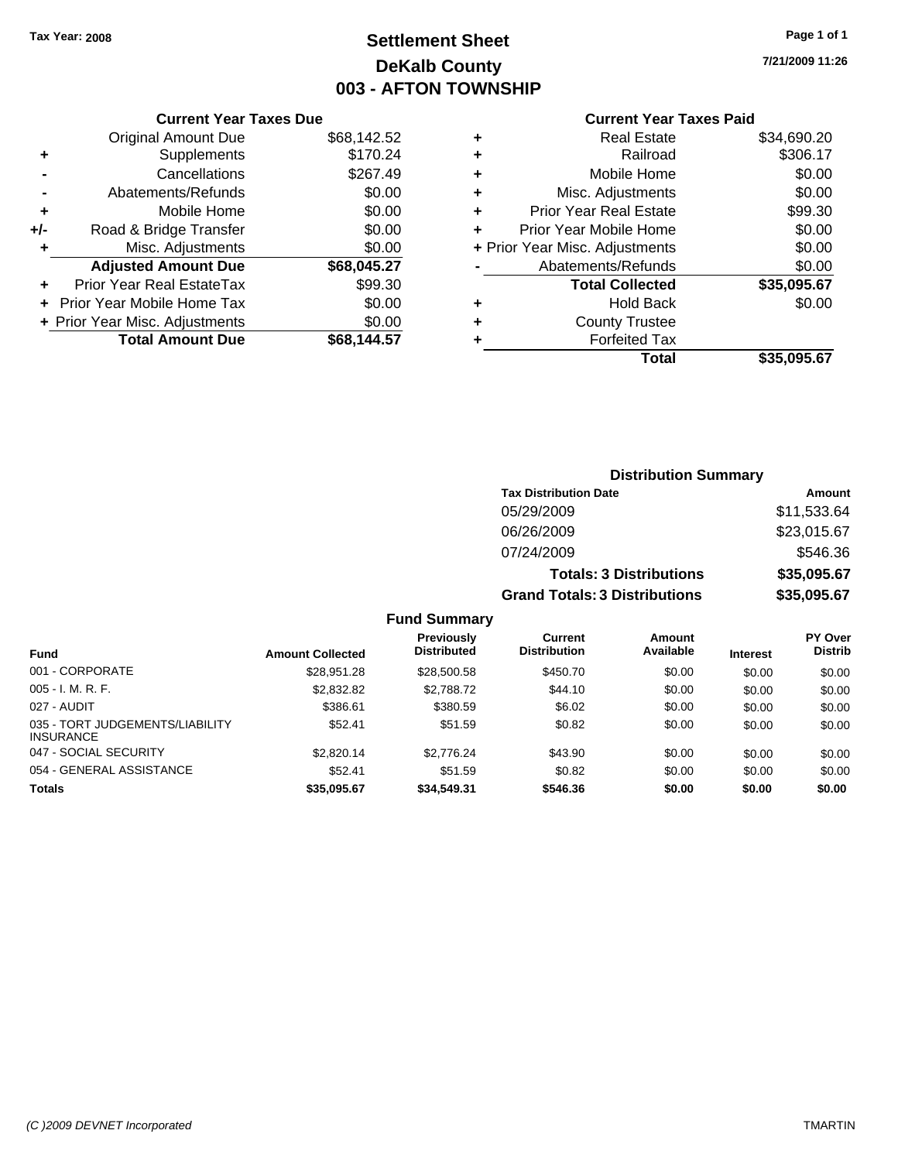## **Settlement Sheet Tax Year: 2008 Page 1 of 1 DeKalb County 003 - AFTON TOWNSHIP**

**7/21/2009 11:26**

#### **Current Year Taxes Paid**

|   | Total                          | \$35,095,67 |
|---|--------------------------------|-------------|
| ٠ | <b>Forfeited Tax</b>           |             |
| ٠ | <b>County Trustee</b>          |             |
| ٠ | <b>Hold Back</b>               | \$0.00      |
|   | <b>Total Collected</b>         | \$35,095.67 |
|   | Abatements/Refunds             | \$0.00      |
|   | + Prior Year Misc. Adjustments | \$0.00      |
| ٠ | Prior Year Mobile Home         | \$0.00      |
| ٠ | <b>Prior Year Real Estate</b>  | \$99.30     |
| ٠ | Misc. Adjustments              | \$0.00      |
| ٠ | Mobile Home                    | \$0.00      |
| ٠ | Railroad                       | \$306.17    |
| ٠ | <b>Real Estate</b>             | \$34,690.20 |
|   |                                |             |

|     | <b>Current Year Taxes Due</b>    |             |
|-----|----------------------------------|-------------|
|     | <b>Original Amount Due</b>       | \$68,142.52 |
| ٠   | Supplements                      | \$170.24    |
|     | Cancellations                    | \$267.49    |
|     | Abatements/Refunds               | \$0.00      |
| ٠   | Mobile Home                      | \$0.00      |
| +/- | Road & Bridge Transfer           | \$0.00      |
| ٠   | Misc. Adjustments                | \$0.00      |
|     | <b>Adjusted Amount Due</b>       | \$68,045.27 |
|     | <b>Prior Year Real EstateTax</b> | \$99.30     |
|     | Prior Year Mobile Home Tax       | \$0.00      |
|     | + Prior Year Misc. Adjustments   | \$0.00      |
|     | <b>Total Amount Due</b>          | \$68,144.57 |

### **Distribution Summary**

| <b>Tax Distribution Date</b>         | Amount      |
|--------------------------------------|-------------|
| 05/29/2009                           | \$11,533.64 |
| 06/26/2009                           | \$23,015.67 |
| 07/24/2009                           | \$546.36    |
| <b>Totals: 3 Distributions</b>       | \$35,095.67 |
| <b>Grand Totals: 3 Distributions</b> | \$35,095.67 |

|                                                     |                         | <b>Previously</b>  | Current             | Amount    |                 | <b>PY Over</b> |
|-----------------------------------------------------|-------------------------|--------------------|---------------------|-----------|-----------------|----------------|
| <b>Fund</b>                                         | <b>Amount Collected</b> | <b>Distributed</b> | <b>Distribution</b> | Available | <b>Interest</b> | <b>Distrib</b> |
| 001 - CORPORATE                                     | \$28.951.28             | \$28,500.58        | \$450.70            | \$0.00    | \$0.00          | \$0.00         |
| $005 - I. M. R. F.$                                 | \$2,832.82              | \$2,788.72         | \$44.10             | \$0.00    | \$0.00          | \$0.00         |
| 027 - AUDIT                                         | \$386.61                | \$380.59           | \$6.02              | \$0.00    | \$0.00          | \$0.00         |
| 035 - TORT JUDGEMENTS/LIABILITY<br><b>INSURANCE</b> | \$52.41                 | \$51.59            | \$0.82              | \$0.00    | \$0.00          | \$0.00         |
| 047 - SOCIAL SECURITY                               | \$2,820.14              | \$2,776.24         | \$43.90             | \$0.00    | \$0.00          | \$0.00         |
| 054 - GENERAL ASSISTANCE                            | \$52.41                 | \$51.59            | \$0.82              | \$0.00    | \$0.00          | \$0.00         |
| <b>Totals</b>                                       | \$35.095.67             | \$34,549.31        | \$546.36            | \$0.00    | \$0.00          | \$0.00         |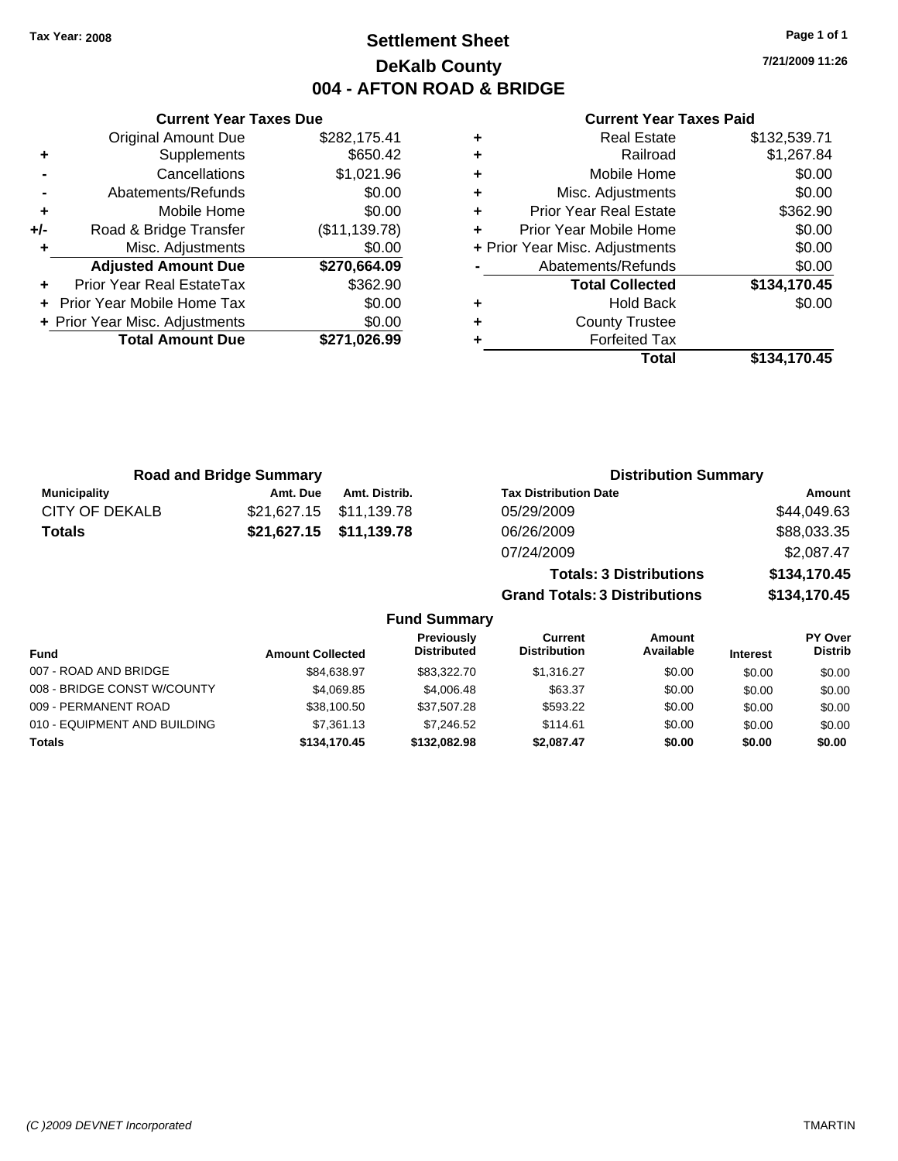### **Settlement Sheet Tax Year: 2008 Page 1 of 1 DeKalb County 004 - AFTON ROAD & BRIDGE**

**7/21/2009 11:26**

### **Current Year Taxes Paid**

|     | <b>Current Year Taxes Due</b>     |               |  |  |  |
|-----|-----------------------------------|---------------|--|--|--|
|     | <b>Original Amount Due</b>        | \$282,175.41  |  |  |  |
| ٠   | Supplements                       | \$650.42      |  |  |  |
|     | Cancellations                     | \$1,021.96    |  |  |  |
|     | Abatements/Refunds                | \$0.00        |  |  |  |
| ٠   | Mobile Home                       | \$0.00        |  |  |  |
| +/- | Road & Bridge Transfer            | (\$11,139.78) |  |  |  |
|     | Misc. Adjustments                 | \$0.00        |  |  |  |
|     | <b>Adjusted Amount Due</b>        | \$270,664.09  |  |  |  |
|     | Prior Year Real EstateTax         | \$362.90      |  |  |  |
|     | <b>Prior Year Mobile Home Tax</b> | \$0.00        |  |  |  |
|     | + Prior Year Misc. Adjustments    | \$0.00        |  |  |  |
|     | <b>Total Amount Due</b>           | \$271.026.99  |  |  |  |
|     |                                   |               |  |  |  |

|   | Total                          | \$134,170.45 |
|---|--------------------------------|--------------|
|   | <b>Forfeited Tax</b>           |              |
| ٠ | <b>County Trustee</b>          |              |
| ٠ | <b>Hold Back</b>               | \$0.00       |
|   | <b>Total Collected</b>         | \$134,170.45 |
|   | Abatements/Refunds             | \$0.00       |
|   | + Prior Year Misc. Adjustments | \$0.00       |
| ÷ | Prior Year Mobile Home         | \$0.00       |
| ٠ | <b>Prior Year Real Estate</b>  | \$362.90     |
| ٠ | Misc. Adjustments              | \$0.00       |
| ٠ | Mobile Home                    | \$0.00       |
| ÷ | Railroad                       | \$1,267.84   |
|   | <b>Real Estate</b>             | \$132,539.71 |

| <b>Road and Bridge Summary</b> |          |                         | <b>Distribution Summary</b>    |              |
|--------------------------------|----------|-------------------------|--------------------------------|--------------|
| <b>Municipality</b>            | Amt. Due | Amt. Distrib.           | <b>Tax Distribution Date</b>   | Amount       |
| CITY OF DEKALB                 |          | \$21,627.15 \$11,139.78 | 05/29/2009                     | \$44,049.63  |
| <b>Totals</b>                  |          | \$21,627.15 \$11,139.78 | 06/26/2009                     | \$88,033.35  |
|                                |          |                         | 07/24/2009                     | \$2,087.47   |
|                                |          |                         | <b>Totals: 3 Distributions</b> | \$134,170.45 |

**Grand Totals: 3 Distributions \$134,170.45**

| Fund                         | <b>Amount Collected</b> | Previously<br><b>Distributed</b> | Current<br><b>Distribution</b> | Amount<br>Available | <b>Interest</b> | PY Over<br><b>Distrib</b> |
|------------------------------|-------------------------|----------------------------------|--------------------------------|---------------------|-----------------|---------------------------|
| 007 - ROAD AND BRIDGE        | \$84,638.97             | \$83,322,70                      | \$1.316.27                     | \$0.00              | \$0.00          | \$0.00                    |
| 008 - BRIDGE CONST W/COUNTY  | \$4.069.85              | \$4,006.48                       | \$63.37                        | \$0.00              | \$0.00          | \$0.00                    |
| 009 - PERMANENT ROAD         | \$38,100.50             | \$37,507.28                      | \$593.22                       | \$0.00              | \$0.00          | \$0.00                    |
| 010 - EQUIPMENT AND BUILDING | \$7,361.13              | \$7.246.52                       | \$114.61                       | \$0.00              | \$0.00          | \$0.00                    |
| Totals                       | \$134,170.45            | \$132,082,98                     | \$2.087.47                     | \$0.00              | \$0.00          | \$0.00                    |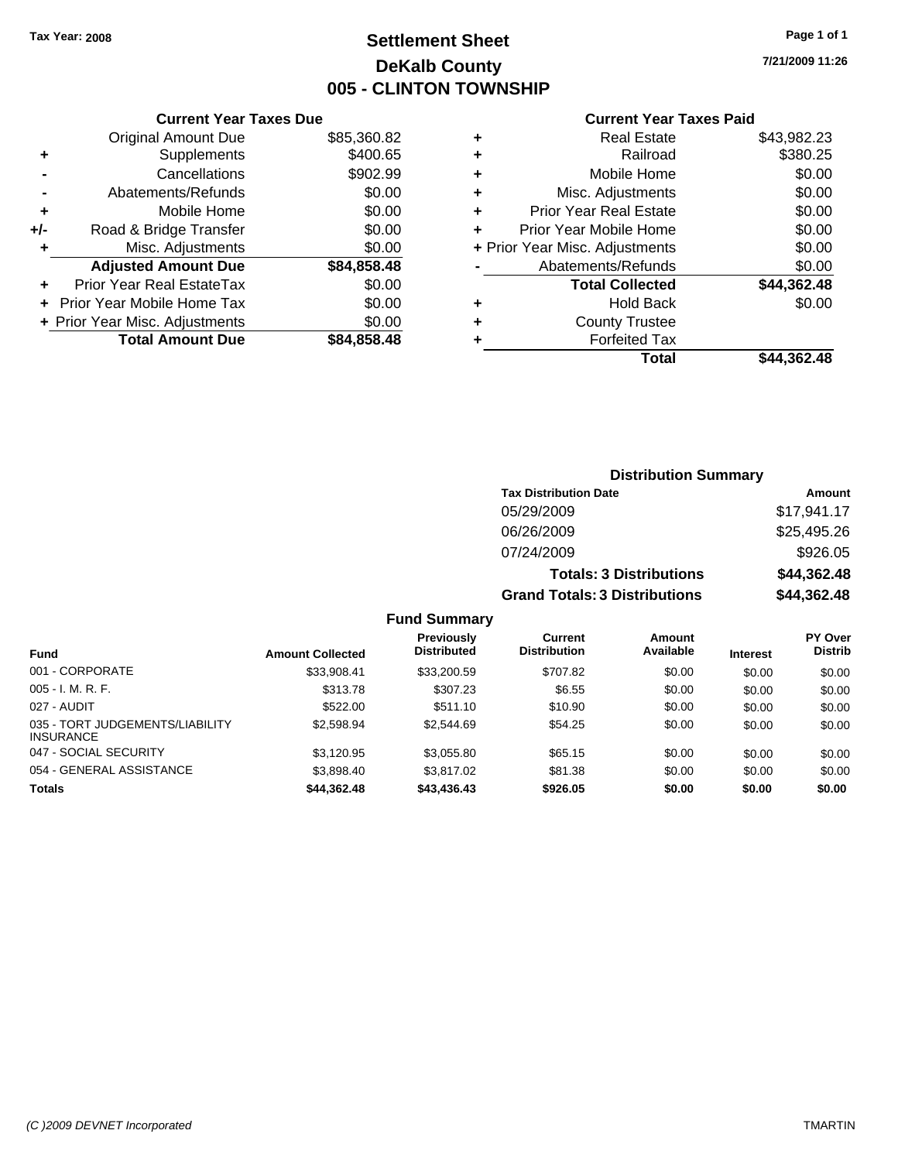### **Settlement Sheet Tax Year: 2008 Page 1 of 1 DeKalb County 005 - CLINTON TOWNSHIP**

**7/21/2009 11:26**

| <b>Current Year Taxes Paid</b> |  |  |
|--------------------------------|--|--|
|                                |  |  |

|   | Total                          | \$44,362.48 |
|---|--------------------------------|-------------|
| ٠ | <b>Forfeited Tax</b>           |             |
| ٠ | <b>County Trustee</b>          |             |
| ٠ | <b>Hold Back</b>               | \$0.00      |
|   | <b>Total Collected</b>         | \$44,362.48 |
|   | Abatements/Refunds             | \$0.00      |
|   | + Prior Year Misc. Adjustments | \$0.00      |
| ÷ | Prior Year Mobile Home         | \$0.00      |
| ٠ | <b>Prior Year Real Estate</b>  | \$0.00      |
| ٠ | Misc. Adjustments              | \$0.00      |
| ٠ | Mobile Home                    | \$0.00      |
| ٠ | Railroad                       | \$380.25    |
| ٠ | <b>Real Estate</b>             | \$43,982.23 |

|     | <b>Current Year Taxes Due</b>    |             |
|-----|----------------------------------|-------------|
|     | <b>Original Amount Due</b>       | \$85,360.82 |
| ٠   | Supplements                      | \$400.65    |
|     | Cancellations                    | \$902.99    |
|     | Abatements/Refunds               | \$0.00      |
| ٠   | Mobile Home                      | \$0.00      |
| +/- | Road & Bridge Transfer           | \$0.00      |
| ٠   | Misc. Adjustments                | \$0.00      |
|     | <b>Adjusted Amount Due</b>       | \$84,858.48 |
|     | <b>Prior Year Real EstateTax</b> | \$0.00      |
|     | Prior Year Mobile Home Tax       | \$0.00      |
|     | + Prior Year Misc. Adjustments   | \$0.00      |
|     | <b>Total Amount Due</b>          | \$84,858.48 |

| <b>Distribution Summary</b>    |             |  |  |  |  |
|--------------------------------|-------------|--|--|--|--|
| <b>Tax Distribution Date</b>   | Amount      |  |  |  |  |
| 05/29/2009                     | \$17,941.17 |  |  |  |  |
| 06/26/2009                     | \$25,495.26 |  |  |  |  |
| 07/24/2009                     | \$926.05    |  |  |  |  |
| <b>Totals: 3 Distributions</b> | \$44,362.48 |  |  |  |  |

**Grand Totals: 3 Distributions \$44,362.48**

|                                                     |                         | Previously         | Current             | Amount    |                 | <b>PY Over</b> |
|-----------------------------------------------------|-------------------------|--------------------|---------------------|-----------|-----------------|----------------|
| <b>Fund</b>                                         | <b>Amount Collected</b> | <b>Distributed</b> | <b>Distribution</b> | Available | <b>Interest</b> | <b>Distrib</b> |
| 001 - CORPORATE                                     | \$33,908.41             | \$33,200.59        | \$707.82            | \$0.00    | \$0.00          | \$0.00         |
| $005 - I. M. R. F.$                                 | \$313.78                | \$307.23           | \$6.55              | \$0.00    | \$0.00          | \$0.00         |
| 027 - AUDIT                                         | \$522.00                | \$511.10           | \$10.90             | \$0.00    | \$0.00          | \$0.00         |
| 035 - TORT JUDGEMENTS/LIABILITY<br><b>INSURANCE</b> | \$2.598.94              | \$2,544.69         | \$54.25             | \$0.00    | \$0.00          | \$0.00         |
| 047 - SOCIAL SECURITY                               | \$3.120.95              | \$3,055.80         | \$65.15             | \$0.00    | \$0.00          | \$0.00         |
| 054 - GENERAL ASSISTANCE                            | \$3.898.40              | \$3,817.02         | \$81.38             | \$0.00    | \$0.00          | \$0.00         |
| <b>Totals</b>                                       | \$44.362.48             | \$43,436.43        | \$926.05            | \$0.00    | \$0.00          | \$0.00         |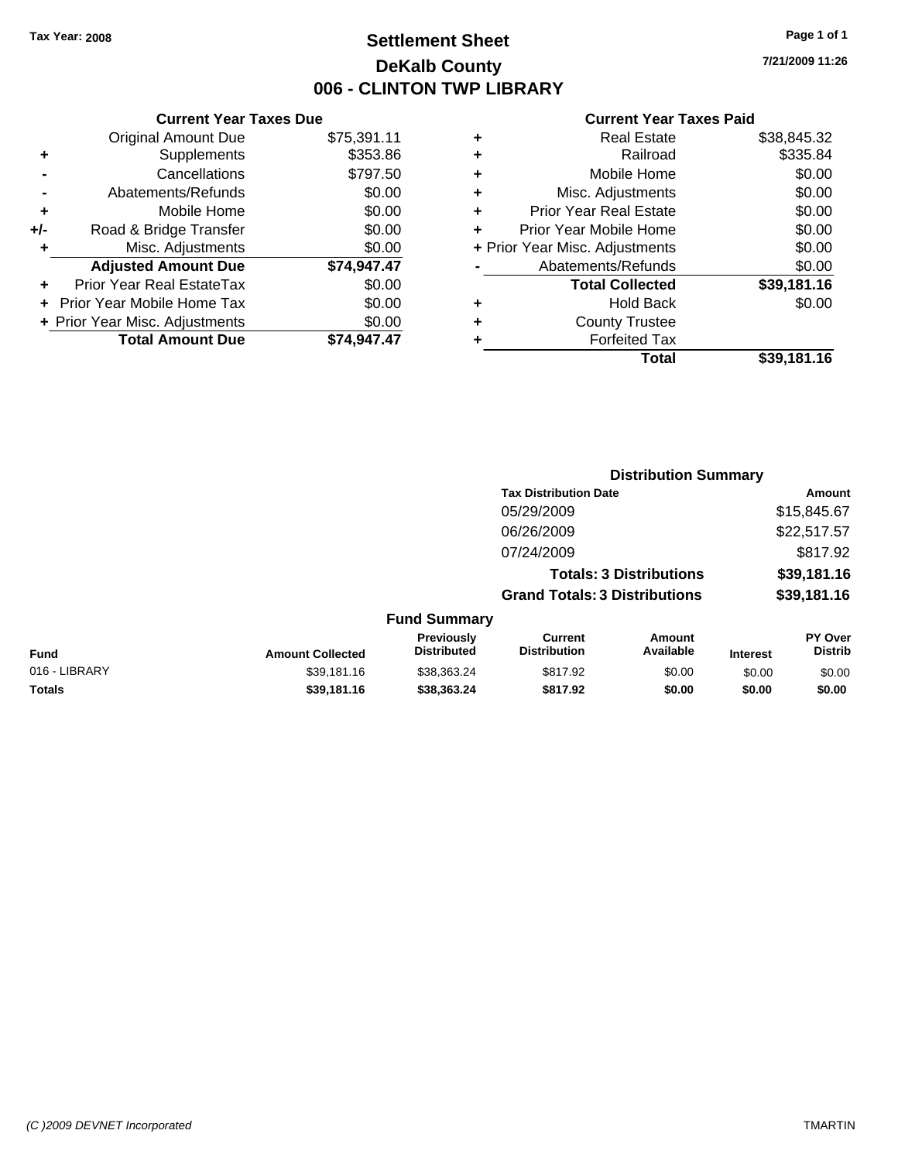### **Settlement Sheet Tax Year: 2008 Page 1 of 1 DeKalb County 006 - CLINTON TWP LIBRARY**

### **Current Year Taxes Due**

|     | <b>Original Amount Due</b>       | \$75,391.11 |
|-----|----------------------------------|-------------|
|     | Supplements                      | \$353.86    |
|     | Cancellations                    | \$797.50    |
|     | Abatements/Refunds               | \$0.00      |
| ٠   | Mobile Home                      | \$0.00      |
| +/- | Road & Bridge Transfer           | \$0.00      |
| ٠   | Misc. Adjustments                | \$0.00      |
|     | <b>Adjusted Amount Due</b>       | \$74,947.47 |
|     | <b>Prior Year Real EstateTax</b> | \$0.00      |
|     | Prior Year Mobile Home Tax       | \$0.00      |
|     | + Prior Year Misc. Adjustments   | \$0.00      |
|     | <b>Total Amount Due</b>          | \$74,947.47 |

|   | <b>Real Estate</b>             | \$38,845.32 |
|---|--------------------------------|-------------|
| ٠ | Railroad                       | \$335.84    |
| ٠ | Mobile Home                    | \$0.00      |
| ٠ | Misc. Adjustments              | \$0.00      |
| ٠ | <b>Prior Year Real Estate</b>  | \$0.00      |
|   | Prior Year Mobile Home         | \$0.00      |
|   | + Prior Year Misc. Adjustments | \$0.00      |
|   | Abatements/Refunds             | \$0.00      |
|   | <b>Total Collected</b>         | \$39,181.16 |
| ٠ | <b>Hold Back</b>               | \$0.00      |
| ٠ | <b>County Trustee</b>          |             |
| ٠ | <b>Forfeited Tax</b>           |             |
|   | Total                          | \$39,181.16 |
|   |                                |             |

|               |                         |                                  | <b>Distribution Summary</b>           |                                |                 |                           |
|---------------|-------------------------|----------------------------------|---------------------------------------|--------------------------------|-----------------|---------------------------|
|               |                         |                                  | <b>Tax Distribution Date</b>          |                                |                 | Amount                    |
|               |                         |                                  | 05/29/2009                            |                                |                 | \$15,845.67               |
|               |                         |                                  | 06/26/2009                            |                                |                 | \$22,517.57               |
|               |                         |                                  | 07/24/2009                            |                                |                 | \$817.92                  |
|               |                         |                                  |                                       | <b>Totals: 3 Distributions</b> |                 | \$39,181.16               |
|               |                         |                                  | <b>Grand Totals: 3 Distributions</b>  |                                |                 | \$39,181.16               |
|               |                         | <b>Fund Summary</b>              |                                       |                                |                 |                           |
| Fund          | <b>Amount Collected</b> | Previously<br><b>Distributed</b> | <b>Current</b><br><b>Distribution</b> | Amount<br>Available            | <b>Interest</b> | PY Over<br><b>Distrib</b> |
| 016 - LIBRARY | \$39,181.16             | \$38,363.24                      | \$817.92                              | \$0.00                         | \$0.00          | \$0.00                    |
| Totals        | \$39,181.16             | \$38,363,24                      | \$817.92                              | \$0.00                         | \$0.00          | \$0.00                    |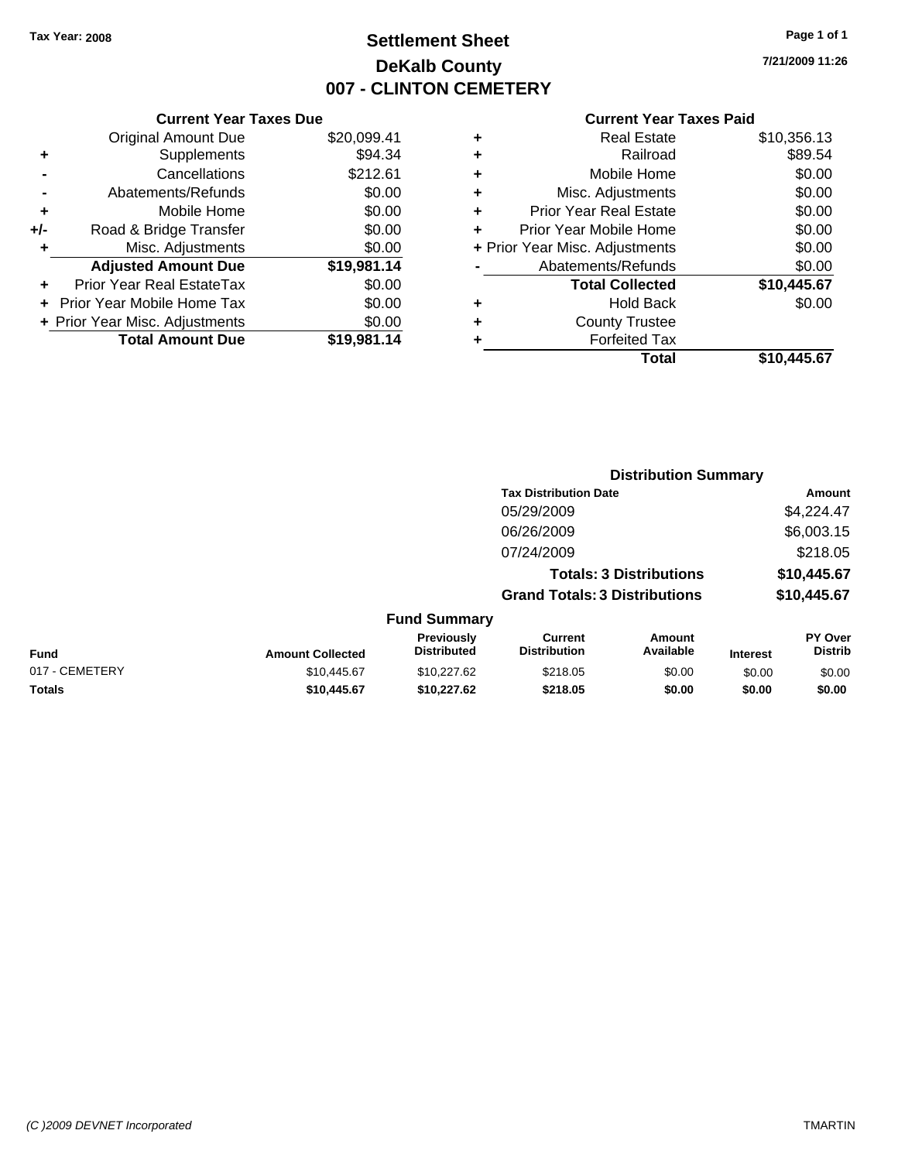### **Settlement Sheet Tax Year: 2008 Page 1 of 1 DeKalb County 007 - CLINTON CEMETERY**

### **7/21/2009 11:26**

|     | <b>Current Year Taxes Due</b>  |             |  |
|-----|--------------------------------|-------------|--|
|     | <b>Original Amount Due</b>     | \$20,099.41 |  |
| ٠   | Supplements                    | \$94.34     |  |
|     | Cancellations                  | \$212.61    |  |
|     | Abatements/Refunds             | \$0.00      |  |
| ٠   | Mobile Home                    | \$0.00      |  |
| +/- | Road & Bridge Transfer         | \$0.00      |  |
| ٠   | Misc. Adjustments              | \$0.00      |  |
|     | <b>Adjusted Amount Due</b>     | \$19,981.14 |  |
| ÷   | Prior Year Real EstateTax      | \$0.00      |  |
|     | Prior Year Mobile Home Tax     | \$0.00      |  |
|     | + Prior Year Misc. Adjustments | \$0.00      |  |
|     | <b>Total Amount Due</b>        | \$19,981.14 |  |

| ٠ | <b>Real Estate</b>             | \$10,356.13 |
|---|--------------------------------|-------------|
| ٠ | Railroad                       | \$89.54     |
| ٠ | Mobile Home                    | \$0.00      |
| ٠ | Misc. Adjustments              | \$0.00      |
| ÷ | <b>Prior Year Real Estate</b>  | \$0.00      |
| ÷ | Prior Year Mobile Home         | \$0.00      |
|   | + Prior Year Misc. Adjustments | \$0.00      |
|   | Abatements/Refunds             | \$0.00      |
|   | <b>Total Collected</b>         | \$10,445.67 |
| ٠ | <b>Hold Back</b>               | \$0.00      |
| ٠ | <b>County Trustee</b>          |             |
| ٠ | <b>Forfeited Tax</b>           |             |
|   | Total                          | \$10,445.67 |
|   |                                |             |

|                |                         |                                  |                                       | <b>Distribution Summary</b>    |                 |                           |
|----------------|-------------------------|----------------------------------|---------------------------------------|--------------------------------|-----------------|---------------------------|
|                |                         |                                  | <b>Tax Distribution Date</b>          |                                |                 | Amount                    |
|                |                         |                                  | 05/29/2009                            |                                |                 | \$4,224.47                |
|                |                         |                                  | 06/26/2009                            |                                |                 | \$6,003.15                |
|                |                         |                                  | 07/24/2009                            |                                |                 | \$218.05                  |
|                |                         |                                  |                                       | <b>Totals: 3 Distributions</b> |                 | \$10,445.67               |
|                |                         |                                  | <b>Grand Totals: 3 Distributions</b>  |                                |                 | \$10,445.67               |
|                |                         | <b>Fund Summary</b>              |                                       |                                |                 |                           |
| Fund           | <b>Amount Collected</b> | Previously<br><b>Distributed</b> | <b>Current</b><br><b>Distribution</b> | Amount<br>Available            | <b>Interest</b> | PY Over<br><b>Distrib</b> |
| 017 - CEMETERY | \$10,445.67             | \$10.227.62                      | \$218.05                              | \$0.00                         | \$0.00          | \$0.00                    |
| Totals         | \$10,445.67             | \$10,227.62                      | \$218.05                              | \$0.00                         | \$0.00          | \$0.00                    |
|                |                         |                                  |                                       |                                |                 |                           |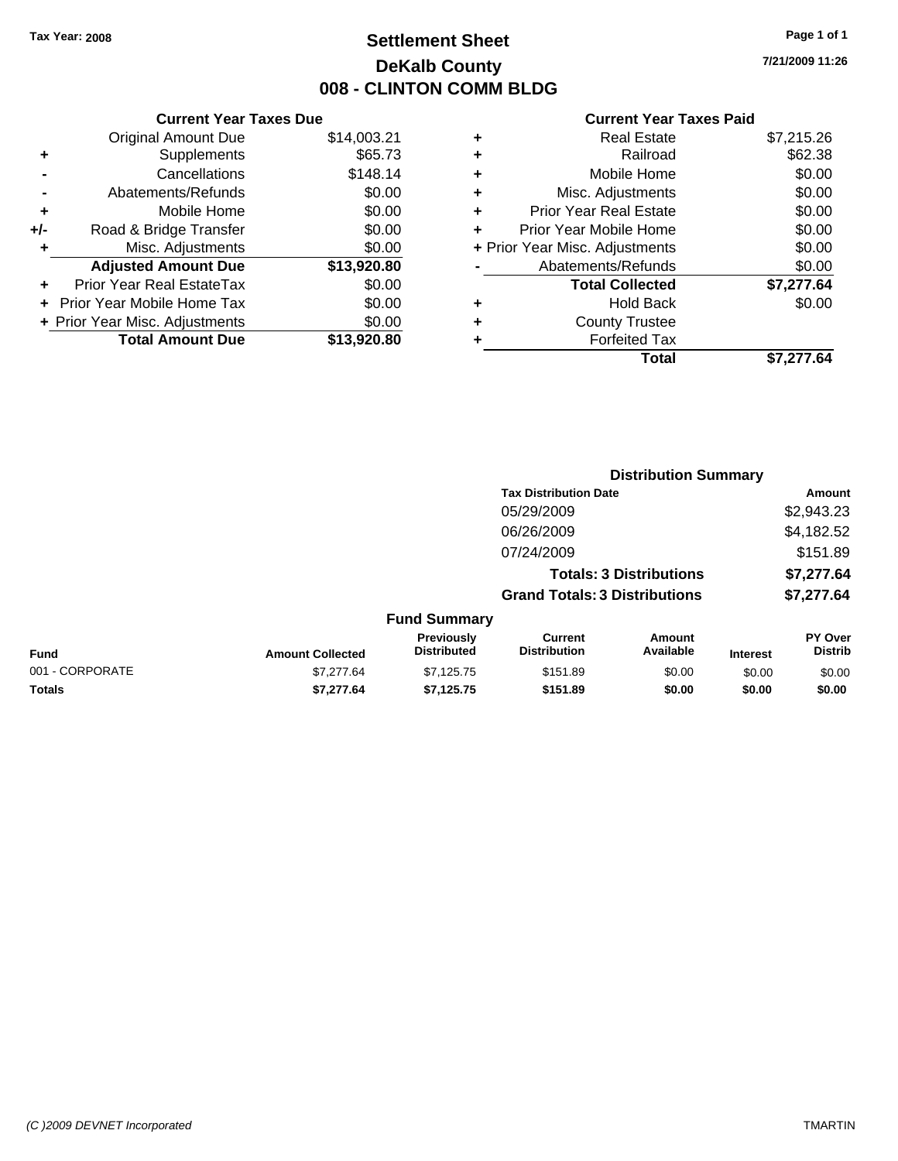### **Settlement Sheet Tax Year: 2008 Page 1 of 1 DeKalb County 008 - CLINTON COMM BLDG**

**7/21/2009 11:26**

|     | <b>Current Year Taxes Due</b>  |             |  |  |  |  |
|-----|--------------------------------|-------------|--|--|--|--|
|     | <b>Original Amount Due</b>     | \$14,003.21 |  |  |  |  |
| ٠   | Supplements                    | \$65.73     |  |  |  |  |
|     | Cancellations                  | \$148.14    |  |  |  |  |
|     | Abatements/Refunds             | \$0.00      |  |  |  |  |
| ٠   | Mobile Home                    | \$0.00      |  |  |  |  |
| +/- | Road & Bridge Transfer         | \$0.00      |  |  |  |  |
| ÷   | Misc. Adjustments              | \$0.00      |  |  |  |  |
|     | <b>Adjusted Amount Due</b>     | \$13,920.80 |  |  |  |  |
|     | Prior Year Real EstateTax      | \$0.00      |  |  |  |  |
|     | Prior Year Mobile Home Tax     | \$0.00      |  |  |  |  |
|     | + Prior Year Misc. Adjustments | \$0.00      |  |  |  |  |
|     | <b>Total Amount Due</b>        | \$13,920.80 |  |  |  |  |
|     |                                |             |  |  |  |  |

|   | <b>Real Estate</b>             | \$7,215.26 |
|---|--------------------------------|------------|
| ٠ | Railroad                       | \$62.38    |
| ٠ | Mobile Home                    | \$0.00     |
| ٠ | Misc. Adjustments              | \$0.00     |
| ٠ | <b>Prior Year Real Estate</b>  | \$0.00     |
| ÷ | Prior Year Mobile Home         | \$0.00     |
|   | + Prior Year Misc. Adjustments | \$0.00     |
|   | Abatements/Refunds             | \$0.00     |
|   | <b>Total Collected</b>         | \$7,277.64 |
| ٠ | <b>Hold Back</b>               | \$0.00     |
|   | <b>County Trustee</b>          |            |
| ٠ | <b>Forfeited Tax</b>           |            |
|   | Total                          | \$7,277.64 |

|                 |                         |                                  |                                      | <b>Distribution Summary</b>    |                 |                           |
|-----------------|-------------------------|----------------------------------|--------------------------------------|--------------------------------|-----------------|---------------------------|
|                 |                         |                                  | <b>Tax Distribution Date</b>         |                                |                 | Amount                    |
|                 |                         |                                  | 05/29/2009                           |                                |                 | \$2,943.23                |
|                 |                         |                                  | 06/26/2009                           |                                |                 | \$4,182.52                |
|                 |                         |                                  | 07/24/2009                           |                                |                 | \$151.89                  |
|                 |                         |                                  |                                      | <b>Totals: 3 Distributions</b> |                 | \$7,277.64                |
|                 |                         |                                  | <b>Grand Totals: 3 Distributions</b> |                                |                 | \$7,277.64                |
|                 |                         | <b>Fund Summary</b>              |                                      |                                |                 |                           |
| Fund            | <b>Amount Collected</b> | Previously<br><b>Distributed</b> | Current<br><b>Distribution</b>       | Amount<br>Available            | <b>Interest</b> | PY Over<br><b>Distrib</b> |
| 001 - CORPORATE | \$7,277.64              | \$7,125.75                       | \$151.89                             | \$0.00                         | \$0.00          | \$0.00                    |
| Totals          | \$7,277.64              | \$7,125.75                       | \$151.89                             | \$0.00                         | \$0.00          | \$0.00                    |
|                 |                         |                                  |                                      |                                |                 |                           |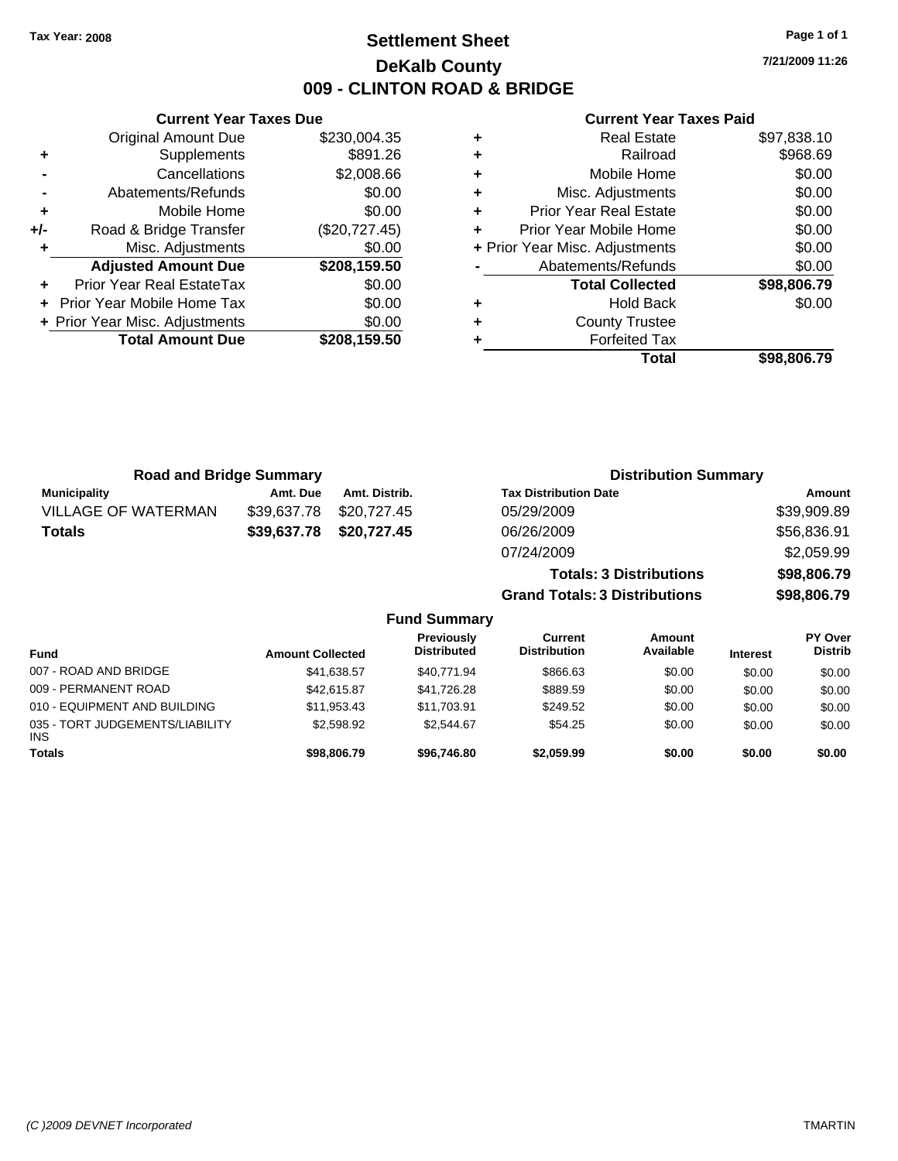**Current Year Taxes Due** Original Amount Due \$230,004.35

**Adjusted Amount Due \$208,159.50**

**Total Amount Due \$208,159.50**

**+** Supplements \$891.26 **-** Cancellations \$2,008.66 **-** Abatements/Refunds \$0.00 **+** Mobile Home \$0.00 **+/-** Road & Bridge Transfer (\$20,727.45) **+** Misc. Adjustments \$0.00

**+** Prior Year Real EstateTax \$0.00 **+** Prior Year Mobile Home Tax \$0.00 **+ Prior Year Misc. Adjustments**  $$0.00$ 

### **Settlement Sheet Tax Year: 2008 Page 1 of 1 DeKalb County 009 - CLINTON ROAD & BRIDGE**

**7/21/2009 11:26**

| ٠ | <b>Real Estate</b>             | \$97,838.10 |
|---|--------------------------------|-------------|
| ٠ | Railroad                       | \$968.69    |
| ٠ | Mobile Home                    | \$0.00      |
| ٠ | Misc. Adjustments              | \$0.00      |
| ٠ | <b>Prior Year Real Estate</b>  | \$0.00      |
| ٠ | Prior Year Mobile Home         | \$0.00      |
|   | + Prior Year Misc. Adjustments | \$0.00      |
|   | Abatements/Refunds             | \$0.00      |
|   | <b>Total Collected</b>         | \$98,806.79 |
| ٠ | <b>Hold Back</b>               | \$0.00      |
| ٠ | <b>County Trustee</b>          |             |
| ٠ | <b>Forfeited Tax</b>           |             |
|   | Total                          | \$98.806.79 |

| <b>Road and Bridge Summary</b> |             |                     | <b>Distribution Summary</b>          |             |
|--------------------------------|-------------|---------------------|--------------------------------------|-------------|
| <b>Municipality</b>            | Amt. Due    | Amt. Distrib.       | <b>Tax Distribution Date</b>         | Amount      |
| <b>VILLAGE OF WATERMAN</b>     | \$39,637.78 | \$20,727.45         | 05/29/2009                           | \$39,909.89 |
| <b>Totals</b>                  | \$39,637.78 | \$20,727.45         | 06/26/2009                           | \$56,836.91 |
|                                |             |                     | 07/24/2009                           | \$2,059.99  |
|                                |             |                     | <b>Totals: 3 Distributions</b>       | \$98,806.79 |
|                                |             |                     | <b>Grand Totals: 3 Distributions</b> | \$98,806.79 |
|                                |             | <b>Fund Summary</b> |                                      |             |

| <b>Fund</b>                                   | <b>Amount Collected</b> | Previously<br><b>Distributed</b> | <b>Current</b><br><b>Distribution</b> | Amount<br>Available | <b>Interest</b> | <b>PY Over</b><br><b>Distrib</b> |
|-----------------------------------------------|-------------------------|----------------------------------|---------------------------------------|---------------------|-----------------|----------------------------------|
| 007 - ROAD AND BRIDGE                         | \$41,638.57             | \$40.771.94                      | \$866.63                              | \$0.00              | \$0.00          | \$0.00                           |
| 009 - PERMANENT ROAD                          | \$42,615.87             | \$41.726.28                      | \$889.59                              | \$0.00              | \$0.00          | \$0.00                           |
| 010 - EQUIPMENT AND BUILDING                  | \$11.953.43             | \$11.703.91                      | \$249.52                              | \$0.00              | \$0.00          | \$0.00                           |
| 035 - TORT JUDGEMENTS/LIABILITY<br><b>INS</b> | \$2,598.92              | \$2.544.67                       | \$54.25                               | \$0.00              | \$0.00          | \$0.00                           |
| <b>Totals</b>                                 | \$98,806.79             | \$96,746.80                      | \$2,059.99                            | \$0.00              | \$0.00          | \$0.00                           |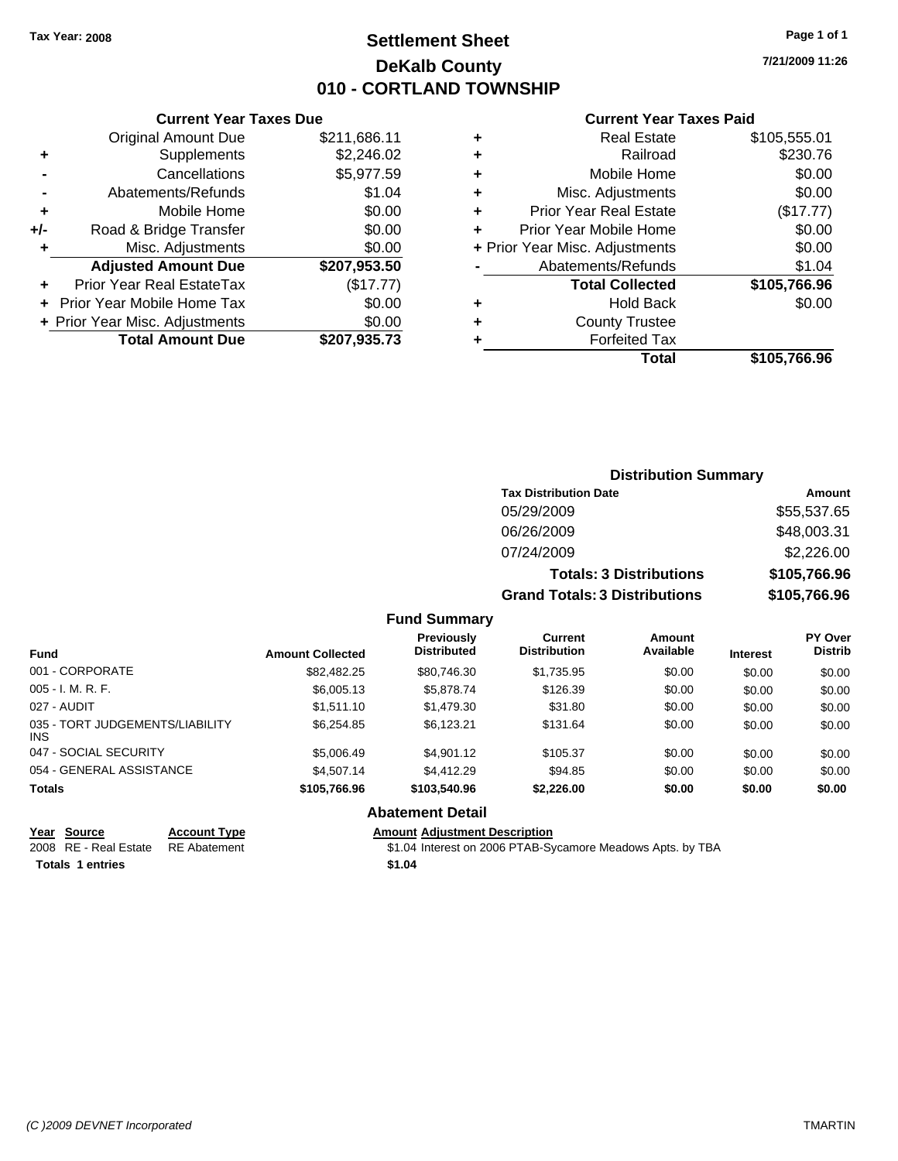### **Settlement Sheet Tax Year: 2008 Page 1 of 1 DeKalb County 010 - CORTLAND TOWNSHIP**

**7/21/2009 11:26**

#### **Current Year Taxes Paid**

|     | <b>Original Amount Due</b>       | \$211,686.11 |
|-----|----------------------------------|--------------|
| ٠   | Supplements                      | \$2,246.02   |
|     | Cancellations                    | \$5,977.59   |
|     | Abatements/Refunds               | \$1.04       |
| ÷   | Mobile Home                      | \$0.00       |
| +/- | Road & Bridge Transfer           | \$0.00       |
| ٠   | Misc. Adjustments                | \$0.00       |
|     | <b>Adjusted Amount Due</b>       | \$207,953.50 |
|     | <b>Prior Year Real EstateTax</b> | (\$17.77)    |
|     | Prior Year Mobile Home Tax       | \$0.00       |
|     | + Prior Year Misc. Adjustments   | \$0.00       |
|     | <b>Total Amount Due</b>          | \$207,935.73 |
|     |                                  |              |

**Current Year Taxes Due**

| ٠                              | <b>Real Estate</b>            | \$105,555.01 |
|--------------------------------|-------------------------------|--------------|
| ٠                              | Railroad                      | \$230.76     |
| ٠                              | Mobile Home                   | \$0.00       |
| ٠                              | Misc. Adjustments             | \$0.00       |
| ÷                              | <b>Prior Year Real Estate</b> | (\$17.77)    |
| ٠                              | Prior Year Mobile Home        | \$0.00       |
| + Prior Year Misc. Adjustments |                               | \$0.00       |
|                                | Abatements/Refunds            | \$1.04       |
|                                | <b>Total Collected</b>        | \$105,766.96 |
| ٠                              | Hold Back                     | \$0.00       |
| ٠                              | <b>County Trustee</b>         |              |
| ٠                              | <b>Forfeited Tax</b>          |              |
|                                | Total                         | \$105,766.96 |
|                                |                               |              |

### **Distribution Summary Tax Distribution Date Amount** 05/29/2009 \$55,537.65 06/26/2009 \$48,003.31 07/24/2009 \$2,226.00 **Totals: 3 Distributions \$105,766.96 Grand Totals: 3 Distributions \$105,766.96**

#### **Fund Summary**

| <b>Fund</b>                                   | <b>Amount Collected</b> | <b>Previously</b><br><b>Distributed</b> | Current<br><b>Distribution</b> | Amount<br>Available | <b>Interest</b> | <b>PY Over</b><br><b>Distrib</b> |
|-----------------------------------------------|-------------------------|-----------------------------------------|--------------------------------|---------------------|-----------------|----------------------------------|
| 001 - CORPORATE                               | \$82,482.25             | \$80,746.30                             | \$1,735.95                     | \$0.00              | \$0.00          | \$0.00                           |
| $005 - I. M. R. F.$                           | \$6,005.13              | \$5,878.74                              | \$126.39                       | \$0.00              | \$0.00          | \$0.00                           |
| 027 - AUDIT                                   | \$1.511.10              | \$1,479.30                              | \$31.80                        | \$0.00              | \$0.00          | \$0.00                           |
| 035 - TORT JUDGEMENTS/LIABILITY<br><b>INS</b> | \$6,254.85              | \$6.123.21                              | \$131.64                       | \$0.00              | \$0.00          | \$0.00                           |
| 047 - SOCIAL SECURITY                         | \$5,006.49              | \$4.901.12                              | \$105.37                       | \$0.00              | \$0.00          | \$0.00                           |
| 054 - GENERAL ASSISTANCE                      | \$4,507.14              | \$4,412.29                              | \$94.85                        | \$0.00              | \$0.00          | \$0.00                           |
| <b>Totals</b>                                 | \$105,766.96            | \$103,540.96                            | \$2,226,00                     | \$0.00              | \$0.00          | \$0.00                           |

#### **Abatement Detail**

#### **Year Source Account Type Amount Adjustment Description**

2008 RE - Real Estate RE Abatement **12.04** Interest on 2006 PTAB-Sycamore Meadows Apts. by TBA **Totals \$1.04 1 entries**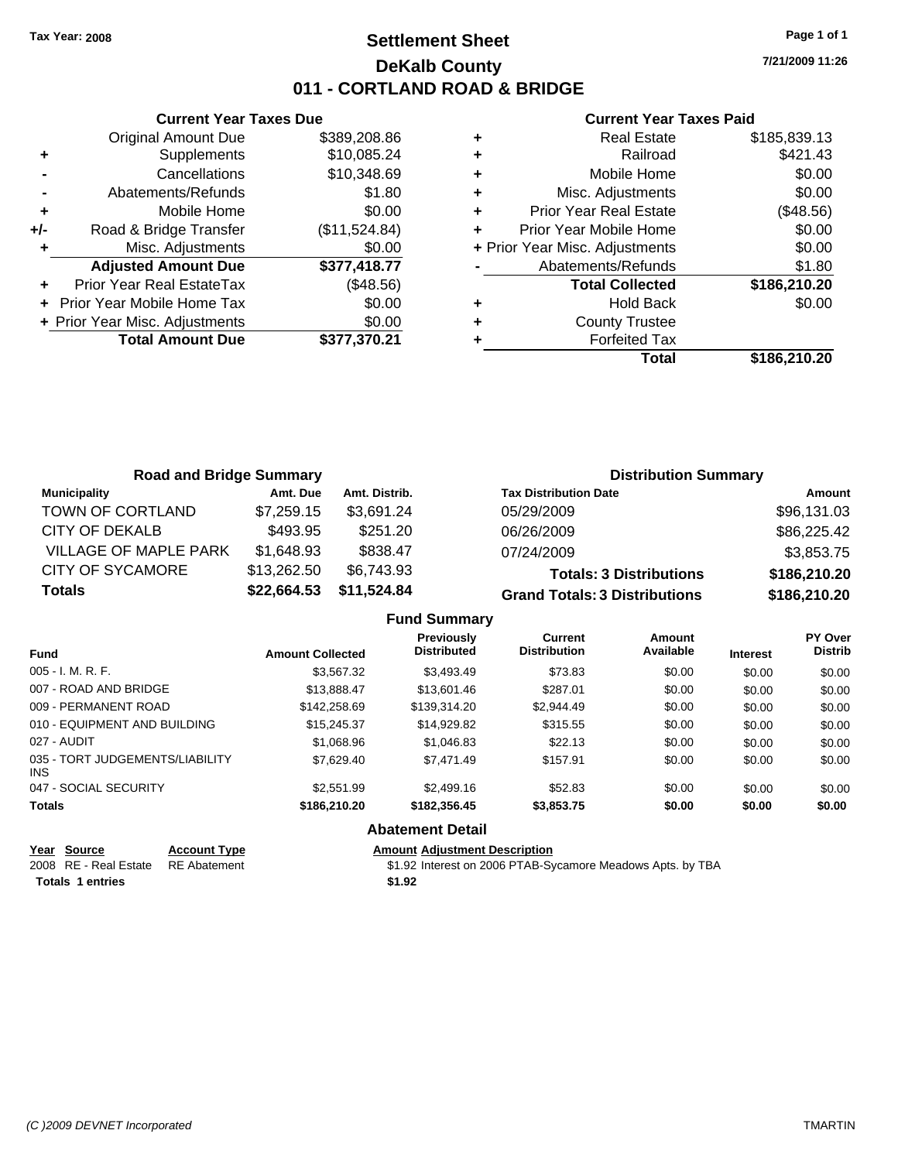### **Settlement Sheet Tax Year: 2008 Page 1 of 1 DeKalb County 011 - CORTLAND ROAD & BRIDGE**

**Current Year Taxes Due** Original Amount Due \$389,208.86 **+** Supplements \$10,085.24 **-** Cancellations \$10,348.69 **-** Abatements/Refunds \$1.80 **+** Mobile Home \$0.00 **+/-** Road & Bridge Transfer (\$11,524.84) **+** Misc. Adjustments \$0.00 **Adjusted Amount Due \$377,418.77 +** Prior Year Real EstateTax (\$48.56)

| <b>Total Amount Due</b>                                                                                                                                                                                                                                                                                                                                          | \$377,370.21 |
|------------------------------------------------------------------------------------------------------------------------------------------------------------------------------------------------------------------------------------------------------------------------------------------------------------------------------------------------------------------|--------------|
| + Prior Year Misc. Adjustments                                                                                                                                                                                                                                                                                                                                   | \$0.00       |
| + Prior Year Mobile Home Tax                                                                                                                                                                                                                                                                                                                                     | \$0.00       |
| $\ddagger$ $\ddagger$ $\phantom{a}$ $\ddagger$ $\phantom{a}$ $\phantom{a}$ $\phantom{a}$ $\phantom{a}$ $\phantom{a}$ $\phantom{a}$ $\phantom{a}$ $\phantom{a}$ $\phantom{a}$ $\phantom{a}$ $\phantom{a}$ $\phantom{a}$ $\phantom{a}$ $\phantom{a}$ $\phantom{a}$ $\phantom{a}$ $\phantom{a}$ $\phantom{a}$ $\phantom{a}$ $\phantom{a}$ $\phantom{a}$ $\phantom{$ | 1440.001     |

#### **Current Year Taxes Paid**

|   | <b>Real Estate</b>             | \$185,839.13 |
|---|--------------------------------|--------------|
| ٠ | Railroad                       | \$421.43     |
| ٠ | Mobile Home                    | \$0.00       |
| ٠ | Misc. Adjustments              | \$0.00       |
| ٠ | <b>Prior Year Real Estate</b>  | (\$48.56)    |
|   | Prior Year Mobile Home         | \$0.00       |
|   | + Prior Year Misc. Adjustments | \$0.00       |
|   | Abatements/Refunds             | \$1.80       |
|   | <b>Total Collected</b>         | \$186,210.20 |
| ٠ | <b>Hold Back</b>               | \$0.00       |
|   | <b>County Trustee</b>          |              |
|   | <b>Forfeited Tax</b>           |              |
|   | Total                          | \$186,210.20 |
|   |                                |              |

| <b>Road and Bridge Summary</b> |             |               | <b>Distribution Summary</b>          |              |
|--------------------------------|-------------|---------------|--------------------------------------|--------------|
| <b>Municipality</b>            | Amt. Due    | Amt. Distrib. | <b>Tax Distribution Date</b>         | Amount       |
| TOWN OF CORTLAND               | \$7,259.15  | \$3,691.24    | 05/29/2009                           | \$96,131.03  |
| CITY OF DEKALB                 | \$493.95    | \$251.20      | 06/26/2009                           | \$86,225.42  |
| <b>VILLAGE OF MAPLE PARK</b>   | \$1,648.93  | \$838.47      | 07/24/2009                           | \$3,853.75   |
| <b>CITY OF SYCAMORE</b>        | \$13,262.50 | \$6,743.93    | <b>Totals: 3 Distributions</b>       | \$186,210.20 |
| <b>Totals</b>                  | \$22,664.53 | \$11,524.84   | <b>Grand Totals: 3 Distributions</b> | \$186,210.20 |

|  | <b>Fund Summary</b> |
|--|---------------------|
|--|---------------------|

| <b>Fund</b>                             | <b>Amount Collected</b> | <b>Previously</b><br><b>Distributed</b> | Current<br><b>Distribution</b> | Amount<br>Available | <b>Interest</b> | PY Over<br><b>Distrib</b> |
|-----------------------------------------|-------------------------|-----------------------------------------|--------------------------------|---------------------|-----------------|---------------------------|
| $005 - I. M. R. F.$                     | \$3,567.32              | \$3,493.49                              | \$73.83                        | \$0.00              | \$0.00          | \$0.00                    |
| 007 - ROAD AND BRIDGE                   | \$13,888,47             | \$13,601.46                             | \$287.01                       | \$0.00              | \$0.00          | \$0.00                    |
| 009 - PERMANENT ROAD                    | \$142,258.69            | \$139,314.20                            | \$2,944.49                     | \$0.00              | \$0.00          | \$0.00                    |
| 010 - EQUIPMENT AND BUILDING            | \$15,245.37             | \$14.929.82                             | \$315.55                       | \$0.00              | \$0.00          | \$0.00                    |
| 027 - AUDIT                             | \$1,068.96              | \$1.046.83                              | \$22.13                        | \$0.00              | \$0.00          | \$0.00                    |
| 035 - TORT JUDGEMENTS/LIABILITY<br>INS. | \$7,629.40              | \$7.471.49                              | \$157.91                       | \$0.00              | \$0.00          | \$0.00                    |
| 047 - SOCIAL SECURITY                   | \$2,551.99              | \$2,499.16                              | \$52.83                        | \$0.00              | \$0.00          | \$0.00                    |
| <b>Totals</b>                           | \$186,210,20            | \$182,356,45                            | \$3,853.75                     | \$0.00              | \$0.00          | \$0.00                    |
|                                         |                         | <b>Abatement Detail</b>                 |                                |                     |                 |                           |

| Year Source                         | <b>Account Type</b> | Amount |
|-------------------------------------|---------------------|--------|
| 2008 RE - Real Estate  RE Abatement |                     | \$1.92 |
| <b>Totals 1 entries</b>             |                     | \$1.92 |

**Amount Adjustment Description** 

\$1.92 Interest on 2006 PTAB-Sycamore Meadows Apts. by TBA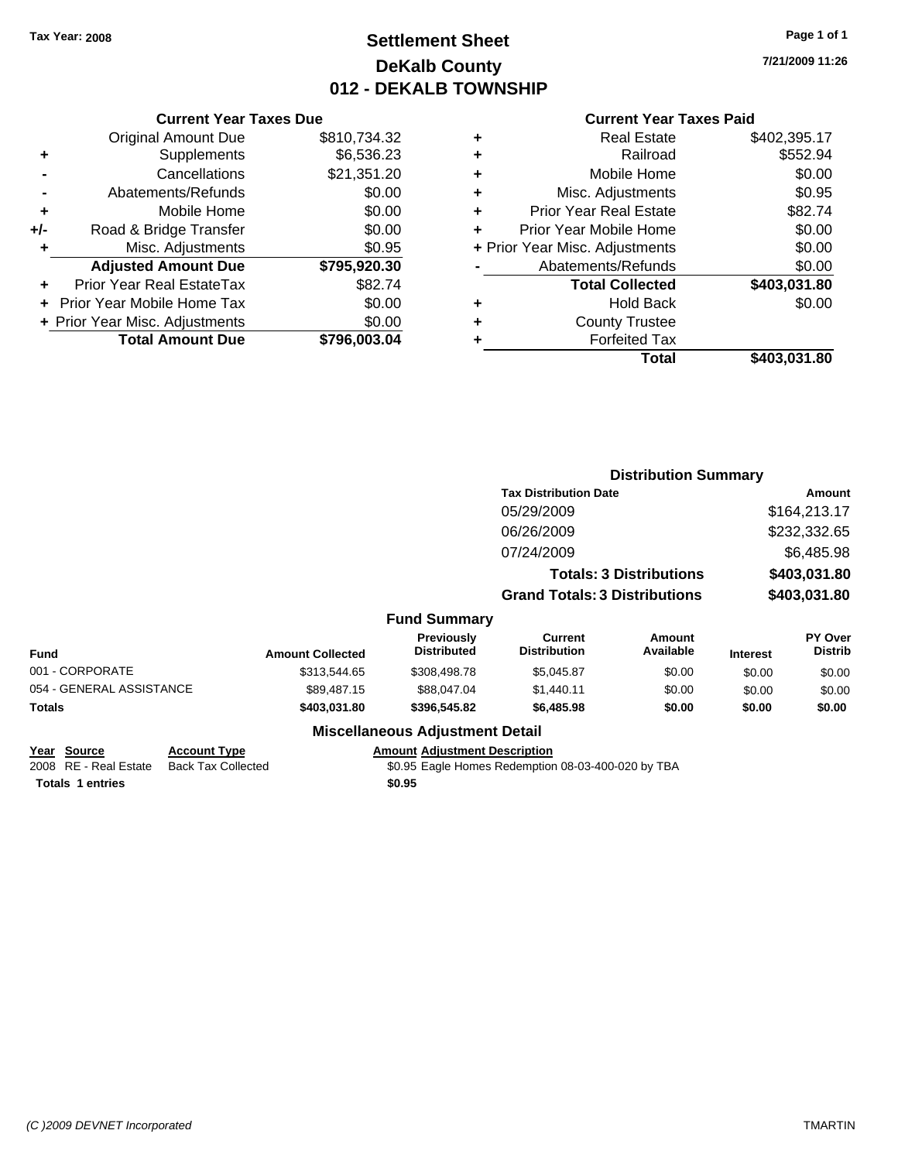### **Settlement Sheet Tax Year: 2008 Page 1 of 1 DeKalb County 012 - DEKALB TOWNSHIP**

**7/21/2009 11:26**

### **Current Year Taxes Paid**

|       | <b>Current Year Taxes Due</b>  |              |  |  |  |
|-------|--------------------------------|--------------|--|--|--|
|       | <b>Original Amount Due</b>     | \$810,734.32 |  |  |  |
| ٠     | Supplements                    | \$6,536.23   |  |  |  |
|       | Cancellations                  | \$21,351.20  |  |  |  |
|       | Abatements/Refunds             | \$0.00       |  |  |  |
| ٠     | Mobile Home                    | \$0.00       |  |  |  |
| $+/-$ | Road & Bridge Transfer         | \$0.00       |  |  |  |
|       | Misc. Adjustments              | \$0.95       |  |  |  |
|       | <b>Adjusted Amount Due</b>     | \$795,920.30 |  |  |  |
|       | Prior Year Real EstateTax      | \$82.74      |  |  |  |
|       | Prior Year Mobile Home Tax     | \$0.00       |  |  |  |
|       | + Prior Year Misc. Adjustments | \$0.00       |  |  |  |
|       | <b>Total Amount Due</b>        | \$796,003.04 |  |  |  |
|       |                                |              |  |  |  |

|   | <b>Real Estate</b>             | \$402,395.17 |
|---|--------------------------------|--------------|
| ٠ | Railroad                       | \$552.94     |
| ٠ | Mobile Home                    | \$0.00       |
| ٠ | Misc. Adjustments              | \$0.95       |
| ٠ | <b>Prior Year Real Estate</b>  | \$82.74      |
|   | Prior Year Mobile Home         | \$0.00       |
|   | + Prior Year Misc. Adjustments | \$0.00       |
|   | Abatements/Refunds             | \$0.00       |
|   | <b>Total Collected</b>         | \$403,031.80 |
| ٠ | <b>Hold Back</b>               | \$0.00       |
| ٠ | <b>County Trustee</b>          |              |
| ٠ | <b>Forfeited Tax</b>           |              |
|   | Total                          | \$403,031.80 |
|   |                                |              |

|                          |                         |                                  |                                      | <b>Distribution Summary</b>    |                 |                           |
|--------------------------|-------------------------|----------------------------------|--------------------------------------|--------------------------------|-----------------|---------------------------|
|                          |                         |                                  | <b>Tax Distribution Date</b>         |                                |                 | Amount                    |
|                          |                         |                                  | 05/29/2009                           |                                |                 | \$164,213.17              |
|                          |                         |                                  | 06/26/2009                           |                                |                 | \$232,332.65              |
|                          |                         |                                  | 07/24/2009                           |                                |                 | \$6,485.98                |
|                          |                         |                                  |                                      | <b>Totals: 3 Distributions</b> |                 | \$403,031.80              |
|                          |                         |                                  | <b>Grand Totals: 3 Distributions</b> |                                | \$403,031.80    |                           |
|                          |                         | <b>Fund Summary</b>              |                                      |                                |                 |                           |
| <b>Fund</b>              | <b>Amount Collected</b> | Previously<br><b>Distributed</b> | Current<br><b>Distribution</b>       | Amount<br>Available            | <b>Interest</b> | PY Over<br><b>Distrib</b> |
| 001 - CORPORATE          | \$313,544.65            | \$308,498.78                     | \$5,045.87                           | \$0.00                         | \$0.00          | \$0.00                    |
| 054 - GENERAL ASSISTANCE | \$89,487.15             | \$88,047.04                      | \$1,440.11                           | \$0.00                         | \$0.00          | \$0.00                    |
| Totals                   | \$403,031.80            | \$396,545.82                     | \$6,485.98                           | \$0.00                         | \$0.00          | \$0.00                    |
|                          |                         | Micoollangous Adjustment Detail  |                                      |                                |                 |                           |

#### **Miscellaneous Adjustment Detail**

**Year Source Account Type Amount Adjustment Description**

**Totals \$0.95 1 entries**

\$0.95 Eagle Homes Redemption 08-03-400-020 by TBA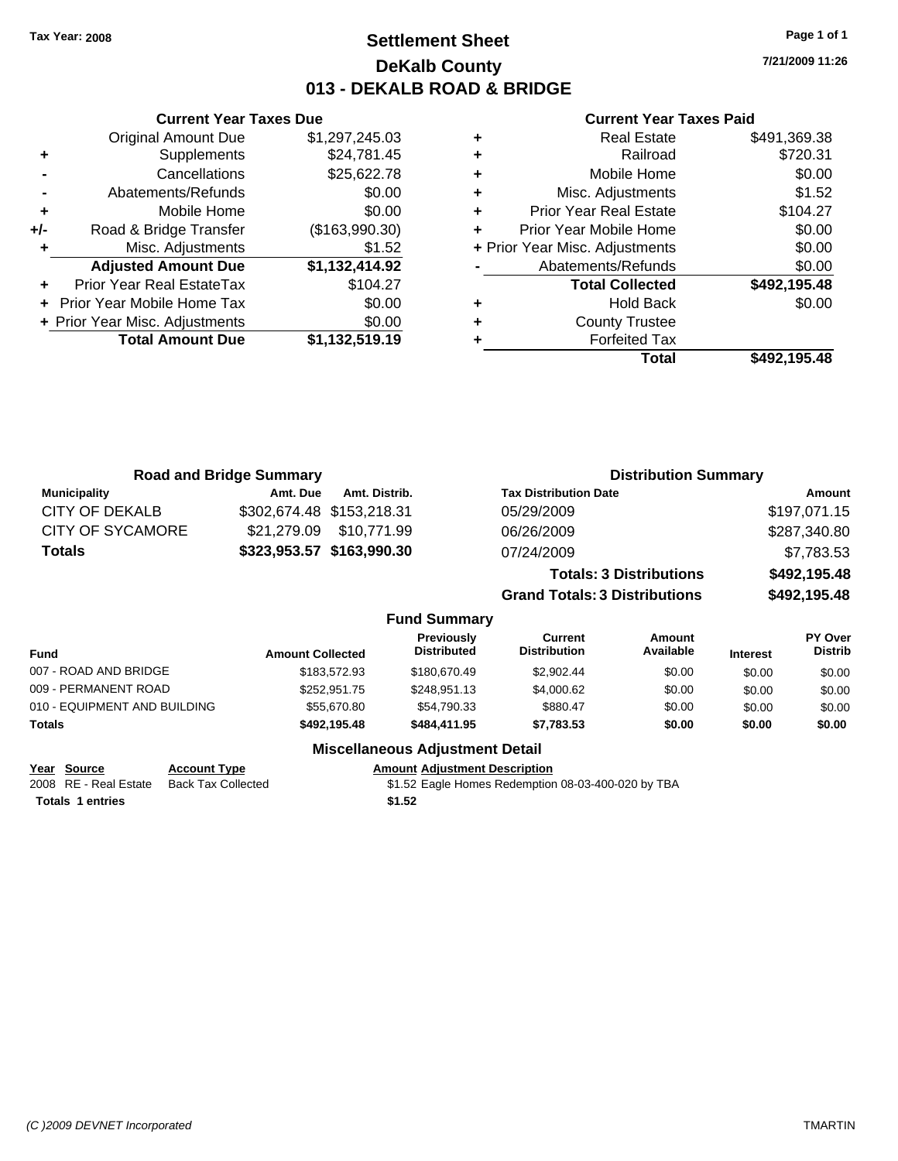### **Settlement Sheet Tax Year: 2008 Page 1 of 1 DeKalb County 013 - DEKALB ROAD & BRIDGE**

**7/21/2009 11:26**

#### **Current Year Taxes Paid**

|   | Total                          | \$492,195.48 |
|---|--------------------------------|--------------|
| ٠ | <b>Forfeited Tax</b>           |              |
| ٠ | <b>County Trustee</b>          |              |
| ٠ | <b>Hold Back</b>               | \$0.00       |
|   | <b>Total Collected</b>         | \$492,195.48 |
|   | Abatements/Refunds             | \$0.00       |
|   | + Prior Year Misc. Adjustments | \$0.00       |
| ÷ | Prior Year Mobile Home         | \$0.00       |
| ٠ | <b>Prior Year Real Estate</b>  | \$104.27     |
| ÷ | Misc. Adjustments              | \$1.52       |
| ÷ | Mobile Home                    | \$0.00       |
| ÷ | Railroad                       | \$720.31     |
| ÷ | <b>Real Estate</b>             | \$491,369.38 |

| <b>Road and Bridge Summary</b> |                           |               |                                         | <b>Distribution Summary</b>          |                                |                 |                                  |
|--------------------------------|---------------------------|---------------|-----------------------------------------|--------------------------------------|--------------------------------|-----------------|----------------------------------|
| <b>Municipality</b>            | Amt. Due                  | Amt. Distrib. |                                         | <b>Tax Distribution Date</b>         |                                |                 | Amount                           |
| CITY OF DEKALB                 | \$302,674.48 \$153,218.31 |               |                                         | 05/29/2009                           |                                |                 | \$197,071.15                     |
| <b>CITY OF SYCAMORE</b>        | \$21,279.09               | \$10.771.99   |                                         | 06/26/2009                           |                                |                 | \$287,340.80                     |
| <b>Totals</b>                  | \$323,953.57 \$163,990.30 |               |                                         | 07/24/2009                           |                                |                 | \$7,783.53                       |
|                                |                           |               |                                         |                                      | <b>Totals: 3 Distributions</b> |                 | \$492,195.48                     |
|                                |                           |               |                                         | <b>Grand Totals: 3 Distributions</b> |                                |                 | \$492,195.48                     |
|                                |                           |               | <b>Fund Summary</b>                     |                                      |                                |                 |                                  |
| <b>Fund</b>                    | <b>Amount Collected</b>   |               | <b>Previously</b><br><b>Distributed</b> | Current<br><b>Distribution</b>       | Amount<br>Available            | <b>Interest</b> | <b>PY Over</b><br><b>Distrib</b> |
| 007 - ROAD AND BRIDGE          |                           | \$183,572.93  | \$180,670.49                            | \$2,902.44                           | \$0.00                         | \$0.00          | \$0.00                           |
| 009 - PERMANENT ROAD           |                           | \$252,951.75  | \$248,951.13                            | \$4,000.62                           | \$0.00                         | \$0.00          | \$0.00                           |
| 010 - EQUIPMENT AND BUILDING   |                           | \$55,670.80   | \$54,790.33                             | \$880.47                             | \$0.00                         | \$0.00          | \$0.00                           |
| Totals                         |                           | \$492,195.48  | \$484,411.95                            | \$7,783.53                           | \$0.00                         | \$0.00          | \$0.00                           |
|                                |                           |               |                                         |                                      |                                |                 |                                  |

### **Miscellaneous Adjustment Detail**

**Year Source Account Type Amount Adjustment Description** 2008 RE - Real Estate Back Tax Collected **61.52** Eagle Homes Redemption 08-03-400-020 by TBA Totals 1 entries \$1.52

**Current Year Taxes Due** Original Amount Due \$1,297,245.03

**Adjusted Amount Due \$1,132,414.92**

**Total Amount Due \$1,132,519.19**

**+** Supplements \$24,781.45 **-** Cancellations \$25,622.78 **-** Abatements/Refunds \$0.00 **+** Mobile Home \$0.00 **+/-** Road & Bridge Transfer (\$163,990.30) **+** Misc. Adjustments \$1.52

**+** Prior Year Real EstateTax \$104.27 **+** Prior Year Mobile Home Tax \$0.00 **+ Prior Year Misc. Adjustments**  $$0.00$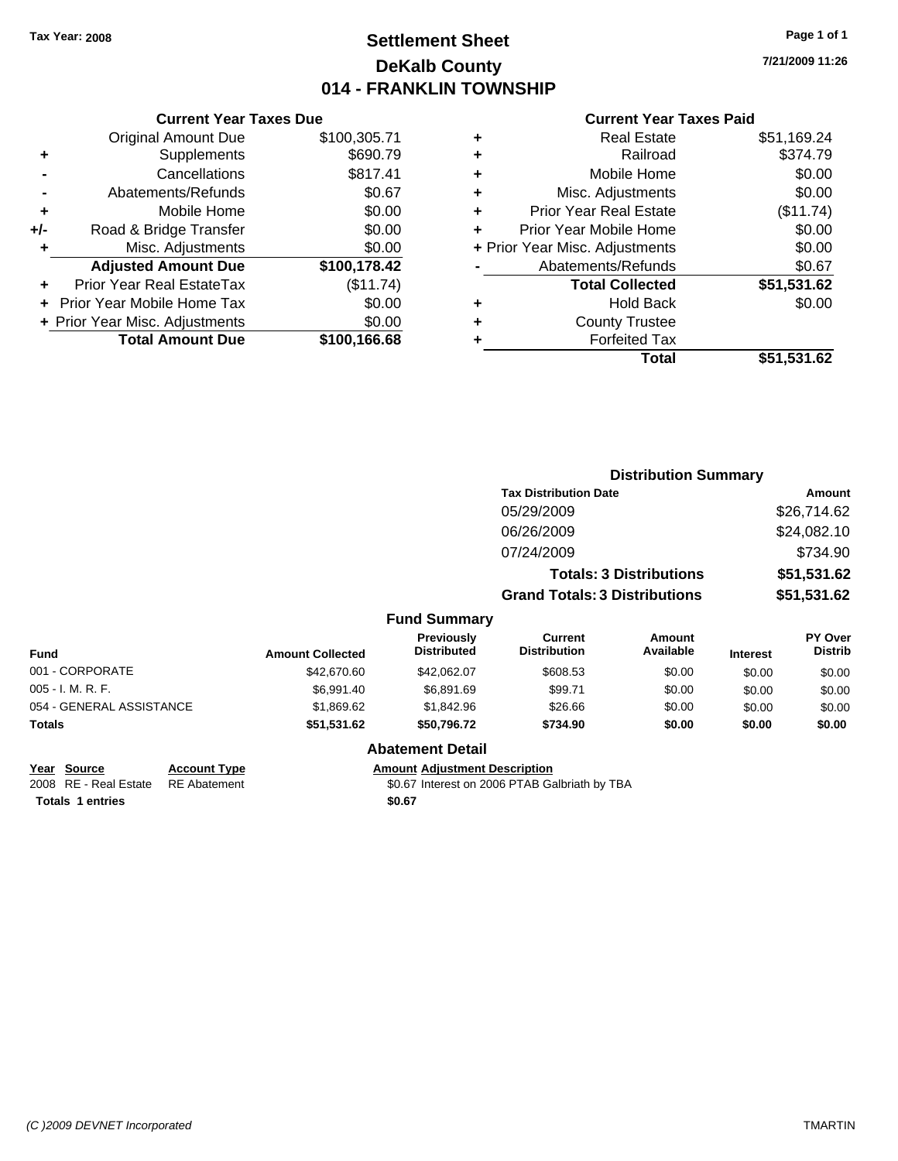### **Settlement Sheet Tax Year: 2008 Page 1 of 1 DeKalb County 014 - FRANKLIN TOWNSHIP**

**7/21/2009 11:26**

#### **Current Year Taxes Paid**

|     | <b>Current Year Taxes Due</b>  |              |
|-----|--------------------------------|--------------|
|     | <b>Original Amount Due</b>     | \$100,305.71 |
| ٠   | Supplements                    | \$690.79     |
|     | Cancellations                  | \$817.41     |
|     | Abatements/Refunds             | \$0.67       |
| ٠   | Mobile Home                    | \$0.00       |
| +/- | Road & Bridge Transfer         | \$0.00       |
|     | Misc. Adjustments              | \$0.00       |
|     | <b>Adjusted Amount Due</b>     | \$100,178.42 |
| ٠   | Prior Year Real EstateTax      | (\$11.74)    |
|     | Prior Year Mobile Home Tax     | \$0.00       |
|     | + Prior Year Misc. Adjustments | \$0.00       |
|     | <b>Total Amount Due</b>        | \$100,166.68 |
|     |                                |              |

| ٠ | <b>Real Estate</b>             | \$51,169.24 |
|---|--------------------------------|-------------|
| ٠ | Railroad                       | \$374.79    |
| ٠ | Mobile Home                    | \$0.00      |
| ٠ | Misc. Adjustments              | \$0.00      |
| ÷ | <b>Prior Year Real Estate</b>  | (\$11.74)   |
| ÷ | Prior Year Mobile Home         | \$0.00      |
|   | + Prior Year Misc. Adjustments | \$0.00      |
|   | Abatements/Refunds             | \$0.67      |
|   | <b>Total Collected</b>         | \$51,531.62 |
| ٠ | <b>Hold Back</b>               | \$0.00      |
| ٠ | <b>County Trustee</b>          |             |
| ٠ | <b>Forfeited Tax</b>           |             |
|   | Total                          | \$51,531.62 |

|                          |                         |                                  | <b>Distribution Summary</b>           |                                |                 |                                  |
|--------------------------|-------------------------|----------------------------------|---------------------------------------|--------------------------------|-----------------|----------------------------------|
|                          |                         |                                  | <b>Tax Distribution Date</b>          |                                |                 | <b>Amount</b>                    |
|                          |                         |                                  | 05/29/2009                            |                                |                 | \$26,714.62                      |
|                          |                         |                                  | 06/26/2009                            |                                |                 | \$24,082.10                      |
|                          |                         |                                  | 07/24/2009                            |                                |                 | \$734.90                         |
|                          |                         |                                  |                                       | <b>Totals: 3 Distributions</b> |                 | \$51,531.62                      |
|                          |                         |                                  | <b>Grand Totals: 3 Distributions</b>  |                                |                 | \$51,531.62                      |
|                          |                         | <b>Fund Summary</b>              |                                       |                                |                 |                                  |
| Fund                     | <b>Amount Collected</b> | Previously<br><b>Distributed</b> | <b>Current</b><br><b>Distribution</b> | Amount<br>Available            | <b>Interest</b> | <b>PY Over</b><br><b>Distrib</b> |
| 001 - CORPORATE          | \$42,670.60             | \$42,062.07                      | \$608.53                              | \$0.00                         | \$0.00          | \$0.00                           |
| 005 - I. M. R. F.        | \$6,991.40              | \$6,891.69                       | \$99.71                               | \$0.00                         | \$0.00          | \$0.00                           |
| 054 - GENERAL ASSISTANCE | \$1,869.62              | \$1,842.96                       | \$26.66                               | \$0.00                         | \$0.00          | \$0.00                           |
| Totals                   | \$51,531.62             | \$50,796.72                      | \$734.90                              | \$0.00                         | \$0.00          | \$0.00                           |
|                          |                         | Alexandria Detail                |                                       |                                |                 |                                  |

**Year Source Account Type**<br>
2008 RE - Real Estate RE Abatement **Adjustment Adjustment Description**<br>
\$0.67 Interest on 2006 PTAB Ga

**Abatement Detail**

\$0.67 Interest on 2006 PTAB Galbriath by TBA **Totals 1 entries** \$0.67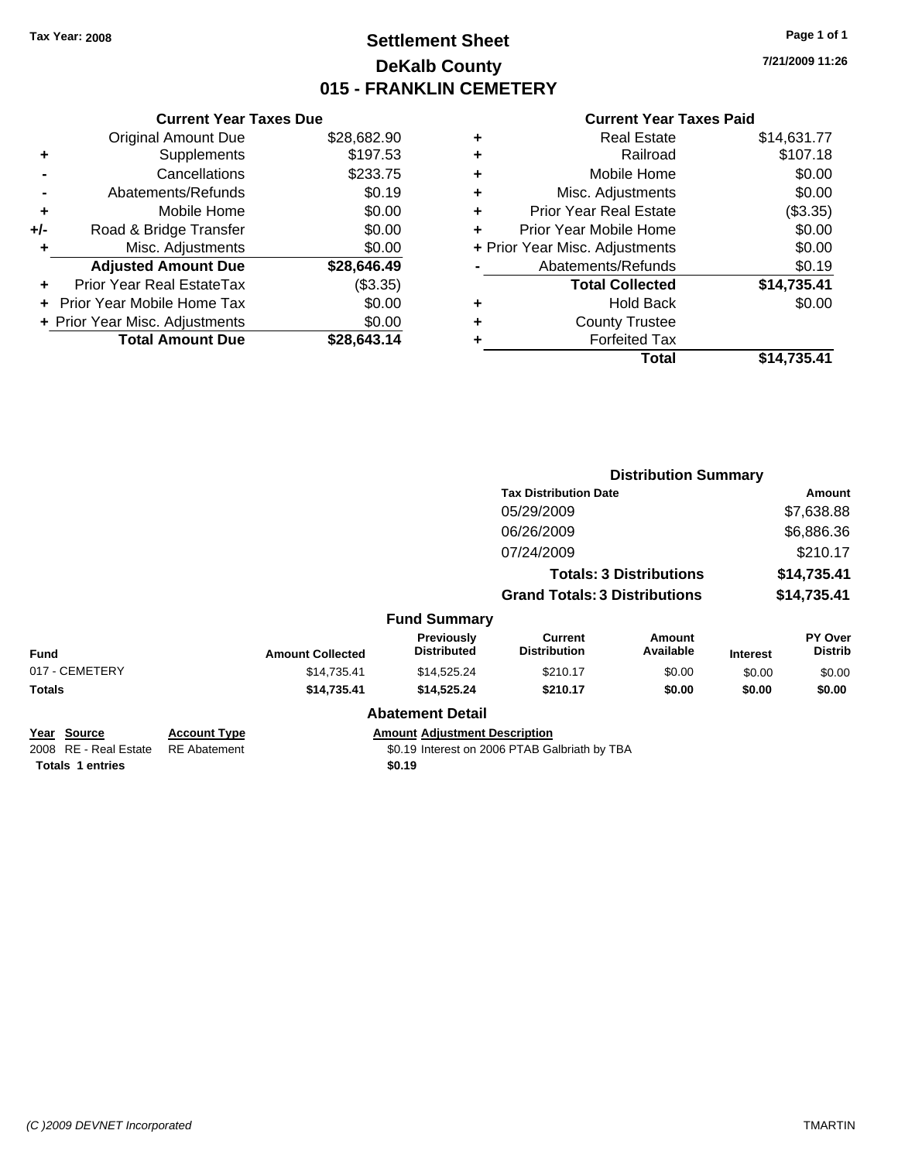### **Settlement Sheet Tax Year: 2008 Page 1 of 1 DeKalb County 015 - FRANKLIN CEMETERY**

**7/21/2009 11:26**

|     | <b>Current Year Taxes Due</b>    |             |
|-----|----------------------------------|-------------|
|     | <b>Original Amount Due</b>       | \$28,682.90 |
| ٠   | Supplements                      | \$197.53    |
|     | Cancellations                    | \$233.75    |
|     | Abatements/Refunds               | \$0.19      |
| ٠   | Mobile Home                      | \$0.00      |
| +/- | Road & Bridge Transfer           | \$0.00      |
| ٠   | Misc. Adjustments                | \$0.00      |
|     | <b>Adjusted Amount Due</b>       | \$28,646.49 |
| ÷   | <b>Prior Year Real EstateTax</b> | (\$3.35)    |
|     | Prior Year Mobile Home Tax       | \$0.00      |
|     | + Prior Year Misc. Adjustments   | \$0.00      |
|     | <b>Total Amount Due</b>          | \$28.643.14 |
|     |                                  |             |

| ٠ | <b>Real Estate</b>             | \$14,631.77 |
|---|--------------------------------|-------------|
| ٠ | Railroad                       | \$107.18    |
| ٠ | Mobile Home                    | \$0.00      |
| ٠ | Misc. Adjustments              | \$0.00      |
| ÷ | <b>Prior Year Real Estate</b>  | (\$3.35)    |
| ٠ | Prior Year Mobile Home         | \$0.00      |
|   | + Prior Year Misc. Adjustments | \$0.00      |
|   | Abatements/Refunds             | \$0.19      |
|   | <b>Total Collected</b>         | \$14,735.41 |
| ٠ | <b>Hold Back</b>               | \$0.00      |
| ٠ | <b>County Trustee</b>          |             |
| ٠ | <b>Forfeited Tax</b>           |             |
|   | <b>Total</b>                   | \$14,735.41 |
|   |                                |             |

|                                                                        |                                            |                         |                                                |                                               | <b>Distribution Summary</b>    |                 |                           |
|------------------------------------------------------------------------|--------------------------------------------|-------------------------|------------------------------------------------|-----------------------------------------------|--------------------------------|-----------------|---------------------------|
|                                                                        |                                            |                         |                                                | <b>Tax Distribution Date</b>                  |                                | Amount          |                           |
|                                                                        |                                            |                         |                                                | 05/29/2009                                    |                                |                 | \$7,638.88                |
|                                                                        |                                            |                         |                                                | 06/26/2009                                    |                                |                 | \$6,886.36                |
|                                                                        |                                            |                         |                                                | 07/24/2009                                    |                                |                 | \$210.17                  |
|                                                                        |                                            |                         |                                                |                                               | <b>Totals: 3 Distributions</b> |                 | \$14,735.41               |
|                                                                        |                                            |                         |                                                | <b>Grand Totals: 3 Distributions</b>          |                                |                 | \$14,735.41               |
|                                                                        |                                            |                         | <b>Fund Summary</b>                            |                                               |                                |                 |                           |
| Fund                                                                   |                                            | <b>Amount Collected</b> | <b>Previously</b><br><b>Distributed</b>        | <b>Current</b><br><b>Distribution</b>         | Amount<br>Available            | <b>Interest</b> | PY Over<br><b>Distrib</b> |
| 017 - CEMETERY                                                         |                                            | \$14,735.41             | \$14,525.24                                    | \$210.17                                      | \$0.00                         | \$0.00          | \$0.00                    |
| Totals                                                                 |                                            | \$14,735.41             | \$14,525.24                                    | \$210.17                                      | \$0.00                         | \$0.00          | \$0.00                    |
|                                                                        |                                            |                         | <b>Abatement Detail</b>                        |                                               |                                |                 |                           |
| <u>Year Source</u><br>2008 RE - Real Estate<br><b>Totals 1 entries</b> | <b>Account Type</b><br><b>RE</b> Abatement |                         | <b>Amount Adjustment Description</b><br>\$0.19 | \$0.19 Interest on 2006 PTAB Galbriath by TBA |                                |                 |                           |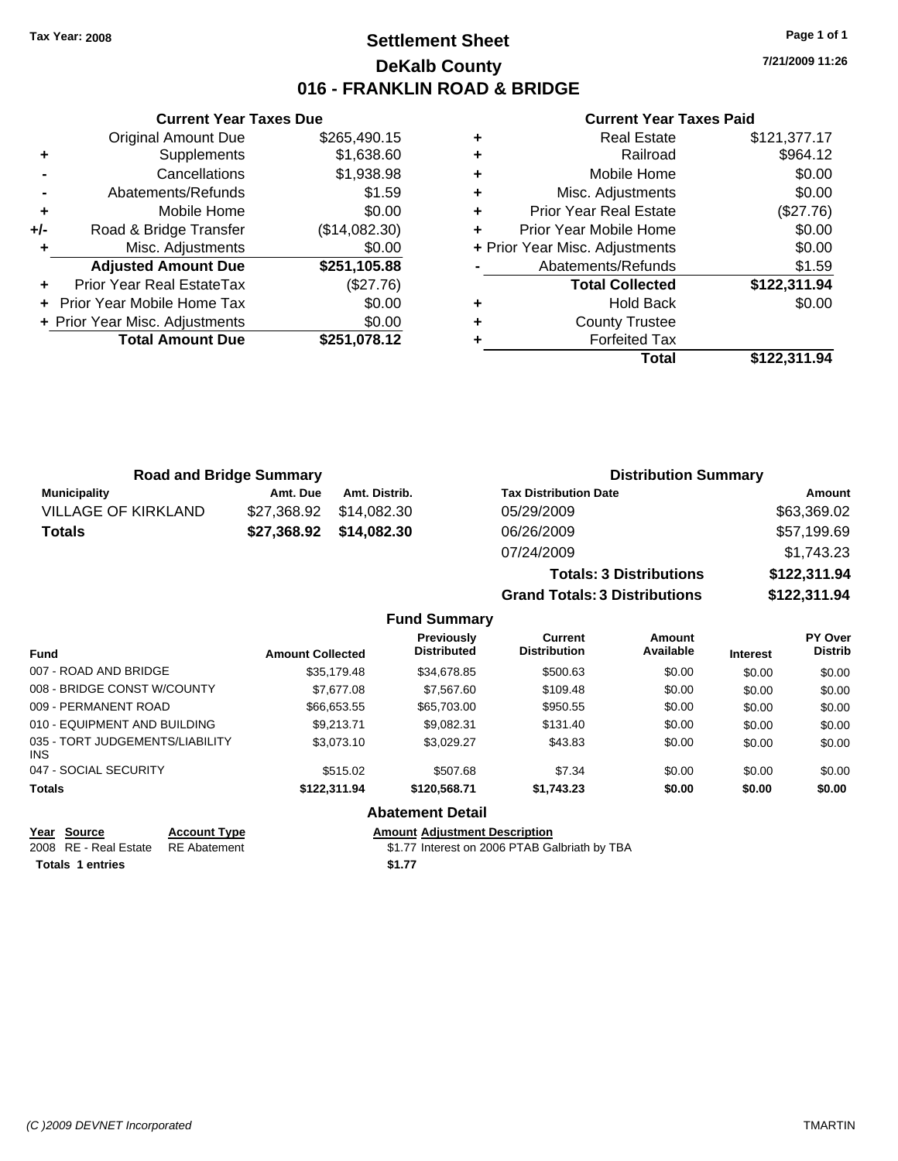### **Settlement Sheet Tax Year: 2008 Page 1 of 1 DeKalb County 016 - FRANKLIN ROAD & BRIDGE**

**7/21/2009 11:26**

#### **Current Year Taxes Paid**

|     | <b>Current Year Taxes Due</b>     |               |  |
|-----|-----------------------------------|---------------|--|
|     | <b>Original Amount Due</b>        | \$265,490.15  |  |
| ٠   | Supplements                       | \$1,638.60    |  |
|     | Cancellations                     | \$1,938.98    |  |
|     | Abatements/Refunds                | \$1.59        |  |
| ÷   | Mobile Home                       | \$0.00        |  |
| +/- | Road & Bridge Transfer            | (\$14,082.30) |  |
| ٠   | Misc. Adjustments                 | \$0.00        |  |
|     | <b>Adjusted Amount Due</b>        | \$251,105.88  |  |
|     | Prior Year Real EstateTax         | (\$27.76)     |  |
|     | <b>Prior Year Mobile Home Tax</b> | \$0.00        |  |
|     | + Prior Year Misc. Adjustments    | \$0.00        |  |
|     | <b>Total Amount Due</b>           | \$251,078.12  |  |
|     |                                   |               |  |

| ٠ | <b>Real Estate</b>             | \$121,377.17 |
|---|--------------------------------|--------------|
| ٠ | Railroad                       | \$964.12     |
| ٠ | Mobile Home                    | \$0.00       |
| ٠ | Misc. Adjustments              | \$0.00       |
| ٠ | <b>Prior Year Real Estate</b>  | (\$27.76)    |
| ٠ | Prior Year Mobile Home         | \$0.00       |
|   | + Prior Year Misc. Adjustments | \$0.00       |
|   | Abatements/Refunds             | \$1.59       |
|   | <b>Total Collected</b>         | \$122,311.94 |
| ٠ | <b>Hold Back</b>               | \$0.00       |
| ٠ | <b>County Trustee</b>          |              |
|   | <b>Forfeited Tax</b>           |              |
|   | Total                          | \$122.311.94 |

| <b>Road and Bridge Summary</b> |          |                         | <b>Distribution Summary</b>    |              |  |
|--------------------------------|----------|-------------------------|--------------------------------|--------------|--|
| <b>Municipality</b>            | Amt. Due | Amt. Distrib.           | <b>Tax Distribution Date</b>   | Amount       |  |
| <b>VILLAGE OF KIRKLAND</b>     |          | \$27.368.92 \$14.082.30 | 05/29/2009                     | \$63,369.02  |  |
| <b>Totals</b>                  |          |                         | 06/26/2009                     | \$57,199.69  |  |
|                                |          |                         | 07/24/2009                     | \$1,743.23   |  |
|                                |          |                         | <b>Totals: 3 Distributions</b> | \$122,311.94 |  |

**Grand Totals: 3 Distributions \$122,311.94**

|  |  | <b>Fund Summary</b> |
|--|--|---------------------|
|--|--|---------------------|

| <b>Fund</b>                                   | <b>Amount Collected</b> | <b>Previously</b><br><b>Distributed</b> | Current<br><b>Distribution</b> | Amount<br>Available | <b>Interest</b> | <b>PY Over</b><br><b>Distrib</b> |
|-----------------------------------------------|-------------------------|-----------------------------------------|--------------------------------|---------------------|-----------------|----------------------------------|
| 007 - ROAD AND BRIDGE                         | \$35,179.48             | \$34,678.85                             | \$500.63                       | \$0.00              | \$0.00          | \$0.00                           |
| 008 - BRIDGE CONST W/COUNTY                   | \$7,677.08              | \$7,567.60                              | \$109.48                       | \$0.00              | \$0.00          | \$0.00                           |
| 009 - PERMANENT ROAD                          | \$66,653.55             | \$65,703.00                             | \$950.55                       | \$0.00              | \$0.00          | \$0.00                           |
| 010 - EQUIPMENT AND BUILDING                  | \$9.213.71              | \$9.082.31                              | \$131.40                       | \$0.00              | \$0.00          | \$0.00                           |
| 035 - TORT JUDGEMENTS/LIABILITY<br><b>INS</b> | \$3,073.10              | \$3.029.27                              | \$43.83                        | \$0.00              | \$0.00          | \$0.00                           |
| 047 - SOCIAL SECURITY                         | \$515.02                | \$507.68                                | \$7.34                         | \$0.00              | \$0.00          | \$0.00                           |
| <b>Totals</b>                                 | \$122,311,94            | \$120,568.71                            | \$1,743.23                     | \$0.00              | \$0.00          | \$0.00                           |
|                                               |                         |                                         |                                |                     |                 |                                  |

**Abatement Detail**

**Year Source Account Type Amount Adjustment Description**

2008 RE - Real Estate \$1.77 Interest on 2006 PTAB Galbriath by TBA RE Abatement **Totals 1 entries** \$1.77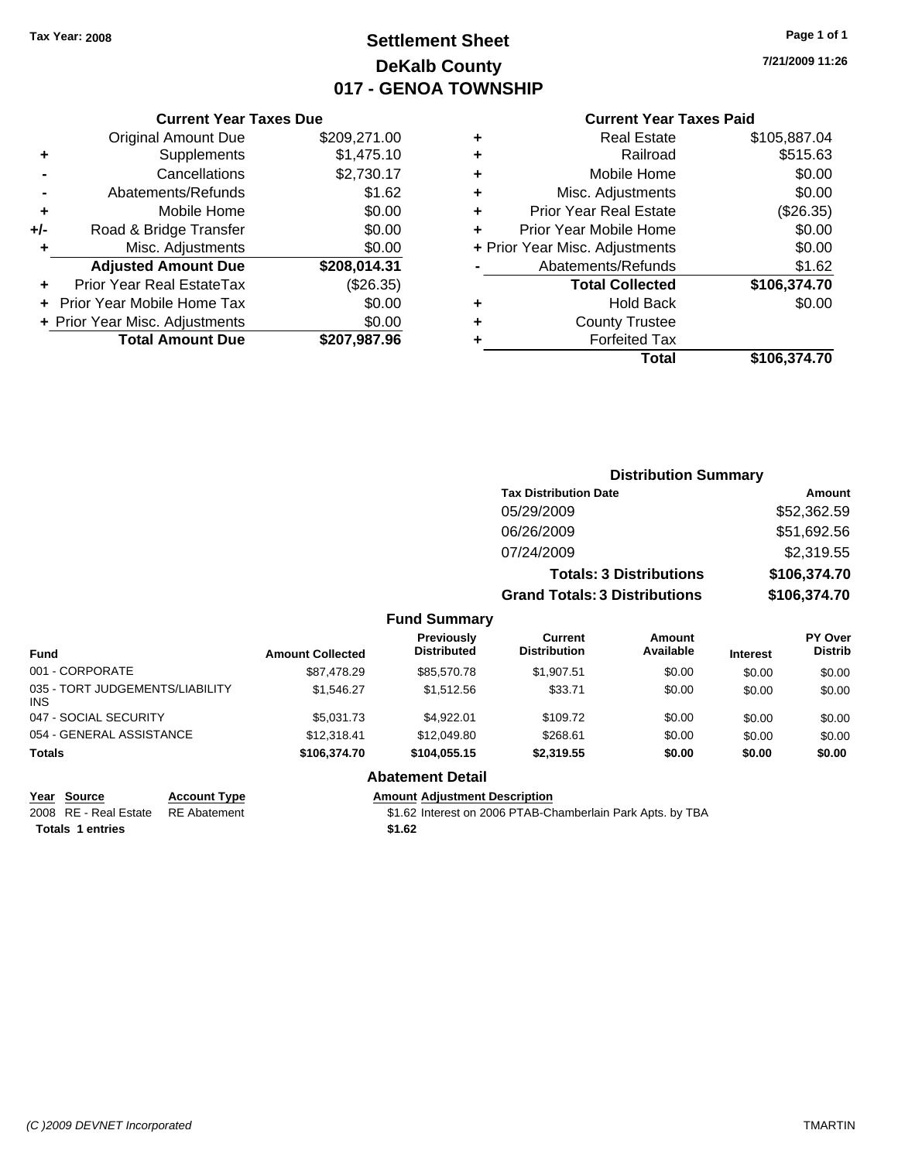## **Settlement Sheet Tax Year: 2008 Page 1 of 1 DeKalb County 017 - GENOA TOWNSHIP**

**7/21/2009 11:26**

### **Current Year Taxes Paid**

### Original Amount Due \$209,271.00 **+** Supplements \$1,475.10 **-** Cancellations \$2,730.17 **-** Abatements/Refunds \$1.62 **+** Mobile Home \$0.00 **+/-** Road & Bridge Transfer \$0.00 **+** Misc. Adjustments \$0.00 **Adjusted Amount Due \$208,014.31 +** Prior Year Real EstateTax (\$26.35) **+** Prior Year Mobile Home Tax \$0.00 **+ Prior Year Misc. Adjustments**  $$0.00$

**Total Amount Due \$207,987.96**

**Current Year Taxes Due**

|                |                                      | <b>Distribution Summary</b>    |              |
|----------------|--------------------------------------|--------------------------------|--------------|
|                | <b>Tax Distribution Date</b>         |                                | Amount       |
|                | 05/29/2009                           |                                | \$52,362.59  |
|                | 06/26/2009                           |                                | \$51,692.56  |
|                | 07/24/2009                           |                                | \$2,319.55   |
|                |                                      | <b>Totals: 3 Distributions</b> | \$106,374.70 |
|                | <b>Grand Totals: 3 Distributions</b> |                                | \$106,374.70 |
| <b>Summary</b> |                                      |                                |              |
| .              | $\mathcal{L}$                        | $A = 1$                        | <b>DV 0</b>  |

| <b>Fund</b>                                   | <b>Amount Collected</b> | Previously<br><b>Distributed</b> | Current<br><b>Distribution</b> | Amount<br>Available | <b>Interest</b> | <b>PY Over</b><br><b>Distrib</b> |
|-----------------------------------------------|-------------------------|----------------------------------|--------------------------------|---------------------|-----------------|----------------------------------|
| 001 - CORPORATE                               | \$87,478.29             | \$85,570.78                      | \$1,907.51                     | \$0.00              | \$0.00          | \$0.00                           |
| 035 - TORT JUDGEMENTS/LIABILITY<br><b>INS</b> | \$1,546,27              | \$1,512.56                       | \$33.71                        | \$0.00              | \$0.00          | \$0.00                           |
| 047 - SOCIAL SECURITY                         | \$5,031.73              | \$4.922.01                       | \$109.72                       | \$0.00              | \$0.00          | \$0.00                           |
| 054 - GENERAL ASSISTANCE                      | \$12,318.41             | \$12,049.80                      | \$268.61                       | \$0.00              | \$0.00          | \$0.00                           |
| <b>Totals</b>                                 | \$106.374.70            | \$104.055.15                     | \$2,319.55                     | \$0.00              | \$0.00          | \$0.00                           |
|                                               |                         | <b>Abatement Detail</b>          |                                |                     |                 |                                  |

**Fund** 

Totals 1 entries \$1.62

### **Year Source Account Type Amount Adjustment Description**

2008 RE - Real Estate RE Abatement S1.62 Interest on 2006 PTAB-Chamberlain Park Apts. by TBA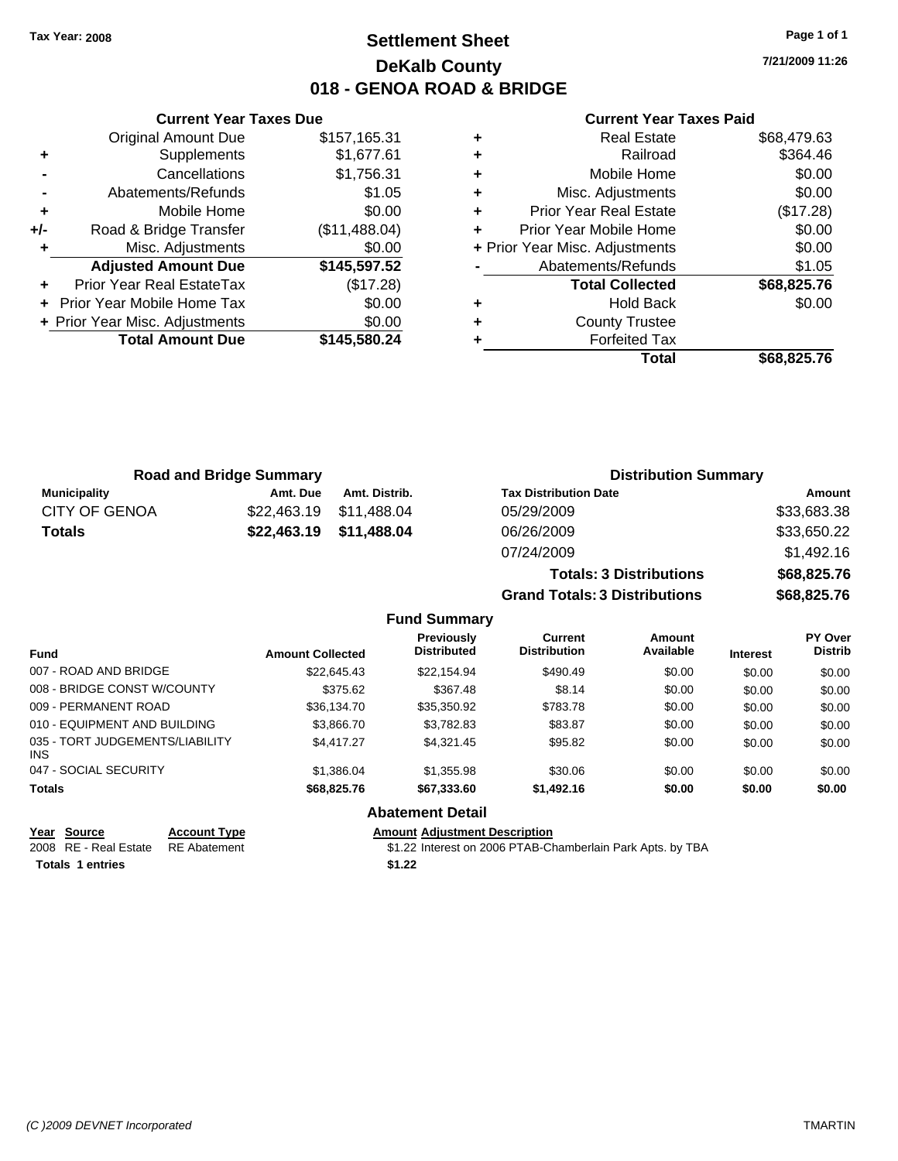### **Settlement Sheet Tax Year: 2008 Page 1 of 1 DeKalb County 018 - GENOA ROAD & BRIDGE**

**7/21/2009 11:26**

#### **Current Year Taxes Paid**

|     | <b>Original Amount Due</b>     | \$157,165.31  |
|-----|--------------------------------|---------------|
| ٠   | Supplements                    | \$1,677.61    |
|     | Cancellations                  | \$1,756.31    |
|     | Abatements/Refunds             | \$1.05        |
| ÷   | Mobile Home                    | \$0.00        |
| +/- | Road & Bridge Transfer         | (\$11,488.04) |
| ٠   | Misc. Adjustments              | \$0.00        |
|     | <b>Adjusted Amount Due</b>     | \$145,597.52  |
|     | Prior Year Real EstateTax      | (\$17.28)     |
|     | Prior Year Mobile Home Tax     | \$0.00        |
|     | + Prior Year Misc. Adjustments | \$0.00        |
|     | <b>Total Amount Due</b>        | \$145,580.24  |
|     |                                |               |

**Current Year Taxes Due**

| Real Estate                   | \$68,479.63                    |
|-------------------------------|--------------------------------|
| Railroad                      | \$364.46                       |
| Mobile Home                   | \$0.00                         |
| Misc. Adjustments             | \$0.00                         |
| <b>Prior Year Real Estate</b> | (\$17.28)                      |
| Prior Year Mobile Home        | \$0.00                         |
|                               | \$0.00                         |
| Abatements/Refunds            | \$1.05                         |
| <b>Total Collected</b>        | \$68,825.76                    |
| Hold Back                     | \$0.00                         |
| <b>County Trustee</b>         |                                |
| <b>Forfeited Tax</b>          |                                |
| Total                         | \$68,825.76                    |
|                               | + Prior Year Misc. Adjustments |

**Grand Totals: 3 Distributions \$68,825.76**

|                      | <b>Road and Bridge Summary</b> |                         | <b>Distribution Summary</b>    |             |
|----------------------|--------------------------------|-------------------------|--------------------------------|-------------|
| <b>Municipality</b>  | Amt. Due                       | Amt. Distrib.           | <b>Tax Distribution Date</b>   | Amount      |
| <b>CITY OF GENOA</b> | \$22.463.19                    | \$11,488.04             | 05/29/2009                     | \$33,683.38 |
| Totals               |                                | \$22,463.19 \$11,488.04 | 06/26/2009                     | \$33,650.22 |
|                      |                                |                         | 07/24/2009                     | \$1,492.16  |
|                      |                                |                         | <b>Totals: 3 Distributions</b> | \$68,825.76 |

**Fund Summary Fund Interest Amount Collected Distributed PY Over Distrib Amount Available Current Distribution Previously** 007 - ROAD AND BRIDGE 60.00 \$22,645.43 \$22,645.43 \$22,154.94 \$490.49 \$0.00 \$0.00 \$0.00 \$0.00 008 - BRIDGE CONST W/COUNTY  $$375.62$   $$367.48$   $$8.14$   $$0.00$   $$0.00$   $$0.00$ 009 - PERMANENT ROAD \$36,134.70 \$35,350.92 \$783.78 \$0.00 \$0.00 \$0.00 010 - EQUIPMENT AND BUILDING \$3,866.70 \$3,782.83 \$83.87 \$0.00 \$0.00 \$0.00 \$0.00 035 - TORT JUDGEMENTS/LIABILITY INS \$4,417.27 \$4,321.45 \$95.82 \$0.00 \$0.00 \$0.00 047 - SOCIAL SECURITY \$1,386.04 \$1,355.98 \$0.00 \$0.00 \$0.00 \$0.00 **Totals \$68,825.76 \$67,333.60 \$1,492.16 \$0.00 \$0.00 \$0.00 Abatement Detail**

| Year Source             | <b>Account Type</b>                | Amount |
|-------------------------|------------------------------------|--------|
|                         | 2008 RE - Real Estate RE Abatement | \$1.22 |
| <b>Totals 1 entries</b> |                                    | \$1.22 |

**<u>Rount Adjustment Description</u>** \$1.22 Interest on 2006 PTAB-Chamberlain Park Apts. by TBA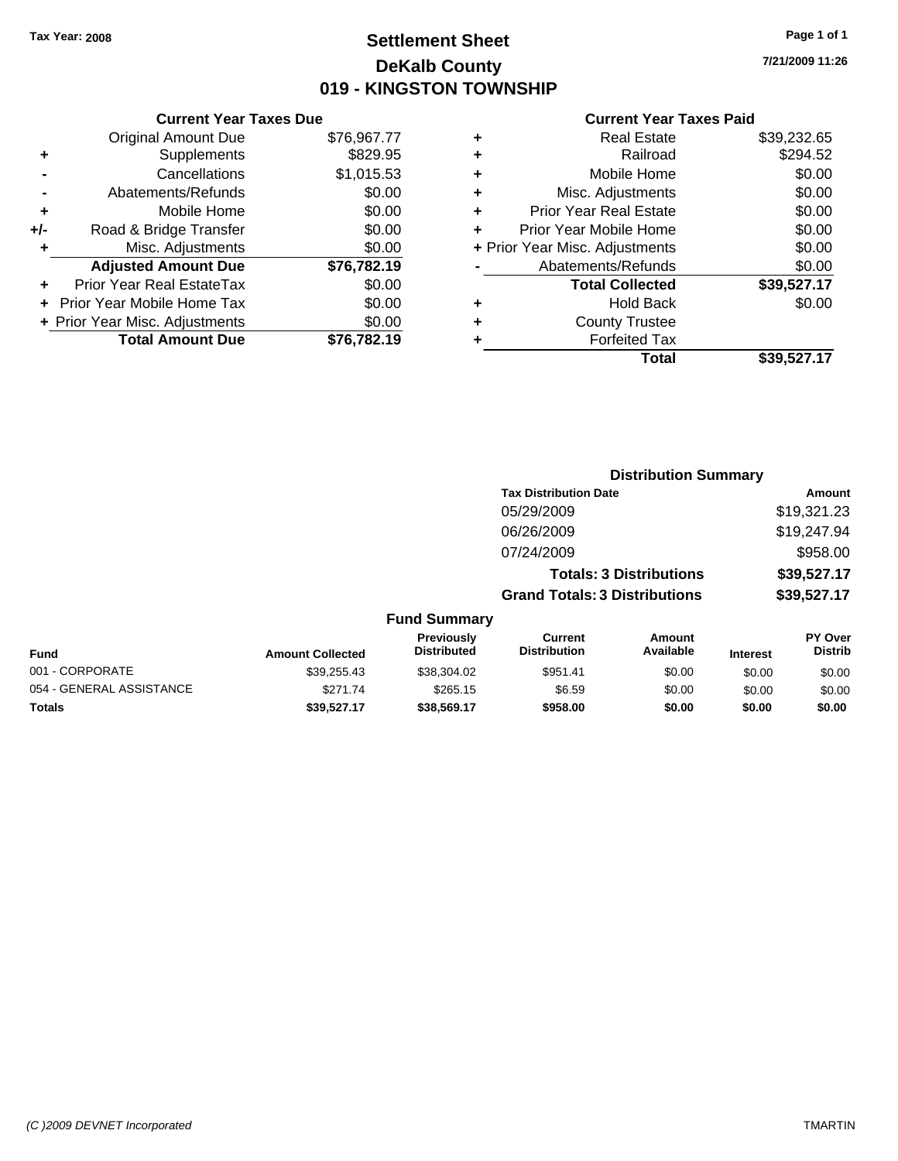### **Settlement Sheet Tax Year: 2008 Page 1 of 1 DeKalb County 019 - KINGSTON TOWNSHIP**

**7/21/2009 11:26**

| <b>Current Year Taxes Due</b> |  |  |  |  |  |
|-------------------------------|--|--|--|--|--|
| \$76,967.77                   |  |  |  |  |  |
| \$829.95                      |  |  |  |  |  |
| \$1,015.53                    |  |  |  |  |  |
| \$0.00                        |  |  |  |  |  |
| \$0.00                        |  |  |  |  |  |
| \$0.00                        |  |  |  |  |  |
| \$0.00                        |  |  |  |  |  |
| \$76,782.19                   |  |  |  |  |  |
| \$0.00                        |  |  |  |  |  |
| \$0.00                        |  |  |  |  |  |
| \$0.00                        |  |  |  |  |  |
| \$76.782.19                   |  |  |  |  |  |
|                               |  |  |  |  |  |

| ٠ | <b>Real Estate</b>             | \$39,232.65 |
|---|--------------------------------|-------------|
| ٠ | Railroad                       | \$294.52    |
| ٠ | Mobile Home                    | \$0.00      |
| ٠ | Misc. Adjustments              | \$0.00      |
| ٠ | <b>Prior Year Real Estate</b>  | \$0.00      |
|   | Prior Year Mobile Home         | \$0.00      |
|   | + Prior Year Misc. Adjustments | \$0.00      |
|   | Abatements/Refunds             | \$0.00      |
|   | <b>Total Collected</b>         | \$39,527.17 |
| ٠ | <b>Hold Back</b>               | \$0.00      |
| ٠ | <b>County Trustee</b>          |             |
| ٠ | <b>Forfeited Tax</b>           |             |
|   | Total                          | \$39,527.17 |
|   |                                |             |

|                          | <b>Distribution Summary</b> |                                  |                                       |                                |                 |                           |  |
|--------------------------|-----------------------------|----------------------------------|---------------------------------------|--------------------------------|-----------------|---------------------------|--|
|                          |                             |                                  | <b>Tax Distribution Date</b>          |                                |                 | <b>Amount</b>             |  |
|                          |                             |                                  | 05/29/2009                            |                                |                 | \$19,321.23               |  |
|                          |                             |                                  | 06/26/2009                            |                                |                 | \$19,247.94               |  |
|                          |                             |                                  | 07/24/2009                            |                                |                 | \$958.00                  |  |
|                          |                             |                                  |                                       | <b>Totals: 3 Distributions</b> |                 | \$39,527.17               |  |
|                          |                             |                                  | <b>Grand Totals: 3 Distributions</b>  |                                |                 | \$39,527.17               |  |
|                          |                             | <b>Fund Summary</b>              |                                       |                                |                 |                           |  |
| <b>Fund</b>              | <b>Amount Collected</b>     | Previously<br><b>Distributed</b> | <b>Current</b><br><b>Distribution</b> | Amount<br>Available            | <b>Interest</b> | PY Over<br><b>Distrib</b> |  |
| 001 - CORPORATE          | \$39,255.43                 | \$38,304.02                      | \$951.41                              | \$0.00                         | \$0.00          | \$0.00                    |  |
| 054 - GENERAL ASSISTANCE | \$271.74                    | \$265.15                         | \$6.59                                | \$0.00                         | \$0.00          | \$0.00                    |  |
| Totals                   | \$39,527.17                 | \$38,569.17                      | \$958.00                              | \$0.00                         | \$0.00          | \$0.00                    |  |
|                          |                             |                                  |                                       |                                |                 |                           |  |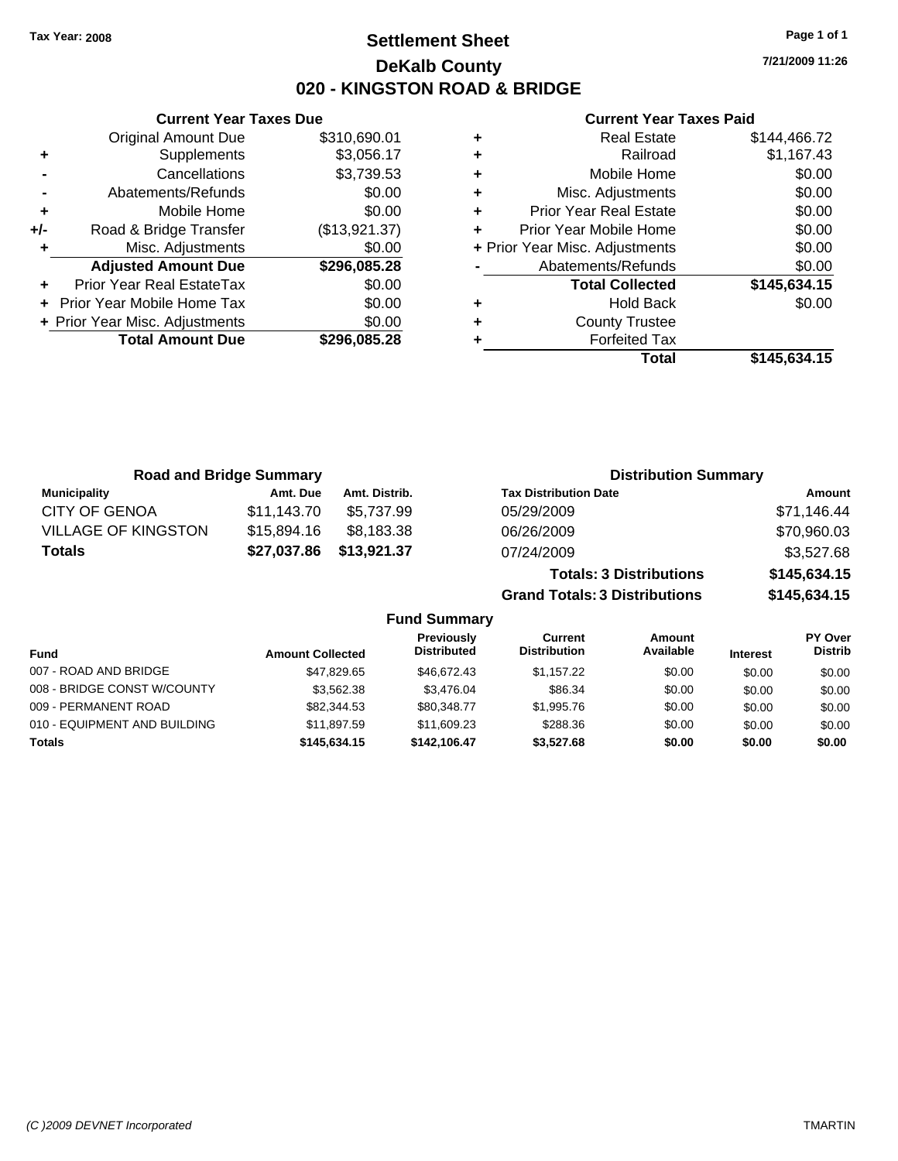### **Settlement Sheet Tax Year: 2008 Page 1 of 1 DeKalb County 020 - KINGSTON ROAD & BRIDGE**

**7/21/2009 11:26**

| <b>Current Year</b>            |   |               | <b>Current Year Taxes Due</b>  |       |
|--------------------------------|---|---------------|--------------------------------|-------|
| <b>Real Estate</b>             | ÷ | \$310,690.01  | <b>Original Amount Due</b>     |       |
| Railroad                       | ٠ | \$3,056.17    | Supplements                    |       |
| Mobile Home                    | ÷ | \$3,739.53    | Cancellations                  |       |
| Misc. Adjustments              | ٠ | \$0.00        | Abatements/Refunds             |       |
| <b>Prior Year Real Estate</b>  |   | \$0.00        | Mobile Home                    |       |
| Prior Year Mobile Home         |   | (\$13,921.37) | Road & Bridge Transfer         | $+/-$ |
| + Prior Year Misc. Adjustments |   | \$0.00        | Misc. Adjustments              |       |
| Abatements/Refunds             |   | \$296,085.28  | <b>Adjusted Amount Due</b>     |       |
| <b>Total Collected</b>         |   | \$0.00        | Prior Year Real EstateTax      |       |
| <b>Hold Back</b>               | ٠ | \$0.00        | + Prior Year Mobile Home Tax   |       |
| <b>County Trustee</b>          | ٠ | \$0.00        | + Prior Year Misc. Adjustments |       |
| <b>Forfeited Tax</b>           |   | \$296,085.28  | <b>Total Amount Due</b>        |       |
| Total                          |   |               |                                |       |

|   | Total                          | \$145.634.15 |
|---|--------------------------------|--------------|
|   | <b>Forfeited Tax</b>           |              |
| ÷ | <b>County Trustee</b>          |              |
| ÷ | <b>Hold Back</b>               | \$0.00       |
|   | <b>Total Collected</b>         | \$145,634.15 |
|   | Abatements/Refunds             | \$0.00       |
|   | + Prior Year Misc. Adjustments | \$0.00       |
|   | Prior Year Mobile Home         | \$0.00       |
| ÷ | <b>Prior Year Real Estate</b>  | \$0.00       |
| ÷ | Misc. Adjustments              | \$0.00       |
| ÷ | Mobile Home                    | \$0.00       |
| ÷ | Railroad                       | \$1,167.43   |
| ÷ | <b>Real Estate</b>             | \$144,466.72 |

| <b>Road and Bridge Summary</b> |             |               | <b>Distribution Summary</b>          |              |
|--------------------------------|-------------|---------------|--------------------------------------|--------------|
| <b>Municipality</b>            | Amt. Due    | Amt. Distrib. | <b>Tax Distribution Date</b>         | Amount       |
| <b>CITY OF GENOA</b>           | \$11,143.70 | \$5.737.99    | 05/29/2009                           | \$71,146.44  |
| <b>VILLAGE OF KINGSTON</b>     | \$15,894.16 | \$8,183.38    | 06/26/2009                           | \$70,960.03  |
| <b>Totals</b>                  | \$27,037.86 | \$13,921.37   | 07/24/2009                           | \$3,527.68   |
|                                |             |               | <b>Totals: 3 Distributions</b>       | \$145,634.15 |
|                                |             |               | <b>Grand Totals: 3 Distributions</b> | \$145,634.15 |

|                              |                         | <b>Fund Summary</b>                     |                                |                     |                 |                           |
|------------------------------|-------------------------|-----------------------------------------|--------------------------------|---------------------|-----------------|---------------------------|
| <b>Fund</b>                  | <b>Amount Collected</b> | <b>Previously</b><br><b>Distributed</b> | Current<br><b>Distribution</b> | Amount<br>Available | <b>Interest</b> | PY Over<br><b>Distrib</b> |
| 007 - ROAD AND BRIDGE        | \$47.829.65             | \$46,672.43                             | \$1.157.22                     | \$0.00              | \$0.00          | \$0.00                    |
| 008 - BRIDGE CONST W/COUNTY  | \$3,562,38              | \$3.476.04                              | \$86.34                        | \$0.00              | \$0.00          | \$0.00                    |
| 009 - PERMANENT ROAD         | \$82,344.53             | \$80,348.77                             | \$1,995.76                     | \$0.00              | \$0.00          | \$0.00                    |
| 010 - EQUIPMENT AND BUILDING | \$11.897.59             | \$11,609.23                             | \$288.36                       | \$0.00              | \$0.00          | \$0.00                    |
| <b>Totals</b>                | \$145,634,15            | \$142.106.47                            | \$3.527.68                     | \$0.00              | \$0.00          | \$0.00                    |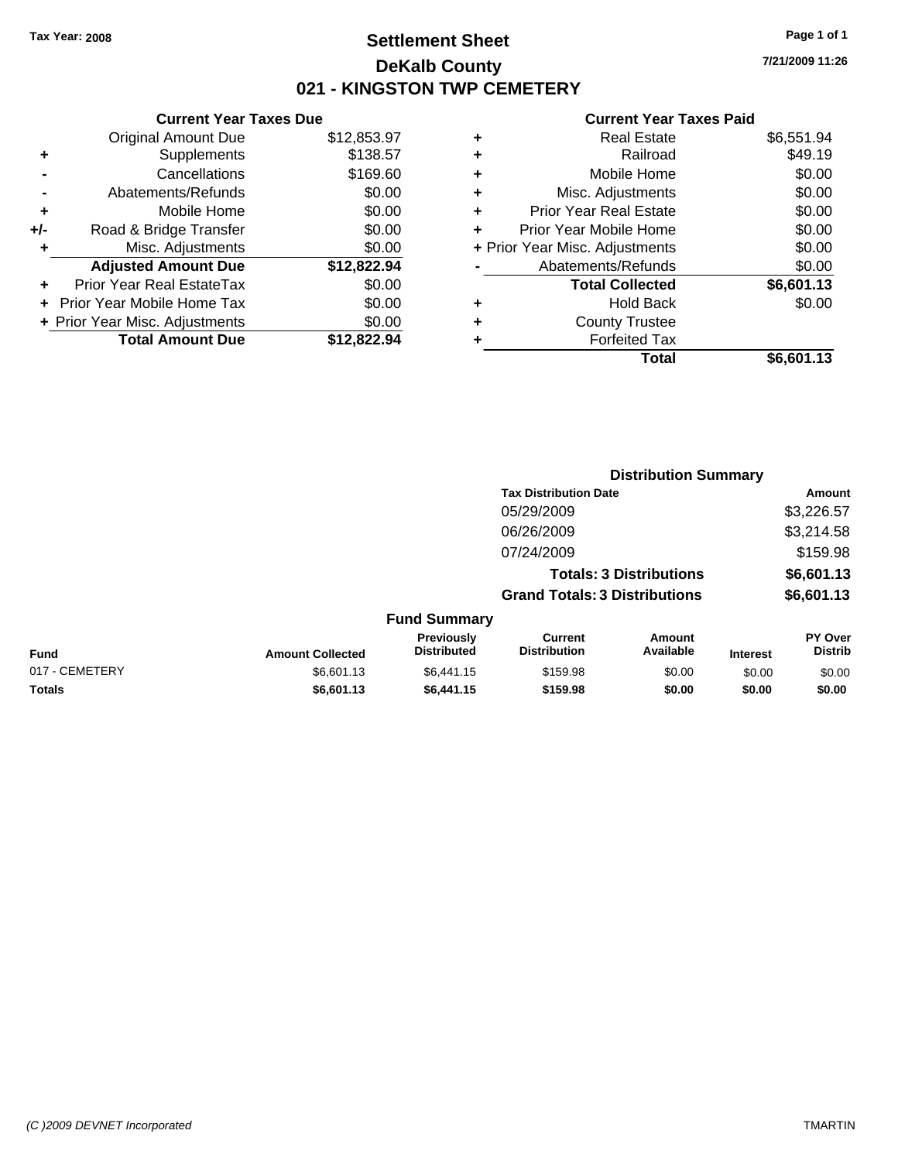**7/21/2009 11:26**

#### **Current Year Taxes Paid**

|   | <b>Real Estate</b>             | \$6,551.94 |
|---|--------------------------------|------------|
| ٠ | Railroad                       | \$49.19    |
| ٠ | Mobile Home                    | \$0.00     |
| ٠ | Misc. Adjustments              | \$0.00     |
| ٠ | <b>Prior Year Real Estate</b>  | \$0.00     |
| ٠ | Prior Year Mobile Home         | \$0.00     |
|   | + Prior Year Misc. Adjustments | \$0.00     |
|   | Abatements/Refunds             | \$0.00     |
|   | <b>Total Collected</b>         | \$6,601.13 |
| ٠ | <b>Hold Back</b>               | \$0.00     |
| ٠ | <b>County Trustee</b>          |            |
|   | <b>Forfeited Tax</b>           |            |
|   | Total                          | \$6.601.13 |

**Distribution Summary**

|     | <b>Current Year Taxes Due</b>  |             |
|-----|--------------------------------|-------------|
|     | <b>Original Amount Due</b>     | \$12,853.97 |
| ٠   | Supplements                    | \$138.57    |
|     | Cancellations                  | \$169.60    |
|     | Abatements/Refunds             | \$0.00      |
| ٠   | Mobile Home                    | \$0.00      |
| +/- | Road & Bridge Transfer         | \$0.00      |
| ٠   | Misc. Adjustments              | \$0.00      |
|     | <b>Adjusted Amount Due</b>     | \$12,822.94 |
|     | Prior Year Real EstateTax      | \$0.00      |
|     | Prior Year Mobile Home Tax     | \$0.00      |
|     | + Prior Year Misc. Adjustments | \$0.00      |
|     | <b>Total Amount Due</b>        | \$12,822,94 |
|     |                                |             |

|                |                         |                                  | <b>Tax Distribution Date</b>          |                                |                 | Amount                           |
|----------------|-------------------------|----------------------------------|---------------------------------------|--------------------------------|-----------------|----------------------------------|
|                |                         |                                  | 05/29/2009                            |                                |                 | \$3,226.57                       |
|                |                         |                                  | 06/26/2009                            |                                |                 | \$3,214.58                       |
|                |                         |                                  | 07/24/2009                            |                                |                 | \$159.98                         |
|                |                         |                                  |                                       | <b>Totals: 3 Distributions</b> |                 | \$6,601.13                       |
|                |                         |                                  | <b>Grand Totals: 3 Distributions</b>  |                                |                 | \$6,601.13                       |
|                |                         | <b>Fund Summary</b>              |                                       |                                |                 |                                  |
| Fund           | <b>Amount Collected</b> | Previously<br><b>Distributed</b> | <b>Current</b><br><b>Distribution</b> | Amount<br>Available            | <b>Interest</b> | <b>PY Over</b><br><b>Distrib</b> |
| 017 - CEMETERY | \$6,601.13              | \$6,441.15                       | \$159.98                              | \$0.00                         | \$0.00          | \$0.00                           |
| Totals         | \$6,601.13              | \$6,441.15                       | \$159.98                              | \$0.00                         | \$0.00          | \$0.00                           |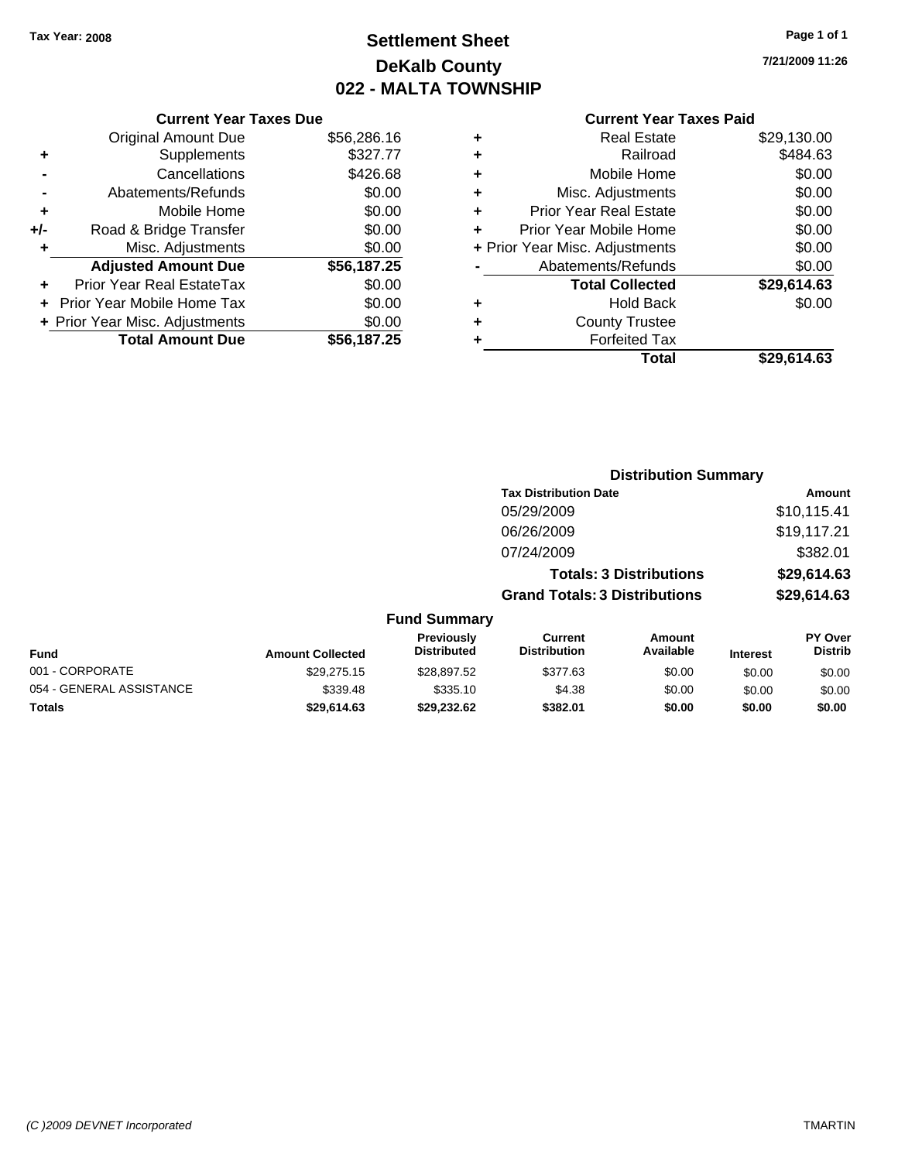# **Settlement Sheet Tax Year: 2008 Page 1 of 1 DeKalb County 022 - MALTA TOWNSHIP**

#### **Current Year Taxes Due**

|     | <b>Original Amount Due</b>     | \$56,286.16 |
|-----|--------------------------------|-------------|
| ٠   | Supplements                    | \$327.77    |
|     | Cancellations                  | \$426.68    |
|     | Abatements/Refunds             | \$0.00      |
| ٠   | Mobile Home                    | \$0.00      |
| +/- | Road & Bridge Transfer         | \$0.00      |
| ٠   | Misc. Adjustments              | \$0.00      |
|     | <b>Adjusted Amount Due</b>     | \$56,187.25 |
|     | Prior Year Real EstateTax      | \$0.00      |
|     | Prior Year Mobile Home Tax     | \$0.00      |
|     | + Prior Year Misc. Adjustments | \$0.00      |
|     | <b>Total Amount Due</b>        | \$56.187.25 |

#### **Current Year Taxes Paid**

|   | <b>Real Estate</b>             | \$29,130.00 |
|---|--------------------------------|-------------|
| ٠ | Railroad                       | \$484.63    |
| ٠ | Mobile Home                    | \$0.00      |
| ٠ | Misc. Adjustments              | \$0.00      |
| ٠ | <b>Prior Year Real Estate</b>  | \$0.00      |
| ÷ | Prior Year Mobile Home         | \$0.00      |
|   | + Prior Year Misc. Adjustments | \$0.00      |
|   | Abatements/Refunds             | \$0.00      |
|   | <b>Total Collected</b>         | \$29,614.63 |
| ٠ | <b>Hold Back</b>               | \$0.00      |
| ٠ | <b>County Trustee</b>          |             |
| ٠ | <b>Forfeited Tax</b>           |             |
|   | Total                          | \$29,614.63 |
|   |                                |             |

#### **Distribution Summary Tax Distribution Date Amount** 05/29/2009 \$10,115.41 06/26/2009 \$19,117.21 07/24/2009 \$382.01 **Totals: 3 Distributions \$29,614.63 Grand Totals: 3 Distributions \$29,614.63 Fund Summary PY Over Distrib Amount Available Current Distribution Previously**

| <b>Fund</b>              | <b>Amount Collected</b> | 116710031 <b>7</b><br><b>Distributed</b> | <b>VALIVIII</b><br><b>Distribution</b> | Allivulit<br>Available | <b>Interest</b> | .<br><b>Distrib</b> |
|--------------------------|-------------------------|------------------------------------------|----------------------------------------|------------------------|-----------------|---------------------|
| 001 - CORPORATE          | \$29.275.15             | \$28.897.52                              | \$377.63                               | \$0.00                 | \$0.00          | \$0.00              |
| 054 - GENERAL ASSISTANCE | \$339.48                | \$335.10                                 | \$4.38                                 | \$0.00                 | \$0.00          | \$0.00              |
| <b>Totals</b>            | \$29.614.63             | \$29.232.62                              | \$382.01                               | \$0.00                 | \$0.00          | \$0.00              |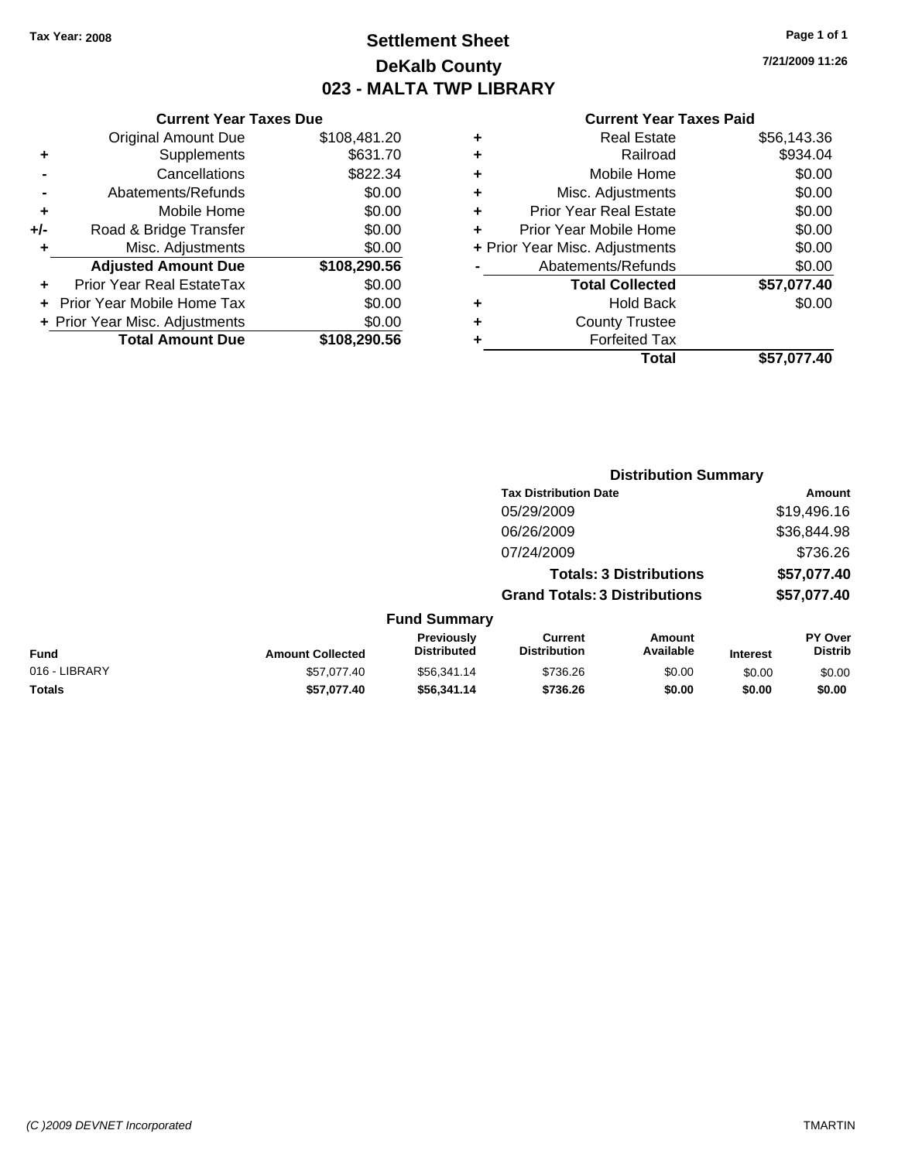### **Settlement Sheet Tax Year: 2008 Page 1 of 1 DeKalb County 023 - MALTA TWP LIBRARY**

**7/21/2009 11:26**

|     | <b>Current Year Taxes Due</b>  |              |  |
|-----|--------------------------------|--------------|--|
|     | <b>Original Amount Due</b>     | \$108,481.20 |  |
| ٠   | Supplements                    | \$631.70     |  |
|     | Cancellations                  | \$822.34     |  |
|     | Abatements/Refunds             | \$0.00       |  |
| ٠   | Mobile Home                    | \$0.00       |  |
| +/- | Road & Bridge Transfer         | \$0.00       |  |
| ٠   | Misc. Adjustments              | \$0.00       |  |
|     | <b>Adjusted Amount Due</b>     | \$108,290.56 |  |
| ÷   | Prior Year Real EstateTax      | \$0.00       |  |
|     | Prior Year Mobile Home Tax     | \$0.00       |  |
|     | + Prior Year Misc. Adjustments | \$0.00       |  |
|     | <b>Total Amount Due</b>        | \$108,290.56 |  |

| ٠ | <b>Real Estate</b>             | \$56,143.36 |
|---|--------------------------------|-------------|
| ٠ | Railroad                       | \$934.04    |
| ٠ | Mobile Home                    | \$0.00      |
| ٠ | Misc. Adjustments              | \$0.00      |
| ٠ | <b>Prior Year Real Estate</b>  | \$0.00      |
| ٠ | Prior Year Mobile Home         | \$0.00      |
|   | + Prior Year Misc. Adjustments | \$0.00      |
|   | Abatements/Refunds             | \$0.00      |
|   | <b>Total Collected</b>         | \$57,077.40 |
| ٠ | <b>Hold Back</b>               | \$0.00      |
| ٠ | <b>County Trustee</b>          |             |
|   | <b>Forfeited Tax</b>           |             |
|   | Total                          | \$57.077.40 |
|   |                                |             |

|               |                         |                                  |                                       | <b>Distribution Summary</b>    |                 |                           |
|---------------|-------------------------|----------------------------------|---------------------------------------|--------------------------------|-----------------|---------------------------|
|               |                         |                                  | <b>Tax Distribution Date</b>          |                                |                 | Amount                    |
|               |                         |                                  | 05/29/2009                            |                                |                 | \$19,496.16               |
|               |                         |                                  | 06/26/2009                            |                                |                 | \$36,844.98               |
|               |                         |                                  | 07/24/2009                            |                                |                 | \$736.26                  |
|               |                         |                                  |                                       | <b>Totals: 3 Distributions</b> |                 | \$57,077.40               |
|               |                         |                                  | <b>Grand Totals: 3 Distributions</b>  |                                |                 | \$57,077.40               |
|               |                         | <b>Fund Summary</b>              |                                       |                                |                 |                           |
| Fund          | <b>Amount Collected</b> | Previously<br><b>Distributed</b> | <b>Current</b><br><b>Distribution</b> | Amount<br>Available            | <b>Interest</b> | PY Over<br><b>Distrib</b> |
| 016 - LIBRARY | \$57,077,40             | \$56,341.14                      | \$736.26                              | \$0.00                         | \$0.00          | \$0.00                    |
| Totals        | \$57,077.40             | \$56,341.14                      | \$736.26                              | \$0.00                         | \$0.00          | \$0.00                    |
|               |                         |                                  |                                       |                                |                 |                           |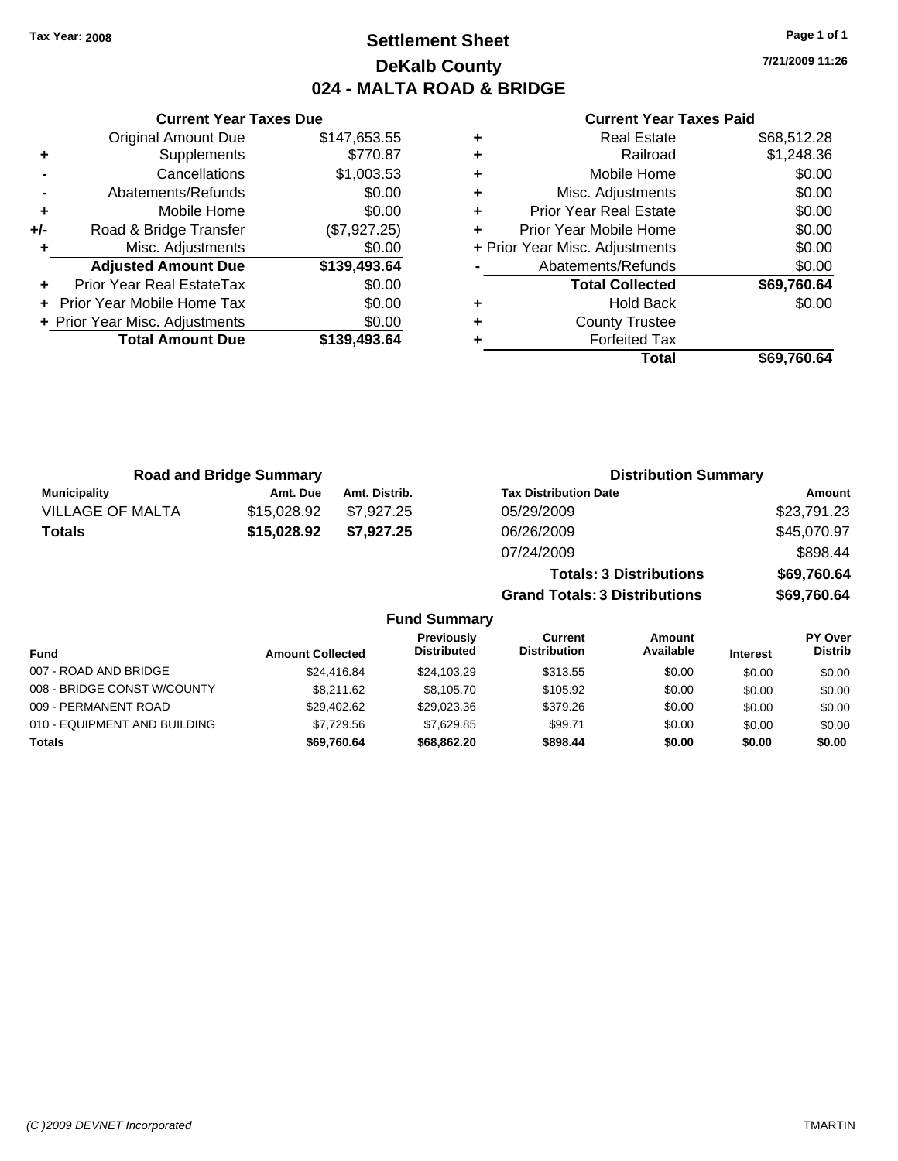### **Settlement Sheet Tax Year: 2008 Page 1 of 1 DeKalb County 024 - MALTA ROAD & BRIDGE**

**7/21/2009 11:26**

### **Current Year Taxes Paid**

|     | <b>Current Year Taxes Due</b>  |              |  |  |  |
|-----|--------------------------------|--------------|--|--|--|
|     | <b>Original Amount Due</b>     | \$147,653.55 |  |  |  |
| ٠   | Supplements                    | \$770.87     |  |  |  |
|     | Cancellations                  | \$1,003.53   |  |  |  |
|     | Abatements/Refunds             | \$0.00       |  |  |  |
| ٠   | Mobile Home                    | \$0.00       |  |  |  |
| +/- | Road & Bridge Transfer         | (\$7,927.25) |  |  |  |
| ٠   | Misc. Adjustments              | \$0.00       |  |  |  |
|     | <b>Adjusted Amount Due</b>     | \$139,493.64 |  |  |  |
|     | Prior Year Real EstateTax      | \$0.00       |  |  |  |
|     | Prior Year Mobile Home Tax     | \$0.00       |  |  |  |
|     | + Prior Year Misc. Adjustments | \$0.00       |  |  |  |
|     | <b>Total Amount Due</b>        | \$139,493.64 |  |  |  |
|     |                                |              |  |  |  |

|   | Total                          | \$69,760.64 |
|---|--------------------------------|-------------|
|   | <b>Forfeited Tax</b>           |             |
| ٠ | <b>County Trustee</b>          |             |
| ٠ | <b>Hold Back</b>               | \$0.00      |
|   | <b>Total Collected</b>         | \$69,760.64 |
|   | Abatements/Refunds             | \$0.00      |
|   | + Prior Year Misc. Adjustments | \$0.00      |
| ٠ | Prior Year Mobile Home         | \$0.00      |
| ÷ | <b>Prior Year Real Estate</b>  | \$0.00      |
| ٠ | Misc. Adjustments              | \$0.00      |
| ٠ | Mobile Home                    | \$0.00      |
| ٠ | Railroad                       | \$1,248.36  |
|   | <b>Real Estate</b>             | \$68,512.28 |

| <b>Road and Bridge Summary</b> |             |               | <b>Distribution Summary</b>    |             |  |
|--------------------------------|-------------|---------------|--------------------------------|-------------|--|
| <b>Municipality</b>            | Amt. Due    | Amt. Distrib. | <b>Tax Distribution Date</b>   | Amount      |  |
| <b>VILLAGE OF MALTA</b>        | \$15,028.92 | \$7.927.25    | 05/29/2009                     | \$23,791.23 |  |
| Totals                         | \$15,028.92 | \$7.927.25    | 06/26/2009                     | \$45,070.97 |  |
|                                |             |               | 07/24/2009                     | \$898.44    |  |
|                                |             |               | <b>Totals: 3 Distributions</b> | \$69,760.64 |  |

**Grand Totals: 3 Distributions \$69,760.64**

| <b>Fund</b>                  | <b>Amount Collected</b> | Previously<br><b>Distributed</b> | Current<br><b>Distribution</b> | Amount<br>Available | <b>Interest</b> | PY Over<br><b>Distrib</b> |
|------------------------------|-------------------------|----------------------------------|--------------------------------|---------------------|-----------------|---------------------------|
| 007 - ROAD AND BRIDGE        | \$24,416.84             | \$24.103.29                      | \$313.55                       | \$0.00              | \$0.00          | \$0.00                    |
| 008 - BRIDGE CONST W/COUNTY  | \$8.211.62              | \$8.105.70                       | \$105.92                       | \$0.00              | \$0.00          | \$0.00                    |
| 009 - PERMANENT ROAD         | \$29.402.62             | \$29,023.36                      | \$379.26                       | \$0.00              | \$0.00          | \$0.00                    |
| 010 - EQUIPMENT AND BUILDING | \$7.729.56              | \$7.629.85                       | \$99.71                        | \$0.00              | \$0.00          | \$0.00                    |
| Totals                       | \$69,760.64             | \$68,862,20                      | \$898.44                       | \$0.00              | \$0.00          | \$0.00                    |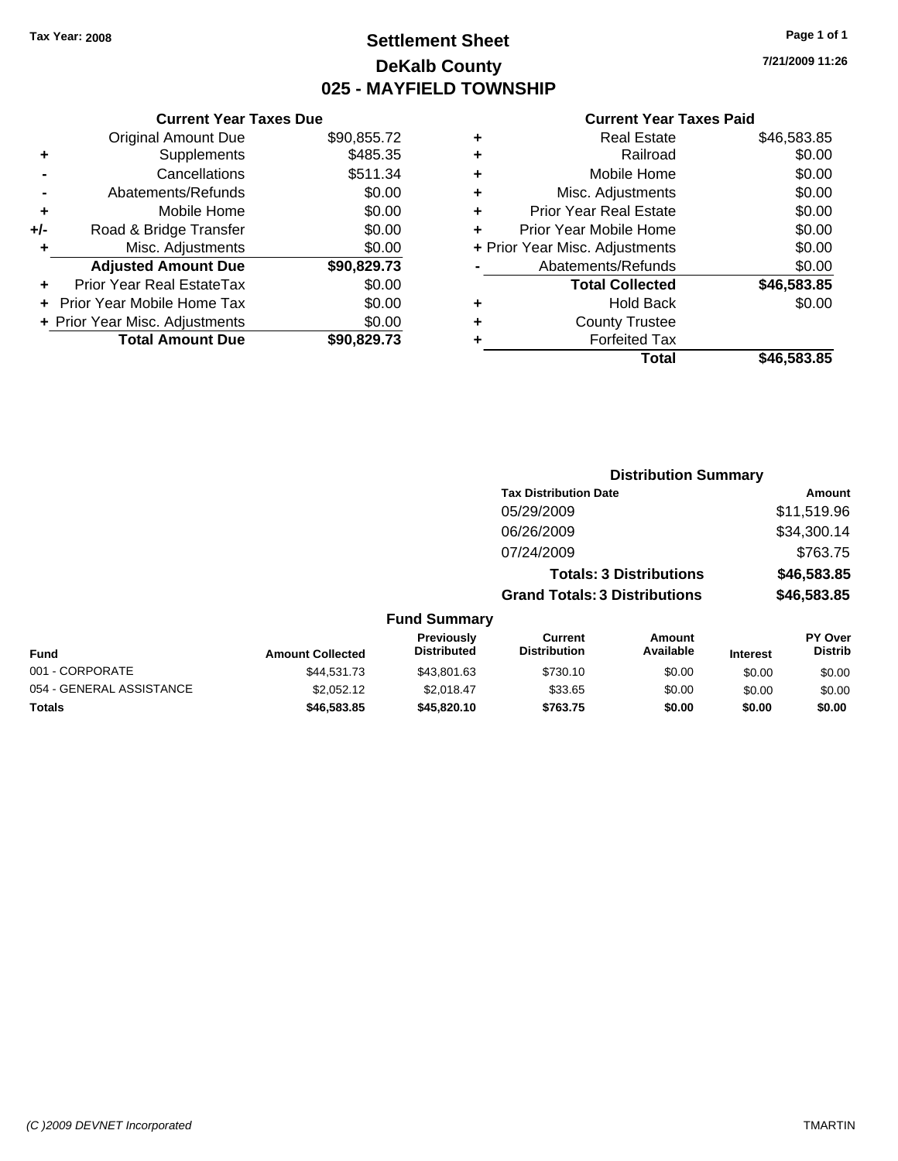### **Settlement Sheet Tax Year: 2008 Page 1 of 1 DeKalb County 025 - MAYFIELD TOWNSHIP**

**7/21/2009 11:26**

| Total                          | \$46,583.85 |
|--------------------------------|-------------|
| <b>Forfeited Tax</b>           |             |
| <b>County Trustee</b>          |             |
| <b>Hold Back</b>               | \$0.00      |
| <b>Total Collected</b>         | \$46,583.85 |
| Abatements/Refunds             | \$0.00      |
| + Prior Year Misc. Adjustments | \$0.00      |
| Prior Year Mobile Home         | \$0.00      |
| <b>Prior Year Real Estate</b>  | \$0.00      |
| Misc. Adjustments              | \$0.00      |
| Mobile Home                    | \$0.00      |
| Railroad                       | \$0.00      |
| <b>Real Estate</b>             | \$46,583.85 |
|                                |             |

|     | <b>Current Year Taxes Due</b>  |             |
|-----|--------------------------------|-------------|
|     | <b>Original Amount Due</b>     | \$90,855.72 |
| ٠   | Supplements                    | \$485.35    |
|     | Cancellations                  | \$511.34    |
|     | Abatements/Refunds             | \$0.00      |
| ٠   | Mobile Home                    | \$0.00      |
| +/- | Road & Bridge Transfer         | \$0.00      |
| ٠   | Misc. Adjustments              | \$0.00      |
|     | <b>Adjusted Amount Due</b>     | \$90,829.73 |
|     | Prior Year Real EstateTax      | \$0.00      |
|     | Prior Year Mobile Home Tax     | \$0.00      |
|     | + Prior Year Misc. Adjustments | \$0.00      |
|     | <b>Total Amount Due</b>        | \$90,829.73 |

|                 |                                         |                                       | <b>Distribution Summary</b>    |                 |                                  |
|-----------------|-----------------------------------------|---------------------------------------|--------------------------------|-----------------|----------------------------------|
|                 |                                         | <b>Tax Distribution Date</b>          |                                |                 | Amount                           |
|                 |                                         | 05/29/2009                            |                                |                 | \$11,519.96                      |
|                 |                                         | 06/26/2009                            |                                |                 | \$34,300.14                      |
|                 |                                         | 07/24/2009                            |                                |                 | \$763.75                         |
|                 |                                         |                                       | <b>Totals: 3 Distributions</b> |                 | \$46,583.85                      |
|                 |                                         | <b>Grand Totals: 3 Distributions</b>  |                                |                 | \$46,583.85                      |
|                 | <b>Fund Summary</b>                     |                                       |                                |                 |                                  |
| nount Collected | <b>Previously</b><br><b>Distributed</b> | <b>Current</b><br><b>Distribution</b> | Amount<br>Available            | <b>Interest</b> | <b>PY Over</b><br><b>Distrib</b> |
|                 |                                         |                                       |                                |                 |                                  |

| <b>Fund</b>              | <b>Amount Collected</b> | ι ι σνιυμειν<br><b>Distributed</b> | <b>VULLELL</b><br><b>Distribution</b> | Allivulit<br>Available | <b>Interest</b> | וסיטו<br><b>Distrib</b> |
|--------------------------|-------------------------|------------------------------------|---------------------------------------|------------------------|-----------------|-------------------------|
| 001 - CORPORATE          | \$44.531.73             | \$43.801.63                        | \$730.10                              | \$0.00                 | \$0.00          | \$0.00                  |
| 054 - GENERAL ASSISTANCE | \$2,052.12              | \$2.018.47                         | \$33.65                               | \$0.00                 | \$0.00          | \$0.00                  |
| <b>Totals</b>            | \$46.583.85             | \$45,820,10                        | \$763.75                              | \$0.00                 | \$0.00          | \$0.00                  |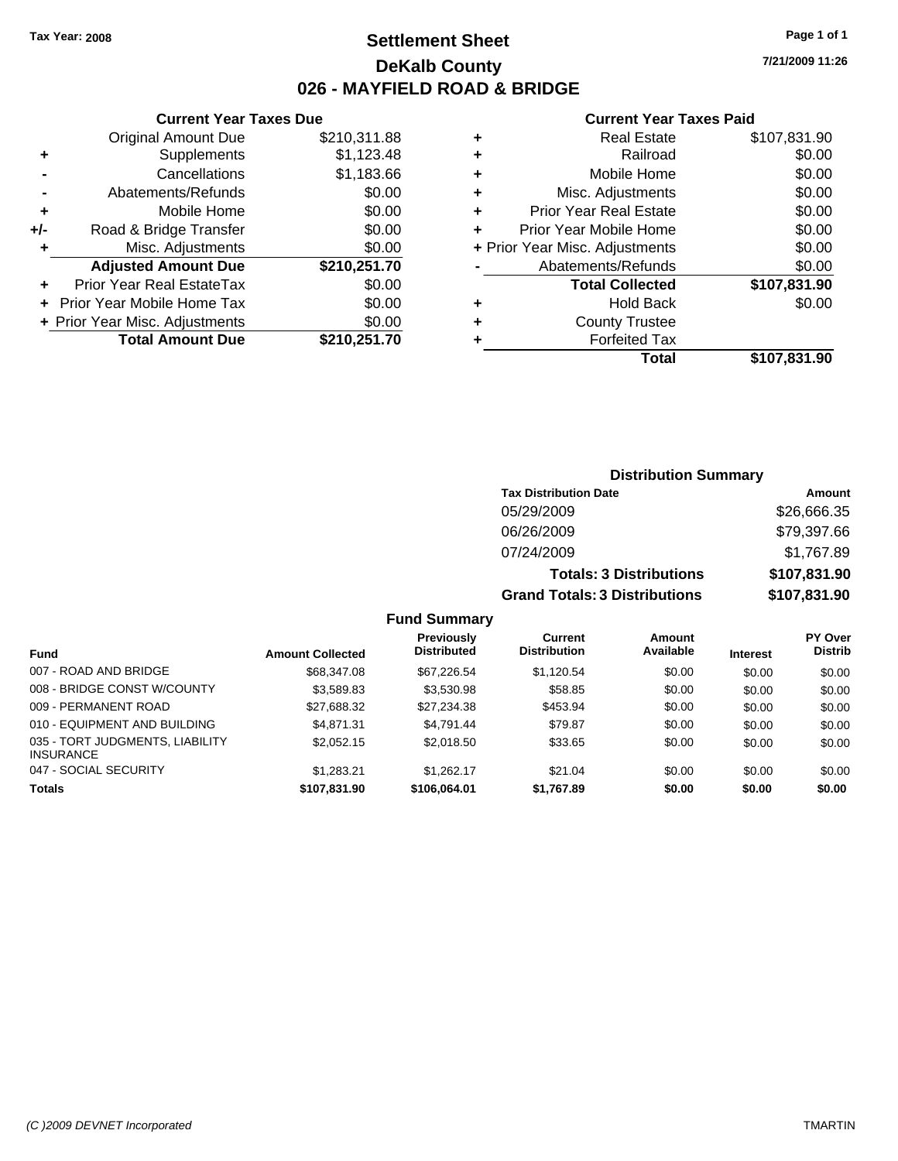**Current Year Taxes Due** Original Amount Due \$210,311.88

**Adjusted Amount Due \$210,251.70**

**Total Amount Due \$210,251.70**

**+** Supplements \$1,123.48 **-** Cancellations \$1,183.66 **-** Abatements/Refunds \$0.00 **+** Mobile Home \$0.00 **+/-** Road & Bridge Transfer \$0.00 **+** Misc. Adjustments \$0.00

**+** Prior Year Real EstateTax \$0.00 **+** Prior Year Mobile Home Tax \$0.00 **+ Prior Year Misc. Adjustments**  $$0.00$ 

### **Settlement Sheet Tax Year: 2008 Page 1 of 1 DeKalb County 026 - MAYFIELD ROAD & BRIDGE**

**7/21/2009 11:26**

| ٠ | Real Estate                    | \$107,831.90 |
|---|--------------------------------|--------------|
| ٠ | Railroad                       | \$0.00       |
| ÷ | Mobile Home                    | \$0.00       |
| ÷ | Misc. Adjustments              | \$0.00       |
| ٠ | <b>Prior Year Real Estate</b>  | \$0.00       |
| ÷ | Prior Year Mobile Home         | \$0.00       |
|   | + Prior Year Misc. Adjustments | \$0.00       |
|   | Abatements/Refunds             | \$0.00       |
|   | <b>Total Collected</b>         | \$107,831.90 |
| ٠ | <b>Hold Back</b>               | \$0.00       |
| ٠ | <b>County Trustee</b>          |              |
| ٠ | <b>Forfeited Tax</b>           |              |
|   | Total                          | \$107,831.90 |

|           |                                         |                                      | <b>Distribution Summary</b>    |                 |                           |
|-----------|-----------------------------------------|--------------------------------------|--------------------------------|-----------------|---------------------------|
|           |                                         | <b>Tax Distribution Date</b>         |                                |                 | Amount                    |
|           |                                         | 05/29/2009                           |                                |                 | \$26,666.35               |
|           |                                         | 06/26/2009                           |                                |                 | \$79,397.66               |
|           |                                         | 07/24/2009                           |                                |                 | \$1,767.89                |
|           |                                         |                                      | <b>Totals: 3 Distributions</b> |                 | \$107,831.90              |
|           |                                         | <b>Grand Totals: 3 Distributions</b> |                                |                 | \$107,831.90              |
|           | <b>Fund Summary</b>                     |                                      |                                |                 |                           |
| Collected | <b>Previously</b><br><b>Distributed</b> | Current<br><b>Distribution</b>       | Amount<br>Available            | <b>Interest</b> | PY Over<br><b>Distrib</b> |
|           |                                         |                                      |                                |                 |                           |

| <b>Fund</b>                                  | <b>Amount Collected</b> | .<br><b>Distributed</b> | <b>Distribution</b> | Available | <b>Interest</b> | <b>Distrib</b> |
|----------------------------------------------|-------------------------|-------------------------|---------------------|-----------|-----------------|----------------|
| 007 - ROAD AND BRIDGE                        | \$68,347.08             | \$67.226.54             | \$1.120.54          | \$0.00    | \$0.00          | \$0.00         |
| 008 - BRIDGE CONST W/COUNTY                  | \$3,589.83              | \$3,530.98              | \$58.85             | \$0.00    | \$0.00          | \$0.00         |
| 009 - PERMANENT ROAD                         | \$27,688.32             | \$27,234.38             | \$453.94            | \$0.00    | \$0.00          | \$0.00         |
| 010 - EQUIPMENT AND BUILDING                 | \$4.871.31              | \$4.791.44              | \$79.87             | \$0.00    | \$0.00          | \$0.00         |
| 035 - TORT JUDGMENTS, LIABILITY<br>INSURANCE | \$2,052.15              | \$2,018.50              | \$33.65             | \$0.00    | \$0.00          | \$0.00         |
| 047 - SOCIAL SECURITY                        | \$1.283.21              | \$1.262.17              | \$21.04             | \$0.00    | \$0.00          | \$0.00         |
| <b>Totals</b>                                | \$107,831.90            | \$106,064.01            | \$1,767.89          | \$0.00    | \$0.00          | \$0.00         |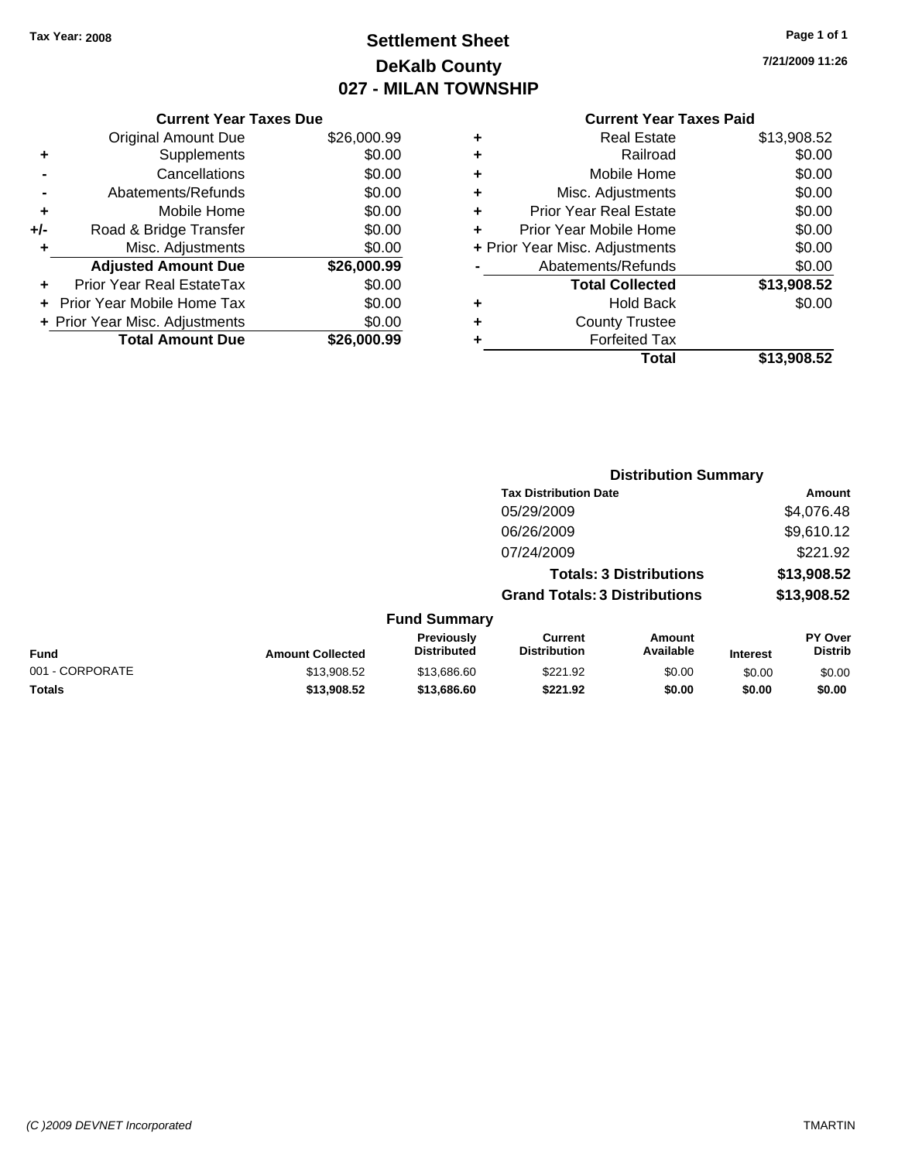# **Settlement Sheet Tax Year: 2008 Page 1 of 1 DeKalb County 027 - MILAN TOWNSHIP**

**7/21/2009 11:26**

|     | <b>Current Year Taxes Due</b>     |             |  |  |  |
|-----|-----------------------------------|-------------|--|--|--|
|     | <b>Original Amount Due</b>        | \$26,000.99 |  |  |  |
| ٠   | Supplements                       | \$0.00      |  |  |  |
|     | Cancellations                     | \$0.00      |  |  |  |
|     | Abatements/Refunds                | \$0.00      |  |  |  |
| ٠   | Mobile Home                       | \$0.00      |  |  |  |
| +/- | Road & Bridge Transfer            | \$0.00      |  |  |  |
| ٠   | Misc. Adjustments                 | \$0.00      |  |  |  |
|     | <b>Adjusted Amount Due</b>        | \$26,000.99 |  |  |  |
|     | Prior Year Real EstateTax         | \$0.00      |  |  |  |
|     | <b>Prior Year Mobile Home Tax</b> | \$0.00      |  |  |  |
|     | + Prior Year Misc. Adjustments    | \$0.00      |  |  |  |
|     | <b>Total Amount Due</b>           | \$26,000.99 |  |  |  |
|     |                                   |             |  |  |  |

| <b>Real Estate</b>             | \$13,908.52 |
|--------------------------------|-------------|
| Railroad                       | \$0.00      |
| Mobile Home                    | \$0.00      |
| Misc. Adjustments              | \$0.00      |
| <b>Prior Year Real Estate</b>  | \$0.00      |
| Prior Year Mobile Home         | \$0.00      |
| + Prior Year Misc. Adjustments | \$0.00      |
| Abatements/Refunds             | \$0.00      |
| <b>Total Collected</b>         | \$13,908.52 |
| <b>Hold Back</b>               | \$0.00      |
| <b>County Trustee</b>          |             |
| <b>Forfeited Tax</b>           |             |
| Total                          | \$13,908.52 |
|                                |             |

|                 |                         |                                  |                                       | <b>Distribution Summary</b>    |                 |                                  |
|-----------------|-------------------------|----------------------------------|---------------------------------------|--------------------------------|-----------------|----------------------------------|
|                 |                         |                                  | <b>Tax Distribution Date</b>          |                                |                 | Amount                           |
|                 |                         |                                  | 05/29/2009                            |                                |                 | \$4,076.48                       |
|                 |                         |                                  | 06/26/2009                            |                                |                 | \$9,610.12                       |
|                 |                         |                                  | 07/24/2009                            |                                |                 | \$221.92                         |
|                 |                         |                                  |                                       | <b>Totals: 3 Distributions</b> |                 | \$13,908.52                      |
|                 |                         |                                  | <b>Grand Totals: 3 Distributions</b>  |                                |                 | \$13,908.52                      |
|                 |                         | <b>Fund Summary</b>              |                                       |                                |                 |                                  |
| <b>Fund</b>     | <b>Amount Collected</b> | Previously<br><b>Distributed</b> | <b>Current</b><br><b>Distribution</b> | Amount<br>Available            | <b>Interest</b> | <b>PY Over</b><br><b>Distrib</b> |
| 001 - CORPORATE | \$13,908.52             | \$13,686.60                      | \$221.92                              | \$0.00                         | \$0.00          | \$0.00                           |
| Totals          | \$13,908.52             | \$13,686.60                      | \$221.92                              | \$0.00                         | \$0.00          | \$0.00                           |
|                 |                         |                                  |                                       |                                |                 |                                  |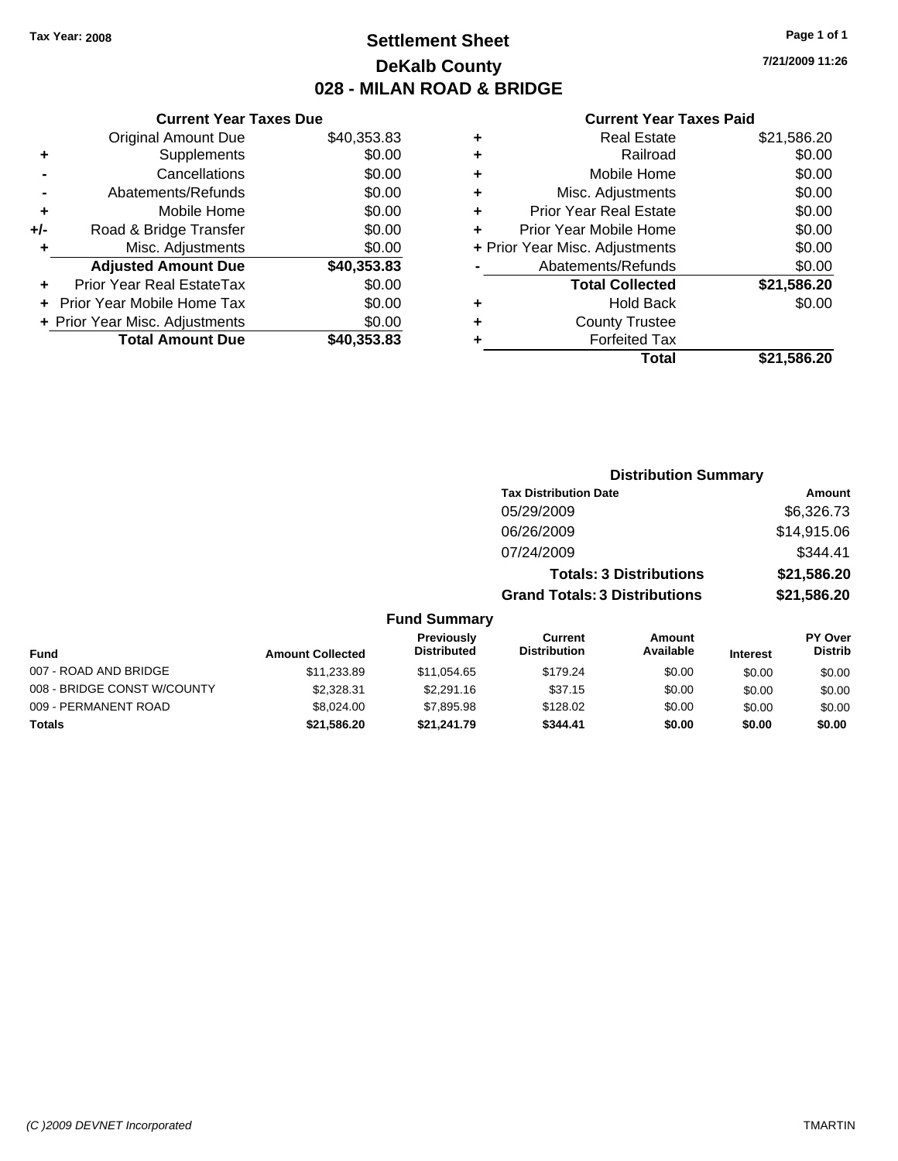### **Settlement Sheet Tax Year: 2008 Page 1 of 1 DeKalb County 028 - MILAN ROAD & BRIDGE**

**7/21/2009 11:26**

|     | <b>Current Year Taxes Due</b>  |             |
|-----|--------------------------------|-------------|
|     | <b>Original Amount Due</b>     | \$40,353.83 |
| ٠   | Supplements                    | \$0.00      |
|     | Cancellations                  | \$0.00      |
|     | Abatements/Refunds             | \$0.00      |
| ٠   | Mobile Home                    | \$0.00      |
| +/- | Road & Bridge Transfer         | \$0.00      |
| ٠   | Misc. Adjustments              | \$0.00      |
|     | <b>Adjusted Amount Due</b>     | \$40,353.83 |
|     | Prior Year Real EstateTax      | \$0.00      |
|     | Prior Year Mobile Home Tax     | \$0.00      |
|     | + Prior Year Misc. Adjustments | \$0.00      |
|     | <b>Total Amount Due</b>        | \$40,353.83 |
|     |                                |             |

|   | <b>Real Estate</b>             | \$21,586.20 |
|---|--------------------------------|-------------|
| ٠ | Railroad                       | \$0.00      |
| ٠ | Mobile Home                    | \$0.00      |
| ٠ | Misc. Adjustments              | \$0.00      |
| ٠ | Prior Year Real Estate         | \$0.00      |
|   | Prior Year Mobile Home         | \$0.00      |
|   | + Prior Year Misc. Adjustments | \$0.00      |
|   | Abatements/Refunds             | \$0.00      |
|   | <b>Total Collected</b>         | \$21,586.20 |
| ٠ | <b>Hold Back</b>               | \$0.00      |
| ٠ | <b>County Trustee</b>          |             |
| ٠ | <b>Forfeited Tax</b>           |             |
|   | Total                          | \$21,586.20 |
|   |                                |             |

|                             |                         |                                  |                                       | <b>Distribution Summary</b>    |                 |                                  |
|-----------------------------|-------------------------|----------------------------------|---------------------------------------|--------------------------------|-----------------|----------------------------------|
|                             |                         |                                  | <b>Tax Distribution Date</b>          |                                |                 | Amount                           |
|                             |                         |                                  | 05/29/2009                            |                                |                 | \$6,326.73                       |
|                             |                         |                                  | 06/26/2009                            |                                |                 | \$14,915.06                      |
|                             |                         |                                  | 07/24/2009                            |                                |                 | \$344.41                         |
|                             |                         |                                  |                                       | <b>Totals: 3 Distributions</b> |                 | \$21,586.20                      |
|                             |                         |                                  | <b>Grand Totals: 3 Distributions</b>  |                                |                 | \$21,586.20                      |
|                             |                         | <b>Fund Summary</b>              |                                       |                                |                 |                                  |
| Fund                        | <b>Amount Collected</b> | Previously<br><b>Distributed</b> | <b>Current</b><br><b>Distribution</b> | Amount<br>Available            | <b>Interest</b> | <b>PY Over</b><br><b>Distrib</b> |
| 007 - ROAD AND BRIDGE       | \$11,233.89             | \$11,054.65                      | \$179.24                              | \$0.00                         | \$0.00          | \$0.00                           |
| 008 - BRIDGE CONST W/COUNTY | \$2,328.31              | \$2,291.16                       | \$37.15                               | \$0.00                         | \$0.00          | \$0.00                           |
| 009 - PERMANENT ROAD        | \$8,024.00              | \$7,895.98                       | \$128.02                              | \$0.00                         | \$0.00          | \$0.00                           |
| Totals                      | \$21,586.20             | \$21,241.79                      | \$344.41                              | \$0.00                         | \$0.00          | \$0.00                           |
|                             |                         |                                  |                                       |                                |                 |                                  |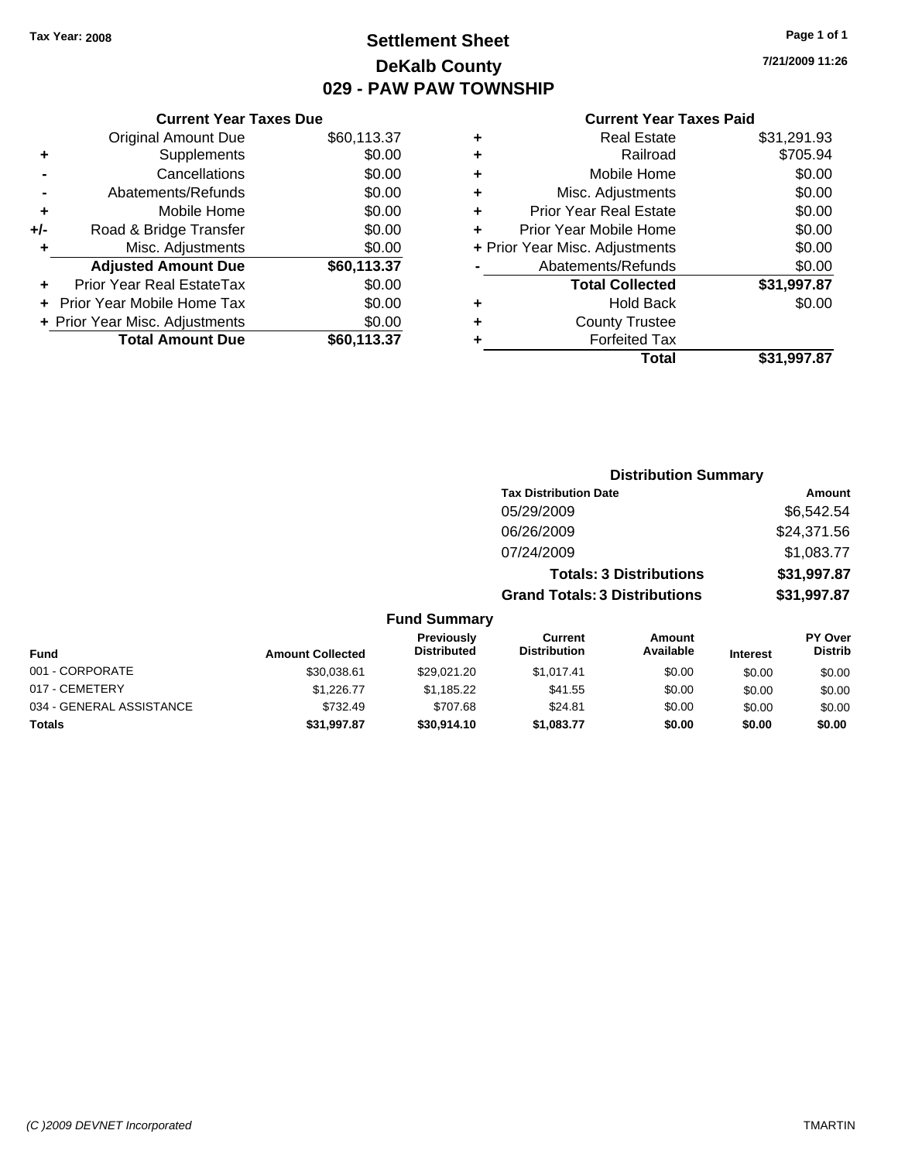## **Settlement Sheet Tax Year: 2008 Page 1 of 1 DeKalb County 029 - PAW PAW TOWNSHIP**

**7/21/2009 11:26**

|     | <b>Current Year Taxes Due</b>  |             |
|-----|--------------------------------|-------------|
|     | <b>Original Amount Due</b>     | \$60,113.37 |
| ٠   | Supplements                    | \$0.00      |
|     | Cancellations                  | \$0.00      |
|     | Abatements/Refunds             | \$0.00      |
| ٠   | Mobile Home                    | \$0.00      |
| +/- | Road & Bridge Transfer         | \$0.00      |
| ٠   | Misc. Adjustments              | \$0.00      |
|     | <b>Adjusted Amount Due</b>     | \$60,113.37 |
| ٠   | Prior Year Real EstateTax      | \$0.00      |
|     | Prior Year Mobile Home Tax     | \$0.00      |
|     | + Prior Year Misc. Adjustments | \$0.00      |
|     | <b>Total Amount Due</b>        | \$60,113,37 |
|     |                                |             |

| \$31,291.93 |
|-------------|
| \$705.94    |
| \$0.00      |
| \$0.00      |
| \$0.00      |
| \$0.00      |
| \$0.00      |
| \$0.00      |
| \$31,997.87 |
| \$0.00      |
|             |
|             |
| \$31,997.87 |
|             |

|                          |                         | <b>Distribution Summary</b>      |                                       |                                |                 |                                  |
|--------------------------|-------------------------|----------------------------------|---------------------------------------|--------------------------------|-----------------|----------------------------------|
|                          |                         |                                  | <b>Tax Distribution Date</b>          |                                |                 | Amount                           |
|                          |                         |                                  | 05/29/2009                            |                                |                 | \$6,542.54                       |
|                          |                         |                                  | 06/26/2009                            |                                |                 | \$24,371.56                      |
|                          |                         |                                  | 07/24/2009                            |                                |                 | \$1,083.77                       |
|                          |                         |                                  |                                       | <b>Totals: 3 Distributions</b> |                 | \$31,997.87                      |
|                          |                         |                                  | <b>Grand Totals: 3 Distributions</b>  |                                |                 | \$31,997.87                      |
|                          |                         | <b>Fund Summary</b>              |                                       |                                |                 |                                  |
| Fund                     | <b>Amount Collected</b> | Previously<br><b>Distributed</b> | <b>Current</b><br><b>Distribution</b> | <b>Amount</b><br>Available     | <b>Interest</b> | <b>PY Over</b><br><b>Distrib</b> |
| 001 - CORPORATE          | \$30,038.61             | \$29,021.20                      | \$1,017.41                            | \$0.00                         | \$0.00          | \$0.00                           |
| 017 - CEMETERY           | \$1,226.77              | \$1,185.22                       | \$41.55                               | \$0.00                         | \$0.00          | \$0.00                           |
| 034 - GENERAL ASSISTANCE | \$732.49                | \$707.68                         | \$24.81                               | \$0.00                         | \$0.00          | \$0.00                           |
| Totals                   | \$31,997.87             | \$30,914.10                      | \$1,083.77                            | \$0.00                         | \$0.00          | \$0.00                           |
|                          |                         |                                  |                                       |                                |                 |                                  |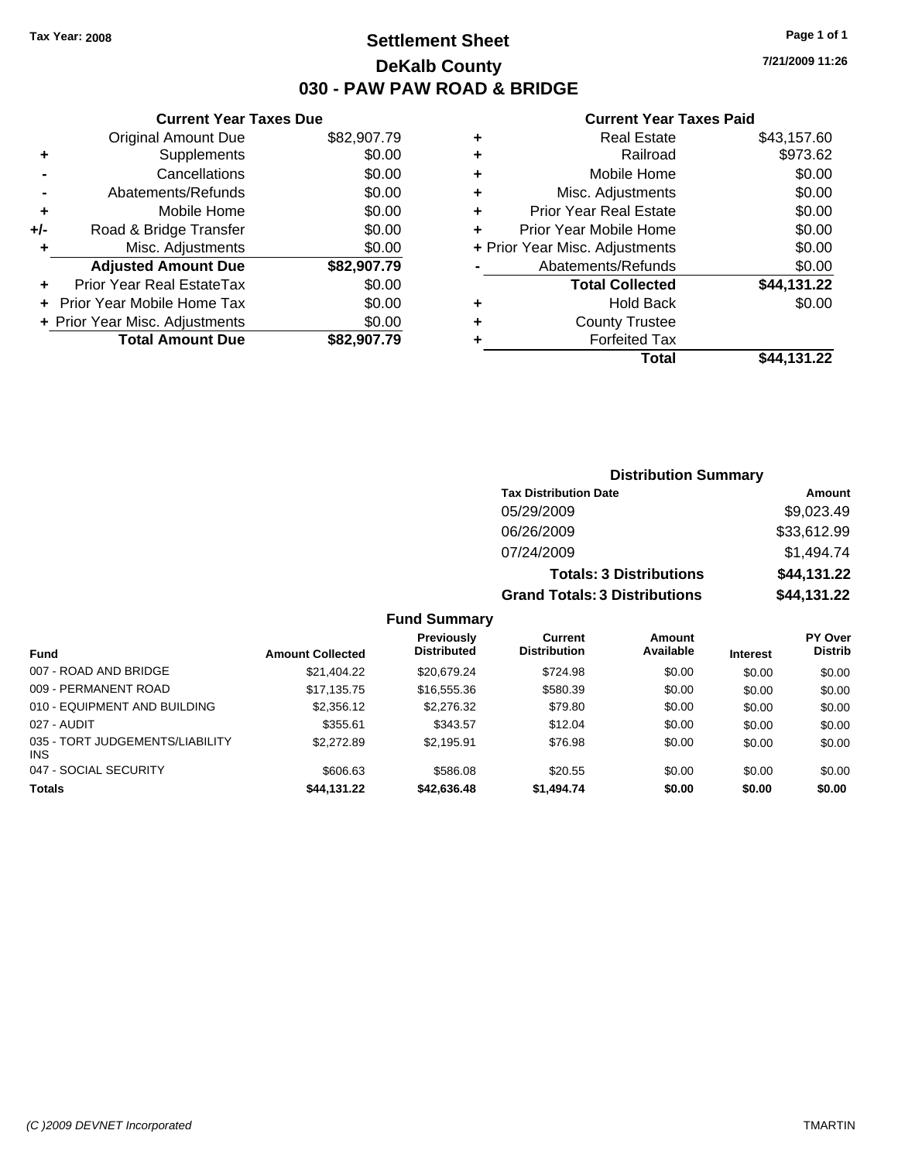### **Settlement Sheet Tax Year: 2008 Page 1 of 1 DeKalb County 030 - PAW PAW ROAD & BRIDGE**

**7/21/2009 11:26**

|     | <b>Current Year Taxes Due</b>  |             |
|-----|--------------------------------|-------------|
|     | <b>Original Amount Due</b>     | \$82,907.79 |
| ٠   | Supplements                    | \$0.00      |
|     | Cancellations                  | \$0.00      |
|     | Abatements/Refunds             | \$0.00      |
| ٠   | Mobile Home                    | \$0.00      |
| +/- | Road & Bridge Transfer         | \$0.00      |
| ٠   | Misc. Adjustments              | \$0.00      |
|     | <b>Adjusted Amount Due</b>     | \$82,907.79 |
|     | Prior Year Real EstateTax      | \$0.00      |
|     | Prior Year Mobile Home Tax     | \$0.00      |
|     | + Prior Year Misc. Adjustments | \$0.00      |
|     | <b>Total Amount Due</b>        | \$82,907.79 |
|     |                                |             |

| ٠ | <b>Real Estate</b>             | \$43,157.60 |
|---|--------------------------------|-------------|
| ٠ | Railroad                       | \$973.62    |
| ٠ | Mobile Home                    | \$0.00      |
| ٠ | Misc. Adjustments              | \$0.00      |
| ÷ | <b>Prior Year Real Estate</b>  | \$0.00      |
| ٠ | Prior Year Mobile Home         | \$0.00      |
|   | + Prior Year Misc. Adjustments | \$0.00      |
|   | Abatements/Refunds             | \$0.00      |
|   | <b>Total Collected</b>         | \$44,131.22 |
| ٠ | <b>Hold Back</b>               | \$0.00      |
| ٠ | <b>County Trustee</b>          |             |
| ٠ | <b>Forfeited Tax</b>           |             |
|   | Total                          | \$44,131.22 |
|   |                                |             |

|                             |                         |                                                                                |                                       | <b>Distribution Summary</b>                   |                 |                                  |
|-----------------------------|-------------------------|--------------------------------------------------------------------------------|---------------------------------------|-----------------------------------------------|-----------------|----------------------------------|
|                             |                         |                                                                                | <b>Tax Distribution Date</b>          |                                               |                 | <b>Amount</b>                    |
|                             |                         |                                                                                | 05/29/2009                            |                                               |                 | \$9,023.49                       |
|                             |                         |                                                                                | 06/26/2009                            |                                               |                 | \$33,612.99                      |
|                             |                         |                                                                                | 07/24/2009                            |                                               |                 | \$1,494.74                       |
|                             |                         |                                                                                |                                       | <b>Totals: 3 Distributions</b>                |                 | \$44,131.22                      |
|                             |                         |                                                                                | <b>Grand Totals: 3 Distributions</b>  |                                               |                 | \$44,131.22                      |
|                             |                         | <b>Fund Summary</b>                                                            |                                       |                                               |                 |                                  |
| Fund                        | <b>Amount Collected</b> | Previously<br><b>Distributed</b>                                               | <b>Current</b><br><b>Distribution</b> | <b>Amount</b><br>Available                    | <b>Interest</b> | <b>PY Over</b><br><b>Distrib</b> |
| $0.27$ $0.010$ $0.10000000$ |                         | $\mathbf{a} \mathbf{a} \mathbf{a} \mathbf{a} \mathbf{a} \mathbf{a} \mathbf{a}$ | $\cdots$                              | $\mathbf{A} \mathbf{A} \mathbf{A} \mathbf{A}$ | $\cdots$        | $\cdots$                         |

| гини                                   | Alliuulii vulleuteu |             |            |        | 111161 691 | ------- |
|----------------------------------------|---------------------|-------------|------------|--------|------------|---------|
| 007 - ROAD AND BRIDGE                  | \$21,404.22         | \$20,679.24 | \$724.98   | \$0.00 | \$0.00     | \$0.00  |
| 009 - PERMANENT ROAD                   | \$17.135.75         | \$16,555,36 | \$580.39   | \$0.00 | \$0.00     | \$0.00  |
| 010 - EQUIPMENT AND BUILDING           | \$2,356.12          | \$2,276.32  | \$79.80    | \$0.00 | \$0.00     | \$0.00  |
| 027 - AUDIT                            | \$355.61            | \$343.57    | \$12.04    | \$0.00 | \$0.00     | \$0.00  |
| 035 - TORT JUDGEMENTS/LIABILITY<br>INS | \$2,272.89          | \$2.195.91  | \$76.98    | \$0.00 | \$0.00     | \$0.00  |
| 047 - SOCIAL SECURITY                  | \$606.63            | \$586.08    | \$20.55    | \$0.00 | \$0.00     | \$0.00  |
| <b>Totals</b>                          | \$44.131.22         | \$42,636,48 | \$1,494,74 | \$0.00 | \$0.00     | \$0.00  |
|                                        |                     |             |            |        |            |         |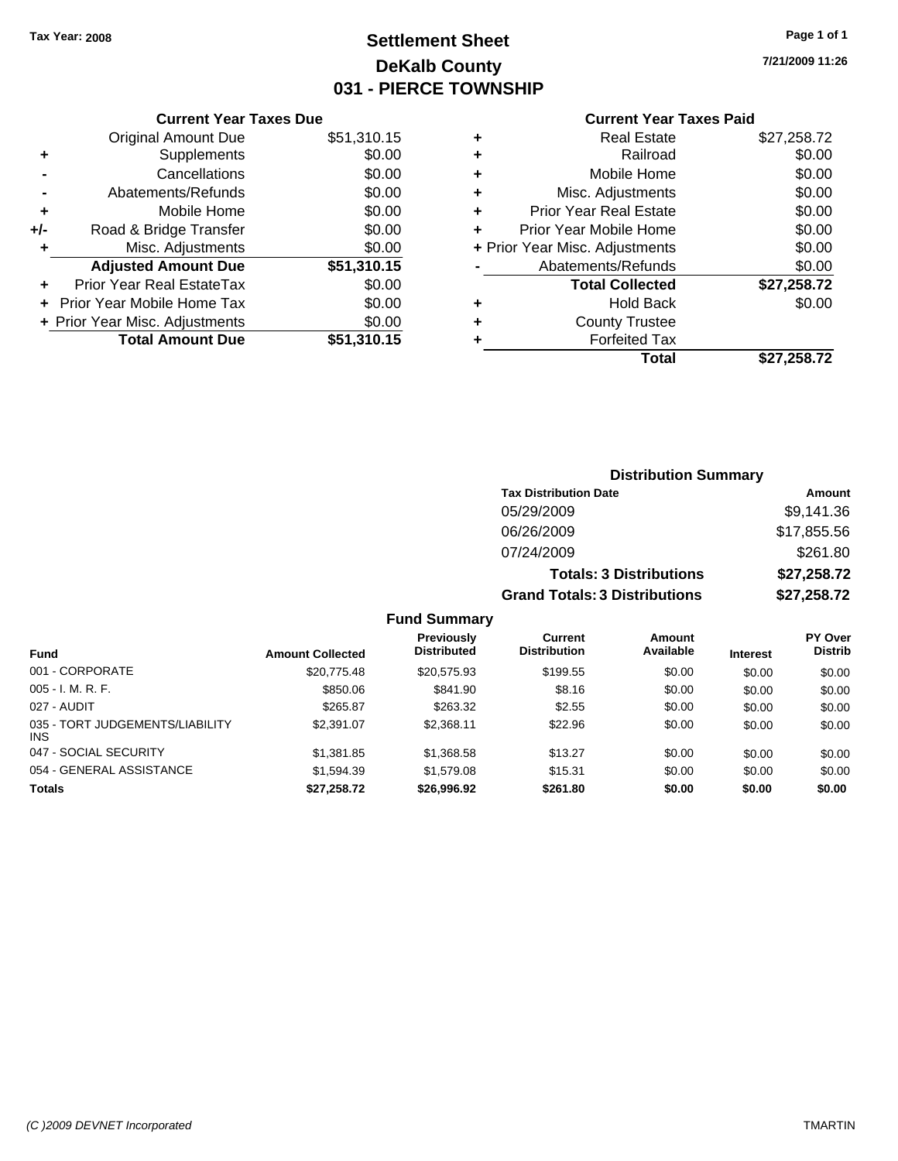# **Settlement Sheet Tax Year: 2008 Page 1 of 1 DeKalb County 031 - PIERCE TOWNSHIP**

**7/21/2009 11:26**

### **Current Year Taxes Paid**

|       | <b>Current Year Taxes Due</b>  |             |
|-------|--------------------------------|-------------|
|       | <b>Original Amount Due</b>     | \$51,310.15 |
| ٠     | Supplements                    | \$0.00      |
|       | Cancellations                  | \$0.00      |
|       | Abatements/Refunds             | \$0.00      |
| ٠     | Mobile Home                    | \$0.00      |
| $+/-$ | Road & Bridge Transfer         | \$0.00      |
| ٠     | Misc. Adjustments              | \$0.00      |
|       | <b>Adjusted Amount Due</b>     | \$51,310.15 |
| ÷     | Prior Year Real EstateTax      | \$0.00      |
|       | Prior Year Mobile Home Tax     | \$0.00      |
|       | + Prior Year Misc. Adjustments | \$0.00      |
|       | <b>Total Amount Due</b>        | \$51,310.15 |
|       |                                |             |

| <b>Real Estate</b>            | \$27,258.72                    |
|-------------------------------|--------------------------------|
| Railroad                      | \$0.00                         |
| Mobile Home                   | \$0.00                         |
| Misc. Adjustments             | \$0.00                         |
| <b>Prior Year Real Estate</b> | \$0.00                         |
| Prior Year Mobile Home        | \$0.00                         |
|                               | \$0.00                         |
| Abatements/Refunds            | \$0.00                         |
| <b>Total Collected</b>        | \$27,258.72                    |
| Hold Back                     | \$0.00                         |
| <b>County Trustee</b>         |                                |
| <b>Forfeited Tax</b>          |                                |
| Total                         | \$27,258.72                    |
|                               | + Prior Year Misc. Adjustments |

### **Distribution Summary Tax Distribution Date Amount** 05/29/2009 \$9,141.36 06/26/2009 \$17,855.56 07/24/2009 \$261.80 **Totals: 3 Distributions \$27,258.72 Grand Totals: 3 Distributions \$27,258.72 Fund Summary**

| <b>Fund</b>                             | <b>Amount Collected</b> | <b>Previously</b><br><b>Distributed</b> | Current<br><b>Distribution</b> | Amount<br>Available | <b>Interest</b> | <b>PY Over</b><br><b>Distrib</b> |
|-----------------------------------------|-------------------------|-----------------------------------------|--------------------------------|---------------------|-----------------|----------------------------------|
| 001 - CORPORATE                         | \$20.775.48             | \$20.575.93                             | \$199.55                       | \$0.00              | \$0.00          | \$0.00                           |
| $005 - I. M. R. F.$                     | \$850.06                | \$841.90                                | \$8.16                         | \$0.00              | \$0.00          | \$0.00                           |
| 027 - AUDIT                             | \$265.87                | \$263.32                                | \$2.55                         | \$0.00              | \$0.00          | \$0.00                           |
| 035 - TORT JUDGEMENTS/LIABILITY<br>INS. | \$2,391.07              | \$2,368.11                              | \$22.96                        | \$0.00              | \$0.00          | \$0.00                           |
| 047 - SOCIAL SECURITY                   | \$1,381.85              | \$1,368.58                              | \$13.27                        | \$0.00              | \$0.00          | \$0.00                           |
| 054 - GENERAL ASSISTANCE                | \$1.594.39              | \$1,579.08                              | \$15.31                        | \$0.00              | \$0.00          | \$0.00                           |
| <b>Totals</b>                           | \$27,258.72             | \$26,996.92                             | \$261.80                       | \$0.00              | \$0.00          | \$0.00                           |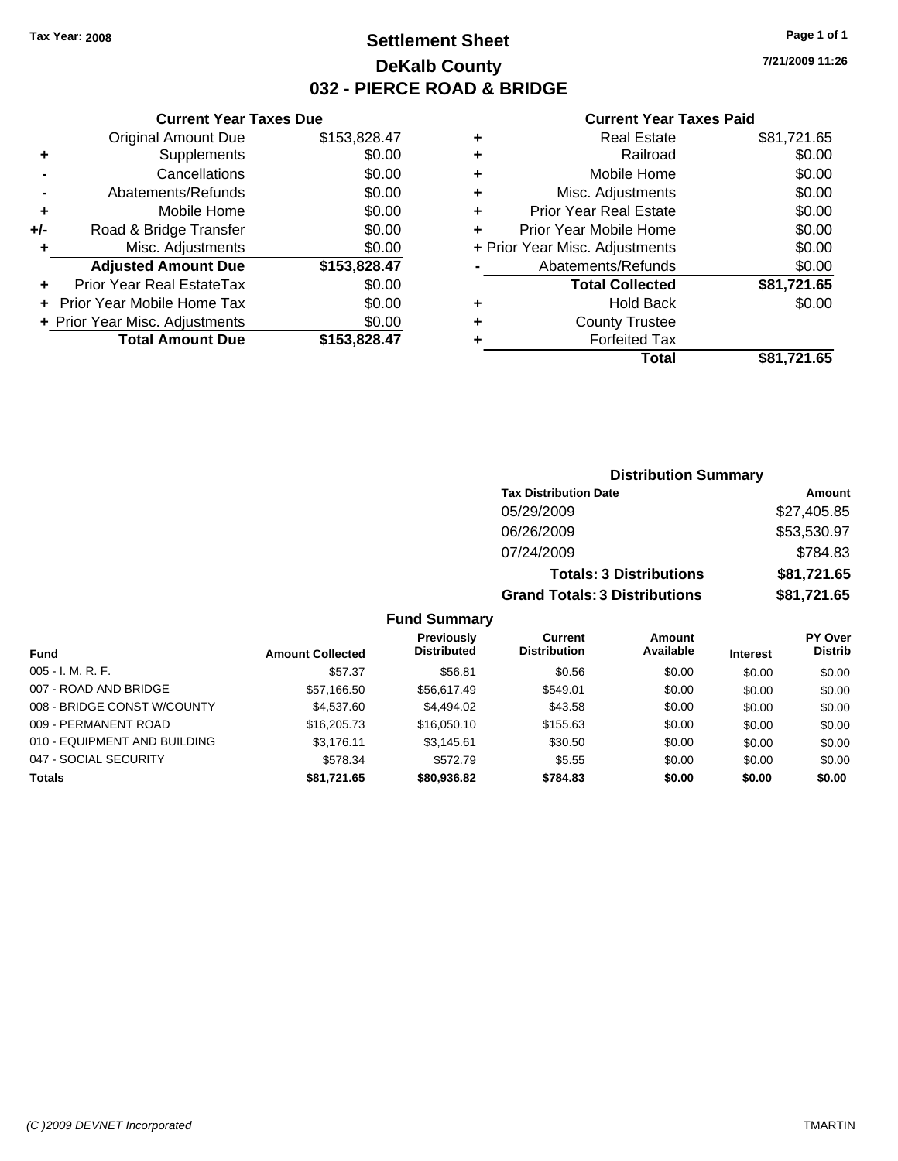### **Settlement Sheet Tax Year: 2008 Page 1 of 1 DeKalb County 032 - PIERCE ROAD & BRIDGE**

**7/21/2009 11:26**

### **Current Year Taxes Paid**

|     | <b>Current Year Taxes Due</b>  |              |
|-----|--------------------------------|--------------|
|     | <b>Original Amount Due</b>     | \$153,828.47 |
| ٠   | Supplements                    | \$0.00       |
|     | Cancellations                  | \$0.00       |
|     | Abatements/Refunds             | \$0.00       |
| ٠   | Mobile Home                    | \$0.00       |
| +/- | Road & Bridge Transfer         | \$0.00       |
| ٠   | Misc. Adjustments              | \$0.00       |
|     | <b>Adjusted Amount Due</b>     | \$153,828.47 |
|     | Prior Year Real EstateTax      | \$0.00       |
|     | Prior Year Mobile Home Tax     | \$0.00       |
|     | + Prior Year Misc. Adjustments | \$0.00       |
|     | <b>Total Amount Due</b>        | \$153,828.47 |
|     |                                |              |

| ٠ | <b>Real Estate</b>             | \$81,721.65 |
|---|--------------------------------|-------------|
| ٠ | Railroad                       | \$0.00      |
| ٠ | Mobile Home                    | \$0.00      |
| ÷ | Misc. Adjustments              | \$0.00      |
| ٠ | <b>Prior Year Real Estate</b>  | \$0.00      |
| ٠ | Prior Year Mobile Home         | \$0.00      |
|   | + Prior Year Misc. Adjustments | \$0.00      |
|   | Abatements/Refunds             | \$0.00      |
|   | <b>Total Collected</b>         | \$81,721.65 |
| ٠ | Hold Back                      | \$0.00      |
| ٠ | <b>County Trustee</b>          |             |
| ٠ | <b>Forfeited Tax</b>           |             |
|   | Total                          | \$81,721.65 |
|   |                                |             |

### **Distribution Summary Tax Distribution Date Amount** 05/29/2009 \$27,405.85 06/26/2009 \$53,530.97 07/24/2009 \$784.83 **Totals: 3 Distributions \$81,721.65 Grand Totals: 3 Distributions \$81,721.65**

|                              |                         | <b>Previously</b>  | Current             | Amount    |                 | PY Over        |
|------------------------------|-------------------------|--------------------|---------------------|-----------|-----------------|----------------|
| <b>Fund</b>                  | <b>Amount Collected</b> | <b>Distributed</b> | <b>Distribution</b> | Available | <b>Interest</b> | <b>Distrib</b> |
| $005 - I. M. R. F.$          | \$57.37                 | \$56.81            | \$0.56              | \$0.00    | \$0.00          | \$0.00         |
| 007 - ROAD AND BRIDGE        | \$57,166.50             | \$56,617.49        | \$549.01            | \$0.00    | \$0.00          | \$0.00         |
| 008 - BRIDGE CONST W/COUNTY  | \$4,537.60              | \$4.494.02         | \$43.58             | \$0.00    | \$0.00          | \$0.00         |
| 009 - PERMANENT ROAD         | \$16,205,73             | \$16,050.10        | \$155.63            | \$0.00    | \$0.00          | \$0.00         |
| 010 - EQUIPMENT AND BUILDING | \$3.176.11              | \$3.145.61         | \$30.50             | \$0.00    | \$0.00          | \$0.00         |
| 047 - SOCIAL SECURITY        | \$578.34                | \$572.79           | \$5.55              | \$0.00    | \$0.00          | \$0.00         |
| <b>Totals</b>                | \$81,721.65             | \$80,936,82        | \$784.83            | \$0.00    | \$0.00          | \$0.00         |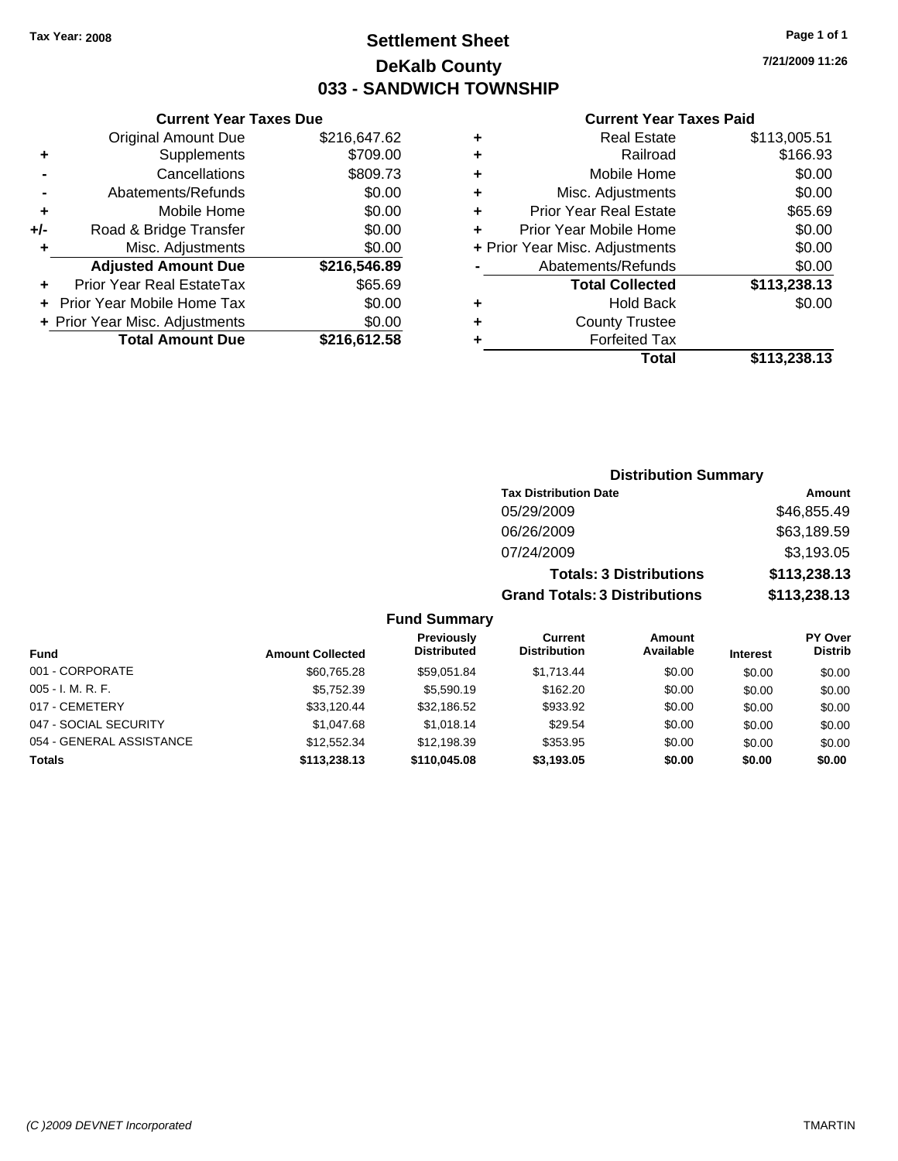### **Settlement Sheet Tax Year: 2008 Page 1 of 1 DeKalb County 033 - SANDWICH TOWNSHIP**

**7/21/2009 11:26**

#### **Current Year Taxes Due**

|       | <b>Original Amount Due</b>     | \$216,647.62 |
|-------|--------------------------------|--------------|
| ٠     | Supplements                    | \$709.00     |
|       | Cancellations                  | \$809.73     |
|       | Abatements/Refunds             | \$0.00       |
| ÷     | Mobile Home                    | \$0.00       |
| $+/-$ | Road & Bridge Transfer         | \$0.00       |
| ٠     | Misc. Adjustments              | \$0.00       |
|       | <b>Adjusted Amount Due</b>     | \$216,546.89 |
|       | Prior Year Real EstateTax      | \$65.69      |
|       | Prior Year Mobile Home Tax     | \$0.00       |
|       | + Prior Year Misc. Adjustments | \$0.00       |
|       | <b>Total Amount Due</b>        | \$216,612.58 |

#### **Current Year Taxes Paid**

|   | Total                          | \$113,238.13 |
|---|--------------------------------|--------------|
| ٠ | <b>Forfeited Tax</b>           |              |
| ٠ | <b>County Trustee</b>          |              |
| ٠ | <b>Hold Back</b>               | \$0.00       |
|   | <b>Total Collected</b>         | \$113,238.13 |
|   | Abatements/Refunds             | \$0.00       |
|   | + Prior Year Misc. Adjustments | \$0.00       |
| ٠ | Prior Year Mobile Home         | \$0.00       |
| ٠ | Prior Year Real Estate         | \$65.69      |
| ٠ | Misc. Adjustments              | \$0.00       |
| ÷ | Mobile Home                    | \$0.00       |
| ٠ | Railroad                       | \$166.93     |
| ٠ | <b>Real Estate</b>             | \$113,005.51 |

### **Distribution Summary Tax Distribution Date Amount** 05/29/2009 \$46,855.49 06/26/2009 \$63,189.59 07/24/2009 \$3,193.05 **Totals: 3 Distributions \$113,238.13 Grand Totals: 3 Distributions \$113,238.13**

| <b>Fund</b>              | <b>Amount Collected</b> | Previously<br><b>Distributed</b> | Current<br><b>Distribution</b> | <b>Amount</b><br>Available | <b>Interest</b> | <b>PY Over</b><br><b>Distrib</b> |
|--------------------------|-------------------------|----------------------------------|--------------------------------|----------------------------|-----------------|----------------------------------|
| 001 - CORPORATE          | \$60,765.28             | \$59.051.84                      | \$1.713.44                     | \$0.00                     | \$0.00          | \$0.00                           |
| $005 - I. M. R. F.$      | \$5,752.39              | \$5,590.19                       | \$162.20                       | \$0.00                     | \$0.00          | \$0.00                           |
| 017 - CEMETERY           | \$33.120.44             | \$32,186.52                      | \$933.92                       | \$0.00                     | \$0.00          | \$0.00                           |
| 047 - SOCIAL SECURITY    | \$1,047.68              | \$1.018.14                       | \$29.54                        | \$0.00                     | \$0.00          | \$0.00                           |
| 054 - GENERAL ASSISTANCE | \$12.552.34             | \$12,198.39                      | \$353.95                       | \$0.00                     | \$0.00          | \$0.00                           |
| <b>Totals</b>            | \$113,238.13            | \$110,045,08                     | \$3,193.05                     | \$0.00                     | \$0.00          | \$0.00                           |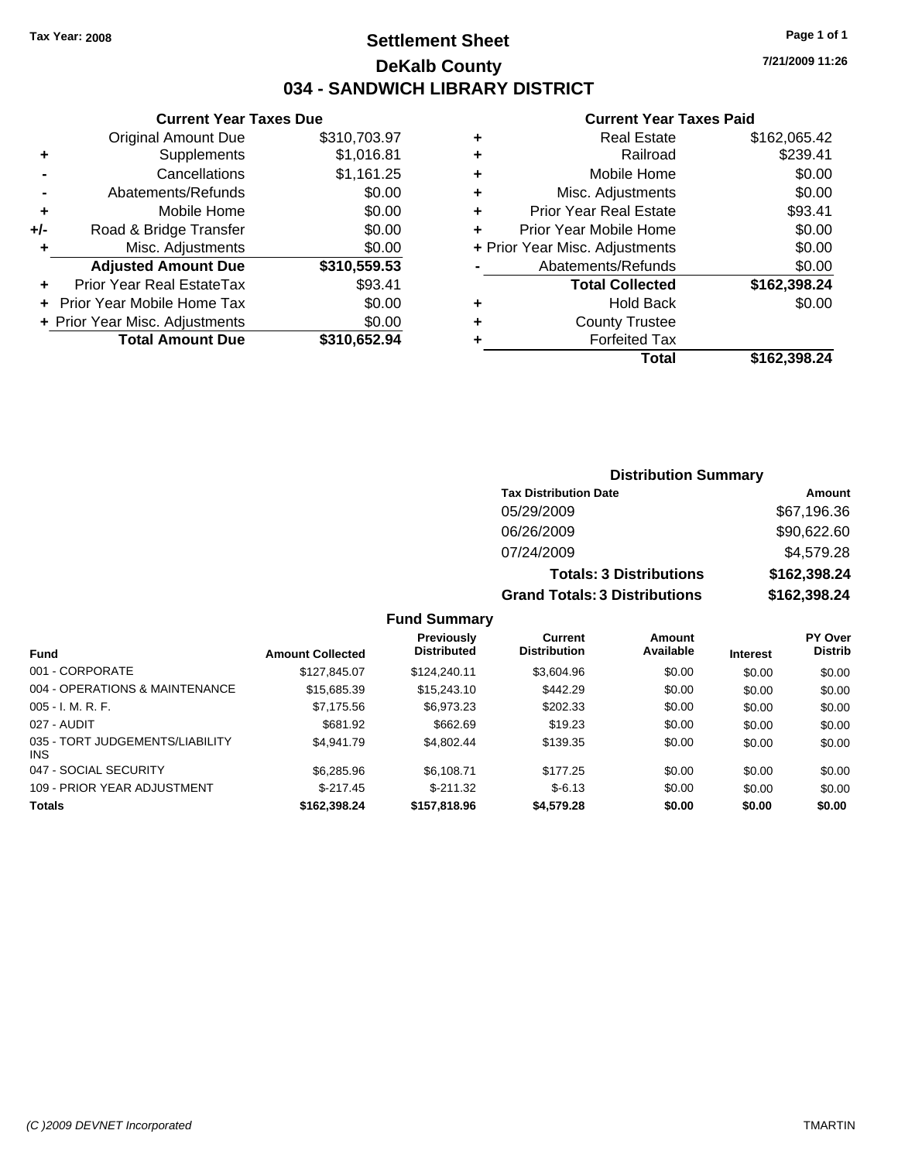### **Settlement Sheet Tax Year: 2008 Page 1 of 1 DeKalb County 034 - SANDWICH LIBRARY DISTRICT**

**7/21/2009 11:26**

#### **Current Year Taxes Paid**

|     | <b>Current Year Taxes Due</b>  |              |           |
|-----|--------------------------------|--------------|-----------|
|     | <b>Original Amount Due</b>     | \$310,703.97 |           |
|     | Supplements                    | \$1,016.81   | ٠         |
|     | Cancellations                  | \$1,161.25   | ٠         |
|     | Abatements/Refunds             | \$0.00       | ٠         |
|     | Mobile Home                    | \$0.00       | ٠         |
| +/- | Road & Bridge Transfer         | \$0.00       |           |
|     | Misc. Adjustments              | \$0.00       | $+$ Prior |
|     | <b>Adjusted Amount Due</b>     | \$310,559.53 |           |
|     | Prior Year Real EstateTax      | \$93.41      |           |
|     | Prior Year Mobile Home Tax     | \$0.00       | ٠         |
|     | + Prior Year Misc. Adjustments | \$0.00       |           |
|     | <b>Total Amount Due</b>        | \$310,652.94 |           |
|     |                                |              |           |

|   | Total                          | \$162,398.24 |
|---|--------------------------------|--------------|
| ٠ | <b>Forfeited Tax</b>           |              |
| ٠ | <b>County Trustee</b>          |              |
| ٠ | Hold Back                      | \$0.00       |
|   | <b>Total Collected</b>         | \$162,398.24 |
|   | Abatements/Refunds             | \$0.00       |
|   | + Prior Year Misc. Adjustments | \$0.00       |
| ÷ | Prior Year Mobile Home         | \$0.00       |
| ٠ | <b>Prior Year Real Estate</b>  | \$93.41      |
| ٠ | Misc. Adjustments              | \$0.00       |
| ٠ | Mobile Home                    | \$0.00       |
| ٠ | Railroad                       | \$239.41     |
|   | <b>Real Estate</b>             | \$162,065.42 |

### **Distribution Summary Tax Distribution Date Amount** 05/29/2009 \$67,196.36 06/26/2009 \$90,622.60 07/24/2009 \$4,579.28 **Totals: 3 Distributions \$162,398.24 Grand Totals: 3 Distributions \$162,398.24**

|                                               |                         | <b>Previously</b><br><b>Distributed</b> | <b>Current</b><br><b>Distribution</b> | Amount<br>Available |                 | <b>PY Over</b><br><b>Distrib</b> |
|-----------------------------------------------|-------------------------|-----------------------------------------|---------------------------------------|---------------------|-----------------|----------------------------------|
| <b>Fund</b>                                   | <b>Amount Collected</b> |                                         |                                       |                     | <b>Interest</b> |                                  |
| 001 - CORPORATE                               | \$127.845.07            | \$124,240.11                            | \$3,604.96                            | \$0.00              | \$0.00          | \$0.00                           |
| 004 - OPERATIONS & MAINTENANCE                | \$15,685.39             | \$15,243.10                             | \$442.29                              | \$0.00              | \$0.00          | \$0.00                           |
| $005 - I. M. R. F.$                           | \$7,175.56              | \$6,973.23                              | \$202.33                              | \$0.00              | \$0.00          | \$0.00                           |
| 027 - AUDIT                                   | \$681.92                | \$662.69                                | \$19.23                               | \$0.00              | \$0.00          | \$0.00                           |
| 035 - TORT JUDGEMENTS/LIABILITY<br><b>INS</b> | \$4.941.79              | \$4.802.44                              | \$139.35                              | \$0.00              | \$0.00          | \$0.00                           |
| 047 - SOCIAL SECURITY                         | \$6,285.96              | \$6.108.71                              | \$177.25                              | \$0.00              | \$0.00          | \$0.00                           |
| 109 - PRIOR YEAR ADJUSTMENT                   | $$-217.45$              | $$-211.32$                              | $$-6.13$                              | \$0.00              | \$0.00          | \$0.00                           |
| <b>Totals</b>                                 | \$162.398.24            | \$157,818.96                            | \$4,579.28                            | \$0.00              | \$0.00          | \$0.00                           |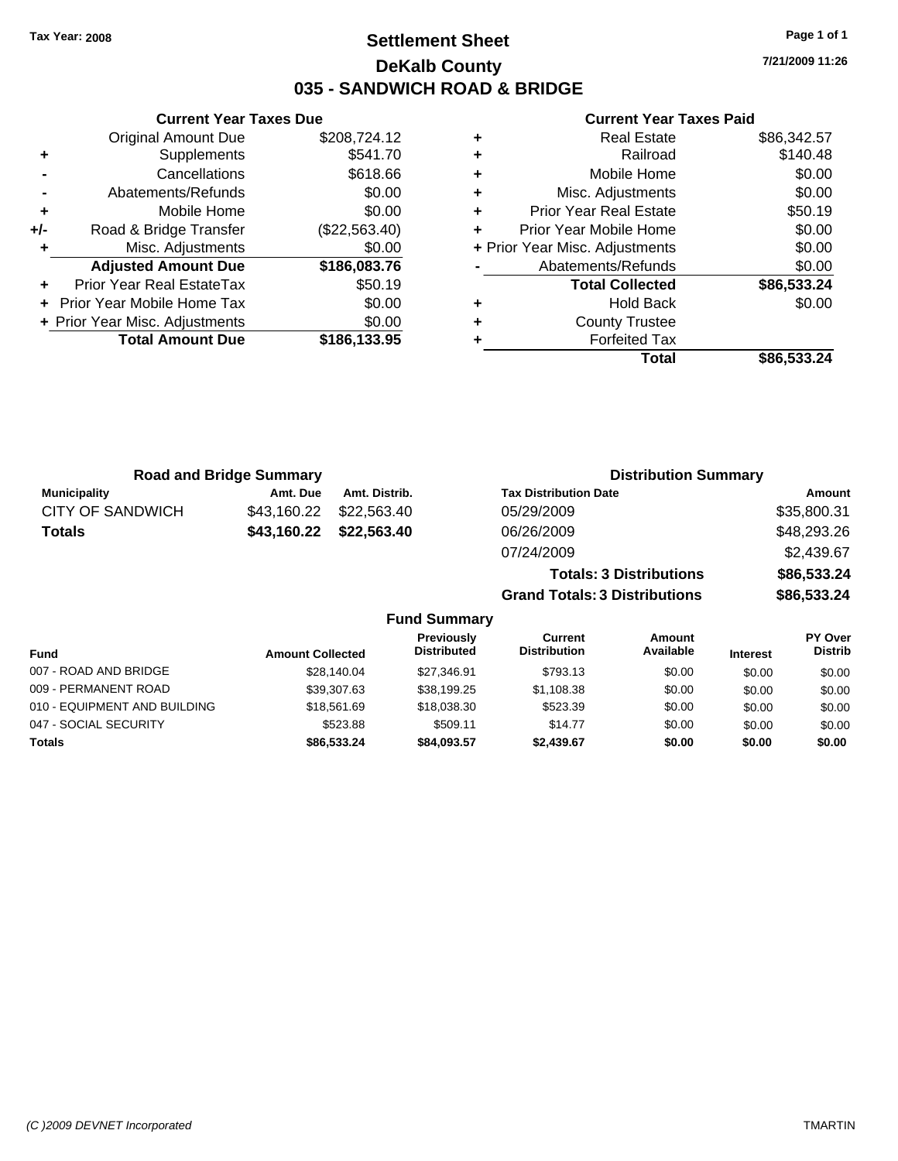### **Settlement Sheet Tax Year: 2008 Page 1 of 1 DeKalb County 035 - SANDWICH ROAD & BRIDGE**

**7/21/2009 11:26**

|     | <b>Current Year Taxes Due</b>  |               |
|-----|--------------------------------|---------------|
|     | <b>Original Amount Due</b>     | \$208,724.12  |
| ٠   | Supplements                    | \$541.70      |
|     | Cancellations                  | \$618.66      |
|     | Abatements/Refunds             | \$0.00        |
| ٠   | Mobile Home                    | \$0.00        |
| +/- | Road & Bridge Transfer         | (\$22,563.40) |
| ٠   | Misc. Adjustments              | \$0.00        |
|     | <b>Adjusted Amount Due</b>     | \$186,083.76  |
|     | Prior Year Real EstateTax      | \$50.19       |
|     | Prior Year Mobile Home Tax     | \$0.00        |
|     | + Prior Year Misc. Adjustments | \$0.00        |
|     | <b>Total Amount Due</b>        | \$186,133.95  |
|     |                                |               |

|   | <b>Real Estate</b>             | \$86,342.57 |
|---|--------------------------------|-------------|
| ٠ | Railroad                       | \$140.48    |
| ٠ | Mobile Home                    | \$0.00      |
| ٠ | Misc. Adjustments              | \$0.00      |
| ٠ | <b>Prior Year Real Estate</b>  | \$50.19     |
|   | Prior Year Mobile Home         | \$0.00      |
|   | + Prior Year Misc. Adjustments | \$0.00      |
|   | Abatements/Refunds             | \$0.00      |
|   | <b>Total Collected</b>         | \$86,533.24 |
| ٠ | <b>Hold Back</b>               | \$0.00      |
| ٠ | <b>County Trustee</b>          |             |
|   | <b>Forfeited Tax</b>           |             |
|   | Total                          | \$86,533.24 |

| <b>Road and Bridge Summary</b> |             |               | <b>Distribution Summary</b>          |             |  |  |
|--------------------------------|-------------|---------------|--------------------------------------|-------------|--|--|
| <b>Municipality</b>            | Amt. Due    | Amt. Distrib. | <b>Tax Distribution Date</b>         | Amount      |  |  |
| CITY OF SANDWICH               | \$43,160.22 | \$22,563.40   | 05/29/2009                           | \$35,800.31 |  |  |
| <b>Totals</b>                  | \$43,160.22 | \$22,563.40   | 06/26/2009                           | \$48,293.26 |  |  |
|                                |             |               | 07/24/2009                           | \$2,439.67  |  |  |
|                                |             |               | <b>Totals: 3 Distributions</b>       | \$86,533.24 |  |  |
|                                |             |               | <b>Grand Totals: 3 Distributions</b> | \$86,533.24 |  |  |

| <b>Fund Summary</b>          |                         |                                         |                                |                     |                 |                           |
|------------------------------|-------------------------|-----------------------------------------|--------------------------------|---------------------|-----------------|---------------------------|
| <b>Fund</b>                  | <b>Amount Collected</b> | <b>Previously</b><br><b>Distributed</b> | Current<br><b>Distribution</b> | Amount<br>Available | <b>Interest</b> | PY Over<br><b>Distrib</b> |
| 007 - ROAD AND BRIDGE        | \$28,140.04             | \$27.346.91                             | \$793.13                       | \$0.00              | \$0.00          | \$0.00                    |
| 009 - PERMANENT ROAD         | \$39,307.63             | \$38,199.25                             | \$1,108.38                     | \$0.00              | \$0.00          | \$0.00                    |
| 010 - EQUIPMENT AND BUILDING | \$18,561.69             | \$18,038,30                             | \$523.39                       | \$0.00              | \$0.00          | \$0.00                    |
| 047 - SOCIAL SECURITY        | \$523.88                | \$509.11                                | \$14.77                        | \$0.00              | \$0.00          | \$0.00                    |
| <b>Totals</b>                | \$86,533,24             | \$84.093.57                             | \$2,439.67                     | \$0.00              | \$0.00          | \$0.00                    |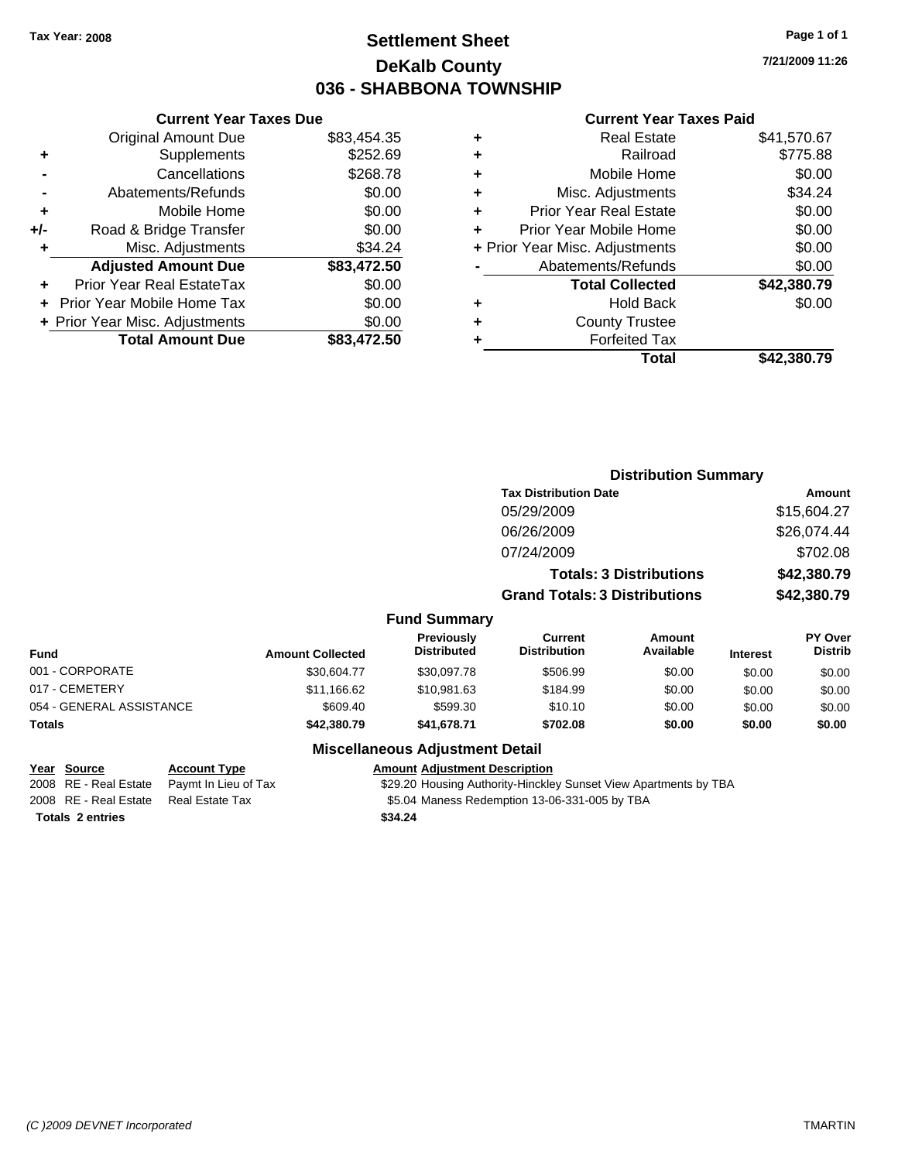## **Settlement Sheet Tax Year: 2008 Page 1 of 1 DeKalb County 036 - SHABBONA TOWNSHIP**

**7/21/2009 11:26**

### **Current Year Taxes Paid**

|     | <b>Current Year Taxes Due</b>  |             |  |
|-----|--------------------------------|-------------|--|
|     | <b>Original Amount Due</b>     | \$83,454.35 |  |
| ٠   | <b>Supplements</b>             | \$252.69    |  |
|     | Cancellations                  | \$268.78    |  |
|     | Abatements/Refunds             | \$0.00      |  |
| ٠   | Mobile Home                    | \$0.00      |  |
| +/- | Road & Bridge Transfer         | \$0.00      |  |
| ٠   | Misc. Adjustments              | \$34.24     |  |
|     | <b>Adjusted Amount Due</b>     | \$83,472.50 |  |
| ٠   | Prior Year Real EstateTax      | \$0.00      |  |
|     | Prior Year Mobile Home Tax     | \$0.00      |  |
|     | + Prior Year Misc. Adjustments | \$0.00      |  |
|     | <b>Total Amount Due</b>        | \$83,472.50 |  |
|     |                                |             |  |

|   | <b>Real Estate</b>             | \$41,570.67 |
|---|--------------------------------|-------------|
| ٠ | Railroad                       | \$775.88    |
| ٠ | Mobile Home                    | \$0.00      |
| ٠ | Misc. Adjustments              | \$34.24     |
| ٠ | <b>Prior Year Real Estate</b>  | \$0.00      |
| ÷ | Prior Year Mobile Home         | \$0.00      |
|   | + Prior Year Misc. Adjustments | \$0.00      |
|   | Abatements/Refunds             | \$0.00      |
|   | <b>Total Collected</b>         | \$42,380.79 |
| ٠ | Hold Back                      | \$0.00      |
| ٠ | <b>County Trustee</b>          |             |
| ٠ | <b>Forfeited Tax</b>           |             |
|   | Total                          | \$42.380.79 |
|   |                                |             |

|                          |                         |                                  |                                       | <b>Distribution Summary</b>    |                 |                           |
|--------------------------|-------------------------|----------------------------------|---------------------------------------|--------------------------------|-----------------|---------------------------|
|                          |                         |                                  | <b>Tax Distribution Date</b>          |                                |                 | Amount                    |
|                          |                         |                                  | 05/29/2009                            |                                |                 | \$15,604.27               |
|                          |                         |                                  | 06/26/2009                            |                                |                 | \$26,074.44               |
|                          |                         |                                  | 07/24/2009                            |                                |                 | \$702.08                  |
|                          |                         |                                  |                                       | <b>Totals: 3 Distributions</b> |                 | \$42,380.79               |
|                          |                         |                                  | <b>Grand Totals: 3 Distributions</b>  |                                |                 | \$42,380.79               |
|                          |                         | <b>Fund Summary</b>              |                                       |                                |                 |                           |
| <b>Fund</b>              | <b>Amount Collected</b> | Previously<br><b>Distributed</b> | <b>Current</b><br><b>Distribution</b> | <b>Amount</b><br>Available     | <b>Interest</b> | PY Over<br><b>Distrib</b> |
| 001 - CORPORATE          | \$30,604.77             | \$30,097.78                      | \$506.99                              | \$0.00                         | \$0.00          | \$0.00                    |
| 017 - CEMETERY           | \$11,166.62             | \$10,981.63                      | \$184.99                              | \$0.00                         | \$0.00          | \$0.00                    |
| 054 - GENERAL ASSISTANCE | \$609.40                | \$599.30                         | \$10.10                               | \$0.00                         | \$0.00          | \$0.00                    |
| Totals                   | \$42,380.79             | \$41,678.71                      | \$702.08                              | \$0.00                         | \$0.00          | \$0.00                    |
|                          |                         | Miccollanceus Adiustment Detail  |                                       |                                |                 |                           |

### **Miscellaneous Adjustment Detail**

### **Year Source Account Type Amount Adjustment Description**

2008 RE - Real Estate Paymt In Lieu of Tax \$29.20 Housing Authority-Hinckley Sunset View Apartments by TBA 2008 RE - Real Estate Real Estate Tax \$5.04 Maness Redemption 13-06-331-005 by TBA

**Totals \$34.24 2 entries**

*(C )2009 DEVNET Incorporated* TMARTIN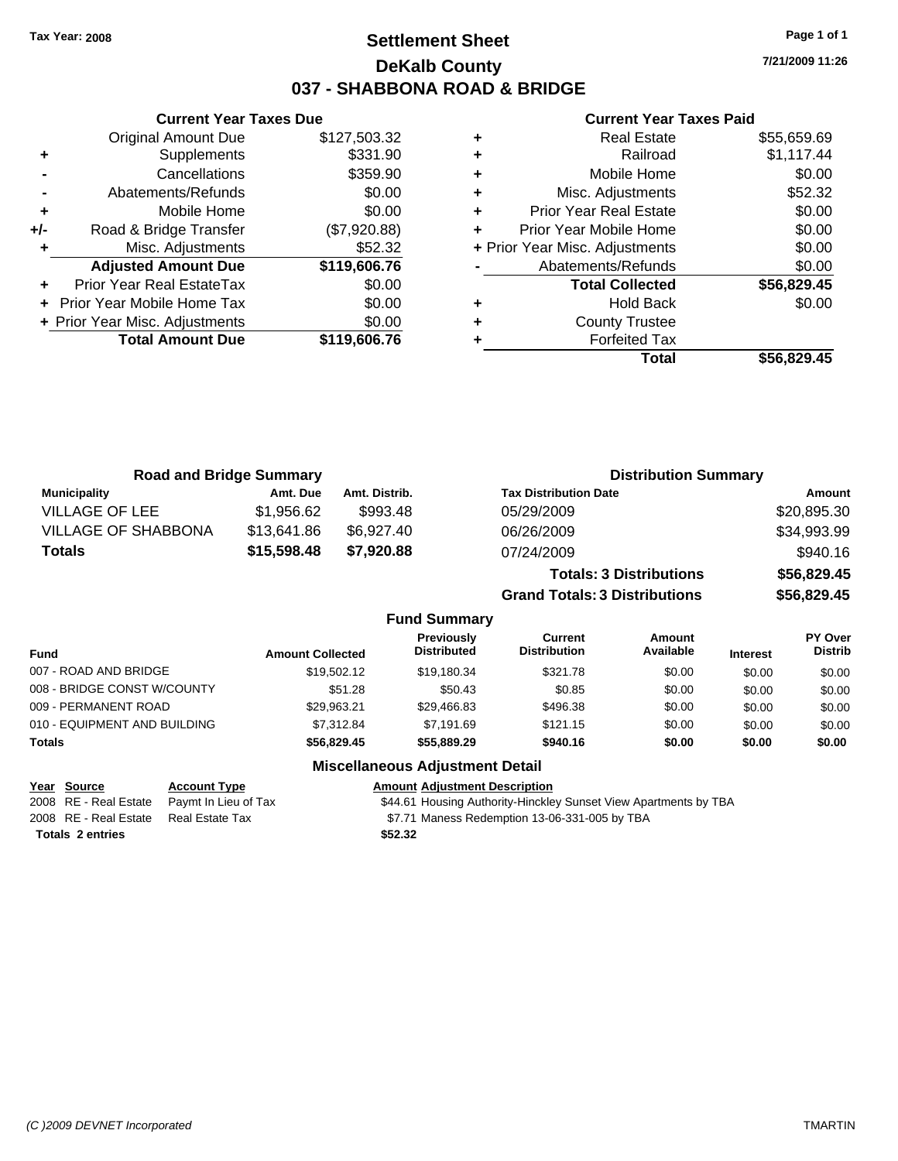## **Settlement Sheet Tax Year: 2008 Page 1 of 1 DeKalb County 037 - SHABBONA ROAD & BRIDGE**

**7/21/2009 11:26**

### **Current Year Taxes Paid**

|     | <b>Current Year Taxes Due</b>  |              |
|-----|--------------------------------|--------------|
|     | Original Amount Due            | \$127,503.32 |
| ٠   | Supplements                    | \$331.90     |
|     | Cancellations                  | \$359.90     |
|     | Abatements/Refunds             | \$0.00       |
| ٠   | Mobile Home                    | \$0.00       |
| +/- | Road & Bridge Transfer         | (\$7,920.88) |
| ٠   | Misc. Adjustments              | \$52.32      |
|     | <b>Adjusted Amount Due</b>     | \$119,606.76 |
|     | Prior Year Real EstateTax      | \$0.00       |
|     | Prior Year Mobile Home Tax     | \$0.00       |
|     | + Prior Year Misc. Adjustments | \$0.00       |
|     | <b>Total Amount Due</b>        | \$119,606.76 |
|     |                                |              |

|   | <b>Real Estate</b>             | \$55,659.69 |
|---|--------------------------------|-------------|
| ٠ | Railroad                       | \$1,117.44  |
| ٠ | Mobile Home                    | \$0.00      |
| ٠ | Misc. Adjustments              | \$52.32     |
| ٠ | <b>Prior Year Real Estate</b>  | \$0.00      |
|   | Prior Year Mobile Home         | \$0.00      |
|   | + Prior Year Misc. Adjustments | \$0.00      |
|   | Abatements/Refunds             | \$0.00      |
|   | <b>Total Collected</b>         | \$56,829.45 |
|   | <b>Hold Back</b>               | \$0.00      |
| ٠ | <b>County Trustee</b>          |             |
|   | <b>Forfeited Tax</b>           |             |
|   | Total                          | \$56.829.45 |

| <b>Road and Bridge Summary</b> |             |               | <b>Distribution Summary</b>    |             |
|--------------------------------|-------------|---------------|--------------------------------|-------------|
| <b>Municipality</b>            | Amt. Due    | Amt. Distrib. | <b>Tax Distribution Date</b>   | Amount      |
| <b>VILLAGE OF LEE</b>          | \$1.956.62  | \$993.48      | 05/29/2009                     | \$20,895.30 |
| <b>VILLAGE OF SHABBONA</b>     | \$13,641.86 | \$6,927.40    | 06/26/2009                     | \$34,993.99 |
| <b>Totals</b>                  | \$15,598.48 | \$7,920.88    | 07/24/2009                     | \$940.16    |
|                                |             |               | <b>Totals: 3 Distributions</b> | \$56,829.45 |

**Grand Totals: 3 Distributions \$56,829.45**

### **Fund Summary**

| Fund                         | <b>Amount Collected</b> | <b>Previously</b><br><b>Distributed</b> | Current<br><b>Distribution</b> | Amount<br>Available | <b>Interest</b> | <b>PY Over</b><br><b>Distrib</b> |
|------------------------------|-------------------------|-----------------------------------------|--------------------------------|---------------------|-----------------|----------------------------------|
| 007 - ROAD AND BRIDGE        | \$19,502.12             | \$19.180.34                             | \$321.78                       | \$0.00              | \$0.00          | \$0.00                           |
| 008 - BRIDGE CONST W/COUNTY  | \$51.28                 | \$50.43                                 | \$0.85                         | \$0.00              | \$0.00          | \$0.00                           |
| 009 - PERMANENT ROAD         | \$29.963.21             | \$29,466.83                             | \$496.38                       | \$0.00              | \$0.00          | \$0.00                           |
| 010 - EQUIPMENT AND BUILDING | \$7.312.84              | \$7.191.69                              | \$121.15                       | \$0.00              | \$0.00          | \$0.00                           |
| Totals                       | \$56,829.45             | \$55,889,29                             | \$940.16                       | \$0.00              | \$0.00          | \$0.00                           |

### **Miscellaneous Adjustment Detail**

**Totals \$52.32 2 entries**

**Year Source Account Type Amount Adjustment Description** 2008 RE - Real Estate Paymt In Lieu of Tax \$44.61 Housing Authority-Hinckley Sunset View Apartments by TBA

2008 RE - Real Estate Real Estate Tax \$7.71 Maness Redemption 13-06-331-005 by TBA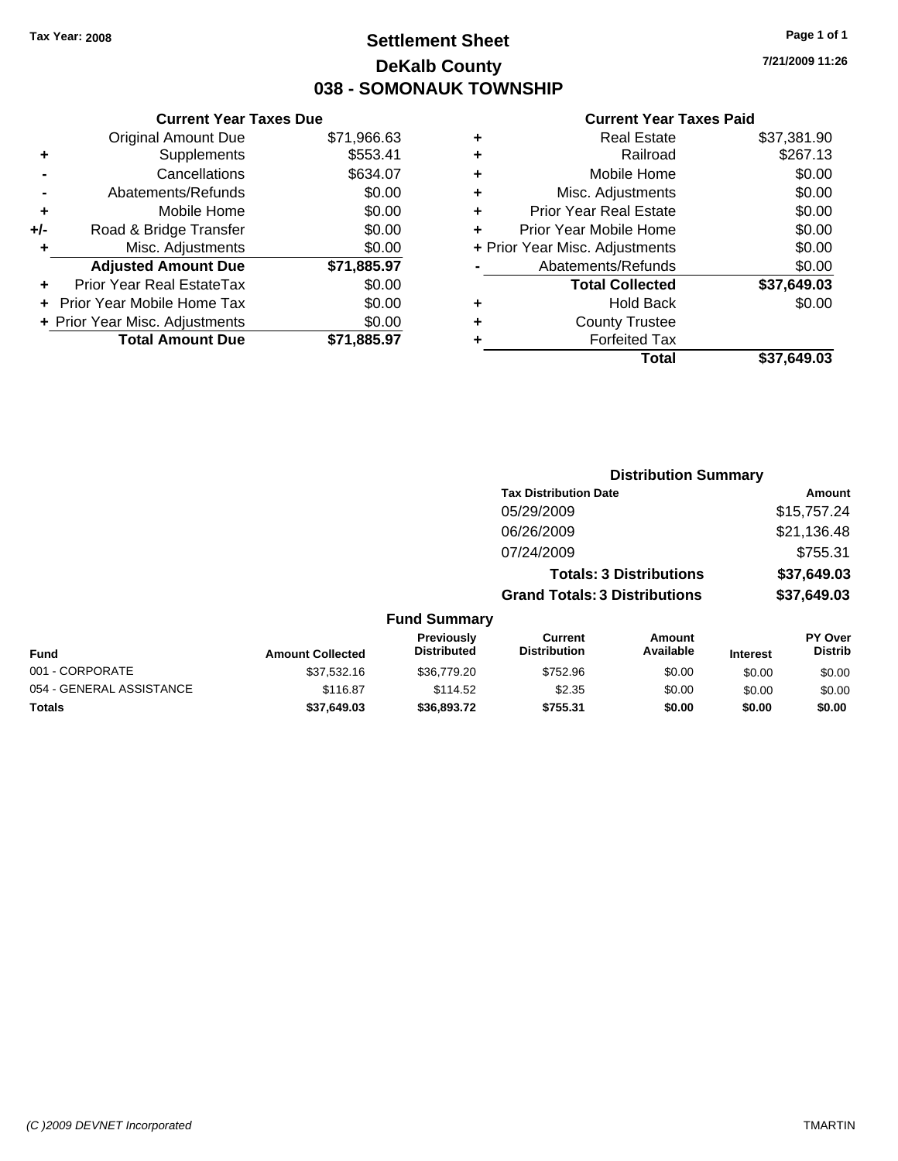## **Settlement Sheet Tax Year: 2008 Page 1 of 1 DeKalb County 038 - SOMONAUK TOWNSHIP**

**7/21/2009 11:26**

### **Current Year Taxes Paid**

|     | <b>Current Year Taxes Due</b>    |             |
|-----|----------------------------------|-------------|
|     | <b>Original Amount Due</b>       | \$71,966.63 |
| ٠   | Supplements                      | \$553.41    |
|     | Cancellations                    | \$634.07    |
|     | Abatements/Refunds               | \$0.00      |
| ٠   | Mobile Home                      | \$0.00      |
| +/- | Road & Bridge Transfer           | \$0.00      |
| ٠   | Misc. Adjustments                | \$0.00      |
|     | <b>Adjusted Amount Due</b>       | \$71,885.97 |
| ٠   | <b>Prior Year Real EstateTax</b> | \$0.00      |
|     | Prior Year Mobile Home Tax       | \$0.00      |
|     | + Prior Year Misc. Adjustments   | \$0.00      |
|     | <b>Total Amount Due</b>          | \$71,885.97 |
|     |                                  |             |

|   | <b>Real Estate</b>             | \$37,381.90 |
|---|--------------------------------|-------------|
| ٠ | Railroad                       | \$267.13    |
| ٠ | Mobile Home                    | \$0.00      |
| ٠ | Misc. Adjustments              | \$0.00      |
| ÷ | <b>Prior Year Real Estate</b>  | \$0.00      |
|   | Prior Year Mobile Home         | \$0.00      |
|   | + Prior Year Misc. Adjustments | \$0.00      |
|   | Abatements/Refunds             | \$0.00      |
|   | <b>Total Collected</b>         | \$37,649.03 |
| ٠ | Hold Back                      | \$0.00      |
| ٠ | <b>County Trustee</b>          |             |
|   | <b>Forfeited Tax</b>           |             |
|   | Total                          | \$37,649.03 |
|   |                                |             |

|                          |                         | <b>Distribution Summary</b>      |                                       |                                |                 |                                  |
|--------------------------|-------------------------|----------------------------------|---------------------------------------|--------------------------------|-----------------|----------------------------------|
|                          |                         |                                  | <b>Tax Distribution Date</b>          |                                |                 | <b>Amount</b>                    |
|                          |                         |                                  | 05/29/2009                            |                                |                 | \$15,757.24                      |
|                          |                         |                                  | 06/26/2009                            |                                |                 | \$21,136.48                      |
|                          |                         |                                  | 07/24/2009                            |                                |                 | \$755.31                         |
|                          |                         |                                  |                                       | <b>Totals: 3 Distributions</b> |                 | \$37,649.03                      |
|                          |                         |                                  | <b>Grand Totals: 3 Distributions</b>  |                                |                 | \$37,649.03                      |
|                          |                         | <b>Fund Summary</b>              |                                       |                                |                 |                                  |
| Fund                     | <b>Amount Collected</b> | Previously<br><b>Distributed</b> | <b>Current</b><br><b>Distribution</b> | Amount<br>Available            | <b>Interest</b> | <b>PY Over</b><br><b>Distrib</b> |
| 001 - CORPORATE          | \$37.532.16             | \$36,779.20                      | \$752.96                              | \$0.00                         | \$0.00          | \$0.00                           |
| 054 - GENERAL ASSISTANCE | \$116.87                | \$114.52                         | \$2.35                                | \$0.00                         | \$0.00          | \$0.00                           |
| Totals                   | \$37,649.03             | \$36,893.72                      | \$755.31                              | \$0.00                         | \$0.00          | \$0.00                           |
|                          |                         |                                  |                                       |                                |                 |                                  |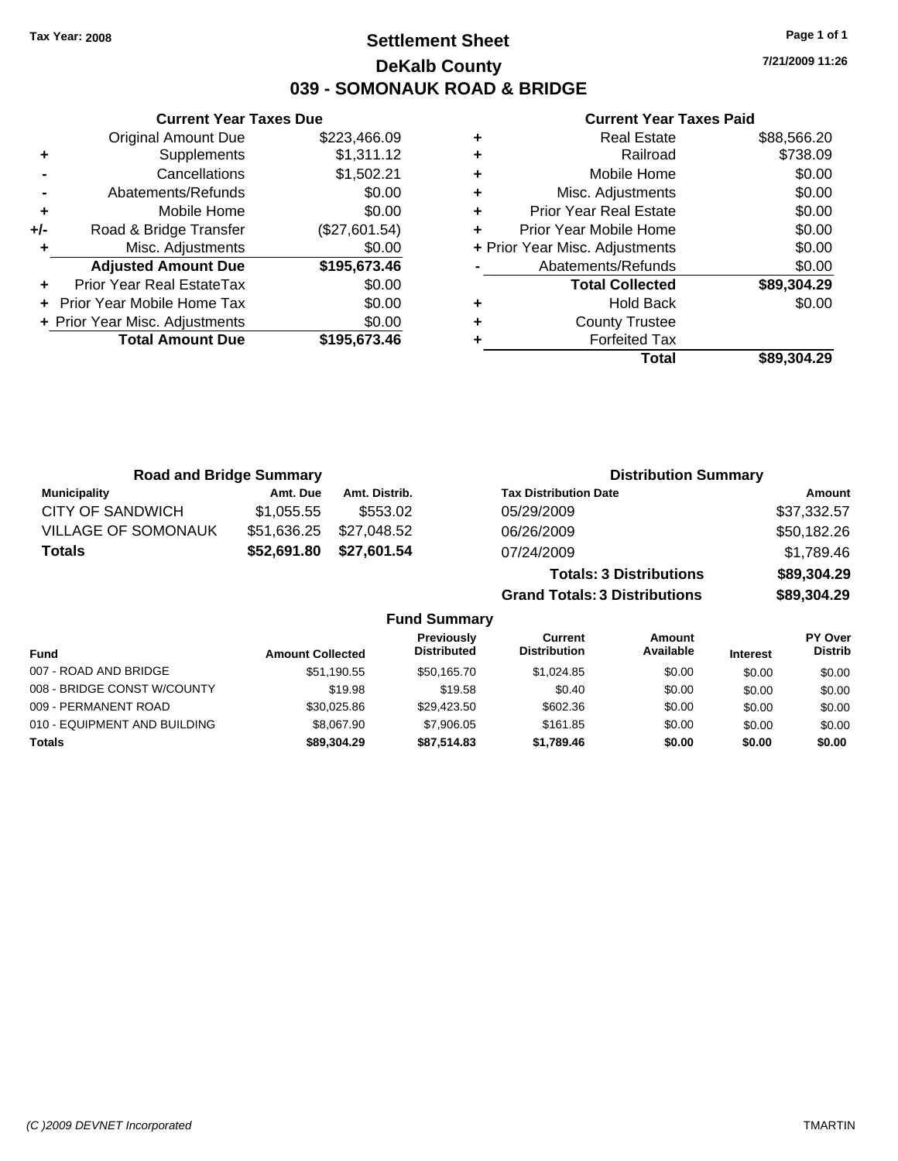## **Settlement Sheet Tax Year: 2008 Page 1 of 1 DeKalb County 039 - SOMONAUK ROAD & BRIDGE**

**Current Year Taxes Due** Original Amount Due \$223,466.09 **+** Supplements \$1,311.12 **-** Cancellations \$1,502.21 **-** Abatements/Refunds \$0.00 **+** Mobile Home \$0.00 **+/-** Road & Bridge Transfer (\$27,601.54) **+** Misc. Adjustments \$0.00 **Adjusted Amount Due \$195,673.46 +** Prior Year Real EstateTax \$0.00 **+** Prior Year Mobile Home Tax \$0.00 **+ Prior Year Misc. Adjustments \$0.00<br>Total Amount Due \$195,673.46 Total Amount Due** 

### **Current Year Taxes Paid**

|   | <b>Real Estate</b>             | \$88,566.20 |
|---|--------------------------------|-------------|
| ٠ | Railroad                       | \$738.09    |
| ٠ | Mobile Home                    | \$0.00      |
| ÷ | Misc. Adjustments              | \$0.00      |
| ٠ | <b>Prior Year Real Estate</b>  | \$0.00      |
| ÷ | Prior Year Mobile Home         | \$0.00      |
|   | + Prior Year Misc. Adjustments | \$0.00      |
|   | Abatements/Refunds             | \$0.00      |
|   | <b>Total Collected</b>         | \$89,304.29 |
| ٠ | Hold Back                      | \$0.00      |
| ٠ | <b>County Trustee</b>          |             |
|   | <b>Forfeited Tax</b>           |             |
|   | Total                          | \$89,304.29 |
|   |                                |             |

| <b>Road and Bridge Summary</b> |                         |               |                                  | <b>Distribution Summary</b>           |                                |                 |                                  |
|--------------------------------|-------------------------|---------------|----------------------------------|---------------------------------------|--------------------------------|-----------------|----------------------------------|
| <b>Municipality</b>            | Amt. Due                | Amt. Distrib. |                                  | <b>Tax Distribution Date</b>          |                                |                 | Amount                           |
| <b>CITY OF SANDWICH</b>        | \$1,055.55              | \$553.02      |                                  | 05/29/2009                            |                                |                 | \$37,332.57                      |
| <b>VILLAGE OF SOMONAUK</b>     | \$51,636.25             | \$27,048.52   |                                  | 06/26/2009                            |                                |                 | \$50,182.26                      |
| <b>Totals</b>                  | \$52,691.80             | \$27,601.54   |                                  | 07/24/2009                            |                                |                 | \$1,789.46                       |
|                                |                         |               |                                  |                                       | <b>Totals: 3 Distributions</b> |                 | \$89,304.29                      |
|                                |                         |               |                                  | <b>Grand Totals: 3 Distributions</b>  |                                |                 | \$89,304.29                      |
|                                |                         |               | <b>Fund Summary</b>              |                                       |                                |                 |                                  |
| -und                           | <b>Amount Collected</b> |               | Previously<br><b>Distributed</b> | <b>Current</b><br><b>Distribution</b> | Amount<br>Available            | <b>Interest</b> | <b>PY Over</b><br><b>Distrib</b> |

| <b>Fund</b>                  | <b>Amount Collected</b> | <b>Distributed</b> | <b>Distribution</b> | Available | <b>Interest</b> | Distrib |
|------------------------------|-------------------------|--------------------|---------------------|-----------|-----------------|---------|
| 007 - ROAD AND BRIDGE        | \$51,190.55             | \$50.165.70        | \$1.024.85          | \$0.00    | \$0.00          | \$0.00  |
| 008 - BRIDGE CONST W/COUNTY  | \$19.98                 | \$19.58            | \$0.40              | \$0.00    | \$0.00          | \$0.00  |
| 009 - PERMANENT ROAD         | \$30.025.86             | \$29.423.50        | \$602.36            | \$0.00    | \$0.00          | \$0.00  |
| 010 - EQUIPMENT AND BUILDING | \$8,067.90              | \$7,906.05         | \$161.85            | \$0.00    | \$0.00          | \$0.00  |
| <b>Totals</b>                | \$89,304.29             | \$87.514.83        | \$1.789.46          | \$0.00    | \$0.00          | \$0.00  |

**7/21/2009 11:26**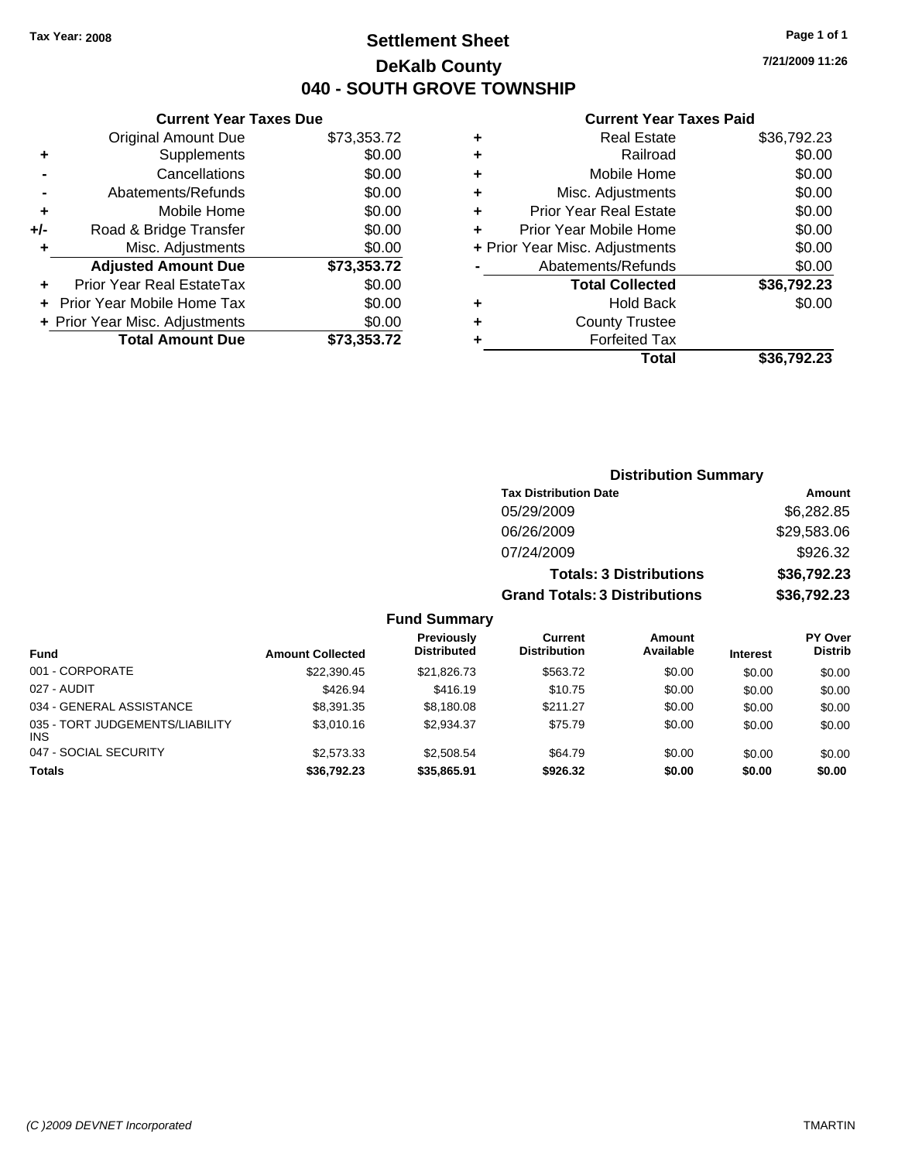## **Settlement Sheet Tax Year: 2008 Page 1 of 1 DeKalb County 040 - SOUTH GROVE TOWNSHIP**

**7/21/2009 11:26**

### **Current Year Taxes Paid**

|     | <b>Current Year Taxes Due</b>  |             |
|-----|--------------------------------|-------------|
|     | <b>Original Amount Due</b>     | \$73,353.72 |
| ٠   | Supplements                    | \$0.00      |
|     | Cancellations                  | \$0.00      |
|     | Abatements/Refunds             | \$0.00      |
| ٠   | Mobile Home                    | \$0.00      |
| +/- | Road & Bridge Transfer         | \$0.00      |
| ٠   | Misc. Adjustments              | \$0.00      |
|     | <b>Adjusted Amount Due</b>     | \$73,353.72 |
|     | Prior Year Real EstateTax      | \$0.00      |
|     | Prior Year Mobile Home Tax     | \$0.00      |
|     | + Prior Year Misc. Adjustments | \$0.00      |
|     | <b>Total Amount Due</b>        | \$73,353.72 |
|     |                                |             |

|   | <b>Real Estate</b>             | \$36,792.23 |
|---|--------------------------------|-------------|
| ٠ | Railroad                       | \$0.00      |
| ٠ | Mobile Home                    | \$0.00      |
| ٠ | Misc. Adjustments              | \$0.00      |
| ÷ | <b>Prior Year Real Estate</b>  | \$0.00      |
| ÷ | Prior Year Mobile Home         | \$0.00      |
|   | + Prior Year Misc. Adjustments | \$0.00      |
|   | Abatements/Refunds             | \$0.00      |
|   | <b>Total Collected</b>         | \$36,792.23 |
| ٠ | <b>Hold Back</b>               | \$0.00      |
| ٠ | <b>County Trustee</b>          |             |
| ٠ | <b>Forfeited Tax</b>           |             |
|   | Total                          | \$36,792.23 |
|   |                                |             |

|                                         |                         |                                  |                                       | <b>Distribution Summary</b>    |                 |                           |
|-----------------------------------------|-------------------------|----------------------------------|---------------------------------------|--------------------------------|-----------------|---------------------------|
|                                         |                         |                                  | <b>Tax Distribution Date</b>          |                                |                 | Amount                    |
|                                         |                         |                                  | 05/29/2009                            |                                |                 | \$6,282.85                |
|                                         |                         |                                  | 06/26/2009                            |                                |                 | \$29,583.06               |
|                                         |                         |                                  | 07/24/2009                            |                                |                 | \$926.32                  |
|                                         |                         |                                  |                                       | <b>Totals: 3 Distributions</b> |                 | \$36,792.23               |
|                                         |                         |                                  | <b>Grand Totals: 3 Distributions</b>  |                                |                 | \$36,792.23               |
|                                         |                         | <b>Fund Summary</b>              |                                       |                                |                 |                           |
| <b>Fund</b>                             | <b>Amount Collected</b> | Previously<br><b>Distributed</b> | <b>Current</b><br><b>Distribution</b> | <b>Amount</b><br>Available     | <b>Interest</b> | PY Over<br><b>Distrib</b> |
| 001 - CORPORATE                         | \$22,390.45             | \$21,826.73                      | \$563.72                              | \$0.00                         | \$0.00          | \$0.00                    |
| 027 - AUDIT                             | \$426.94                | \$416.19                         | \$10.75                               | \$0.00                         | \$0.00          | \$0.00                    |
| 034 - GENERAL ASSISTANCE                | \$8,391.35              | \$8,180.08                       | \$211.27                              | \$0.00                         | \$0.00          | \$0.00                    |
| 035 - TORT JUDGEMENTS/LIABILITY<br>INS. | \$3,010.16              | \$2,934.37                       | \$75.79                               | \$0.00                         | \$0.00          | \$0.00                    |
| 047 - SOCIAL SECURITY                   | \$2,573.33              | \$2,508.54                       | \$64.79                               | \$0.00                         | \$0.00          | \$0.00                    |

**Totals \$36,792.23 \$35,865.91 \$926.32 \$0.00 \$0.00 \$0.00**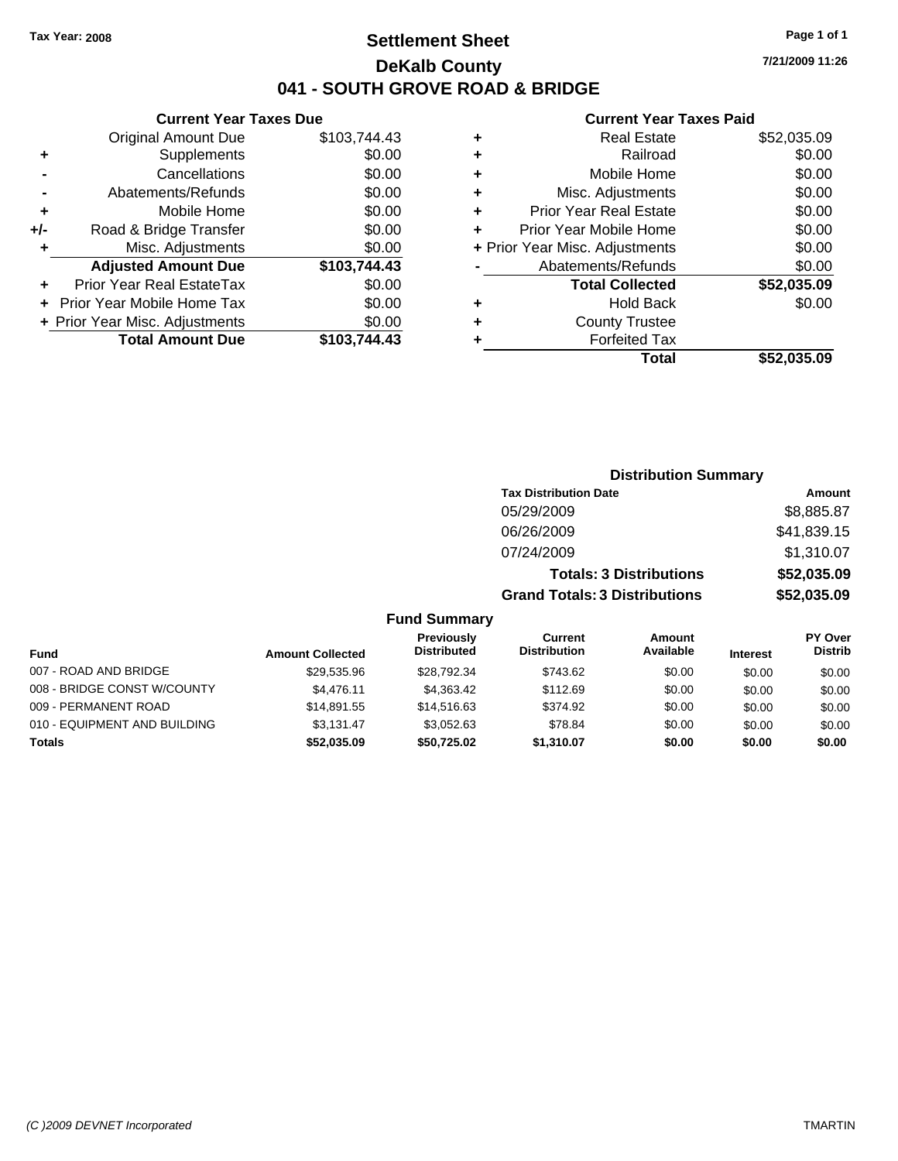## **Settlement Sheet Tax Year: 2008 Page 1 of 1 DeKalb County 041 - SOUTH GROVE ROAD & BRIDGE**

**7/21/2009 11:26**

## **Current Year Taxes Paid**

| \$103,744.43<br>\$0.00                                                                                       |
|--------------------------------------------------------------------------------------------------------------|
|                                                                                                              |
|                                                                                                              |
|                                                                                                              |
|                                                                                                              |
|                                                                                                              |
|                                                                                                              |
|                                                                                                              |
|                                                                                                              |
|                                                                                                              |
|                                                                                                              |
|                                                                                                              |
|                                                                                                              |
| \$0.00<br>\$0.00<br>\$0.00<br>\$0.00<br>\$0.00<br>\$103,744.43<br>\$0.00<br>\$0.00<br>\$0.00<br>\$103,744.43 |

| ٠ | <b>Real Estate</b>             | \$52,035.09 |
|---|--------------------------------|-------------|
| ٠ | Railroad                       | \$0.00      |
| ٠ | Mobile Home                    | \$0.00      |
| ٠ | Misc. Adjustments              | \$0.00      |
| ٠ | <b>Prior Year Real Estate</b>  | \$0.00      |
| ٠ | Prior Year Mobile Home         | \$0.00      |
|   | + Prior Year Misc. Adjustments | \$0.00      |
|   | Abatements/Refunds             | \$0.00      |
|   | <b>Total Collected</b>         | \$52,035.09 |
| ٠ | <b>Hold Back</b>               | \$0.00      |
| ٠ | <b>County Trustee</b>          |             |
|   | <b>Forfeited Tax</b>           |             |
|   | Total                          | \$52.035.09 |

|                              |                         |                                  | <b>Distribution Summary</b>           |                                |                 |                                  |
|------------------------------|-------------------------|----------------------------------|---------------------------------------|--------------------------------|-----------------|----------------------------------|
|                              |                         |                                  | <b>Tax Distribution Date</b>          |                                |                 | Amount                           |
|                              |                         |                                  | 05/29/2009                            |                                |                 | \$8,885.87                       |
|                              |                         |                                  | 06/26/2009                            |                                |                 | \$41,839.15                      |
|                              |                         |                                  | 07/24/2009                            |                                |                 | \$1,310.07                       |
|                              |                         |                                  |                                       | <b>Totals: 3 Distributions</b> |                 | \$52,035.09                      |
|                              |                         |                                  | <b>Grand Totals: 3 Distributions</b>  |                                |                 | \$52,035.09                      |
|                              |                         | <b>Fund Summary</b>              |                                       |                                |                 |                                  |
| Fund                         | <b>Amount Collected</b> | Previously<br><b>Distributed</b> | <b>Current</b><br><b>Distribution</b> | Amount<br>Available            | <b>Interest</b> | <b>PY Over</b><br><b>Distrib</b> |
| 007 - ROAD AND BRIDGE        | \$29,535.96             | \$28,792.34                      | \$743.62                              | \$0.00                         | \$0.00          | \$0.00                           |
| 008 - BRIDGE CONST W/COUNTY  | \$4,476.11              | \$4,363.42                       | \$112.69                              | \$0.00                         | \$0.00          | \$0.00                           |
| 009 - PERMANENT ROAD         | \$14,891.55             | \$14,516.63                      | \$374.92                              | \$0.00                         | \$0.00          | \$0.00                           |
| 010 - EQUIPMENT AND BUILDING | \$3,131.47              | \$3,052.63                       | \$78.84                               | \$0.00                         | \$0.00          | \$0.00                           |
|                              |                         |                                  |                                       |                                |                 |                                  |

**Totals \$52,035.09 \$50,725.02 \$1,310.07 \$0.00 \$0.00 \$0.00**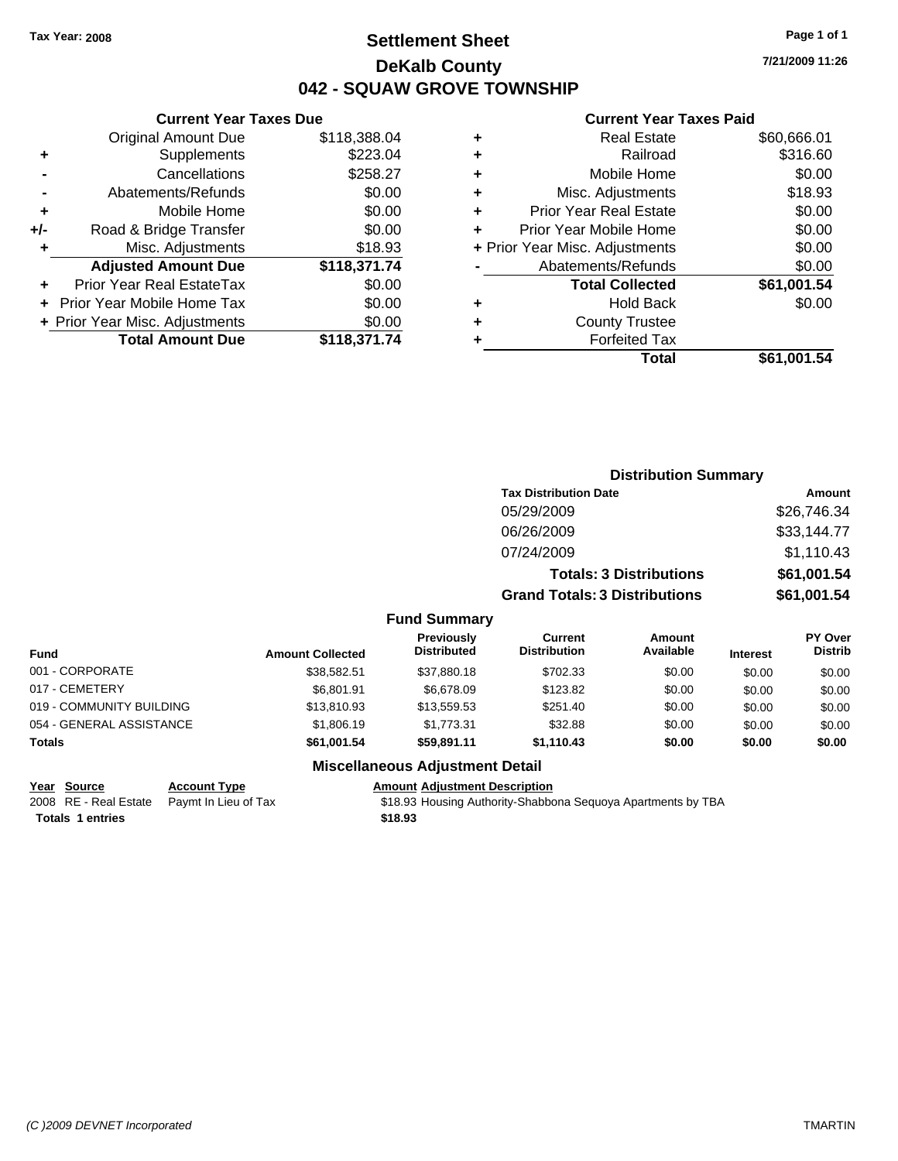## **Settlement Sheet Tax Year: 2008 Page 1 of 1 DeKalb County 042 - SQUAW GROVE TOWNSHIP**

### **Current Year Taxes Due**

|     | <b>Original Amount Due</b>     | \$118,388.04 |
|-----|--------------------------------|--------------|
| ٠   | Supplements                    | \$223.04     |
|     | Cancellations                  | \$258.27     |
|     | Abatements/Refunds             | \$0.00       |
| ٠   | Mobile Home                    | \$0.00       |
| +/- | Road & Bridge Transfer         | \$0.00       |
| ٠   | Misc. Adjustments              | \$18.93      |
|     | <b>Adjusted Amount Due</b>     | \$118,371.74 |
|     | Prior Year Real EstateTax      | \$0.00       |
|     | Prior Year Mobile Home Tax     | \$0.00       |
|     | + Prior Year Misc. Adjustments | \$0.00       |
|     | <b>Total Amount Due</b>        | \$118,371.74 |

### **Current Year Taxes Paid**

| ٠ | <b>Real Estate</b>             | \$60,666.01 |
|---|--------------------------------|-------------|
| ٠ | Railroad                       | \$316.60    |
| ٠ | Mobile Home                    | \$0.00      |
| ٠ | Misc. Adjustments              | \$18.93     |
| ٠ | <b>Prior Year Real Estate</b>  | \$0.00      |
|   | Prior Year Mobile Home         | \$0.00      |
|   | + Prior Year Misc. Adjustments | \$0.00      |
|   | Abatements/Refunds             | \$0.00      |
|   | <b>Total Collected</b>         | \$61,001.54 |
| ٠ | <b>Hold Back</b>               | \$0.00      |
|   | <b>County Trustee</b>          |             |
|   | <b>Forfeited Tax</b>           |             |
|   | Total                          | \$61,001.54 |
|   |                                |             |

|                     | <b>Distribution Summary</b>          |                                |             |  |
|---------------------|--------------------------------------|--------------------------------|-------------|--|
|                     | <b>Tax Distribution Date</b>         |                                | Amount      |  |
|                     | 05/29/2009                           |                                | \$26,746.34 |  |
|                     | 06/26/2009                           |                                | \$33,144.77 |  |
|                     | 07/24/2009                           |                                | \$1,110.43  |  |
|                     |                                      | <b>Totals: 3 Distributions</b> | \$61,001.54 |  |
|                     | <b>Grand Totals: 3 Distributions</b> |                                | \$61,001.54 |  |
| <b>Fund Summary</b> |                                      |                                |             |  |
| Previously          | <b>Current</b>                       | Amount                         | PY Over     |  |
|                     |                                      |                                |             |  |

| <b>Fund</b>              | <b>Amount Collected</b> | <b>Previously</b><br><b>Distributed</b> | Current<br><b>Distribution</b> | Amount<br>Available | <b>Interest</b> | <b>PY Over</b><br><b>Distrib</b> |
|--------------------------|-------------------------|-----------------------------------------|--------------------------------|---------------------|-----------------|----------------------------------|
| 001 - CORPORATE          | \$38.582.51             | \$37,880,18                             | \$702.33                       | \$0.00              | \$0.00          | \$0.00                           |
| 017 - CEMETERY           | \$6.801.91              | \$6,678,09                              | \$123.82                       | \$0.00              | \$0.00          | \$0.00                           |
| 019 - COMMUNITY BUILDING | \$13,810.93             | \$13,559.53                             | \$251.40                       | \$0.00              | \$0.00          | \$0.00                           |
| 054 - GENERAL ASSISTANCE | \$1,806.19              | \$1.773.31                              | \$32.88                        | \$0.00              | \$0.00          | \$0.00                           |
| Totals                   | \$61,001.54             | \$59.891.11                             | \$1,110.43                     | \$0.00              | \$0.00          | \$0.00                           |
|                          |                         |                                         |                                |                     |                 |                                  |

### **Miscellaneous Adjustment Detail**

**Year Source Account Type Amount Adjustment Description**<br>
2008 RE - Real Estate Paymt In Lieu of Tax \$18.93 Housing Authority-Shabbc

\$18.93 Housing Authority-Shabbona Sequoya Apartments by TBA **Totals \$18.93 1 entries**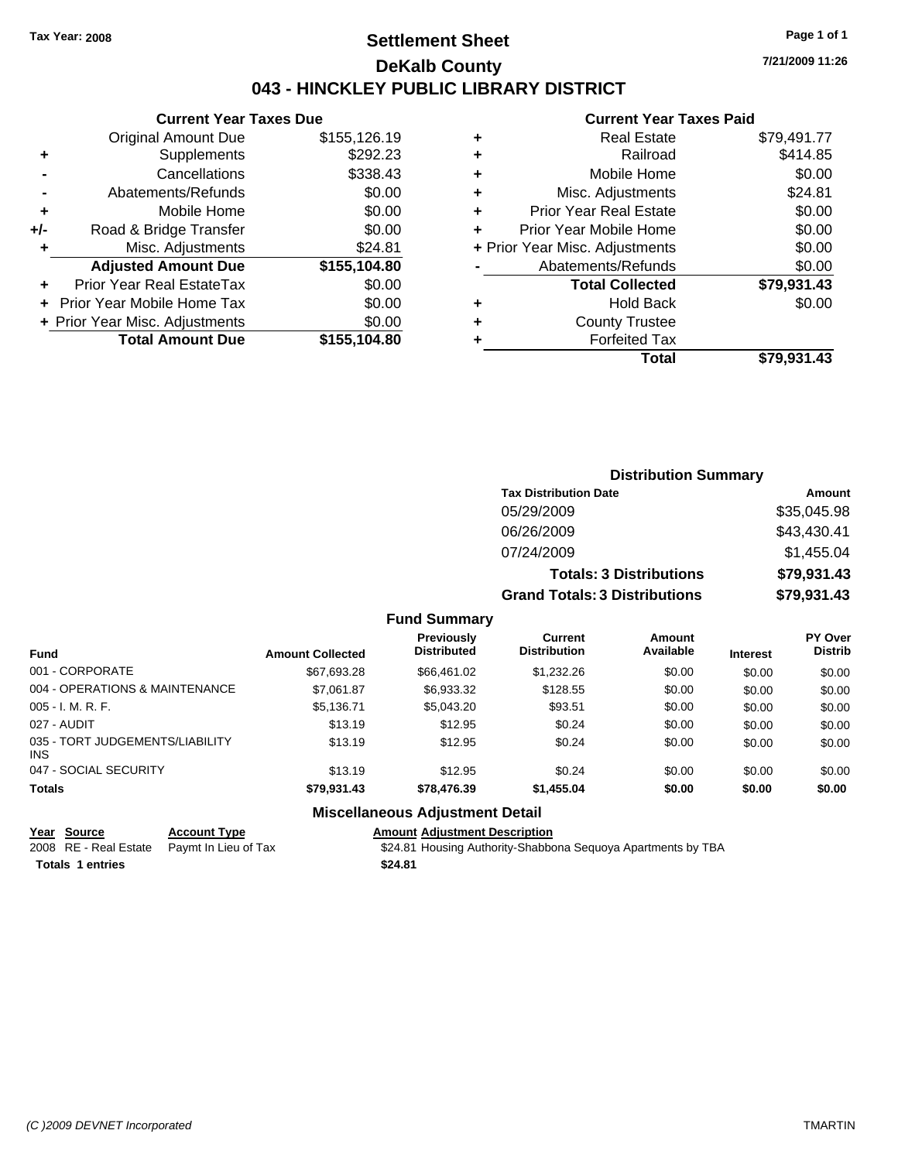## **Settlement Sheet Tax Year: 2008 Page 1 of 1 DeKalb County 043 - HINCKLEY PUBLIC LIBRARY DISTRICT**

### **Current Year Taxes Due**

|     | <b>Original Amount Due</b>       | \$155,126.19 |
|-----|----------------------------------|--------------|
| ٠   | Supplements                      | \$292.23     |
|     | Cancellations                    | \$338.43     |
|     | Abatements/Refunds               | \$0.00       |
| ٠   | Mobile Home                      | \$0.00       |
| +/- | Road & Bridge Transfer           | \$0.00       |
| ٠   | Misc. Adjustments                | \$24.81      |
|     | <b>Adjusted Amount Due</b>       | \$155,104.80 |
|     | <b>Prior Year Real EstateTax</b> | \$0.00       |
|     | Prior Year Mobile Home Tax       | \$0.00       |
|     | + Prior Year Misc. Adjustments   | \$0.00       |
|     | <b>Total Amount Due</b>          | \$155,104.80 |
|     |                                  |              |

### **Current Year Taxes Paid**

| ٠ | <b>Real Estate</b>             | \$79,491.77 |
|---|--------------------------------|-------------|
| ٠ | Railroad                       | \$414.85    |
| ٠ | Mobile Home                    | \$0.00      |
| ٠ | Misc. Adjustments              | \$24.81     |
| ÷ | <b>Prior Year Real Estate</b>  | \$0.00      |
| ٠ | Prior Year Mobile Home         | \$0.00      |
|   | + Prior Year Misc. Adjustments | \$0.00      |
|   | Abatements/Refunds             | \$0.00      |
|   | <b>Total Collected</b>         | \$79,931.43 |
| ٠ | <b>Hold Back</b>               | \$0.00      |
| ٠ | <b>County Trustee</b>          |             |
| ٠ | <b>Forfeited Tax</b>           |             |
|   | Total                          | \$79,931.43 |
|   |                                |             |

**7/21/2009 11:26**

| <b>Distribution Summary</b>          |             |
|--------------------------------------|-------------|
| <b>Tax Distribution Date</b>         | Amount      |
| 05/29/2009                           | \$35,045.98 |
| 06/26/2009                           | \$43,430.41 |
| 07/24/2009                           | \$1,455.04  |
| <b>Totals: 3 Distributions</b>       | \$79,931.43 |
| <b>Grand Totals: 3 Distributions</b> | \$79,931.43 |

### **Fund Summary**

| <b>Fund</b>                                   | <b>Amount Collected</b> | <b>Previously</b><br><b>Distributed</b> | Current<br><b>Distribution</b> | Amount<br>Available | <b>Interest</b> | <b>PY Over</b><br><b>Distrib</b> |
|-----------------------------------------------|-------------------------|-----------------------------------------|--------------------------------|---------------------|-----------------|----------------------------------|
| 001 - CORPORATE                               | \$67,693.28             | \$66.461.02                             | \$1,232.26                     | \$0.00              | \$0.00          | \$0.00                           |
| 004 - OPERATIONS & MAINTENANCE                | \$7.061.87              | \$6,933.32                              | \$128.55                       | \$0.00              | \$0.00          | \$0.00                           |
| $005 - I. M. R. F.$                           | \$5,136.71              | \$5,043.20                              | \$93.51                        | \$0.00              | \$0.00          | \$0.00                           |
| 027 - AUDIT                                   | \$13.19                 | \$12.95                                 | \$0.24                         | \$0.00              | \$0.00          | \$0.00                           |
| 035 - TORT JUDGEMENTS/LIABILITY<br><b>INS</b> | \$13.19                 | \$12.95                                 | \$0.24                         | \$0.00              | \$0.00          | \$0.00                           |
| 047 - SOCIAL SECURITY                         | \$13.19                 | \$12.95                                 | \$0.24                         | \$0.00              | \$0.00          | \$0.00                           |
| <b>Totals</b>                                 | \$79,931.43             | \$78,476.39                             | \$1,455.04                     | \$0.00              | \$0.00          | \$0.00                           |

### **Miscellaneous Adjustment Detail**

### **Year Source Account Type Amount Adjustment Description**

2008 RE - Real Estate Paymt In Lieu of Tax \$24.81 Housing Authority-Shabbona Sequoya Apartments by TBA **Totals \$24.81 1 entries**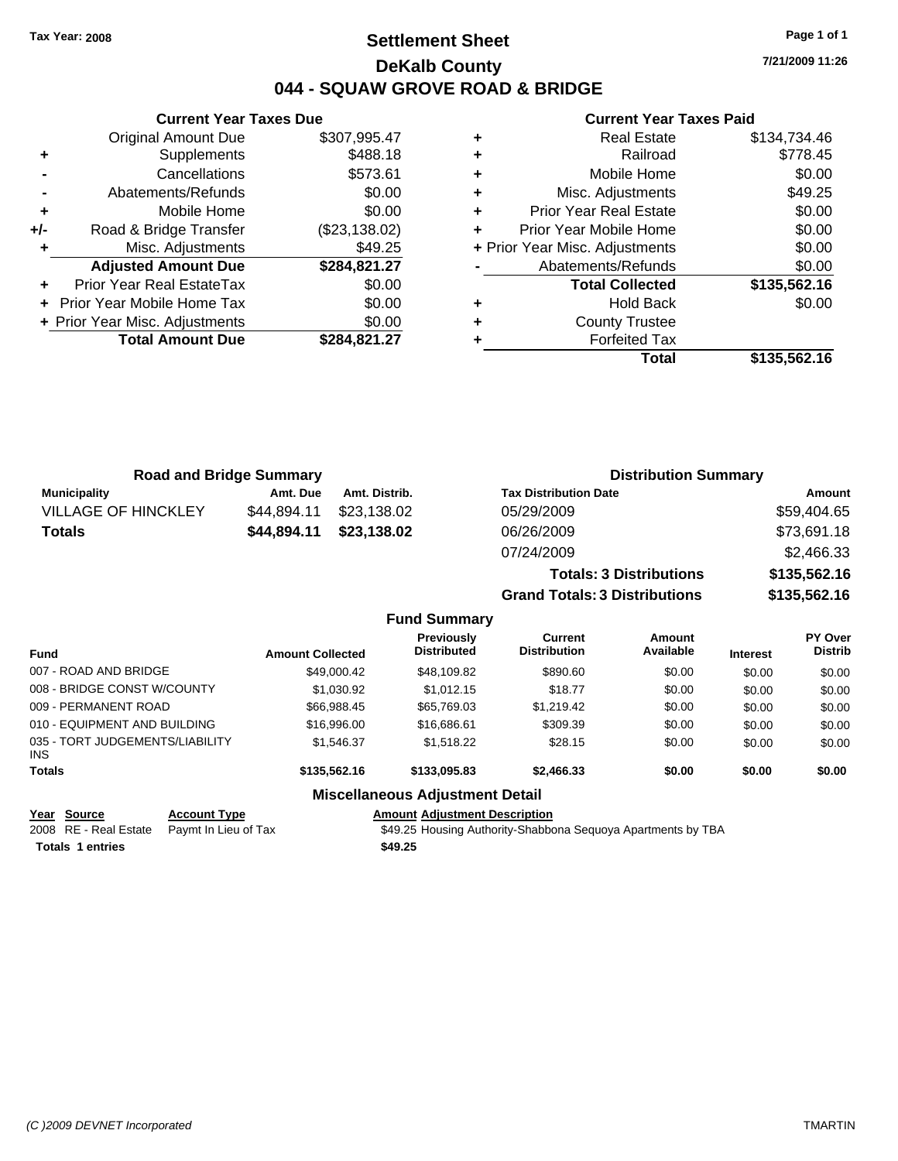## **Settlement Sheet Tax Year: 2008 Page 1 of 1 DeKalb County 044 - SQUAW GROVE ROAD & BRIDGE**

**7/21/2009 11:26**

### **Current Year Taxes Paid**

|       | <b>Current Year Taxes Due</b>  |               |  |  |  |
|-------|--------------------------------|---------------|--|--|--|
|       | <b>Original Amount Due</b>     | \$307,995.47  |  |  |  |
| ٠     | Supplements                    | \$488.18      |  |  |  |
|       | Cancellations                  | \$573.61      |  |  |  |
|       | Abatements/Refunds             | \$0.00        |  |  |  |
| ٠     | Mobile Home                    | \$0.00        |  |  |  |
| $+/-$ | Road & Bridge Transfer         | (\$23,138.02) |  |  |  |
|       | Misc. Adjustments              | \$49.25       |  |  |  |
|       | <b>Adjusted Amount Due</b>     | \$284,821.27  |  |  |  |
|       | Prior Year Real EstateTax      | \$0.00        |  |  |  |
|       | Prior Year Mobile Home Tax     | \$0.00        |  |  |  |
|       | + Prior Year Misc. Adjustments | \$0.00        |  |  |  |
|       | <b>Total Amount Due</b>        | \$284,821.27  |  |  |  |
|       |                                |               |  |  |  |

|   | <b>Real Estate</b>             | \$134,734.46 |
|---|--------------------------------|--------------|
| ٠ | Railroad                       | \$778.45     |
| ٠ | Mobile Home                    | \$0.00       |
| ٠ | Misc. Adjustments              | \$49.25      |
| ٠ | <b>Prior Year Real Estate</b>  | \$0.00       |
|   | Prior Year Mobile Home         | \$0.00       |
|   | + Prior Year Misc. Adjustments | \$0.00       |
|   | Abatements/Refunds             | \$0.00       |
|   | <b>Total Collected</b>         | \$135,562.16 |
| ٠ | <b>Hold Back</b>               | \$0.00       |
| ٠ | <b>County Trustee</b>          |              |
|   | <b>Forfeited Tax</b>           |              |
|   | Total                          | \$135,562.16 |

| <b>Road and Bridge Summary</b> |             |               | <b>Distribution Summary</b>    |              |
|--------------------------------|-------------|---------------|--------------------------------|--------------|
| <b>Municipality</b>            | Amt. Due    | Amt. Distrib. | <b>Tax Distribution Date</b>   | Amount       |
| <b>VILLAGE OF HINCKLEY</b>     | \$44.894.11 | \$23,138.02   | 05/29/2009                     | \$59,404.65  |
| Totals                         | \$44,894.11 | \$23,138.02   | 06/26/2009                     | \$73,691.18  |
|                                |             |               | 07/24/2009                     | \$2,466.33   |
|                                |             |               | <b>Totals: 3 Distributions</b> | \$135,562.16 |

**Grand Totals: 3 Distributions \$135,562.16**

| <b>Fund Summary</b> |  |
|---------------------|--|
|---------------------|--|

| <b>Fund</b>                                   | <b>Amount Collected</b> | <b>Previously</b><br><b>Distributed</b> | Current<br><b>Distribution</b> | <b>Amount</b><br>Available | <b>Interest</b> | <b>PY Over</b><br><b>Distrib</b> |
|-----------------------------------------------|-------------------------|-----------------------------------------|--------------------------------|----------------------------|-----------------|----------------------------------|
| 007 - ROAD AND BRIDGE                         | \$49,000.42             | \$48,109.82                             | \$890.60                       | \$0.00                     | \$0.00          | \$0.00                           |
| 008 - BRIDGE CONST W/COUNTY                   | \$1,030.92              | \$1,012.15                              | \$18.77                        | \$0.00                     | \$0.00          | \$0.00                           |
| 009 - PERMANENT ROAD                          | \$66,988.45             | \$65,769.03                             | \$1,219.42                     | \$0.00                     | \$0.00          | \$0.00                           |
| 010 - EQUIPMENT AND BUILDING                  | \$16,996.00             | \$16,686,61                             | \$309.39                       | \$0.00                     | \$0.00          | \$0.00                           |
| 035 - TORT JUDGEMENTS/LIABILITY<br><b>INS</b> | \$1.546.37              | \$1,518.22                              | \$28.15                        | \$0.00                     | \$0.00          | \$0.00                           |
| <b>Totals</b>                                 | \$135,562.16            | \$133,095.83                            | \$2,466,33                     | \$0.00                     | \$0.00          | \$0.00                           |
|                                               |                         | Miccollangeus Adjustment Detail         |                                |                            |                 |                                  |

## **Miscellaneous Adjustment Detail**

| Year Source             | <b>Account Type</b>                        | <b>Amount Adiustment Description</b> |
|-------------------------|--------------------------------------------|--------------------------------------|
|                         | 2008 RE - Real Estate Paymt In Lieu of Tax | \$49.25 Housing Authority-Shabbo     |
| <b>Totals 1 entries</b> |                                            | \$49.25                              |

1 Lieu of Tax **Cana Estate State State State State State State State State State In Lieu of Tax**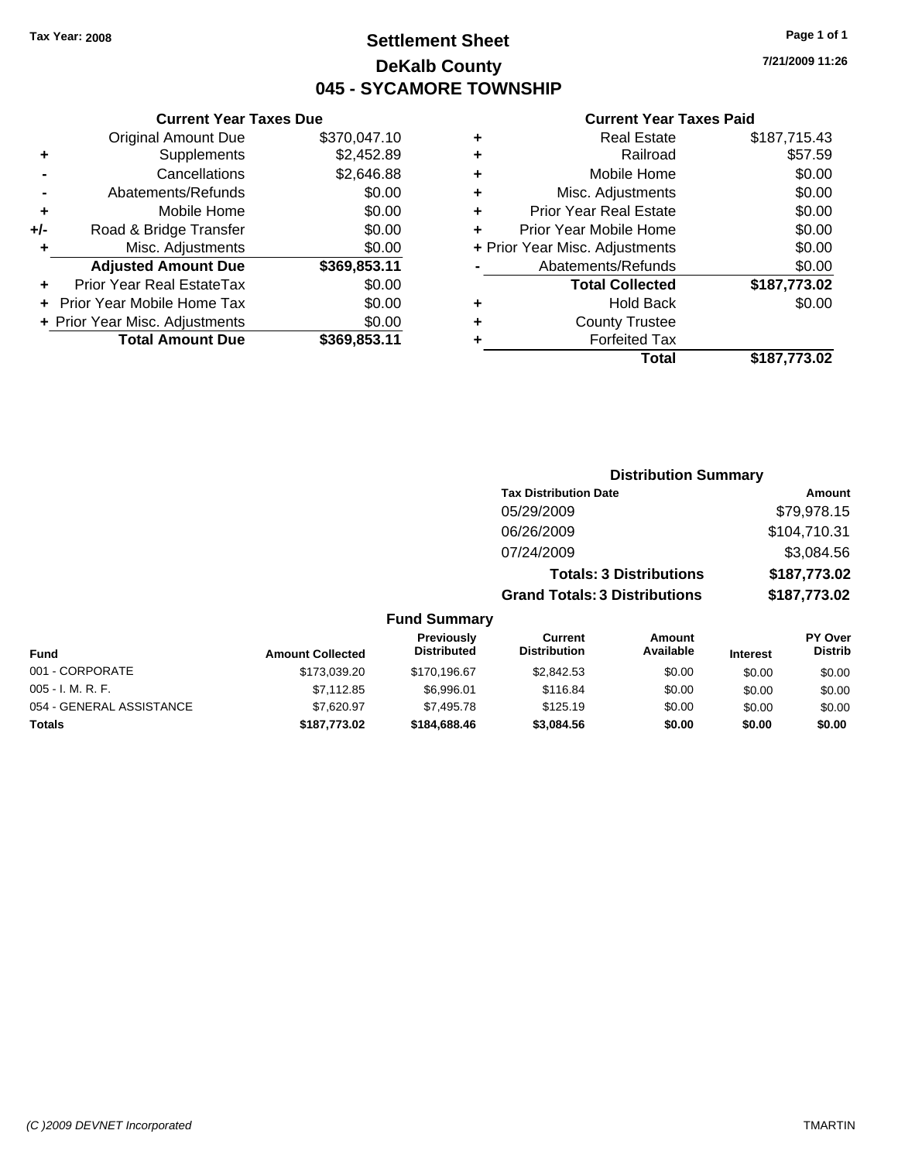## **Settlement Sheet Tax Year: 2008 Page 1 of 1 DeKalb County 045 - SYCAMORE TOWNSHIP**

**7/21/2009 11:26**

### **Current Year Taxes Paid**

|     | <b>Current Year Taxes Due</b>  |              |  |
|-----|--------------------------------|--------------|--|
|     | <b>Original Amount Due</b>     | \$370,047.10 |  |
| ٠   | Supplements                    | \$2,452.89   |  |
|     | Cancellations                  | \$2,646.88   |  |
|     | Abatements/Refunds             | \$0.00       |  |
| ٠   | Mobile Home                    | \$0.00       |  |
| +/- | Road & Bridge Transfer         | \$0.00       |  |
| ٠   | Misc. Adjustments              | \$0.00       |  |
|     | <b>Adjusted Amount Due</b>     | \$369,853.11 |  |
| ٠   | Prior Year Real EstateTax      | \$0.00       |  |
|     | Prior Year Mobile Home Tax     | \$0.00       |  |
|     | + Prior Year Misc. Adjustments | \$0.00       |  |
|     | <b>Total Amount Due</b>        | \$369,853.11 |  |

|   | <b>Real Estate</b>             | \$187,715.43 |
|---|--------------------------------|--------------|
| ٠ | Railroad                       | \$57.59      |
| ٠ | Mobile Home                    | \$0.00       |
| ٠ | Misc. Adjustments              | \$0.00       |
| ٠ | <b>Prior Year Real Estate</b>  | \$0.00       |
| ÷ | Prior Year Mobile Home         | \$0.00       |
|   | + Prior Year Misc. Adjustments | \$0.00       |
|   | Abatements/Refunds             | \$0.00       |
|   | <b>Total Collected</b>         | \$187,773.02 |
| ٠ | <b>Hold Back</b>               | \$0.00       |
| ٠ | <b>County Trustee</b>          |              |
| ٠ | <b>Forfeited Tax</b>           |              |
|   | Total                          | \$187,773.02 |
|   |                                |              |

|                          | <b>Distribution Summary</b> |                                  |                                       |                                |                 |                                  |  |  |
|--------------------------|-----------------------------|----------------------------------|---------------------------------------|--------------------------------|-----------------|----------------------------------|--|--|
|                          |                             |                                  | <b>Tax Distribution Date</b>          |                                |                 | <b>Amount</b>                    |  |  |
|                          |                             |                                  | 05/29/2009                            |                                |                 | \$79,978.15                      |  |  |
|                          |                             |                                  | 06/26/2009                            |                                |                 | \$104,710.31                     |  |  |
|                          |                             |                                  | 07/24/2009                            |                                |                 | \$3,084.56                       |  |  |
|                          |                             |                                  |                                       | <b>Totals: 3 Distributions</b> |                 | \$187,773.02                     |  |  |
|                          |                             |                                  | <b>Grand Totals: 3 Distributions</b>  |                                |                 | \$187,773.02                     |  |  |
|                          |                             | <b>Fund Summary</b>              |                                       |                                |                 |                                  |  |  |
| <b>Fund</b>              | <b>Amount Collected</b>     | Previously<br><b>Distributed</b> | <b>Current</b><br><b>Distribution</b> | Amount<br>Available            | <b>Interest</b> | <b>PY Over</b><br><b>Distrib</b> |  |  |
| 001 - CORPORATE          | \$173,039.20                | \$170,196.67                     | \$2,842.53                            | \$0.00                         | \$0.00          | \$0.00                           |  |  |
| 005 - I. M. R. F.        | \$7,112.85                  | \$6,996.01                       | \$116.84                              | \$0.00                         | \$0.00          | \$0.00                           |  |  |
| 054 - GENERAL ASSISTANCE | \$7,620.97                  | \$7,495.78                       | \$125.19                              | \$0.00                         | \$0.00          | \$0.00                           |  |  |
| Totals                   | \$187,773.02                | \$184,688.46                     | \$3,084.56                            | \$0.00                         | \$0.00          | \$0.00                           |  |  |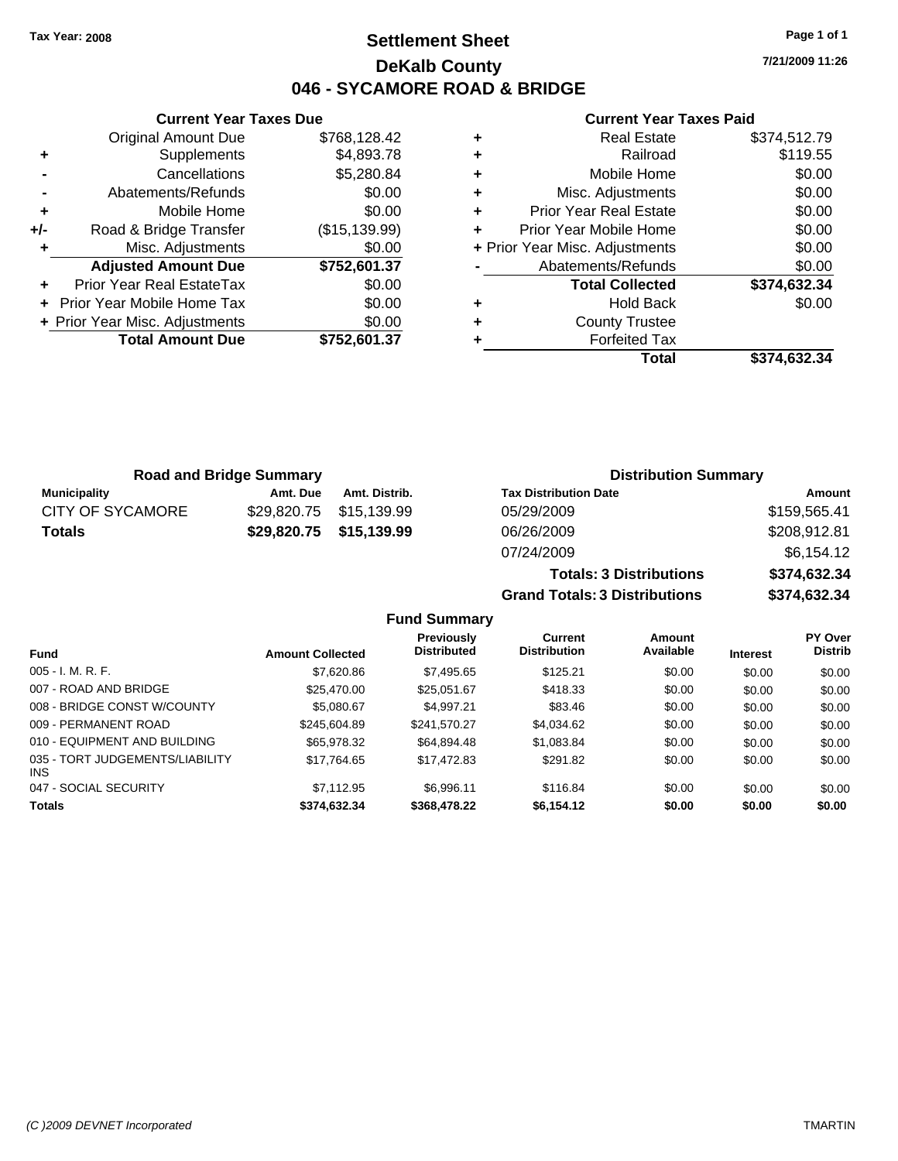## **Settlement Sheet Tax Year: 2008 Page 1 of 1 DeKalb County 046 - SYCAMORE ROAD & BRIDGE**

**7/21/2009 11:26**

### **Current Year Taxes Paid**

|     | <b>Total Amount Due</b>        | \$752,601.37  |
|-----|--------------------------------|---------------|
|     | + Prior Year Misc. Adjustments | \$0.00        |
| ÷   | Prior Year Mobile Home Tax     | \$0.00        |
| ٠   | Prior Year Real EstateTax      | \$0.00        |
|     | <b>Adjusted Amount Due</b>     | \$752,601.37  |
| ٠   | Misc. Adjustments              | \$0.00        |
| +/- | Road & Bridge Transfer         | (\$15,139.99) |
| ٠   | Mobile Home                    | \$0.00        |
|     | Abatements/Refunds             | \$0.00        |
|     | Cancellations                  | \$5,280.84    |
| ٠   | Supplements                    | \$4,893.78    |
|     | <b>Original Amount Due</b>     | \$768,128.42  |
|     |                                |               |

**Current Year Taxes Due**

|   | <b>Real Estate</b>             | \$374,512.79 |
|---|--------------------------------|--------------|
| ÷ | Railroad                       | \$119.55     |
| ٠ | Mobile Home                    | \$0.00       |
| ٠ | Misc. Adjustments              | \$0.00       |
| ٠ | <b>Prior Year Real Estate</b>  | \$0.00       |
|   | Prior Year Mobile Home         | \$0.00       |
|   | + Prior Year Misc. Adjustments | \$0.00       |
|   | Abatements/Refunds             | \$0.00       |
|   | <b>Total Collected</b>         | \$374,632.34 |
| ٠ | Hold Back                      | \$0.00       |
| ٠ | <b>County Trustee</b>          |              |
|   | <b>Forfeited Tax</b>           |              |
|   | Total                          | \$374.632.34 |

**Totals: 3 Distributions \$374,632.34**

**Grand Totals: 3 Distributions \$374,632.34**

| <b>Road and Bridge Summary</b> |          |                         | <b>Distribution Summary</b>  |              |  |
|--------------------------------|----------|-------------------------|------------------------------|--------------|--|
| Municipality                   | Amt. Due | Amt. Distrib.           | <b>Tax Distribution Date</b> | Amount       |  |
| <b>CITY OF SYCAMORE</b>        |          | \$29,820.75 \$15,139.99 | 05/29/2009                   | \$159,565.41 |  |
| <b>Totals</b>                  |          | \$29,820.75 \$15,139.99 | 06/26/2009                   | \$208,912.81 |  |
|                                |          |                         | 07/24/2009                   | \$6,154.12   |  |

### **Fund Summary Fund Interest Amount Collected Distributed PY Over Distrib Amount Available Current Distribution Previously** 005 - I. M. R. F. Charles Communication (St. 2006) \$7,620.86 \$1,495.65 \$125.21 \$0.00 \$0.00 \$0.00 \$0.00 007 - ROAD AND BRIDGE 60.00 \$25,470.00 \$25,051.67 \$418.33 \$0.00 \$0.00 \$0.00 \$0.00 008 - BRIDGE CONST W/COUNTY  $$5,080.67$   $$4,997.21$   $$83.46$   $$0.00$   $$0.00$   $$0.00$ 009 - PERMANENT ROAD \$245,604.89 \$241,570.27 \$4,034.62 \$0.00 \$0.00 \$0.00 \$0.00 010 - EQUIPMENT AND BUILDING \$65,978.32 \$64,894.48 \$1,083.84 \$0.00 \$0.00 \$0.00 035 - TORT JUDGEMENTS/LIABILITY INS \$17,764.65 \$17,472.83 \$291.82 \$0.00 \$0.00 \$0.00 \$0.00 047 - SOCIAL SECURITY \$7,112.95 \$6,996.11 \$116.84 \$0.00 \$0.00 \$0.00 **Totals \$374,632.34 \$368,478.22 \$6,154.12 \$0.00 \$0.00 \$0.00**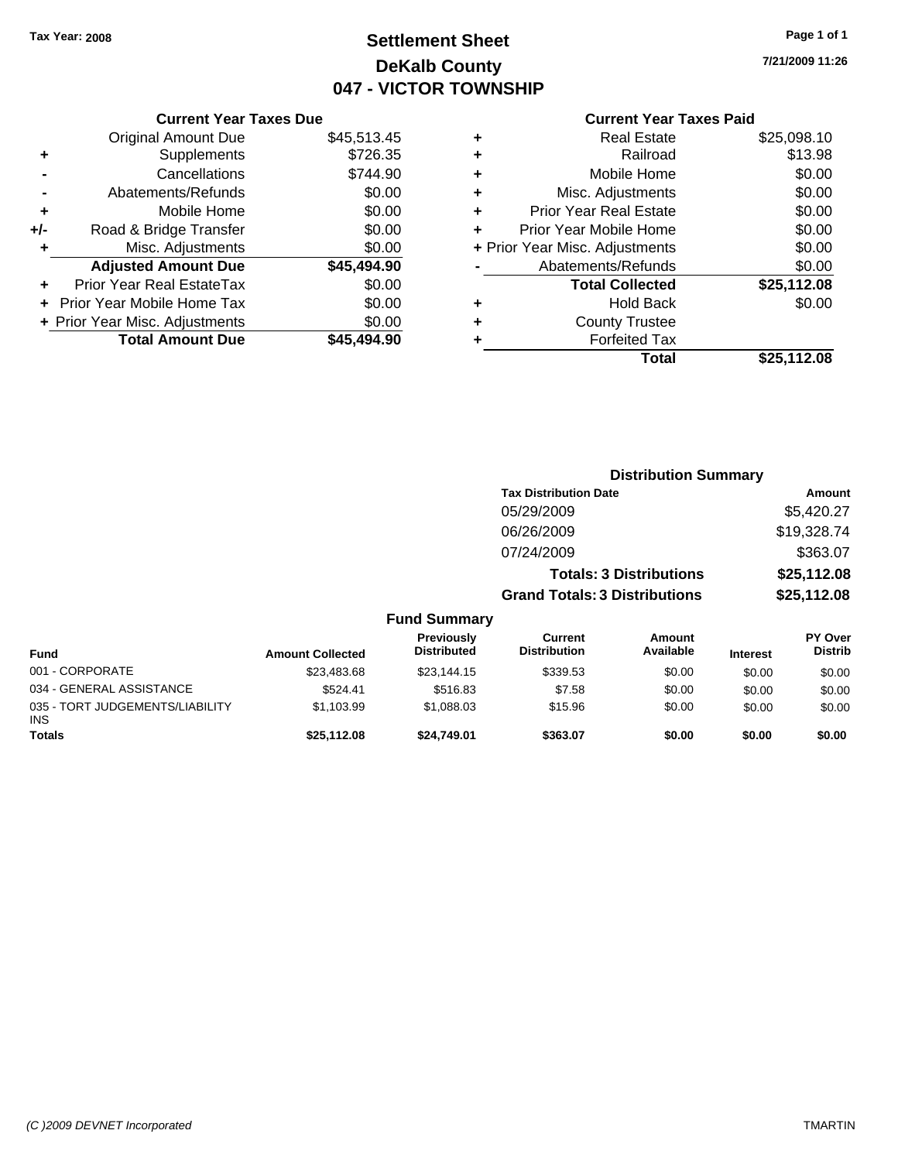## **Settlement Sheet Tax Year: 2008 Page 1 of 1 DeKalb County 047 - VICTOR TOWNSHIP**

**7/21/2009 11:26**

### **Current Year Taxes Paid**

|     | <b>Current Year Taxes Due</b>  |             |  |  |  |
|-----|--------------------------------|-------------|--|--|--|
|     | <b>Original Amount Due</b>     | \$45,513.45 |  |  |  |
| ٠   | Supplements                    | \$726.35    |  |  |  |
|     | Cancellations                  | \$744.90    |  |  |  |
|     | Abatements/Refunds             | \$0.00      |  |  |  |
| ٠   | Mobile Home                    | \$0.00      |  |  |  |
| +/- | Road & Bridge Transfer         | \$0.00      |  |  |  |
|     | Misc. Adjustments              | \$0.00      |  |  |  |
|     | <b>Adjusted Amount Due</b>     | \$45,494.90 |  |  |  |
| ٠   | Prior Year Real EstateTax      | \$0.00      |  |  |  |
|     | Prior Year Mobile Home Tax     | \$0.00      |  |  |  |
|     | + Prior Year Misc. Adjustments | \$0.00      |  |  |  |
|     | <b>Total Amount Due</b>        | \$45,494.90 |  |  |  |
|     |                                |             |  |  |  |

|   | <b>Real Estate</b>             | \$25,098.10 |
|---|--------------------------------|-------------|
| ٠ | Railroad                       | \$13.98     |
| ٠ | Mobile Home                    | \$0.00      |
| ٠ | Misc. Adjustments              | \$0.00      |
| ٠ | <b>Prior Year Real Estate</b>  | \$0.00      |
|   | Prior Year Mobile Home         | \$0.00      |
|   | + Prior Year Misc. Adjustments | \$0.00      |
|   | Abatements/Refunds             | \$0.00      |
|   | <b>Total Collected</b>         | \$25,112.08 |
| ٠ | Hold Back                      | \$0.00      |
| ٠ | <b>County Trustee</b>          |             |
| ٠ | <b>Forfeited Tax</b>           |             |
|   | Total                          | \$25.112.08 |
|   |                                |             |

|                                         |                         |                                         | <b>Distribution Summary</b>          |                                |                 |                                  |
|-----------------------------------------|-------------------------|-----------------------------------------|--------------------------------------|--------------------------------|-----------------|----------------------------------|
|                                         |                         |                                         | <b>Tax Distribution Date</b>         |                                |                 | Amount                           |
|                                         |                         |                                         | 05/29/2009                           |                                |                 | \$5,420.27                       |
|                                         |                         |                                         | 06/26/2009                           |                                |                 | \$19,328.74                      |
|                                         |                         |                                         | 07/24/2009                           |                                |                 | \$363.07                         |
|                                         |                         |                                         |                                      | <b>Totals: 3 Distributions</b> |                 | \$25,112.08                      |
|                                         |                         |                                         | <b>Grand Totals: 3 Distributions</b> |                                |                 | \$25,112.08                      |
|                                         |                         | <b>Fund Summary</b>                     |                                      |                                |                 |                                  |
| Fund                                    | <b>Amount Collected</b> | <b>Previously</b><br><b>Distributed</b> | Current<br><b>Distribution</b>       | <b>Amount</b><br>Available     | <b>Interest</b> | <b>PY Over</b><br><b>Distrib</b> |
| 001 - CORPORATE                         | \$23,483.68             | \$23,144.15                             | \$339.53                             | \$0.00                         | \$0.00          | \$0.00                           |
| 034 - GENERAL ASSISTANCE                | \$524.41                | \$516.83                                | \$7.58                               | \$0.00                         | \$0.00          | \$0.00                           |
| 035 - TORT JUDGEMENTS/LIABILITY<br>INS. | \$1,103.99              | \$1,088.03                              | \$15.96                              | \$0.00                         | \$0.00          | \$0.00                           |
| Totals                                  | \$25,112.08             | \$24,749.01                             | \$363.07                             | \$0.00                         | \$0.00          | \$0.00                           |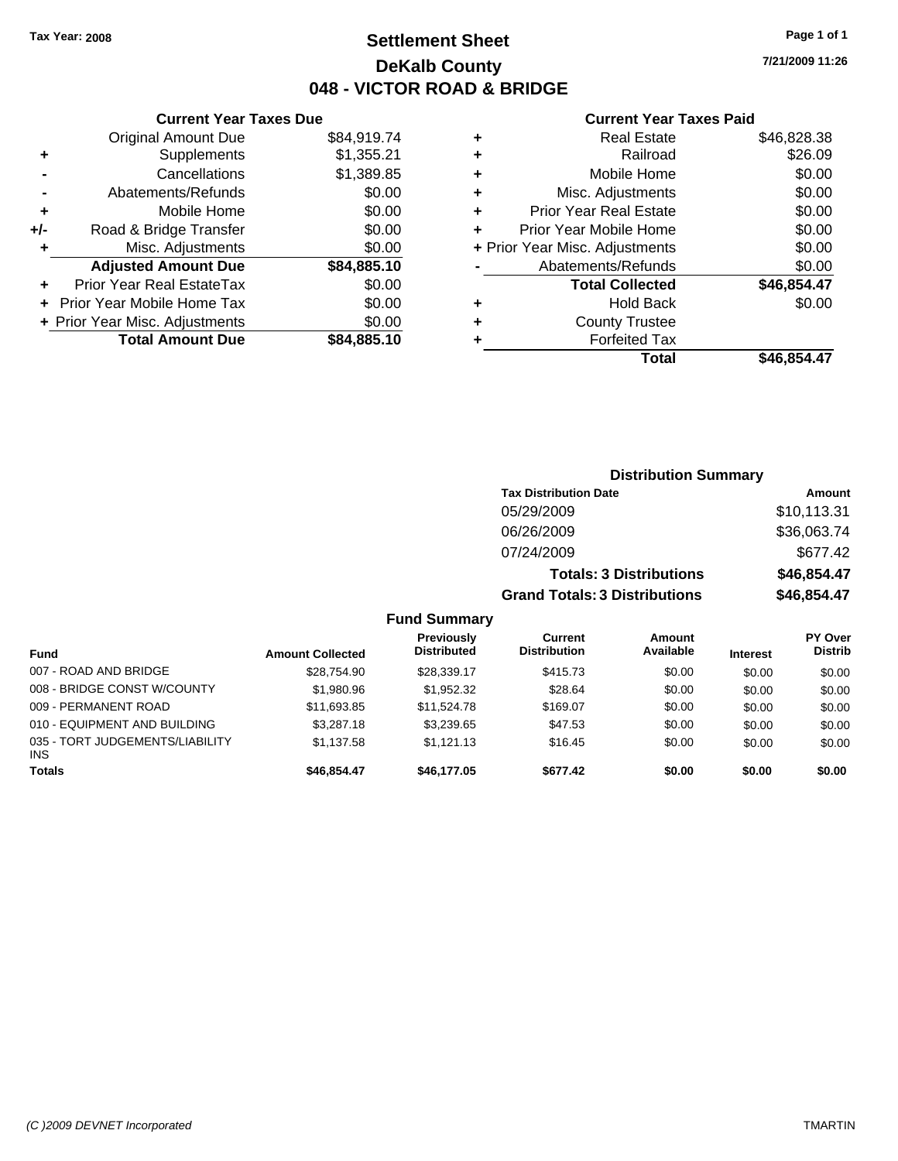**7/21/2009 11:26**

### **Current Year Taxes Paid**

| ٠                              | <b>Real Estate</b>            | \$46,828.38 |
|--------------------------------|-------------------------------|-------------|
| ٠                              | Railroad                      | \$26.09     |
| ٠                              | Mobile Home                   | \$0.00      |
| ٠                              | Misc. Adjustments             | \$0.00      |
| ÷                              | <b>Prior Year Real Estate</b> | \$0.00      |
| ÷                              | Prior Year Mobile Home        | \$0.00      |
| + Prior Year Misc. Adjustments |                               | \$0.00      |
|                                | Abatements/Refunds            | \$0.00      |
|                                | <b>Total Collected</b>        | \$46,854.47 |
| ٠                              | Hold Back                     | \$0.00      |
| ÷                              | <b>County Trustee</b>         |             |
| ٠                              | <b>Forfeited Tax</b>          |             |
|                                | Total                         | \$46.854.47 |

|     | <b>Current Year Taxes Due</b>    |             |  |  |
|-----|----------------------------------|-------------|--|--|
|     | <b>Original Amount Due</b>       | \$84,919.74 |  |  |
| ٠   | Supplements                      | \$1,355.21  |  |  |
|     | Cancellations                    | \$1,389.85  |  |  |
|     | Abatements/Refunds               |             |  |  |
| ٠   | Mobile Home                      | \$0.00      |  |  |
| +/- | Road & Bridge Transfer           | \$0.00      |  |  |
| ٠   | Misc. Adjustments                | \$0.00      |  |  |
|     | <b>Adjusted Amount Due</b>       | \$84,885.10 |  |  |
| ٠   | <b>Prior Year Real EstateTax</b> | \$0.00      |  |  |
|     | Prior Year Mobile Home Tax       | \$0.00      |  |  |
|     | + Prior Year Misc. Adjustments   | \$0.00      |  |  |
|     | <b>Total Amount Due</b>          | \$84,885.10 |  |  |
|     |                                  |             |  |  |

|                     | <b>Distribution Summary</b>          |             |
|---------------------|--------------------------------------|-------------|
|                     | <b>Tax Distribution Date</b>         | Amount      |
|                     | 05/29/2009                           | \$10,113.31 |
|                     | 06/26/2009                           | \$36,063.74 |
|                     | 07/24/2009                           | \$677.42    |
|                     | <b>Totals: 3 Distributions</b>       | \$46,854.47 |
|                     | <b>Grand Totals: 3 Distributions</b> | \$46,854.47 |
| <b>Fund Summary</b> |                                      |             |

| Fund                                          | <b>Amount Collected</b> | <b>Previously</b><br><b>Distributed</b> | Current<br><b>Distribution</b> | Amount<br>Available | <b>Interest</b> | <b>PY Over</b><br><b>Distrib</b> |
|-----------------------------------------------|-------------------------|-----------------------------------------|--------------------------------|---------------------|-----------------|----------------------------------|
| 007 - ROAD AND BRIDGE                         | \$28.754.90             | \$28,339.17                             | \$415.73                       | \$0.00              | \$0.00          | \$0.00                           |
| 008 - BRIDGE CONST W/COUNTY                   | \$1,980.96              | \$1,952.32                              | \$28.64                        | \$0.00              | \$0.00          | \$0.00                           |
| 009 - PERMANENT ROAD                          | \$11,693.85             | \$11.524.78                             | \$169.07                       | \$0.00              | \$0.00          | \$0.00                           |
| 010 - EQUIPMENT AND BUILDING                  | \$3,287.18              | \$3.239.65                              | \$47.53                        | \$0.00              | \$0.00          | \$0.00                           |
| 035 - TORT JUDGEMENTS/LIABILITY<br><b>INS</b> | \$1.137.58              | \$1.121.13                              | \$16.45                        | \$0.00              | \$0.00          | \$0.00                           |
| <b>Totals</b>                                 | \$46,854,47             | \$46,177.05                             | \$677.42                       | \$0.00              | \$0.00          | \$0.00                           |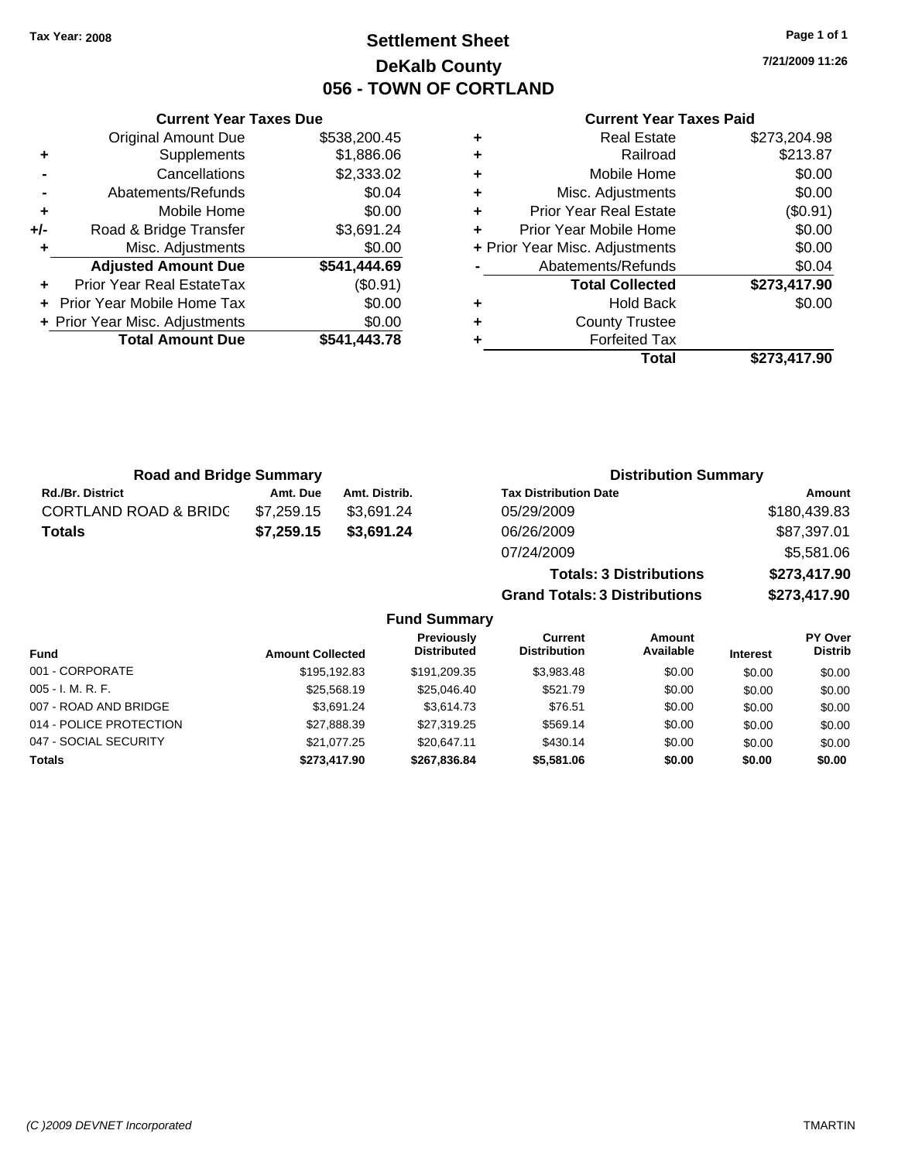## **Settlement Sheet Tax Year: 2008 Page 1 of 1 DeKalb County 056 - TOWN OF CORTLAND**

**7/21/2009 11:26**

### **Current Year Taxes Paid**

|                    |   |              | <b>Current Year Taxes Due</b>  |       |
|--------------------|---|--------------|--------------------------------|-------|
|                    | ÷ | \$538,200.45 | <b>Original Amount Due</b>     |       |
|                    | ٠ | \$1,886.06   | <b>Supplements</b>             | ٠     |
|                    | ٠ | \$2,333.02   | Cancellations                  |       |
| Misc.              | ٠ | \$0.04       | Abatements/Refunds             |       |
| Prior Yea          |   | \$0.00       | Mobile Home                    |       |
| Prior Year I       |   | \$3,691.24   | Road & Bridge Transfer         | $+/-$ |
| + Prior Year Misc. |   | \$0.00       | Misc. Adjustments              |       |
| Abateme            |   | \$541,444.69 | <b>Adjusted Amount Due</b>     |       |
| Tot                |   | (\$0.91)     | Prior Year Real EstateTax      |       |
|                    |   | \$0.00       | + Prior Year Mobile Home Tax   |       |
| Сc                 | ٠ | \$0.00       | + Prior Year Misc. Adjustments |       |
|                    |   | \$541,443.78 | <b>Total Amount Due</b>        |       |
|                    |   |              |                                |       |

|   | Total                          | \$273,417.90 |
|---|--------------------------------|--------------|
|   | <b>Forfeited Tax</b>           |              |
| ٠ | <b>County Trustee</b>          |              |
| ٠ | <b>Hold Back</b>               | \$0.00       |
|   | <b>Total Collected</b>         | \$273,417.90 |
|   | Abatements/Refunds             | \$0.04       |
|   | + Prior Year Misc. Adjustments | \$0.00       |
|   | Prior Year Mobile Home         | \$0.00       |
| ٠ | <b>Prior Year Real Estate</b>  | (\$0.91)     |
| ٠ | Misc. Adjustments              | \$0.00       |
| ٠ | Mobile Home                    | \$0.00       |
|   | Railroad                       | \$213.87     |
|   | <b>Real Estate</b>             | \$273,204.98 |

**Totals: 3 Distributions \$273,417.90**

**Grand Totals: 3 Distributions \$273,417.90**

| <b>Road and Bridge Summary</b>   |            |               | <b>Distribution Summary</b>  |              |
|----------------------------------|------------|---------------|------------------------------|--------------|
| <b>Rd./Br. District</b>          | Amt. Due   | Amt. Distrib. | <b>Tax Distribution Date</b> | Amount       |
| <b>CORTLAND ROAD &amp; BRIDC</b> | \$7.259.15 | \$3.691.24    | 05/29/2009                   | \$180,439.83 |
| Totals                           | \$7,259.15 | \$3,691.24    | 06/26/2009                   | \$87,397.01  |
|                                  |            |               | 07/24/2009                   | \$5,581.06   |

|                         |                         | <b>Fund Summary</b>                     |                                |                     |                 |                                  |
|-------------------------|-------------------------|-----------------------------------------|--------------------------------|---------------------|-----------------|----------------------------------|
| <b>Fund</b>             | <b>Amount Collected</b> | <b>Previously</b><br><b>Distributed</b> | Current<br><b>Distribution</b> | Amount<br>Available | <b>Interest</b> | <b>PY Over</b><br><b>Distrib</b> |
| 001 - CORPORATE         | \$195,192.83            | \$191.209.35                            | \$3,983.48                     | \$0.00              | \$0.00          | \$0.00                           |
| 005 - I. M. R. F.       | \$25,568,19             | \$25,046.40                             | \$521.79                       | \$0.00              | \$0.00          | \$0.00                           |
| 007 - ROAD AND BRIDGE   | \$3.691.24              | \$3.614.73                              | \$76.51                        | \$0.00              | \$0.00          | \$0.00                           |
| 014 - POLICE PROTECTION | \$27,888.39             | \$27,319.25                             | \$569.14                       | \$0.00              | \$0.00          | \$0.00                           |
| 047 - SOCIAL SECURITY   | \$21.077.25             | \$20.647.11                             | \$430.14                       | \$0.00              | \$0.00          | \$0.00                           |
| <b>Totals</b>           | \$273,417.90            | \$267,836.84                            | \$5,581.06                     | \$0.00              | \$0.00          | \$0.00                           |

### *(C )2009 DEVNET Incorporated* TMARTIN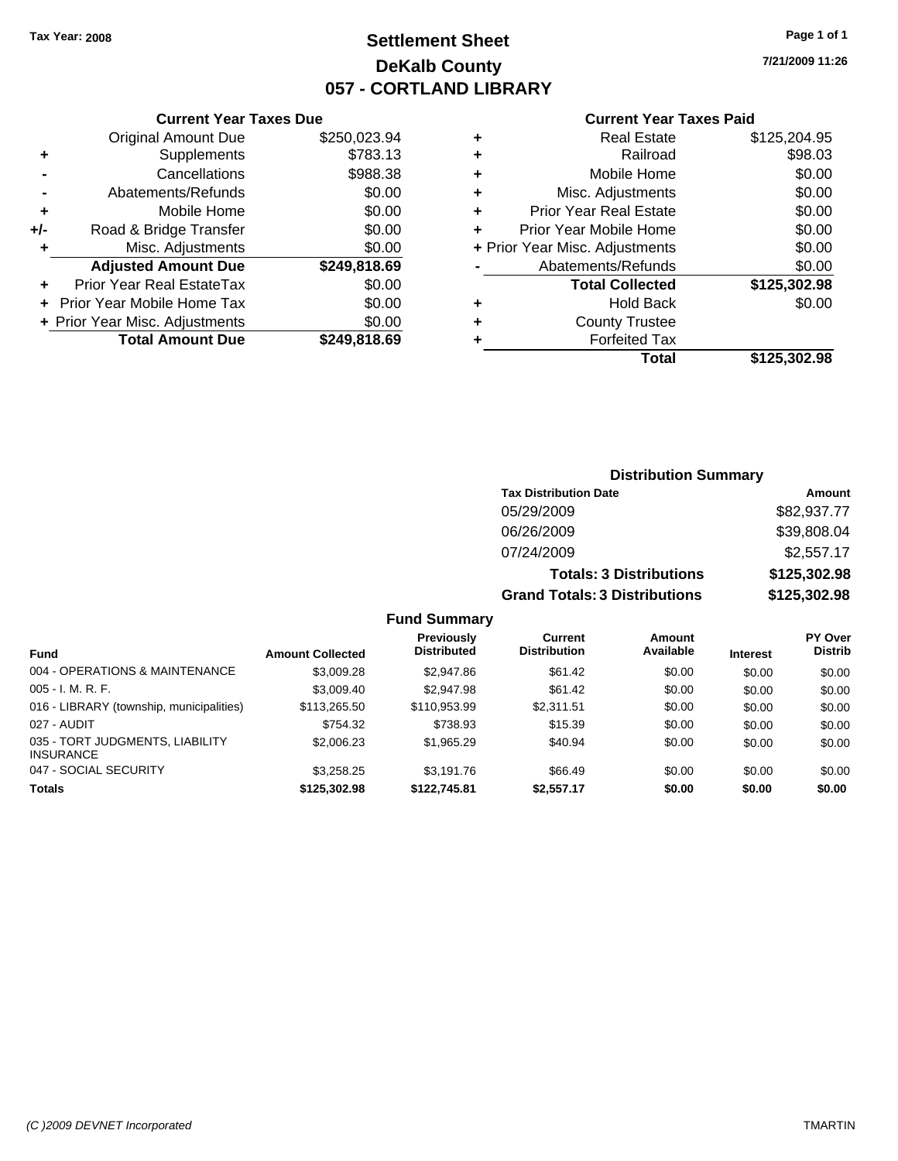## **Settlement Sheet Tax Year: 2008 Page 1 of 1 DeKalb County 057 - CORTLAND LIBRARY**

**7/21/2009 11:26**

|     | <b>Current Year Taxes Due</b>  |              |  |  |  |  |  |
|-----|--------------------------------|--------------|--|--|--|--|--|
|     | <b>Original Amount Due</b>     | \$250,023.94 |  |  |  |  |  |
| ٠   | Supplements                    | \$783.13     |  |  |  |  |  |
|     | Cancellations                  | \$988.38     |  |  |  |  |  |
|     | Abatements/Refunds             | \$0.00       |  |  |  |  |  |
| ٠   | Mobile Home                    | \$0.00       |  |  |  |  |  |
| +/- | Road & Bridge Transfer         | \$0.00       |  |  |  |  |  |
| ٠   | Misc. Adjustments              | \$0.00       |  |  |  |  |  |
|     | <b>Adjusted Amount Due</b>     | \$249,818.69 |  |  |  |  |  |
| ٠   | Prior Year Real EstateTax      | \$0.00       |  |  |  |  |  |
|     | Prior Year Mobile Home Tax     | \$0.00       |  |  |  |  |  |
|     | + Prior Year Misc. Adjustments | \$0.00       |  |  |  |  |  |
|     | <b>Total Amount Due</b>        | \$249.818.69 |  |  |  |  |  |
|     |                                |              |  |  |  |  |  |

## **Current Year Taxes Paid +** Real Estate \$125,204.95 **+** Railroad \$98.03 **+** Mobile Home \$0.00

|   | Total                          | \$125,302.98 |
|---|--------------------------------|--------------|
|   | <b>Forfeited Tax</b>           |              |
| ÷ | <b>County Trustee</b>          |              |
|   | <b>Hold Back</b>               | \$0.00       |
|   | <b>Total Collected</b>         | \$125,302.98 |
|   | Abatements/Refunds             | \$0.00       |
|   | + Prior Year Misc. Adjustments | \$0.00       |
|   | Prior Year Mobile Home         | \$0.00       |
| ÷ | <b>Prior Year Real Estate</b>  | \$0.00       |
|   | Misc. Adjustments              | \$0.00       |

## **Distribution Summary Tax Distribution Date Amount** 05/29/2009 \$82,937.77 06/26/2009 \$39,808.04 07/24/2009 \$2,557.17 **Totals: 3 Distributions \$125,302.98 Grand Totals: 3 Distributions \$125,302.98**

### **Fund Summary**

| <b>Fund</b>                                         | <b>Amount Collected</b> | <b>Previously</b><br><b>Distributed</b> | Current<br><b>Distribution</b> | Amount<br>Available | <b>Interest</b> | <b>PY Over</b><br><b>Distrib</b> |
|-----------------------------------------------------|-------------------------|-----------------------------------------|--------------------------------|---------------------|-----------------|----------------------------------|
| 004 - OPERATIONS & MAINTENANCE                      | \$3,009.28              | \$2,947.86                              | \$61.42                        | \$0.00              | \$0.00          | \$0.00                           |
| $005 - I. M. R. F.$                                 | \$3,009.40              | \$2,947.98                              | \$61.42                        | \$0.00              | \$0.00          | \$0.00                           |
| 016 - LIBRARY (township, municipalities)            | \$113,265.50            | \$110.953.99                            | \$2.311.51                     | \$0.00              | \$0.00          | \$0.00                           |
| 027 - AUDIT                                         | \$754.32                | \$738.93                                | \$15.39                        | \$0.00              | \$0.00          | \$0.00                           |
| 035 - TORT JUDGMENTS, LIABILITY<br><b>INSURANCE</b> | \$2,006.23              | \$1,965.29                              | \$40.94                        | \$0.00              | \$0.00          | \$0.00                           |
| 047 - SOCIAL SECURITY                               | \$3,258.25              | \$3.191.76                              | \$66.49                        | \$0.00              | \$0.00          | \$0.00                           |
| <b>Totals</b>                                       | \$125.302.98            | \$122,745.81                            | \$2,557.17                     | \$0.00              | \$0.00          | \$0.00                           |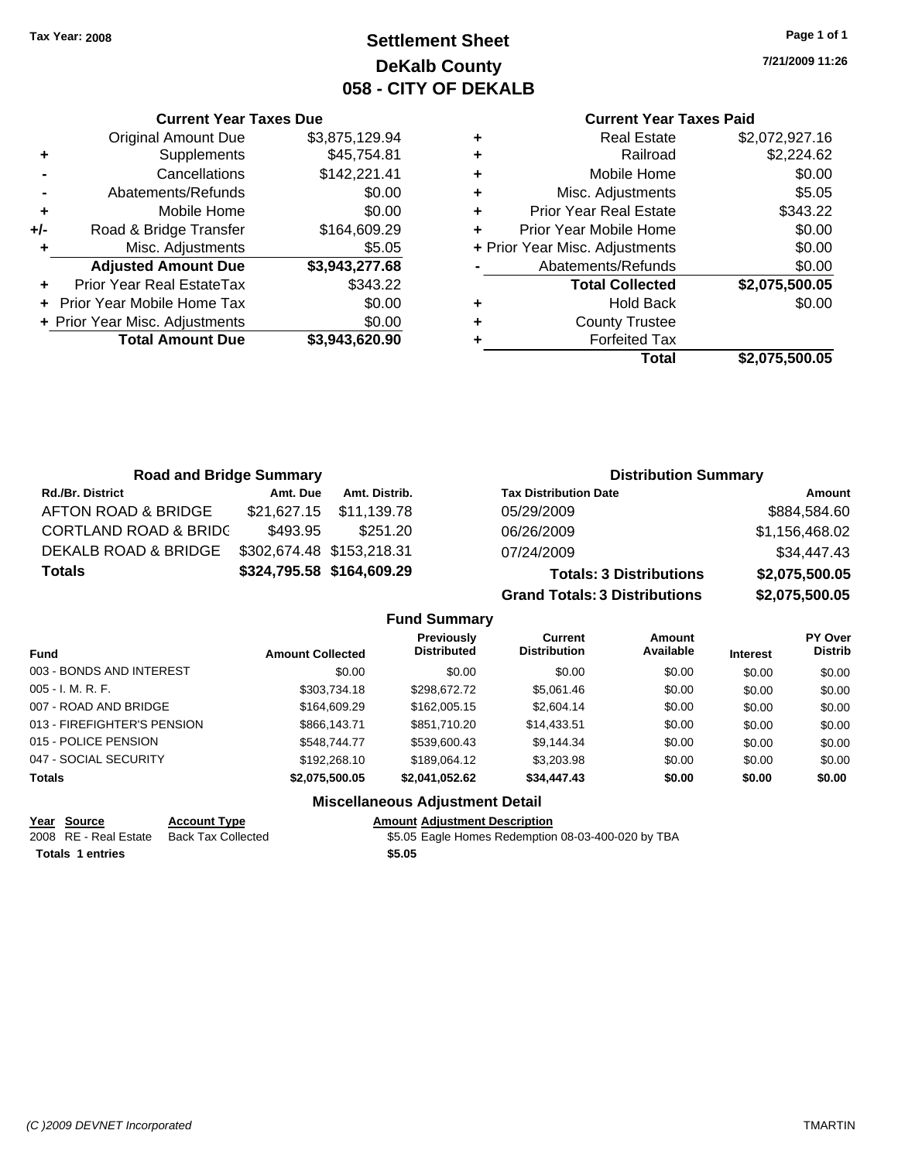## **Settlement Sheet Tax Year: 2008 Page 1 of 1 DeKalb County 058 - CITY OF DEKALB**

**7/21/2009 11:26**

### **Current Year Taxes Paid**

| ٠ | <b>Real Estate</b>             | \$2,072,927.16 |
|---|--------------------------------|----------------|
| ٠ | Railroad                       | \$2,224.62     |
| ٠ | Mobile Home                    | \$0.00         |
| ٠ | Misc. Adjustments              | \$5.05         |
| ٠ | <b>Prior Year Real Estate</b>  | \$343.22       |
|   | Prior Year Mobile Home         | \$0.00         |
|   | + Prior Year Misc. Adjustments | \$0.00         |
|   | Abatements/Refunds             | \$0.00         |
|   | <b>Total Collected</b>         | \$2,075,500.05 |
| ٠ | <b>Hold Back</b>               | \$0.00         |
| ٠ | <b>County Trustee</b>          |                |
|   | <b>Forfeited Tax</b>           |                |
|   | Total                          | \$2.075.500.05 |

|     | <b>Current Year Taxes Due</b>  |                |
|-----|--------------------------------|----------------|
|     | <b>Original Amount Due</b>     | \$3,875,129.94 |
| ٠   | Supplements                    | \$45,754.81    |
|     | Cancellations                  | \$142,221.41   |
|     | Abatements/Refunds             | \$0.00         |
| ٠   | Mobile Home                    | \$0.00         |
| +/- | Road & Bridge Transfer         | \$164,609.29   |
| ٠   | Misc. Adjustments              | \$5.05         |
|     | <b>Adjusted Amount Due</b>     | \$3,943,277.68 |
|     | Prior Year Real EstateTax      | \$343.22       |
|     | Prior Year Mobile Home Tax     | \$0.00         |
|     | + Prior Year Misc. Adjustments | \$0.00         |
|     | <b>Total Amount Due</b>        | \$3,943,620.90 |
|     |                                |                |

| <b>Road and Bridge Summary</b>   |                           |                           | <b>Distribution Summary</b>          |                |
|----------------------------------|---------------------------|---------------------------|--------------------------------------|----------------|
| Rd./Br. District                 | Amt. Due                  | Amt. Distrib.             | <b>Tax Distribution Date</b>         | Amount         |
| AFTON ROAD & BRIDGE              | \$21,627.15               | \$11,139.78               | 05/29/2009                           | \$884,584.60   |
| <b>CORTLAND ROAD &amp; BRIDC</b> | \$493.95                  | \$251.20                  | 06/26/2009                           | \$1,156,468.02 |
| <b>DEKALB ROAD &amp; BRIDGE</b>  | \$302,674.48 \$153,218.31 |                           | 07/24/2009                           | \$34,447.43    |
| Totals                           |                           | \$324,795.58 \$164,609.29 | <b>Totals: 3 Distributions</b>       | \$2,075,500.05 |
|                                  |                           |                           | <b>Grand Totals: 3 Distributions</b> | \$2,075,500.05 |
|                                  |                           |                           | <b>Fund Summary</b>                  |                |
|                                  |                           |                           |                                      |                |

| <b>Fund</b>                 | <b>Amount Collected</b> | <b>Previously</b><br><b>Distributed</b> | Current<br><b>Distribution</b> | <b>Amount</b><br>Available | <b>Interest</b> | <b>PY Over</b><br><b>Distrib</b> |
|-----------------------------|-------------------------|-----------------------------------------|--------------------------------|----------------------------|-----------------|----------------------------------|
| 003 - BONDS AND INTEREST    | \$0.00                  | \$0.00                                  | \$0.00                         | \$0.00                     | \$0.00          | \$0.00                           |
| $005 - I. M. R. F.$         | \$303,734.18            | \$298,672.72                            | \$5,061.46                     | \$0.00                     | \$0.00          | \$0.00                           |
| 007 - ROAD AND BRIDGE       | \$164,609.29            | \$162,005.15                            | \$2,604.14                     | \$0.00                     | \$0.00          | \$0.00                           |
| 013 - FIREFIGHTER'S PENSION | \$866,143.71            | \$851,710.20                            | \$14,433.51                    | \$0.00                     | \$0.00          | \$0.00                           |
| 015 - POLICE PENSION        | \$548,744.77            | \$539,600.43                            | \$9,144.34                     | \$0.00                     | \$0.00          | \$0.00                           |
| 047 - SOCIAL SECURITY       | \$192,268.10            | \$189,064.12                            | \$3,203.98                     | \$0.00                     | \$0.00          | \$0.00                           |
| <b>Totals</b>               | \$2.075.500.05          | \$2.041.052.62                          | \$34,447.43                    | \$0.00                     | \$0.00          | \$0.00                           |
|                             | ---<br>.                |                                         |                                |                            |                 |                                  |

### **Miscellaneous Adjustment Detail**

# **Year Source Account Type Amount Adjustment Description**

**Totals \$5.05 1 entries**

2008 RE - Real Estate Back Tax Collected \$5.05 Eagle Homes Redemption 08-03-400-020 by TBA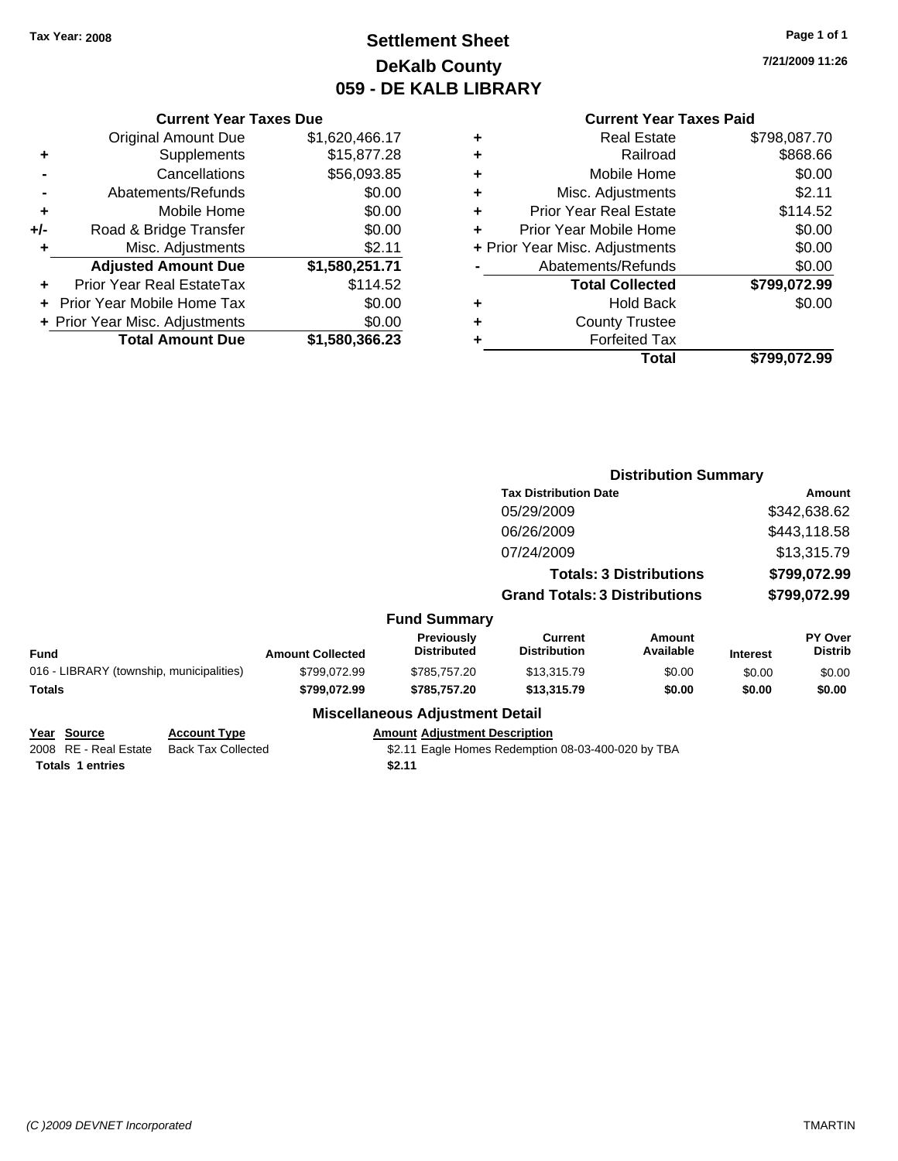## **Settlement Sheet Tax Year: 2008 Page 1 of 1 DeKalb County 059 - DE KALB LIBRARY**

**7/21/2009 11:26**

### **Current Year Taxes Paid**

|     | <b>Current Year Taxes Due</b>  |                |
|-----|--------------------------------|----------------|
|     | <b>Original Amount Due</b>     | \$1,620,466.17 |
| ٠   | Supplements                    | \$15,877.28    |
|     | Cancellations                  | \$56,093.85    |
|     | Abatements/Refunds             | \$0.00         |
| ٠   | Mobile Home                    | \$0.00         |
| +/- | Road & Bridge Transfer         | \$0.00         |
| ٠   | Misc. Adjustments              | \$2.11         |
|     | <b>Adjusted Amount Due</b>     | \$1,580,251.71 |
| ÷   | Prior Year Real EstateTax      | \$114.52       |
|     | Prior Year Mobile Home Tax     | \$0.00         |
|     | + Prior Year Misc. Adjustments | \$0.00         |
|     | <b>Total Amount Due</b>        | \$1,580,366.23 |
|     |                                |                |

| ٠ | <b>Real Estate</b>             | \$798,087.70 |
|---|--------------------------------|--------------|
| ٠ | Railroad                       | \$868.66     |
| ٠ | Mobile Home                    | \$0.00       |
| ٠ | Misc. Adjustments              | \$2.11       |
| ٠ | <b>Prior Year Real Estate</b>  | \$114.52     |
|   | Prior Year Mobile Home         | \$0.00       |
|   | + Prior Year Misc. Adjustments | \$0.00       |
|   | Abatements/Refunds             | \$0.00       |
|   | <b>Total Collected</b>         | \$799,072.99 |
| ٠ | Hold Back                      | \$0.00       |
| ٠ | <b>County Trustee</b>          |              |
| ٠ | <b>Forfeited Tax</b>           |              |
|   | Total                          | \$799.072.99 |
|   |                                |              |

|             |                                          |                         |                                         | <b>Distribution Summary</b>          |                                |                 |                           |
|-------------|------------------------------------------|-------------------------|-----------------------------------------|--------------------------------------|--------------------------------|-----------------|---------------------------|
|             |                                          |                         |                                         | <b>Tax Distribution Date</b>         |                                |                 | Amount                    |
|             |                                          |                         |                                         | 05/29/2009                           |                                |                 | \$342,638.62              |
|             |                                          |                         |                                         | 06/26/2009                           |                                |                 | \$443,118.58              |
|             |                                          |                         |                                         | 07/24/2009                           |                                |                 | \$13,315.79               |
|             |                                          |                         |                                         |                                      | <b>Totals: 3 Distributions</b> |                 | \$799,072.99              |
|             |                                          |                         |                                         | <b>Grand Totals: 3 Distributions</b> |                                |                 | \$799,072.99              |
|             |                                          |                         | <b>Fund Summary</b>                     |                                      |                                |                 |                           |
| <b>Fund</b> |                                          | <b>Amount Collected</b> | <b>Previously</b><br><b>Distributed</b> | Current<br><b>Distribution</b>       | Amount<br>Available            | <b>Interest</b> | PY Over<br><b>Distrib</b> |
|             | 016 - LIBRARY (township, municipalities) | \$799.072.99            | \$785,757.20                            | \$13,315.79                          | \$0.00                         | \$0.00          | \$0.00                    |
| Totals      |                                          | \$799,072.99            | \$785,757.20                            | \$13,315.79                          | \$0.00                         | \$0.00          | \$0.00                    |
|             |                                          |                         | <b>Miscellaneous Adjustment Detail</b>  |                                      |                                |                 |                           |
| Year Source | <b>Account Type</b>                      |                         | <b>Amount Adjustment Description</b>    |                                      |                                |                 |                           |

2008 RE - Real Estate Back Tax Collected \$2.11 Eagle Homes Redemption 08-03-400-020 by TBA **Totals 1 entries** \$2.11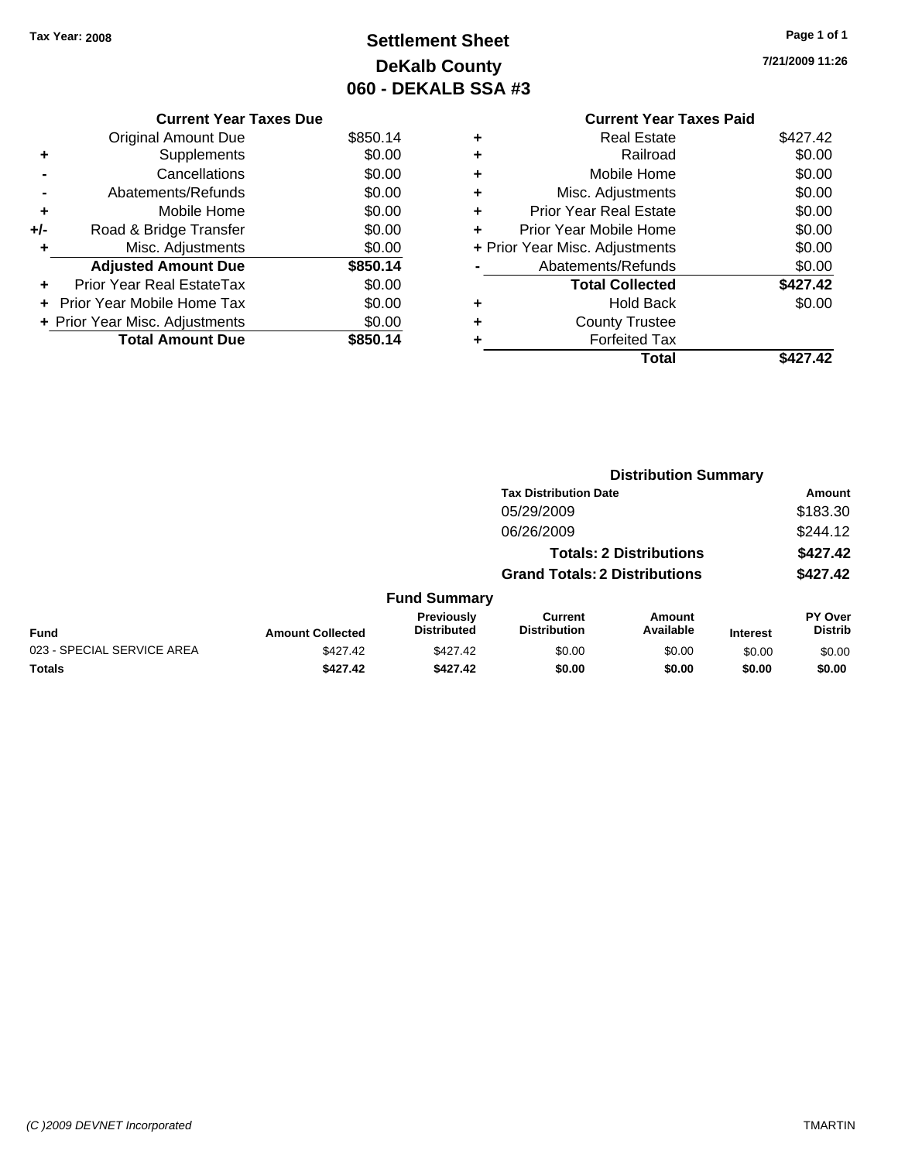# **Settlement Sheet Tax Year: 2008 Page 1 of 1 DeKalb County 060 - DEKALB SSA #3**

**7/21/2009 11:26**

**Current Year Taxes Paid +** Real Estate \$427.42 **+** Railroad \$0.00 **+** Mobile Home \$0.00 **+** Misc. Adjustments \$0.00 **+** Prior Year Real Estate \$0.00 **+** Prior Year Mobile Home \$0.00 **+ Prior Year Misc. Adjustments**  $$0.00$ **-** Abatements/Refunds \$0.00 Total Collected \$427.42 **+** Hold Back \$0.00 **+** County Trustee **+** Forfeited Tax **Total \$427.42**

|     | <b>Current Year Taxes Due</b>  |          |
|-----|--------------------------------|----------|
|     | Original Amount Due            | \$850.14 |
| ٠   | Supplements                    | \$0.00   |
|     | Cancellations                  | \$0.00   |
|     | Abatements/Refunds             | \$0.00   |
| ٠   | Mobile Home                    | \$0.00   |
| +/- | Road & Bridge Transfer         | \$0.00   |
|     | Misc. Adjustments              | \$0.00   |
|     | <b>Adjusted Amount Due</b>     | \$850.14 |
|     | Prior Year Real EstateTax      | \$0.00   |
|     | Prior Year Mobile Home Tax     | \$0.00   |
|     | + Prior Year Misc. Adjustments | \$0.00   |
|     | <b>Total Amount Due</b>        | \$850.14 |
|     |                                |          |

|                            |                         |                                  | <b>Distribution Summary</b>           |                                |                 |                                  |
|----------------------------|-------------------------|----------------------------------|---------------------------------------|--------------------------------|-----------------|----------------------------------|
|                            |                         |                                  | <b>Tax Distribution Date</b>          |                                |                 | Amount                           |
|                            |                         |                                  | 05/29/2009                            |                                |                 | \$183.30                         |
|                            |                         |                                  | 06/26/2009                            |                                |                 | \$244.12                         |
|                            |                         |                                  |                                       | <b>Totals: 2 Distributions</b> |                 | \$427.42                         |
|                            |                         |                                  | <b>Grand Totals: 2 Distributions</b>  |                                |                 | \$427.42                         |
|                            |                         | <b>Fund Summary</b>              |                                       |                                |                 |                                  |
| Fund                       | <b>Amount Collected</b> | Previously<br><b>Distributed</b> | <b>Current</b><br><b>Distribution</b> | <b>Amount</b><br>Available     | <b>Interest</b> | <b>PY Over</b><br><b>Distrib</b> |
| 023 - SPECIAL SERVICE AREA | \$427.42                | \$427.42                         | \$0.00                                | \$0.00                         | \$0.00          | \$0.00                           |
| Totals                     | \$427.42                | \$427.42                         | \$0.00                                | \$0.00                         | \$0.00          | \$0.00                           |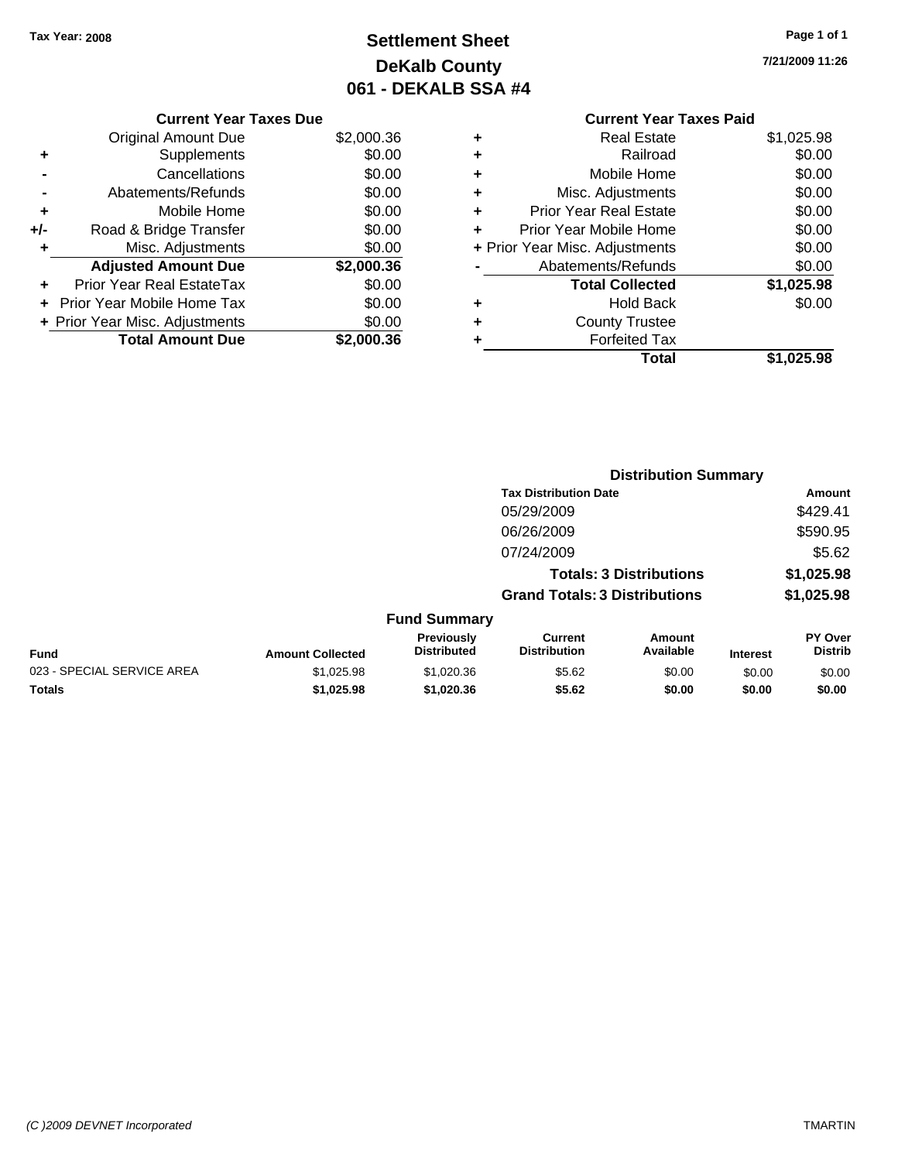# **Settlement Sheet Tax Year: 2008 Page 1 of 1 DeKalb County 061 - DEKALB SSA #4**

**7/21/2009 11:26**

### **Current Year Taxes Due**

|     | <b>Original Amount Due</b>       | \$2,000.36 |
|-----|----------------------------------|------------|
|     | Supplements                      | \$0.00     |
|     | Cancellations                    | \$0.00     |
|     | Abatements/Refunds               | \$0.00     |
| ٠   | Mobile Home                      | \$0.00     |
| +/- | Road & Bridge Transfer           | \$0.00     |
| ٠   | Misc. Adjustments                | \$0.00     |
|     | <b>Adjusted Amount Due</b>       | \$2,000.36 |
|     | <b>Prior Year Real EstateTax</b> | \$0.00     |
|     | + Prior Year Mobile Home Tax     | \$0.00     |
|     | + Prior Year Misc. Adjustments   | \$0.00     |
|     | <b>Total Amount Due</b>          | 00.36      |

# **Current Year Taxes Paid**

|   | Real Estate                    | \$1,025.98 |
|---|--------------------------------|------------|
| ٠ | Railroad                       | \$0.00     |
| ٠ | Mobile Home                    | \$0.00     |
| ٠ | Misc. Adjustments              | \$0.00     |
| ٠ | <b>Prior Year Real Estate</b>  | \$0.00     |
| ٠ | Prior Year Mobile Home         | \$0.00     |
|   | + Prior Year Misc. Adjustments | \$0.00     |
|   | Abatements/Refunds             | \$0.00     |
|   | <b>Total Collected</b>         | \$1,025.98 |
| ٠ | <b>Hold Back</b>               | \$0.00     |
| ٠ | <b>County Trustee</b>          |            |
| ٠ | <b>Forfeited Tax</b>           |            |
|   | Total                          | \$1,025.98 |
|   |                                |            |

|                            |                         |                                  |                                       | <b>Distribution Summary</b>    |                 |                           |
|----------------------------|-------------------------|----------------------------------|---------------------------------------|--------------------------------|-----------------|---------------------------|
|                            |                         |                                  | <b>Tax Distribution Date</b>          |                                |                 | Amount                    |
|                            |                         |                                  | 05/29/2009                            |                                |                 | \$429.41                  |
|                            |                         |                                  | 06/26/2009                            |                                |                 | \$590.95                  |
|                            |                         |                                  | 07/24/2009                            |                                |                 | \$5.62                    |
|                            |                         |                                  |                                       | <b>Totals: 3 Distributions</b> |                 | \$1,025.98                |
|                            |                         |                                  | <b>Grand Totals: 3 Distributions</b>  |                                |                 | \$1,025.98                |
|                            |                         | <b>Fund Summary</b>              |                                       |                                |                 |                           |
| Fund                       | <b>Amount Collected</b> | Previously<br><b>Distributed</b> | <b>Current</b><br><b>Distribution</b> | <b>Amount</b><br>Available     | <b>Interest</b> | PY Over<br><b>Distrib</b> |
| 023 - SPECIAL SERVICE AREA | \$1,025.98              | \$1,020.36                       | \$5.62                                | \$0.00                         | \$0.00          | \$0.00                    |
| Totals                     | \$1,025.98              | \$1,020.36                       | \$5.62                                | \$0.00                         | \$0.00          | \$0.00                    |
|                            |                         |                                  |                                       |                                |                 |                           |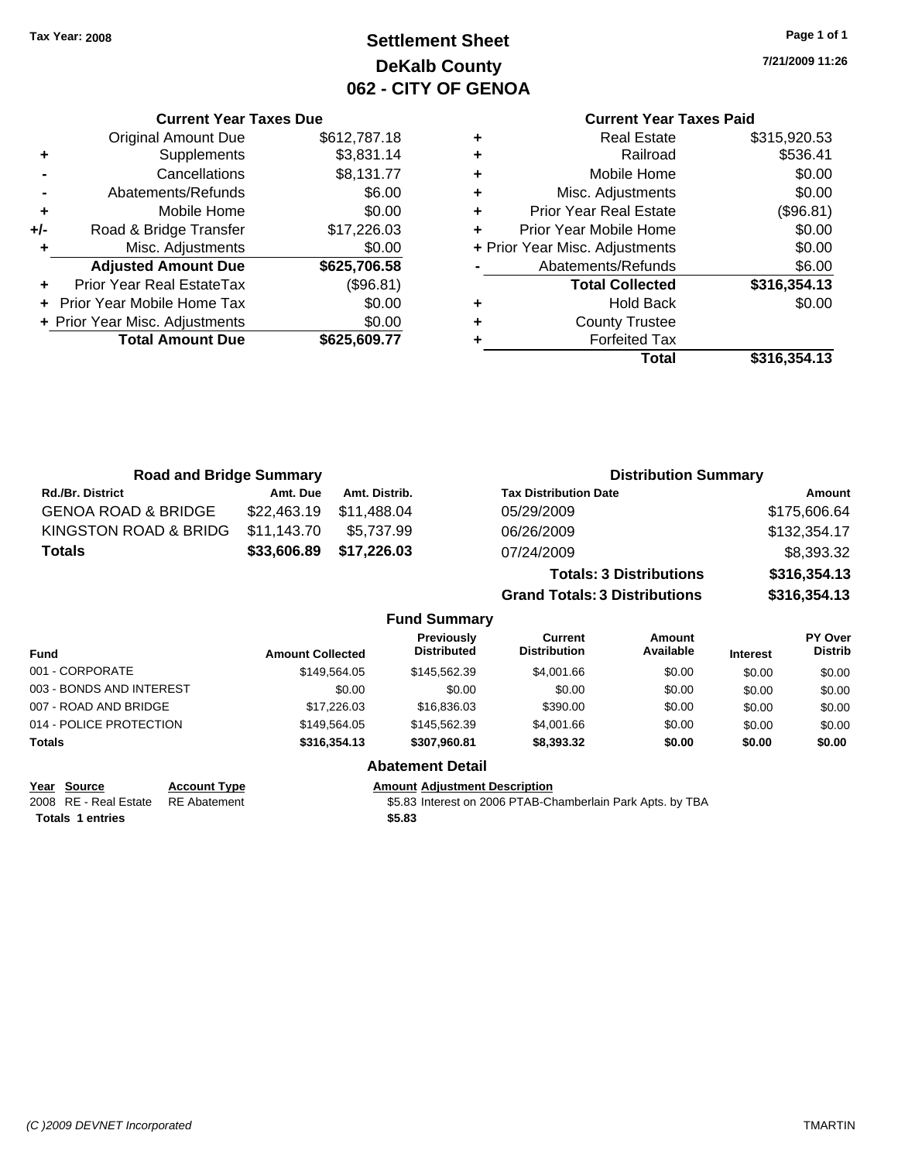**Current Year Taxes Due** Original Amount Due \$612,787.18

**Adjusted Amount Due \$625,706.58**

**Total Amount Due \$625,609.77**

**+** Supplements \$3,831.14 **-** Cancellations \$8,131.77 **-** Abatements/Refunds \$6.00 **+** Mobile Home \$0.00 **+/-** Road & Bridge Transfer \$17,226.03 **+** Misc. Adjustments \$0.00

**+** Prior Year Real EstateTax (\$96.81) **+** Prior Year Mobile Home Tax \$0.00 **+ Prior Year Misc. Adjustments**  $$0.00$ 

# **Settlement Sheet Tax Year: 2008 Page 1 of 1 DeKalb County 062 - CITY OF GENOA**

**7/21/2009 11:26**

## **Current Year Taxes Paid**

| <b>Real Estate</b>             | \$315,920.53 |
|--------------------------------|--------------|
| Railroad                       | \$536.41     |
| Mobile Home                    | \$0.00       |
| Misc. Adjustments              | \$0.00       |
| Prior Year Real Estate         | (\$96.81)    |
| Prior Year Mobile Home         | \$0.00       |
| + Prior Year Misc. Adjustments | \$0.00       |
| Abatements/Refunds             | \$6.00       |
| <b>Total Collected</b>         | \$316,354.13 |
| <b>Hold Back</b>               | \$0.00       |
| <b>County Trustee</b>          |              |
| <b>Forfeited Tax</b>           |              |
| Total                          | \$316.354.13 |
|                                |              |

| <b>Road and Bridge Summary</b> |                         |               |                                         |                                       | <b>Distribution Summary</b>    |                 |                                  |
|--------------------------------|-------------------------|---------------|-----------------------------------------|---------------------------------------|--------------------------------|-----------------|----------------------------------|
| <b>Rd./Br. District</b>        | Amt. Due                | Amt. Distrib. |                                         | <b>Tax Distribution Date</b>          |                                |                 | Amount                           |
| <b>GENOA ROAD &amp; BRIDGE</b> | \$22,463.19             | \$11,488.04   |                                         | 05/29/2009                            |                                |                 | \$175,606.64                     |
| KINGSTON ROAD & BRIDG          | \$11.143.70             | \$5,737.99    |                                         | 06/26/2009                            |                                |                 | \$132,354.17                     |
| <b>Totals</b>                  | \$33,606.89             | \$17,226.03   |                                         | 07/24/2009                            |                                |                 | \$8,393.32                       |
|                                |                         |               |                                         |                                       | <b>Totals: 3 Distributions</b> |                 | \$316,354.13                     |
|                                |                         |               |                                         | <b>Grand Totals: 3 Distributions</b>  |                                |                 | \$316,354.13                     |
|                                |                         |               | <b>Fund Summary</b>                     |                                       |                                |                 |                                  |
| Fund                           | <b>Amount Collected</b> |               | <b>Previously</b><br><b>Distributed</b> | <b>Current</b><br><b>Distribution</b> | Amount<br>Available            | <b>Interest</b> | <b>PY Over</b><br><b>Distrib</b> |
| 001 - CORPORATE                |                         | \$149.564.05  | \$145,562.39                            | \$4,001.66                            | \$0.00                         | \$0.00          | \$0.00                           |
| 003 - BONDS AND INTEREST       |                         | \$0.00        | \$0.00                                  | \$0.00                                | \$0.00                         | \$0.00          | \$0.00                           |
| 007 - ROAD AND BRIDGE          |                         | \$17,226.03   | \$16,836.03                             | \$390.00                              | \$0.00                         | \$0.00          | \$0.00                           |
| 014 - POLICE PROTECTION        |                         | \$149,564.05  | \$145,562.39                            | \$4,001.66                            | \$0.00                         | \$0.00          | \$0.00                           |
| Totals                         |                         | \$316,354.13  | \$307,960.81                            | \$8,393.32                            | \$0.00                         | \$0.00          | \$0.00                           |

**Totals \$5.83 1 entries**

**Year Source Account Type Amount Adjustment Description**

**Abatement Detail**

2008 RE - Real Estate RE Abatement S5.83 Interest on 2006 PTAB-Chamberlain Park Apts. by TBA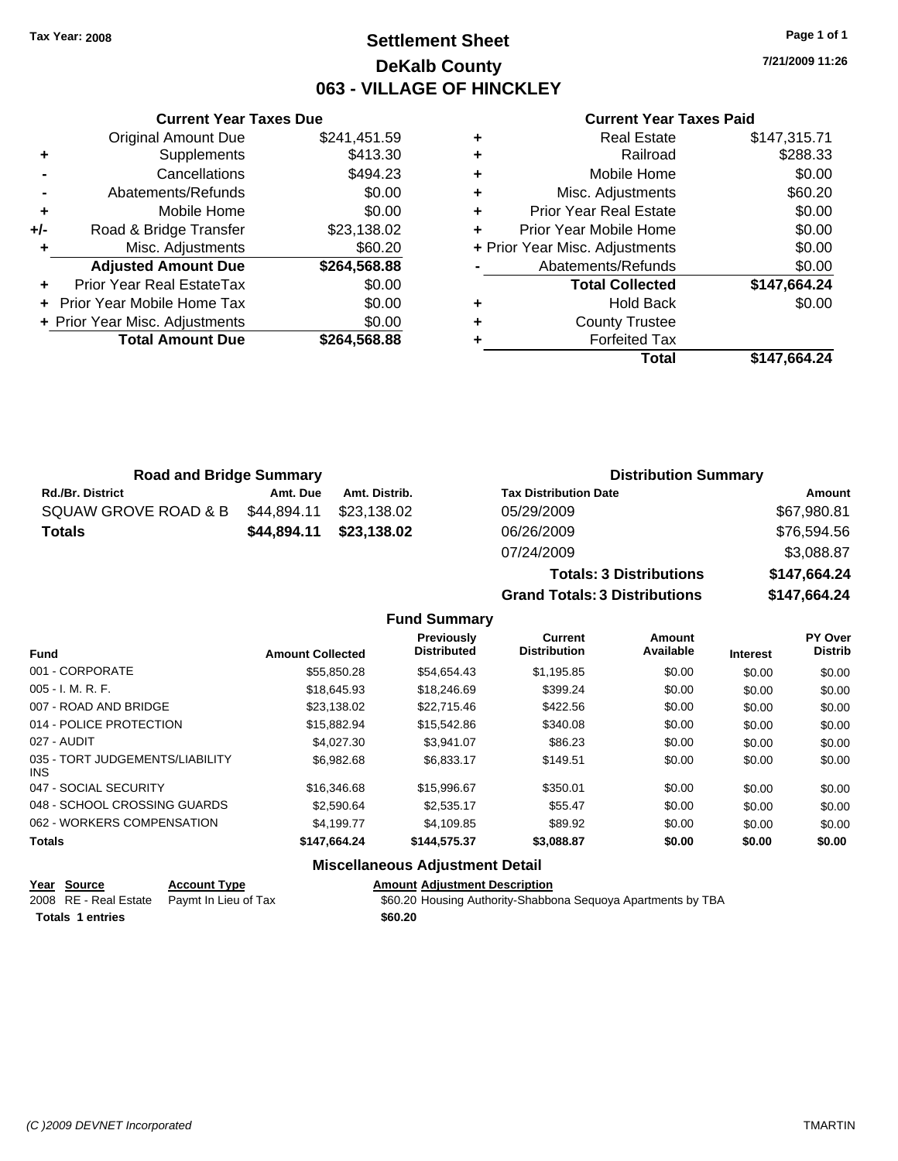## **Settlement Sheet Tax Year: 2008 Page 1 of 1 DeKalb County 063 - VILLAGE OF HINCKLEY**

**7/21/2009 11:26**

### **Current Year Taxes Paid**

|     | <b>Original Amount Due</b>        | \$241,451.59 |
|-----|-----------------------------------|--------------|
| ٠   | Supplements                       | \$413.30     |
|     | Cancellations                     | \$494.23     |
|     | Abatements/Refunds                | \$0.00       |
| ٠   | Mobile Home                       | \$0.00       |
| +/- | Road & Bridge Transfer            | \$23,138.02  |
| ٠   | Misc. Adjustments                 | \$60.20      |
|     | <b>Adjusted Amount Due</b>        | \$264,568.88 |
|     | Prior Year Real EstateTax         | \$0.00       |
|     | <b>Prior Year Mobile Home Tax</b> | \$0.00       |
|     | + Prior Year Misc. Adjustments    | \$0.00       |
|     | <b>Total Amount Due</b>           | \$264,568.88 |
|     |                                   |              |

**Current Year Taxes Due**

| ٠ | <b>Real Estate</b>             | \$147,315.71 |
|---|--------------------------------|--------------|
| ٠ | Railroad                       | \$288.33     |
| ٠ | Mobile Home                    | \$0.00       |
| ٠ | Misc. Adjustments              | \$60.20      |
| ٠ | <b>Prior Year Real Estate</b>  | \$0.00       |
| ٠ | Prior Year Mobile Home         | \$0.00       |
|   | + Prior Year Misc. Adjustments | \$0.00       |
|   | Abatements/Refunds             | \$0.00       |
|   | <b>Total Collected</b>         | \$147,664.24 |
| ٠ | <b>Hold Back</b>               | \$0.00       |
| ٠ | <b>County Trustee</b>          |              |
| ٠ | <b>Forfeited Tax</b>           |              |
|   | Total                          | \$147.664.24 |

**Totals: 3 Distributions \$147,664.24**

**Grand Totals: 3 Distributions \$147,664.24**

| <b>Road and Bridge Summary</b> |             |               | <b>Distribution Summary</b>  |             |  |
|--------------------------------|-------------|---------------|------------------------------|-------------|--|
| <b>Rd./Br. District</b>        | Amt. Due    | Amt. Distrib. | <b>Tax Distribution Date</b> | Amount      |  |
| SQUAW GROVE ROAD & B           | \$44,894.11 | \$23.138.02   | 05/29/2009                   | \$67,980.81 |  |
| <b>Totals</b>                  | \$44.894.11 | \$23,138.02   | 06/26/2009                   | \$76,594.56 |  |
|                                |             |               | 07/24/2009                   | \$3,088.87  |  |

**Fund Summary Fund Interest Amount Collected Distributed PY Over Distrib Amount Available Current Distribution Previously** 001 - CORPORATE \$55,850.28 \$54,654.43 \$1,195.85 \$0.00 \$0.00 \$0.00 005 - I. M. R. F. Charles Communication (St. 18,645.93 \$18,645.93 \$18,246.69 \$399.24 \$0.00 \$0.00 \$0.00 \$0.00 007 - ROAD AND BRIDGE 60.00 \$23,138.02 \$22,715.46 \$422.56 \$0.00 \$0.00 \$0.00 \$0.00 014 - POLICE PROTECTION \$15,882.94 \$15,882.94 \$15,542.86 \$340.08 \$0.00 \$0.00 \$0.00 027 - AUDIT \$4,027.30 \$3,941.07 \$86.23 \$0.00 \$0.00 \$0.00 035 - TORT JUDGEMENTS/LIABILITY INS \$6,982.68 \$6,833.17 \$149.51 \$0.00 \$0.00 \$0.00 047 - SOCIAL SECURITY \$16,346.68 \$15,996.67 \$350.01 \$0.00 \$0.00 \$0.00 \$0.00 048 - SCHOOL CROSSING GUARDS \$2,590.64 \$2,535.17 \$55.47 \$0.00 \$0.00 \$0.00 \$0.00 062 - WORKERS COMPENSATION \$4,199.77 \$4,109.85 \$89.92 \$0.00 \$0.00 \$0.00 \$0.00 **Totals \$147,664.24 \$144,575.37 \$3,088.87 \$0.00 \$0.00 \$0.00**

### **Miscellaneous Adjustment Detail**

| Year Source             | <b>Account Type</b>                        | <b>Amount Adiustment Description</b>                         |
|-------------------------|--------------------------------------------|--------------------------------------------------------------|
|                         | 2008 RE - Real Estate Paymt In Lieu of Tax | \$60.20 Housing Authority-Shabbona Seguoya Apartments by TBA |
| <b>Totals 1 entries</b> |                                            | \$60.20                                                      |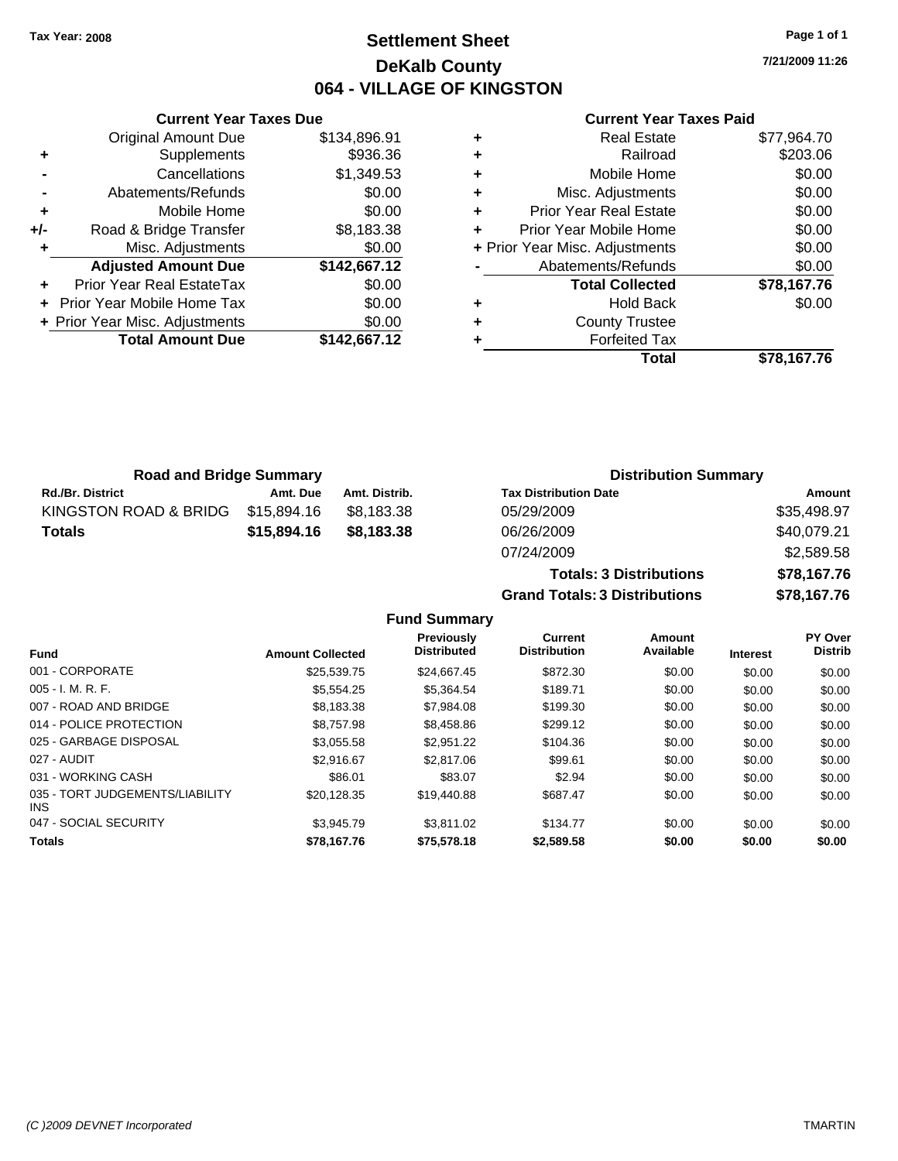## **Settlement Sheet Tax Year: 2008 Page 1 of 1 DeKalb County 064 - VILLAGE OF KINGSTON**

**7/21/2009 11:26**

### **Current Year Taxes Paid**

|     | <b>Current Year Taxes Due</b>  |              |
|-----|--------------------------------|--------------|
|     | <b>Original Amount Due</b>     | \$134,896.91 |
| ٠   | Supplements                    | \$936.36     |
|     | Cancellations                  | \$1,349.53   |
|     | Abatements/Refunds             | \$0.00       |
| ٠   | Mobile Home                    | \$0.00       |
| +/- | Road & Bridge Transfer         | \$8,183.38   |
| ٠   | Misc. Adjustments              | \$0.00       |
|     | <b>Adjusted Amount Due</b>     | \$142,667.12 |
|     | Prior Year Real EstateTax      | \$0.00       |
|     | Prior Year Mobile Home Tax     | \$0.00       |
|     | + Prior Year Misc. Adjustments | \$0.00       |
|     | <b>Total Amount Due</b>        | \$142,667.12 |
|     |                                |              |

| ٠ | <b>Real Estate</b>             | \$77,964.70 |
|---|--------------------------------|-------------|
| ٠ | Railroad                       | \$203.06    |
| ٠ | Mobile Home                    | \$0.00      |
| ٠ | Misc. Adjustments              | \$0.00      |
| ÷ | <b>Prior Year Real Estate</b>  | \$0.00      |
| ٠ | Prior Year Mobile Home         | \$0.00      |
|   | + Prior Year Misc. Adjustments | \$0.00      |
|   | Abatements/Refunds             | \$0.00      |
|   | <b>Total Collected</b>         | \$78,167.76 |
| ٠ | <b>Hold Back</b>               | \$0.00      |
| ٠ | <b>County Trustee</b>          |             |
|   | <b>Forfeited Tax</b>           |             |
|   | Total                          | \$78.167.76 |

| <b>Road and Bridge Summary</b> |             |               | <b>Distribution Summary</b>  |             |  |
|--------------------------------|-------------|---------------|------------------------------|-------------|--|
| <b>Rd./Br. District</b>        | Amt. Due    | Amt. Distrib. | <b>Tax Distribution Date</b> | Amount      |  |
| KINGSTON ROAD & BRIDG          | \$15.894.16 | \$8.183.38    | 05/29/2009                   | \$35,498.97 |  |
| <b>Totals</b>                  | \$15,894.16 | \$8,183.38    | 06/26/2009                   | \$40,079.21 |  |
|                                |             |               | 07/24/2009                   | \$258058    |  |

| <u>UUIZUIZUUJ</u>                    | 1 2. ت ا <b>ب</b> اب |
|--------------------------------------|----------------------|
| 07/24/2009                           | \$2,589.58           |
| <b>Totals: 3 Distributions</b>       | \$78.167.76          |
| <b>Grand Totals: 3 Distributions</b> | \$78,167,76          |
|                                      |                      |

**Fund Summary**

|                                         |                         | Previously<br><b>Distributed</b> | <b>Current</b><br><b>Distribution</b> | Amount<br>Available |                 | <b>PY Over</b><br><b>Distrib</b> |
|-----------------------------------------|-------------------------|----------------------------------|---------------------------------------|---------------------|-----------------|----------------------------------|
| <b>Fund</b>                             | <b>Amount Collected</b> |                                  |                                       |                     | <b>Interest</b> |                                  |
| 001 - CORPORATE                         | \$25,539.75             | \$24,667.45                      | \$872.30                              | \$0.00              | \$0.00          | \$0.00                           |
| $005 - I. M. R. F.$                     | \$5.554.25              | \$5.364.54                       | \$189.71                              | \$0.00              | \$0.00          | \$0.00                           |
| 007 - ROAD AND BRIDGE                   | \$8.183.38              | \$7.984.08                       | \$199.30                              | \$0.00              | \$0.00          | \$0.00                           |
| 014 - POLICE PROTECTION                 | \$8,757.98              | \$8,458.86                       | \$299.12                              | \$0.00              | \$0.00          | \$0.00                           |
| 025 - GARBAGE DISPOSAL                  | \$3,055.58              | \$2.951.22                       | \$104.36                              | \$0.00              | \$0.00          | \$0.00                           |
| 027 - AUDIT                             | \$2.916.67              | \$2,817.06                       | \$99.61                               | \$0.00              | \$0.00          | \$0.00                           |
| 031 - WORKING CASH                      | \$86.01                 | \$83.07                          | \$2.94                                | \$0.00              | \$0.00          | \$0.00                           |
| 035 - TORT JUDGEMENTS/LIABILITY<br>INS. | \$20,128.35             | \$19,440.88                      | \$687.47                              | \$0.00              | \$0.00          | \$0.00                           |
| 047 - SOCIAL SECURITY                   | \$3.945.79              | \$3.811.02                       | \$134.77                              | \$0.00              | \$0.00          | \$0.00                           |
| <b>Totals</b>                           | \$78,167.76             | \$75,578.18                      | \$2,589.58                            | \$0.00              | \$0.00          | \$0.00                           |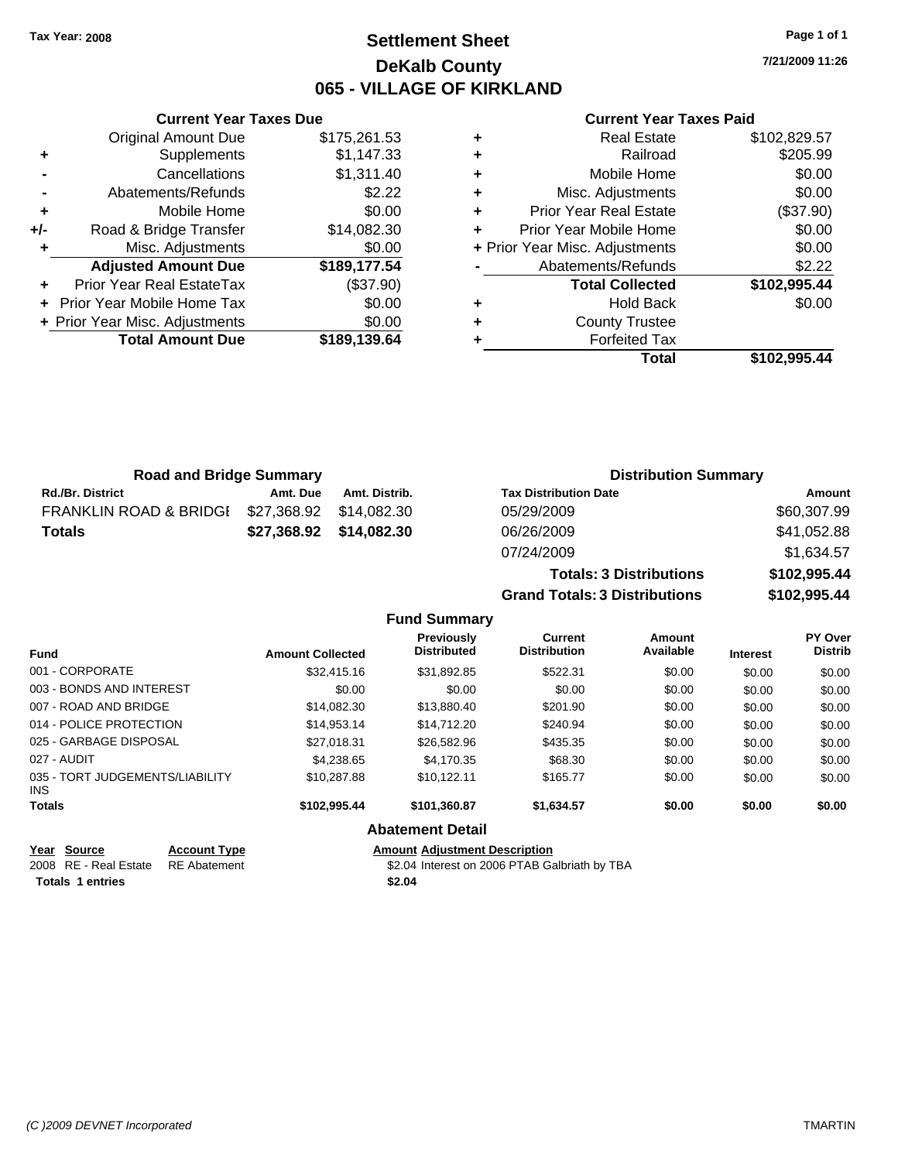## **Settlement Sheet Tax Year: 2008 Page 1 of 1 DeKalb County 065 - VILLAGE OF KIRKLAND**

**7/21/2009 11:26**

### **Current Year Taxes Paid**

| ٠<br>٠ | <b>County Trustee</b><br><b>Forfeited Tax</b> |                                |
|--------|-----------------------------------------------|--------------------------------|
|        |                                               |                                |
|        |                                               |                                |
| ٠      | <b>Hold Back</b>                              | \$0.00                         |
|        | <b>Total Collected</b>                        | \$102,995.44                   |
|        | Abatements/Refunds                            | \$2.22                         |
|        |                                               | \$0.00                         |
| ٠      | Prior Year Mobile Home                        | \$0.00                         |
| ÷      | <b>Prior Year Real Estate</b>                 | (\$37.90)                      |
| ٠      | Misc. Adjustments                             | \$0.00                         |
| ٠      | Mobile Home                                   | \$0.00                         |
| ٠      | Railroad                                      | \$205.99                       |
| ٠      | <b>Real Estate</b>                            | \$102,829.57                   |
|        |                                               | + Prior Year Misc. Adjustments |

| ٠   | Supplements                    | \$1,147.33   |
|-----|--------------------------------|--------------|
|     | Cancellations                  | \$1,311.40   |
|     | Abatements/Refunds             | \$2.22       |
| ٠   | Mobile Home                    | \$0.00       |
| +/- | Road & Bridge Transfer         | \$14,082.30  |
| ٠   | Misc. Adjustments              | \$0.00       |
|     | <b>Adjusted Amount Due</b>     | \$189,177.54 |
| ٠   | Prior Year Real EstateTax      | (\$37.90)    |
|     | + Prior Year Mobile Home Tax   | \$0.00       |
|     | + Prior Year Misc. Adjustments | \$0.00       |
|     | <b>Total Amount Due</b>        | \$189,139.64 |

**Current Year Taxes Due**

| <b>Road and Bridge Summary</b>    |          |               | <b>Distribution Summary</b>    |              |
|-----------------------------------|----------|---------------|--------------------------------|--------------|
| <b>Rd./Br. District</b>           | Amt. Due | Amt. Distrib. | <b>Tax Distribution Date</b>   | Amount       |
| <b>FRANKLIN ROAD &amp; BRIDGI</b> |          |               | 05/29/2009                     | \$60,307.99  |
| <b>Totals</b>                     |          |               | 06/26/2009                     | \$41,052.88  |
|                                   |          |               | 07/24/2009                     | \$1.634.57   |
|                                   |          |               | <b>Totals: 3 Distributions</b> | \$102,995.44 |

**Grand Totals: 3 Distributions \$102,995.44**

| <b>Fund Summary</b> |  |
|---------------------|--|
|---------------------|--|

| <b>Fund</b>                             | <b>Amount Collected</b> | <b>Previously</b><br><b>Distributed</b> | <b>Current</b><br><b>Distribution</b> | Amount<br>Available | <b>Interest</b> | PY Over<br><b>Distrib</b> |
|-----------------------------------------|-------------------------|-----------------------------------------|---------------------------------------|---------------------|-----------------|---------------------------|
| 001 - CORPORATE                         | \$32,415.16             | \$31,892.85                             | \$522.31                              | \$0.00              | \$0.00          | \$0.00                    |
| 003 - BONDS AND INTEREST                | \$0.00                  | \$0.00                                  | \$0.00                                | \$0.00              | \$0.00          | \$0.00                    |
| 007 - ROAD AND BRIDGE                   | \$14.082.30             | \$13,880.40                             | \$201.90                              | \$0.00              | \$0.00          | \$0.00                    |
| 014 - POLICE PROTECTION                 | \$14,953.14             | \$14,712.20                             | \$240.94                              | \$0.00              | \$0.00          | \$0.00                    |
| 025 - GARBAGE DISPOSAL                  | \$27.018.31             | \$26,582.96                             | \$435.35                              | \$0.00              | \$0.00          | \$0.00                    |
| 027 - AUDIT                             | \$4,238,65              | \$4.170.35                              | \$68.30                               | \$0.00              | \$0.00          | \$0.00                    |
| 035 - TORT JUDGEMENTS/LIABILITY<br>INS. | \$10.287.88             | \$10.122.11                             | \$165.77                              | \$0.00              | \$0.00          | \$0.00                    |
| <b>Totals</b>                           | \$102.995.44            | \$101.360.87                            | \$1.634.57                            | \$0.00              | \$0.00          | \$0.00                    |
|                                         |                         | <b>Abatement Detail</b>                 |                                       |                     |                 |                           |

| Year Source                        | <b>Account Type</b> | Amount |
|------------------------------------|---------------------|--------|
| 2008 RE - Real Estate RE Abatement |                     | \$2.04 |
| <b>Totals 1 entries</b>            |                     | \$2.04 |

**Amount Adjustment Description** \$2.04 Interest on 2006 PTAB Galbriath by TBA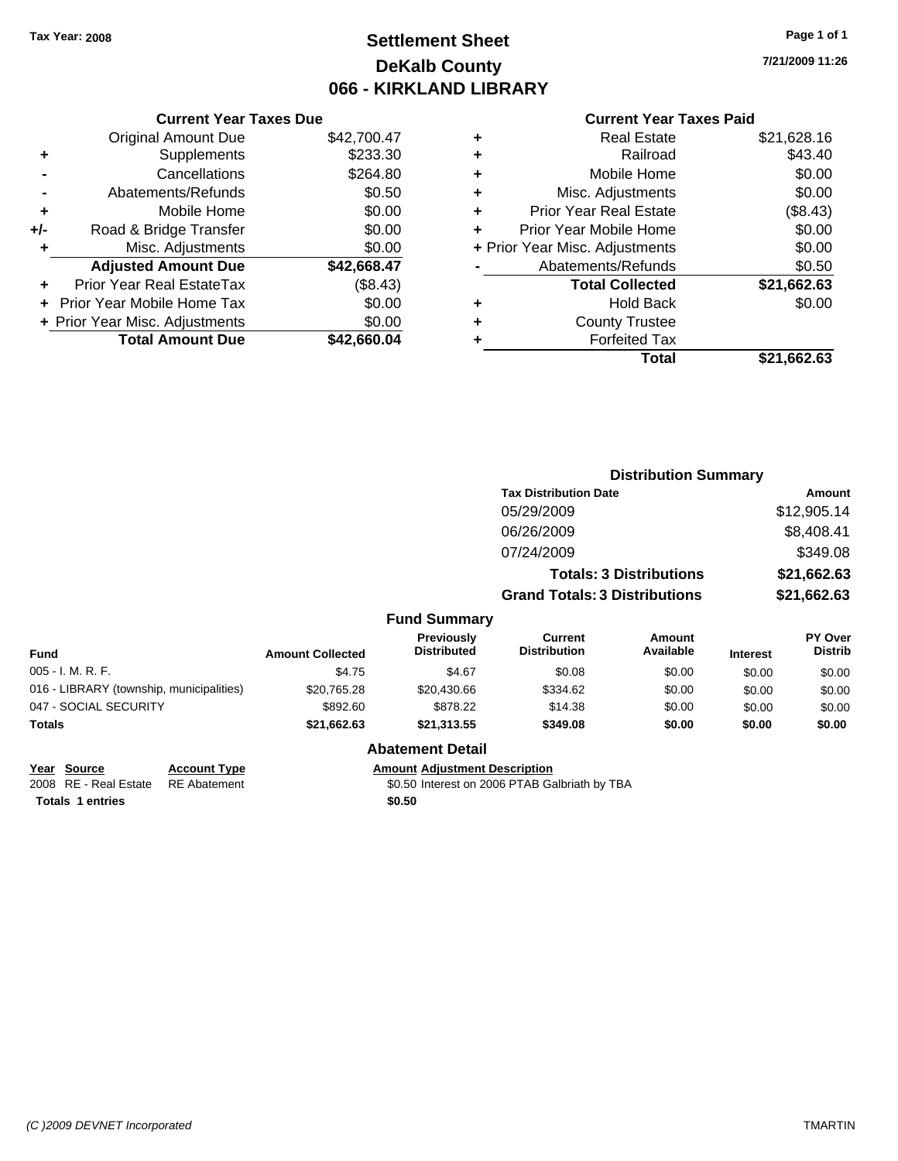## **Settlement Sheet Tax Year: 2008 Page 1 of 1 DeKalb County 066 - KIRKLAND LIBRARY**

**7/21/2009 11:26**

### **Current Year Taxes Paid**

|     | <b>Current Year Taxes Due</b>  |             |
|-----|--------------------------------|-------------|
|     | <b>Original Amount Due</b>     | \$42,700.47 |
| ٠   | Supplements                    | \$233.30    |
|     | Cancellations                  | \$264.80    |
|     | Abatements/Refunds             | \$0.50      |
| ٠   | Mobile Home                    | \$0.00      |
| +/- | Road & Bridge Transfer         | \$0.00      |
|     | Misc. Adjustments              | \$0.00      |
|     | <b>Adjusted Amount Due</b>     | \$42,668.47 |
|     | Prior Year Real EstateTax      | (\$8.43)    |
|     | Prior Year Mobile Home Tax     | \$0.00      |
|     | + Prior Year Misc. Adjustments | \$0.00      |
|     | <b>Total Amount Due</b>        | \$42,660.04 |
|     |                                |             |

|   | <b>Real Estate</b>             | \$21,628.16 |
|---|--------------------------------|-------------|
| ٠ | Railroad                       | \$43.40     |
| ٠ | Mobile Home                    | \$0.00      |
| ٠ | Misc. Adjustments              | \$0.00      |
| ٠ | <b>Prior Year Real Estate</b>  | (\$8.43)    |
| ÷ | Prior Year Mobile Home         | \$0.00      |
|   | + Prior Year Misc. Adjustments | \$0.00      |
|   | Abatements/Refunds             | \$0.50      |
|   | <b>Total Collected</b>         | \$21,662.63 |
| ٠ | <b>Hold Back</b>               | \$0.00      |
|   | <b>County Trustee</b>          |             |
| ٠ | <b>Forfeited Tax</b>           |             |
|   | Total                          | \$21,662.63 |
|   |                                |             |

|                                          |                         |                                  | <b>Distribution Summary</b>          |                                |                 |                                  |
|------------------------------------------|-------------------------|----------------------------------|--------------------------------------|--------------------------------|-----------------|----------------------------------|
|                                          |                         |                                  | <b>Tax Distribution Date</b>         |                                |                 | <b>Amount</b>                    |
|                                          |                         |                                  | 05/29/2009                           |                                |                 | \$12,905.14                      |
|                                          |                         |                                  | 06/26/2009                           |                                |                 | \$8,408.41                       |
|                                          |                         |                                  | 07/24/2009                           |                                |                 | \$349.08                         |
|                                          |                         |                                  |                                      | <b>Totals: 3 Distributions</b> |                 | \$21,662.63                      |
|                                          |                         |                                  | <b>Grand Totals: 3 Distributions</b> |                                |                 | \$21,662.63                      |
|                                          |                         | <b>Fund Summary</b>              |                                      |                                |                 |                                  |
| Fund                                     | <b>Amount Collected</b> | Previously<br><b>Distributed</b> | Current<br><b>Distribution</b>       | Amount<br>Available            | <b>Interest</b> | <b>PY Over</b><br><b>Distrib</b> |
| 005 - I. M. R. F.                        | \$4.75                  | \$4.67                           | \$0.08                               | \$0.00                         | \$0.00          | \$0.00                           |
| 016 - LIBRARY (township, municipalities) | \$20,765.28             | \$20,430.66                      | \$334.62                             | \$0.00                         | \$0.00          | \$0.00                           |
| 047 - SOCIAL SECURITY                    | \$892.60                | \$878.22                         | \$14.38                              | \$0.00                         | \$0.00          | \$0.00                           |
| Totals                                   | \$21,662.63             | \$21,313.55                      | \$349.08                             | \$0.00                         | \$0.00          | \$0.00                           |
|                                          |                         |                                  |                                      |                                |                 |                                  |

**Year Source Account Type Amount Adjustment Description** 2008 RE - Real Estate RE Abatement **1996** 80.50 Interest on 2006 PTAB Galbriath by TBA **Totals 1 entries** \$0.50

**Abatement Detail**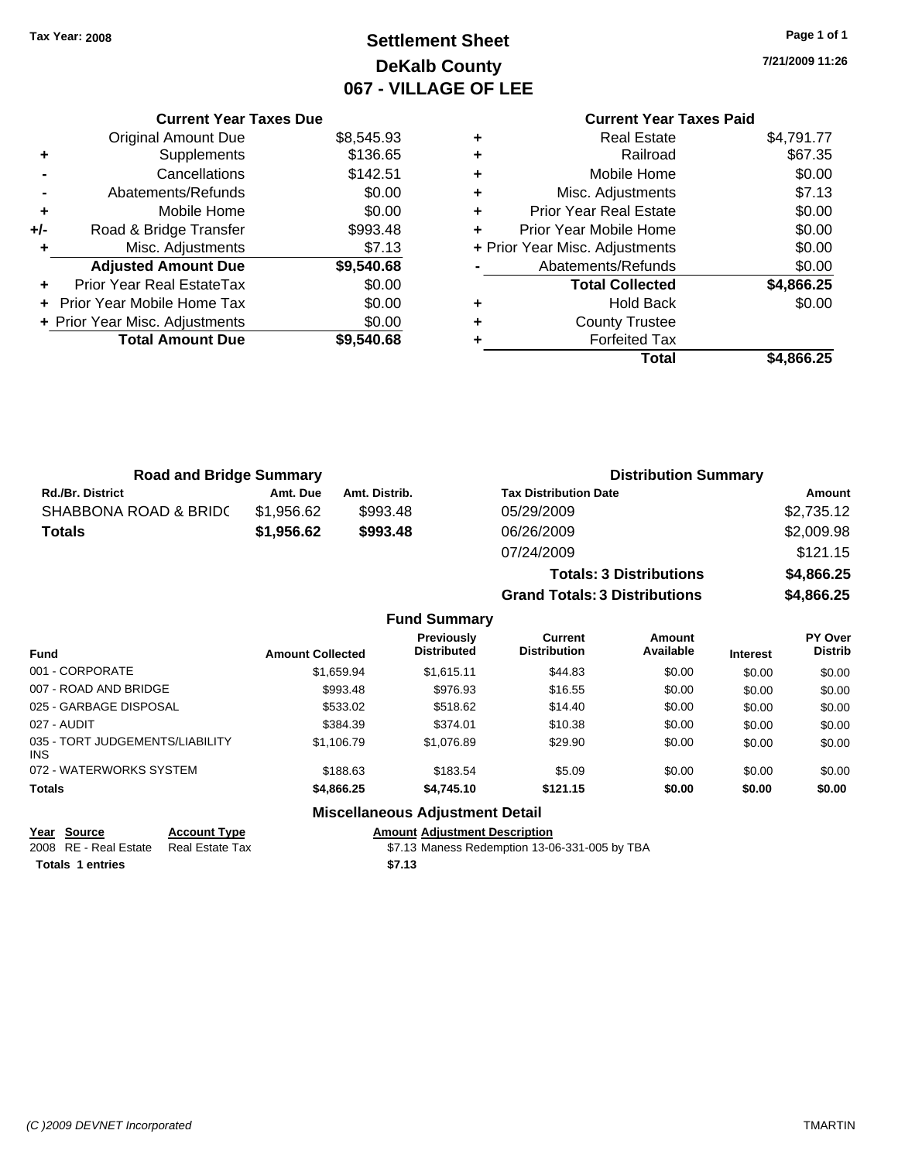# **Settlement Sheet Tax Year: 2008 Page 1 of 1 DeKalb County 067 - VILLAGE OF LEE**

**7/21/2009 11:26**

## **Current Year Taxes Paid**

|     | <b>Current Year Taxes Due</b>     |            |  |
|-----|-----------------------------------|------------|--|
|     | Original Amount Due               | \$8,545.93 |  |
| ٠   | Supplements                       | \$136.65   |  |
|     | Cancellations                     | \$142.51   |  |
|     | Abatements/Refunds                | \$0.00     |  |
|     | Mobile Home                       | \$0.00     |  |
| +/- | Road & Bridge Transfer            | \$993.48   |  |
|     | Misc. Adjustments                 | \$7.13     |  |
|     | <b>Adjusted Amount Due</b>        | \$9,540.68 |  |
|     | Prior Year Real EstateTax         | \$0.00     |  |
|     | <b>Prior Year Mobile Home Tax</b> | \$0.00     |  |
|     | + Prior Year Misc. Adjustments    | \$0.00     |  |
|     | <b>Total Amount Due</b>           | \$9,540.68 |  |
|     |                                   |            |  |

| ٠ | <b>Real Estate</b>             | \$4,791.77 |
|---|--------------------------------|------------|
| ٠ | Railroad                       | \$67.35    |
| ٠ | Mobile Home                    | \$0.00     |
| ٠ | Misc. Adjustments              | \$7.13     |
| ÷ | <b>Prior Year Real Estate</b>  | \$0.00     |
| ÷ | Prior Year Mobile Home         | \$0.00     |
|   | + Prior Year Misc. Adjustments | \$0.00     |
|   | Abatements/Refunds             | \$0.00     |
|   | <b>Total Collected</b>         | \$4,866.25 |
| ٠ | <b>Hold Back</b>               | \$0.00     |
| ٠ | <b>County Trustee</b>          |            |
| ٠ | <b>Forfeited Tax</b>           |            |
|   | Total                          | \$4,866.25 |
|   |                                |            |

**Totals: 3 Distributions \$4,866.25**

**Grand Totals: 3 Distributions \$4,866.25**

| <b>Road and Bridge Summary</b> |            |               | <b>Distribution Summary</b>  |            |  |
|--------------------------------|------------|---------------|------------------------------|------------|--|
| <b>Rd./Br. District</b>        | Amt. Due   | Amt. Distrib. | <b>Tax Distribution Date</b> | Amount     |  |
| SHABBONA ROAD & BRIDC          | \$1.956.62 | \$993.48      | 05/29/2009                   | \$2,735.12 |  |
| Totals                         | \$1.956.62 | \$993.48      | 06/26/2009                   | \$2,009.98 |  |
|                                |            |               | 07/24/2009                   | \$121.15   |  |

|                                        |                         | <b>Fund Summary</b>                     |                                |                     |                 |                           |
|----------------------------------------|-------------------------|-----------------------------------------|--------------------------------|---------------------|-----------------|---------------------------|
| Fund                                   | <b>Amount Collected</b> | <b>Previously</b><br><b>Distributed</b> | Current<br><b>Distribution</b> | Amount<br>Available | <b>Interest</b> | PY Over<br><b>Distrib</b> |
| 001 - CORPORATE                        | \$1.659.94              | \$1.615.11                              | \$44.83                        | \$0.00              | \$0.00          | \$0.00                    |
| 007 - ROAD AND BRIDGE                  | \$993.48                | \$976.93                                | \$16.55                        | \$0.00              | \$0.00          | \$0.00                    |
| 025 - GARBAGE DISPOSAL                 | \$533.02                | \$518.62                                | \$14.40                        | \$0.00              | \$0.00          | \$0.00                    |
| 027 - AUDIT                            | \$384.39                | \$374.01                                | \$10.38                        | \$0.00              | \$0.00          | \$0.00                    |
| 035 - TORT JUDGEMENTS/LIABILITY<br>INS | \$1.106.79              | \$1.076.89                              | \$29.90                        | \$0.00              | \$0.00          | \$0.00                    |
| 072 - WATERWORKS SYSTEM                | \$188.63                | \$183.54                                | \$5.09                         | \$0.00              | \$0.00          | \$0.00                    |
| Totals                                 | \$4,866.25              | \$4,745.10                              | \$121.15                       | \$0.00              | \$0.00          | \$0.00                    |
|                                        |                         | Miccellenceus Adjustment Detail         |                                |                     |                 |                           |

### **Miscellaneous Adjustment Detail**

### **Year Source Account Type Amount Adjustment Description**

2008 RE - Real Estate Real Estate Tax \$7.13 Maness Redemption 13-06-331-005 by TBA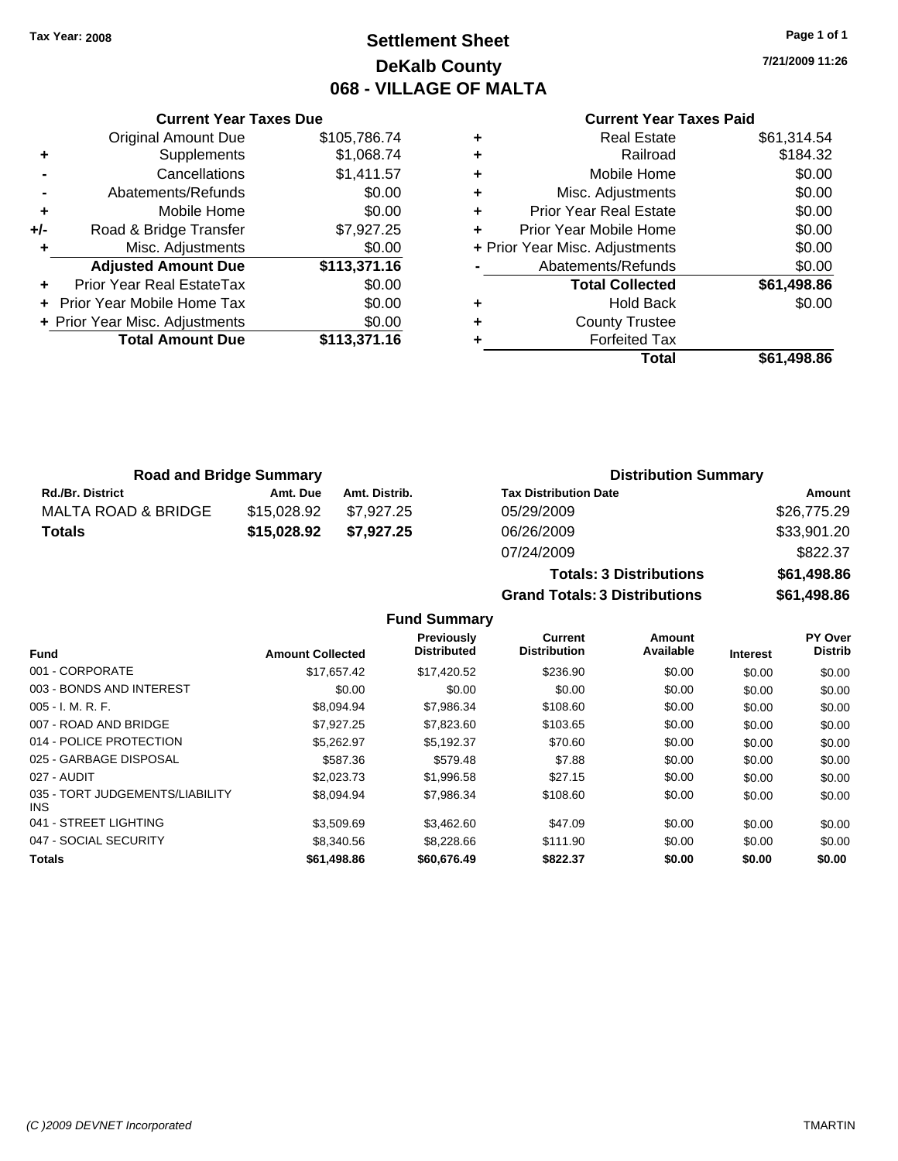## **Settlement Sheet Tax Year: 2008 Page 1 of 1 DeKalb County 068 - VILLAGE OF MALTA**

**7/21/2009 11:26**

### **Current Year Taxes Paid**

|     | <b>Current Year Taxes Due</b>  |              |  |  |  |
|-----|--------------------------------|--------------|--|--|--|
|     | <b>Original Amount Due</b>     | \$105,786.74 |  |  |  |
| ٠   | Supplements                    | \$1,068.74   |  |  |  |
|     | Cancellations                  | \$1,411.57   |  |  |  |
|     | Abatements/Refunds             | \$0.00       |  |  |  |
| ٠   | Mobile Home                    | \$0.00       |  |  |  |
| +/- | Road & Bridge Transfer         | \$7,927.25   |  |  |  |
| ٠   | Misc. Adjustments              | \$0.00       |  |  |  |
|     | <b>Adjusted Amount Due</b>     | \$113,371.16 |  |  |  |
|     | Prior Year Real EstateTax      | \$0.00       |  |  |  |
|     | Prior Year Mobile Home Tax     | \$0.00       |  |  |  |
|     | + Prior Year Misc. Adjustments | \$0.00       |  |  |  |
|     | <b>Total Amount Due</b>        | \$113,371.16 |  |  |  |
|     |                                |              |  |  |  |

|          | \$61,314.54                                                                                                                                                                                                                                                              |
|----------|--------------------------------------------------------------------------------------------------------------------------------------------------------------------------------------------------------------------------------------------------------------------------|
| Railroad | \$184.32                                                                                                                                                                                                                                                                 |
|          | \$0.00                                                                                                                                                                                                                                                                   |
|          | \$0.00                                                                                                                                                                                                                                                                   |
|          | \$0.00                                                                                                                                                                                                                                                                   |
|          | \$0.00                                                                                                                                                                                                                                                                   |
|          | \$0.00                                                                                                                                                                                                                                                                   |
|          | \$0.00                                                                                                                                                                                                                                                                   |
|          | \$61,498.86                                                                                                                                                                                                                                                              |
|          | \$0.00                                                                                                                                                                                                                                                                   |
|          |                                                                                                                                                                                                                                                                          |
|          |                                                                                                                                                                                                                                                                          |
| Total    | \$61,498.86                                                                                                                                                                                                                                                              |
|          | <b>Real Estate</b><br>Mobile Home<br>Misc. Adjustments<br><b>Prior Year Real Estate</b><br>Prior Year Mobile Home<br>+ Prior Year Misc. Adjustments<br>Abatements/Refunds<br><b>Total Collected</b><br><b>Hold Back</b><br><b>County Trustee</b><br><b>Forfeited Tax</b> |

|                         | <b>Road and Bridge Summary</b> |               | <b>Distribution Summary</b>  |             |
|-------------------------|--------------------------------|---------------|------------------------------|-------------|
| <b>Rd./Br. District</b> | Amt. Due                       | Amt. Distrib. | <b>Tax Distribution Date</b> | Amount      |
| MALTA ROAD & BRIDGE     | \$15,028.92                    | \$7.927.25    | 05/29/2009                   | \$26,775.29 |
| <b>Totals</b>           | \$15,028.92                    | \$7.927.25    | 06/26/2009                   | \$33,901.20 |
|                         |                                |               | 07/24/2009                   | \$822.37    |

| $001 - 01 - 000$                     | <b>UUU.UU</b> |
|--------------------------------------|---------------|
| 07/24/2009                           | \$822.37      |
| <b>Totals: 3 Distributions</b>       | \$61,498.86   |
| <b>Grand Totals: 3 Distributions</b> | \$61,498.86   |
|                                      |               |

**Fund Summary**

|                                         |                         | Previously         | <b>Current</b>      | Amount    |                 | <b>PY Over</b> |
|-----------------------------------------|-------------------------|--------------------|---------------------|-----------|-----------------|----------------|
| <b>Fund</b>                             | <b>Amount Collected</b> | <b>Distributed</b> | <b>Distribution</b> | Available | <b>Interest</b> | <b>Distrib</b> |
| 001 - CORPORATE                         | \$17.657.42             | \$17.420.52        | \$236.90            | \$0.00    | \$0.00          | \$0.00         |
| 003 - BONDS AND INTEREST                | \$0.00                  | \$0.00             | \$0.00              | \$0.00    | \$0.00          | \$0.00         |
| $005 - I. M. R. F.$                     | \$8.094.94              | \$7,986.34         | \$108.60            | \$0.00    | \$0.00          | \$0.00         |
| 007 - ROAD AND BRIDGE                   | \$7.927.25              | \$7,823,60         | \$103.65            | \$0.00    | \$0.00          | \$0.00         |
| 014 - POLICE PROTECTION                 | \$5.262.97              | \$5.192.37         | \$70.60             | \$0.00    | \$0.00          | \$0.00         |
| 025 - GARBAGE DISPOSAL                  | \$587.36                | \$579.48           | \$7.88              | \$0.00    | \$0.00          | \$0.00         |
| 027 - AUDIT                             | \$2.023.73              | \$1,996.58         | \$27.15             | \$0.00    | \$0.00          | \$0.00         |
| 035 - TORT JUDGEMENTS/LIABILITY<br>INS. | \$8.094.94              | \$7.986.34         | \$108.60            | \$0.00    | \$0.00          | \$0.00         |
| 041 - STREET LIGHTING                   | \$3.509.69              | \$3,462.60         | \$47.09             | \$0.00    | \$0.00          | \$0.00         |
| 047 - SOCIAL SECURITY                   | \$8,340.56              | \$8,228,66         | \$111.90            | \$0.00    | \$0.00          | \$0.00         |
| <b>Totals</b>                           | \$61,498.86             | \$60,676.49        | \$822.37            | \$0.00    | \$0.00          | \$0.00         |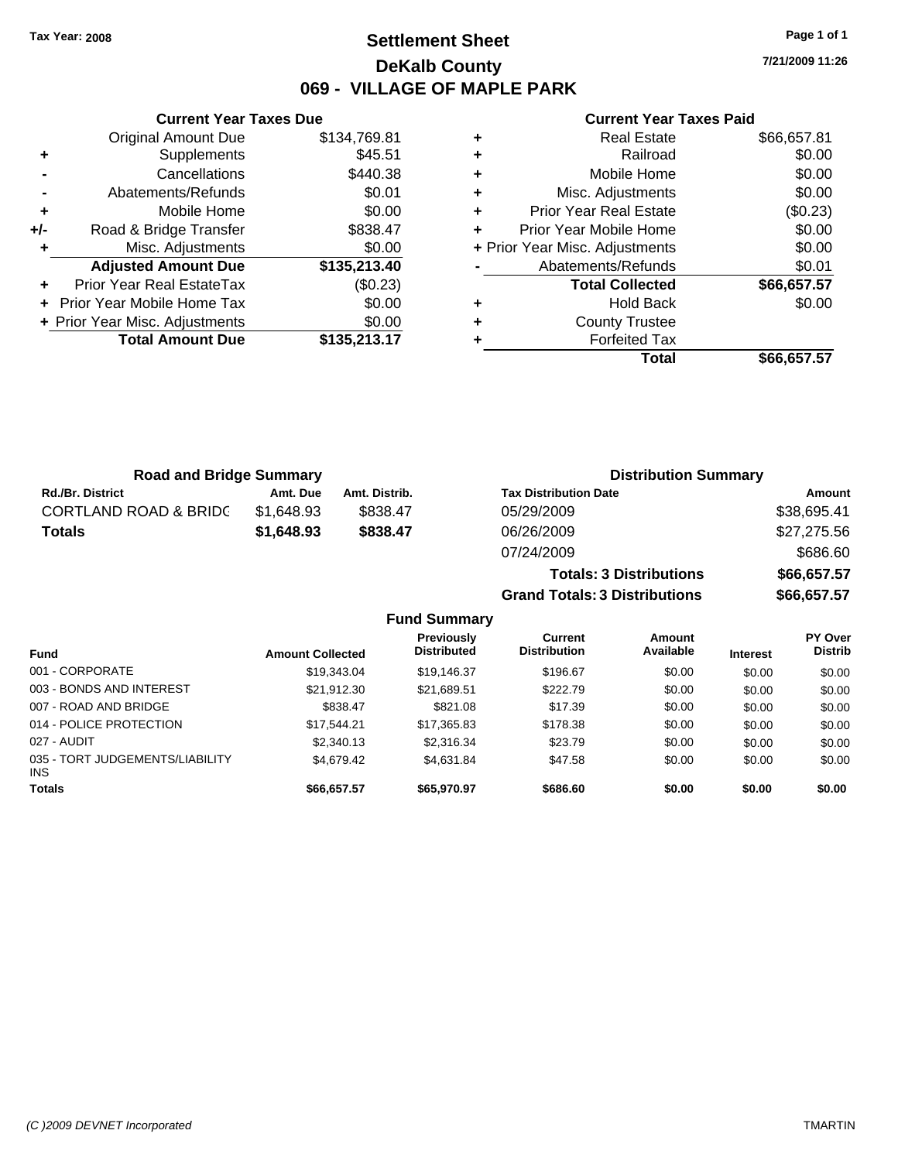## **Settlement Sheet Tax Year: 2008 Page 1 of 1 DeKalb County 069 - VILLAGE OF MAPLE PARK**

**7/21/2009 11:26**

### **Current Year Taxes Paid**

|     | <b>Current Year Taxes Due</b>     |              |
|-----|-----------------------------------|--------------|
|     | <b>Original Amount Due</b>        | \$134,769.81 |
| ٠   | Supplements                       | \$45.51      |
|     | Cancellations                     | \$440.38     |
|     | Abatements/Refunds                | \$0.01       |
| ٠   | Mobile Home                       | \$0.00       |
| +/- | Road & Bridge Transfer            | \$838.47     |
| ٠   | Misc. Adjustments                 | \$0.00       |
|     | <b>Adjusted Amount Due</b>        | \$135,213.40 |
| ٠   | <b>Prior Year Real EstateTax</b>  | (\$0.23)     |
|     | <b>Prior Year Mobile Home Tax</b> | \$0.00       |
|     | + Prior Year Misc. Adjustments    | \$0.00       |
|     | <b>Total Amount Due</b>           | \$135,213.17 |
|     |                                   |              |

|   | <b>Real Estate</b>             | \$66,657.81 |
|---|--------------------------------|-------------|
| ٠ | Railroad                       | \$0.00      |
| ٠ | Mobile Home                    | \$0.00      |
| ٠ | Misc. Adjustments              | \$0.00      |
| ٠ | <b>Prior Year Real Estate</b>  | (\$0.23)    |
| ٠ | Prior Year Mobile Home         | \$0.00      |
|   | + Prior Year Misc. Adjustments | \$0.00      |
|   | Abatements/Refunds             | \$0.01      |
|   | <b>Total Collected</b>         | \$66,657.57 |
| ٠ | <b>Hold Back</b>               | \$0.00      |
| ٠ | <b>County Trustee</b>          |             |
| ٠ | <b>Forfeited Tax</b>           |             |
|   | Total                          | \$66.657.57 |

**Totals: 3 Distributions \$66,657.57**

| <b>Road and Bridge Summary</b>   |            |               | <b>Distribution Summary</b>  |             |  |
|----------------------------------|------------|---------------|------------------------------|-------------|--|
| <b>Rd./Br. District</b>          | Amt. Due   | Amt. Distrib. | <b>Tax Distribution Date</b> | Amount      |  |
| <b>CORTLAND ROAD &amp; BRIDC</b> | \$1.648.93 | \$838.47      | 05/29/2009                   | \$38,695.41 |  |
| Totals                           | \$1,648.93 | \$838.47      | 06/26/2009                   | \$27,275.56 |  |
|                                  |            |               | 07/24/2009                   | \$686.60    |  |

|                                         |                         |                                         | <b>Grand Totals: 3 Distributions</b> |                     |                 | \$66,657.57                      |
|-----------------------------------------|-------------------------|-----------------------------------------|--------------------------------------|---------------------|-----------------|----------------------------------|
|                                         |                         | <b>Fund Summary</b>                     |                                      |                     |                 |                                  |
| <b>Fund</b>                             | <b>Amount Collected</b> | <b>Previously</b><br><b>Distributed</b> | Current<br><b>Distribution</b>       | Amount<br>Available | <b>Interest</b> | <b>PY Over</b><br><b>Distrib</b> |
| 001 - CORPORATE                         | \$19.343.04             | \$19.146.37                             | \$196.67                             | \$0.00              | \$0.00          | \$0.00                           |
| 003 - BONDS AND INTEREST                | \$21.912.30             | \$21.689.51                             | \$222.79                             | \$0.00              | \$0.00          | \$0.00                           |
| 007 - ROAD AND BRIDGE                   | \$838.47                | \$821.08                                | \$17.39                              | \$0.00              | \$0.00          | \$0.00                           |
| 014 - POLICE PROTECTION                 | \$17.544.21             | \$17.365.83                             | \$178.38                             | \$0.00              | \$0.00          | \$0.00                           |
| 027 - AUDIT                             | \$2,340.13              | \$2,316,34                              | \$23.79                              | \$0.00              | \$0.00          | \$0.00                           |
| 035 - TORT JUDGEMENTS/LIABILITY<br>INS. | \$4,679.42              | \$4.631.84                              | \$47.58                              | \$0.00              | \$0.00          | \$0.00                           |
| <b>Totals</b>                           | \$66,657.57             | \$65,970.97                             | \$686.60                             | \$0.00              | \$0.00          | \$0.00                           |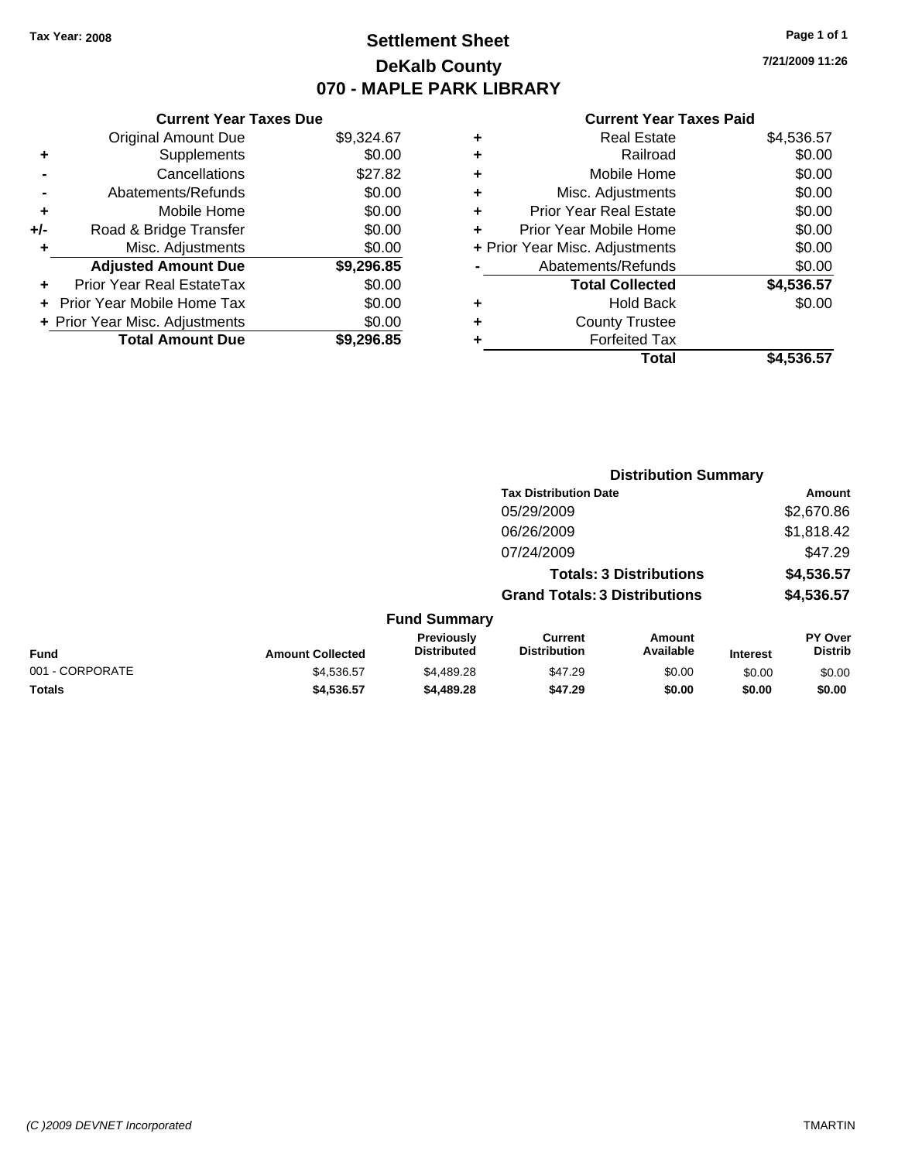## **Settlement Sheet Tax Year: 2008 Page 1 of 1 DeKalb County 070 - MAPLE PARK LIBRARY**

**7/21/2009 11:26**

### **Current Year Taxes Paid**

| <b>Current Year Taxes Due</b> |  |  |  |  |  |  |
|-------------------------------|--|--|--|--|--|--|
| \$9,324.67                    |  |  |  |  |  |  |
| \$0.00                        |  |  |  |  |  |  |
| \$27.82                       |  |  |  |  |  |  |
| \$0.00                        |  |  |  |  |  |  |
| \$0.00                        |  |  |  |  |  |  |
| \$0.00                        |  |  |  |  |  |  |
| \$0.00                        |  |  |  |  |  |  |
| \$9,296.85                    |  |  |  |  |  |  |
| \$0.00                        |  |  |  |  |  |  |
| \$0.00                        |  |  |  |  |  |  |
|                               |  |  |  |  |  |  |
| \$0.00                        |  |  |  |  |  |  |
|                               |  |  |  |  |  |  |

| ٠ | <b>Real Estate</b>             | \$4,536.57 |
|---|--------------------------------|------------|
| ٠ | Railroad                       | \$0.00     |
| ٠ | Mobile Home                    | \$0.00     |
| ٠ | Misc. Adjustments              | \$0.00     |
| ÷ | <b>Prior Year Real Estate</b>  | \$0.00     |
| ٠ | Prior Year Mobile Home         | \$0.00     |
|   | + Prior Year Misc. Adjustments | \$0.00     |
|   | Abatements/Refunds             | \$0.00     |
|   | <b>Total Collected</b>         | \$4,536.57 |
| ٠ | <b>Hold Back</b>               | \$0.00     |
| ٠ | <b>County Trustee</b>          |            |
| ٠ | <b>Forfeited Tax</b>           |            |
|   | Total                          | \$4,536.57 |
|   |                                |            |

|                 |                         |                                  |                                       | <b>Distribution Summary</b>    |                 |                           |
|-----------------|-------------------------|----------------------------------|---------------------------------------|--------------------------------|-----------------|---------------------------|
|                 |                         |                                  | <b>Tax Distribution Date</b>          |                                |                 | Amount                    |
|                 |                         |                                  | 05/29/2009                            |                                |                 | \$2,670.86                |
|                 |                         |                                  | 06/26/2009                            |                                |                 | \$1,818.42                |
|                 |                         |                                  | 07/24/2009                            |                                |                 | \$47.29                   |
|                 |                         |                                  |                                       | <b>Totals: 3 Distributions</b> |                 | \$4,536.57                |
|                 |                         |                                  | <b>Grand Totals: 3 Distributions</b>  |                                |                 | \$4,536.57                |
|                 |                         | <b>Fund Summary</b>              |                                       |                                |                 |                           |
| Fund            | <b>Amount Collected</b> | Previously<br><b>Distributed</b> | <b>Current</b><br><b>Distribution</b> | Amount<br>Available            | <b>Interest</b> | PY Over<br><b>Distrib</b> |
| 001 - CORPORATE | \$4,536.57              | \$4,489.28                       | \$47.29                               | \$0.00                         | \$0.00          | \$0.00                    |
| Totals          | \$4,536.57              | \$4,489.28                       | \$47.29                               | \$0.00                         | \$0.00          | \$0.00                    |
|                 |                         |                                  |                                       |                                |                 |                           |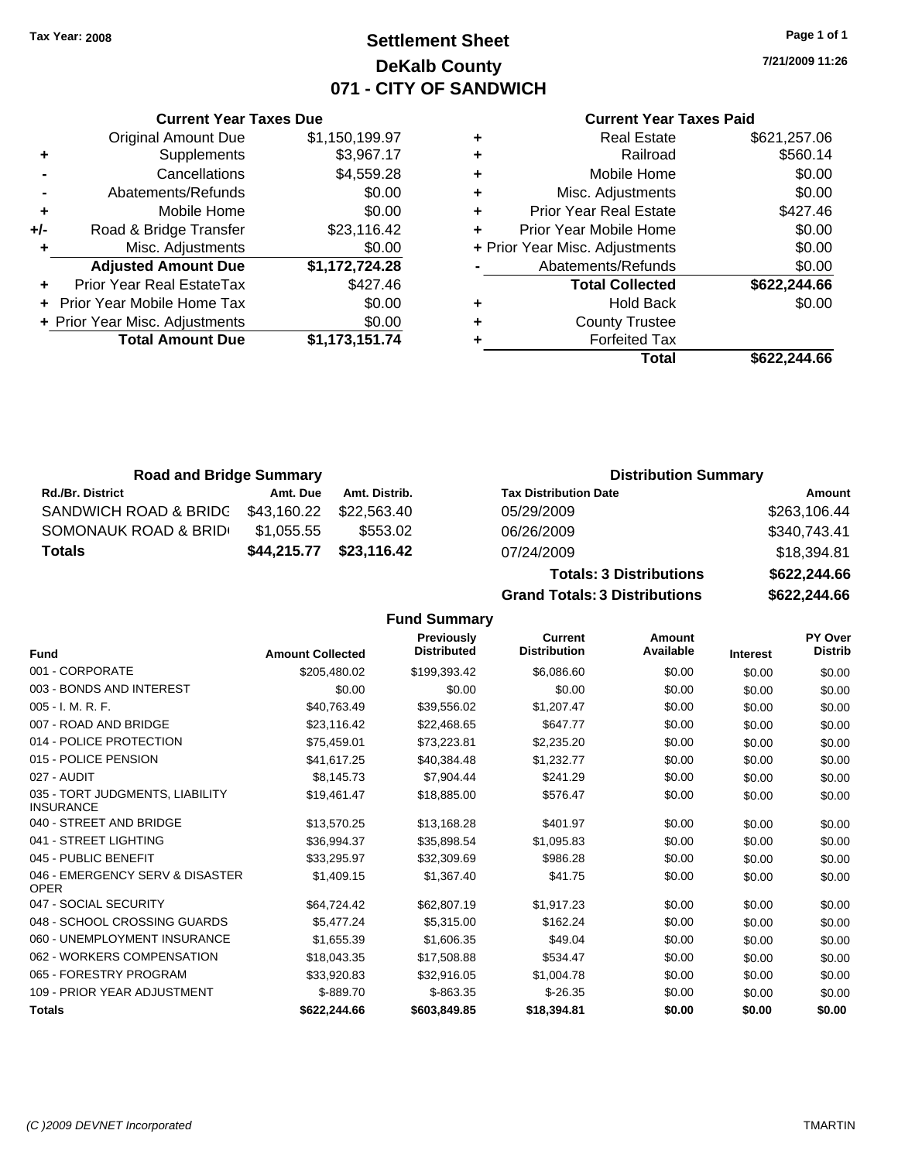**Current Year Taxes Due**

## **Settlement Sheet Tax Year: 2008 Page 1 of 1 DeKalb County 071 - CITY OF SANDWICH**

**7/21/2009 11:26**

### **Current Year Taxes Paid**

| <b>Total Amount Due</b>    | \$1,173,151.74                                                 |   | <b>Forfeited Tax</b>          |                                |
|----------------------------|----------------------------------------------------------------|---|-------------------------------|--------------------------------|
|                            | \$0.00                                                         | ٠ | <b>County Trustee</b>         |                                |
|                            | \$0.00                                                         | ٠ | <b>Hold Back</b>              | \$0.00                         |
| Prior Year Real EstateTax  | \$427.46                                                       |   | <b>Total Collected</b>        | \$622,244.66                   |
| <b>Adjusted Amount Due</b> | \$1,172,724.28                                                 |   | Abatements/Refunds            | \$0.00                         |
| Misc. Adjustments          | \$0.00                                                         |   |                               | \$0.00                         |
| Road & Bridge Transfer     | \$23,116.42                                                    |   | Prior Year Mobile Home        | \$0.00                         |
| Mobile Home                | \$0.00                                                         | ÷ | <b>Prior Year Real Estate</b> | \$427.46                       |
| Abatements/Refunds         | \$0.00                                                         | ٠ | Misc. Adjustments             | \$0.00                         |
| Cancellations              | \$4,559.28                                                     | ٠ | Mobile Home                   | \$0.00                         |
| Supplements                | \$3,967.17                                                     | ٠ | Railroad                      | \$560.14                       |
| Original Amount Due        | \$1,150,199.97                                                 | ٠ | <b>Real Estate</b>            | \$621,257.06                   |
|                            | + Prior Year Mobile Home Tax<br>+ Prior Year Misc. Adjustments |   |                               | + Prior Year Misc. Adjustments |

| <b>Road and Bridge Summary</b>    |             |               | <b>Distribution Summary</b>    |              |
|-----------------------------------|-------------|---------------|--------------------------------|--------------|
| <b>Rd./Br. District</b>           | Amt. Due    | Amt. Distrib. | <b>Tax Distribution Date</b>   | Amount       |
| SANDWICH ROAD & BRIDC \$43,160.22 |             | \$22.563.40   | 05/29/2009                     | \$263,106.44 |
| SOMONAUK ROAD & BRID              | \$1,055.55  | \$553.02      | 06/26/2009                     | \$340,743.41 |
| <b>Totals</b>                     | \$44,215.77 | \$23,116.42   | 07/24/2009                     | \$18,394.81  |
|                                   |             |               | <b>Totals: 3 Distributions</b> | \$622,244.66 |

**Grand Totals: 3 Distributions \$622,244.66**

|       | Grand T |  |
|-------|---------|--|
| E. A. |         |  |

|                                                     |                         | <b>Fund Summary</b>                     |                                       |                     |                 |                           |
|-----------------------------------------------------|-------------------------|-----------------------------------------|---------------------------------------|---------------------|-----------------|---------------------------|
| <b>Fund</b>                                         | <b>Amount Collected</b> | <b>Previously</b><br><b>Distributed</b> | <b>Current</b><br><b>Distribution</b> | Amount<br>Available | <b>Interest</b> | PY Over<br><b>Distrib</b> |
| 001 - CORPORATE                                     | \$205,480.02            | \$199,393.42                            | \$6,086.60                            | \$0.00              | \$0.00          | \$0.00                    |
| 003 - BONDS AND INTEREST                            | \$0.00                  | \$0.00                                  | \$0.00                                | \$0.00              | \$0.00          | \$0.00                    |
| 005 - I. M. R. F.                                   | \$40,763.49             | \$39,556.02                             | \$1,207.47                            | \$0.00              | \$0.00          | \$0.00                    |
| 007 - ROAD AND BRIDGE                               | \$23,116.42             | \$22,468.65                             | \$647.77                              | \$0.00              | \$0.00          | \$0.00                    |
| 014 - POLICE PROTECTION                             | \$75,459.01             | \$73,223.81                             | \$2,235.20                            | \$0.00              | \$0.00          | \$0.00                    |
| 015 - POLICE PENSION                                | \$41,617.25             | \$40.384.48                             | \$1,232.77                            | \$0.00              | \$0.00          | \$0.00                    |
| 027 - AUDIT                                         | \$8.145.73              | \$7.904.44                              | \$241.29                              | \$0.00              | \$0.00          | \$0.00                    |
| 035 - TORT JUDGMENTS, LIABILITY<br><b>INSURANCE</b> | \$19,461.47             | \$18,885.00                             | \$576.47                              | \$0.00              | \$0.00          | \$0.00                    |
| 040 - STREET AND BRIDGE                             | \$13,570.25             | \$13,168.28                             | \$401.97                              | \$0.00              | \$0.00          | \$0.00                    |
| 041 - STREET LIGHTING                               | \$36.994.37             | \$35.898.54                             | \$1,095.83                            | \$0.00              | \$0.00          | \$0.00                    |
| 045 - PUBLIC BENEFIT                                | \$33.295.97             | \$32,309.69                             | \$986.28                              | \$0.00              | \$0.00          | \$0.00                    |
| 046 - EMERGENCY SERV & DISASTER<br><b>OPER</b>      | \$1,409.15              | \$1,367.40                              | \$41.75                               | \$0.00              | \$0.00          | \$0.00                    |
| 047 - SOCIAL SECURITY                               | \$64,724.42             | \$62,807.19                             | \$1,917.23                            | \$0.00              | \$0.00          | \$0.00                    |
| 048 - SCHOOL CROSSING GUARDS                        | \$5,477.24              | \$5,315.00                              | \$162.24                              | \$0.00              | \$0.00          | \$0.00                    |
| 060 - UNEMPLOYMENT INSURANCE                        | \$1,655.39              | \$1,606.35                              | \$49.04                               | \$0.00              | \$0.00          | \$0.00                    |
| 062 - WORKERS COMPENSATION                          | \$18,043.35             | \$17,508.88                             | \$534.47                              | \$0.00              | \$0.00          | \$0.00                    |
| 065 - FORESTRY PROGRAM                              | \$33.920.83             | \$32.916.05                             | \$1,004.78                            | \$0.00              | \$0.00          | \$0.00                    |
| 109 - PRIOR YEAR ADJUSTMENT                         | $$-889.70$              | $$-863.35$                              | $$-26.35$                             | \$0.00              | \$0.00          | \$0.00                    |
| <b>Totals</b>                                       | \$622,244.66            | \$603,849.85                            | \$18,394.81                           | \$0.00              | \$0.00          | \$0.00                    |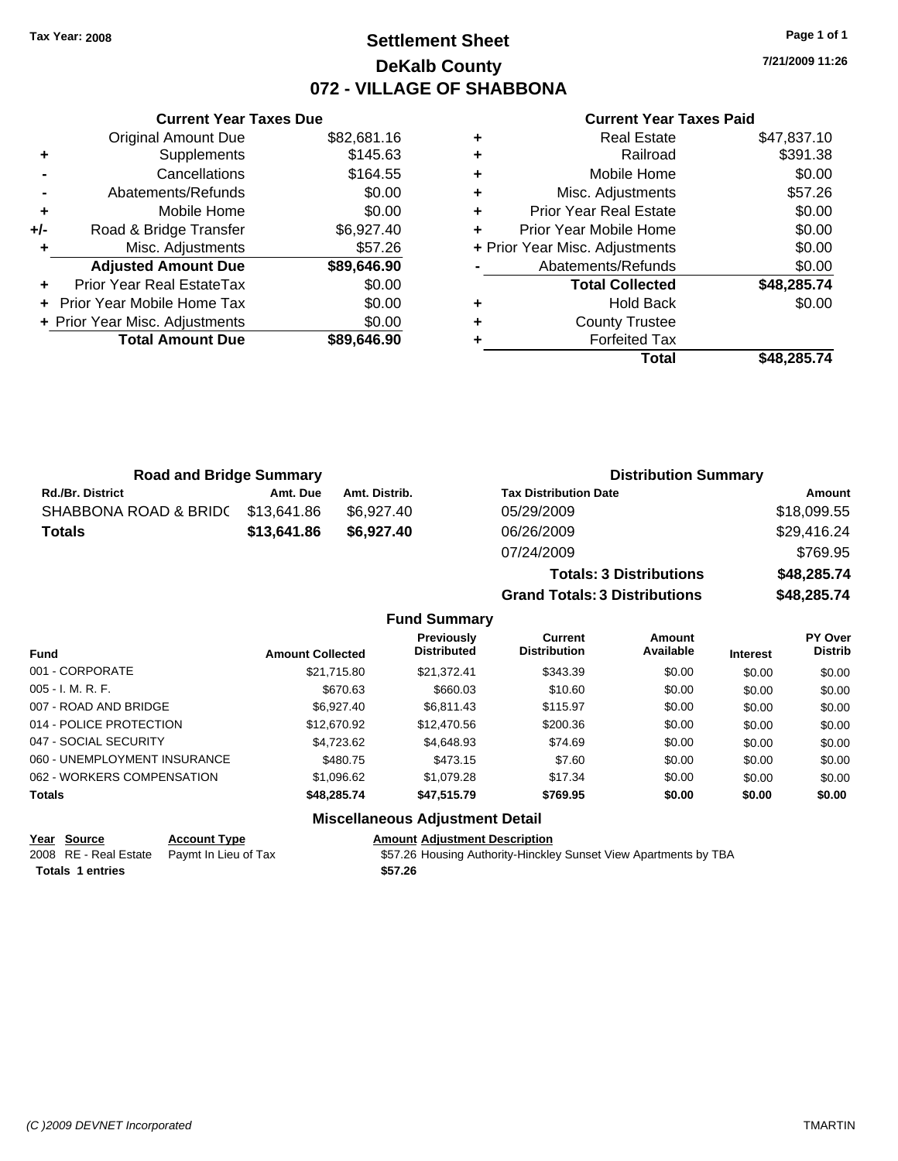## **Settlement Sheet Tax Year: 2008 Page 1 of 1 DeKalb County 072 - VILLAGE OF SHABBONA**

**7/21/2009 11:26**

### **Current Year Taxes Paid**

|     | <b>Original Amount Due</b>       | \$82,681.16 |
|-----|----------------------------------|-------------|
| ٠   | Supplements                      | \$145.63    |
|     | Cancellations                    | \$164.55    |
|     | Abatements/Refunds               | \$0.00      |
| ٠   | Mobile Home                      | \$0.00      |
| +/- | Road & Bridge Transfer           | \$6,927.40  |
| ٠   | Misc. Adjustments                | \$57.26     |
|     | <b>Adjusted Amount Due</b>       | \$89,646.90 |
| ٠   | <b>Prior Year Real EstateTax</b> | \$0.00      |
| ÷.  | Prior Year Mobile Home Tax       | \$0.00      |
|     | + Prior Year Misc. Adjustments   | \$0.00      |
|     | <b>Total Amount Due</b>          | \$89,646.90 |
|     |                                  |             |

**Current Year Taxes Due**

|   | Total                          | \$48,285.74 |
|---|--------------------------------|-------------|
|   | <b>Forfeited Tax</b>           |             |
| ٠ | <b>County Trustee</b>          |             |
| ٠ | Hold Back                      | \$0.00      |
|   | <b>Total Collected</b>         | \$48,285.74 |
|   | Abatements/Refunds             | \$0.00      |
|   | + Prior Year Misc. Adjustments | \$0.00      |
|   | Prior Year Mobile Home         | \$0.00      |
| ٠ | <b>Prior Year Real Estate</b>  | \$0.00      |
| ٠ | Misc. Adjustments              | \$57.26     |
| ٠ | Mobile Home                    | \$0.00      |
|   | Railroad                       | \$391.38    |
|   | <b>Real Estate</b>             | \$47,837.10 |

**Totals: 3 Distributions \$48,285.74**

**Grand Totals: 3 Distributions \$48,285.74**

| <b>Road and Bridge Summary</b> |             |               | <b>Distribution Summary</b>  |             |  |
|--------------------------------|-------------|---------------|------------------------------|-------------|--|
| <b>Rd./Br. District</b>        | Amt. Due    | Amt. Distrib. | <b>Tax Distribution Date</b> | Amount      |  |
| SHABBONA ROAD & BRID(          | \$13,641.86 | \$6.927.40    | 05/29/2009                   | \$18,099.55 |  |
| <b>Totals</b>                  | \$13,641.86 | \$6.927.40    | 06/26/2009                   | \$29,416.24 |  |
|                                |             |               | 07/24/2009                   | \$769.95    |  |

### **Fund Summary Fund Interest Amount Collected Distributed PY Over Distrib Amount Available Current Distribution Previously** 001 - CORPORATE \$21,715.80 \$21,372.41 \$343.39 \$0.00 \$0.00 \$0.00 005 - I. M. R. F. Channel Comparent Comparent Comparent Comparent Comparent Comparent Comparent Comparent Compa 007 - ROAD AND BRIDGE \$6,927.40 \$6,811.43 \$115.97 \$0.00 \$0.00 \$0.00 \$0.00 014 - POLICE PROTECTION \$12,670.92 \$12,470.56 \$200.36 \$0.00 \$0.00 \$0.00 \$0.00 047 - SOCIAL SECURITY 60.00 \$4,723.62 \$4,648.93 \$74.69 \$0.00 \$0.00 \$0.00 \$0.00 060 - UNEMPLOYMENT INSURANCE  $$480.75$   $$473.15$   $$7.60$   $$0.00$   $$0.00$   $$0.00$ 062 - WORKERS COMPENSATION \$1,096.62 \$1,079.28 \$17.34 \$0.00 \$0.00 \$0.00 \$0.00 **Totals \$48,285.74 \$47,515.79 \$769.95 \$0.00 \$0.00 \$0.00 Miscellaneous Adjustment Detail**

**Year Source Account Type Amount Adjustment Description**

**Totals \$57.26 1 entries**

2008 RE - Real Estate Paymt In Lieu of Tax \$57.26 Housing Authority-Hinckley Sunset View Apartments by TBA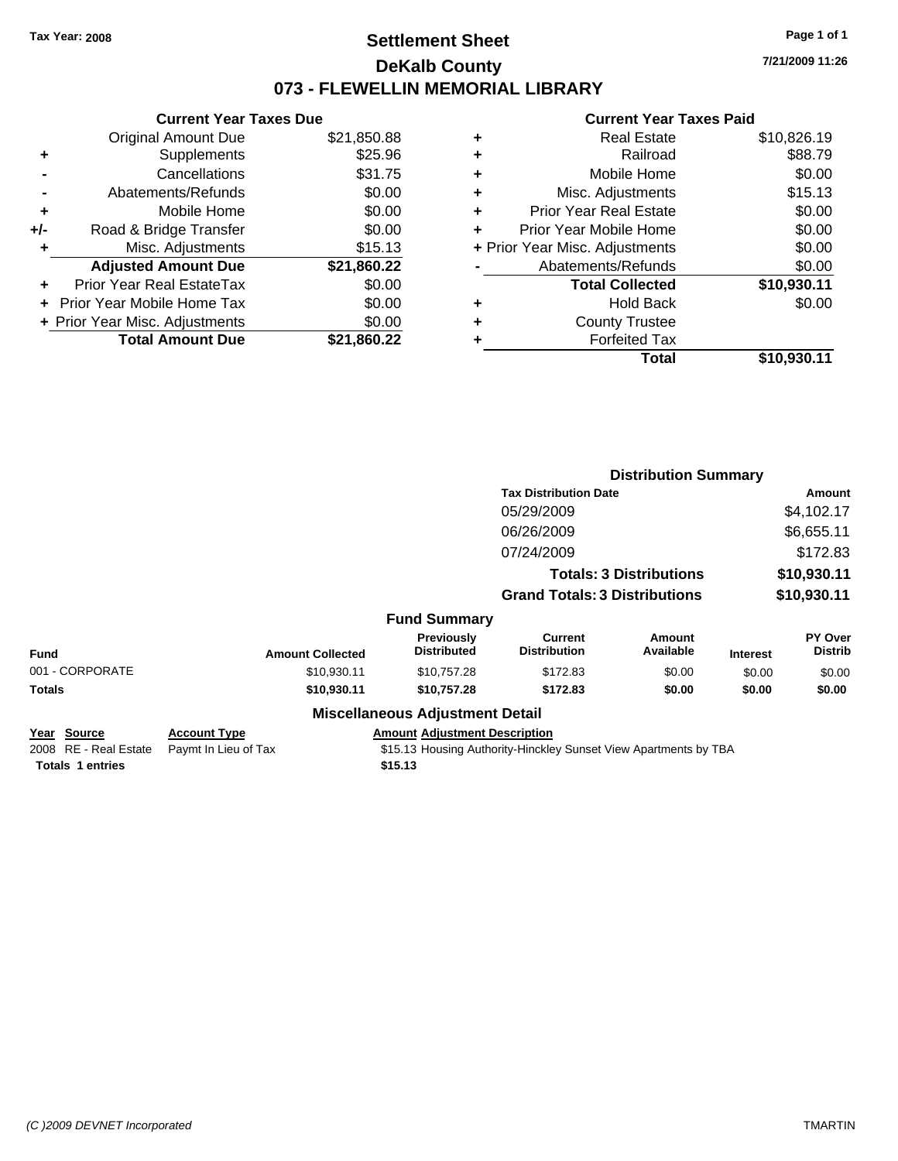## **Settlement Sheet Tax Year: 2008 Page 1 of 1 DeKalb County 073 - FLEWELLIN MEMORIAL LIBRARY**

**7/21/2009 11:26**

### **Current Year Taxes Paid**

|     | <b>Current Year Taxes Due</b>  |             |
|-----|--------------------------------|-------------|
|     | <b>Original Amount Due</b>     | \$21,850.88 |
| ٠   | Supplements                    | \$25.96     |
|     | Cancellations                  | \$31.75     |
|     | Abatements/Refunds             | \$0.00      |
| ٠   | Mobile Home                    | \$0.00      |
| +/- | Road & Bridge Transfer         | \$0.00      |
| ٠   | Misc. Adjustments              | \$15.13     |
|     | <b>Adjusted Amount Due</b>     | \$21,860.22 |
| ٠   | Prior Year Real EstateTax      | \$0.00      |
|     | Prior Year Mobile Home Tax     | \$0.00      |
|     | + Prior Year Misc. Adjustments | \$0.00      |
|     | <b>Total Amount Due</b>        | \$21,860.22 |

|   | <b>Real Estate</b>             | \$10,826.19 |
|---|--------------------------------|-------------|
| ٠ | Railroad                       | \$88.79     |
| ٠ | Mobile Home                    | \$0.00      |
| ٠ | Misc. Adjustments              | \$15.13     |
| ÷ | <b>Prior Year Real Estate</b>  | \$0.00      |
| ٠ | Prior Year Mobile Home         | \$0.00      |
|   | + Prior Year Misc. Adjustments | \$0.00      |
|   | Abatements/Refunds             | \$0.00      |
|   | <b>Total Collected</b>         | \$10,930.11 |
| ٠ | Hold Back                      | \$0.00      |
| ٠ | <b>County Trustee</b>          |             |
| ٠ | <b>Forfeited Tax</b>           |             |
|   | Total                          | \$10,930.11 |
|   |                                |             |

|                                            |                                             |                                                                                                          | <b>Distribution Summary</b>          |                                |                 |                           |
|--------------------------------------------|---------------------------------------------|----------------------------------------------------------------------------------------------------------|--------------------------------------|--------------------------------|-----------------|---------------------------|
|                                            |                                             |                                                                                                          | <b>Tax Distribution Date</b>         |                                |                 | Amount                    |
|                                            |                                             |                                                                                                          | 05/29/2009                           |                                |                 | \$4,102.17                |
|                                            |                                             |                                                                                                          | 06/26/2009                           |                                |                 | \$6,655.11                |
|                                            |                                             |                                                                                                          | 07/24/2009                           |                                |                 | \$172.83                  |
|                                            |                                             |                                                                                                          |                                      | <b>Totals: 3 Distributions</b> |                 | \$10,930.11               |
|                                            |                                             |                                                                                                          | <b>Grand Totals: 3 Distributions</b> |                                | \$10,930.11     |                           |
|                                            |                                             | <b>Fund Summary</b>                                                                                      |                                      |                                |                 |                           |
| <b>Fund</b>                                | <b>Amount Collected</b>                     | Previously<br><b>Distributed</b>                                                                         | Current<br><b>Distribution</b>       | Amount<br>Available            | <b>Interest</b> | PY Over<br><b>Distrib</b> |
| 001 - CORPORATE                            | \$10,930.11                                 | \$10,757.28                                                                                              | \$172.83                             | \$0.00                         | \$0.00          | \$0.00                    |
| <b>Totals</b>                              | \$10,930.11                                 | \$10,757.28                                                                                              | \$172.83                             | \$0.00                         | \$0.00          | \$0.00                    |
|                                            |                                             | <b>Miscellaneous Adjustment Detail</b>                                                                   |                                      |                                |                 |                           |
| Source<br>Year<br>RE - Real Estate<br>2008 | <b>Account Type</b><br>Paymt In Lieu of Tax | <b>Amount Adjustment Description</b><br>\$15.13 Housing Authority-Hinckley Sunset View Apartments by TBA |                                      |                                |                 |                           |

**Totals \$15.13 1 entries**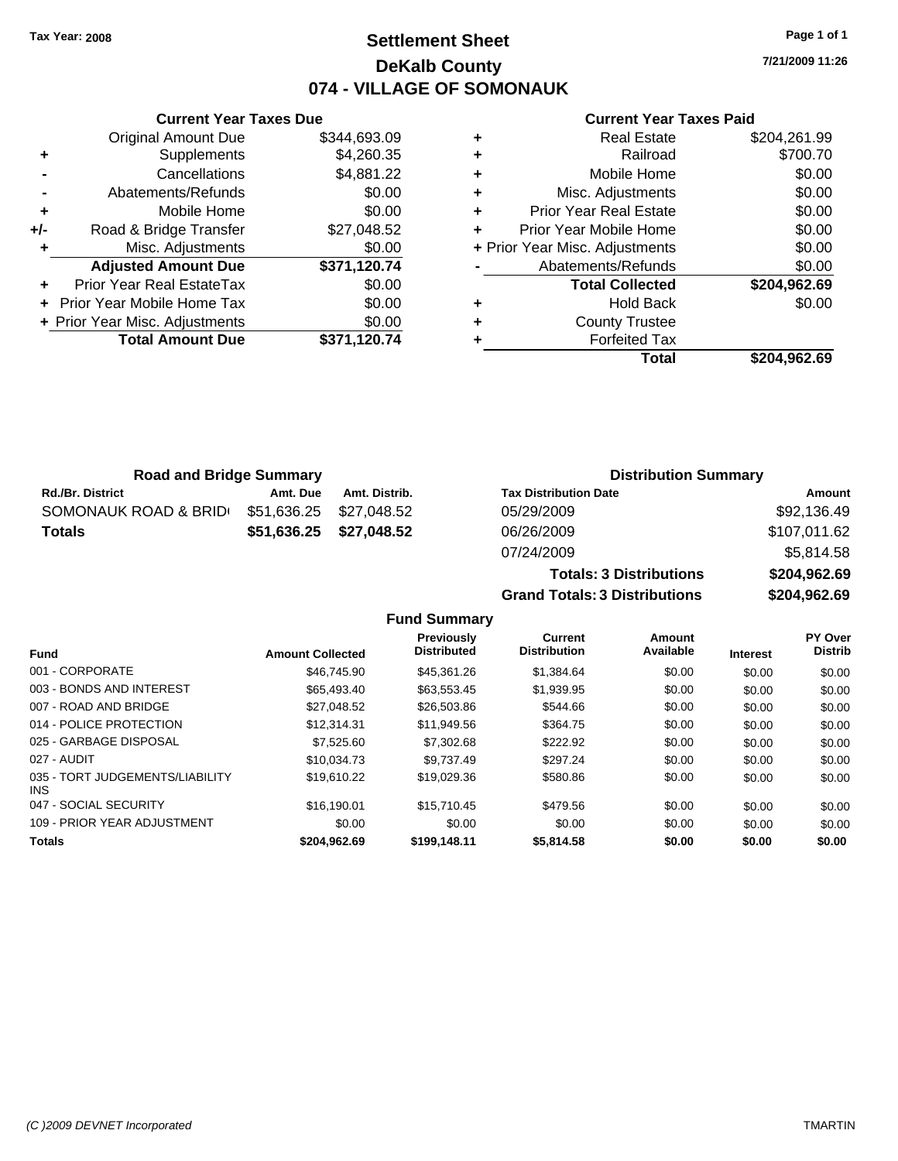## **Settlement Sheet Tax Year: 2008 Page 1 of 1 DeKalb County 074 - VILLAGE OF SOMONAUK**

**7/21/2009 11:26**

### **Current Year Taxes Paid**

| ٠ | <b>Real Estate</b>             | \$204,261.99 |
|---|--------------------------------|--------------|
| ٠ | Railroad                       | \$700.70     |
| ÷ | Mobile Home                    | \$0.00       |
| ÷ | Misc. Adjustments              | \$0.00       |
| ٠ | <b>Prior Year Real Estate</b>  | \$0.00       |
| ÷ | Prior Year Mobile Home         | \$0.00       |
|   | + Prior Year Misc. Adjustments | \$0.00       |
|   | Abatements/Refunds             | \$0.00       |
|   | <b>Total Collected</b>         | \$204,962.69 |
| ٠ | <b>Hold Back</b>               | \$0.00       |
| ٠ | <b>County Trustee</b>          |              |
| ٠ | <b>Forfeited Tax</b>           |              |
|   | Total                          | \$204.962.69 |

**Totals: 3 Distributions \$204,962.69**

**Grand Totals: 3 Distributions \$204,962.69**

| <b>Road and Bridge Summary</b> |             |                         | <b>Distribution Summary</b>  |              |  |
|--------------------------------|-------------|-------------------------|------------------------------|--------------|--|
| <b>Rd./Br. District</b>        | Amt. Due    | Amt. Distrib.           | <b>Tax Distribution Date</b> | Amount       |  |
| SOMONAUK ROAD & BRID           | \$51,636.25 | \$27.048.52             | 05/29/2009                   | \$92,136.49  |  |
| <b>Totals</b>                  |             | \$51,636.25 \$27,048.52 | 06/26/2009                   | \$107,011.62 |  |
|                                |             |                         | 07/24/2009                   | \$5,814.58   |  |

**Fund Summary Fund Interest Amount Collected Distributed PY Over Distrib Amount Available Current Distribution Previously** 001 - CORPORATE \$46,745.90 \$45,361.26 \$1,384.64 \$0.00 \$0.00 \$0.00 003 - BONDS AND INTEREST 665,493.40 \$63,553.45 \$1,939.95 \$0.00 \$0.00 \$0.00 \$0.00 007 - ROAD AND BRIDGE 60.00 \$27,048.52 \$26,503.86 \$544.66 \$0.00 \$0.00 \$0.00 \$0.00 014 - POLICE PROTECTION \$12,314.31 \$11,949.56 \$364.75 \$0.00 \$0.00 \$0.00 \$0.00 025 - GARBAGE DISPOSAL \$7,525.60 \$7,302.68 \$222.92 \$0.00 \$0.00 \$0.00 027 - AUDIT \$10,034.73 \$9,737.49 \$297.24 \$0.00 \$0.00 \$0.00 035 - TORT JUDGEMENTS/LIABILITY \$19,610.22 \$19,029.36 \$580.86 \$0.00 \$0.00 \$0.00 047 - SOCIAL SECURITY \$16,190.01 \$15,710.45 \$479.56 \$0.00 \$0.00 \$0.00 \$0.00 109 - PRIOR YEAR ADJUSTMENT  $$0.00$  \$0.00 \$0.00 \$0.00 \$0.00 \$0.00 \$0.00 \$0.00 **Totals \$204,962.69 \$199,148.11 \$5,814.58 \$0.00 \$0.00 \$0.00**

|     | <b>Original Amount Due</b>        | \$344,693.09 |
|-----|-----------------------------------|--------------|
| ٠   | Supplements                       | \$4,260.35   |
|     | Cancellations                     | \$4,881.22   |
|     | Abatements/Refunds                | \$0.00       |
| ÷   | Mobile Home                       | \$0.00       |
| +/- | Road & Bridge Transfer            | \$27,048.52  |
| ÷   | Misc. Adjustments                 | \$0.00       |
|     | <b>Adjusted Amount Due</b>        | \$371,120.74 |
|     | <b>Prior Year Real EstateTax</b>  | \$0.00       |
|     | <b>Prior Year Mobile Home Tax</b> | \$0.00       |
|     | + Prior Year Misc. Adjustments    | \$0.00       |
|     | <b>Total Amount Due</b>           | \$371,120.74 |
|     |                                   |              |

INS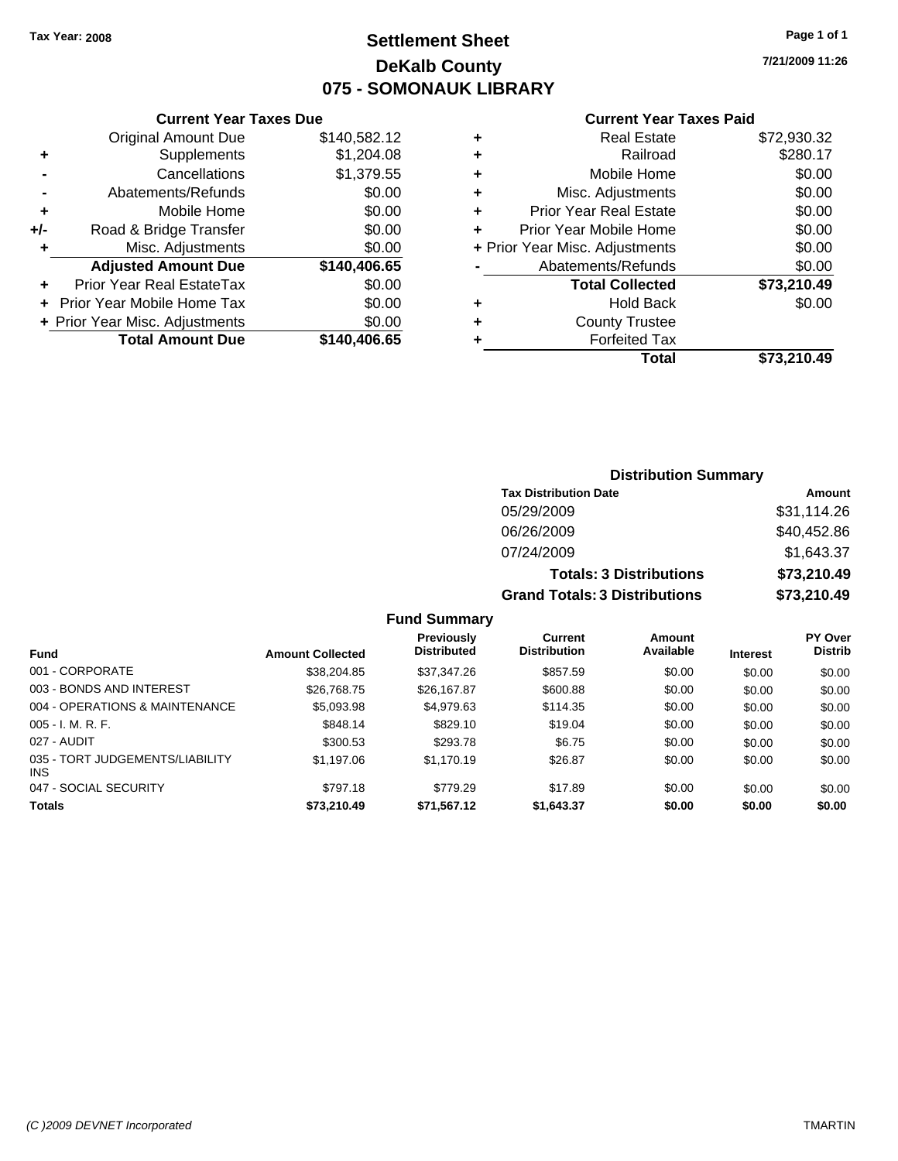## **Settlement Sheet Tax Year: 2008 Page 1 of 1 DeKalb County 075 - SOMONAUK LIBRARY**

**7/21/2009 11:26**

### **Current Year Taxes Paid**

|     | <b>Current Year Taxes Due</b>  |              |
|-----|--------------------------------|--------------|
|     | <b>Original Amount Due</b>     | \$140,582.12 |
| ٠   | Supplements                    | \$1,204.08   |
|     | Cancellations                  | \$1,379.55   |
|     | Abatements/Refunds             | \$0.00       |
| ٠   | Mobile Home                    | \$0.00       |
| +/- | Road & Bridge Transfer         | \$0.00       |
| ٠   | Misc. Adjustments              | \$0.00       |
|     | <b>Adjusted Amount Due</b>     | \$140,406.65 |
| ٠   | Prior Year Real EstateTax      | \$0.00       |
|     | Prior Year Mobile Home Tax     | \$0.00       |
|     | + Prior Year Misc. Adjustments | \$0.00       |
|     | <b>Total Amount Due</b>        | \$140,406.65 |
|     |                                |              |

| <b>Real Estate</b>             | \$72,930.32 |
|--------------------------------|-------------|
| Railroad                       | \$280.17    |
| Mobile Home                    | \$0.00      |
| Misc. Adjustments              | \$0.00      |
| <b>Prior Year Real Estate</b>  | \$0.00      |
| Prior Year Mobile Home         | \$0.00      |
| + Prior Year Misc. Adjustments | \$0.00      |
| Abatements/Refunds             | \$0.00      |
| <b>Total Collected</b>         | \$73,210.49 |
| Hold Back                      | \$0.00      |
| <b>County Trustee</b>          |             |
| <b>Forfeited Tax</b>           |             |
| Total                          | \$73.210.49 |
|                                |             |

## **Distribution Summary Tax Distribution Date Amount** 05/29/2009 \$31,114.26 06/26/2009 \$40,452.86 07/24/2009 \$1,643.37 **Totals: 3 Distributions \$73,210.49 Grand Totals: 3 Distributions \$73,210.49**

### **Fund Summary**

| <b>Fund</b>                                   | <b>Amount Collected</b> | <b>Previously</b><br><b>Distributed</b> | Current<br><b>Distribution</b> | Amount<br>Available | <b>Interest</b> | <b>PY Over</b><br><b>Distrib</b> |
|-----------------------------------------------|-------------------------|-----------------------------------------|--------------------------------|---------------------|-----------------|----------------------------------|
| 001 - CORPORATE                               |                         |                                         |                                |                     |                 |                                  |
|                                               | \$38,204.85             | \$37,347.26                             | \$857.59                       | \$0.00              | \$0.00          | \$0.00                           |
| 003 - BONDS AND INTEREST                      | \$26,768.75             | \$26,167.87                             | \$600.88                       | \$0.00              | \$0.00          | \$0.00                           |
| 004 - OPERATIONS & MAINTENANCE                | \$5,093.98              | \$4,979.63                              | \$114.35                       | \$0.00              | \$0.00          | \$0.00                           |
| $005 - I. M. R. F.$                           | \$848.14                | \$829.10                                | \$19.04                        | \$0.00              | \$0.00          | \$0.00                           |
| 027 - AUDIT                                   | \$300.53                | \$293.78                                | \$6.75                         | \$0.00              | \$0.00          | \$0.00                           |
| 035 - TORT JUDGEMENTS/LIABILITY<br><b>INS</b> | \$1,197.06              | \$1,170.19                              | \$26.87                        | \$0.00              | \$0.00          | \$0.00                           |
| 047 - SOCIAL SECURITY                         | \$797.18                | \$779.29                                | \$17.89                        | \$0.00              | \$0.00          | \$0.00                           |
| <b>Totals</b>                                 | \$73,210.49             | \$71,567.12                             | \$1,643.37                     | \$0.00              | \$0.00          | \$0.00                           |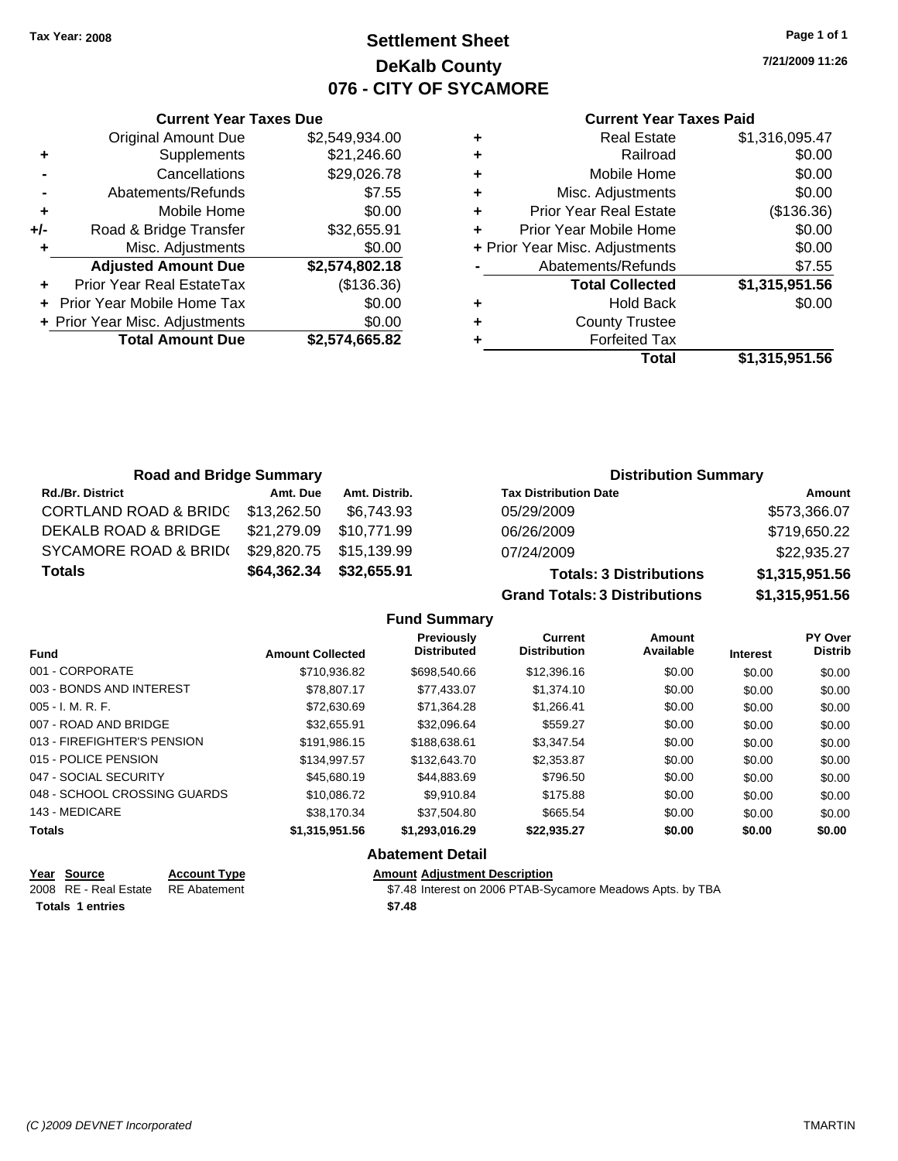## **Settlement Sheet Tax Year: 2008 Page 1 of 1 DeKalb County 076 - CITY OF SYCAMORE**

**7/21/2009 11:26**

### **Current Year Taxes Paid**

|     | <b>Current Year Taxes Due</b>    |                |  |
|-----|----------------------------------|----------------|--|
|     | <b>Original Amount Due</b>       | \$2,549,934.00 |  |
| ٠   | Supplements                      | \$21,246.60    |  |
|     | Cancellations                    | \$29,026.78    |  |
|     | Abatements/Refunds               | \$7.55         |  |
| ٠   | Mobile Home                      | \$0.00         |  |
| +/- | Road & Bridge Transfer           | \$32,655.91    |  |
| ٠   | Misc. Adjustments                | \$0.00         |  |
|     | <b>Adjusted Amount Due</b>       | \$2,574,802.18 |  |
| ٠   | <b>Prior Year Real EstateTax</b> | (\$136.36)     |  |
|     | Prior Year Mobile Home Tax       | \$0.00         |  |
|     | + Prior Year Misc. Adjustments   | \$0.00         |  |
|     | <b>Total Amount Due</b>          | \$2,574,665.82 |  |
|     |                                  |                |  |

| ٠ | <b>Real Estate</b>             | \$1,316,095.47 |
|---|--------------------------------|----------------|
| ٠ | Railroad                       | \$0.00         |
| ٠ | Mobile Home                    | \$0.00         |
| ٠ | Misc. Adjustments              | \$0.00         |
| ÷ | <b>Prior Year Real Estate</b>  | (\$136.36)     |
| ٠ | Prior Year Mobile Home         | \$0.00         |
|   | + Prior Year Misc. Adjustments | \$0.00         |
|   | Abatements/Refunds             | \$7.55         |
|   | <b>Total Collected</b>         | \$1,315,951.56 |
| ٠ | <b>Hold Back</b>               | \$0.00         |
| ٠ | <b>County Trustee</b>          |                |
| ٠ | <b>Forfeited Tax</b>           |                |
|   | Total                          | \$1,315,951.56 |
|   |                                |                |

| <b>Road and Bridge Summary</b>   |             |               | <b>Distribution Summary</b>          |                |  |
|----------------------------------|-------------|---------------|--------------------------------------|----------------|--|
| <b>Rd./Br. District</b>          | Amt. Due    | Amt. Distrib. | <b>Tax Distribution Date</b>         | Amount         |  |
| <b>CORTLAND ROAD &amp; BRIDC</b> | \$13,262.50 | \$6.743.93    | 05/29/2009                           | \$573,366.07   |  |
| DEKALB ROAD & BRIDGE             | \$21,279.09 | \$10,771.99   | 06/26/2009                           | \$719,650.22   |  |
| SYCAMORE ROAD & BRID(            | \$29,820.75 | \$15,139.99   | 07/24/2009                           | \$22,935.27    |  |
| <b>Totals</b>                    | \$64,362.34 | \$32,655.91   | <b>Totals: 3 Distributions</b>       | \$1,315,951.56 |  |
|                                  |             |               | <b>Grand Totals: 3 Distributions</b> | \$1,315,951.56 |  |

| <b>Fund</b>                  | <b>Amount Collected</b> | <b>Previously</b><br><b>Distributed</b> | Current<br><b>Distribution</b> | Amount<br>Available | <b>Interest</b> | PY Over<br><b>Distrib</b> |
|------------------------------|-------------------------|-----------------------------------------|--------------------------------|---------------------|-----------------|---------------------------|
| 001 - CORPORATE              | \$710.936.82            | \$698,540.66                            | \$12,396.16                    | \$0.00              | \$0.00          | \$0.00                    |
| 003 - BONDS AND INTEREST     | \$78,807.17             | \$77,433.07                             | \$1,374.10                     | \$0.00              | \$0.00          | \$0.00                    |
| $005 - I. M. R. F.$          | \$72,630.69             | \$71.364.28                             | \$1.266.41                     | \$0.00              | \$0.00          | \$0.00                    |
| 007 - ROAD AND BRIDGE        | \$32,655.91             | \$32.096.64                             | \$559.27                       | \$0.00              | \$0.00          | \$0.00                    |
| 013 - FIREFIGHTER'S PENSION  | \$191.986.15            | \$188,638,61                            | \$3,347.54                     | \$0.00              | \$0.00          | \$0.00                    |
| 015 - POLICE PENSION         | \$134.997.57            | \$132,643.70                            | \$2,353.87                     | \$0.00              | \$0.00          | \$0.00                    |
| 047 - SOCIAL SECURITY        | \$45,680.19             | \$44.883.69                             | \$796.50                       | \$0.00              | \$0.00          | \$0.00                    |
| 048 - SCHOOL CROSSING GUARDS | \$10.086.72             | \$9.910.84                              | \$175.88                       | \$0.00              | \$0.00          | \$0.00                    |
| 143 - MEDICARE               | \$38.170.34             | \$37.504.80                             | \$665.54                       | \$0.00              | \$0.00          | \$0.00                    |
| <b>Totals</b>                | \$1,315,951.56          | \$1,293,016.29                          | \$22,935.27                    | \$0.00              | \$0.00          | \$0.00                    |
|                              |                         | .                                       |                                |                     |                 |                           |

### **Abatement Detail**

| Year Source             | <b>Account Type</b> | <b>Amount Adjustment Description</b>                       |
|-------------------------|---------------------|------------------------------------------------------------|
| 2008 RE - Real Estate   | RE Abatement        | \$7.48 Interest on 2006 PTAB-Sycamore Meadows Apts. by TBA |
| <b>Totals 1 entries</b> |                     | \$7.48                                                     |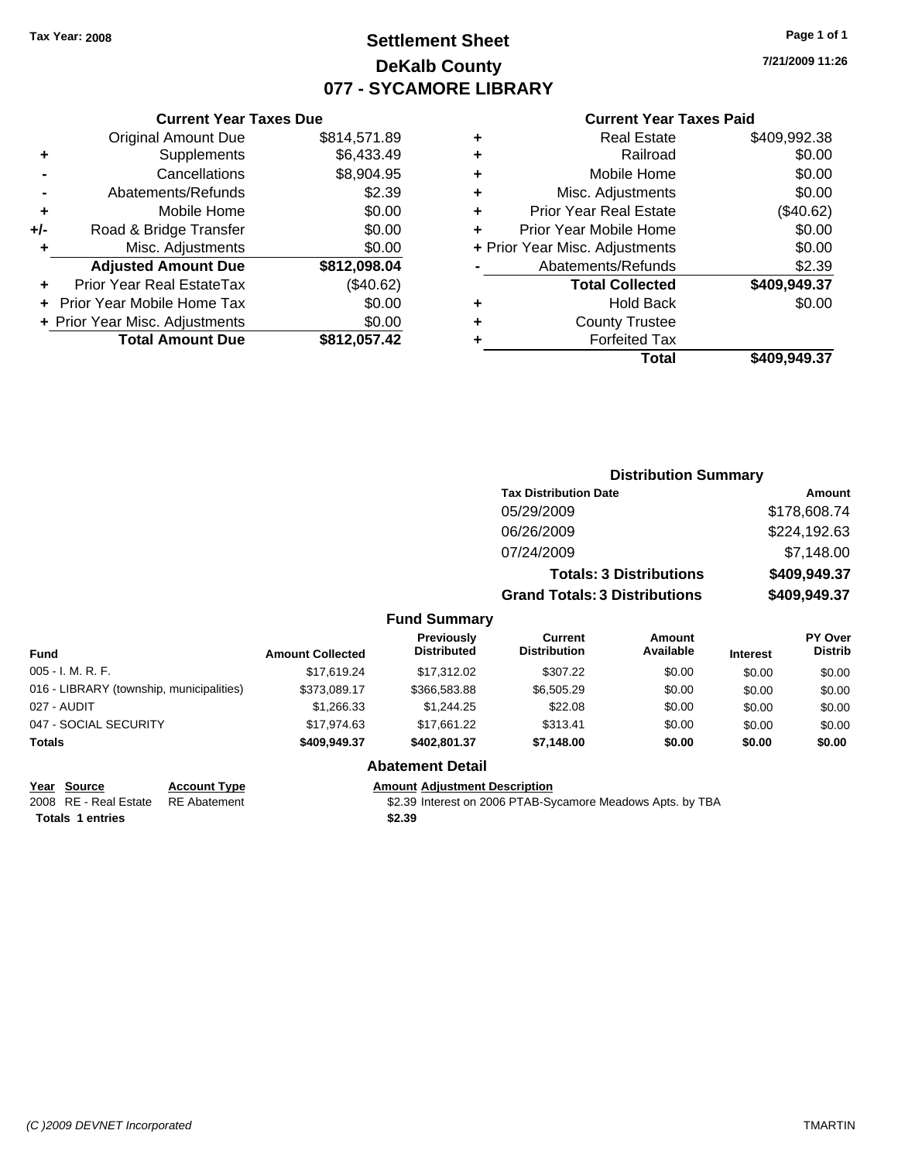## **Settlement Sheet Tax Year: 2008 Page 1 of 1 DeKalb County 077 - SYCAMORE LIBRARY**

**7/21/2009 11:26**

### **Current Year Taxes Paid**

| ٠ | <b>Real Estate</b>             | \$409,992.38 |
|---|--------------------------------|--------------|
| ٠ | Railroad                       | \$0.00       |
| ٠ | Mobile Home                    | \$0.00       |
| ٠ | Misc. Adjustments              | \$0.00       |
| ٠ | <b>Prior Year Real Estate</b>  | (\$40.62)    |
|   | Prior Year Mobile Home         | \$0.00       |
|   | + Prior Year Misc. Adjustments | \$0.00       |
|   | Abatements/Refunds             | \$2.39       |
|   | <b>Total Collected</b>         | \$409,949.37 |
| ٠ | <b>Hold Back</b>               | \$0.00       |
| ٠ | <b>County Trustee</b>          |              |
|   | <b>Forfeited Tax</b>           |              |
|   | Total                          | \$409.949.37 |
|   |                                |              |

|     | <b>Current Year Taxes Due</b>     |              |
|-----|-----------------------------------|--------------|
|     | <b>Original Amount Due</b>        | \$814,571.89 |
| ٠   | Supplements                       | \$6,433.49   |
|     | Cancellations                     | \$8,904.95   |
|     | Abatements/Refunds                | \$2.39       |
| ٠   | Mobile Home                       | \$0.00       |
| +/- | Road & Bridge Transfer            | \$0.00       |
| ٠   | Misc. Adjustments                 | \$0.00       |
|     | <b>Adjusted Amount Due</b>        | \$812,098.04 |
|     | <b>Prior Year Real EstateTax</b>  | (\$40.62)    |
|     | <b>Prior Year Mobile Home Tax</b> | \$0.00       |
|     | + Prior Year Misc. Adjustments    | \$0.00       |
|     | <b>Total Amount Due</b>           | \$812,057.42 |

|                                          |                         | <b>Distribution Summary</b>             |                                       |                                |                 |                                  |
|------------------------------------------|-------------------------|-----------------------------------------|---------------------------------------|--------------------------------|-----------------|----------------------------------|
|                                          |                         |                                         | <b>Tax Distribution Date</b>          |                                |                 | Amount                           |
|                                          |                         |                                         | 05/29/2009                            |                                |                 | \$178,608.74                     |
|                                          |                         |                                         | 06/26/2009                            |                                |                 | \$224,192.63                     |
|                                          |                         |                                         | 07/24/2009                            |                                |                 | \$7,148.00                       |
|                                          |                         |                                         |                                       | <b>Totals: 3 Distributions</b> |                 | \$409,949.37                     |
|                                          |                         |                                         | <b>Grand Totals: 3 Distributions</b>  |                                |                 | \$409,949.37                     |
|                                          |                         | <b>Fund Summary</b>                     |                                       |                                |                 |                                  |
| <b>Fund</b>                              | <b>Amount Collected</b> | <b>Previously</b><br><b>Distributed</b> | <b>Current</b><br><b>Distribution</b> | <b>Amount</b><br>Available     | <b>Interest</b> | <b>PY Over</b><br><b>Distrib</b> |
| 005 - I. M. R. F.                        | \$17.619.24             | \$17,312.02                             | \$307.22                              | \$0.00                         | \$0.00          | \$0.00                           |
| 016 - LIBRARY (township, municipalities) | \$373,089.17            | \$366,583.88                            | \$6,505.29                            | \$0.00                         | \$0.00          | \$0.00                           |
| 027 - AUDIT                              | \$1,266.33              | \$1,244.25                              | \$22.08                               | \$0.00                         | \$0.00          | \$0.00                           |
| 047 - SOCIAL SECURITY                    | \$17,974.63             | \$17,661.22                             | \$313.41                              | \$0.00                         | \$0.00          | \$0.00                           |
| Totals                                   | \$409,949.37            | \$402,801.37                            | \$7,148.00                            | \$0.00                         | \$0.00          | \$0.00                           |

Totals 1 entries **12.39** 

## **Abatement Detail**

**Year Source Account Type Amount Adjustment Description**

2008 RE - Real Estate RE Abatement \$2.39 Interest on 2006 PTAB-Sycamore Meadows Apts. by TBA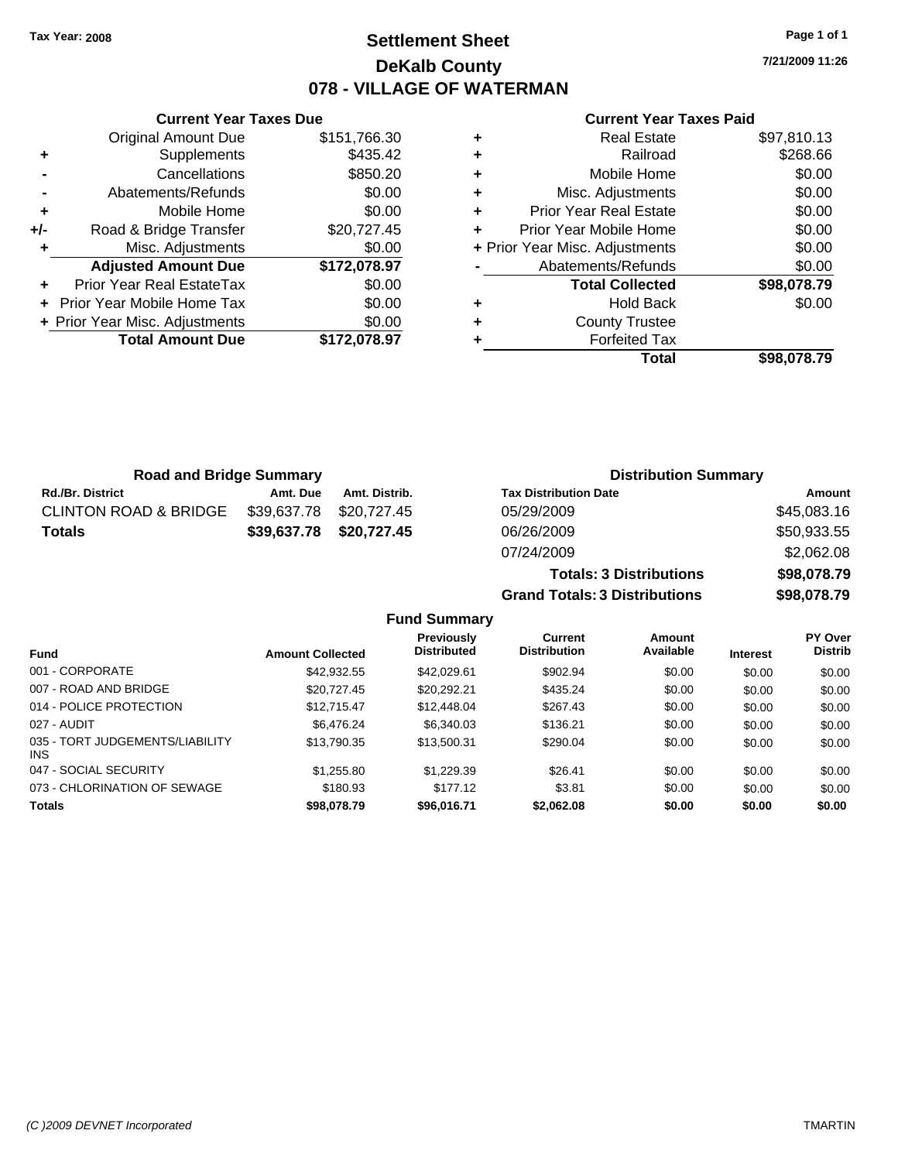## **Settlement Sheet Tax Year: 2008 Page 1 of 1 DeKalb County 078 - VILLAGE OF WATERMAN**

**7/21/2009 11:26**

|     | <b>Current Year Taxes Due</b>  |              |
|-----|--------------------------------|--------------|
|     | <b>Original Amount Due</b>     | \$151,766.30 |
| ٠   | Supplements                    | \$435.42     |
|     | Cancellations                  | \$850.20     |
|     | Abatements/Refunds             | \$0.00       |
| ٠   | Mobile Home                    | \$0.00       |
| +/- | Road & Bridge Transfer         | \$20,727.45  |
|     | Misc. Adjustments              | \$0.00       |
|     | <b>Adjusted Amount Due</b>     | \$172,078.97 |
|     | Prior Year Real EstateTax      | \$0.00       |
|     | Prior Year Mobile Home Tax     | \$0.00       |
|     | + Prior Year Misc. Adjustments | \$0.00       |
|     | <b>Total Amount Due</b>        | \$172.078.97 |
|     |                                |              |

|   | Total                          | \$98,078.79 |
|---|--------------------------------|-------------|
|   | <b>Forfeited Tax</b>           |             |
| ٠ | <b>County Trustee</b>          |             |
|   | <b>Hold Back</b>               | \$0.00      |
|   | <b>Total Collected</b>         | \$98,078.79 |
|   | Abatements/Refunds             | \$0.00      |
|   | + Prior Year Misc. Adjustments | \$0.00      |
|   | Prior Year Mobile Home         | \$0.00      |
| ٠ | <b>Prior Year Real Estate</b>  | \$0.00      |
| ٠ | Misc. Adjustments              | \$0.00      |
| ٠ | Mobile Home                    | \$0.00      |
| ٠ | Railroad                       | \$268.66    |
|   | <b>Real Estate</b>             | \$97,810.13 |

| <b>Road and Bridge Summary</b>   |             |               | <b>Distribution Summary</b>    |             |  |
|----------------------------------|-------------|---------------|--------------------------------|-------------|--|
| <b>Rd./Br. District</b>          | Amt. Due    | Amt. Distrib. | <b>Tax Distribution Date</b>   | Amount      |  |
| <b>CLINTON ROAD &amp; BRIDGE</b> | \$39,637.78 | \$20,727.45   | 05/29/2009                     | \$45,083.16 |  |
| Totals                           | \$39,637.78 | \$20,727.45   | 06/26/2009                     | \$50,933.55 |  |
|                                  |             |               | 07/24/2009                     | \$2,062.08  |  |
|                                  |             |               | <b>Totals: 3 Distributions</b> | \$98,078.79 |  |

**Grand Totals: 3 Distributions \$98,078.79**

|  | <b>Fund Summary</b> |
|--|---------------------|
|--|---------------------|

| <b>Fund</b>                                   | <b>Amount Collected</b> | Previously<br><b>Distributed</b> | Current<br><b>Distribution</b> | Amount<br>Available | <b>Interest</b> | <b>PY Over</b><br><b>Distrib</b> |
|-----------------------------------------------|-------------------------|----------------------------------|--------------------------------|---------------------|-----------------|----------------------------------|
|                                               |                         |                                  |                                |                     |                 |                                  |
| 007 - ROAD AND BRIDGE                         | \$20.727.45             | \$20,292.21                      | \$435.24                       | \$0.00              | \$0.00          | \$0.00                           |
| 014 - POLICE PROTECTION                       | \$12.715.47             | \$12,448.04                      | \$267.43                       | \$0.00              | \$0.00          | \$0.00                           |
| 027 - AUDIT                                   | \$6,476.24              | \$6,340.03                       | \$136.21                       | \$0.00              | \$0.00          | \$0.00                           |
| 035 - TORT JUDGEMENTS/LIABILITY<br><b>INS</b> | \$13,790.35             | \$13,500.31                      | \$290.04                       | \$0.00              | \$0.00          | \$0.00                           |
| 047 - SOCIAL SECURITY                         | \$1,255.80              | \$1,229.39                       | \$26.41                        | \$0.00              | \$0.00          | \$0.00                           |
| 073 - CHLORINATION OF SEWAGE                  | \$180.93                | \$177.12                         | \$3.81                         | \$0.00              | \$0.00          | \$0.00                           |
| <b>Totals</b>                                 | \$98,078.79             | \$96,016.71                      | \$2,062.08                     | \$0.00              | \$0.00          | \$0.00                           |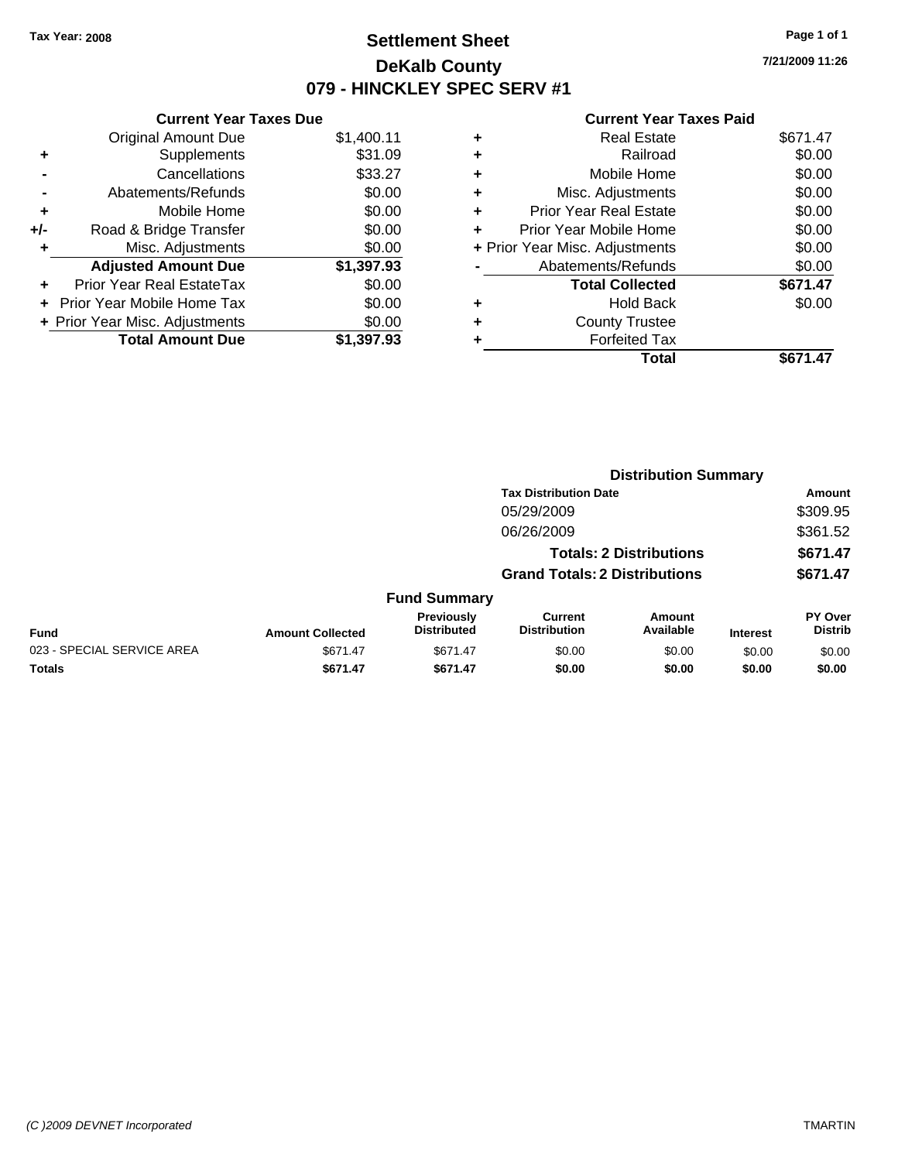### **Settlement Sheet Tax Year: 2008 Page 1 of 1 DeKalb County 079 - HINCKLEY SPEC SERV #1**

**7/21/2009 11:26**

#### **Current Year Taxes Paid**

| <b>Original Amount Due</b>     | \$1,400.11                    |
|--------------------------------|-------------------------------|
| Supplements                    | \$31.09                       |
| Cancellations                  | \$33.27                       |
| Abatements/Refunds             | \$0.00                        |
| Mobile Home                    | \$0.00                        |
| Road & Bridge Transfer         | \$0.00                        |
| Misc. Adjustments              | \$0.00                        |
| <b>Adjusted Amount Due</b>     | \$1,397.93                    |
| Prior Year Real EstateTax      | \$0.00                        |
| Prior Year Mobile Home Tax     | \$0.00                        |
| + Prior Year Misc. Adjustments | \$0.00                        |
| <b>Total Amount Due</b>        | \$1.397.93                    |
|                                | <b>Current Year Taxes Due</b> |

|   | Total                          | \$671.47 |
|---|--------------------------------|----------|
|   | <b>Forfeited Tax</b>           |          |
| ٠ | <b>County Trustee</b>          |          |
| ٠ | <b>Hold Back</b>               | \$0.00   |
|   | <b>Total Collected</b>         | \$671.47 |
|   | Abatements/Refunds             | \$0.00   |
|   | + Prior Year Misc. Adjustments | \$0.00   |
|   | Prior Year Mobile Home         | \$0.00   |
| ÷ | Prior Year Real Estate         | \$0.00   |
| ٠ | Misc. Adjustments              | \$0.00   |
| ٠ | Mobile Home                    | \$0.00   |
| ٠ | Railroad                       | \$0.00   |
| ٠ | <b>Real Estate</b>             | \$671.47 |
|   |                                |          |

|                            |                         |                                  |                                       | <b>Distribution Summary</b>    |                 | Amount<br>\$309.95<br>\$361.52 |  |  |  |
|----------------------------|-------------------------|----------------------------------|---------------------------------------|--------------------------------|-----------------|--------------------------------|--|--|--|
|                            |                         |                                  | <b>Tax Distribution Date</b>          |                                |                 |                                |  |  |  |
|                            |                         |                                  | 05/29/2009                            |                                |                 |                                |  |  |  |
|                            |                         |                                  | 06/26/2009                            |                                |                 |                                |  |  |  |
|                            |                         |                                  |                                       | <b>Totals: 2 Distributions</b> |                 | \$671.47                       |  |  |  |
|                            |                         |                                  | <b>Grand Totals: 2 Distributions</b>  |                                |                 | \$671.47                       |  |  |  |
|                            |                         | <b>Fund Summary</b>              |                                       |                                |                 |                                |  |  |  |
| Fund                       | <b>Amount Collected</b> | Previously<br><b>Distributed</b> | <b>Current</b><br><b>Distribution</b> | Amount<br>Available            | <b>Interest</b> | PY Over<br><b>Distrib</b>      |  |  |  |
| 023 - SPECIAL SERVICE AREA | \$671.47                | \$671.47                         | \$0.00                                | \$0.00                         | \$0.00          | \$0.00                         |  |  |  |
| Totals                     | \$671.47                | \$671.47                         | \$0.00                                | \$0.00                         | \$0.00          | \$0.00                         |  |  |  |
|                            |                         |                                  |                                       |                                |                 |                                |  |  |  |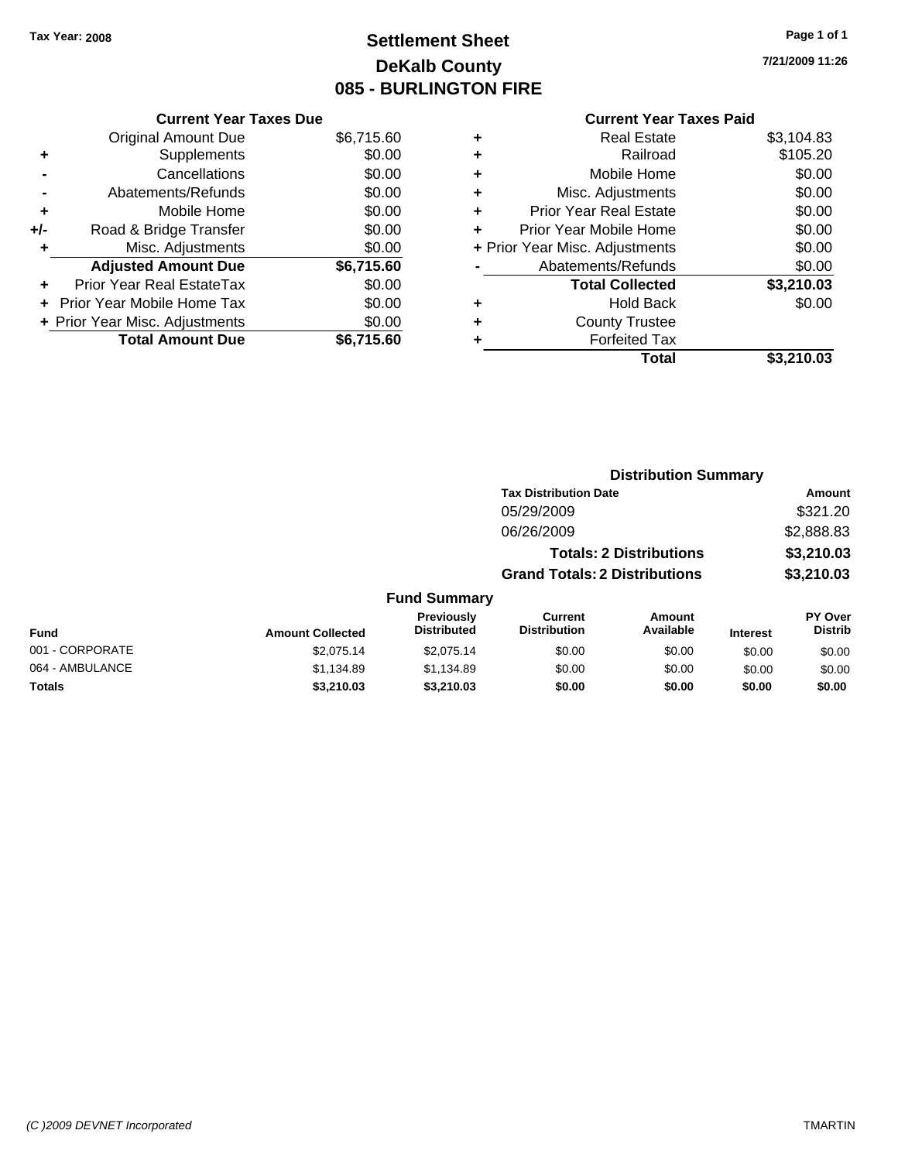### **Settlement Sheet Tax Year: 2008 Page 1 of 1 DeKalb County 085 - BURLINGTON FIRE**

**7/21/2009 11:26**

#### **Current Year Taxes Paid**

|     | <b>Current Year Taxes Due</b>  |            |
|-----|--------------------------------|------------|
|     | <b>Original Amount Due</b>     | \$6,715.60 |
| ٠   | Supplements                    | \$0.00     |
|     | Cancellations                  | \$0.00     |
|     | Abatements/Refunds             | \$0.00     |
| ٠   | Mobile Home                    | \$0.00     |
| +/- | Road & Bridge Transfer         | \$0.00     |
| ٠   | Misc. Adjustments              | \$0.00     |
|     | <b>Adjusted Amount Due</b>     | \$6,715.60 |
| ٠   | Prior Year Real EstateTax      | \$0.00     |
|     | Prior Year Mobile Home Tax     | \$0.00     |
|     | + Prior Year Misc. Adjustments | \$0.00     |
|     | <b>Total Amount Due</b>        | \$6.715.60 |

|   | <b>Real Estate</b>             | \$3,104.83 |
|---|--------------------------------|------------|
| ٠ | Railroad                       | \$105.20   |
| ٠ | Mobile Home                    | \$0.00     |
| ٠ | Misc. Adjustments              | \$0.00     |
| ÷ | <b>Prior Year Real Estate</b>  | \$0.00     |
| ٠ | Prior Year Mobile Home         | \$0.00     |
|   | + Prior Year Misc. Adjustments | \$0.00     |
|   | Abatements/Refunds             | \$0.00     |
|   | <b>Total Collected</b>         | \$3,210.03 |
| ٠ | <b>Hold Back</b>               | \$0.00     |
| ÷ | <b>County Trustee</b>          |            |
| ٠ | <b>Forfeited Tax</b>           |            |
|   | Total                          | \$3,210.03 |
|   |                                |            |

|                 |                         |                                  |                                       | <b>Distribution Summary</b>    |                 |                           |
|-----------------|-------------------------|----------------------------------|---------------------------------------|--------------------------------|-----------------|---------------------------|
|                 |                         |                                  | <b>Tax Distribution Date</b>          |                                |                 | Amount                    |
|                 |                         |                                  | 05/29/2009                            |                                |                 | \$321.20                  |
|                 |                         |                                  | 06/26/2009                            |                                |                 | \$2,888.83                |
|                 |                         |                                  |                                       | <b>Totals: 2 Distributions</b> |                 | \$3,210.03                |
|                 |                         |                                  | <b>Grand Totals: 2 Distributions</b>  |                                |                 | \$3,210.03                |
|                 |                         | <b>Fund Summary</b>              |                                       |                                |                 |                           |
| <b>Fund</b>     | <b>Amount Collected</b> | Previously<br><b>Distributed</b> | <b>Current</b><br><b>Distribution</b> | <b>Amount</b><br>Available     | <b>Interest</b> | PY Over<br><b>Distrib</b> |
| 001 - CORPORATE | \$2,075.14              | \$2,075.14                       | \$0.00                                | \$0.00                         | \$0.00          | \$0.00                    |
| 064 - AMBULANCE | \$1,134.89              | \$1,134.89                       | \$0.00                                | \$0.00                         | \$0.00          | \$0.00                    |
| Totals          | \$3,210.03              | \$3,210.03                       | \$0.00                                | \$0.00                         | \$0.00          | \$0.00                    |
|                 |                         |                                  |                                       |                                |                 |                           |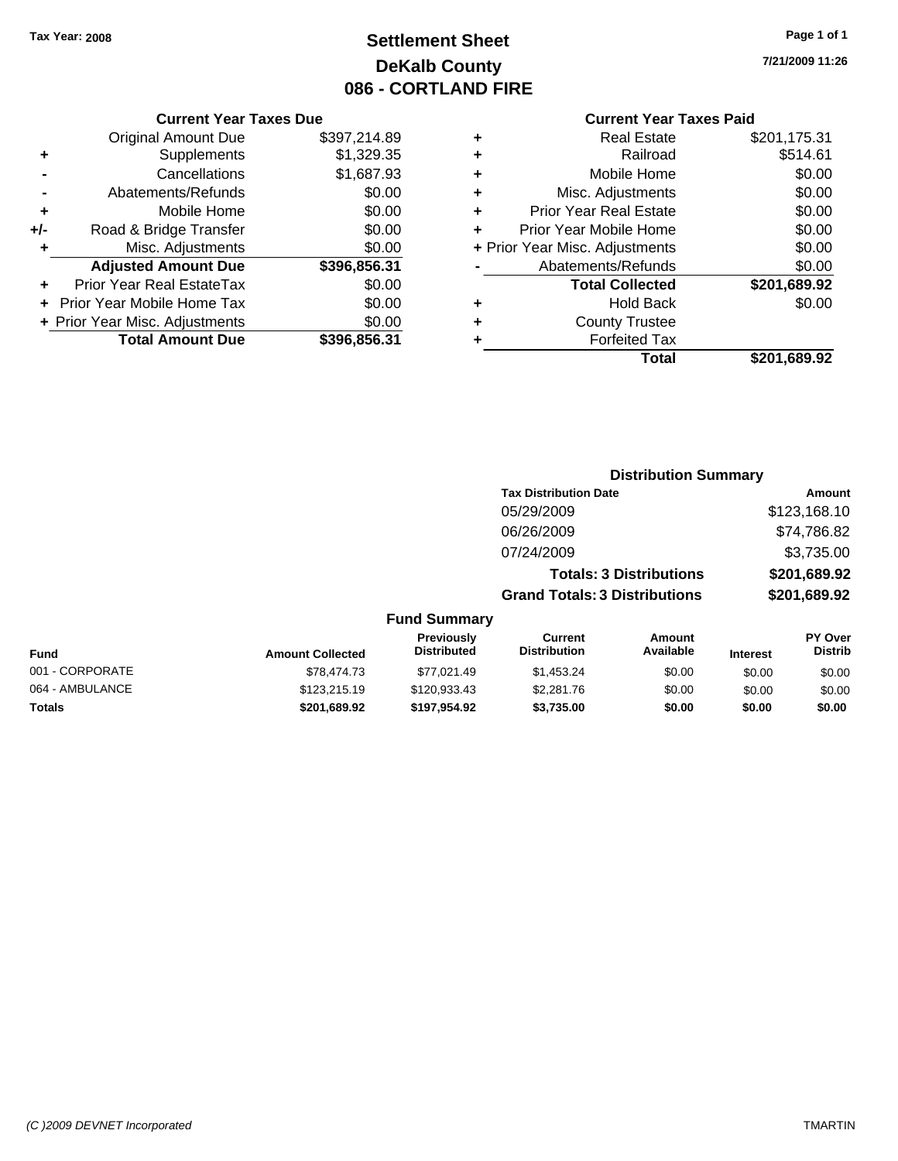### **Settlement Sheet Tax Year: 2008 Page 1 of 1 DeKalb County 086 - CORTLAND FIRE**

#### **Current Year Taxes Due**

|     | <b>Original Amount Due</b>     | \$397,214.89 |
|-----|--------------------------------|--------------|
| ٠   | Supplements                    | \$1,329.35   |
|     | Cancellations                  | \$1,687.93   |
|     | Abatements/Refunds             | \$0.00       |
| ٠   | Mobile Home                    | \$0.00       |
| +/- | Road & Bridge Transfer         | \$0.00       |
| ٠   | Misc. Adjustments              | \$0.00       |
|     | <b>Adjusted Amount Due</b>     | \$396,856.31 |
|     | Prior Year Real EstateTax      | \$0.00       |
|     | Prior Year Mobile Home Tax     | \$0.00       |
|     | + Prior Year Misc. Adjustments | \$0.00       |
|     | <b>Total Amount Due</b>        | \$396.856.31 |

#### **Current Year Taxes Paid**

|   | <b>Real Estate</b>             | \$201,175.31 |
|---|--------------------------------|--------------|
| ٠ | Railroad                       | \$514.61     |
| ٠ | Mobile Home                    | \$0.00       |
| ٠ | Misc. Adjustments              | \$0.00       |
| ٠ | <b>Prior Year Real Estate</b>  | \$0.00       |
|   | Prior Year Mobile Home         | \$0.00       |
|   | + Prior Year Misc. Adjustments | \$0.00       |
|   | Abatements/Refunds             | \$0.00       |
|   | <b>Total Collected</b>         | \$201,689.92 |
| ٠ | <b>Hold Back</b>               | \$0.00       |
| ٠ | <b>County Trustee</b>          |              |
|   | <b>Forfeited Tax</b>           |              |
|   | Total                          | \$201.689.92 |
|   |                                |              |

#### **7/21/2009 11:26**

| <b>Distribution Summary</b> |  |
|-----------------------------|--|
|-----------------------------|--|

| <b>Tax Distribution Date</b>         | Amount       |
|--------------------------------------|--------------|
| 05/29/2009                           | \$123,168.10 |
| 06/26/2009                           | \$74,786.82  |
| 07/24/2009                           | \$3,735.00   |
| <b>Totals: 3 Distributions</b>       | \$201,689.92 |
| <b>Grand Totals: 3 Distributions</b> | \$201,689.92 |
|                                      |              |

| <b>Fund</b>     | <b>Amount Collected</b> | <b>Previously</b><br><b>Distributed</b> | Current<br><b>Distribution</b> | Amount<br>Available | <b>Interest</b> | <b>PY Over</b><br><b>Distrib</b> |
|-----------------|-------------------------|-----------------------------------------|--------------------------------|---------------------|-----------------|----------------------------------|
| 001 - CORPORATE | \$78,474.73             | \$77.021.49                             | \$1.453.24                     | \$0.00              | \$0.00          | \$0.00                           |
| 064 - AMBULANCE | \$123,215.19            | \$120,933.43                            | \$2,281.76                     | \$0.00              | \$0.00          | \$0.00                           |
| Totals          | \$201,689.92            | \$197.954.92                            | \$3.735.00                     | \$0.00              | \$0.00          | \$0.00                           |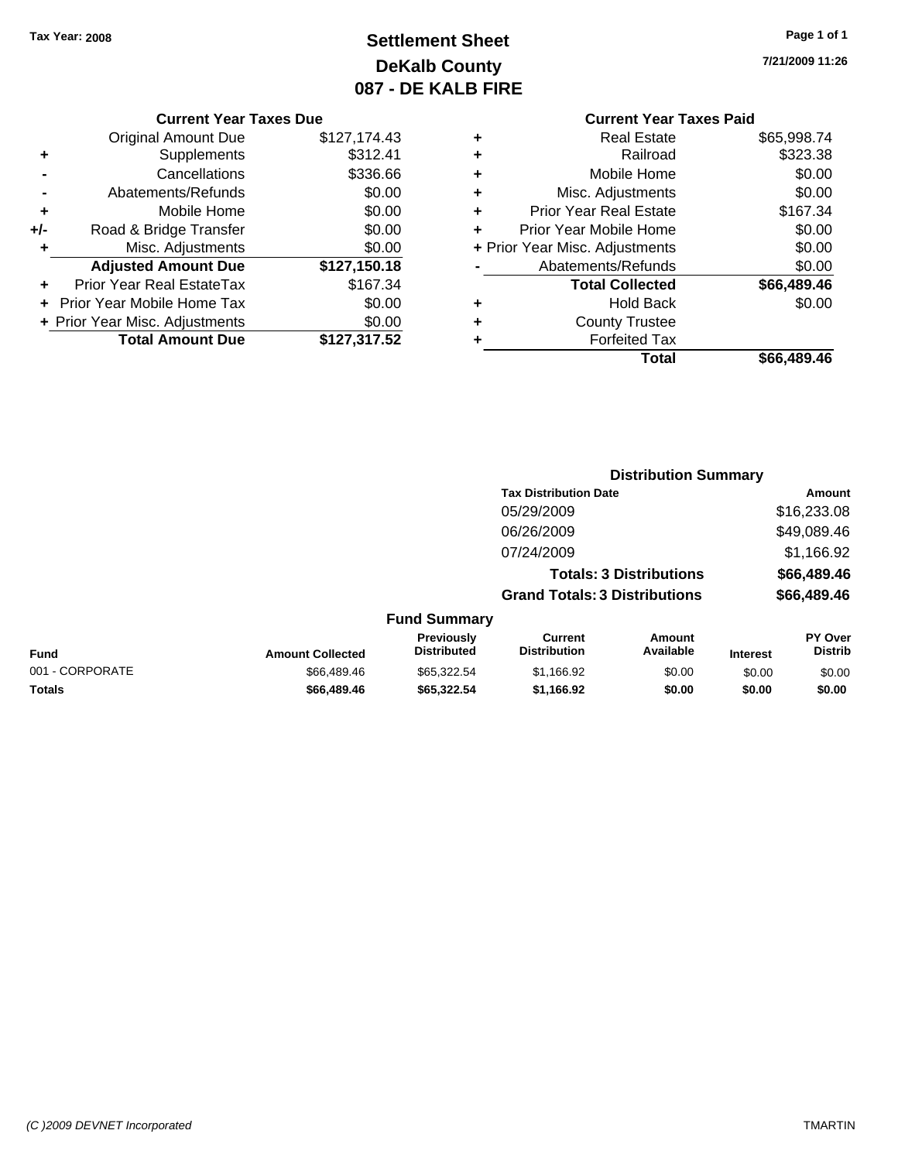### **Settlement Sheet Tax Year: 2008 Page 1 of 1 DeKalb County 087 - DE KALB FIRE**

**7/21/2009 11:26**

| <b>Current Year Taxes Due</b> |  |  |
|-------------------------------|--|--|
|                               |  |  |

|     | <b>Original Amount Due</b>        | \$127,174.43 |
|-----|-----------------------------------|--------------|
| ٠   | Supplements                       | \$312.41     |
|     | Cancellations                     | \$336.66     |
|     | Abatements/Refunds                | \$0.00       |
| ٠   | Mobile Home                       | \$0.00       |
| +/- | Road & Bridge Transfer            | \$0.00       |
| ٠   | Misc. Adjustments                 | \$0.00       |
|     | <b>Adjusted Amount Due</b>        | \$127,150.18 |
|     | Prior Year Real EstateTax         | \$167.34     |
|     | <b>Prior Year Mobile Home Tax</b> | \$0.00       |
|     |                                   |              |
|     | + Prior Year Misc. Adjustments    | \$0.00       |
|     | <b>Total Amount Due</b>           | \$127,317.52 |

### **Current Year Taxes Paid**

| ٠ | <b>Real Estate</b>             | \$65,998.74 |
|---|--------------------------------|-------------|
| ÷ | Railroad                       | \$323.38    |
| ٠ | Mobile Home                    | \$0.00      |
| ٠ | Misc. Adjustments              | \$0.00      |
| ٠ | <b>Prior Year Real Estate</b>  | \$167.34    |
| ÷ | Prior Year Mobile Home         | \$0.00      |
|   | + Prior Year Misc. Adjustments | \$0.00      |
|   | Abatements/Refunds             | \$0.00      |
|   | <b>Total Collected</b>         | \$66,489.46 |
| ٠ | <b>Hold Back</b>               | \$0.00      |
| ٠ | <b>County Trustee</b>          |             |
| ٠ | <b>Forfeited Tax</b>           |             |
|   | Total                          | \$66,489.46 |
|   |                                |             |

|                 |                         | <b>Distribution Summary</b>      |                                       |                                |                 |                           |  |
|-----------------|-------------------------|----------------------------------|---------------------------------------|--------------------------------|-----------------|---------------------------|--|
|                 |                         |                                  | <b>Tax Distribution Date</b>          |                                |                 | Amount                    |  |
|                 |                         |                                  | 05/29/2009                            |                                |                 | \$16,233.08               |  |
|                 |                         |                                  | 06/26/2009                            |                                |                 | \$49,089.46               |  |
|                 |                         |                                  | 07/24/2009                            |                                |                 | \$1,166.92                |  |
|                 |                         |                                  |                                       | <b>Totals: 3 Distributions</b> |                 | \$66,489.46               |  |
|                 |                         |                                  | <b>Grand Totals: 3 Distributions</b>  |                                |                 | \$66,489.46               |  |
|                 |                         | <b>Fund Summary</b>              |                                       |                                |                 |                           |  |
| <b>Fund</b>     | <b>Amount Collected</b> | Previously<br><b>Distributed</b> | <b>Current</b><br><b>Distribution</b> | Amount<br>Available            | <b>Interest</b> | PY Over<br><b>Distrib</b> |  |
| 001 - CORPORATE | \$66,489.46             | \$65,322.54                      | \$1,166.92                            | \$0.00                         | \$0.00          | \$0.00                    |  |
| <b>Totals</b>   | \$66,489.46             | \$65,322.54                      | \$1,166.92                            | \$0.00                         | \$0.00          | \$0.00                    |  |
|                 |                         |                                  |                                       |                                |                 |                           |  |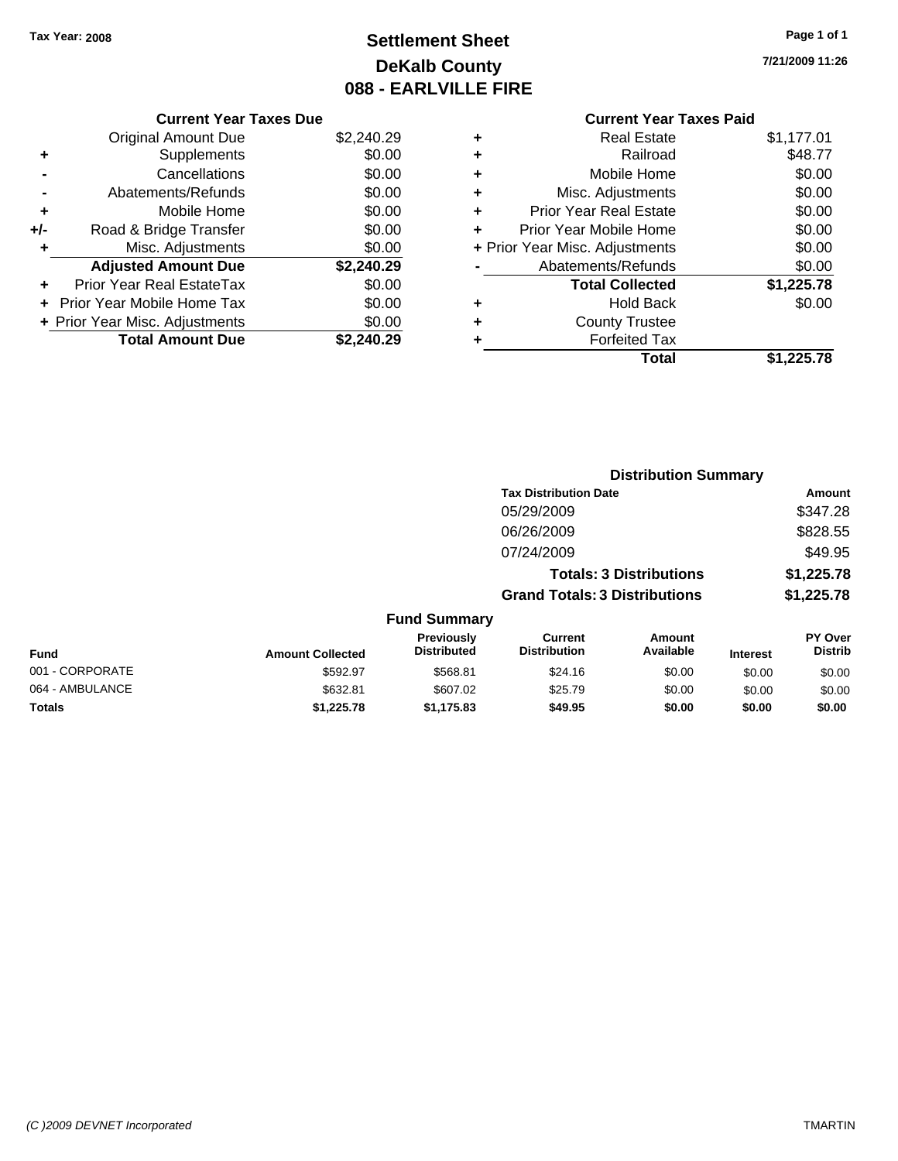### **Settlement Sheet Tax Year: 2008 Page 1 of 1 DeKalb County 088 - EARLVILLE FIRE**

**7/21/2009 11:26**

#### **Current Year Taxes Due**

|       | <b>Original Amount Due</b>       | \$2,240.29 |
|-------|----------------------------------|------------|
| ٠     | Supplements                      | \$0.00     |
|       | Cancellations                    | \$0.00     |
|       | Abatements/Refunds               | \$0.00     |
| ٠     | Mobile Home                      | \$0.00     |
| $+/-$ | Road & Bridge Transfer           | \$0.00     |
| ٠     | Misc. Adjustments                | \$0.00     |
|       | <b>Adjusted Amount Due</b>       | \$2,240.29 |
|       | <b>Prior Year Real EstateTax</b> | \$0.00     |
|       | Prior Year Mobile Home Tax       | \$0.00     |
|       | + Prior Year Misc. Adjustments   | \$0.00     |
|       | <b>Total Amount Due</b>          | \$2.240.29 |

### **Current Year Taxes Paid**

| ٠ | Real Estate                    | \$1,177.01 |
|---|--------------------------------|------------|
| ٠ | Railroad                       | \$48.77    |
| ٠ | Mobile Home                    | \$0.00     |
| ٠ | Misc. Adjustments              | \$0.00     |
| ٠ | <b>Prior Year Real Estate</b>  | \$0.00     |
| ٠ | Prior Year Mobile Home         | \$0.00     |
|   | + Prior Year Misc. Adjustments | \$0.00     |
|   | Abatements/Refunds             | \$0.00     |
|   | <b>Total Collected</b>         | \$1,225.78 |
| ٠ | <b>Hold Back</b>               | \$0.00     |
| ٠ | <b>County Trustee</b>          |            |
| ٠ | <b>Forfeited Tax</b>           |            |
|   | Total                          | \$1,225.78 |
|   |                                |            |

|                 |                         |                                  | <b>Distribution Summary</b>           |                                |                 |                                  |
|-----------------|-------------------------|----------------------------------|---------------------------------------|--------------------------------|-----------------|----------------------------------|
|                 |                         |                                  | <b>Tax Distribution Date</b>          |                                |                 | Amount                           |
|                 |                         |                                  | 05/29/2009                            |                                |                 | \$347.28                         |
|                 |                         |                                  | 06/26/2009                            |                                |                 | \$828.55                         |
|                 |                         |                                  | 07/24/2009                            |                                |                 | \$49.95                          |
|                 |                         |                                  |                                       | <b>Totals: 3 Distributions</b> |                 | \$1,225.78                       |
|                 |                         |                                  | <b>Grand Totals: 3 Distributions</b>  |                                |                 | \$1,225.78                       |
|                 |                         | <b>Fund Summary</b>              |                                       |                                |                 |                                  |
| Fund            | <b>Amount Collected</b> | Previously<br><b>Distributed</b> | <b>Current</b><br><b>Distribution</b> | <b>Amount</b><br>Available     | <b>Interest</b> | <b>PY Over</b><br><b>Distrib</b> |
| 001 - CORPORATE | \$592.97                | \$568.81                         | \$24.16                               | \$0.00                         | \$0.00          | \$0.00                           |
| 064 - AMBULANCE | \$632.81                | \$607.02                         | \$25.79                               | \$0.00                         | \$0.00          | \$0.00                           |
| Totals          | \$1,225.78              | \$1,175.83                       | \$49.95                               | \$0.00                         | \$0.00          | \$0.00                           |
|                 |                         |                                  |                                       |                                |                 |                                  |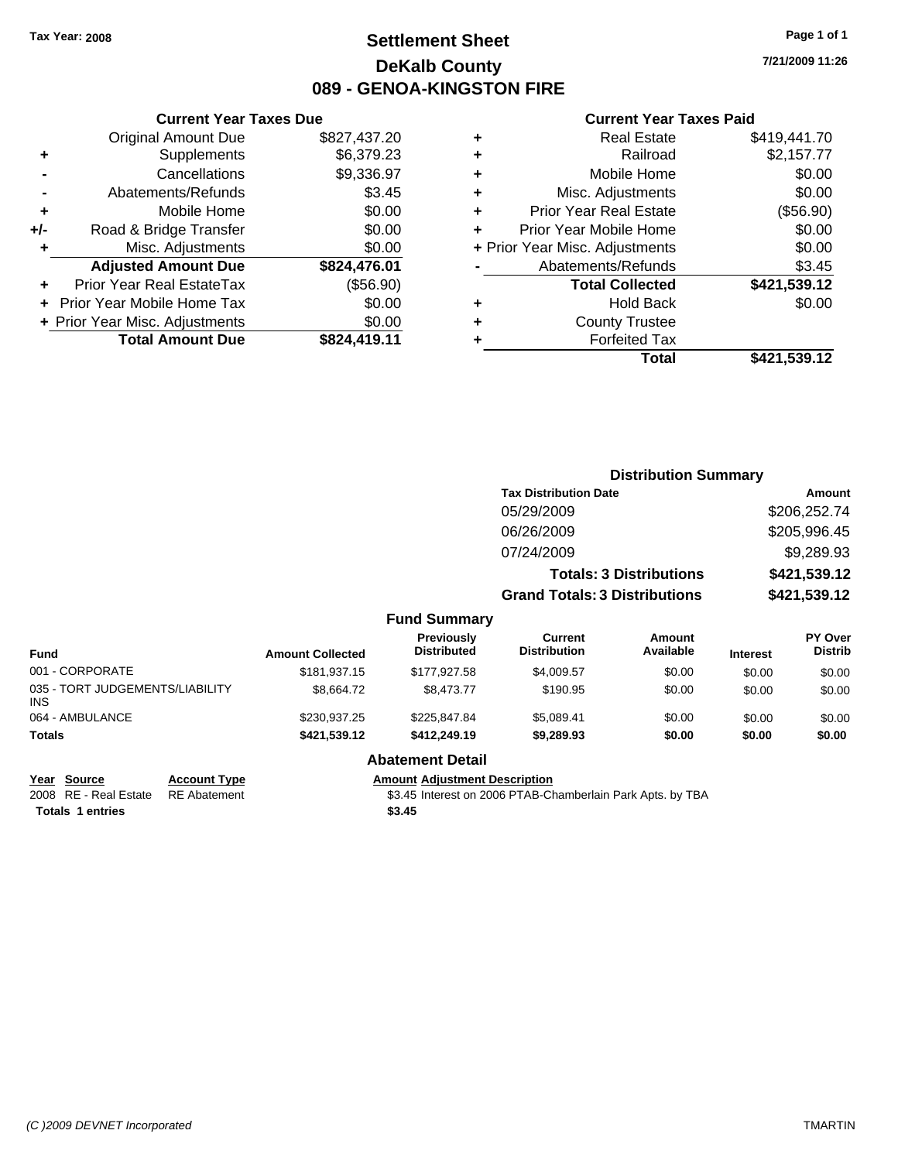**Original Amount Due** 

**Adjusted Amount Due** 

**Total Amount Due** 

**+** Supplements **-** Cancellations **-** Abatements/Refunds **+** Mobile Home **+/-** Road & Bridge Transfer **+** Misc. Adjustments

**+** Prior Year Real EstateTax **+** Prior Year Mobile Home Tax **+ Prior Year Misc. Adjustments** 

### **Settlement Sheet Tax Year: 2008 Page 1 of 1 DeKalb County 089 - GENOA-KINGSTON FIRE**

**7/21/2009 11:26**

#### **Current Year Taxes Paid**

| <b>Current Year Taxes Due</b> |              |           | <b>Current Year Taxes Paid</b> |              |
|-------------------------------|--------------|-----------|--------------------------------|--------------|
| ıl Amount Due                 | \$827,437.20 | ٠         | <b>Real Estate</b>             | \$419,441.70 |
| Supplements                   | \$6,379.23   | ٠         | Railroad                       | \$2,157.77   |
| Cancellations                 | \$9,336.97   | ٠         | Mobile Home                    | \$0.00       |
| าents/Refunds                 | \$3.45       | ÷         | Misc. Adjustments              | \$0.00       |
| Mobile Home                   | \$0.00       | ÷         | <b>Prior Year Real Estate</b>  | (\$56.90)    |
| ridge Transfer                | \$0.00       | $\ddot{}$ | Prior Year Mobile Home         | \$0.00       |
| :. Adjustments                | \$0.00       |           | + Prior Year Misc. Adjustments | \$0.00       |
| <b>Amount Due</b>             | \$824,476.01 |           | Abatements/Refunds             | \$3.45       |
| eal EstateTax                 | (\$56.90)    |           | <b>Total Collected</b>         | \$421,539.12 |
| pile Home Tax                 | \$0.00       | ٠         | <b>Hold Back</b>               | \$0.00       |
| . Adjustments                 | \$0.00       | ÷         | <b>County Trustee</b>          |              |
| <b>Amount Due</b>             | \$824,419.11 |           | <b>Forfeited Tax</b>           |              |
|                               |              |           | Total                          | \$421 539 12 |

|    | Total                          | \$421,539.12 |
|----|--------------------------------|--------------|
| ÷  | <b>Forfeited Tax</b>           |              |
| ÷. | <b>County Trustee</b>          |              |
| ÷  | <b>Hold Back</b>               | \$0.00       |
|    | <b>Total Collected</b>         | \$421,539.12 |
|    | Abatements/Refunds             | \$3.45       |
|    | + Prior Year Misc. Adjustments | \$0.00       |
| ÷  | Prior Year Mobile Home         | \$0.00       |
| ÷. | <b>Prior Year Real Estate</b>  | (\$56.90)    |
| ÷  | Misc. Adjustments              | \$0.00       |
|    |                                |              |

|                                         | <b>Distribution Summary</b> |                                         |                                       |                                |                 |                                  |
|-----------------------------------------|-----------------------------|-----------------------------------------|---------------------------------------|--------------------------------|-----------------|----------------------------------|
|                                         |                             |                                         | <b>Tax Distribution Date</b>          |                                |                 | Amount                           |
|                                         |                             |                                         | 05/29/2009                            |                                |                 | \$206,252.74                     |
|                                         |                             |                                         | 06/26/2009                            |                                |                 | \$205,996.45                     |
|                                         |                             |                                         | 07/24/2009                            |                                |                 | \$9,289.93                       |
|                                         |                             |                                         |                                       | <b>Totals: 3 Distributions</b> |                 | \$421,539.12                     |
|                                         |                             |                                         | <b>Grand Totals: 3 Distributions</b>  |                                |                 | \$421,539.12                     |
|                                         |                             | <b>Fund Summary</b>                     |                                       |                                |                 |                                  |
| Fund                                    | <b>Amount Collected</b>     | <b>Previously</b><br><b>Distributed</b> | <b>Current</b><br><b>Distribution</b> | <b>Amount</b><br>Available     | <b>Interest</b> | <b>PY Over</b><br><b>Distrib</b> |
| 001 - CORPORATE                         | \$181,937.15                | \$177,927.58                            | \$4,009.57                            | \$0.00                         | \$0.00          | \$0.00                           |
| 035 - TORT JUDGEMENTS/LIABILITY<br>INS. | \$8,664.72                  | \$8,473.77                              | \$190.95                              | \$0.00                         | \$0.00          | \$0.00                           |
| 064 - AMBULANCE                         | \$230,937.25                | \$225,847.84                            | \$5,089.41                            | \$0.00                         | \$0.00          | \$0.00                           |
| Totals                                  | \$421,539.12                | \$412,249.19                            | \$9,289.93                            | \$0.00                         | \$0.00          | \$0.00                           |
|                                         |                             | Ahatamant Datail                        |                                       |                                |                 |                                  |

## **Year Source Account Type Amount Adjustment Description**

#### **Abatement Detail**

2008 RE - Real Estate RE Abatement S3.45 Interest on 2006 PTAB-Chamberlain Park Apts. by TBA **Totals \$3.45 1 entries**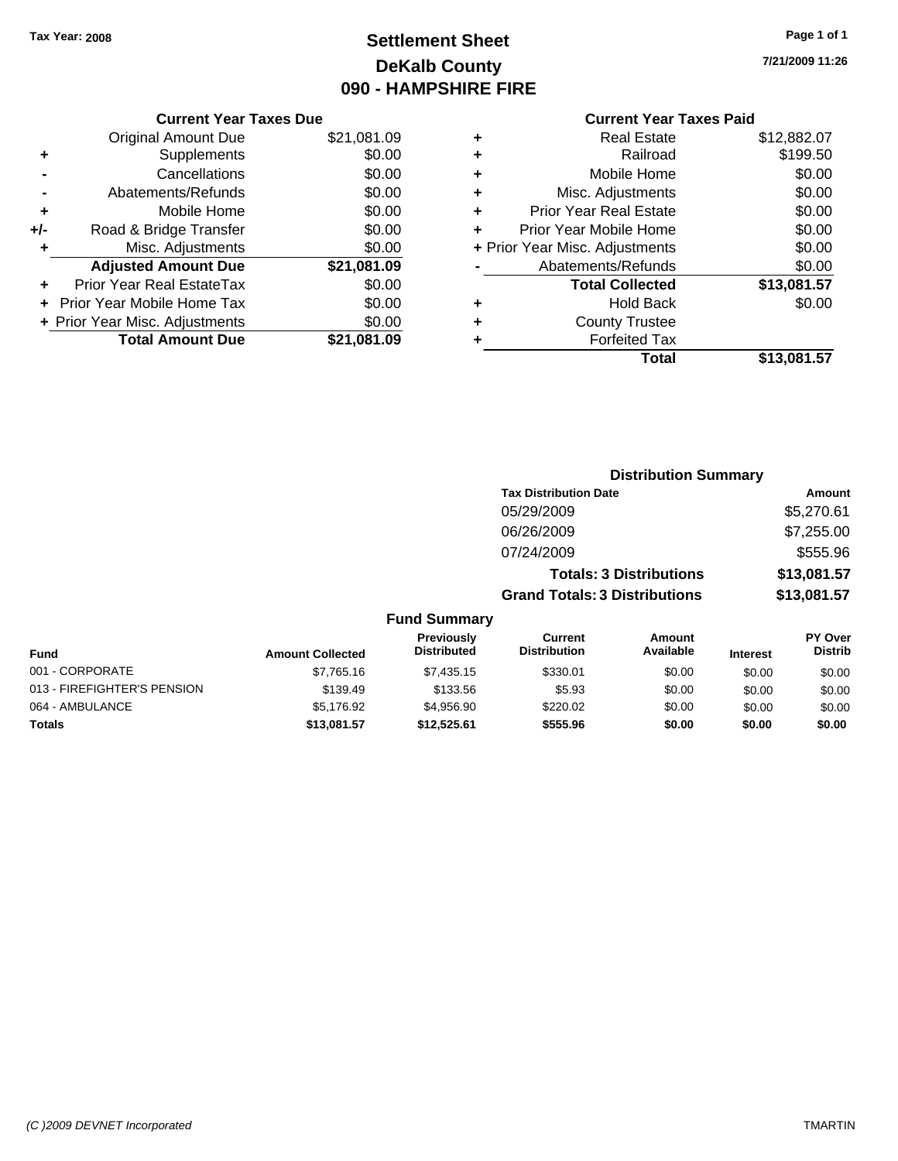### **Settlement Sheet Tax Year: 2008 Page 1 of 1 DeKalb County 090 - HAMPSHIRE FIRE**

**7/21/2009 11:26**

#### **Current Year Taxes Paid**

|     | <b>Current Year Taxes Due</b>  |             |  |  |  |
|-----|--------------------------------|-------------|--|--|--|
|     | <b>Original Amount Due</b>     | \$21,081.09 |  |  |  |
| ÷   | Supplements                    | \$0.00      |  |  |  |
|     | Cancellations                  | \$0.00      |  |  |  |
|     | Abatements/Refunds             | \$0.00      |  |  |  |
| ٠   | Mobile Home                    | \$0.00      |  |  |  |
| +/- | Road & Bridge Transfer         | \$0.00      |  |  |  |
|     | Misc. Adjustments              | \$0.00      |  |  |  |
|     | <b>Adjusted Amount Due</b>     | \$21,081.09 |  |  |  |
| ٠   | Prior Year Real EstateTax      | \$0.00      |  |  |  |
|     | Prior Year Mobile Home Tax     | \$0.00      |  |  |  |
|     | + Prior Year Misc. Adjustments | \$0.00      |  |  |  |
|     | <b>Total Amount Due</b>        | \$21,081.09 |  |  |  |
|     |                                |             |  |  |  |

| ٠ | <b>Real Estate</b>             | \$12,882.07 |
|---|--------------------------------|-------------|
| ٠ | Railroad                       | \$199.50    |
| ٠ | Mobile Home                    | \$0.00      |
| ٠ | Misc. Adjustments              | \$0.00      |
| ٠ | <b>Prior Year Real Estate</b>  | \$0.00      |
| ÷ | Prior Year Mobile Home         | \$0.00      |
|   | + Prior Year Misc. Adjustments | \$0.00      |
|   | Abatements/Refunds             | \$0.00      |
|   | <b>Total Collected</b>         | \$13,081.57 |
| ٠ | <b>Hold Back</b>               | \$0.00      |
| ٠ | <b>County Trustee</b>          |             |
| ٠ | <b>Forfeited Tax</b>           |             |
|   | Total                          | \$13,081.57 |
|   |                                |             |

|                             |                         | <b>Distribution Summary</b>      |                                       |                                |                 |                                  |
|-----------------------------|-------------------------|----------------------------------|---------------------------------------|--------------------------------|-----------------|----------------------------------|
|                             |                         |                                  | <b>Tax Distribution Date</b>          |                                |                 | Amount                           |
|                             |                         |                                  | 05/29/2009                            |                                |                 | \$5,270.61                       |
|                             |                         |                                  | 06/26/2009                            |                                |                 | \$7,255.00                       |
|                             |                         |                                  | 07/24/2009                            |                                |                 | \$555.96                         |
|                             |                         |                                  |                                       | <b>Totals: 3 Distributions</b> |                 | \$13,081.57                      |
|                             |                         |                                  | <b>Grand Totals: 3 Distributions</b>  |                                |                 | \$13,081.57                      |
|                             |                         | <b>Fund Summary</b>              |                                       |                                |                 |                                  |
| <b>Fund</b>                 | <b>Amount Collected</b> | Previously<br><b>Distributed</b> | <b>Current</b><br><b>Distribution</b> | Amount<br>Available            | <b>Interest</b> | <b>PY Over</b><br><b>Distrib</b> |
| 001 - CORPORATE             | \$7,765.16              | \$7,435.15                       | \$330.01                              | \$0.00                         | \$0.00          | \$0.00                           |
| 013 - FIREFIGHTER'S PENSION | \$139.49                | \$133.56                         | \$5.93                                | \$0.00                         | \$0.00          | \$0.00                           |
| 064 - AMBULANCE             | \$5,176.92              | \$4,956.90                       | \$220.02                              | \$0.00                         | \$0.00          | \$0.00                           |
| <b>Totals</b>               | \$13,081.57             | \$12,525.61                      | \$555.96                              | \$0.00                         | \$0.00          | \$0.00                           |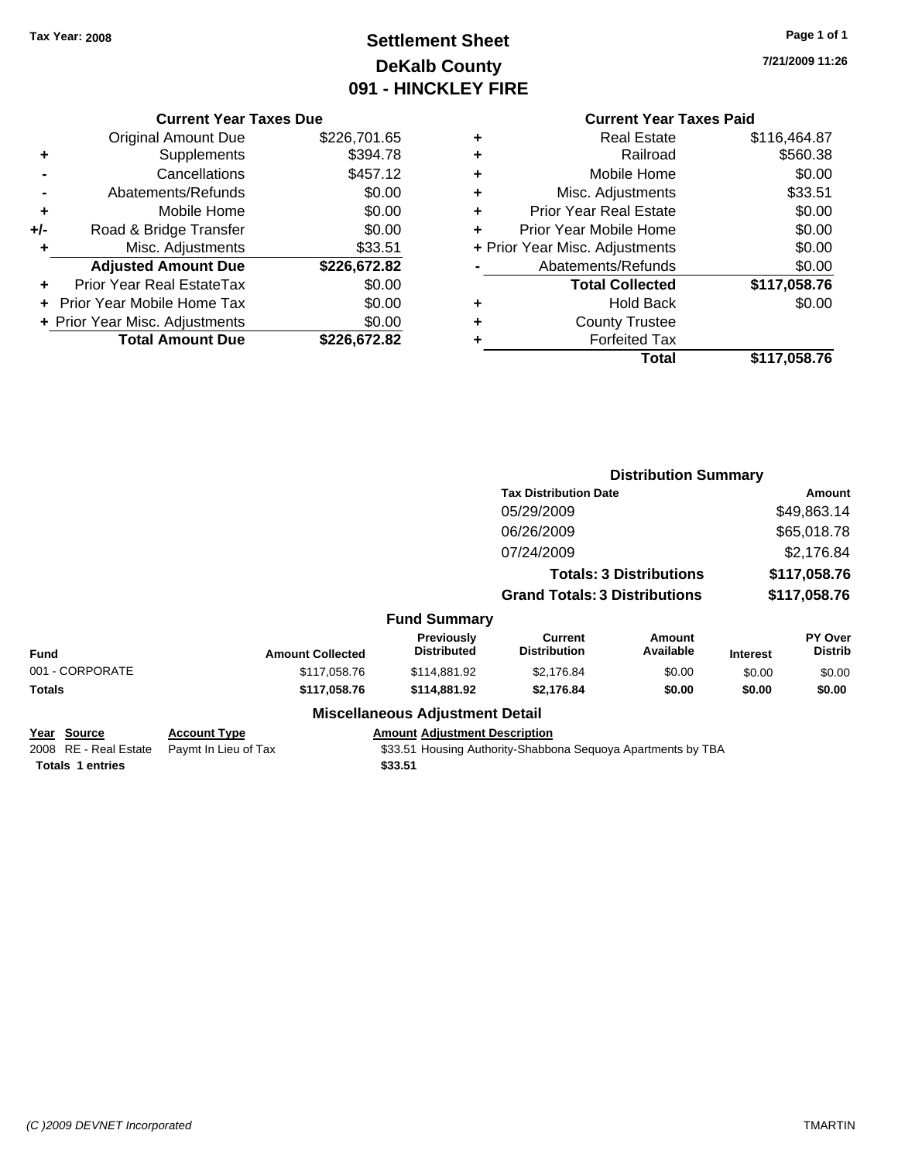### **Settlement Sheet Tax Year: 2008 Page 1 of 1 DeKalb County 091 - HINCKLEY FIRE**

**7/21/2009 11:26**

|  | <b>Current Year Taxes Due</b> |  |  |  |
|--|-------------------------------|--|--|--|
|--|-------------------------------|--|--|--|

|     | <b>Original Amount Due</b>       | \$226,701.65 |
|-----|----------------------------------|--------------|
| ٠   | Supplements                      | \$394.78     |
|     | Cancellations                    | \$457.12     |
|     | Abatements/Refunds               | \$0.00       |
| ٠   | Mobile Home                      | \$0.00       |
| +/- | Road & Bridge Transfer           | \$0.00       |
| ٠   | Misc. Adjustments                | \$33.51      |
|     | <b>Adjusted Amount Due</b>       | \$226,672.82 |
|     | <b>Prior Year Real EstateTax</b> | \$0.00       |
|     | Prior Year Mobile Home Tax       | \$0.00       |
|     | + Prior Year Misc. Adjustments   | \$0.00       |
|     | <b>Total Amount Due</b>          | \$226,672.82 |

### **Current Year Taxes Paid**

|   | <b>Real Estate</b>             | \$116,464.87 |
|---|--------------------------------|--------------|
| ٠ | Railroad                       | \$560.38     |
| ٠ | Mobile Home                    | \$0.00       |
| ٠ | Misc. Adjustments              | \$33.51      |
| ٠ | <b>Prior Year Real Estate</b>  | \$0.00       |
| ÷ | Prior Year Mobile Home         | \$0.00       |
|   | + Prior Year Misc. Adjustments | \$0.00       |
|   | Abatements/Refunds             | \$0.00       |
|   | <b>Total Collected</b>         | \$117,058.76 |
| ٠ | <b>Hold Back</b>               | \$0.00       |
| ٠ | <b>County Trustee</b>          |              |
|   | <b>Forfeited Tax</b>           |              |
|   | Total                          | \$117,058.76 |
|   |                                |              |

|                                                                        |                                             |                                                 |                                                              | <b>Distribution Summary</b>    |                 |                           |
|------------------------------------------------------------------------|---------------------------------------------|-------------------------------------------------|--------------------------------------------------------------|--------------------------------|-----------------|---------------------------|
|                                                                        |                                             | <b>Tax Distribution Date</b>                    |                                                              |                                | Amount          |                           |
|                                                                        |                                             |                                                 | 05/29/2009                                                   |                                |                 | \$49,863.14               |
|                                                                        |                                             |                                                 | 06/26/2009                                                   |                                |                 | \$65,018.78               |
|                                                                        |                                             |                                                 | 07/24/2009                                                   |                                |                 | \$2,176.84                |
|                                                                        |                                             |                                                 |                                                              | <b>Totals: 3 Distributions</b> |                 | \$117,058.76              |
|                                                                        |                                             |                                                 | <b>Grand Totals: 3 Distributions</b>                         |                                |                 | \$117,058.76              |
|                                                                        |                                             | <b>Fund Summary</b>                             |                                                              |                                |                 |                           |
| <b>Fund</b>                                                            | <b>Amount Collected</b>                     | Previously<br><b>Distributed</b>                | <b>Current</b><br><b>Distribution</b>                        | Amount<br>Available            | <b>Interest</b> | PY Over<br><b>Distrib</b> |
| 001 - CORPORATE                                                        | \$117,058.76                                | \$114,881.92                                    | \$2,176.84                                                   | \$0.00                         | \$0.00          | \$0.00                    |
| Totals                                                                 | \$117,058.76                                | \$114,881.92                                    | \$2,176.84                                                   | \$0.00                         | \$0.00          | \$0.00                    |
|                                                                        |                                             | <b>Miscellaneous Adjustment Detail</b>          |                                                              |                                |                 |                           |
| <u>Year Source</u><br>2008 RE - Real Estate<br><b>Totals 1 entries</b> | <b>Account Type</b><br>Paymt In Lieu of Tax | <b>Amount Adjustment Description</b><br>\$33.51 | \$33.51 Housing Authority-Shabbona Sequoya Apartments by TBA |                                |                 |                           |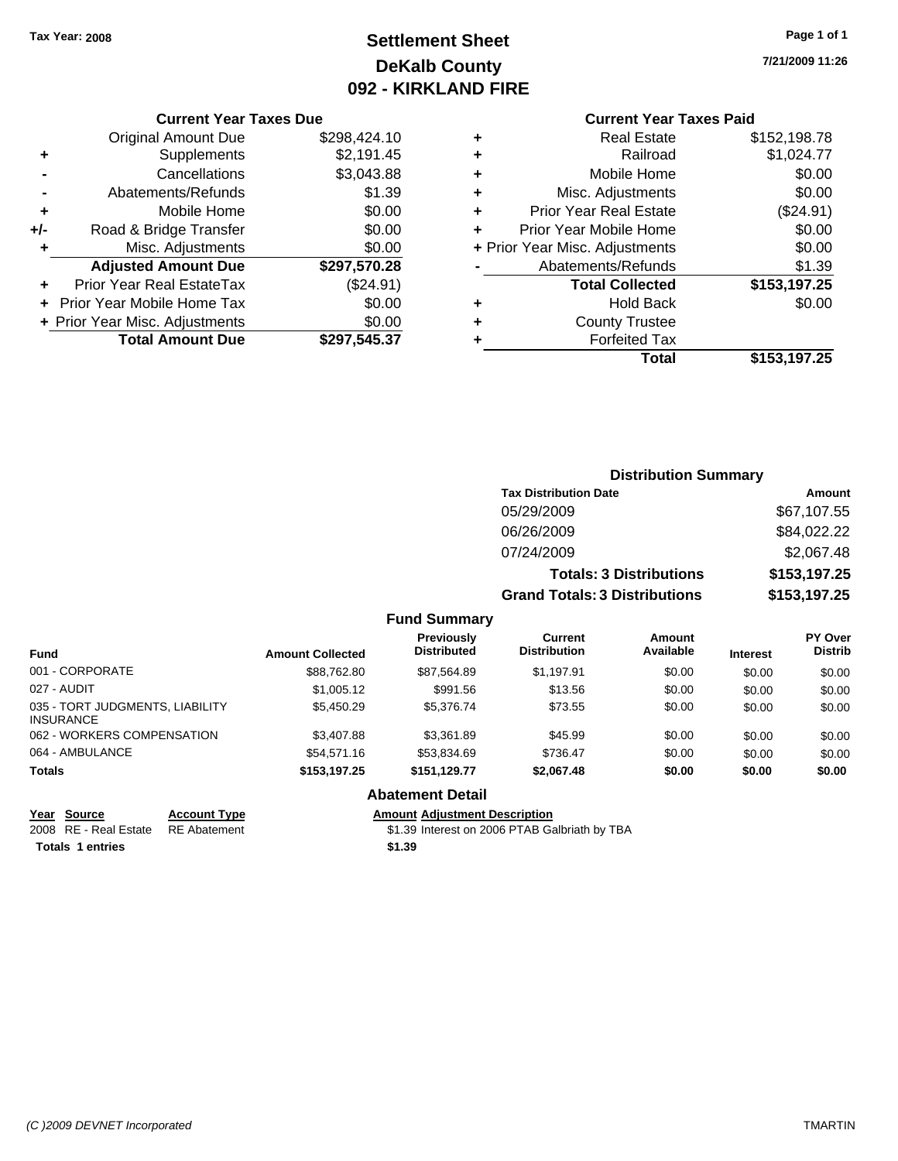### **Settlement Sheet Tax Year: 2008 Page 1 of 1 DeKalb County 092 - KIRKLAND FIRE**

**7/21/2009 11:26**

#### **Current Year Taxes Due**

|     | <b>Original Amount Due</b>        | \$298,424.10 |
|-----|-----------------------------------|--------------|
| ٠   | Supplements                       | \$2,191.45   |
|     | Cancellations                     | \$3,043.88   |
|     | Abatements/Refunds                | \$1.39       |
| ÷   | Mobile Home                       | \$0.00       |
| +/- | Road & Bridge Transfer            | \$0.00       |
| ٠   | Misc. Adjustments                 | \$0.00       |
|     | <b>Adjusted Amount Due</b>        | \$297,570.28 |
|     | <b>Prior Year Real EstateTax</b>  | (\$24.91)    |
|     | <b>Prior Year Mobile Home Tax</b> | \$0.00       |
|     | + Prior Year Misc. Adjustments    | \$0.00       |
|     | <b>Total Amount Due</b>           | \$297,545.37 |

#### **Current Year Taxes Paid**

| ٠ | <b>Real Estate</b>             | \$152,198.78 |
|---|--------------------------------|--------------|
| ٠ | Railroad                       | \$1,024.77   |
| ٠ | Mobile Home                    | \$0.00       |
| ٠ | Misc. Adjustments              | \$0.00       |
| ٠ | <b>Prior Year Real Estate</b>  | (\$24.91)    |
| ٠ | Prior Year Mobile Home         | \$0.00       |
|   | + Prior Year Misc. Adjustments | \$0.00       |
|   | Abatements/Refunds             | \$1.39       |
|   | <b>Total Collected</b>         | \$153,197.25 |
| ٠ | <b>Hold Back</b>               | \$0.00       |
| ٠ | <b>County Trustee</b>          |              |
| ٠ | <b>Forfeited Tax</b>           |              |
|   | Total                          | \$153,197.25 |
|   |                                |              |

#### **Distribution Summary Tax Distribution Date Amount** 05/29/2009 \$67,107.55 06/26/2009 \$84,022.22 07/24/2009 \$2,067.48 **Totals: 3 Distributions \$153,197.25 Grand Totals: 3 Distributions \$153,197.25 Fund Summary Fund Interest Amount Collected Distributed PY Over Distrib Amount Available Current Distribution Previously** 001 - CORPORATE \$88,762.80 \$87,564.89 \$1,197.91 \$0.00 \$0.00 \$0.00 027 - AUDIT \$1,005.12 \$991.56 \$13.56 \$0.00 \$0.00 \$0.00 035 - TORT JUDGMENTS, LIABILITY INSURANCE \$5,450.29 \$5,376.74 \$73.55 \$0.00 \$0.00 \$0.00 062 - WORKERS COMPENSATION \$3,407.88 \$3,361.89 \$45.99 \$0.00 \$0.00 \$0.00 \$0.00 064 - AMBULANCE \$54,571.16 \$53,834.69 \$736.47 \$0.00 \$0.00 \$0.00 **Totals \$153,197.25 \$151,129.77 \$2,067.48 \$0.00 \$0.00 \$0.00**

#### **Abatement Detail**

**Year Source Account Type Amount Adjustment Description**

2008 RE - Real Estate \$1.39 Interest on 2006 PTAB Galbriath by TBA RE Abatement

**Totals 1 entries** \$1.39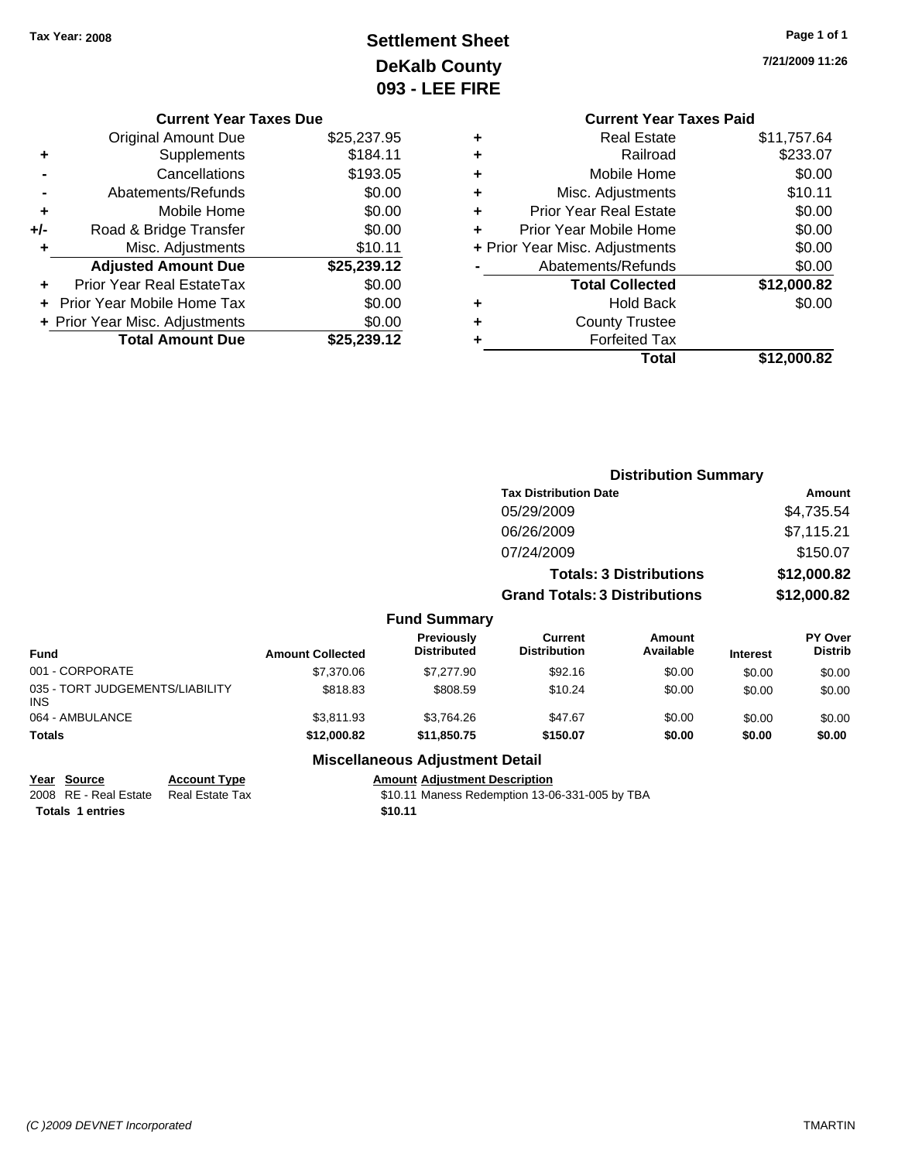### **Settlement Sheet Tax Year: 2008 Page 1 of 1 DeKalb County 093 - LEE FIRE**

**7/21/2009 11:26**

|   | <b>Current Year Taxes Paid</b> |             |
|---|--------------------------------|-------------|
| ٠ | <b>Real Estate</b>             | \$11,757.64 |
| ٠ | Railroad                       | \$233.07    |
| ٠ | Mobile Home                    | \$0.00      |
| ٠ | Misc. Adjustments              | \$10.11     |
| ٠ | <b>Prior Year Real Estate</b>  | \$0.00      |
| ÷ | Prior Year Mobile Home         | \$0.00      |
|   | + Prior Year Misc. Adjustments | \$0.00      |
|   | Abatements/Refunds             | \$0.00      |
|   | <b>Total Collected</b>         | \$12,000.82 |
|   | <b>Hold Back</b>               | \$0.00      |
|   | <b>County Trustee</b>          |             |
|   | <b>Forfeited Tax</b>           |             |
|   | Total                          | \$12.000.82 |
|   |                                |             |

| <b>Current Year Taxes Due</b>  |             |
|--------------------------------|-------------|
| <b>Original Amount Due</b>     | \$25,237.95 |
| Supplements                    | \$184.11    |
| Cancellations                  | \$193.05    |
| Abatements/Refunds             | \$0.00      |
| Mobile Home                    | \$0.00      |
| Road & Bridge Transfer         | \$0.00      |
| Misc. Adjustments              | \$10.11     |
| <b>Adjusted Amount Due</b>     | \$25,239.12 |
| Prior Year Real EstateTax      | \$0.00      |
| Prior Year Mobile Home Tax     | \$0.00      |
| + Prior Year Misc. Adjustments | \$0.00      |
| <b>Total Amount Due</b>        | \$25.239.12 |
|                                |             |

|                                               |                         |                                         | <b>Distribution Summary</b>          |                                |                 |                                  |
|-----------------------------------------------|-------------------------|-----------------------------------------|--------------------------------------|--------------------------------|-----------------|----------------------------------|
|                                               |                         |                                         | <b>Tax Distribution Date</b>         |                                |                 | <b>Amount</b>                    |
|                                               |                         |                                         | 05/29/2009                           |                                |                 | \$4,735.54                       |
|                                               |                         |                                         | 06/26/2009                           |                                |                 | \$7,115.21                       |
|                                               |                         |                                         | 07/24/2009                           |                                |                 | \$150.07                         |
|                                               |                         |                                         |                                      | <b>Totals: 3 Distributions</b> |                 | \$12,000.82                      |
|                                               |                         |                                         | <b>Grand Totals: 3 Distributions</b> |                                |                 | \$12,000.82                      |
|                                               |                         | <b>Fund Summary</b>                     |                                      |                                |                 |                                  |
| <b>Fund</b>                                   | <b>Amount Collected</b> | <b>Previously</b><br><b>Distributed</b> | Current<br><b>Distribution</b>       | Amount<br>Available            | <b>Interest</b> | <b>PY Over</b><br><b>Distrib</b> |
| 001 - CORPORATE                               | \$7,370.06              | \$7,277.90                              | \$92.16                              | \$0.00                         | \$0.00          | \$0.00                           |
| 035 - TORT JUDGEMENTS/LIABILITY<br><b>INS</b> | \$818.83                | \$808.59                                | \$10.24                              | \$0.00                         | \$0.00          | \$0.00                           |
| 064 - AMBULANCE                               | \$3,811.93              | \$3,764.26                              | \$47.67                              | \$0.00                         | \$0.00          | \$0.00                           |
| Totals                                        | \$12,000.82             | \$11,850.75                             | \$150.07                             | \$0.00                         | \$0.00          | \$0.00                           |

**Year Source Account Type Amount Adjustment Description Totals 1 entries** \$10.11

#### **Miscellaneous Adjustment Detail**

2008 RE - Real Estate Real Estate Tax S10.11 Maness Redemption 13-06-331-005 by TBA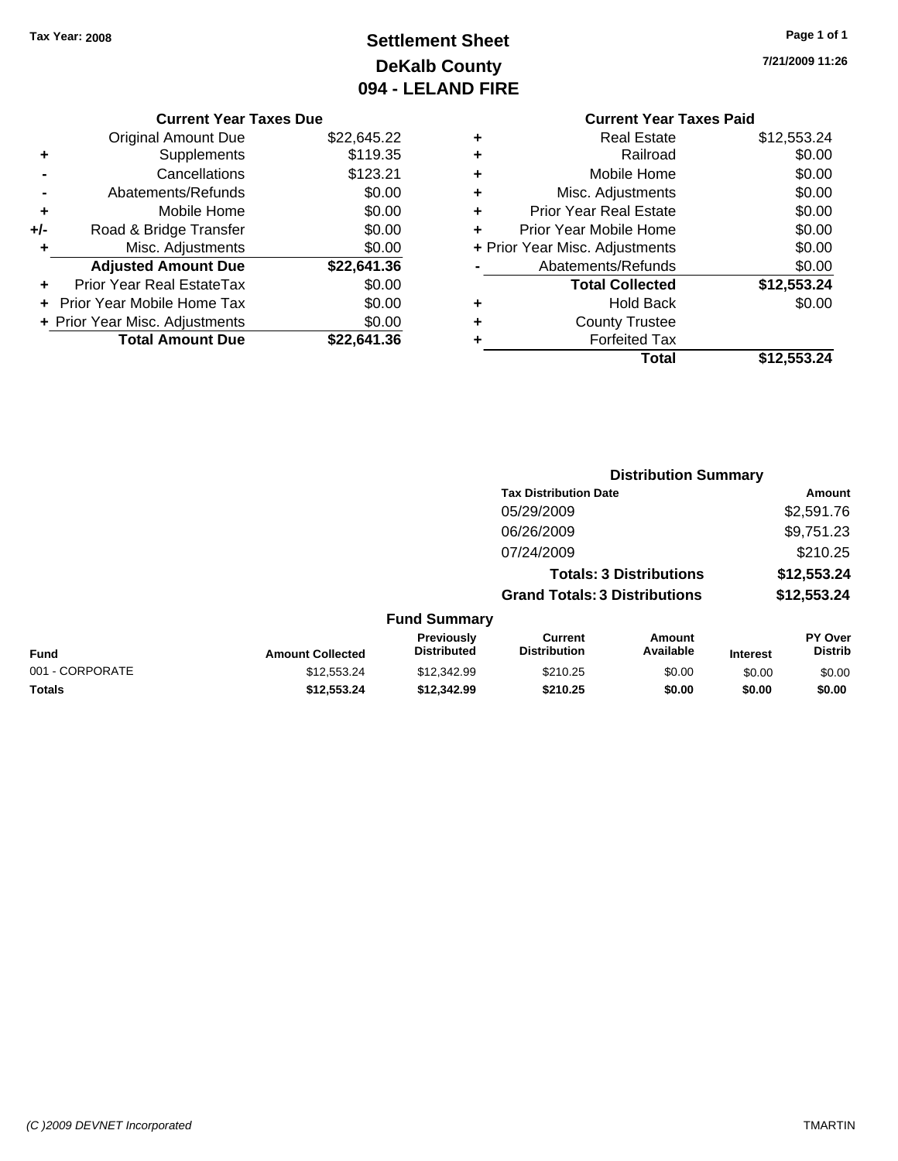### **Settlement Sheet Tax Year: 2008 Page 1 of 1 DeKalb County 094 - LELAND FIRE**

**7/21/2009 11:26**

#### **Current Year Taxes Due**

|     | <b>Original Amount Due</b>       | \$22,645.22 |
|-----|----------------------------------|-------------|
| ٠   | Supplements                      | \$119.35    |
|     | Cancellations                    | \$123.21    |
|     | Abatements/Refunds               | \$0.00      |
| ٠   | Mobile Home                      | \$0.00      |
| +/- | Road & Bridge Transfer           | \$0.00      |
| ÷   | Misc. Adjustments                | \$0.00      |
|     | <b>Adjusted Amount Due</b>       | \$22,641.36 |
|     | <b>Prior Year Real EstateTax</b> | \$0.00      |
|     | Prior Year Mobile Home Tax       | \$0.00      |
|     | + Prior Year Misc. Adjustments   | \$0.00      |
|     | <b>Total Amount Due</b>          | \$22,641.36 |

#### **Current Year Taxes Paid +** Real Estate \$12,553.24

|   | Total                          | \$12,553.24 |
|---|--------------------------------|-------------|
|   | <b>Forfeited Tax</b>           |             |
| ٠ | <b>County Trustee</b>          |             |
| ٠ | <b>Hold Back</b>               | \$0.00      |
|   | <b>Total Collected</b>         | \$12,553.24 |
|   | Abatements/Refunds             | \$0.00      |
|   | + Prior Year Misc. Adjustments | \$0.00      |
|   | Prior Year Mobile Home         | \$0.00      |
| ٠ | <b>Prior Year Real Estate</b>  | \$0.00      |
| ٠ | Misc. Adjustments              | \$0.00      |
| ٠ | Mobile Home                    | \$0.00      |
| ÷ | Railroad                       | \$0.00      |
|   |                                | ----------- |

|                 |                         | <b>Distribution Summary</b>      |                                       |                                |                 |                                  |
|-----------------|-------------------------|----------------------------------|---------------------------------------|--------------------------------|-----------------|----------------------------------|
|                 |                         |                                  | <b>Tax Distribution Date</b>          |                                |                 | Amount                           |
|                 |                         |                                  | 05/29/2009                            |                                |                 | \$2,591.76                       |
|                 |                         |                                  | 06/26/2009                            |                                |                 | \$9,751.23                       |
|                 |                         |                                  | 07/24/2009                            |                                |                 | \$210.25                         |
|                 |                         |                                  |                                       | <b>Totals: 3 Distributions</b> |                 | \$12,553.24                      |
|                 |                         |                                  | <b>Grand Totals: 3 Distributions</b>  |                                |                 | \$12,553.24                      |
|                 |                         | <b>Fund Summary</b>              |                                       |                                |                 |                                  |
| <b>Fund</b>     | <b>Amount Collected</b> | Previously<br><b>Distributed</b> | <b>Current</b><br><b>Distribution</b> | <b>Amount</b><br>Available     | <b>Interest</b> | <b>PY Over</b><br><b>Distrib</b> |
| 001 - CORPORATE | \$12,553.24             | \$12,342.99                      | \$210.25                              | \$0.00                         | \$0.00          | \$0.00                           |
| Totals          | \$12,553.24             | \$12,342.99                      | \$210.25                              | \$0.00                         | \$0.00          | \$0.00                           |
|                 |                         |                                  |                                       |                                |                 |                                  |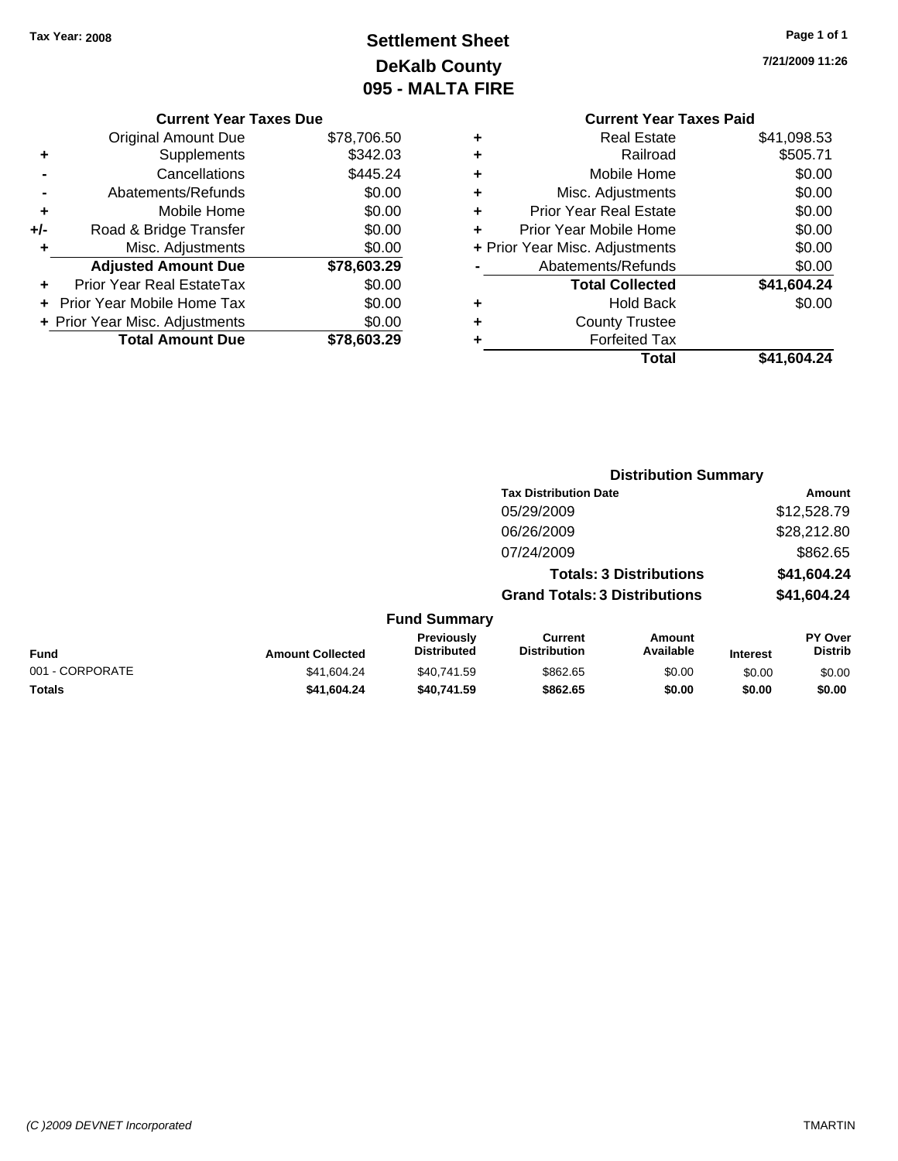### **Settlement Sheet Tax Year: 2008 Page 1 of 1 DeKalb County 095 - MALTA FIRE**

**7/21/2009 11:26**

|   | <b>Current Year Taxes Paid</b> |             |
|---|--------------------------------|-------------|
| ٠ | <b>Real Estate</b>             | \$41,098.53 |
| ٠ | Railroad                       | \$505.71    |
| ٠ | Mobile Home                    | \$0.00      |
| ٠ | Misc. Adjustments              | \$0.00      |
| ÷ | <b>Prior Year Real Estate</b>  | \$0.00      |
| ÷ | Prior Year Mobile Home         | \$0.00      |
|   | + Prior Year Misc. Adjustments | \$0.00      |
|   | Abatements/Refunds             | \$0.00      |
|   | <b>Total Collected</b>         | \$41,604.24 |
| ٠ | <b>Hold Back</b>               | \$0.00      |
| ٠ | <b>County Trustee</b>          |             |
|   | <b>Forfeited Tax</b>           |             |
|   | Total                          | \$41,604.24 |

**Distribution Summary**

|     | <b>Current Year Taxes Due</b>  |             |
|-----|--------------------------------|-------------|
|     | Original Amount Due            | \$78,706.50 |
| ٠   | Supplements                    | \$342.03    |
|     | Cancellations                  | \$445.24    |
|     | Abatements/Refunds             | \$0.00      |
| ٠   | Mobile Home                    | \$0.00      |
| +/- | Road & Bridge Transfer         | \$0.00      |
| ٠   | Misc. Adjustments              | \$0.00      |
|     | <b>Adjusted Amount Due</b>     | \$78,603.29 |
|     | Prior Year Real EstateTax      | \$0.00      |
|     | Prior Year Mobile Home Tax     | \$0.00      |
|     | + Prior Year Misc. Adjustments | \$0.00      |
|     | <b>Total Amount Due</b>        | \$78,603.29 |
|     |                                |             |

|                 |                         |                                         | <b>Tax Distribution Date</b>         |                                |                 | Amount                    |
|-----------------|-------------------------|-----------------------------------------|--------------------------------------|--------------------------------|-----------------|---------------------------|
|                 |                         |                                         | 05/29/2009                           |                                |                 | \$12,528.79               |
|                 |                         |                                         | 06/26/2009                           |                                |                 | \$28,212.80               |
|                 |                         |                                         | 07/24/2009                           |                                |                 | \$862.65                  |
|                 |                         |                                         |                                      | <b>Totals: 3 Distributions</b> |                 | \$41,604.24               |
|                 |                         |                                         | <b>Grand Totals: 3 Distributions</b> |                                |                 | \$41,604.24               |
|                 |                         | <b>Fund Summary</b>                     |                                      |                                |                 |                           |
| <b>Fund</b>     | <b>Amount Collected</b> | <b>Previously</b><br><b>Distributed</b> | Current<br><b>Distribution</b>       | Amount<br>Available            | <b>Interest</b> | PY Over<br><b>Distrib</b> |
| 001 - CORPORATE | \$41.604.24             | \$40.741.59                             | \$862.65                             | \$0.00                         | \$0.00          | \$0.00                    |
| <b>Totals</b>   | \$41,604.24             | \$40,741.59                             | \$862.65                             | \$0.00                         | \$0.00          | \$0.00                    |

#### *(C )2009 DEVNET Incorporated* TMARTIN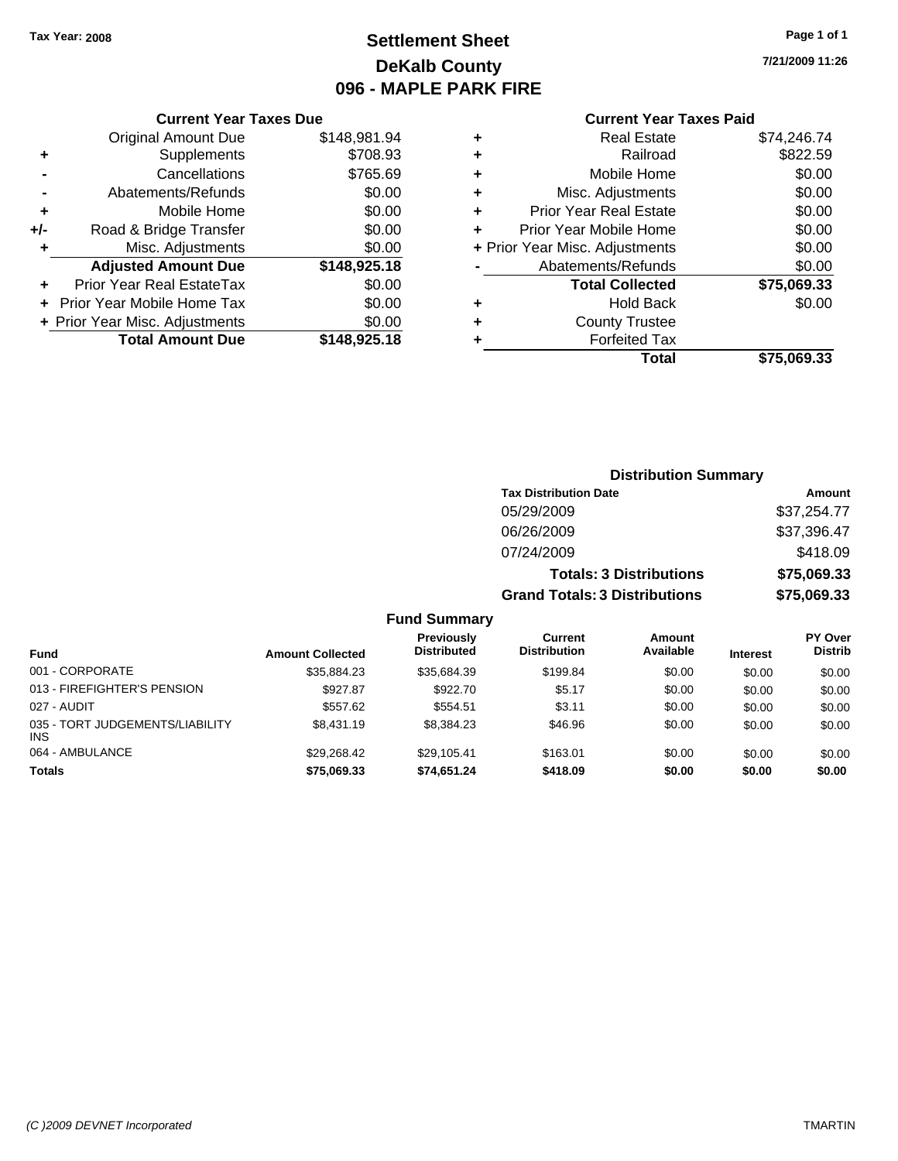### **Settlement Sheet Tax Year: 2008 Page 1 of 1 DeKalb County 096 - MAPLE PARK FIRE**

**7/21/2009 11:26**

#### **Current Year Taxes Due**

|     | <b>Original Amount Due</b>     | \$148,981.94 |
|-----|--------------------------------|--------------|
| ٠   | Supplements                    | \$708.93     |
|     | Cancellations                  | \$765.69     |
|     | Abatements/Refunds             | \$0.00       |
| ٠   | Mobile Home                    | \$0.00       |
| +/- | Road & Bridge Transfer         | \$0.00       |
| ٠   | Misc. Adjustments              | \$0.00       |
|     | <b>Adjusted Amount Due</b>     | \$148,925.18 |
|     | Prior Year Real EstateTax      | \$0.00       |
|     | Prior Year Mobile Home Tax     | \$0.00       |
|     | + Prior Year Misc. Adjustments | \$0.00       |
|     | <b>Total Amount Due</b>        | \$148,925.18 |

#### **Current Year Taxes Paid**

| ٠ | <b>Real Estate</b>             | \$74,246.74 |
|---|--------------------------------|-------------|
| ٠ | Railroad                       | \$822.59    |
| ٠ | Mobile Home                    | \$0.00      |
| ٠ | Misc. Adjustments              | \$0.00      |
| ٠ | <b>Prior Year Real Estate</b>  | \$0.00      |
|   | Prior Year Mobile Home         | \$0.00      |
|   | + Prior Year Misc. Adjustments | \$0.00      |
|   | Abatements/Refunds             | \$0.00      |
|   | <b>Total Collected</b>         | \$75,069.33 |
| ٠ | Hold Back                      | \$0.00      |
| ٠ | <b>County Trustee</b>          |             |
| ٠ | <b>Forfeited Tax</b>           |             |
|   | Total                          | \$75,069.33 |
|   |                                |             |

#### **Distribution Summary Tax Distribution Date Amount** 05/29/2009 \$37,254.77 06/26/2009 \$37,396.47 07/24/2009 \$418.09 **Totals: 3 Distributions \$75,069.33 Grand Totals: 3 Distributions \$75,069.33 Fund Summary**

| <b>Fund</b>                                   | <b>Amount Collected</b> | <b>Previously</b><br><b>Distributed</b> | Current<br><b>Distribution</b> | <b>Amount</b><br>Available | <b>Interest</b> | PY Over<br><b>Distrib</b> |
|-----------------------------------------------|-------------------------|-----------------------------------------|--------------------------------|----------------------------|-----------------|---------------------------|
| 001 - CORPORATE                               | \$35.884.23             | \$35.684.39                             | \$199.84                       | \$0.00                     | \$0.00          | \$0.00                    |
| 013 - FIREFIGHTER'S PENSION                   | \$927.87                | \$922.70                                | \$5.17                         | \$0.00                     | \$0.00          | \$0.00                    |
| 027 - AUDIT                                   | \$557.62                | \$554.51                                | \$3.11                         | \$0.00                     | \$0.00          | \$0.00                    |
| 035 - TORT JUDGEMENTS/LIABILITY<br><b>INS</b> | \$8,431.19              | \$8.384.23                              | \$46.96                        | \$0.00                     | \$0.00          | \$0.00                    |
| 064 - AMBULANCE                               | \$29.268.42             | \$29.105.41                             | \$163.01                       | \$0.00                     | \$0.00          | \$0.00                    |
| <b>Totals</b>                                 | \$75,069.33             | \$74,651.24                             | \$418.09                       | \$0.00                     | \$0.00          | \$0.00                    |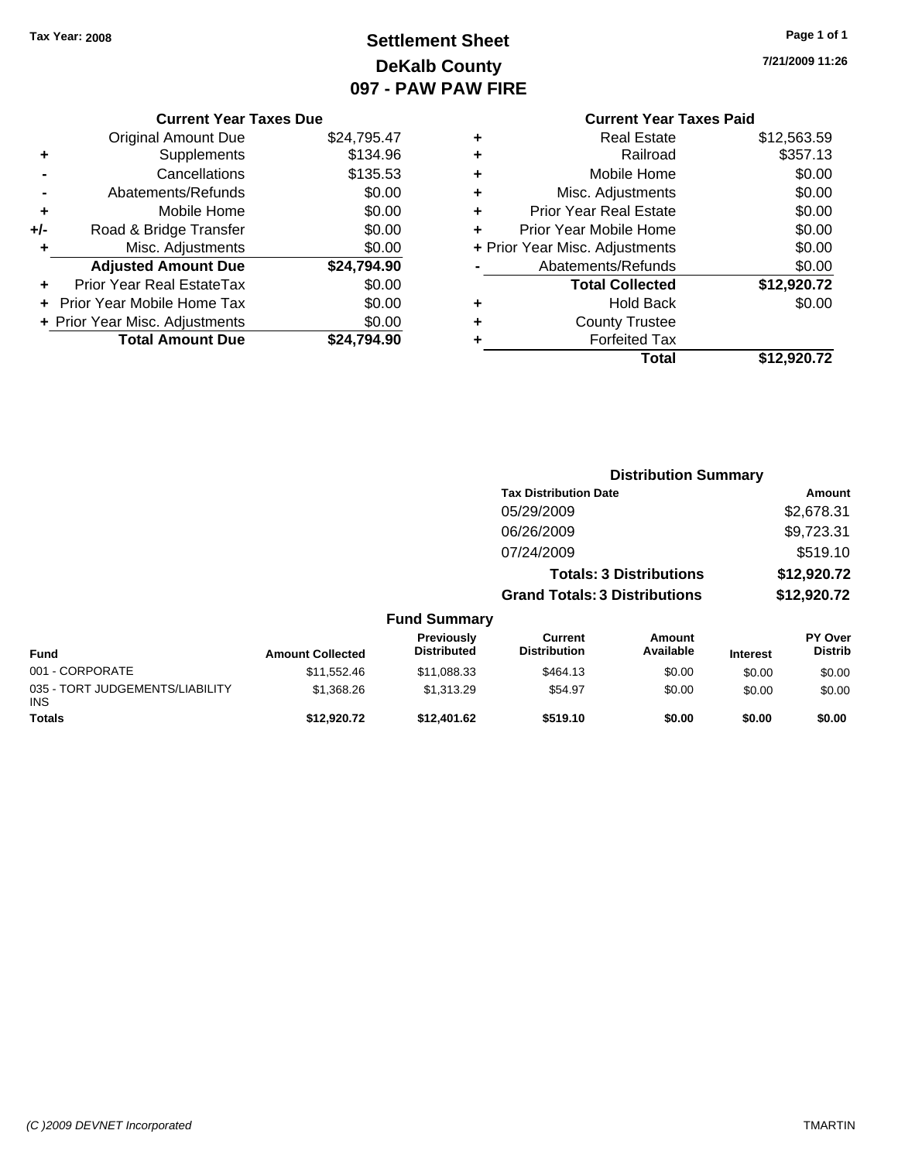### **Settlement Sheet Tax Year: 2008 Page 1 of 1 DeKalb County 097 - PAW PAW FIRE**

**7/21/2009 11:26**

#### **Current Year Taxes Due**

|       | <b>Original Amount Due</b>        | \$24,795.47 |
|-------|-----------------------------------|-------------|
| ٠     | Supplements                       | \$134.96    |
|       | Cancellations                     | \$135.53    |
|       | Abatements/Refunds                | \$0.00      |
| ٠     | Mobile Home                       | \$0.00      |
| $+/-$ | Road & Bridge Transfer            | \$0.00      |
| ٠     | Misc. Adjustments                 | \$0.00      |
|       | <b>Adjusted Amount Due</b>        | \$24,794.90 |
|       | Prior Year Real EstateTax         | \$0.00      |
|       | <b>Prior Year Mobile Home Tax</b> | \$0.00      |
|       | + Prior Year Misc. Adjustments    | \$0.00      |
|       | <b>Total Amount Due</b>           | .794.90     |

#### **Current Year Taxes Paid +** Real Estate \$12,563.59 **+** Railroad \$357.13 **+** Mobile Home \$0.00 **+** Misc. Adjustments \$0.00 **+** Prior Year Real Estate \$0.00 **+** Prior Year Mobile Home \$0.00 **+** Prior Year Misc. Adjustments  $$0.00$ **-** Abatements/Refunds \$0.00 **Total Collected \$12,920.72 +** Hold Back \$0.00 **+** County Trustee **+** Forfeited Tax **Total \$12,920.72**

|                                         |                         |                                  | <b>Distribution Summary</b>          |                                |                 |                                  |
|-----------------------------------------|-------------------------|----------------------------------|--------------------------------------|--------------------------------|-----------------|----------------------------------|
|                                         |                         |                                  | <b>Tax Distribution Date</b>         |                                |                 | Amount                           |
|                                         |                         |                                  | 05/29/2009                           |                                |                 | \$2,678.31                       |
|                                         |                         |                                  | 06/26/2009                           |                                |                 | \$9,723.31                       |
|                                         |                         |                                  | 07/24/2009                           |                                |                 | \$519.10                         |
|                                         |                         |                                  |                                      | <b>Totals: 3 Distributions</b> |                 | \$12,920.72                      |
|                                         |                         |                                  | <b>Grand Totals: 3 Distributions</b> |                                |                 | \$12,920.72                      |
|                                         |                         | <b>Fund Summary</b>              |                                      |                                |                 |                                  |
| Fund                                    | <b>Amount Collected</b> | Previously<br><b>Distributed</b> | Current<br><b>Distribution</b>       | <b>Amount</b><br>Available     | <b>Interest</b> | <b>PY Over</b><br><b>Distrib</b> |
| 001 - CORPORATE                         | \$11,552.46             | \$11,088.33                      | \$464.13                             | \$0.00                         | \$0.00          | \$0.00                           |
| 035 - TORT JUDGEMENTS/LIABILITY<br>INS. | \$1,368.26              | \$1,313.29                       | \$54.97                              | \$0.00                         | \$0.00          | \$0.00                           |
| Totals                                  | \$12,920.72             | \$12,401.62                      | \$519.10                             | \$0.00                         | \$0.00          | \$0.00                           |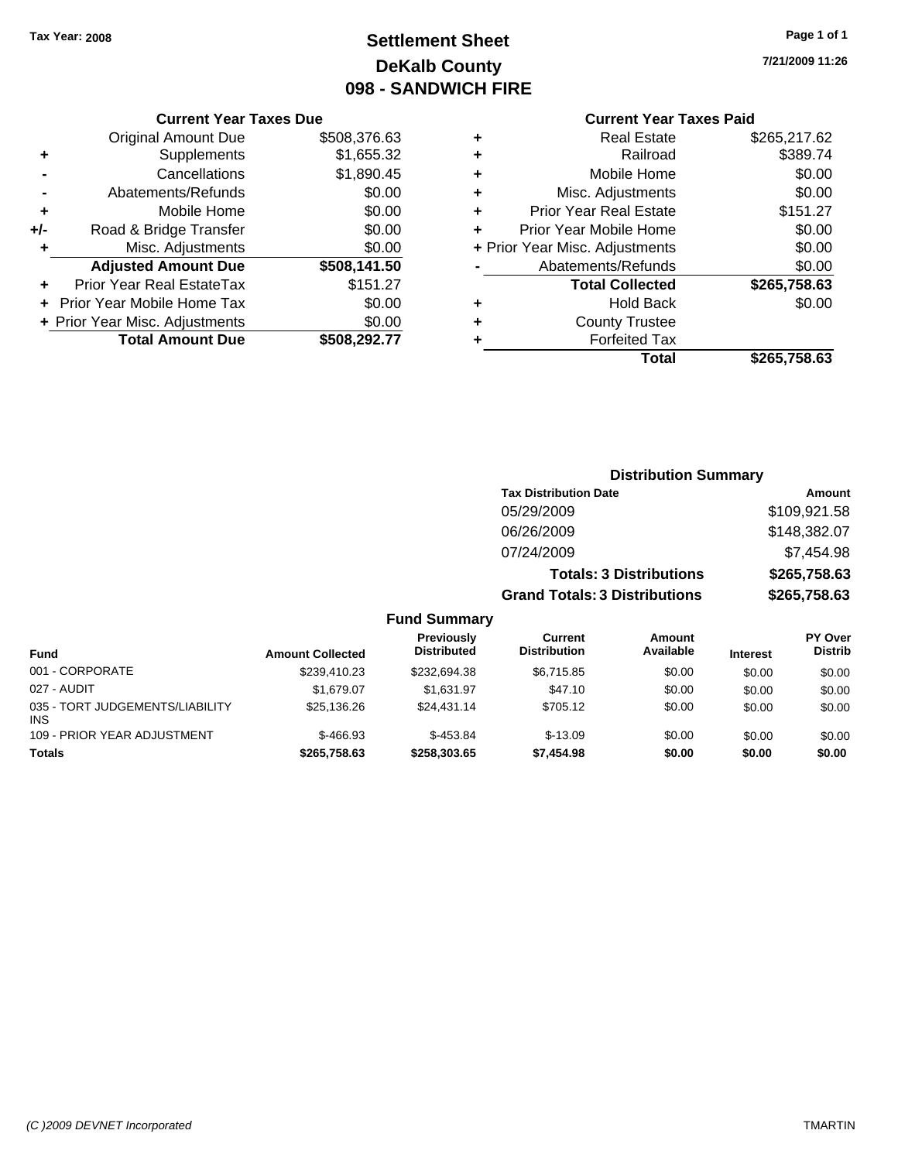### **Settlement Sheet Tax Year: 2008 Page 1 of 1 DeKalb County 098 - SANDWICH FIRE**

**7/21/2009 11:26**

#### **Current Year Taxes Paid**

| ٠ | <b>Real Estate</b>             | \$265,217.62 |
|---|--------------------------------|--------------|
| ٠ | Railroad                       | \$389.74     |
| ٠ | Mobile Home                    | \$0.00       |
| ٠ | Misc. Adjustments              | \$0.00       |
| ٠ | <b>Prior Year Real Estate</b>  | \$151.27     |
| ÷ | Prior Year Mobile Home         | \$0.00       |
|   | + Prior Year Misc. Adjustments | \$0.00       |
|   | Abatements/Refunds             | \$0.00       |
|   | <b>Total Collected</b>         | \$265,758.63 |
| ٠ | <b>Hold Back</b>               | \$0.00       |
| ٠ | <b>County Trustee</b>          |              |
|   | <b>Forfeited Tax</b>           |              |
|   | Total                          | \$265.758.63 |

#### **Current Year Taxes Due** Original Amount Due \$508,376.63 **+** Supplements \$1,655.32 **-** Cancellations \$1,890.45 **-** Abatements/Refunds \$0.00 **+** Mobile Home \$0.00 **+/-** Road & Bridge Transfer \$0.00 **+** Misc. Adjustments \$0.00 **Adjusted Amount Due \$508,141.50 +** Prior Year Real EstateTax \$151.27 **+** Prior Year Mobile Home Tax \$0.00 **+ Prior Year Misc. Adjustments**  $$0.00$ **Total Amount Due \$508,292.77**

#### **Distribution Summary**

| <b>Tax Distribution Date</b>         | Amount       |
|--------------------------------------|--------------|
| 05/29/2009                           | \$109,921.58 |
| 06/26/2009                           | \$148,382.07 |
| 07/24/2009                           | \$7,454.98   |
| <b>Totals: 3 Distributions</b>       | \$265,758.63 |
| <b>Grand Totals: 3 Distributions</b> | \$265,758.63 |

| <b>Fund</b>                                   | <b>Amount Collected</b> | <b>Previously</b><br><b>Distributed</b> | Current<br><b>Distribution</b> | Amount<br>Available | <b>Interest</b> | <b>PY Over</b><br><b>Distrib</b> |
|-----------------------------------------------|-------------------------|-----------------------------------------|--------------------------------|---------------------|-----------------|----------------------------------|
| 001 - CORPORATE                               | \$239.410.23            | \$232.694.38                            | \$6.715.85                     | \$0.00              | \$0.00          | \$0.00                           |
| 027 - AUDIT                                   | \$1.679.07              | \$1.631.97                              | \$47.10                        | \$0.00              | \$0.00          | \$0.00                           |
| 035 - TORT JUDGEMENTS/LIABILITY<br><b>INS</b> | \$25,136.26             | \$24,431.14                             | \$705.12                       | \$0.00              | \$0.00          | \$0.00                           |
| 109 - PRIOR YEAR ADJUSTMENT                   | $$-466.93$              | $$-453.84$                              | $$-13.09$                      | \$0.00              | \$0.00          | \$0.00                           |
| <b>Totals</b>                                 | \$265.758.63            | \$258,303,65                            | \$7,454.98                     | \$0.00              | \$0.00          | \$0.00                           |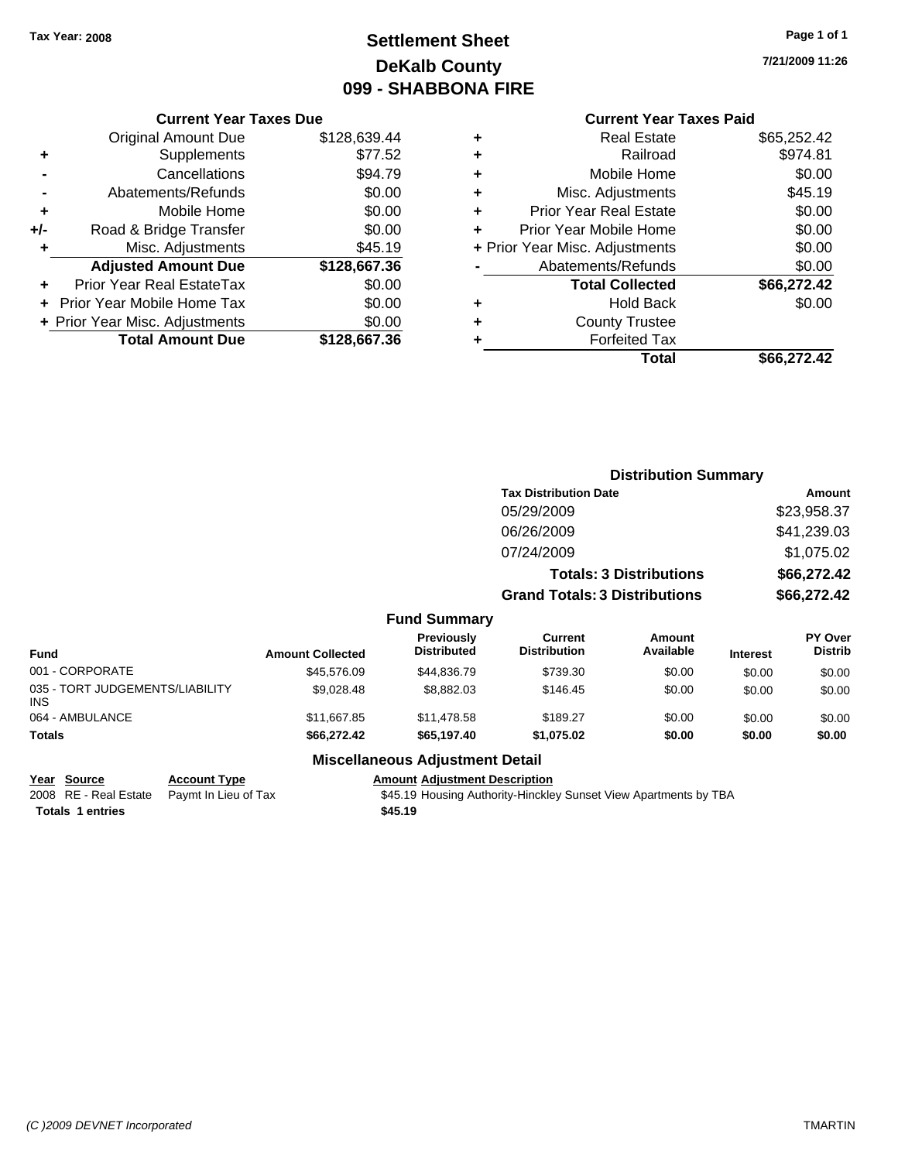### **Settlement Sheet Tax Year: 2008 Page 1 of 1 DeKalb County 099 - SHABBONA FIRE**

#### **Current Year Taxes Due**

|     | <b>Total Amount Due</b>        | \$128,667.36 |
|-----|--------------------------------|--------------|
|     | + Prior Year Misc. Adjustments | \$0.00       |
|     | Prior Year Mobile Home Tax     | \$0.00       |
|     | Prior Year Real EstateTax      | \$0.00       |
|     | <b>Adjusted Amount Due</b>     | \$128,667.36 |
| ٠   | Misc. Adjustments              | \$45.19      |
| +/- | Road & Bridge Transfer         | \$0.00       |
| ÷   | Mobile Home                    | \$0.00       |
|     | Abatements/Refunds             | \$0.00       |
|     | Cancellations                  | \$94.79      |
| ٠   | Supplements                    | \$77.52      |
|     | <b>Original Amount Due</b>     | \$128,639.44 |
|     |                                |              |

#### **Current Year Taxes Paid**

|   | <b>Real Estate</b>             | \$65,252.42 |
|---|--------------------------------|-------------|
| ٠ | Railroad                       | \$974.81    |
| ٠ | Mobile Home                    | \$0.00      |
| ٠ | Misc. Adjustments              | \$45.19     |
| ٠ | <b>Prior Year Real Estate</b>  | \$0.00      |
|   | Prior Year Mobile Home         | \$0.00      |
|   | + Prior Year Misc. Adjustments | \$0.00      |
|   | Abatements/Refunds             | \$0.00      |
|   | <b>Total Collected</b>         | \$66,272.42 |
| ٠ | <b>Hold Back</b>               | \$0.00      |
|   | <b>County Trustee</b>          |             |
|   | <b>Forfeited Tax</b>           |             |
|   | Total                          | \$66,272.42 |
|   |                                |             |

|              |                                         |                                      | <b>Distribution Summary</b>    |                 |                                  |  |
|--------------|-----------------------------------------|--------------------------------------|--------------------------------|-----------------|----------------------------------|--|
|              |                                         | <b>Tax Distribution Date</b>         |                                |                 | Amount                           |  |
|              |                                         | 05/29/2009                           |                                |                 | \$23,958.37                      |  |
|              |                                         | 06/26/2009                           |                                |                 | \$41,239.03                      |  |
|              |                                         | 07/24/2009                           |                                |                 | \$1,075.02                       |  |
|              |                                         |                                      | <b>Totals: 3 Distributions</b> |                 | \$66,272.42                      |  |
|              |                                         | <b>Grand Totals: 3 Distributions</b> |                                |                 | \$66,272.42                      |  |
|              | <b>Fund Summary</b>                     |                                      |                                |                 |                                  |  |
| nt Collected | <b>Previously</b><br><b>Distributed</b> | Current<br><b>Distribution</b>       | Amount<br>Available            | <b>Interest</b> | <b>PY Over</b><br><b>Distrib</b> |  |
|              |                                         |                                      |                                |                 |                                  |  |

| <b>Amount Collected</b> | <b>Distributed</b> | <b>Distribution</b> | Available | <b>Interest</b> | <b>PY Over</b><br><b>Distrib</b> |
|-------------------------|--------------------|---------------------|-----------|-----------------|----------------------------------|
| \$45,576.09             | \$44,836.79        | \$739.30            | \$0.00    | \$0.00          | \$0.00                           |
| \$9.028.48              | \$8,882.03         | \$146.45            | \$0.00    | \$0.00          | \$0.00                           |
| \$11,667.85             | \$11,478.58        | \$189.27            | \$0.00    | \$0.00          | \$0.00                           |
| \$66,272.42             | \$65,197.40        | \$1.075.02          | \$0.00    | \$0.00          | \$0.00                           |
|                         |                    | <b>Previously</b>   | Current   | Amount          |                                  |

# **Totals 1 entries** \$45.19

#### **Miscellaneous Adjustment Detail**

**Year Source Account Type Amount Adjustment Description**

2008 RE - Real Estate Paymt In Lieu of Tax **\$45.19 Housing Authority-Hinckley Sunset View Apartments by TBA** 

**7/21/2009 11:26**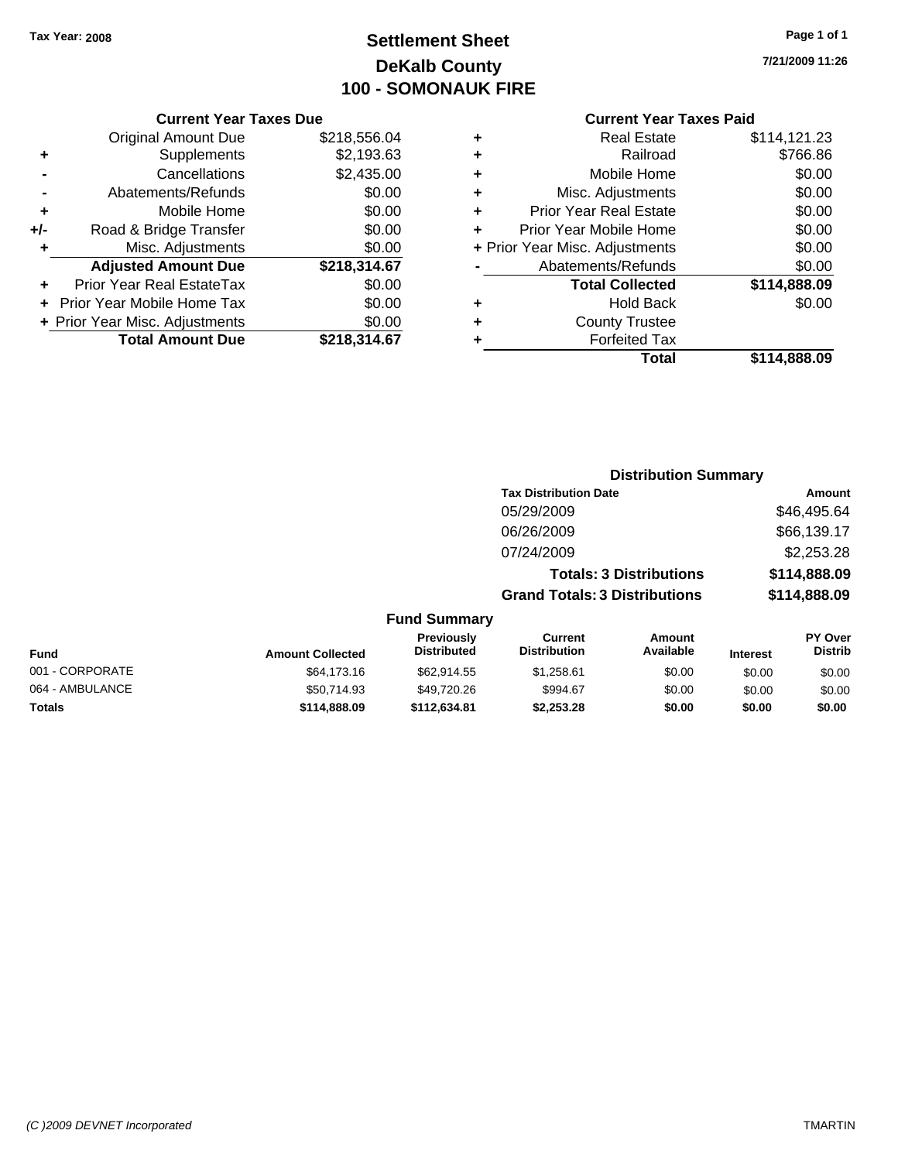### **Settlement Sheet Tax Year: 2008 Page 1 of 1 DeKalb County 100 - SOMONAUK FIRE**

**7/21/2009 11:26**

#### **Current Year Taxes Due**

|     | <b>Original Amount Due</b>        | \$218,556.04 |
|-----|-----------------------------------|--------------|
| ٠   | Supplements                       | \$2,193.63   |
|     | Cancellations                     | \$2,435.00   |
|     | Abatements/Refunds                | \$0.00       |
| ٠   | Mobile Home                       | \$0.00       |
| +/- | Road & Bridge Transfer            | \$0.00       |
| ٠   | Misc. Adjustments                 | \$0.00       |
|     | <b>Adjusted Amount Due</b>        | \$218,314.67 |
|     | <b>Prior Year Real EstateTax</b>  | \$0.00       |
|     | <b>Prior Year Mobile Home Tax</b> | \$0.00       |
|     | + Prior Year Misc. Adjustments    | \$0.00       |
|     | <b>Total Amount Due</b>           | \$218,314.67 |

#### **Current Year Taxes Paid**

| ٠ | <b>Real Estate</b>             | \$114,121.23 |
|---|--------------------------------|--------------|
| ٠ | Railroad                       | \$766.86     |
| ٠ | Mobile Home                    | \$0.00       |
| ٠ | Misc. Adjustments              | \$0.00       |
| ٠ | <b>Prior Year Real Estate</b>  | \$0.00       |
| ٠ | Prior Year Mobile Home         | \$0.00       |
|   | + Prior Year Misc. Adjustments | \$0.00       |
|   | Abatements/Refunds             | \$0.00       |
|   | <b>Total Collected</b>         | \$114,888.09 |
| ٠ | Hold Back                      | \$0.00       |
| ٠ | <b>County Trustee</b>          |              |
| ٠ | <b>Forfeited Tax</b>           |              |
|   | Total                          | \$114,888.09 |
|   |                                |              |

#### **Distribution Summary Tax Distribution Date Amount** 05/29/2009 \$46,495.64 06/26/2009 \$66,139.17 07/24/2009 \$2,253.28 **Totals: 3 Distributions \$114,888.09 Grand Totals: 3 Distributions \$114,888.09 Fund Summary PY Over Distrib Amount Available Current Distribution Previously Amount Collected Distributed**

| <b>Fund</b>     | <b>Amount Collected</b> | .<br><b>Distributed</b> | ----------<br><b>Distribution</b> | .<br>Available | <b>Interest</b> | .<br><b>Distrib</b> |
|-----------------|-------------------------|-------------------------|-----------------------------------|----------------|-----------------|---------------------|
| 001 - CORPORATE | \$64,173,16             | \$62.914.55             | \$1.258.61                        | \$0.00         | \$0.00          | \$0.00              |
| 064 - AMBULANCE | \$50,714.93             | \$49,720.26             | \$994.67                          | \$0.00         | \$0.00          | \$0.00              |
| <b>Totals</b>   | \$114,888,09            | \$112.634.81            | \$2,253,28                        | \$0.00         | \$0.00          | \$0.00              |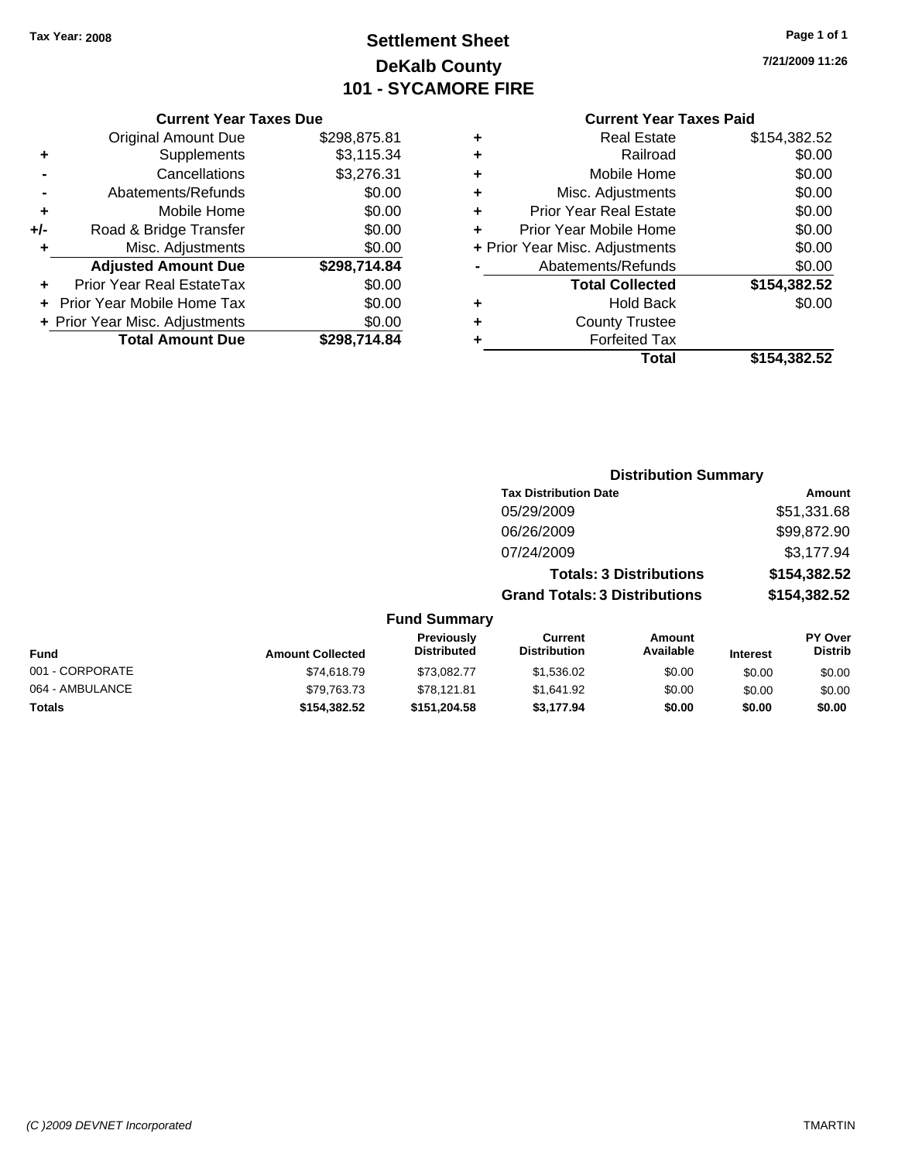### **Settlement Sheet Tax Year: 2008 Page 1 of 1 DeKalb County 101 - SYCAMORE FIRE**

**7/21/2009 11:26**

#### **Current Year Taxes Due**

|       | <b>Original Amount Due</b>        | \$298,875.81 |
|-------|-----------------------------------|--------------|
|       | Supplements                       | \$3,115.34   |
|       | Cancellations                     | \$3,276.31   |
|       | Abatements/Refunds                | \$0.00       |
| ÷     | Mobile Home                       | \$0.00       |
| $+/-$ | Road & Bridge Transfer            | \$0.00       |
| ٠     | Misc. Adjustments                 | \$0.00       |
|       | <b>Adjusted Amount Due</b>        | \$298,714.84 |
|       | <b>Prior Year Real EstateTax</b>  | \$0.00       |
|       | <b>Prior Year Mobile Home Tax</b> | \$0.00       |
|       | + Prior Year Misc. Adjustments    | \$0.00       |
|       | <b>Total Amount Due</b>           | \$298.714.84 |

#### **Current Year Taxes Paid**

| ٠ | <b>Real Estate</b>             | \$154,382.52 |
|---|--------------------------------|--------------|
| ٠ | Railroad                       | \$0.00       |
| ٠ | Mobile Home                    | \$0.00       |
| ٠ | Misc. Adjustments              | \$0.00       |
| ٠ | <b>Prior Year Real Estate</b>  | \$0.00       |
| ÷ | Prior Year Mobile Home         | \$0.00       |
|   | + Prior Year Misc. Adjustments | \$0.00       |
|   | Abatements/Refunds             | \$0.00       |
|   | <b>Total Collected</b>         | \$154,382.52 |
| ٠ | <b>Hold Back</b>               | \$0.00       |
| ٠ | <b>County Trustee</b>          |              |
| ٠ | <b>Forfeited Tax</b>           |              |
|   | Total                          | \$154,382.52 |
|   |                                |              |

#### **Distribution Summary Tax Distribution Date Amount** 05/29/2009 \$51,331.68 06/26/2009 \$99,872.90 07/24/2009 \$3,177.94 **Totals: 3 Distributions \$154,382.52 Grand Totals: 3 Distributions \$154,382.52 Fund Summary PY Over Distrib Amount Available Current Distribution Previously Amount Collected Distributed**

| <b>Fund</b>     | <b>Amount Collected</b> | ----------<br><b>Distributed</b> | <b>Distribution</b> | Available | <b>Interest</b> | <b>Distrib</b> |
|-----------------|-------------------------|----------------------------------|---------------------|-----------|-----------------|----------------|
| 001 - CORPORATE | \$74,618.79             | \$73,082.77                      | \$1,536.02          | \$0.00    | \$0.00          | \$0.00         |
| 064 - AMBULANCE | \$79.763.73             | \$78.121.81                      | \$1.641.92          | \$0.00    | \$0.00          | \$0.00         |
| <b>Totals</b>   | \$154.382.52            | \$151.204.58                     | \$3.177.94          | \$0.00    | \$0.00          | \$0.00         |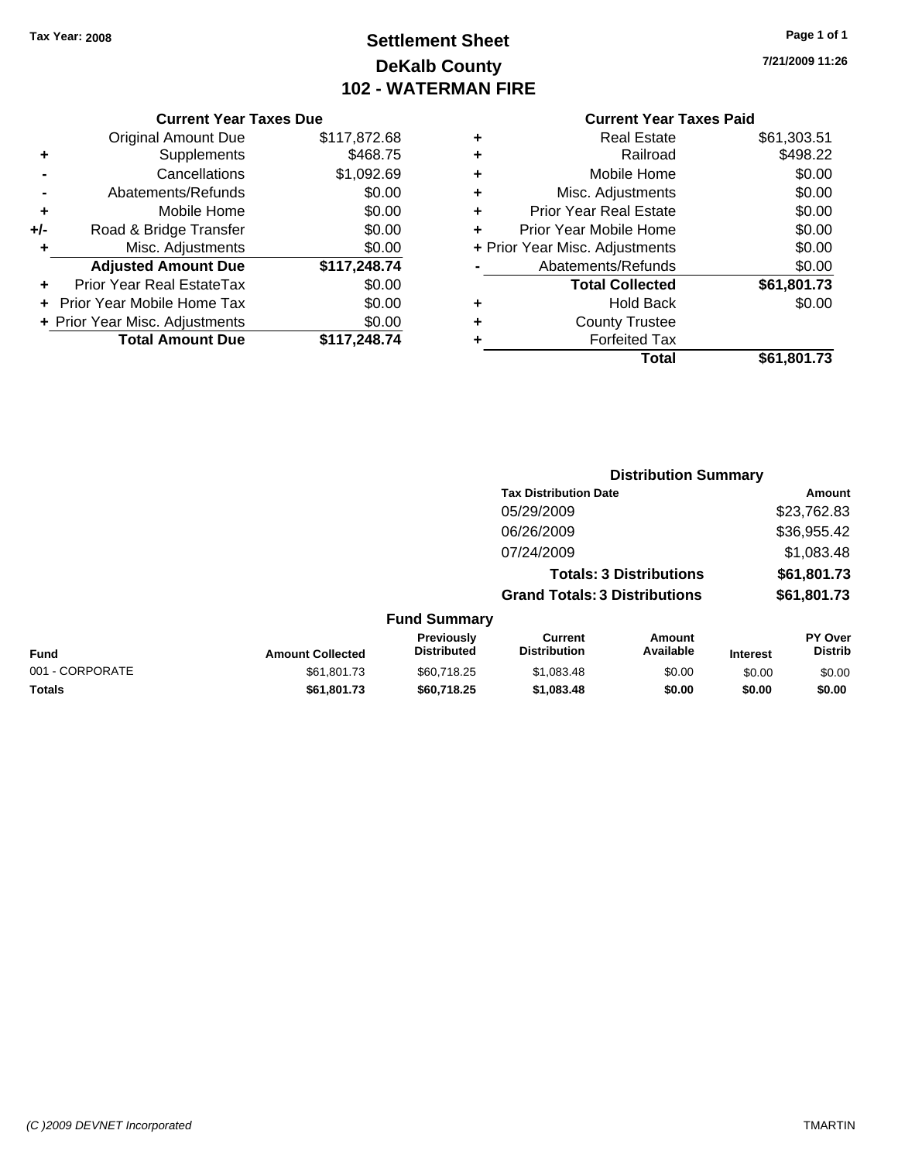### **Settlement Sheet Tax Year: 2008 Page 1 of 1 DeKalb County 102 - WATERMAN FIRE**

#### **7/21/2009 11:26**

#### **Current Year Taxes Paid**

|     | <b>Current Year Taxes Due</b>     |              |
|-----|-----------------------------------|--------------|
|     | <b>Original Amount Due</b>        | \$117,872.68 |
| ٠   | Supplements                       | \$468.75     |
|     | Cancellations                     | \$1,092.69   |
|     | Abatements/Refunds                | \$0.00       |
| ٠   | Mobile Home                       | \$0.00       |
| +/- | Road & Bridge Transfer            | \$0.00       |
| ٠   | Misc. Adjustments                 | \$0.00       |
|     | <b>Adjusted Amount Due</b>        | \$117,248.74 |
|     | Prior Year Real EstateTax         | \$0.00       |
|     | <b>Prior Year Mobile Home Tax</b> | \$0.00       |
|     | + Prior Year Misc. Adjustments    | \$0.00       |
|     | <b>Total Amount Due</b>           | \$117,248.74 |

| ٠ | <b>Real Estate</b>             | \$61,303.51 |
|---|--------------------------------|-------------|
| ٠ | Railroad                       | \$498.22    |
| ٠ | Mobile Home                    | \$0.00      |
| ٠ | Misc. Adjustments              | \$0.00      |
| ٠ | <b>Prior Year Real Estate</b>  | \$0.00      |
| ÷ | Prior Year Mobile Home         | \$0.00      |
|   | + Prior Year Misc. Adjustments | \$0.00      |
|   | Abatements/Refunds             | \$0.00      |
|   | <b>Total Collected</b>         | \$61,801.73 |
| ٠ | <b>Hold Back</b>               | \$0.00      |
| ٠ | <b>County Trustee</b>          |             |
| ٠ | <b>Forfeited Tax</b>           |             |
|   | Total                          | \$61,801.73 |

|                 |                         |                                  |                                       | <b>Distribution Summary</b>    |                 |                                  |
|-----------------|-------------------------|----------------------------------|---------------------------------------|--------------------------------|-----------------|----------------------------------|
|                 |                         |                                  | <b>Tax Distribution Date</b>          |                                |                 | Amount                           |
|                 |                         |                                  | 05/29/2009                            |                                |                 | \$23,762.83                      |
|                 |                         |                                  | 06/26/2009                            |                                |                 | \$36,955.42                      |
|                 |                         |                                  | 07/24/2009                            |                                |                 | \$1,083.48                       |
|                 |                         |                                  |                                       | <b>Totals: 3 Distributions</b> |                 | \$61,801.73                      |
|                 |                         |                                  | <b>Grand Totals: 3 Distributions</b>  |                                |                 | \$61,801.73                      |
|                 |                         | <b>Fund Summary</b>              |                                       |                                |                 |                                  |
| <b>Fund</b>     | <b>Amount Collected</b> | Previously<br><b>Distributed</b> | <b>Current</b><br><b>Distribution</b> | Amount<br>Available            | <b>Interest</b> | <b>PY Over</b><br><b>Distrib</b> |
| 001 - CORPORATE | \$61.801.73             | \$60,718.25                      | \$1,083.48                            | \$0.00                         | \$0.00          | \$0.00                           |
| Totals          | \$61,801.73             | \$60,718.25                      | \$1,083.48                            | \$0.00                         | \$0.00          | \$0.00                           |
|                 |                         |                                  |                                       |                                |                 |                                  |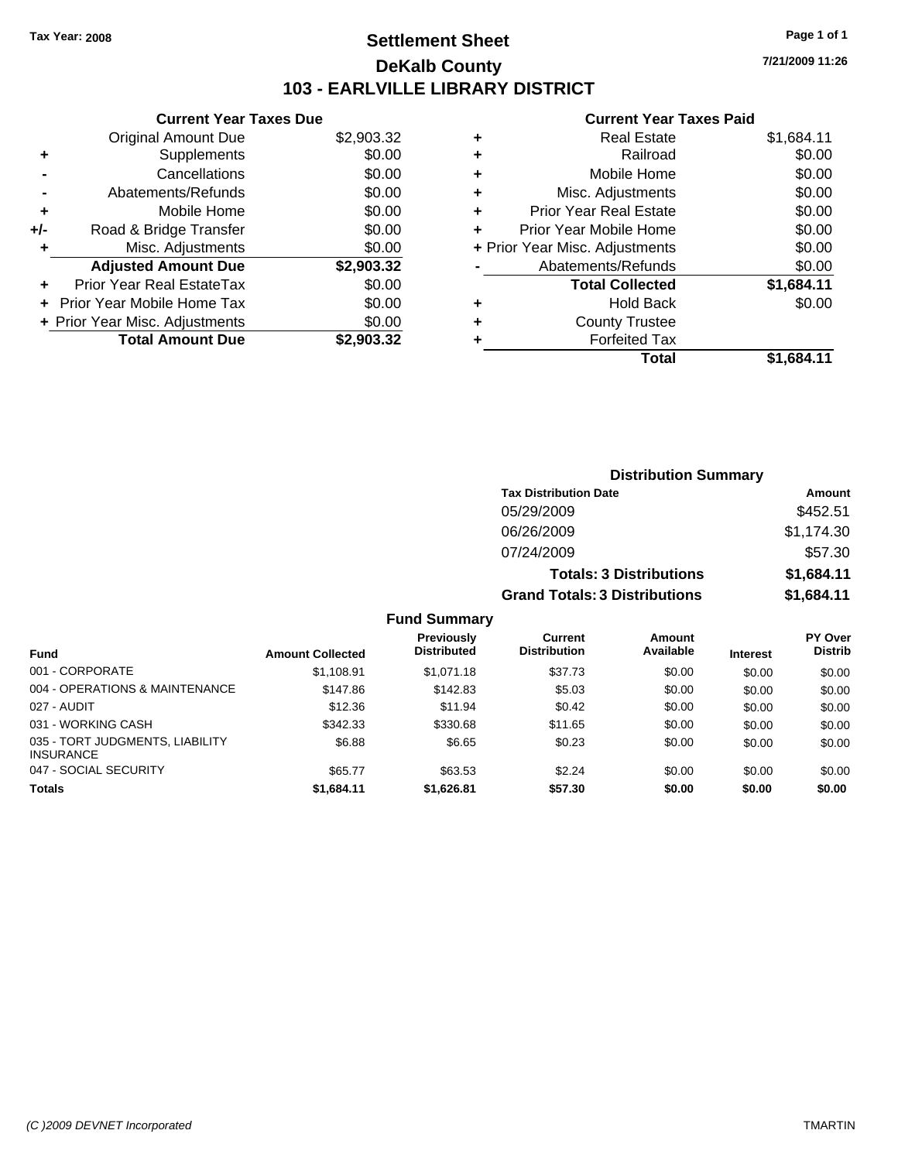### **Settlement Sheet Tax Year: 2008 Page 1 of 1 DeKalb County 103 - EARLVILLE LIBRARY DISTRICT**

**7/21/2009 11:26**

#### **Current Year Taxes Paid**

| <b>Current Year Taxes Due</b>     |                                |
|-----------------------------------|--------------------------------|
| Original Amount Due               | \$2,903.32                     |
| Supplements                       | \$0.00                         |
| Cancellations                     | \$0.00                         |
| Abatements/Refunds                | \$0.00                         |
| Mobile Home                       | \$0.00                         |
| Road & Bridge Transfer            | \$0.00                         |
| Misc. Adjustments                 | \$0.00                         |
| <b>Adjusted Amount Due</b>        | \$2,903.32                     |
| Prior Year Real EstateTax         | \$0.00                         |
| <b>Prior Year Mobile Home Tax</b> | \$0.00                         |
|                                   | \$0.00                         |
|                                   |                                |
|                                   | + Prior Year Misc. Adjustments |

| ٠ | <b>Real Estate</b>             | \$1,684.11 |
|---|--------------------------------|------------|
| ٠ | Railroad                       | \$0.00     |
| ٠ | Mobile Home                    | \$0.00     |
| ٠ | Misc. Adjustments              | \$0.00     |
| ÷ | <b>Prior Year Real Estate</b>  | \$0.00     |
| ٠ | Prior Year Mobile Home         | \$0.00     |
|   | + Prior Year Misc. Adjustments | \$0.00     |
|   | Abatements/Refunds             | \$0.00     |
|   | <b>Total Collected</b>         | \$1,684.11 |
| ٠ | <b>Hold Back</b>               | \$0.00     |
| ٠ | <b>County Trustee</b>          |            |
| ٠ | <b>Forfeited Tax</b>           |            |
|   | Total                          | \$1.684.11 |

| <b>Distribution Summary</b>          |            |
|--------------------------------------|------------|
| <b>Tax Distribution Date</b>         | Amount     |
| 05/29/2009                           | \$452.51   |
| 06/26/2009                           | \$1,174.30 |
| 07/24/2009                           | \$57.30    |
| <b>Totals: 3 Distributions</b>       | \$1,684.11 |
| <b>Grand Totals: 3 Distributions</b> | \$1,684.11 |

| <b>Fund</b>                                         | <b>Amount Collected</b> | <b>Previously</b><br><b>Distributed</b> | Current<br><b>Distribution</b> | Amount<br>Available | <b>Interest</b> | PY Over<br><b>Distrib</b> |
|-----------------------------------------------------|-------------------------|-----------------------------------------|--------------------------------|---------------------|-----------------|---------------------------|
| 001 - CORPORATE                                     | \$1,108.91              | \$1,071.18                              | \$37.73                        | \$0.00              | \$0.00          | \$0.00                    |
| 004 - OPERATIONS & MAINTENANCE                      | \$147.86                | \$142.83                                | \$5.03                         | \$0.00              | \$0.00          | \$0.00                    |
| 027 - AUDIT                                         | \$12.36                 | \$11.94                                 | \$0.42                         | \$0.00              | \$0.00          | \$0.00                    |
| 031 - WORKING CASH                                  | \$342.33                | \$330.68                                | \$11.65                        | \$0.00              | \$0.00          | \$0.00                    |
| 035 - TORT JUDGMENTS, LIABILITY<br><b>INSURANCE</b> | \$6.88                  | \$6.65                                  | \$0.23                         | \$0.00              | \$0.00          | \$0.00                    |
| 047 - SOCIAL SECURITY                               | \$65.77                 | \$63.53                                 | \$2.24                         | \$0.00              | \$0.00          | \$0.00                    |
| <b>Totals</b>                                       | \$1,684.11              | \$1,626.81                              | \$57.30                        | \$0.00              | \$0.00          | \$0.00                    |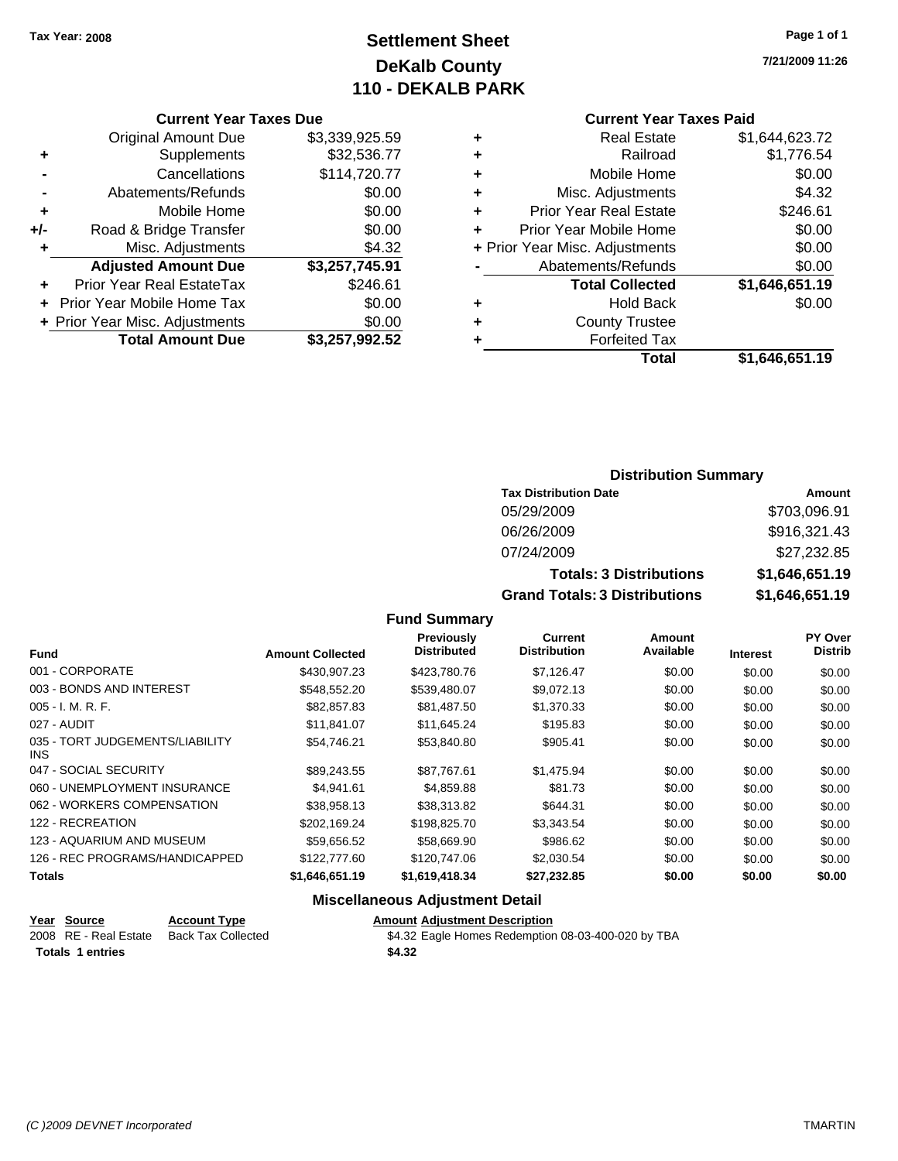### **Settlement Sheet Tax Year: 2008 Page 1 of 1 DeKalb County 110 - DEKALB PARK**

#### **Current Year Taxes Due**

|       | <b>Original Amount Due</b>     | \$3,339,925.59 |
|-------|--------------------------------|----------------|
| ٠     | Supplements                    | \$32,536.77    |
|       | Cancellations                  | \$114,720.77   |
|       | Abatements/Refunds             | \$0.00         |
| ٠     | Mobile Home                    | \$0.00         |
| $+/-$ | Road & Bridge Transfer         | \$0.00         |
| ٠     | Misc. Adjustments              | \$4.32         |
|       | <b>Adjusted Amount Due</b>     | \$3,257,745.91 |
|       | Prior Year Real EstateTax      | \$246.61       |
|       | Prior Year Mobile Home Tax     | \$0.00         |
|       | + Prior Year Misc. Adjustments | \$0.00         |
|       | <b>Total Amount Due</b>        | \$3,257,992.52 |

#### **Current Year Taxes Paid**

|   | <b>Real Estate</b>             | \$1,644,623.72 |
|---|--------------------------------|----------------|
| ٠ | Railroad                       | \$1,776.54     |
| ٠ | Mobile Home                    | \$0.00         |
| ٠ | Misc. Adjustments              | \$4.32         |
| ٠ | <b>Prior Year Real Estate</b>  | \$246.61       |
|   | Prior Year Mobile Home         | \$0.00         |
|   | + Prior Year Misc. Adjustments | \$0.00         |
|   | Abatements/Refunds             | \$0.00         |
|   | <b>Total Collected</b>         | \$1,646,651.19 |
| ٠ | <b>Hold Back</b>               | \$0.00         |
| ٠ | <b>County Trustee</b>          |                |
| ٠ | <b>Forfeited Tax</b>           |                |
|   | Total                          | \$1,646,651.19 |
|   |                                |                |

### **Distribution Summary**

| <b>Tax Distribution Date</b>         | Amount         |
|--------------------------------------|----------------|
| 05/29/2009                           | \$703,096.91   |
| 06/26/2009                           | \$916,321.43   |
| 07/24/2009                           | \$27,232.85    |
| <b>Totals: 3 Distributions</b>       | \$1,646,651.19 |
| <b>Grand Totals: 3 Distributions</b> | \$1,646,651.19 |

#### **Fund Summary**

| <b>Fund</b>                                   | <b>Amount Collected</b> | <b>Previously</b><br><b>Distributed</b> | <b>Current</b><br><b>Distribution</b> | Amount<br>Available | <b>Interest</b> | PY Over<br><b>Distrib</b> |
|-----------------------------------------------|-------------------------|-----------------------------------------|---------------------------------------|---------------------|-----------------|---------------------------|
| 001 - CORPORATE                               | \$430.907.23            | \$423,780.76                            | \$7,126.47                            | \$0.00              | \$0.00          | \$0.00                    |
| 003 - BONDS AND INTEREST                      | \$548,552,20            | \$539.480.07                            | \$9,072.13                            | \$0.00              | \$0.00          | \$0.00                    |
| $005 - I. M. R. F.$                           | \$82,857.83             | \$81,487.50                             | \$1,370.33                            | \$0.00              | \$0.00          | \$0.00                    |
| 027 - AUDIT                                   | \$11,841.07             | \$11,645.24                             | \$195.83                              | \$0.00              | \$0.00          | \$0.00                    |
| 035 - TORT JUDGEMENTS/LIABILITY<br><b>INS</b> | \$54.746.21             | \$53,840.80                             | \$905.41                              | \$0.00              | \$0.00          | \$0.00                    |
| 047 - SOCIAL SECURITY                         | \$89.243.55             | \$87.767.61                             | \$1,475.94                            | \$0.00              | \$0.00          | \$0.00                    |
| 060 - UNEMPLOYMENT INSURANCE                  | \$4.941.61              | \$4,859.88                              | \$81.73                               | \$0.00              | \$0.00          | \$0.00                    |
| 062 - WORKERS COMPENSATION                    | \$38,958.13             | \$38,313.82                             | \$644.31                              | \$0.00              | \$0.00          | \$0.00                    |
| 122 - RECREATION                              | \$202.169.24            | \$198,825.70                            | \$3.343.54                            | \$0.00              | \$0.00          | \$0.00                    |
| 123 - AQUARIUM AND MUSEUM                     | \$59,656.52             | \$58,669.90                             | \$986.62                              | \$0.00              | \$0.00          | \$0.00                    |
| 126 - REC PROGRAMS/HANDICAPPED                | \$122,777.60            | \$120,747.06                            | \$2,030.54                            | \$0.00              | \$0.00          | \$0.00                    |
| <b>Totals</b>                                 | \$1,646,651.19          | \$1,619,418.34                          | \$27,232.85                           | \$0.00              | \$0.00          | \$0.00                    |

### **Miscellaneous Adjustment Detail**

| Year Source             | <b>Account Type</b>                      | <b>Amount Adiustment Description</b>               |
|-------------------------|------------------------------------------|----------------------------------------------------|
|                         | 2008 RE - Real Estate Back Tax Collected | \$4.32 Eagle Homes Redemption 08-03-400-020 by TBA |
| <b>Totals 1 entries</b> |                                          | \$4.32                                             |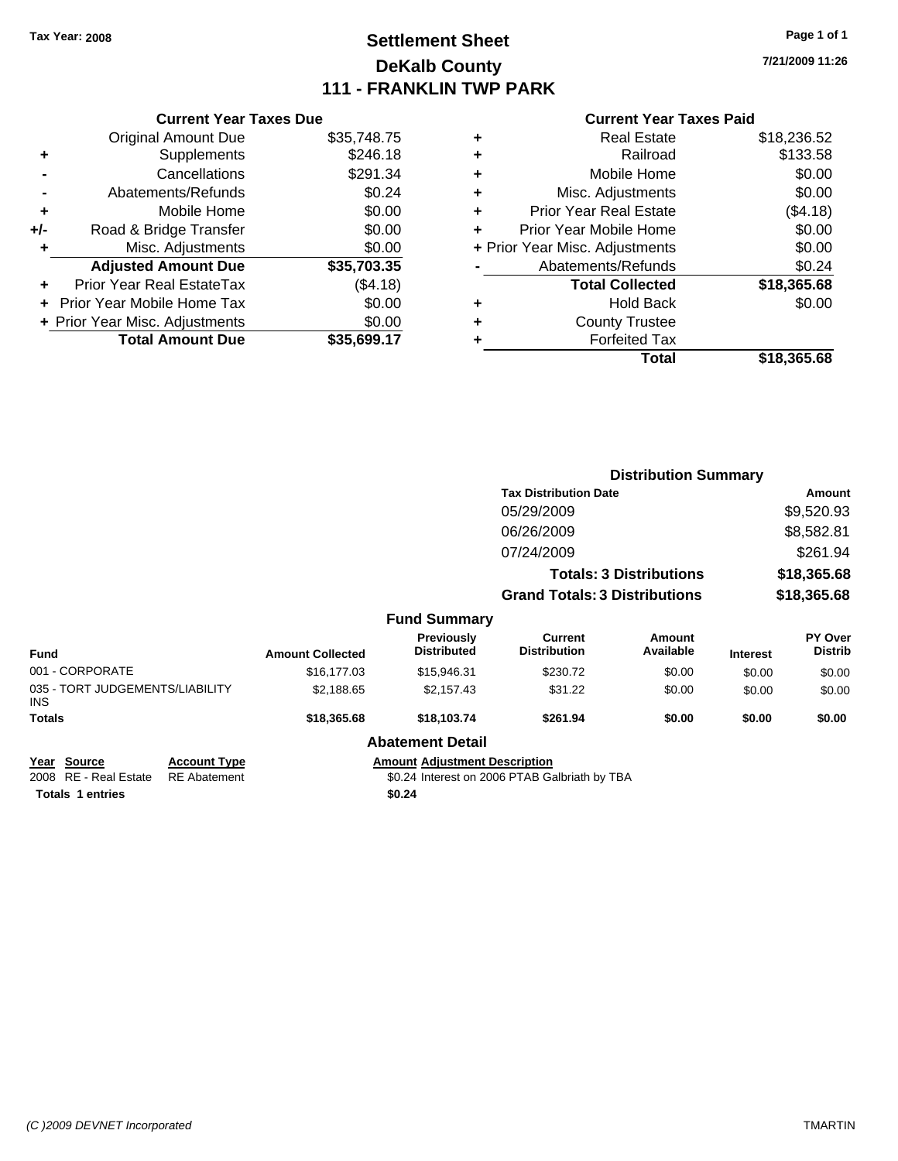### **Settlement Sheet Tax Year: 2008 Page 1 of 1 DeKalb County 111 - FRANKLIN TWP PARK**

**7/21/2009 11:26**

#### **Current Year Taxes Paid**

|     | <b>Current Year Taxes Due</b>  |             |  |  |  |  |
|-----|--------------------------------|-------------|--|--|--|--|
|     | <b>Original Amount Due</b>     | \$35,748.75 |  |  |  |  |
| ÷   | Supplements                    | \$246.18    |  |  |  |  |
|     | Cancellations                  | \$291.34    |  |  |  |  |
|     | Abatements/Refunds             | \$0.24      |  |  |  |  |
| ٠   | Mobile Home                    | \$0.00      |  |  |  |  |
| +/- | Road & Bridge Transfer         | \$0.00      |  |  |  |  |
|     | Misc. Adjustments              | \$0.00      |  |  |  |  |
|     | <b>Adjusted Amount Due</b>     | \$35,703.35 |  |  |  |  |
|     | Prior Year Real EstateTax      | (\$4.18)    |  |  |  |  |
|     | Prior Year Mobile Home Tax     | \$0.00      |  |  |  |  |
|     | + Prior Year Misc. Adjustments | \$0.00      |  |  |  |  |
|     | <b>Total Amount Due</b>        | \$35,699.17 |  |  |  |  |
|     |                                |             |  |  |  |  |

| ٠ | <b>Real Estate</b>             | \$18,236.52 |
|---|--------------------------------|-------------|
| ٠ | Railroad                       | \$133.58    |
| ٠ | Mobile Home                    | \$0.00      |
| ٠ | Misc. Adjustments              | \$0.00      |
| ٠ | <b>Prior Year Real Estate</b>  | (\$4.18)    |
| ٠ | Prior Year Mobile Home         | \$0.00      |
|   | + Prior Year Misc. Adjustments | \$0.00      |
|   | Abatements/Refunds             | \$0.24      |
|   | <b>Total Collected</b>         | \$18,365.68 |
| ٠ | <b>Hold Back</b>               | \$0.00      |
| ٠ | <b>County Trustee</b>          |             |
| ٠ | <b>Forfeited Tax</b>           |             |
|   | Total                          | \$18,365.68 |

|                                               |                     |                         |                                         | <b>Distribution Summary</b>           |                                |                 |                           |
|-----------------------------------------------|---------------------|-------------------------|-----------------------------------------|---------------------------------------|--------------------------------|-----------------|---------------------------|
|                                               |                     |                         |                                         | <b>Tax Distribution Date</b>          |                                |                 | Amount                    |
|                                               |                     |                         |                                         | 05/29/2009                            |                                |                 | \$9,520.93                |
|                                               |                     |                         |                                         | 06/26/2009                            |                                |                 | \$8,582.81                |
|                                               |                     |                         |                                         | 07/24/2009                            |                                |                 | \$261.94                  |
|                                               |                     |                         |                                         |                                       | <b>Totals: 3 Distributions</b> |                 | \$18,365.68               |
|                                               |                     |                         |                                         | <b>Grand Totals: 3 Distributions</b>  |                                |                 | \$18,365.68               |
|                                               |                     |                         | <b>Fund Summary</b>                     |                                       |                                |                 |                           |
| <b>Fund</b>                                   |                     | <b>Amount Collected</b> | <b>Previously</b><br><b>Distributed</b> | <b>Current</b><br><b>Distribution</b> | Amount<br>Available            | <b>Interest</b> | PY Over<br><b>Distrib</b> |
| 001 - CORPORATE                               |                     | \$16,177.03             | \$15,946.31                             | \$230.72                              | \$0.00                         | \$0.00          | \$0.00                    |
| 035 - TORT JUDGEMENTS/LIABILITY<br><b>INS</b> |                     | \$2,188.65              | \$2,157.43                              | \$31.22                               | \$0.00                         | \$0.00          | \$0.00                    |
| <b>Totals</b>                                 |                     | \$18,365.68             | \$18,103.74                             | \$261.94                              | \$0.00                         | \$0.00          | \$0.00                    |
|                                               |                     |                         | <b>Abatement Detail</b>                 |                                       |                                |                 |                           |
| Year Source                                   | <b>Account Type</b> |                         | <b>Amount Adjustment Description</b>    |                                       |                                |                 |                           |

**<u>Prear</u> Source Account Type Account Adjustment Addem Totals \$0.24 1 entries**

\$0.24 Interest on 2006 PTAB Galbriath by TBA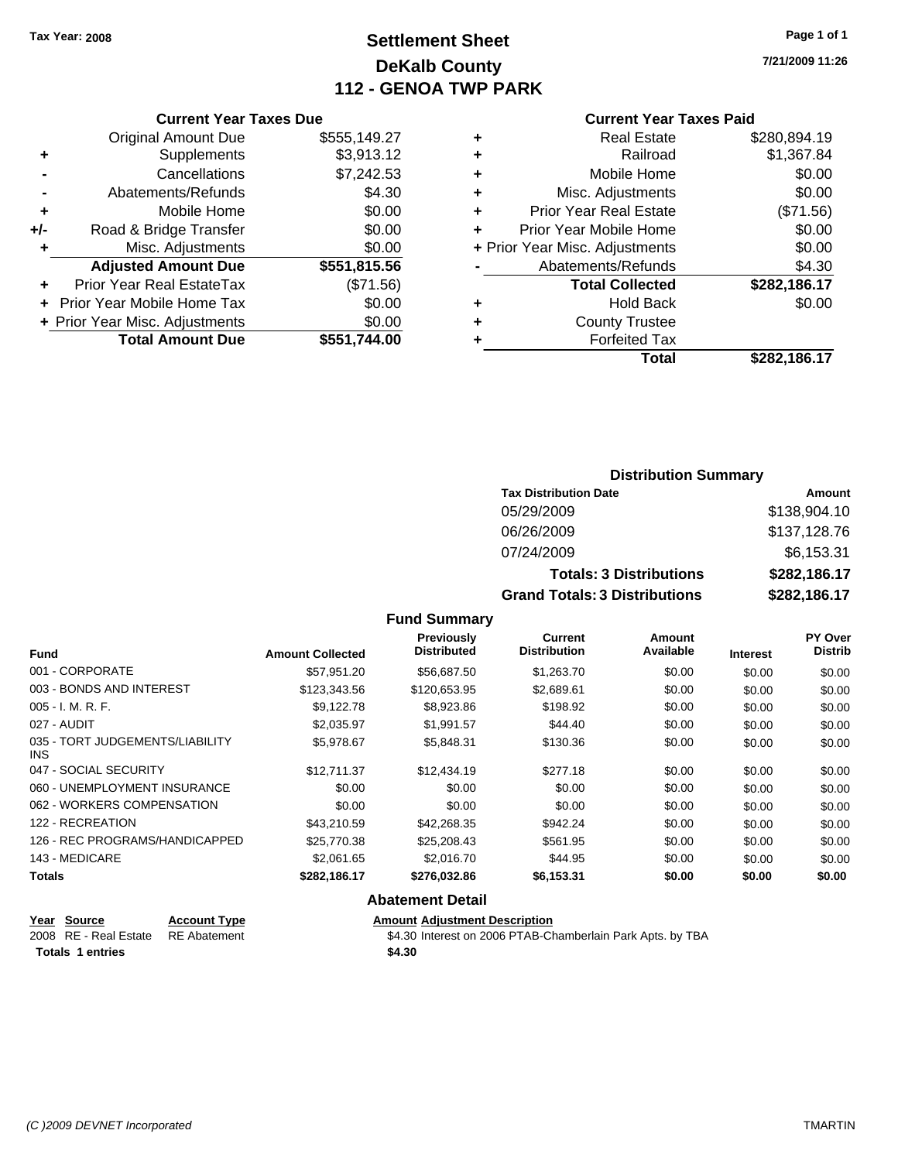Original Amount Due

**Adjusted Amount Due** 

**Total Amount Due** 

**+** Supplements **-** Cancellations **-** Abatements/Refunds **+** Mobile Home **+/-** Road & Bridge Transfer **+** Misc. Adjustments

**+** Prior Year Real EstateTax **+** Prior Year Mobile Home Tax **+ Prior Year Misc. Adjustments** 

### **Settlement Sheet Tax Year: 2008 Page 1 of 1 DeKalb County 112 - GENOA TWP PARK**

**7/21/2009 11:26**

| <b>Current Year Taxes Due</b> |              |   | <b>Current Year Taxes Paid</b> |              |  |
|-------------------------------|--------------|---|--------------------------------|--------------|--|
| ıl Amount Due                 | \$555,149.27 | ٠ | <b>Real Estate</b>             | \$280,894.19 |  |
| Supplements                   | \$3,913.12   | ٠ | Railroad                       | \$1,367.84   |  |
| Cancellations                 | \$7,242.53   | ٠ | Mobile Home                    | \$0.00       |  |
| าents/Refunds                 | \$4.30       | ٠ | Misc. Adjustments              | \$0.00       |  |
| Mobile Home                   | \$0.00       | ÷ | <b>Prior Year Real Estate</b>  | (\$71.56)    |  |
| ridge Transfer                | \$0.00       | ٠ | Prior Year Mobile Home         | \$0.00       |  |
| :. Adjustments                | \$0.00       |   | + Prior Year Misc. Adjustments | \$0.00       |  |
| <b>Amount Due</b>             | \$551,815.56 |   | Abatements/Refunds             | \$4.30       |  |
| eal EstateTax                 | (\$71.56)    |   | <b>Total Collected</b>         | \$282,186.17 |  |
| pile Home Tax                 | \$0.00       | ٠ | <b>Hold Back</b>               | \$0.00       |  |
| :. Adjustments                | \$0.00       | ÷ | <b>County Trustee</b>          |              |  |
| <b>Amount Due</b>             | \$551,744.00 |   | <b>Forfeited Tax</b>           |              |  |
|                               |              |   | Total                          | \$282.186.17 |  |

### **Current Year Taxes Paid**<br>Real Fatate 6280.804.40

| ٠ | Real Estate                    | จ∠o∪.o๖4. เ <i>ง</i> |
|---|--------------------------------|----------------------|
| ÷ | Railroad                       | \$1,367.84           |
| ÷ | Mobile Home                    | \$0.00               |
| ٠ | Misc. Adjustments              | \$0.00               |
| ٠ | <b>Prior Year Real Estate</b>  | (\$71.56)            |
|   | Prior Year Mobile Home         | \$0.00               |
|   | + Prior Year Misc. Adjustments | \$0.00               |
|   | Abatements/Refunds             | \$4.30               |
|   |                                |                      |
|   | <b>Total Collected</b>         | \$282,186.17         |
| ٠ | <b>Hold Back</b>               | \$0.00               |
| ÷ | <b>County Trustee</b>          |                      |
|   | <b>Forfeited Tax</b>           |                      |
|   | Total                          | \$282,186.17         |

### **Distribution Summary**

| <b>Tax Distribution Date</b>         | Amount       |
|--------------------------------------|--------------|
| 05/29/2009                           | \$138,904.10 |
| 06/26/2009                           | \$137,128.76 |
| 07/24/2009                           | \$6,153.31   |
| <b>Totals: 3 Distributions</b>       | \$282,186.17 |
| <b>Grand Totals: 3 Distributions</b> | \$282,186.17 |

#### **Fund Summary**

| Fund                                    | <b>Amount Collected</b> | <b>Previously</b><br><b>Distributed</b> | <b>Current</b><br><b>Distribution</b> | Amount<br>Available | <b>Interest</b> | PY Over<br>Distrib |
|-----------------------------------------|-------------------------|-----------------------------------------|---------------------------------------|---------------------|-----------------|--------------------|
| 001 - CORPORATE                         | \$57,951.20             | \$56,687.50                             | \$1,263.70                            | \$0.00              | \$0.00          | \$0.00             |
| 003 - BONDS AND INTEREST                | \$123,343.56            | \$120,653.95                            | \$2,689.61                            | \$0.00              | \$0.00          | \$0.00             |
| $005 - I. M. R. F.$                     | \$9,122.78              | \$8,923.86                              | \$198.92                              | \$0.00              | \$0.00          | \$0.00             |
| 027 - AUDIT                             | \$2,035.97              | \$1,991.57                              | \$44.40                               | \$0.00              | \$0.00          | \$0.00             |
| 035 - TORT JUDGEMENTS/LIABILITY<br>INS. | \$5,978.67              | \$5,848.31                              | \$130.36                              | \$0.00              | \$0.00          | \$0.00             |
| 047 - SOCIAL SECURITY                   | \$12,711.37             | \$12,434.19                             | \$277.18                              | \$0.00              | \$0.00          | \$0.00             |
| 060 - UNEMPLOYMENT INSURANCE            | \$0.00                  | \$0.00                                  | \$0.00                                | \$0.00              | \$0.00          | \$0.00             |
| 062 - WORKERS COMPENSATION              | \$0.00                  | \$0.00                                  | \$0.00                                | \$0.00              | \$0.00          | \$0.00             |
| 122 - RECREATION                        | \$43,210.59             | \$42,268.35                             | \$942.24                              | \$0.00              | \$0.00          | \$0.00             |
| 126 - REC PROGRAMS/HANDICAPPED          | \$25,770.38             | \$25,208.43                             | \$561.95                              | \$0.00              | \$0.00          | \$0.00             |
| 143 - MEDICARE                          | \$2,061.65              | \$2,016.70                              | \$44.95                               | \$0.00              | \$0.00          | \$0.00             |
| Totals                                  | \$282,186.17            | \$276,032.86                            | \$6,153.31                            | \$0.00              | \$0.00          | \$0.00             |

#### **Abatement Detail**

## **Year Source Account Type Amount Adjustment Description**

**Totals \$4.30 1 entries**

\$4.30 Interest on 2006 PTAB-Chamberlain Park Apts. by TBA

*(C )2009 DEVNET Incorporated* TMARTIN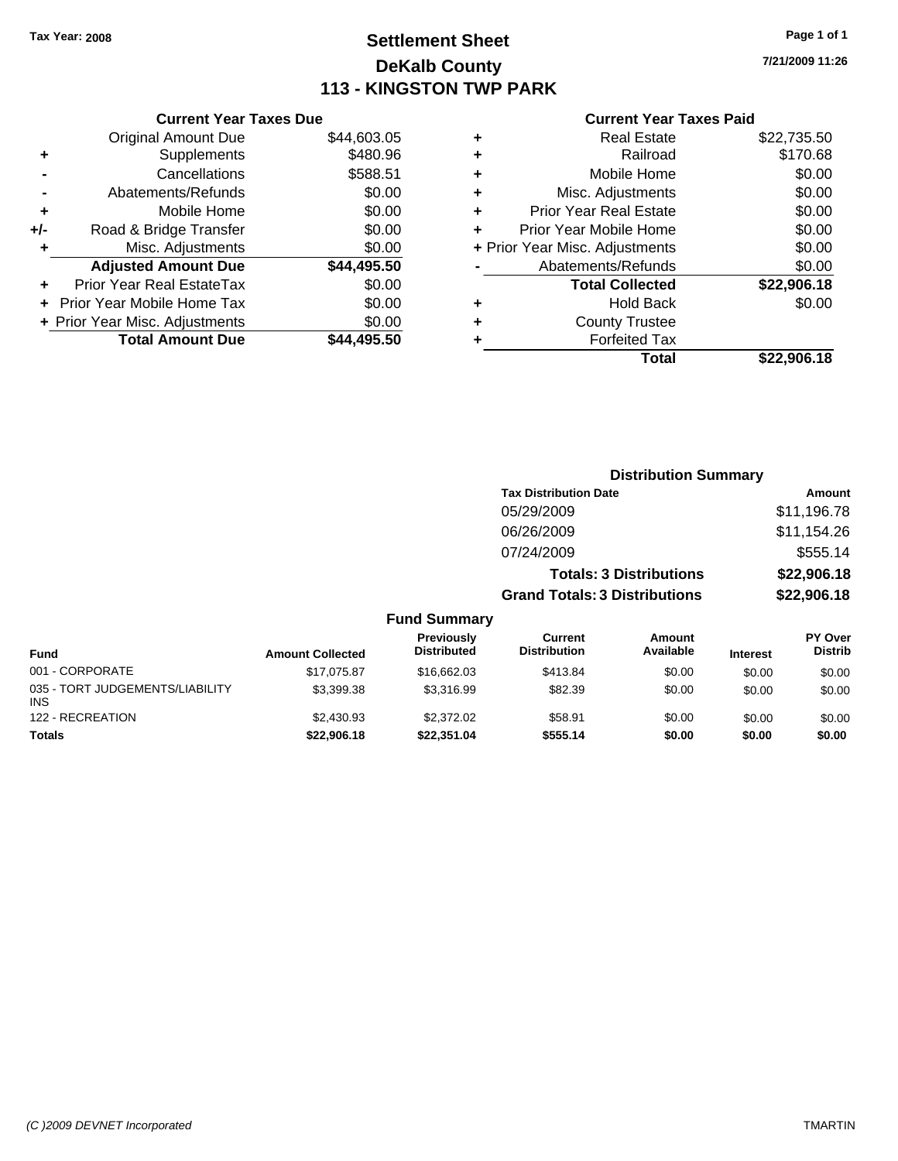### **Settlement Sheet Tax Year: 2008 Page 1 of 1 DeKalb County 113 - KINGSTON TWP PARK**

**7/21/2009 11:26**

#### **Current Year Taxes Paid**

|       | <b>Current Year Taxes Due</b>     |             |  |  |  |  |  |
|-------|-----------------------------------|-------------|--|--|--|--|--|
|       | <b>Original Amount Due</b>        | \$44,603.05 |  |  |  |  |  |
| ٠     | Supplements                       | \$480.96    |  |  |  |  |  |
|       | Cancellations                     | \$588.51    |  |  |  |  |  |
|       | Abatements/Refunds                | \$0.00      |  |  |  |  |  |
| ٠     | Mobile Home                       | \$0.00      |  |  |  |  |  |
| $+/-$ | Road & Bridge Transfer            | \$0.00      |  |  |  |  |  |
|       | Misc. Adjustments                 | \$0.00      |  |  |  |  |  |
|       | <b>Adjusted Amount Due</b>        | \$44,495.50 |  |  |  |  |  |
|       | Prior Year Real EstateTax         | \$0.00      |  |  |  |  |  |
|       | <b>Prior Year Mobile Home Tax</b> | \$0.00      |  |  |  |  |  |
|       | + Prior Year Misc. Adjustments    | \$0.00      |  |  |  |  |  |
|       | <b>Total Amount Due</b>           | \$44,495.50 |  |  |  |  |  |
|       |                                   |             |  |  |  |  |  |

|   | <b>Real Estate</b>             | \$22,735.50 |
|---|--------------------------------|-------------|
| ٠ | Railroad                       | \$170.68    |
| ٠ | Mobile Home                    | \$0.00      |
| ٠ | Misc. Adjustments              | \$0.00      |
| ÷ | <b>Prior Year Real Estate</b>  | \$0.00      |
| ٠ | Prior Year Mobile Home         | \$0.00      |
|   | + Prior Year Misc. Adjustments | \$0.00      |
|   | Abatements/Refunds             | \$0.00      |
|   | <b>Total Collected</b>         | \$22,906.18 |
| ٠ | Hold Back                      | \$0.00      |
| ٠ | <b>County Trustee</b>          |             |
| ٠ | <b>Forfeited Tax</b>           |             |
|   | Total                          | \$22,906.18 |
|   |                                |             |

|                                         |                         |                                  |                                       | <b>Distribution Summary</b>    |                 |                           |
|-----------------------------------------|-------------------------|----------------------------------|---------------------------------------|--------------------------------|-----------------|---------------------------|
|                                         |                         |                                  | <b>Tax Distribution Date</b>          |                                |                 | Amount                    |
|                                         |                         |                                  | 05/29/2009                            |                                |                 | \$11,196.78               |
|                                         |                         |                                  | 06/26/2009                            |                                |                 | \$11,154.26               |
|                                         |                         |                                  | 07/24/2009                            |                                |                 | \$555.14                  |
|                                         |                         |                                  |                                       | <b>Totals: 3 Distributions</b> |                 | \$22,906.18               |
|                                         |                         |                                  | <b>Grand Totals: 3 Distributions</b>  |                                |                 | \$22,906.18               |
|                                         |                         | <b>Fund Summary</b>              |                                       |                                |                 |                           |
| <b>Fund</b>                             | <b>Amount Collected</b> | Previously<br><b>Distributed</b> | <b>Current</b><br><b>Distribution</b> | Amount<br>Available            | <b>Interest</b> | PY Over<br><b>Distrib</b> |
| 001 - CORPORATE                         | \$17,075.87             | \$16,662.03                      | \$413.84                              | \$0.00                         | \$0.00          | \$0.00                    |
| 035 - TORT JUDGEMENTS/LIABILITY<br>INS. | \$3,399.38              | \$3,316.99                       | \$82.39                               | \$0.00                         | \$0.00          | \$0.00                    |
| 122 - RECREATION                        | \$2,430.93              | \$2,372.02                       | \$58.91                               | \$0.00                         | \$0.00          | \$0.00                    |

**Totals \$22,906.18 \$22,351.04 \$555.14 \$0.00 \$0.00 \$0.00**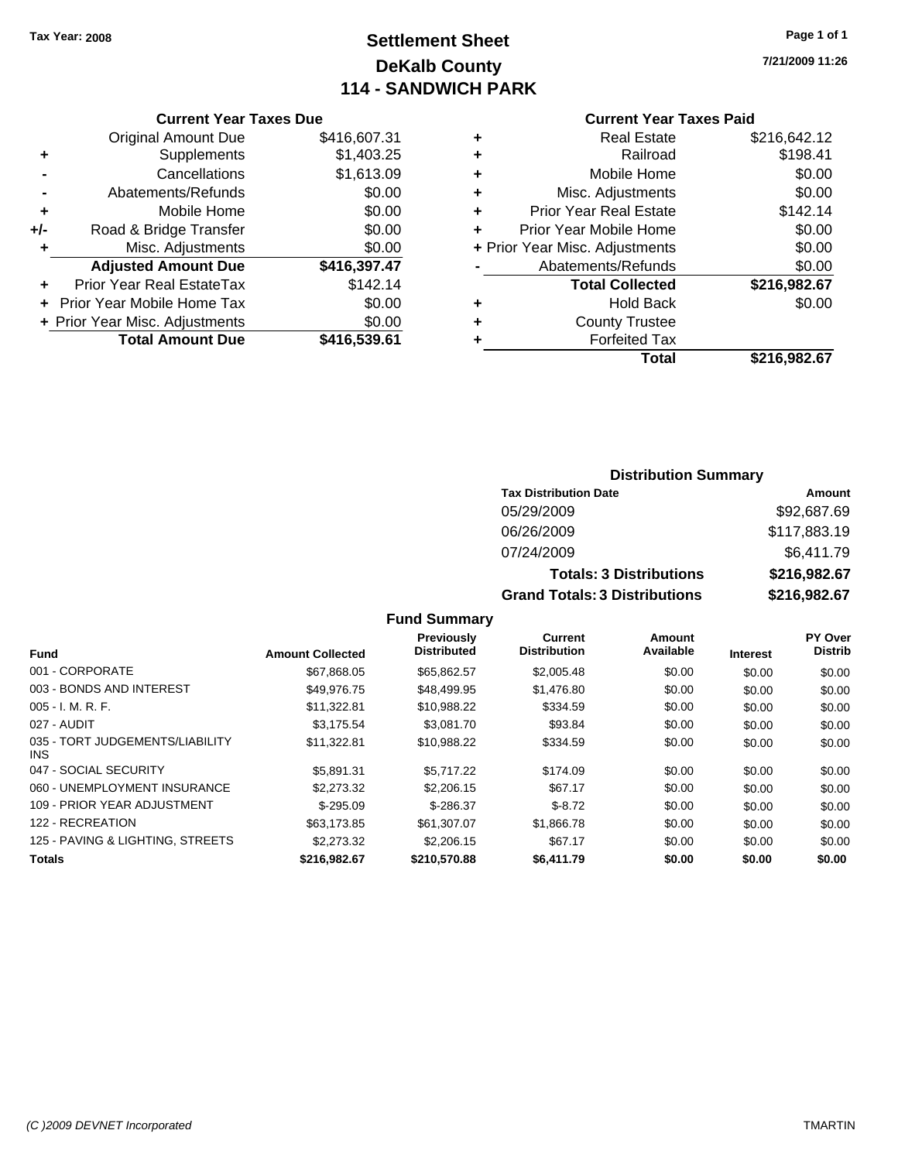### **Settlement Sheet Tax Year: 2008 Page 1 of 1 DeKalb County 114 - SANDWICH PARK**

**7/21/2009 11:26**

|     | <b>Current Year Taxes Due</b>  |              |  |  |  |  |  |
|-----|--------------------------------|--------------|--|--|--|--|--|
|     | <b>Original Amount Due</b>     | \$416,607.31 |  |  |  |  |  |
| ٠   | Supplements                    | \$1,403.25   |  |  |  |  |  |
|     | Cancellations                  | \$1,613.09   |  |  |  |  |  |
|     | Abatements/Refunds             | \$0.00       |  |  |  |  |  |
| ÷   | Mobile Home                    | \$0.00       |  |  |  |  |  |
| +/- | Road & Bridge Transfer         | \$0.00       |  |  |  |  |  |
| ٠   | Misc. Adjustments              | \$0.00       |  |  |  |  |  |
|     | <b>Adjusted Amount Due</b>     | \$416,397.47 |  |  |  |  |  |
|     | Prior Year Real EstateTax      | \$142.14     |  |  |  |  |  |
|     | Prior Year Mobile Home Tax     | \$0.00       |  |  |  |  |  |
|     | + Prior Year Misc. Adjustments | \$0.00       |  |  |  |  |  |
|     | <b>Total Amount Due</b>        | \$416,539.61 |  |  |  |  |  |
|     |                                |              |  |  |  |  |  |

#### **Current Year Taxes Paid**

| ٠ | <b>Real Estate</b>             | \$216,642.12 |
|---|--------------------------------|--------------|
| ٠ | Railroad                       | \$198.41     |
| ٠ | Mobile Home                    | \$0.00       |
| ٠ | Misc. Adjustments              | \$0.00       |
| ٠ | Prior Year Real Estate         | \$142.14     |
|   | Prior Year Mobile Home         | \$0.00       |
|   | + Prior Year Misc. Adjustments | \$0.00       |
|   | Abatements/Refunds             | \$0.00       |
|   | <b>Total Collected</b>         | \$216,982.67 |
| ٠ | <b>Hold Back</b>               | \$0.00       |
| ٠ | <b>County Trustee</b>          |              |
| ٠ | <b>Forfeited Tax</b>           |              |
|   | Total                          | \$216,982.67 |
|   |                                |              |

#### **Distribution Summary Tax Distribution Date Amount** 05/29/2009 \$92,687.69 06/26/2009 \$117,883.19 07/24/2009 \$6,411.79 **Totals: 3 Distributions \$216,982.67 Grand Totals: 3 Distributions \$216,982.67**

| <b>Fund</b>                             | <b>Amount Collected</b> | <b>Previously</b><br><b>Distributed</b> | <b>Current</b><br><b>Distribution</b> | Amount<br>Available | <b>Interest</b> | PY Over<br><b>Distrib</b> |
|-----------------------------------------|-------------------------|-----------------------------------------|---------------------------------------|---------------------|-----------------|---------------------------|
| 001 - CORPORATE                         | \$67.868.05             | \$65.862.57                             | \$2,005.48                            | \$0.00              | \$0.00          | \$0.00                    |
| 003 - BONDS AND INTEREST                | \$49.976.75             | \$48,499.95                             | \$1,476.80                            | \$0.00              | \$0.00          | \$0.00                    |
| $005 - I. M. R. F.$                     | \$11,322.81             | \$10.988.22                             | \$334.59                              | \$0.00              | \$0.00          | \$0.00                    |
| 027 - AUDIT                             | \$3.175.54              | \$3.081.70                              | \$93.84                               | \$0.00              | \$0.00          | \$0.00                    |
| 035 - TORT JUDGEMENTS/LIABILITY<br>INS. | \$11,322.81             | \$10,988.22                             | \$334.59                              | \$0.00              | \$0.00          | \$0.00                    |
| 047 - SOCIAL SECURITY                   | \$5.891.31              | \$5.717.22                              | \$174.09                              | \$0.00              | \$0.00          | \$0.00                    |
| 060 - UNEMPLOYMENT INSURANCE            | \$2,273,32              | \$2,206.15                              | \$67.17                               | \$0.00              | \$0.00          | \$0.00                    |
| 109 - PRIOR YEAR ADJUSTMENT             | $$-295.09$              | $$-286.37$                              | $$ -8.72$                             | \$0.00              | \$0.00          | \$0.00                    |
| 122 - RECREATION                        | \$63.173.85             | \$61,307.07                             | \$1,866.78                            | \$0.00              | \$0.00          | \$0.00                    |
| 125 - PAVING & LIGHTING, STREETS        | \$2,273,32              | \$2,206.15                              | \$67.17                               | \$0.00              | \$0.00          | \$0.00                    |
| <b>Totals</b>                           | \$216.982.67            | \$210,570.88                            | \$6.411.79                            | \$0.00              | \$0.00          | \$0.00                    |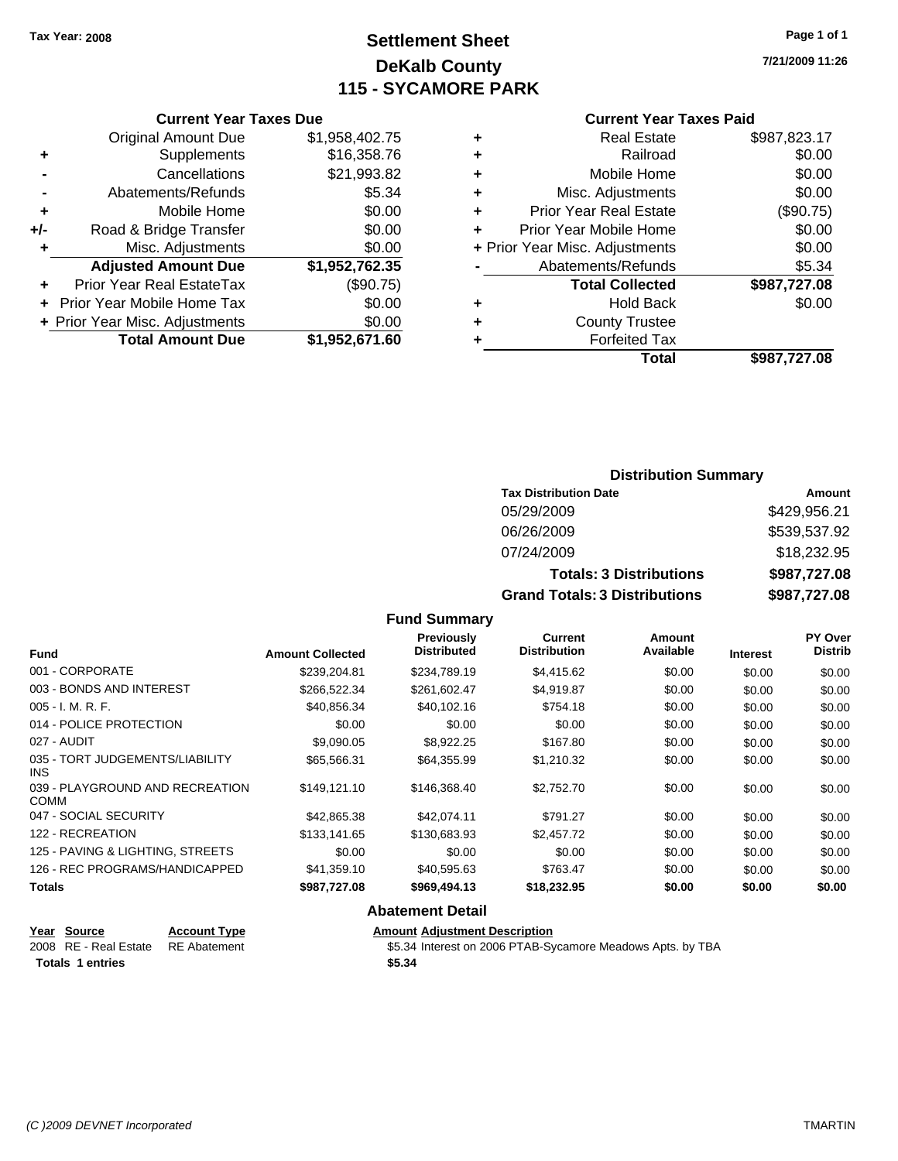**Current Year Taxes Due**

### **Settlement Sheet Tax Year: 2008 Page 1 of 1 DeKalb County 115 - SYCAMORE PARK**

**7/21/2009 11:26**

#### **Current Year Taxes Paid**

| \$987,727.08 | <b>Total</b>                   |   |                |                                |     |
|--------------|--------------------------------|---|----------------|--------------------------------|-----|
|              | <b>Forfeited Tax</b>           |   | \$1,952,671.60 | <b>Total Amount Due</b>        |     |
|              | <b>County Trustee</b>          | ٠ | \$0.00         | + Prior Year Misc. Adjustments |     |
| \$0.00       | <b>Hold Back</b>               | ٠ | \$0.00         | + Prior Year Mobile Home Tax   |     |
| \$987,727.08 | <b>Total Collected</b>         |   | (\$90.75)      | Prior Year Real EstateTax      | ÷.  |
| \$5.34       | Abatements/Refunds             |   | \$1,952,762.35 | <b>Adjusted Amount Due</b>     |     |
| \$0.00       | + Prior Year Misc. Adjustments |   | \$0.00         | Misc. Adjustments              |     |
| \$0.00       | Prior Year Mobile Home         |   | \$0.00         | Road & Bridge Transfer         | +/- |
| (\$90.75)    | <b>Prior Year Real Estate</b>  | ٠ | \$0.00         | Mobile Home                    | ٠   |
| \$0.00       | Misc. Adjustments              | ٠ | \$5.34         | Abatements/Refunds             |     |
| \$0.00       | Mobile Home                    | ٠ | \$21,993.82    | Cancellations                  |     |
| \$0.00       | Railroad                       | ٠ | \$16,358.76    | Supplements                    | ٠   |
| \$987,823.17 | <b>Real Estate</b>             | ٠ | \$1,958,402.75 | <b>Original Amount Due</b>     |     |
|              |                                |   |                |                                |     |

#### **Distribution Summary**

| <b>Tax Distribution Date</b>         | Amount       |
|--------------------------------------|--------------|
| 05/29/2009                           | \$429,956.21 |
| 06/26/2009                           | \$539,537.92 |
| 07/24/2009                           | \$18,232.95  |
| <b>Totals: 3 Distributions</b>       | \$987,727.08 |
| <b>Grand Totals: 3 Distributions</b> | \$987,727.08 |

#### **Fund Summary**

| <b>Fund</b>                             | <b>Amount Collected</b> | Previously<br><b>Distributed</b> | Current<br><b>Distribution</b> | <b>Amount</b><br>Available | <b>Interest</b> | <b>PY Over</b><br>Distrib |
|-----------------------------------------|-------------------------|----------------------------------|--------------------------------|----------------------------|-----------------|---------------------------|
| 001 - CORPORATE                         | \$239,204.81            | \$234,789.19                     | \$4,415.62                     | \$0.00                     | \$0.00          | \$0.00                    |
| 003 - BONDS AND INTEREST                | \$266,522.34            | \$261,602.47                     | \$4,919.87                     | \$0.00                     | \$0.00          | \$0.00                    |
| $005 - I. M. R. F.$                     | \$40.856.34             | \$40,102.16                      | \$754.18                       | \$0.00                     | \$0.00          | \$0.00                    |
| 014 - POLICE PROTECTION                 | \$0.00                  | \$0.00                           | \$0.00                         | \$0.00                     | \$0.00          | \$0.00                    |
| 027 - AUDIT                             | \$9.090.05              | \$8,922,25                       | \$167.80                       | \$0.00                     | \$0.00          | \$0.00                    |
| 035 - TORT JUDGEMENTS/LIABILITY<br>INS. | \$65.566.31             | \$64,355.99                      | \$1,210.32                     | \$0.00                     | \$0.00          | \$0.00                    |
| 039 - PLAYGROUND AND RECREATION<br>COMM | \$149,121.10            | \$146,368.40                     | \$2,752.70                     | \$0.00                     | \$0.00          | \$0.00                    |
| 047 - SOCIAL SECURITY                   | \$42,865.38             | \$42.074.11                      | \$791.27                       | \$0.00                     | \$0.00          | \$0.00                    |
| 122 - RECREATION                        | \$133.141.65            | \$130,683.93                     | \$2,457.72                     | \$0.00                     | \$0.00          | \$0.00                    |
| 125 - PAVING & LIGHTING, STREETS        | \$0.00                  | \$0.00                           | \$0.00                         | \$0.00                     | \$0.00          | \$0.00                    |
| 126 - REC PROGRAMS/HANDICAPPED          | \$41,359.10             | \$40,595.63                      | \$763.47                       | \$0.00                     | \$0.00          | \$0.00                    |
| Totals                                  | \$987,727.08            | \$969,494.13                     | \$18,232.95                    | \$0.00                     | \$0.00          | \$0.00                    |

#### **Abatement Detail**

| Year Source             | <b>Account Type</b> | <b>Amount Adjustment Description</b>                       |
|-------------------------|---------------------|------------------------------------------------------------|
| 2008 RE - Real Estate   | RE Abatement        | \$5.34 Interest on 2006 PTAB-Sycamore Meadows Apts. by TBA |
| <b>Totals 1 entries</b> |                     | \$5.34                                                     |
|                         |                     |                                                            |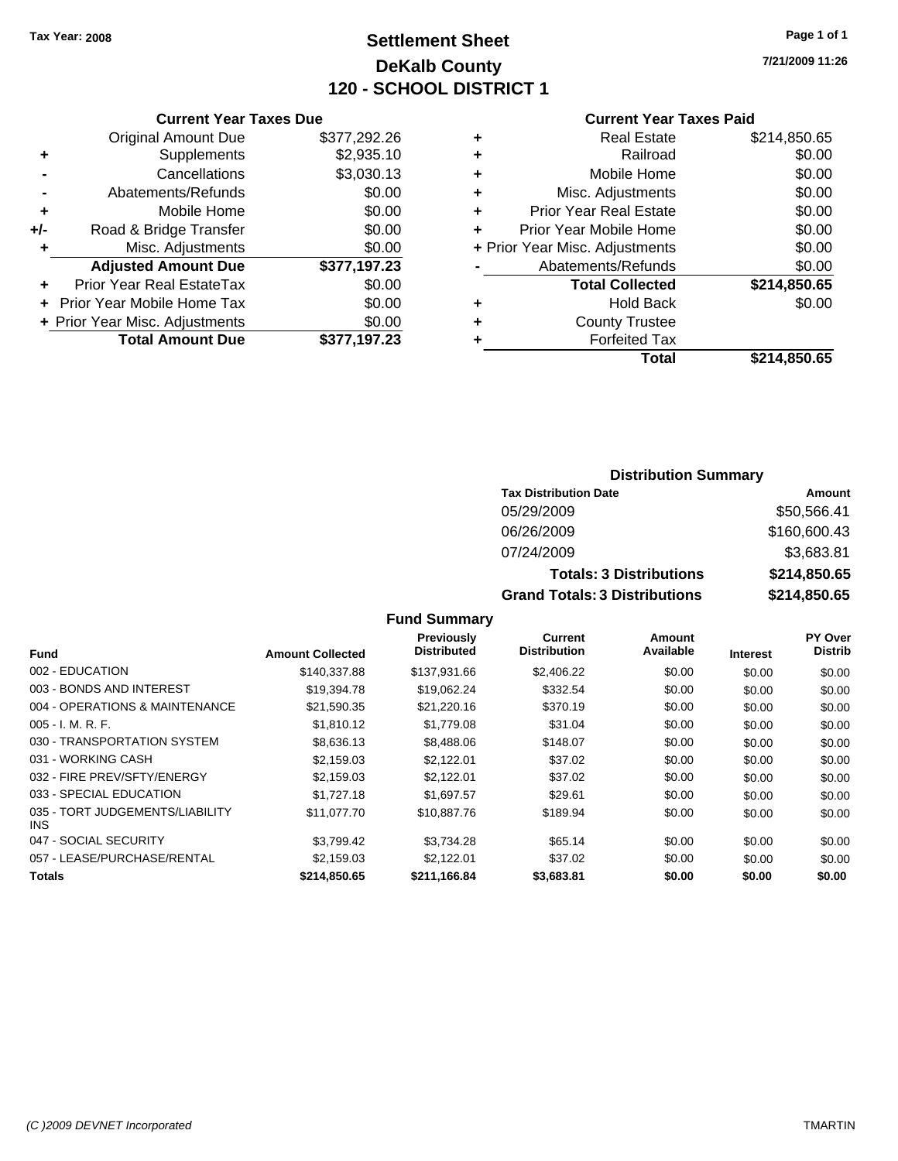### **Settlement Sheet Tax Year: 2008 Page 1 of 1 DeKalb County 120 - SCHOOL DISTRICT 1**

**7/21/2009 11:26**

#### **Current Year Taxes Paid**

|     | <b>Current Year Taxes Due</b>  |              |  |
|-----|--------------------------------|--------------|--|
|     | <b>Original Amount Due</b>     | \$377,292.26 |  |
| ٠   | Supplements                    | \$2,935.10   |  |
|     | Cancellations                  | \$3,030.13   |  |
|     | Abatements/Refunds             | \$0.00       |  |
| ٠   | Mobile Home                    | \$0.00       |  |
| +/- | Road & Bridge Transfer         | \$0.00       |  |
| ٠   | Misc. Adjustments              | \$0.00       |  |
|     | <b>Adjusted Amount Due</b>     | \$377,197.23 |  |
| ٠   | Prior Year Real EstateTax      | \$0.00       |  |
|     | Prior Year Mobile Home Tax     | \$0.00       |  |
|     | + Prior Year Misc. Adjustments | \$0.00       |  |
|     | <b>Total Amount Due</b>        | \$377,197.23 |  |
|     |                                |              |  |

| ٠ | <b>Real Estate</b>             | \$214,850.65 |
|---|--------------------------------|--------------|
|   |                                |              |
| ÷ | Railroad                       | \$0.00       |
|   |                                |              |
| ٠ | Mobile Home                    | \$0.00       |
| ٠ | Misc. Adjustments              | \$0.00       |
| ÷ | <b>Prior Year Real Estate</b>  | \$0.00       |
| ٠ | Prior Year Mobile Home         | \$0.00       |
|   | + Prior Year Misc. Adjustments | \$0.00       |
|   | Abatements/Refunds             | \$0.00       |
|   | <b>Total Collected</b>         | \$214,850.65 |
| ٠ | <b>Hold Back</b>               | \$0.00       |
| ٠ | <b>County Trustee</b>          |              |
|   | <b>Forfeited Tax</b>           |              |
|   | Total                          | \$214,850.65 |
|   |                                |              |

### **Distribution Summary**

| <b>Tax Distribution Date</b>         | Amount       |
|--------------------------------------|--------------|
| 05/29/2009                           | \$50,566.41  |
| 06/26/2009                           | \$160,600.43 |
| 07/24/2009                           | \$3,683.81   |
| <b>Totals: 3 Distributions</b>       | \$214,850.65 |
| <b>Grand Totals: 3 Distributions</b> | \$214,850.65 |

|                                         |                         | <b>Previously</b>  | Current             | Amount    |                 | <b>PY Over</b> |
|-----------------------------------------|-------------------------|--------------------|---------------------|-----------|-----------------|----------------|
| <b>Fund</b>                             | <b>Amount Collected</b> | <b>Distributed</b> | <b>Distribution</b> | Available | <b>Interest</b> | <b>Distrib</b> |
| 002 - EDUCATION                         | \$140.337.88            | \$137.931.66       | \$2,406.22          | \$0.00    | \$0.00          | \$0.00         |
| 003 - BONDS AND INTEREST                | \$19,394.78             | \$19,062.24        | \$332.54            | \$0.00    | \$0.00          | \$0.00         |
| 004 - OPERATIONS & MAINTENANCE          | \$21,590.35             | \$21,220.16        | \$370.19            | \$0.00    | \$0.00          | \$0.00         |
| $005 - I. M. R. F.$                     | \$1,810.12              | \$1,779.08         | \$31.04             | \$0.00    | \$0.00          | \$0.00         |
| 030 - TRANSPORTATION SYSTEM             | \$8,636.13              | \$8,488.06         | \$148.07            | \$0.00    | \$0.00          | \$0.00         |
| 031 - WORKING CASH                      | \$2.159.03              | \$2.122.01         | \$37.02             | \$0.00    | \$0.00          | \$0.00         |
| 032 - FIRE PREV/SFTY/ENERGY             | \$2.159.03              | \$2.122.01         | \$37.02             | \$0.00    | \$0.00          | \$0.00         |
| 033 - SPECIAL EDUCATION                 | \$1,727.18              | \$1,697.57         | \$29.61             | \$0.00    | \$0.00          | \$0.00         |
| 035 - TORT JUDGEMENTS/LIABILITY<br>INS. | \$11.077.70             | \$10,887.76        | \$189.94            | \$0.00    | \$0.00          | \$0.00         |
| 047 - SOCIAL SECURITY                   | \$3.799.42              | \$3.734.28         | \$65.14             | \$0.00    | \$0.00          | \$0.00         |
| 057 - LEASE/PURCHASE/RENTAL             | \$2.159.03              | \$2.122.01         | \$37.02             | \$0.00    | \$0.00          | \$0.00         |
| Totals                                  | \$214,850.65            | \$211,166.84       | \$3,683.81          | \$0.00    | \$0.00          | \$0.00         |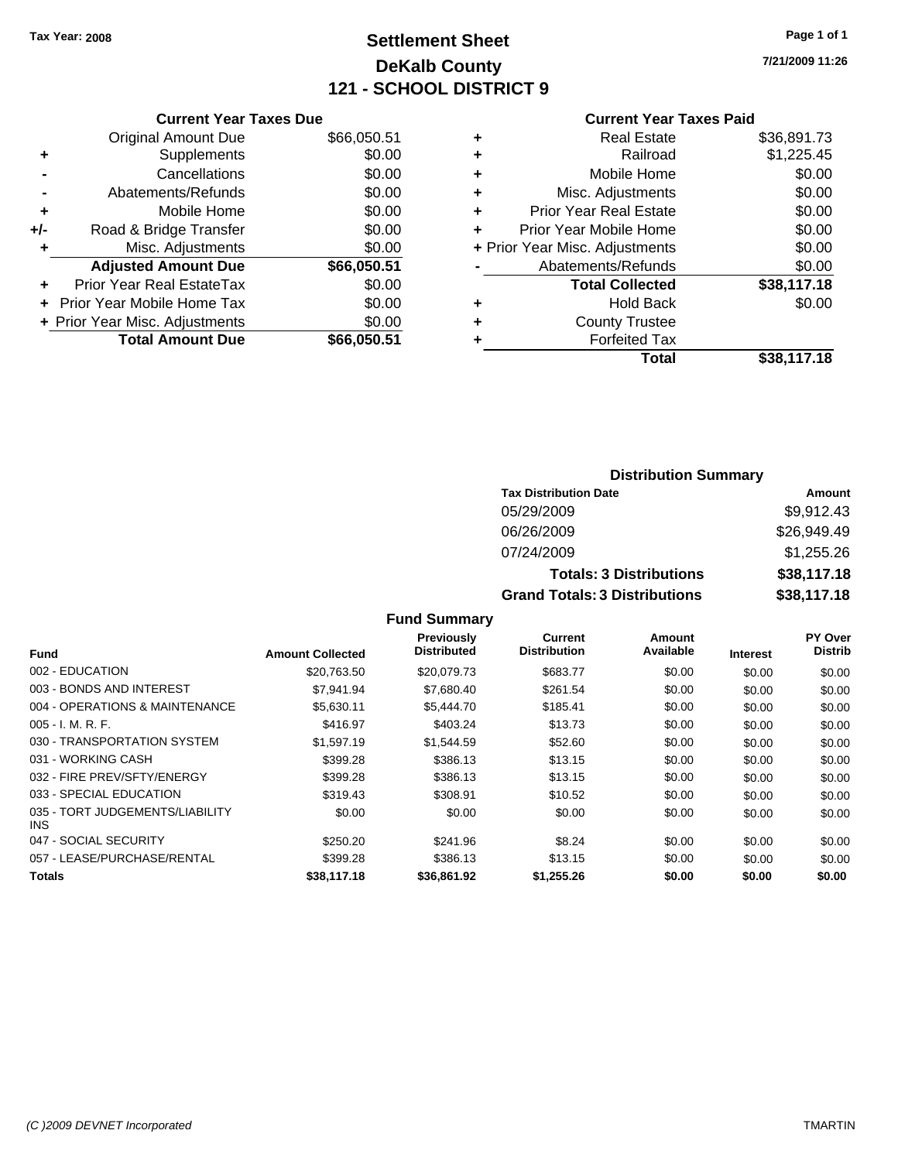### **Settlement Sheet Tax Year: 2008 Page 1 of 1 DeKalb County 121 - SCHOOL DISTRICT 9**

**7/21/2009 11:26**

#### **Current Year Taxes Paid**

|     | <b>Current Year Taxes Due</b>  |             |
|-----|--------------------------------|-------------|
|     | <b>Original Amount Due</b>     | \$66,050.51 |
| ÷   | Supplements                    | \$0.00      |
|     | Cancellations                  | \$0.00      |
|     | Abatements/Refunds             | \$0.00      |
| ٠   | Mobile Home                    | \$0.00      |
| +/- | Road & Bridge Transfer         | \$0.00      |
|     | Misc. Adjustments              | \$0.00      |
|     | <b>Adjusted Amount Due</b>     | \$66,050.51 |
| ٠   | Prior Year Real EstateTax      | \$0.00      |
|     | Prior Year Mobile Home Tax     | \$0.00      |
|     | + Prior Year Misc. Adjustments | \$0.00      |
|     | <b>Total Amount Due</b>        | \$66,050.51 |
|     |                                |             |

| \$36,891.73 |
|-------------|
| \$1,225.45  |
| \$0.00      |
| \$0.00      |
| \$0.00      |
| \$0.00      |
| \$0.00      |
| \$0.00      |
| \$38,117.18 |
| \$0.00      |
|             |
|             |
| \$38,117.18 |
|             |

#### **Distribution Summary Tax Distribution Date Amount** 05/29/2009 \$9,912.43 06/26/2009 \$26,949.49 07/24/2009 \$1,255.26 **Totals: 3 Distributions \$38,117.18 Grand Totals: 3 Distributions \$38,117.18**

|                                         |                         | Previously         | Current             | Amount    |                 | <b>PY Over</b> |
|-----------------------------------------|-------------------------|--------------------|---------------------|-----------|-----------------|----------------|
| <b>Fund</b>                             | <b>Amount Collected</b> | <b>Distributed</b> | <b>Distribution</b> | Available | <b>Interest</b> | <b>Distrib</b> |
| 002 - EDUCATION                         | \$20,763.50             | \$20,079.73        | \$683.77            | \$0.00    | \$0.00          | \$0.00         |
| 003 - BONDS AND INTEREST                | \$7,941.94              | \$7,680.40         | \$261.54            | \$0.00    | \$0.00          | \$0.00         |
| 004 - OPERATIONS & MAINTENANCE          | \$5.630.11              | \$5,444.70         | \$185.41            | \$0.00    | \$0.00          | \$0.00         |
| $005 - I. M. R. F.$                     | \$416.97                | \$403.24           | \$13.73             | \$0.00    | \$0.00          | \$0.00         |
| 030 - TRANSPORTATION SYSTEM             | \$1,597.19              | \$1,544.59         | \$52.60             | \$0.00    | \$0.00          | \$0.00         |
| 031 - WORKING CASH                      | \$399.28                | \$386.13           | \$13.15             | \$0.00    | \$0.00          | \$0.00         |
| 032 - FIRE PREV/SFTY/ENERGY             | \$399.28                | \$386.13           | \$13.15             | \$0.00    | \$0.00          | \$0.00         |
| 033 - SPECIAL EDUCATION                 | \$319.43                | \$308.91           | \$10.52             | \$0.00    | \$0.00          | \$0.00         |
| 035 - TORT JUDGEMENTS/LIABILITY<br>INS. | \$0.00                  | \$0.00             | \$0.00              | \$0.00    | \$0.00          | \$0.00         |
| 047 - SOCIAL SECURITY                   | \$250.20                | \$241.96           | \$8.24              | \$0.00    | \$0.00          | \$0.00         |
| 057 - LEASE/PURCHASE/RENTAL             | \$399.28                | \$386.13           | \$13.15             | \$0.00    | \$0.00          | \$0.00         |
| <b>Totals</b>                           | \$38,117.18             | \$36.861.92        | \$1.255.26          | \$0.00    | \$0.00          | \$0.00         |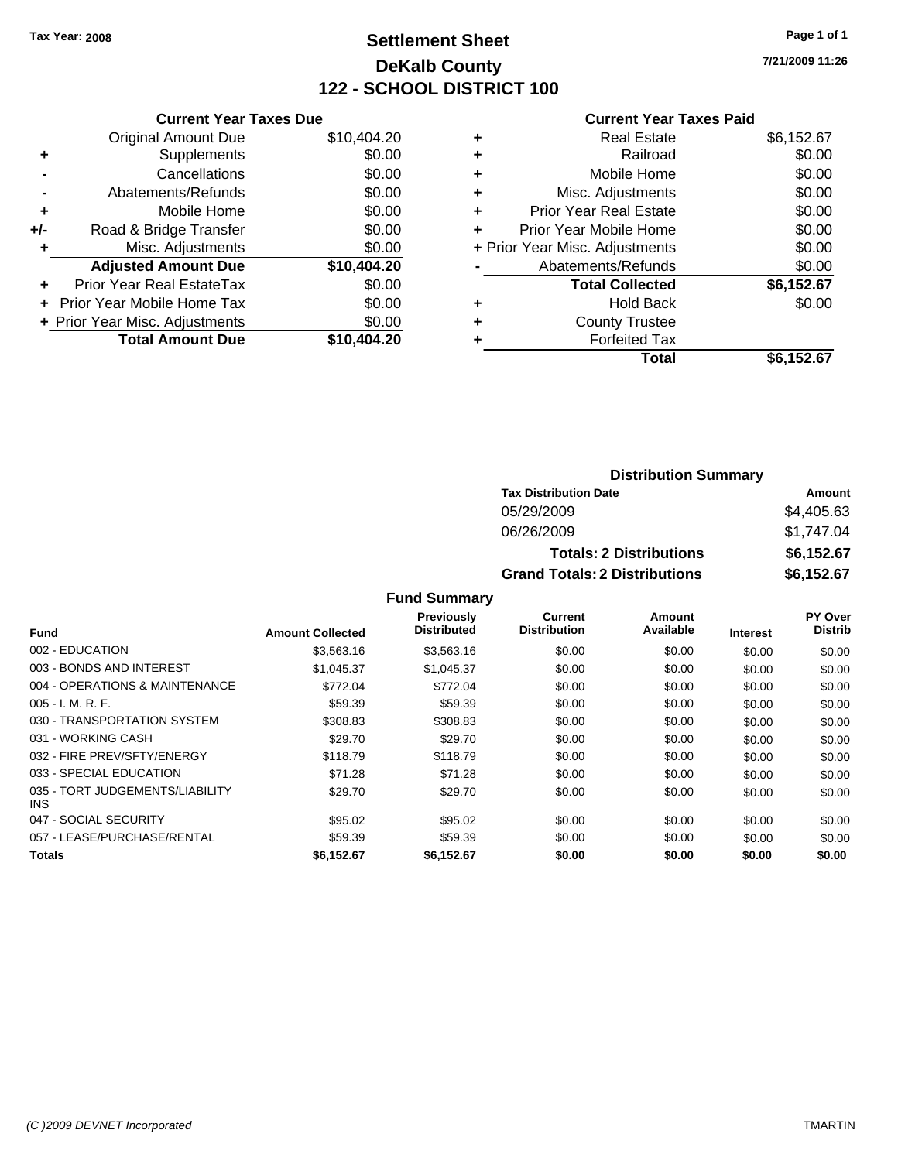### **Settlement Sheet Tax Year: 2008 Page 1 of 1 DeKalb County 122 - SCHOOL DISTRICT 100**

**7/21/2009 11:26**

#### **Current Year Taxes Paid**

|     | <b>Current Year Taxes Due</b>  |             |
|-----|--------------------------------|-------------|
|     | <b>Original Amount Due</b>     | \$10,404.20 |
| ٠   | Supplements                    | \$0.00      |
|     | Cancellations                  | \$0.00      |
|     | Abatements/Refunds             | \$0.00      |
| ٠   | Mobile Home                    | \$0.00      |
| +/- | Road & Bridge Transfer         | \$0.00      |
|     | Misc. Adjustments              | \$0.00      |
|     | <b>Adjusted Amount Due</b>     | \$10,404.20 |
|     | Prior Year Real EstateTax      | \$0.00      |
|     | Prior Year Mobile Home Tax     | \$0.00      |
|     | + Prior Year Misc. Adjustments | \$0.00      |
|     | <b>Total Amount Due</b>        | \$10,404.20 |
|     |                                |             |

| <b>Real Estate</b>             | \$6,152.67 |
|--------------------------------|------------|
| Railroad                       | \$0.00     |
| Mobile Home                    | \$0.00     |
| Misc. Adjustments              | \$0.00     |
| <b>Prior Year Real Estate</b>  | \$0.00     |
| Prior Year Mobile Home         | \$0.00     |
| + Prior Year Misc. Adjustments | \$0.00     |
| Abatements/Refunds             | \$0.00     |
| <b>Total Collected</b>         | \$6,152.67 |
| <b>Hold Back</b>               | \$0.00     |
| <b>County Trustee</b>          |            |
| <b>Forfeited Tax</b>           |            |
| Total                          | \$6,152.67 |
|                                |            |

#### **Distribution Summary Tax Distribution Date Amount** 05/29/2009 \$4,405.63 06/26/2009 \$1,747.04 **Totals: 2 Distributions \$6,152.67 Grand Totals: 2 Distributions \$6,152.67**

|                                         |                         | Previously         | Current             | Amount    |                 | PY Over        |
|-----------------------------------------|-------------------------|--------------------|---------------------|-----------|-----------------|----------------|
| Fund                                    | <b>Amount Collected</b> | <b>Distributed</b> | <b>Distribution</b> | Available | <b>Interest</b> | <b>Distrib</b> |
| 002 - EDUCATION                         | \$3,563.16              | \$3,563.16         | \$0.00              | \$0.00    | \$0.00          | \$0.00         |
| 003 - BONDS AND INTEREST                | \$1,045.37              | \$1,045.37         | \$0.00              | \$0.00    | \$0.00          | \$0.00         |
| 004 - OPERATIONS & MAINTENANCE          | \$772.04                | \$772.04           | \$0.00              | \$0.00    | \$0.00          | \$0.00         |
| $005 - I. M. R. F.$                     | \$59.39                 | \$59.39            | \$0.00              | \$0.00    | \$0.00          | \$0.00         |
| 030 - TRANSPORTATION SYSTEM             | \$308.83                | \$308.83           | \$0.00              | \$0.00    | \$0.00          | \$0.00         |
| 031 - WORKING CASH                      | \$29.70                 | \$29.70            | \$0.00              | \$0.00    | \$0.00          | \$0.00         |
| 032 - FIRE PREV/SFTY/ENERGY             | \$118.79                | \$118.79           | \$0.00              | \$0.00    | \$0.00          | \$0.00         |
| 033 - SPECIAL EDUCATION                 | \$71.28                 | \$71.28            | \$0.00              | \$0.00    | \$0.00          | \$0.00         |
| 035 - TORT JUDGEMENTS/LIABILITY<br>INS. | \$29.70                 | \$29.70            | \$0.00              | \$0.00    | \$0.00          | \$0.00         |
| 047 - SOCIAL SECURITY                   | \$95.02                 | \$95.02            | \$0.00              | \$0.00    | \$0.00          | \$0.00         |
| 057 - LEASE/PURCHASE/RENTAL             | \$59.39                 | \$59.39            | \$0.00              | \$0.00    | \$0.00          | \$0.00         |
| <b>Totals</b>                           | \$6,152.67              | \$6,152.67         | \$0.00              | \$0.00    | \$0.00          | \$0.00         |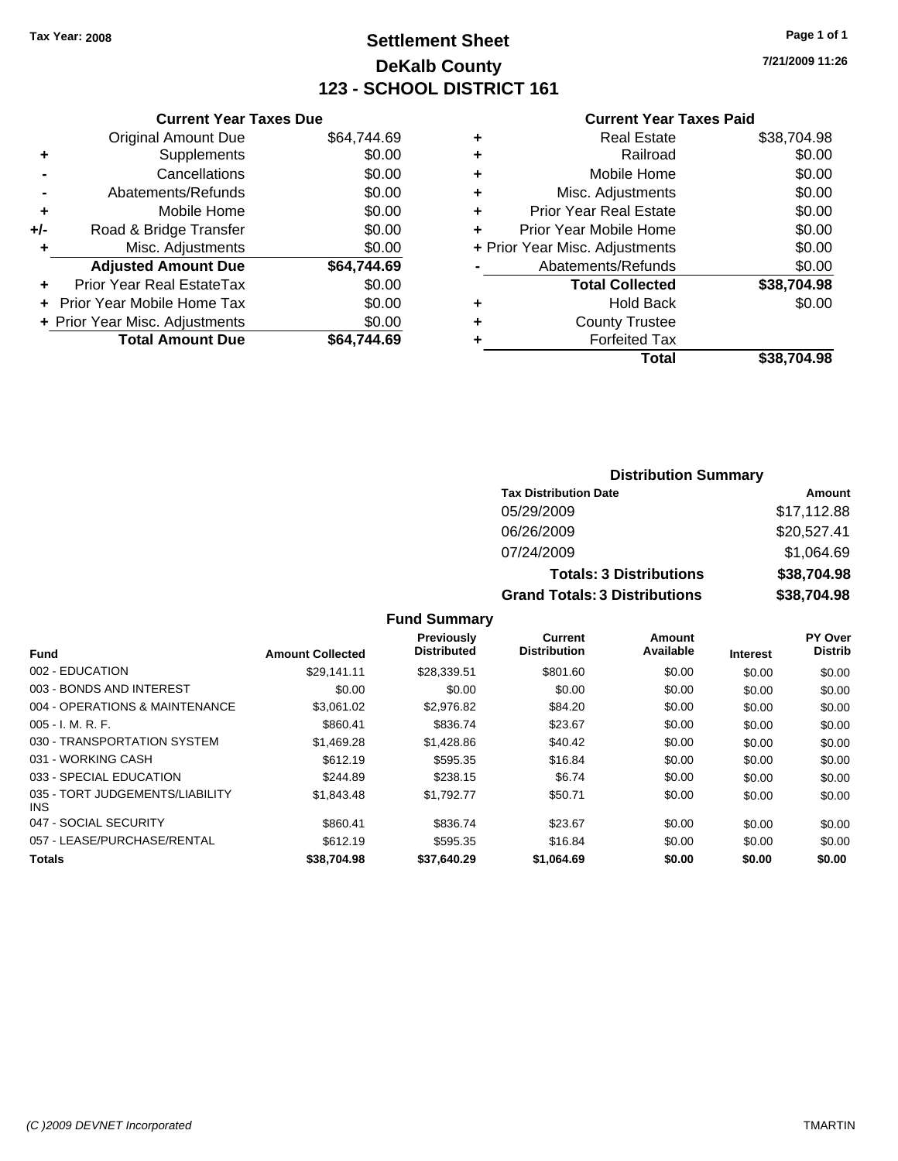### **Settlement Sheet Tax Year: 2008 Page 1 of 1 DeKalb County 123 - SCHOOL DISTRICT 161**

**7/21/2009 11:26**

#### **Current Year Taxes Paid**

|     | <b>Current Year Taxes Due</b>  |             |
|-----|--------------------------------|-------------|
|     | <b>Original Amount Due</b>     | \$64,744.69 |
| ٠   | Supplements                    | \$0.00      |
|     | Cancellations                  | \$0.00      |
|     | Abatements/Refunds             | \$0.00      |
| ٠   | Mobile Home                    | \$0.00      |
| +/- | Road & Bridge Transfer         | \$0.00      |
|     | Misc. Adjustments              | \$0.00      |
|     | <b>Adjusted Amount Due</b>     | \$64.744.69 |
| ٠   | Prior Year Real EstateTax      | \$0.00      |
|     | Prior Year Mobile Home Tax     | \$0.00      |
|     | + Prior Year Misc. Adjustments | \$0.00      |
|     | <b>Total Amount Due</b>        | \$64.744.69 |
|     |                                |             |

| ٠ | <b>Real Estate</b>             | \$38,704.98 |
|---|--------------------------------|-------------|
| ٠ | Railroad                       | \$0.00      |
| ٠ | Mobile Home                    | \$0.00      |
| ٠ | Misc. Adjustments              | \$0.00      |
| ٠ | <b>Prior Year Real Estate</b>  | \$0.00      |
| ٠ | Prior Year Mobile Home         | \$0.00      |
|   | + Prior Year Misc. Adjustments | \$0.00      |
|   | Abatements/Refunds             | \$0.00      |
|   | <b>Total Collected</b>         | \$38,704.98 |
| ٠ | <b>Hold Back</b>               | \$0.00      |
| ٠ | <b>County Trustee</b>          |             |
| ٠ | <b>Forfeited Tax</b>           |             |
|   | Total                          | \$38,704.98 |
|   |                                |             |

#### **Distribution Summary Tax Distribution Date Amount** 05/29/2009 \$17,112.88 06/26/2009 \$20,527.41 07/24/2009 \$1,064.69 **Totals: 3 Distributions \$38,704.98 Grand Totals: 3 Distributions \$38,704.98**

|                                         |                         | <b>Previously</b>  | <b>Current</b>      | Amount    |                 | <b>PY Over</b> |
|-----------------------------------------|-------------------------|--------------------|---------------------|-----------|-----------------|----------------|
| <b>Fund</b>                             | <b>Amount Collected</b> | <b>Distributed</b> | <b>Distribution</b> | Available | <b>Interest</b> | <b>Distrib</b> |
| 002 - EDUCATION                         | \$29.141.11             | \$28.339.51        | \$801.60            | \$0.00    | \$0.00          | \$0.00         |
| 003 - BONDS AND INTEREST                | \$0.00                  | \$0.00             | \$0.00              | \$0.00    | \$0.00          | \$0.00         |
| 004 - OPERATIONS & MAINTENANCE          | \$3.061.02              | \$2,976.82         | \$84.20             | \$0.00    | \$0.00          | \$0.00         |
| $005 - I. M. R. F.$                     | \$860.41                | \$836.74           | \$23.67             | \$0.00    | \$0.00          | \$0.00         |
| 030 - TRANSPORTATION SYSTEM             | \$1,469.28              | \$1,428.86         | \$40.42             | \$0.00    | \$0.00          | \$0.00         |
| 031 - WORKING CASH                      | \$612.19                | \$595.35           | \$16.84             | \$0.00    | \$0.00          | \$0.00         |
| 033 - SPECIAL EDUCATION                 | \$244.89                | \$238.15           | \$6.74              | \$0.00    | \$0.00          | \$0.00         |
| 035 - TORT JUDGEMENTS/LIABILITY<br>INS. | \$1.843.48              | \$1,792.77         | \$50.71             | \$0.00    | \$0.00          | \$0.00         |
| 047 - SOCIAL SECURITY                   | \$860.41                | \$836.74           | \$23.67             | \$0.00    | \$0.00          | \$0.00         |
| 057 - LEASE/PURCHASE/RENTAL             | \$612.19                | \$595.35           | \$16.84             | \$0.00    | \$0.00          | \$0.00         |
| <b>Totals</b>                           | \$38.704.98             | \$37.640.29        | \$1.064.69          | \$0.00    | \$0.00          | \$0.00         |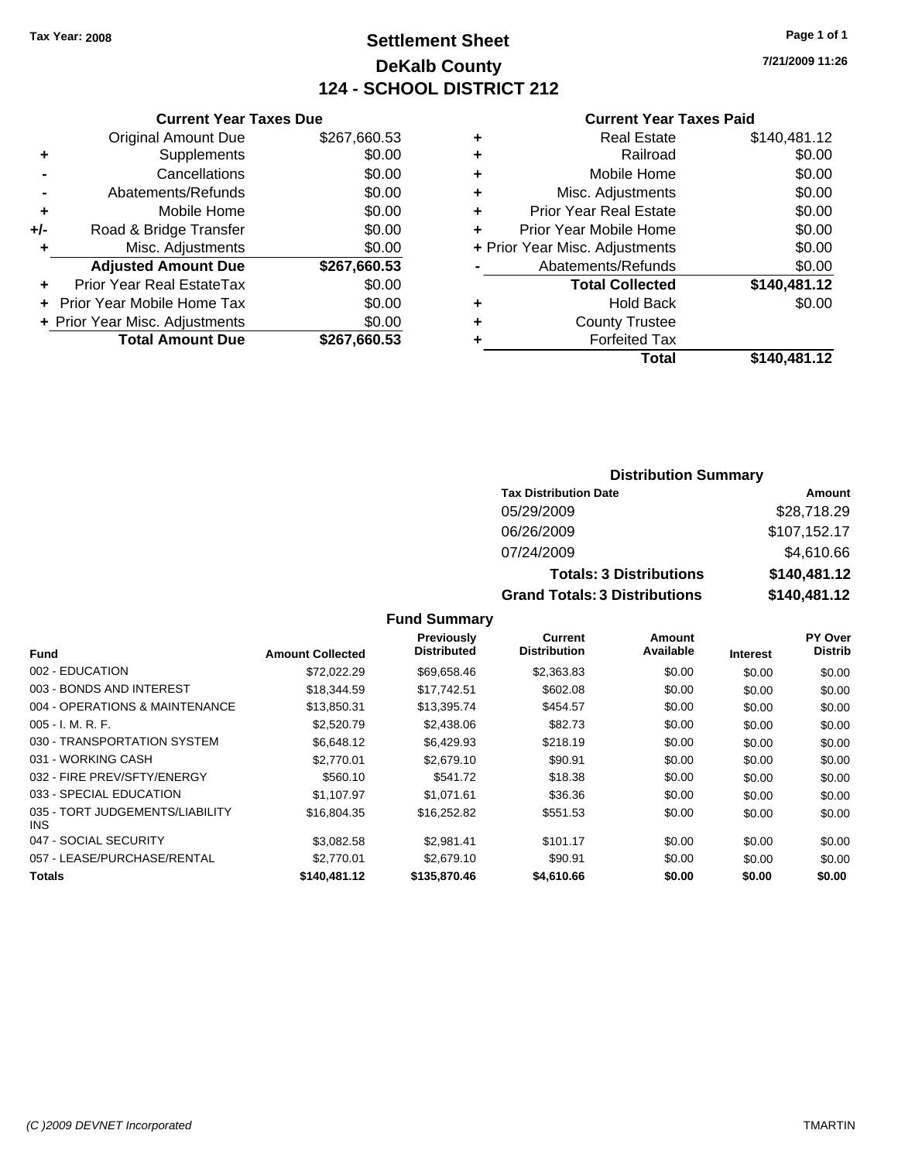**Current Year Taxes Due** Original Amount Due \$267,660.53

**Adjusted Amount Due \$267,660.53**

**Total Amount Due \$267,660.53**

**+** Supplements \$0.00<br> **c** Cancellations \$0.00

**-** Abatements/Refunds \$0.00 **+** Mobile Home \$0.00 **+/-** Road & Bridge Transfer \$0.00 **+** Misc. Adjustments \$0.00

**+** Prior Year Real EstateTax \$0.00 **+** Prior Year Mobile Home Tax \$0.00 **+ Prior Year Misc. Adjustments**  $$0.00$ 

**-** Cancellations

### **Settlement Sheet Tax Year: 2008 Page 1 of 1 DeKalb County 124 - SCHOOL DISTRICT 212**

**7/21/2009 11:26**

#### **Current Year Taxes Paid**

| <b>Forfeited Tax</b>           |              |
|--------------------------------|--------------|
| <b>County Trustee</b>          |              |
| <b>Hold Back</b>               | \$0.00       |
| <b>Total Collected</b>         | \$140,481.12 |
| Abatements/Refunds             | \$0.00       |
| + Prior Year Misc. Adjustments | \$0.00       |
| Prior Year Mobile Home         | \$0.00       |
| <b>Prior Year Real Estate</b>  | \$0.00       |
| Misc. Adjustments              | \$0.00       |
| Mobile Home                    | \$0.00       |
| Railroad                       | \$0.00       |
| <b>Real Estate</b>             | \$140,481.12 |
|                                |              |

| <b>Distribution Summary</b>          |              |
|--------------------------------------|--------------|
| <b>Tax Distribution Date</b>         | Amount       |
| 05/29/2009                           | \$28,718.29  |
| 06/26/2009                           | \$107,152.17 |
| 07/24/2009                           | \$4,610.66   |
| <b>Totals: 3 Distributions</b>       | \$140,481.12 |
| <b>Grand Totals: 3 Distributions</b> | \$140,481.12 |

| <b>Fund</b>                             | <b>Amount Collected</b> | Previously<br><b>Distributed</b> | <b>Current</b><br><b>Distribution</b> | Amount<br>Available | <b>Interest</b> | PY Over<br><b>Distrib</b> |
|-----------------------------------------|-------------------------|----------------------------------|---------------------------------------|---------------------|-----------------|---------------------------|
| 002 - EDUCATION                         | \$72,022.29             | \$69,658.46                      | \$2,363.83                            | \$0.00              | \$0.00          | \$0.00                    |
| 003 - BONDS AND INTEREST                | \$18,344.59             | \$17.742.51                      | \$602.08                              | \$0.00              | \$0.00          | \$0.00                    |
| 004 - OPERATIONS & MAINTENANCE          | \$13,850.31             | \$13,395.74                      | \$454.57                              | \$0.00              | \$0.00          | \$0.00                    |
| $005 - I. M. R. F.$                     | \$2,520.79              | \$2,438.06                       | \$82.73                               | \$0.00              | \$0.00          | \$0.00                    |
| 030 - TRANSPORTATION SYSTEM             | \$6,648.12              | \$6,429.93                       | \$218.19                              | \$0.00              | \$0.00          | \$0.00                    |
| 031 - WORKING CASH                      | \$2.770.01              | \$2,679.10                       | \$90.91                               | \$0.00              | \$0.00          | \$0.00                    |
| 032 - FIRE PREV/SFTY/ENERGY             | \$560.10                | \$541.72                         | \$18.38                               | \$0.00              | \$0.00          | \$0.00                    |
| 033 - SPECIAL EDUCATION                 | \$1.107.97              | \$1.071.61                       | \$36.36                               | \$0.00              | \$0.00          | \$0.00                    |
| 035 - TORT JUDGEMENTS/LIABILITY<br>INS. | \$16,804.35             | \$16,252.82                      | \$551.53                              | \$0.00              | \$0.00          | \$0.00                    |
| 047 - SOCIAL SECURITY                   | \$3.082.58              | \$2.981.41                       | \$101.17                              | \$0.00              | \$0.00          | \$0.00                    |
| 057 - LEASE/PURCHASE/RENTAL             | \$2.770.01              | \$2,679.10                       | \$90.91                               | \$0.00              | \$0.00          | \$0.00                    |
| <b>Totals</b>                           | \$140,481.12            | \$135,870.46                     | \$4,610.66                            | \$0.00              | \$0.00          | \$0.00                    |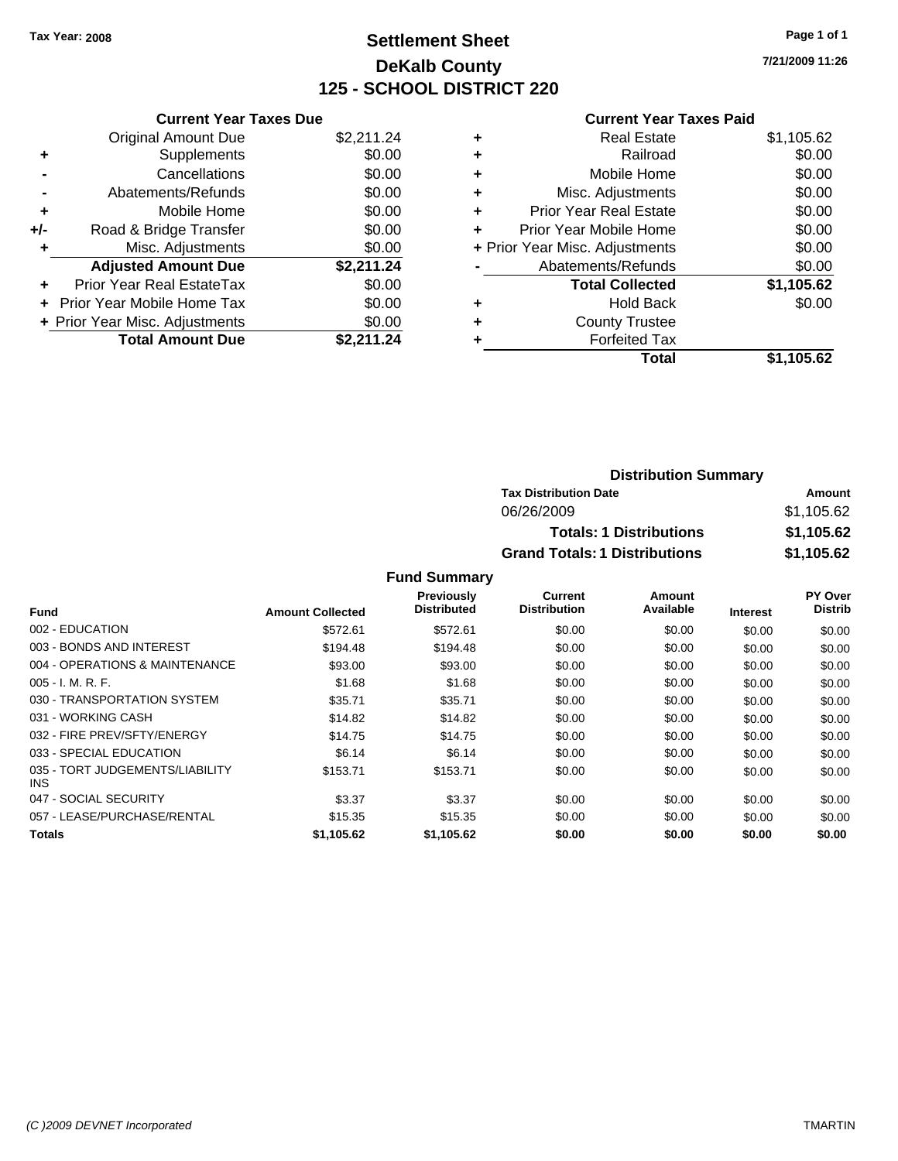### **Settlement Sheet Tax Year: 2008 Page 1 of 1 DeKalb County 125 - SCHOOL DISTRICT 220**

**7/21/2009 11:26**

#### **Current Year Taxes Paid**

|     | <b>Current Year Taxes Due</b>     |            |
|-----|-----------------------------------|------------|
|     | <b>Original Amount Due</b>        | \$2,211.24 |
| ٠   | Supplements                       | \$0.00     |
|     | Cancellations                     | \$0.00     |
|     | Abatements/Refunds                | \$0.00     |
| ٠   | Mobile Home                       | \$0.00     |
| +/- | Road & Bridge Transfer            | \$0.00     |
|     | Misc. Adjustments                 | \$0.00     |
|     | <b>Adjusted Amount Due</b>        | \$2,211.24 |
| ٠   | Prior Year Real EstateTax         | \$0.00     |
|     | <b>Prior Year Mobile Home Tax</b> | \$0.00     |
|     | + Prior Year Misc. Adjustments    | \$0.00     |
|     | <b>Total Amount Due</b>           | \$2,211.24 |

| ٠ | Real Estate                    | \$1,105.62 |
|---|--------------------------------|------------|
| ٠ | Railroad                       | \$0.00     |
| ٠ | Mobile Home                    | \$0.00     |
| ٠ | Misc. Adjustments              | \$0.00     |
| ٠ | <b>Prior Year Real Estate</b>  | \$0.00     |
| ٠ | Prior Year Mobile Home         | \$0.00     |
|   | + Prior Year Misc. Adjustments | \$0.00     |
|   | Abatements/Refunds             | \$0.00     |
|   | <b>Total Collected</b>         | \$1,105.62 |
| ٠ | Hold Back                      | \$0.00     |
| ٠ | <b>County Trustee</b>          |            |
|   | <b>Forfeited Tax</b>           |            |
|   | Total                          | \$1.105.62 |

| <b>Distribution Summary</b>          |            |
|--------------------------------------|------------|
| <b>Tax Distribution Date</b>         | Amount     |
| 06/26/2009                           | \$1,105.62 |
| <b>Totals: 1 Distributions</b>       | \$1,105.62 |
| <b>Grand Totals: 1 Distributions</b> | \$1,105.62 |

|                                         |                         | <b>Previously</b>  | Current             | Amount    |                 | <b>PY Over</b> |
|-----------------------------------------|-------------------------|--------------------|---------------------|-----------|-----------------|----------------|
| <b>Fund</b>                             | <b>Amount Collected</b> | <b>Distributed</b> | <b>Distribution</b> | Available | <b>Interest</b> | <b>Distrib</b> |
| 002 - EDUCATION                         | \$572.61                | \$572.61           | \$0.00              | \$0.00    | \$0.00          | \$0.00         |
| 003 - BONDS AND INTEREST                | \$194.48                | \$194.48           | \$0.00              | \$0.00    | \$0.00          | \$0.00         |
| 004 - OPERATIONS & MAINTENANCE          | \$93.00                 | \$93.00            | \$0.00              | \$0.00    | \$0.00          | \$0.00         |
| $005 - I. M. R. F.$                     | \$1.68                  | \$1.68             | \$0.00              | \$0.00    | \$0.00          | \$0.00         |
| 030 - TRANSPORTATION SYSTEM             | \$35.71                 | \$35.71            | \$0.00              | \$0.00    | \$0.00          | \$0.00         |
| 031 - WORKING CASH                      | \$14.82                 | \$14.82            | \$0.00              | \$0.00    | \$0.00          | \$0.00         |
| 032 - FIRE PREV/SFTY/ENERGY             | \$14.75                 | \$14.75            | \$0.00              | \$0.00    | \$0.00          | \$0.00         |
| 033 - SPECIAL EDUCATION                 | \$6.14                  | \$6.14             | \$0.00              | \$0.00    | \$0.00          | \$0.00         |
| 035 - TORT JUDGEMENTS/LIABILITY<br>INS. | \$153.71                | \$153.71           | \$0.00              | \$0.00    | \$0.00          | \$0.00         |
| 047 - SOCIAL SECURITY                   | \$3.37                  | \$3.37             | \$0.00              | \$0.00    | \$0.00          | \$0.00         |
| 057 - LEASE/PURCHASE/RENTAL             | \$15.35                 | \$15.35            | \$0.00              | \$0.00    | \$0.00          | \$0.00         |
| <b>Totals</b>                           | \$1,105.62              | \$1.105.62         | \$0.00              | \$0.00    | \$0.00          | \$0.00         |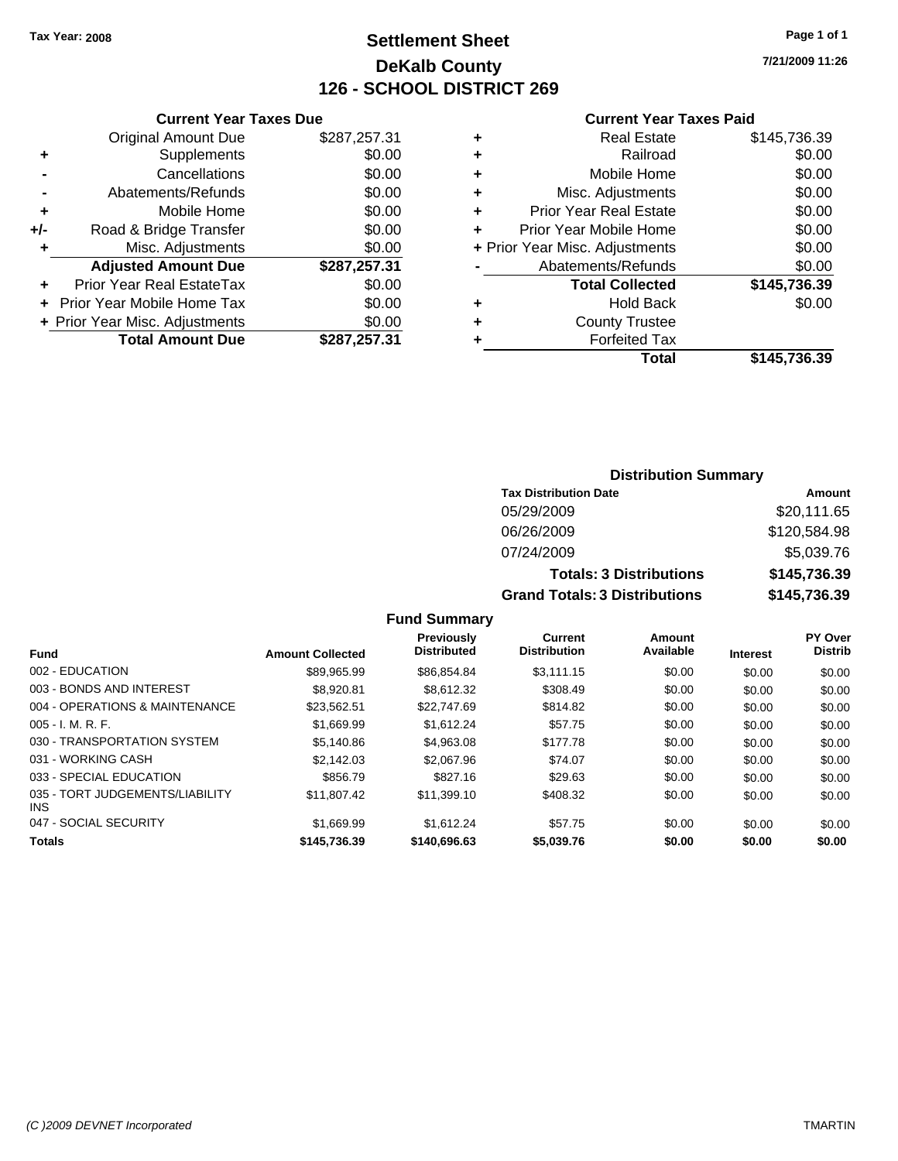### **Settlement Sheet Tax Year: 2008 Page 1 of 1 DeKalb County 126 - SCHOOL DISTRICT 269**

**7/21/2009 11:26**

#### **Current Year Taxes Paid**

|     | <b>Current Year Taxes Due</b>  |              |  |  |  |  |  |
|-----|--------------------------------|--------------|--|--|--|--|--|
|     | <b>Original Amount Due</b>     | \$287,257.31 |  |  |  |  |  |
| ٠   | Supplements                    | \$0.00       |  |  |  |  |  |
|     | Cancellations                  | \$0.00       |  |  |  |  |  |
|     | Abatements/Refunds             | \$0.00       |  |  |  |  |  |
| ٠   | Mobile Home                    | \$0.00       |  |  |  |  |  |
| +/- | Road & Bridge Transfer         | \$0.00       |  |  |  |  |  |
| ٠   | Misc. Adjustments              | \$0.00       |  |  |  |  |  |
|     | <b>Adjusted Amount Due</b>     | \$287,257.31 |  |  |  |  |  |
| ÷   | Prior Year Real EstateTax      | \$0.00       |  |  |  |  |  |
|     | Prior Year Mobile Home Tax     | \$0.00       |  |  |  |  |  |
|     | + Prior Year Misc. Adjustments | \$0.00       |  |  |  |  |  |
|     | <b>Total Amount Due</b>        | \$287,257.31 |  |  |  |  |  |
|     |                                |              |  |  |  |  |  |

| \$145,736.39<br><b>Real Estate</b>       |
|------------------------------------------|
| \$0.00<br>Railroad                       |
| \$0.00<br>Mobile Home                    |
| \$0.00<br>Misc. Adjustments              |
| \$0.00<br><b>Prior Year Real Estate</b>  |
| \$0.00<br>Prior Year Mobile Home         |
| \$0.00<br>+ Prior Year Misc. Adjustments |
| \$0.00<br>Abatements/Refunds             |
| \$145,736.39<br><b>Total Collected</b>   |
| \$0.00<br><b>Hold Back</b>               |
| <b>County Trustee</b>                    |
| <b>Forfeited Tax</b>                     |
| Total<br>\$145,736.39                    |
|                                          |

### **Distribution Summary**

| <b>Tax Distribution Date</b>         | Amount       |
|--------------------------------------|--------------|
| 05/29/2009                           | \$20,111.65  |
| 06/26/2009                           | \$120,584.98 |
| 07/24/2009                           | \$5,039.76   |
| <b>Totals: 3 Distributions</b>       | \$145,736.39 |
| <b>Grand Totals: 3 Distributions</b> | \$145,736.39 |

|                                         |                         | Previously         | Current             | Amount    |                 | <b>PY Over</b> |
|-----------------------------------------|-------------------------|--------------------|---------------------|-----------|-----------------|----------------|
| <b>Fund</b>                             | <b>Amount Collected</b> | <b>Distributed</b> | <b>Distribution</b> | Available | <b>Interest</b> | <b>Distrib</b> |
| 002 - EDUCATION                         | \$89.965.99             | \$86.854.84        | \$3.111.15          | \$0.00    | \$0.00          | \$0.00         |
| 003 - BONDS AND INTEREST                | \$8.920.81              | \$8.612.32         | \$308.49            | \$0.00    | \$0.00          | \$0.00         |
| 004 - OPERATIONS & MAINTENANCE          | \$23.562.51             | \$22,747.69        | \$814.82            | \$0.00    | \$0.00          | \$0.00         |
| $005 - I. M. R. F.$                     | \$1,669.99              | \$1.612.24         | \$57.75             | \$0.00    | \$0.00          | \$0.00         |
| 030 - TRANSPORTATION SYSTEM             | \$5,140.86              | \$4,963.08         | \$177.78            | \$0.00    | \$0.00          | \$0.00         |
| 031 - WORKING CASH                      | \$2.142.03              | \$2,067.96         | \$74.07             | \$0.00    | \$0.00          | \$0.00         |
| 033 - SPECIAL EDUCATION                 | \$856.79                | \$827.16           | \$29.63             | \$0.00    | \$0.00          | \$0.00         |
| 035 - TORT JUDGEMENTS/LIABILITY<br>INS. | \$11.807.42             | \$11,399.10        | \$408.32            | \$0.00    | \$0.00          | \$0.00         |
| 047 - SOCIAL SECURITY                   | \$1.669.99              | \$1.612.24         | \$57.75             | \$0.00    | \$0.00          | \$0.00         |
| <b>Totals</b>                           | \$145.736.39            | \$140,696.63       | \$5.039.76          | \$0.00    | \$0.00          | \$0.00         |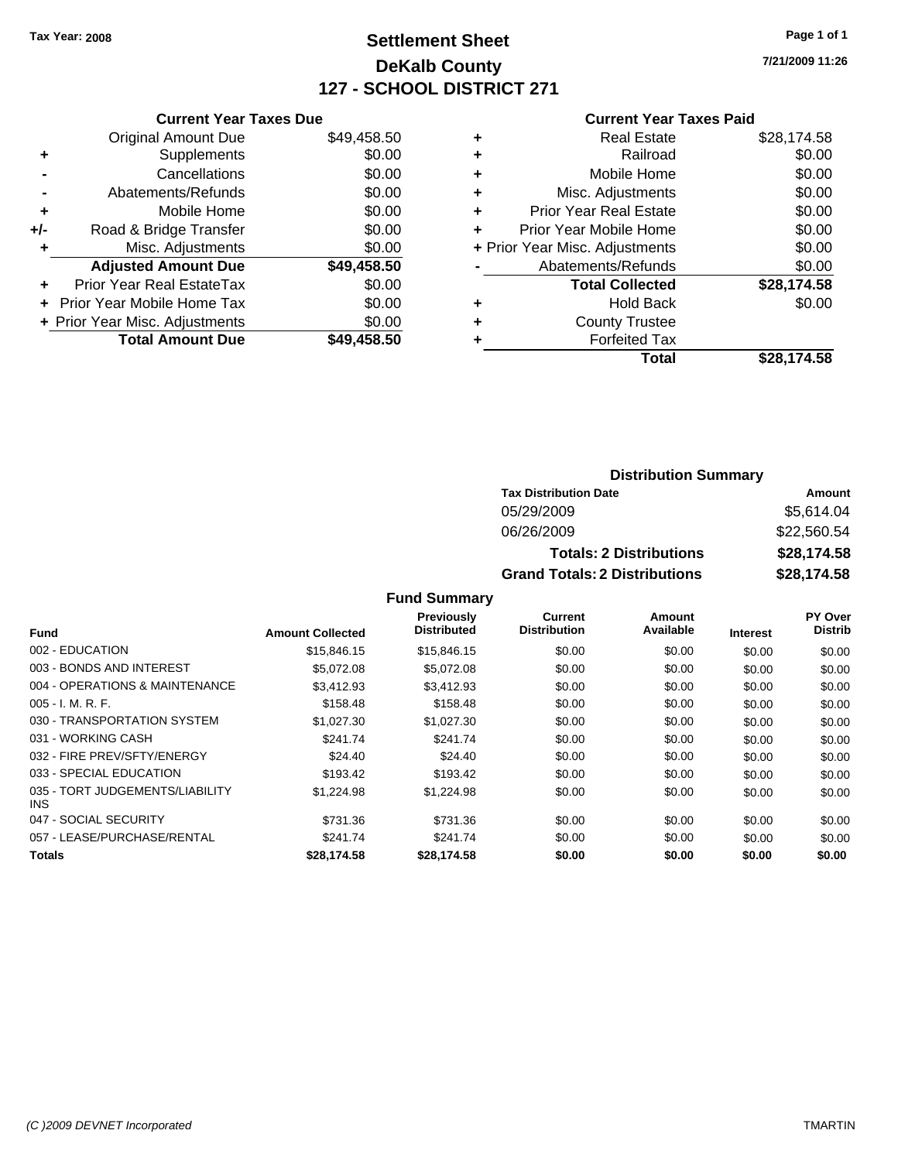### **Settlement Sheet Tax Year: 2008 Page 1 of 1 DeKalb County 127 - SCHOOL DISTRICT 271**

**7/21/2009 11:26**

#### **Current Year Taxes Paid**

|     | <b>Current Year Taxes Due</b>  |             |
|-----|--------------------------------|-------------|
|     | <b>Original Amount Due</b>     | \$49,458.50 |
| ٠   | Supplements                    | \$0.00      |
|     | Cancellations                  | \$0.00      |
|     | Abatements/Refunds             | \$0.00      |
| ٠   | Mobile Home                    | \$0.00      |
| +/- | Road & Bridge Transfer         | \$0.00      |
| ٠   | Misc. Adjustments              | \$0.00      |
|     | <b>Adjusted Amount Due</b>     | \$49,458.50 |
| ٠   | Prior Year Real EstateTax      | \$0.00      |
|     | Prior Year Mobile Home Tax     | \$0.00      |
|     | + Prior Year Misc. Adjustments | \$0.00      |
|     | <b>Total Amount Due</b>        | \$49,458.50 |
|     |                                |             |

| <b>Real Estate</b>             | \$28,174.58 |
|--------------------------------|-------------|
| Railroad                       | \$0.00      |
| Mobile Home                    | \$0.00      |
| Misc. Adjustments              | \$0.00      |
| <b>Prior Year Real Estate</b>  | \$0.00      |
| Prior Year Mobile Home         | \$0.00      |
| + Prior Year Misc. Adjustments | \$0.00      |
| Abatements/Refunds             | \$0.00      |
| <b>Total Collected</b>         | \$28,174.58 |
| Hold Back                      | \$0.00      |
| <b>County Trustee</b>          |             |
| <b>Forfeited Tax</b>           |             |
| Total                          | \$28,174.58 |
|                                |             |

#### **Distribution Summary**

| <b>Tax Distribution Date</b>         | Amount      |
|--------------------------------------|-------------|
| 05/29/2009                           | \$5,614.04  |
| 06/26/2009                           | \$22,560.54 |
| <b>Totals: 2 Distributions</b>       | \$28,174.58 |
| <b>Grand Totals: 2 Distributions</b> | \$28,174.58 |

|                                         |                         | <b>Previously</b>  | Current             | Amount    |                 | PY Over        |
|-----------------------------------------|-------------------------|--------------------|---------------------|-----------|-----------------|----------------|
| <b>Fund</b>                             | <b>Amount Collected</b> | <b>Distributed</b> | <b>Distribution</b> | Available | <b>Interest</b> | <b>Distrib</b> |
| 002 - EDUCATION                         | \$15,846.15             | \$15,846.15        | \$0.00              | \$0.00    | \$0.00          | \$0.00         |
| 003 - BONDS AND INTEREST                | \$5,072.08              | \$5.072.08         | \$0.00              | \$0.00    | \$0.00          | \$0.00         |
| 004 - OPERATIONS & MAINTENANCE          | \$3.412.93              | \$3.412.93         | \$0.00              | \$0.00    | \$0.00          | \$0.00         |
| $005 - I. M. R. F.$                     | \$158.48                | \$158.48           | \$0.00              | \$0.00    | \$0.00          | \$0.00         |
| 030 - TRANSPORTATION SYSTEM             | \$1,027.30              | \$1,027.30         | \$0.00              | \$0.00    | \$0.00          | \$0.00         |
| 031 - WORKING CASH                      | \$241.74                | \$241.74           | \$0.00              | \$0.00    | \$0.00          | \$0.00         |
| 032 - FIRE PREV/SFTY/ENERGY             | \$24.40                 | \$24.40            | \$0.00              | \$0.00    | \$0.00          | \$0.00         |
| 033 - SPECIAL EDUCATION                 | \$193.42                | \$193.42           | \$0.00              | \$0.00    | \$0.00          | \$0.00         |
| 035 - TORT JUDGEMENTS/LIABILITY<br>INS. | \$1,224.98              | \$1,224.98         | \$0.00              | \$0.00    | \$0.00          | \$0.00         |
| 047 - SOCIAL SECURITY                   | \$731.36                | \$731.36           | \$0.00              | \$0.00    | \$0.00          | \$0.00         |
| 057 - LEASE/PURCHASE/RENTAL             | \$241.74                | \$241.74           | \$0.00              | \$0.00    | \$0.00          | \$0.00         |
| <b>Totals</b>                           | \$28.174.58             | \$28.174.58        | \$0.00              | \$0.00    | \$0.00          | \$0.00         |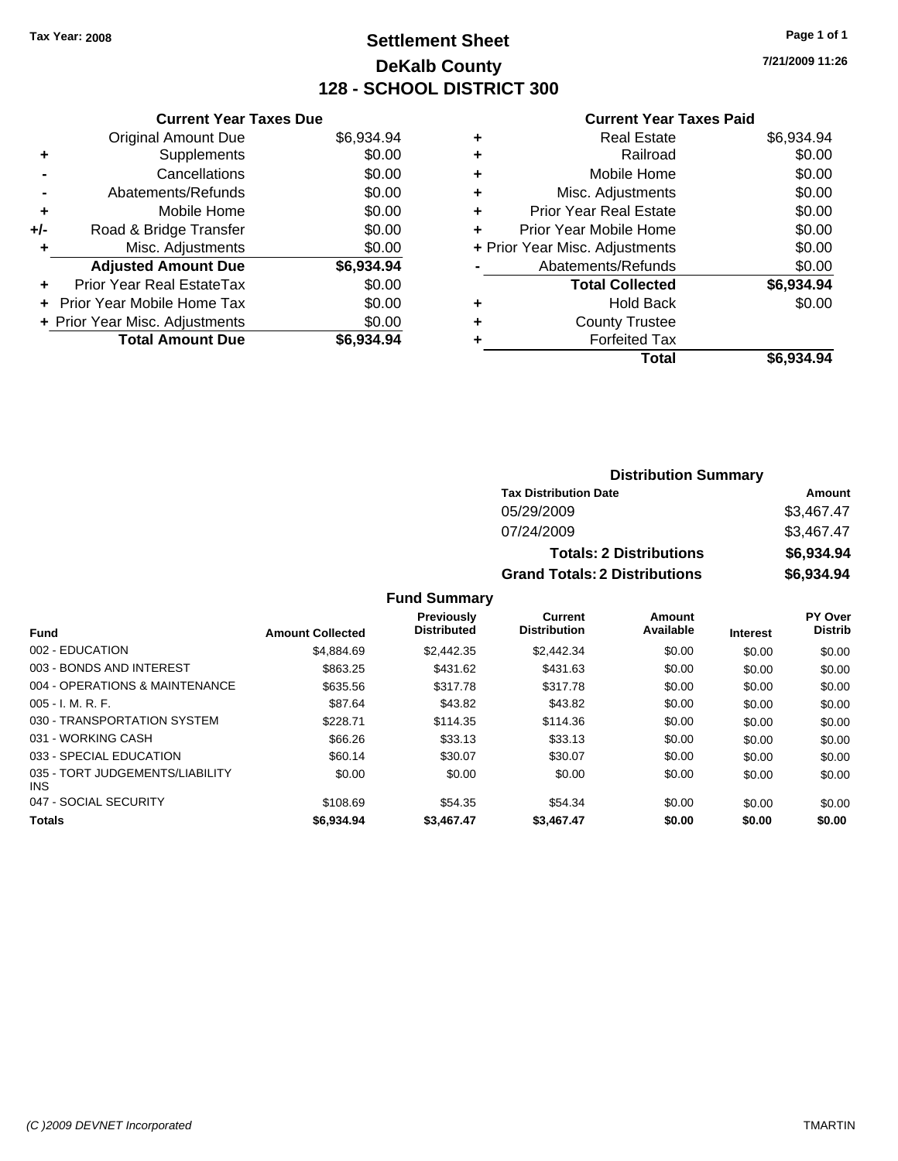### **Settlement Sheet Tax Year: 2008 Page 1 of 1 DeKalb County 128 - SCHOOL DISTRICT 300**

**7/21/2009 11:26**

#### **Current Year Taxes Paid**

|     | <b>Current Year Taxes Due</b>  |            |
|-----|--------------------------------|------------|
|     | <b>Original Amount Due</b>     | \$6,934.94 |
| ٠   | Supplements                    | \$0.00     |
|     | Cancellations                  | \$0.00     |
|     | Abatements/Refunds             | \$0.00     |
| ٠   | Mobile Home                    | \$0.00     |
| +/- | Road & Bridge Transfer         | \$0.00     |
| ٠   | Misc. Adjustments              | \$0.00     |
|     | <b>Adjusted Amount Due</b>     | \$6,934.94 |
| ÷   | Prior Year Real EstateTax      | \$0.00     |
|     | Prior Year Mobile Home Tax     | \$0.00     |
|     | + Prior Year Misc. Adjustments | \$0.00     |
|     | <b>Total Amount Due</b>        | \$6,934.94 |
|     |                                |            |

| <b>Real Estate</b>             | \$6,934.94 |
|--------------------------------|------------|
| Railroad                       | \$0.00     |
| Mobile Home                    | \$0.00     |
| Misc. Adjustments              | \$0.00     |
| <b>Prior Year Real Estate</b>  | \$0.00     |
| Prior Year Mobile Home         | \$0.00     |
| + Prior Year Misc. Adjustments | \$0.00     |
| Abatements/Refunds             | \$0.00     |
| <b>Total Collected</b>         | \$6,934.94 |
| <b>Hold Back</b>               | \$0.00     |
| <b>County Trustee</b>          |            |
| <b>Forfeited Tax</b>           |            |
| Total                          | \$6,934.94 |
|                                |            |

| <b>Distribution Summary</b>          |            |  |  |
|--------------------------------------|------------|--|--|
| <b>Tax Distribution Date</b>         | Amount     |  |  |
| 05/29/2009                           | \$3,467.47 |  |  |
| 07/24/2009                           | \$3,467.47 |  |  |
| <b>Totals: 2 Distributions</b>       | \$6,934.94 |  |  |
| <b>Grand Totals: 2 Distributions</b> | \$6,934.94 |  |  |

|                                               |                         | <b>Previously</b><br><b>Distributed</b> | Current<br><b>Distribution</b> | Amount<br>Available |                 | <b>PY Over</b><br><b>Distrib</b> |
|-----------------------------------------------|-------------------------|-----------------------------------------|--------------------------------|---------------------|-----------------|----------------------------------|
| <b>Fund</b>                                   | <b>Amount Collected</b> |                                         |                                |                     | <b>Interest</b> |                                  |
| 002 - EDUCATION                               | \$4,884.69              | \$2,442.35                              | \$2,442.34                     | \$0.00              | \$0.00          | \$0.00                           |
| 003 - BONDS AND INTEREST                      | \$863.25                | \$431.62                                | \$431.63                       | \$0.00              | \$0.00          | \$0.00                           |
| 004 - OPERATIONS & MAINTENANCE                | \$635.56                | \$317.78                                | \$317.78                       | \$0.00              | \$0.00          | \$0.00                           |
| $005 - I. M. R. F.$                           | \$87.64                 | \$43.82                                 | \$43.82                        | \$0.00              | \$0.00          | \$0.00                           |
| 030 - TRANSPORTATION SYSTEM                   | \$228.71                | \$114.35                                | \$114.36                       | \$0.00              | \$0.00          | \$0.00                           |
| 031 - WORKING CASH                            | \$66.26                 | \$33.13                                 | \$33.13                        | \$0.00              | \$0.00          | \$0.00                           |
| 033 - SPECIAL EDUCATION                       | \$60.14                 | \$30.07                                 | \$30.07                        | \$0.00              | \$0.00          | \$0.00                           |
| 035 - TORT JUDGEMENTS/LIABILITY<br><b>INS</b> | \$0.00                  | \$0.00                                  | \$0.00                         | \$0.00              | \$0.00          | \$0.00                           |
| 047 - SOCIAL SECURITY                         | \$108.69                | \$54.35                                 | \$54.34                        | \$0.00              | \$0.00          | \$0.00                           |
| <b>Totals</b>                                 | \$6,934.94              | \$3,467.47                              | \$3,467.47                     | \$0.00              | \$0.00          | \$0.00                           |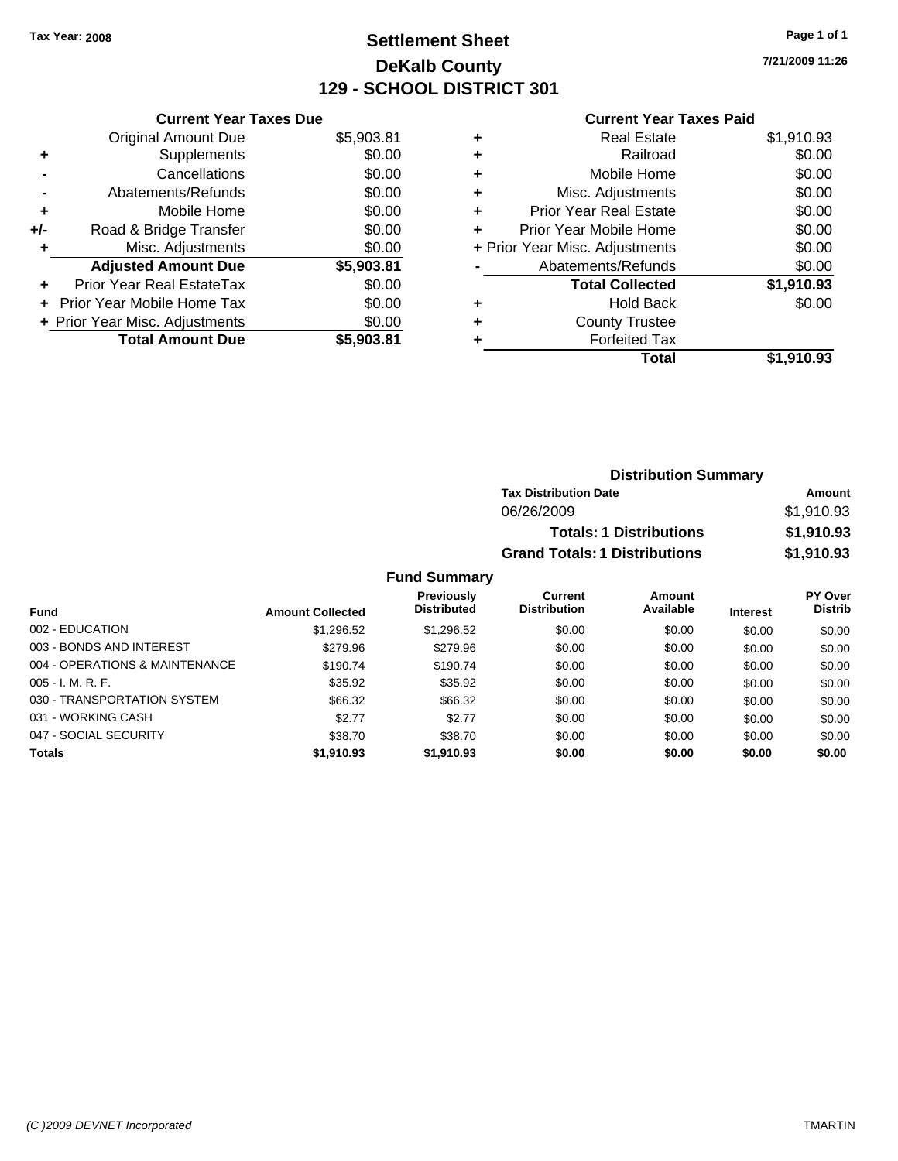### **Settlement Sheet Tax Year: 2008 Page 1 of 1 DeKalb County 129 - SCHOOL DISTRICT 301**

**7/21/2009 11:26**

#### **Current Year Taxes Paid**

|     | <b>Current Year Taxes Due</b>  |            |
|-----|--------------------------------|------------|
|     | <b>Original Amount Due</b>     | \$5,903.81 |
| ÷   | Supplements                    | \$0.00     |
|     | Cancellations                  | \$0.00     |
|     | Abatements/Refunds             | \$0.00     |
| ٠   | Mobile Home                    | \$0.00     |
| +/- | Road & Bridge Transfer         | \$0.00     |
|     | Misc. Adjustments              | \$0.00     |
|     | <b>Adjusted Amount Due</b>     | \$5,903.81 |
| ÷   | Prior Year Real EstateTax      | \$0.00     |
|     | Prior Year Mobile Home Tax     | \$0.00     |
|     | + Prior Year Misc. Adjustments | \$0.00     |
|     | <b>Total Amount Due</b>        | \$5,903,81 |

| ٠ | <b>Real Estate</b>             | \$1,910.93 |
|---|--------------------------------|------------|
| ٠ | Railroad                       | \$0.00     |
| ٠ | Mobile Home                    | \$0.00     |
| ٠ | Misc. Adjustments              | \$0.00     |
| ÷ | <b>Prior Year Real Estate</b>  | \$0.00     |
| ٠ | Prior Year Mobile Home         | \$0.00     |
|   | + Prior Year Misc. Adjustments | \$0.00     |
|   | Abatements/Refunds             | \$0.00     |
|   | <b>Total Collected</b>         | \$1,910.93 |
| ٠ | <b>Hold Back</b>               | \$0.00     |
| ٠ | <b>County Trustee</b>          |            |
| ٠ | <b>Forfeited Tax</b>           |            |
|   | Total                          | \$1,910.93 |
|   |                                |            |

| <b>Distribution Summary</b>          |            |
|--------------------------------------|------------|
| <b>Tax Distribution Date</b>         | Amount     |
| 06/26/2009                           | \$1,910.93 |
| <b>Totals: 1 Distributions</b>       | \$1,910.93 |
| <b>Grand Totals: 1 Distributions</b> | \$1,910.93 |

|                                |                         | <b>Previously</b><br><b>Distributed</b> | Current<br><b>Distribution</b> | Amount<br>Available |                 | <b>PY Over</b><br><b>Distrib</b> |
|--------------------------------|-------------------------|-----------------------------------------|--------------------------------|---------------------|-----------------|----------------------------------|
| <b>Fund</b>                    | <b>Amount Collected</b> |                                         |                                |                     | <b>Interest</b> |                                  |
| 002 - EDUCATION                | \$1,296.52              | \$1,296.52                              | \$0.00                         | \$0.00              | \$0.00          | \$0.00                           |
| 003 - BONDS AND INTEREST       | \$279.96                | \$279.96                                | \$0.00                         | \$0.00              | \$0.00          | \$0.00                           |
| 004 - OPERATIONS & MAINTENANCE | \$190.74                | \$190.74                                | \$0.00                         | \$0.00              | \$0.00          | \$0.00                           |
| $005 - I. M. R. F.$            | \$35.92                 | \$35.92                                 | \$0.00                         | \$0.00              | \$0.00          | \$0.00                           |
| 030 - TRANSPORTATION SYSTEM    | \$66.32                 | \$66.32                                 | \$0.00                         | \$0.00              | \$0.00          | \$0.00                           |
| 031 - WORKING CASH             | \$2.77                  | \$2.77                                  | \$0.00                         | \$0.00              | \$0.00          | \$0.00                           |
| 047 - SOCIAL SECURITY          | \$38.70                 | \$38.70                                 | \$0.00                         | \$0.00              | \$0.00          | \$0.00                           |
| <b>Totals</b>                  | \$1,910.93              | \$1,910.93                              | \$0.00                         | \$0.00              | \$0.00          | \$0.00                           |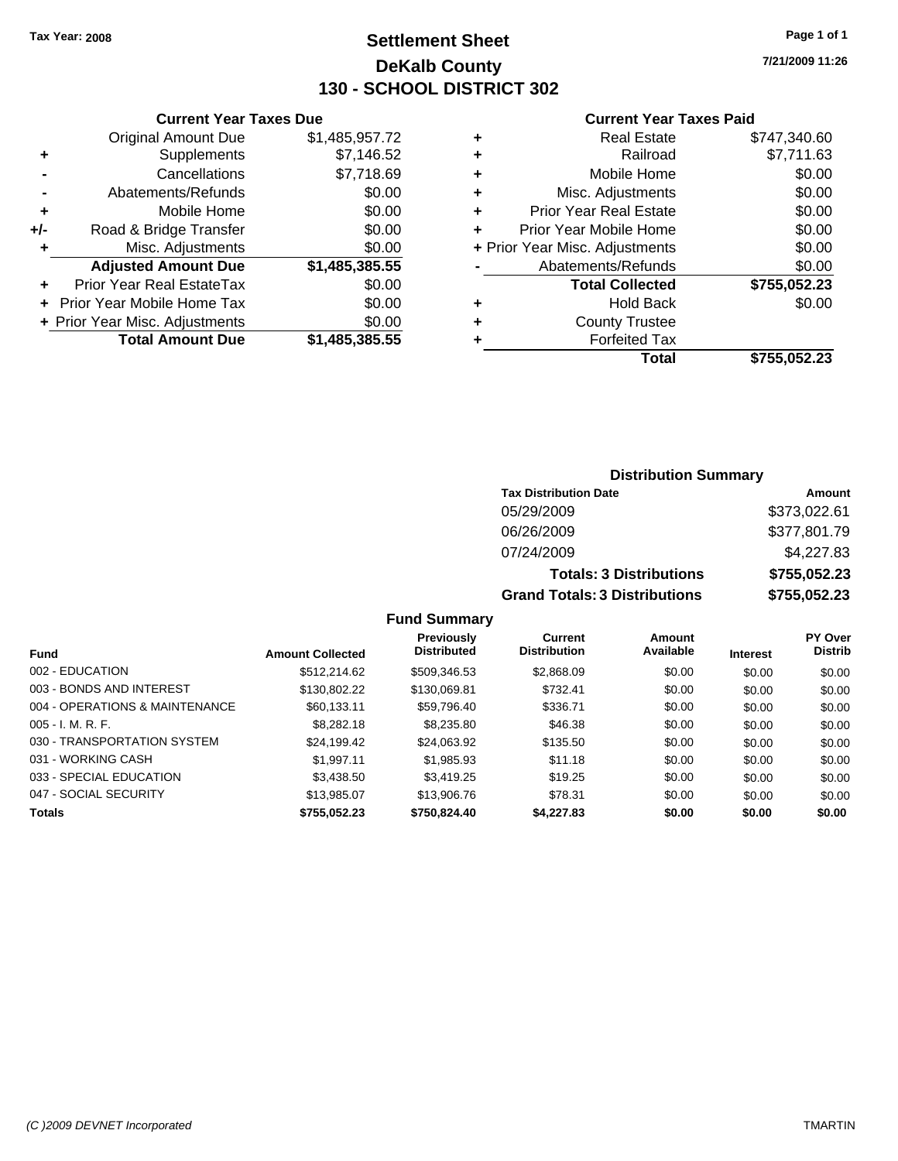### **Settlement Sheet Tax Year: 2008 Page 1 of 1 DeKalb County 130 - SCHOOL DISTRICT 302**

**7/21/2009 11:26**

#### **Current Year Taxes Paid**

| <b>Current Year Taxes Due</b> |  |  |  |  |
|-------------------------------|--|--|--|--|
| \$1,485,957.72                |  |  |  |  |
| \$7,146.52                    |  |  |  |  |
| \$7,718.69                    |  |  |  |  |
| \$0.00                        |  |  |  |  |
| \$0.00                        |  |  |  |  |
| \$0.00                        |  |  |  |  |
| \$0.00                        |  |  |  |  |
| \$1,485,385.55                |  |  |  |  |
| \$0.00                        |  |  |  |  |
| \$0.00                        |  |  |  |  |
| \$0.00                        |  |  |  |  |
|                               |  |  |  |  |
|                               |  |  |  |  |

|   | <b>Real Estate</b>             | \$747,340.60 |
|---|--------------------------------|--------------|
| ٠ | Railroad                       | \$7,711.63   |
| ٠ | Mobile Home                    | \$0.00       |
| ٠ | Misc. Adjustments              | \$0.00       |
| ٠ | <b>Prior Year Real Estate</b>  | \$0.00       |
|   | Prior Year Mobile Home         | \$0.00       |
|   | + Prior Year Misc. Adjustments | \$0.00       |
|   | Abatements/Refunds             | \$0.00       |
|   | <b>Total Collected</b>         | \$755,052.23 |
| ٠ | Hold Back                      | \$0.00       |
| ٠ | <b>County Trustee</b>          |              |
| ٠ | <b>Forfeited Tax</b>           |              |
|   | Total                          | \$755,052.23 |
|   |                                |              |

### **Distribution Summary**

| <b>Tax Distribution Date</b>         | Amount       |
|--------------------------------------|--------------|
| 05/29/2009                           | \$373,022.61 |
| 06/26/2009                           | \$377,801.79 |
| 07/24/2009                           | \$4,227.83   |
| <b>Totals: 3 Distributions</b>       | \$755,052.23 |
| <b>Grand Totals: 3 Distributions</b> | \$755,052.23 |

### **Fund Summary**

| <b>Fund</b>                    | <b>Amount Collected</b> | Previously<br><b>Distributed</b> | Current<br><b>Distribution</b> | Amount<br>Available | <b>Interest</b> | <b>PY Over</b><br><b>Distrib</b> |
|--------------------------------|-------------------------|----------------------------------|--------------------------------|---------------------|-----------------|----------------------------------|
| 002 - EDUCATION                | \$512,214.62            | \$509,346.53                     | \$2,868.09                     | \$0.00              | \$0.00          | \$0.00                           |
| 003 - BONDS AND INTEREST       | \$130,802.22            | \$130,069.81                     | \$732.41                       | \$0.00              | \$0.00          | \$0.00                           |
| 004 - OPERATIONS & MAINTENANCE | \$60,133.11             | \$59,796.40                      | \$336.71                       | \$0.00              | \$0.00          | \$0.00                           |
| $005 - I. M. R. F.$            | \$8,282.18              | \$8,235.80                       | \$46.38                        | \$0.00              | \$0.00          | \$0.00                           |
| 030 - TRANSPORTATION SYSTEM    | \$24,199.42             | \$24,063.92                      | \$135.50                       | \$0.00              | \$0.00          | \$0.00                           |
| 031 - WORKING CASH             | \$1.997.11              | \$1,985.93                       | \$11.18                        | \$0.00              | \$0.00          | \$0.00                           |
| 033 - SPECIAL EDUCATION        | \$3,438.50              | \$3,419.25                       | \$19.25                        | \$0.00              | \$0.00          | \$0.00                           |
| 047 - SOCIAL SECURITY          | \$13.985.07             | \$13,906.76                      | \$78.31                        | \$0.00              | \$0.00          | \$0.00                           |
| <b>Totals</b>                  | \$755.052.23            | \$750,824.40                     | \$4,227.83                     | \$0.00              | \$0.00          | \$0.00                           |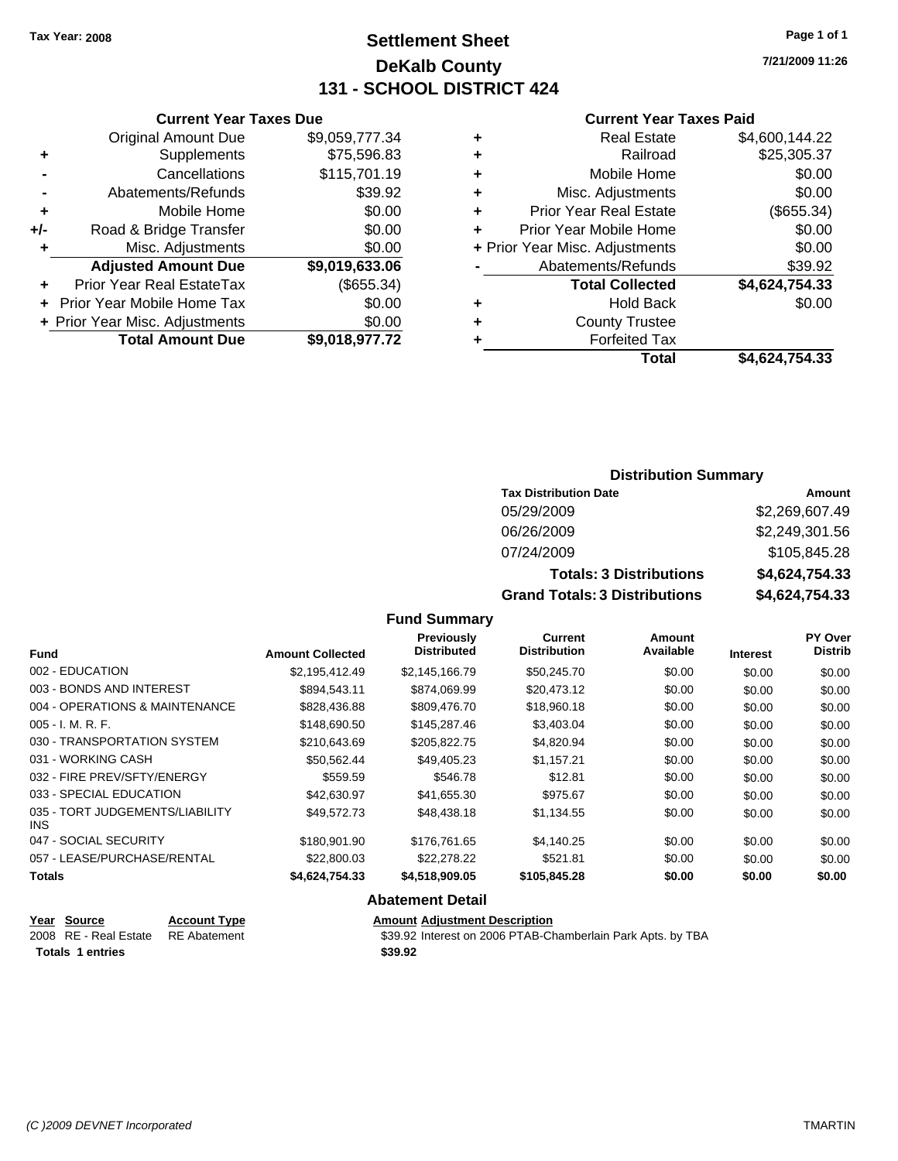**Current Year Taxes Due** Original Amount Due \$9,059,777.34

**Adjusted Amount Due \$9,019,633.06**

**+** Supplements \$75,596.83 **-** Cancellations \$115,701.19 **-** Abatements/Refunds \$39.92 **+** Mobile Home \$0.00 **+/-** Road & Bridge Transfer \$0.00 **+** Misc. Adjustments \$0.00

**+** Prior Year Real EstateTax (\$655.34) **+** Prior Year Mobile Home Tax \$0.00 **+ Prior Year Misc. Adjustments \$0.00<br>Total Amount Due \$9,018,977.72** 

**Total Amount Due** 

### **Settlement Sheet Tax Year: 2008 Page 1 of 1 DeKalb County 131 - SCHOOL DISTRICT 424**

**7/21/2009 11:26**

#### **Current Year Taxes Paid**

|   | Total                          | \$4,624,754.33 |
|---|--------------------------------|----------------|
|   | <b>Forfeited Tax</b>           |                |
| ÷ | <b>County Trustee</b>          |                |
| ٠ | <b>Hold Back</b>               | \$0.00         |
|   | <b>Total Collected</b>         | \$4,624,754.33 |
|   | Abatements/Refunds             | \$39.92        |
|   | + Prior Year Misc. Adjustments | \$0.00         |
|   | Prior Year Mobile Home         | \$0.00         |
| ٠ | <b>Prior Year Real Estate</b>  | (\$655.34)     |
| ٠ | Misc. Adjustments              | \$0.00         |
| ٠ | Mobile Home                    | \$0.00         |
| ٠ | Railroad                       | \$25,305.37    |
|   |                                |                |
| ٠ | <b>Real Estate</b>             | \$4,600,144.22 |

### **Distribution Summary**

| <b>Tax Distribution Date</b>         | Amount         |
|--------------------------------------|----------------|
| 05/29/2009                           | \$2,269,607.49 |
| 06/26/2009                           | \$2,249,301.56 |
| 07/24/2009                           | \$105,845.28   |
| <b>Totals: 3 Distributions</b>       | \$4,624,754.33 |
| <b>Grand Totals: 3 Distributions</b> | \$4,624,754.33 |

#### **Fund Summary**

| <b>Fund</b>                             | <b>Amount Collected</b> | <b>Previously</b><br><b>Distributed</b> | Current<br><b>Distribution</b> | Amount<br>Available | <b>Interest</b> | PY Over<br><b>Distrib</b> |
|-----------------------------------------|-------------------------|-----------------------------------------|--------------------------------|---------------------|-----------------|---------------------------|
| 002 - EDUCATION                         | \$2,195,412.49          | \$2,145,166.79                          | \$50,245.70                    | \$0.00              | \$0.00          | \$0.00                    |
| 003 - BONDS AND INTEREST                | \$894.543.11            | \$874.069.99                            | \$20.473.12                    | \$0.00              | \$0.00          | \$0.00                    |
| 004 - OPERATIONS & MAINTENANCE          | \$828,436.88            | \$809,476.70                            | \$18,960.18                    | \$0.00              | \$0.00          | \$0.00                    |
| $005 - I. M. R. F.$                     | \$148,690.50            | \$145,287.46                            | \$3,403.04                     | \$0.00              | \$0.00          | \$0.00                    |
| 030 - TRANSPORTATION SYSTEM             | \$210,643.69            | \$205,822,75                            | \$4,820.94                     | \$0.00              | \$0.00          | \$0.00                    |
| 031 - WORKING CASH                      | \$50.562.44             | \$49.405.23                             | \$1,157.21                     | \$0.00              | \$0.00          | \$0.00                    |
| 032 - FIRE PREV/SFTY/ENERGY             | \$559.59                | \$546.78                                | \$12.81                        | \$0.00              | \$0.00          | \$0.00                    |
| 033 - SPECIAL EDUCATION                 | \$42,630.97             | \$41,655.30                             | \$975.67                       | \$0.00              | \$0.00          | \$0.00                    |
| 035 - TORT JUDGEMENTS/LIABILITY<br>INS. | \$49.572.73             | \$48,438.18                             | \$1,134.55                     | \$0.00              | \$0.00          | \$0.00                    |
| 047 - SOCIAL SECURITY                   | \$180,901.90            | \$176.761.65                            | \$4.140.25                     | \$0.00              | \$0.00          | \$0.00                    |
| 057 - LEASE/PURCHASE/RENTAL             | \$22,800.03             | \$22,278.22                             | \$521.81                       | \$0.00              | \$0.00          | \$0.00                    |
| <b>Totals</b>                           | \$4,624,754.33          | \$4,518,909.05                          | \$105,845.28                   | \$0.00              | \$0.00          | \$0.00                    |

#### **Abatement Detail**

| Year Source                        | <b>Account Type</b> | <b>Amount Adiustment Description</b>                        |
|------------------------------------|---------------------|-------------------------------------------------------------|
| 2008 RE - Real Estate RE Abatement |                     | \$39.92 Interest on 2006 PTAB-Chamberlain Park Apts. by TBA |
| <b>Totals 1 entries</b>            |                     | \$39.92                                                     |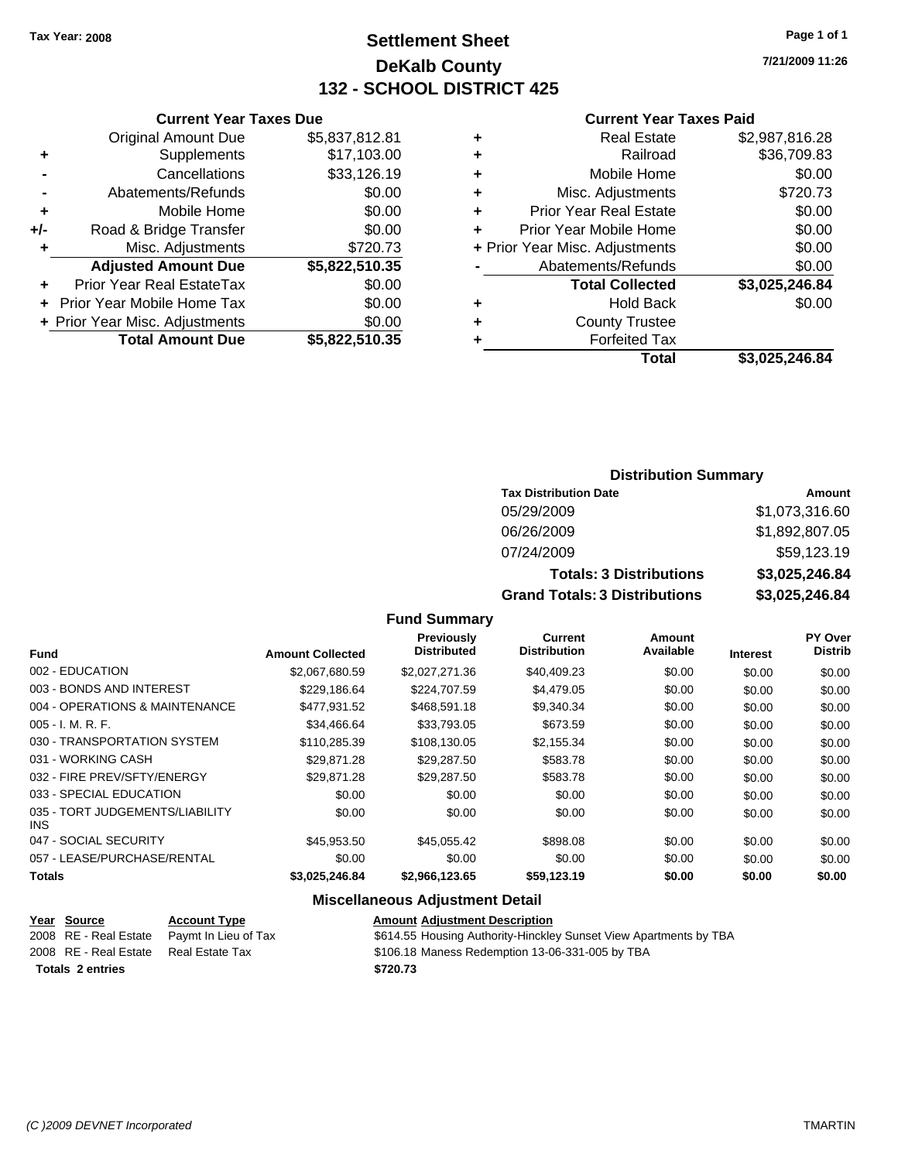### **Settlement Sheet Tax Year: 2008 Page 1 of 1 DeKalb County 132 - SCHOOL DISTRICT 425**

**7/21/2009 11:26**

#### **Current Year Taxes Paid**

|     | <b>Current Year Taxes Due</b>  |                |           |
|-----|--------------------------------|----------------|-----------|
|     | <b>Original Amount Due</b>     | \$5,837,812.81 | ٠         |
|     | Supplements                    | \$17,103.00    |           |
|     | Cancellations                  | \$33,126.19    | ٠         |
|     | Abatements/Refunds             | \$0.00         | ٠         |
|     | Mobile Home                    | \$0.00         |           |
| +/- | Road & Bridge Transfer         | \$0.00         | Р         |
|     | Misc. Adjustments              | \$720.73       | + Prior Y |
|     | <b>Adjusted Amount Due</b>     | \$5,822,510.35 |           |
|     | Prior Year Real EstateTax      | \$0.00         |           |
|     | Prior Year Mobile Home Tax     | \$0.00         | ٠         |
|     | + Prior Year Misc. Adjustments | \$0.00         |           |
|     | <b>Total Amount Due</b>        | \$5,822,510.35 |           |
|     |                                |                |           |

|   | Total                          | \$3,025,246.84 |
|---|--------------------------------|----------------|
|   | <b>Forfeited Tax</b>           |                |
| ٠ | <b>County Trustee</b>          |                |
| ٠ | <b>Hold Back</b>               | \$0.00         |
|   | <b>Total Collected</b>         | \$3,025,246.84 |
|   | Abatements/Refunds             | \$0.00         |
|   | + Prior Year Misc. Adjustments | \$0.00         |
|   | Prior Year Mobile Home         | \$0.00         |
| ٠ | <b>Prior Year Real Estate</b>  | \$0.00         |
| ٠ | Misc. Adjustments              | \$720.73       |
| ٠ | Mobile Home                    | \$0.00         |
| ÷ | Railroad                       | \$36,709.83    |
|   | <b>Real Estate</b>             | \$2,987,816.28 |

### **Distribution Summary**

| <b>Tax Distribution Date</b>         | Amount         |
|--------------------------------------|----------------|
| 05/29/2009                           | \$1,073,316.60 |
| 06/26/2009                           | \$1,892,807.05 |
| 07/24/2009                           | \$59,123.19    |
| <b>Totals: 3 Distributions</b>       | \$3,025,246.84 |
| <b>Grand Totals: 3 Distributions</b> | \$3,025,246.84 |

### **Fund Summary**

|                                         |                         | <b>Previously</b>  | Current             | Amount    |                 | <b>PY Over</b> |
|-----------------------------------------|-------------------------|--------------------|---------------------|-----------|-----------------|----------------|
| <b>Fund</b>                             | <b>Amount Collected</b> | <b>Distributed</b> | <b>Distribution</b> | Available | <b>Interest</b> | <b>Distrib</b> |
| 002 - EDUCATION                         | \$2,067,680.59          | \$2,027,271.36     | \$40,409.23         | \$0.00    | \$0.00          | \$0.00         |
| 003 - BONDS AND INTEREST                | \$229.186.64            | \$224,707.59       | \$4,479.05          | \$0.00    | \$0.00          | \$0.00         |
| 004 - OPERATIONS & MAINTENANCE          | \$477.931.52            | \$468.591.18       | \$9,340.34          | \$0.00    | \$0.00          | \$0.00         |
| $005 - I. M. R. F.$                     | \$34,466.64             | \$33,793.05        | \$673.59            | \$0.00    | \$0.00          | \$0.00         |
| 030 - TRANSPORTATION SYSTEM             | \$110,285,39            | \$108.130.05       | \$2,155.34          | \$0.00    | \$0.00          | \$0.00         |
| 031 - WORKING CASH                      | \$29.871.28             | \$29,287.50        | \$583.78            | \$0.00    | \$0.00          | \$0.00         |
| 032 - FIRE PREV/SFTY/ENERGY             | \$29.871.28             | \$29,287.50        | \$583.78            | \$0.00    | \$0.00          | \$0.00         |
| 033 - SPECIAL EDUCATION                 | \$0.00                  | \$0.00             | \$0.00              | \$0.00    | \$0.00          | \$0.00         |
| 035 - TORT JUDGEMENTS/LIABILITY<br>INS. | \$0.00                  | \$0.00             | \$0.00              | \$0.00    | \$0.00          | \$0.00         |
| 047 - SOCIAL SECURITY                   | \$45,953.50             | \$45,055.42        | \$898.08            | \$0.00    | \$0.00          | \$0.00         |
| 057 - LEASE/PURCHASE/RENTAL             | \$0.00                  | \$0.00             | \$0.00              | \$0.00    | \$0.00          | \$0.00         |
| <b>Totals</b>                           | \$3,025,246.84          | \$2,966,123.65     | \$59,123.19         | \$0.00    | \$0.00          | \$0.00         |

### **Miscellaneous Adjustment Detail**

| Year Source             | <b>Account Type</b>  | <b>Amount Adjustment Description</b>                              |
|-------------------------|----------------------|-------------------------------------------------------------------|
| 2008 RE - Real Estate   | Pavmt In Lieu of Tax | \$614.55 Housing Authority-Hinckley Sunset View Apartments by TBA |
| 2008 RE - Real Estate   | Real Estate Tax      | \$106.18 Maness Redemption 13-06-331-005 by TBA                   |
| <b>Totals 2 entries</b> |                      | \$720.73                                                          |
|                         |                      |                                                                   |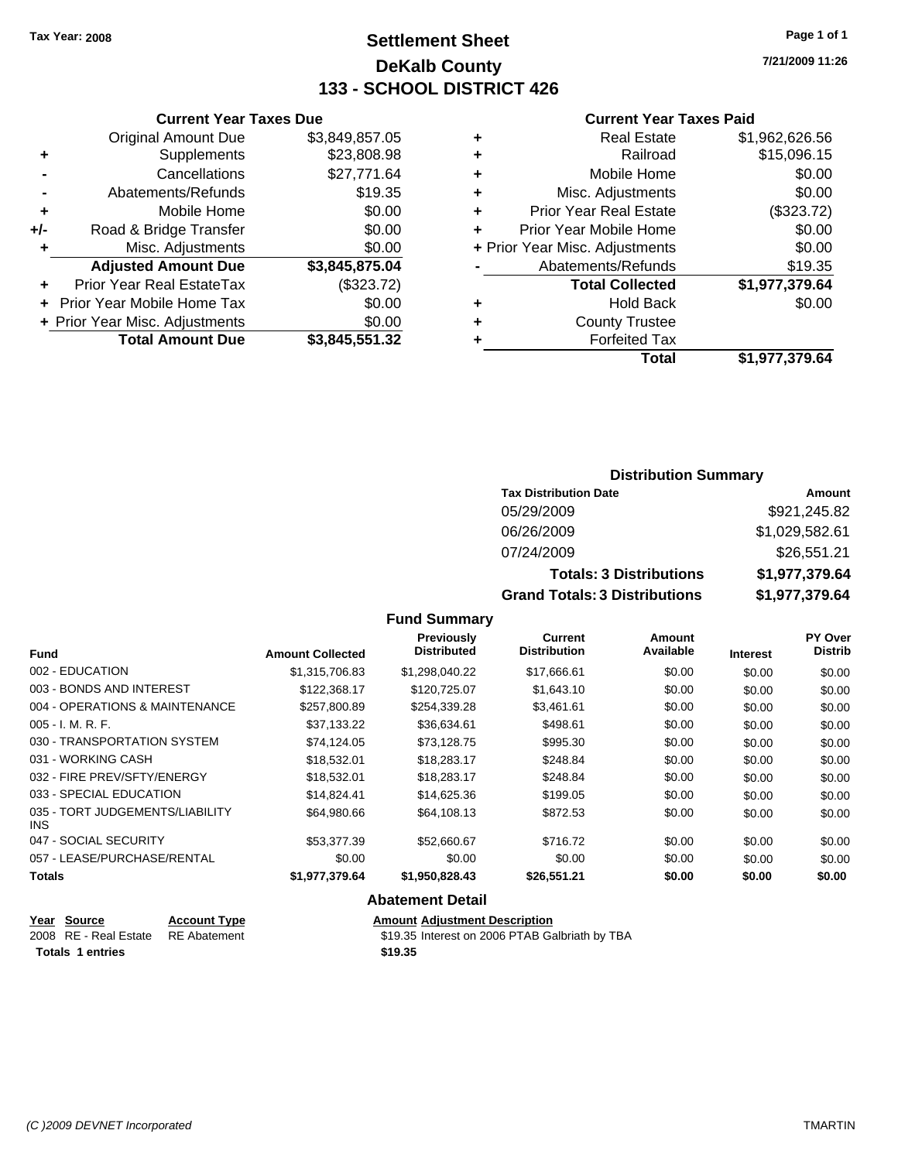### **Settlement Sheet Tax Year: 2008 Page 1 of 1 DeKalb County 133 - SCHOOL DISTRICT 426**

**7/21/2009 11:26**

#### **Current Year Taxes Paid**

|     | <b>Current Year Taxes Due</b>  |                |  |  |  |  |  |
|-----|--------------------------------|----------------|--|--|--|--|--|
|     | <b>Original Amount Due</b>     | \$3,849,857.05 |  |  |  |  |  |
| ٠   | Supplements                    | \$23,808.98    |  |  |  |  |  |
|     | Cancellations                  | \$27,771.64    |  |  |  |  |  |
|     | Abatements/Refunds             | \$19.35        |  |  |  |  |  |
| ٠   | Mobile Home                    | \$0.00         |  |  |  |  |  |
| +/- | Road & Bridge Transfer         | \$0.00         |  |  |  |  |  |
| ٠   | Misc. Adjustments              | \$0.00         |  |  |  |  |  |
|     | <b>Adjusted Amount Due</b>     | \$3,845,875.04 |  |  |  |  |  |
|     | Prior Year Real EstateTax      | (\$323.72)     |  |  |  |  |  |
|     | Prior Year Mobile Home Tax     | \$0.00         |  |  |  |  |  |
|     | + Prior Year Misc. Adjustments | \$0.00         |  |  |  |  |  |
|     | <b>Total Amount Due</b>        | \$3,845,551.32 |  |  |  |  |  |

|   | <b>Real Estate</b>             | \$1,962,626.56 |
|---|--------------------------------|----------------|
| ٠ | Railroad                       | \$15,096.15    |
| ٠ | Mobile Home                    | \$0.00         |
| ٠ | Misc. Adjustments              | \$0.00         |
| ÷ | <b>Prior Year Real Estate</b>  | (\$323.72)     |
|   | Prior Year Mobile Home         | \$0.00         |
|   | + Prior Year Misc. Adjustments | \$0.00         |
|   | Abatements/Refunds             | \$19.35        |
|   | <b>Total Collected</b>         | \$1,977,379.64 |
| ٠ | <b>Hold Back</b>               | \$0.00         |
| ٠ | <b>County Trustee</b>          |                |
| ٠ | <b>Forfeited Tax</b>           |                |
|   | Total                          | \$1,977,379.64 |
|   |                                |                |

### **Distribution Summary**

| <b>Tax Distribution Date</b>         | Amount         |
|--------------------------------------|----------------|
| 05/29/2009                           | \$921,245.82   |
| 06/26/2009                           | \$1,029,582.61 |
| 07/24/2009                           | \$26,551.21    |
| <b>Totals: 3 Distributions</b>       | \$1,977,379.64 |
| <b>Grand Totals: 3 Distributions</b> | \$1,977,379.64 |

### **Fund Summary**

| <b>Fund</b>                                   | <b>Amount Collected</b> | Previously<br><b>Distributed</b> | Current<br><b>Distribution</b> | Amount<br>Available | <b>Interest</b> | <b>PY Over</b><br><b>Distrib</b> |
|-----------------------------------------------|-------------------------|----------------------------------|--------------------------------|---------------------|-----------------|----------------------------------|
| 002 - EDUCATION                               | \$1.315.706.83          | \$1.298.040.22                   | \$17,666.61                    | \$0.00              | \$0.00          | \$0.00                           |
| 003 - BONDS AND INTEREST                      | \$122,368.17            | \$120,725.07                     | \$1,643.10                     | \$0.00              | \$0.00          | \$0.00                           |
| 004 - OPERATIONS & MAINTENANCE                | \$257,800.89            | \$254,339.28                     | \$3.461.61                     | \$0.00              | \$0.00          | \$0.00                           |
| $005 - I. M. R. F.$                           | \$37,133.22             | \$36,634.61                      | \$498.61                       | \$0.00              | \$0.00          | \$0.00                           |
| 030 - TRANSPORTATION SYSTEM                   | \$74,124.05             | \$73,128.75                      | \$995.30                       | \$0.00              | \$0.00          | \$0.00                           |
| 031 - WORKING CASH                            | \$18,532.01             | \$18,283.17                      | \$248.84                       | \$0.00              | \$0.00          | \$0.00                           |
| 032 - FIRE PREV/SFTY/ENERGY                   | \$18,532.01             | \$18,283.17                      | \$248.84                       | \$0.00              | \$0.00          | \$0.00                           |
| 033 - SPECIAL EDUCATION                       | \$14,824,41             | \$14,625.36                      | \$199.05                       | \$0.00              | \$0.00          | \$0.00                           |
| 035 - TORT JUDGEMENTS/LIABILITY<br><b>INS</b> | \$64,980.66             | \$64,108.13                      | \$872.53                       | \$0.00              | \$0.00          | \$0.00                           |
| 047 - SOCIAL SECURITY                         | \$53,377.39             | \$52,660.67                      | \$716.72                       | \$0.00              | \$0.00          | \$0.00                           |
| 057 - LEASE/PURCHASE/RENTAL                   | \$0.00                  | \$0.00                           | \$0.00                         | \$0.00              | \$0.00          | \$0.00                           |
| <b>Totals</b>                                 | \$1,977,379.64          | \$1,950,828.43                   | \$26,551.21                    | \$0.00              | \$0.00          | \$0.00                           |

#### **Abatement Detail**

| Year Source                        | <b>Account Type</b> | <b>Amount Adjustment Description</b>           |
|------------------------------------|---------------------|------------------------------------------------|
| 2008 RE - Real Estate RE Abatement |                     | \$19.35 Interest on 2006 PTAB Galbriath by TBA |
| <b>Totals 1 entries</b>            |                     | \$19.35                                        |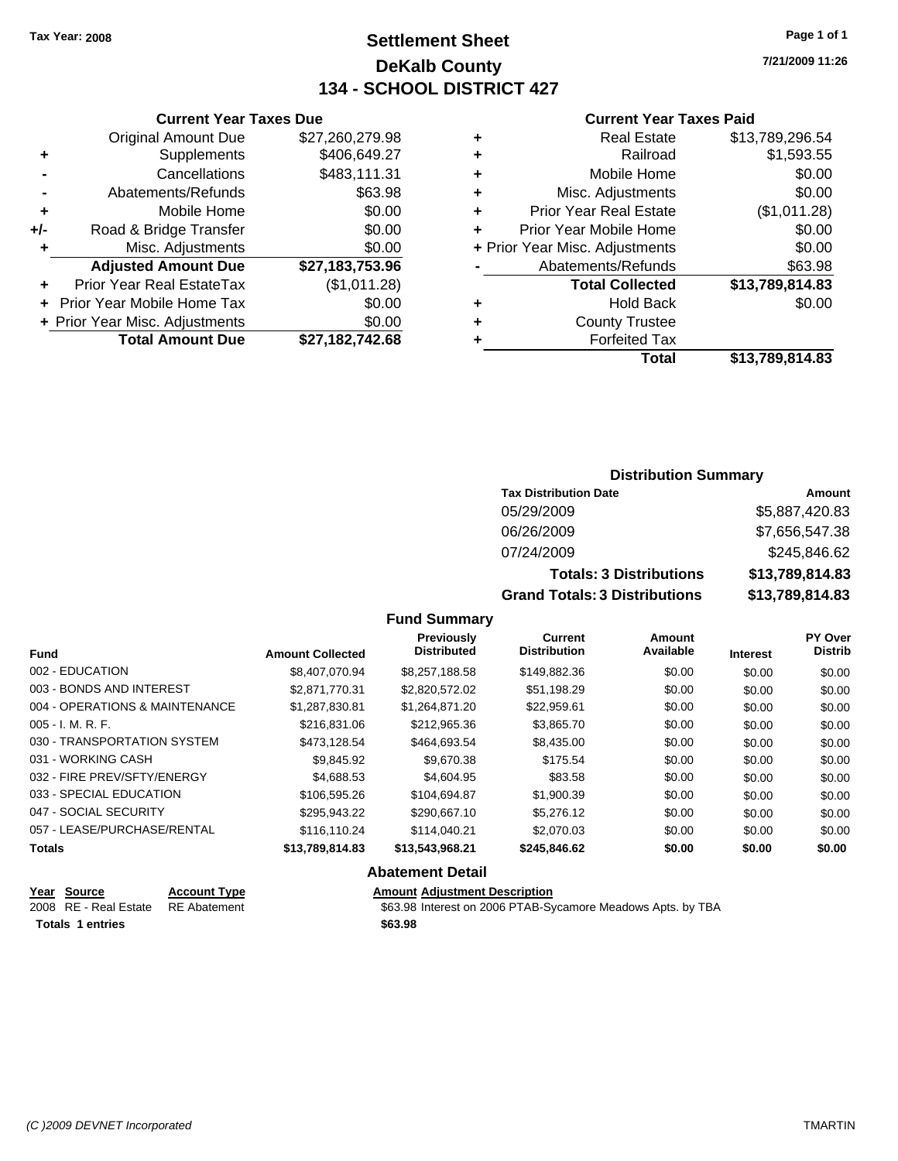### **Settlement Sheet Tax Year: 2008 Page 1 of 1 DeKalb County 134 - SCHOOL DISTRICT 427**

**7/21/2009 11:26**

#### **Current Year Taxes Paid**

| Total                         | \$13.789.814.83                                                        |
|-------------------------------|------------------------------------------------------------------------|
| <b>Forfeited Tax</b>          |                                                                        |
| <b>County Trustee</b>         |                                                                        |
| <b>Hold Back</b>              | \$0.00                                                                 |
| <b>Total Collected</b>        | \$13,789,814.83                                                        |
| Abatements/Refunds            | \$63.98                                                                |
|                               | \$0.00                                                                 |
| Prior Year Mobile Home        | \$0.00                                                                 |
| <b>Prior Year Real Estate</b> | (\$1,011.28)                                                           |
| Misc. Adjustments             | \$0.00                                                                 |
| Mobile Home                   | \$0.00                                                                 |
| Railroad                      | \$1,593.55                                                             |
| <b>Real Estate</b>            | \$13,789,296.54                                                        |
|                               | ÷<br>٠<br>٠<br>٠<br>÷<br>÷<br>+ Prior Year Misc. Adjustments<br>٠<br>٠ |

|     | <b>Current Year Taxes Due</b>  |                 |  |  |  |
|-----|--------------------------------|-----------------|--|--|--|
|     | <b>Original Amount Due</b>     | \$27,260,279.98 |  |  |  |
| ٠   | Supplements                    | \$406,649.27    |  |  |  |
|     | Cancellations                  | \$483,111.31    |  |  |  |
|     | Abatements/Refunds             | \$63.98         |  |  |  |
| ٠   | Mobile Home                    | \$0.00          |  |  |  |
| +/- | Road & Bridge Transfer         | \$0.00          |  |  |  |
| ٠   | Misc. Adjustments              | \$0.00          |  |  |  |
|     | <b>Adjusted Amount Due</b>     | \$27,183,753.96 |  |  |  |
|     | Prior Year Real EstateTax      | (\$1,011.28)    |  |  |  |
|     | Prior Year Mobile Home Tax     | \$0.00          |  |  |  |
|     | + Prior Year Misc. Adjustments | \$0.00          |  |  |  |
|     | <b>Total Amount Due</b>        | \$27,182,742.68 |  |  |  |

### **Distribution Summary**

| <b>Tax Distribution Date</b>         | Amount          |
|--------------------------------------|-----------------|
| 05/29/2009                           | \$5,887,420.83  |
| 06/26/2009                           | \$7,656,547.38  |
| 07/24/2009                           | \$245,846.62    |
| <b>Totals: 3 Distributions</b>       | \$13,789,814.83 |
| <b>Grand Totals: 3 Distributions</b> | \$13,789,814.83 |

#### **Fund Summary**

| <b>Fund</b>                    | <b>Amount Collected</b> | <b>Previously</b><br><b>Distributed</b> | <b>Current</b><br><b>Distribution</b> | Amount<br>Available | <b>Interest</b> | PY Over<br><b>Distrib</b> |
|--------------------------------|-------------------------|-----------------------------------------|---------------------------------------|---------------------|-----------------|---------------------------|
| 002 - EDUCATION                | \$8,407,070,94          | \$8.257.188.58                          | \$149,882.36                          | \$0.00              | \$0.00          | \$0.00                    |
| 003 - BONDS AND INTEREST       | \$2.871.770.31          | \$2,820,572.02                          | \$51,198.29                           | \$0.00              | \$0.00          | \$0.00                    |
| 004 - OPERATIONS & MAINTENANCE | \$1,287,830.81          | \$1,264,871.20                          | \$22,959.61                           | \$0.00              | \$0.00          | \$0.00                    |
| $005 - I. M. R. F.$            | \$216,831,06            | \$212,965.36                            | \$3,865.70                            | \$0.00              | \$0.00          | \$0.00                    |
| 030 - TRANSPORTATION SYSTEM    | \$473.128.54            | \$464,693.54                            | \$8,435.00                            | \$0.00              | \$0.00          | \$0.00                    |
| 031 - WORKING CASH             | \$9.845.92              | \$9,670.38                              | \$175.54                              | \$0.00              | \$0.00          | \$0.00                    |
| 032 - FIRE PREV/SFTY/ENERGY    | \$4,688.53              | \$4,604.95                              | \$83.58                               | \$0.00              | \$0.00          | \$0.00                    |
| 033 - SPECIAL EDUCATION        | \$106,595.26            | \$104,694.87                            | \$1,900.39                            | \$0.00              | \$0.00          | \$0.00                    |
| 047 - SOCIAL SECURITY          | \$295.943.22            | \$290.667.10                            | \$5,276.12                            | \$0.00              | \$0.00          | \$0.00                    |
| 057 - LEASE/PURCHASE/RENTAL    | \$116,110.24            | \$114,040.21                            | \$2,070.03                            | \$0.00              | \$0.00          | \$0.00                    |
| <b>Totals</b>                  | \$13,789,814.83         | \$13,543,968.21                         | \$245,846.62                          | \$0.00              | \$0.00          | \$0.00                    |
|                                |                         | Abatamant Datall                        |                                       |                     |                 |                           |

#### **Abatement Detail**

|                         | Year Source           | <b>Account Type</b> | <b>Amount Adiustment Description</b>                        |
|-------------------------|-----------------------|---------------------|-------------------------------------------------------------|
|                         | 2008 RE - Real Estate | RE Abatement        | \$63.98 Interest on 2006 PTAB-Sycamore Meadows Apts. by TBA |
| <b>Totals 1 entries</b> |                       |                     | \$63.98                                                     |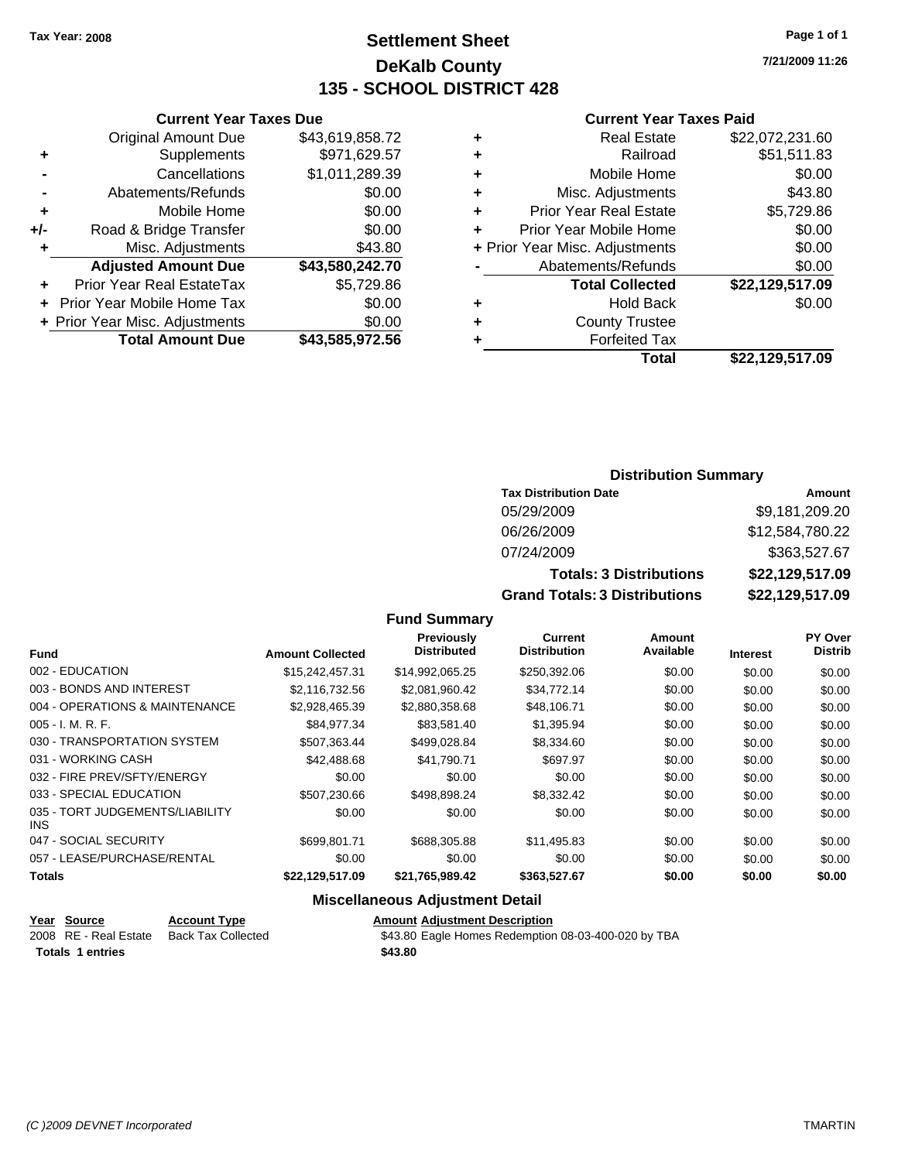**Current Year Taxes Due** Original Amount Due \$43,619,858.72

**Adjusted Amount Due \$43,580,242.70**

**Total Amount Due \$43,585,972.56**

**+** Supplements \$971,629.57 **-** Cancellations \$1,011,289.39 **-** Abatements/Refunds \$0.00 **+** Mobile Home \$0.00 **+/-** Road & Bridge Transfer \$0.00 **+** Misc. Adjustments \$43.80

**+** Prior Year Real EstateTax \$5,729.86 **+** Prior Year Mobile Home Tax \$0.00 **+ Prior Year Misc. Adjustments**  $$0.00$ 

### **Settlement Sheet Tax Year: 2008 Page 1 of 1 DeKalb County 135 - SCHOOL DISTRICT 428**

**7/21/2009 11:26**

#### **Current Year Taxes Paid**

| ٠ | <b>Real Estate</b>             | \$22,072,231.60 |
|---|--------------------------------|-----------------|
| ٠ | Railroad                       | \$51,511.83     |
| ٠ | Mobile Home                    | \$0.00          |
| ٠ | Misc. Adjustments              | \$43.80         |
| ٠ | <b>Prior Year Real Estate</b>  | \$5,729.86      |
|   | Prior Year Mobile Home         | \$0.00          |
|   | + Prior Year Misc. Adjustments | \$0.00          |
|   | Abatements/Refunds             | \$0.00          |
|   | <b>Total Collected</b>         | \$22,129,517.09 |
| ٠ | <b>Hold Back</b>               | \$0.00          |
| ٠ | <b>County Trustee</b>          |                 |
|   | <b>Forfeited Tax</b>           |                 |
|   | Total                          | \$22.129.517.09 |

#### **Distribution Summary**

| <b>Tax Distribution Date</b>         | Amount          |
|--------------------------------------|-----------------|
| 05/29/2009                           | \$9,181,209.20  |
| 06/26/2009                           | \$12,584,780.22 |
| 07/24/2009                           | \$363,527.67    |
| <b>Totals: 3 Distributions</b>       | \$22,129,517.09 |
| <b>Grand Totals: 3 Distributions</b> | \$22,129,517.09 |

#### **Fund Summary**

| <b>Fund</b>                             | <b>Amount Collected</b> | Previously<br><b>Distributed</b> | Current<br><b>Distribution</b> | Amount<br>Available |                 | PY Over<br><b>Distrib</b> |
|-----------------------------------------|-------------------------|----------------------------------|--------------------------------|---------------------|-----------------|---------------------------|
|                                         |                         |                                  |                                |                     | <b>Interest</b> |                           |
| 002 - EDUCATION                         | \$15,242,457,31         | \$14,992,065.25                  | \$250,392.06                   | \$0.00              | \$0.00          | \$0.00                    |
| 003 - BONDS AND INTEREST                | \$2,116,732.56          | \$2,081,960.42                   | \$34,772.14                    | \$0.00              | \$0.00          | \$0.00                    |
| 004 - OPERATIONS & MAINTENANCE          | \$2,928,465.39          | \$2,880,358.68                   | \$48,106.71                    | \$0.00              | \$0.00          | \$0.00                    |
| $005 - I. M. R. F.$                     | \$84,977.34             | \$83.581.40                      | \$1,395.94                     | \$0.00              | \$0.00          | \$0.00                    |
| 030 - TRANSPORTATION SYSTEM             | \$507,363.44            | \$499,028.84                     | \$8,334.60                     | \$0.00              | \$0.00          | \$0.00                    |
| 031 - WORKING CASH                      | \$42,488.68             | \$41.790.71                      | \$697.97                       | \$0.00              | \$0.00          | \$0.00                    |
| 032 - FIRE PREV/SFTY/ENERGY             | \$0.00                  | \$0.00                           | \$0.00                         | \$0.00              | \$0.00          | \$0.00                    |
| 033 - SPECIAL EDUCATION                 | \$507.230.66            | \$498.898.24                     | \$8,332.42                     | \$0.00              | \$0.00          | \$0.00                    |
| 035 - TORT JUDGEMENTS/LIABILITY<br>INS. | \$0.00                  | \$0.00                           | \$0.00                         | \$0.00              | \$0.00          | \$0.00                    |
| 047 - SOCIAL SECURITY                   | \$699.801.71            | \$688,305.88                     | \$11,495.83                    | \$0.00              | \$0.00          | \$0.00                    |
| 057 - LEASE/PURCHASE/RENTAL             | \$0.00                  | \$0.00                           | \$0.00                         | \$0.00              | \$0.00          | \$0.00                    |
| <b>Totals</b>                           | \$22,129,517.09         | \$21,765,989.42                  | \$363,527.67                   | \$0.00              | \$0.00          | \$0.00                    |

#### **Miscellaneous Adjustment Detail**

| Year Source             | <b>Account Type</b>       | <b>Amount Adiustment Description</b>                |
|-------------------------|---------------------------|-----------------------------------------------------|
| 2008 RE - Real Estate   | <b>Back Tax Collected</b> | \$43.80 Eagle Homes Redemption 08-03-400-020 by TBA |
| <b>Totals 1 entries</b> |                           | \$43.80                                             |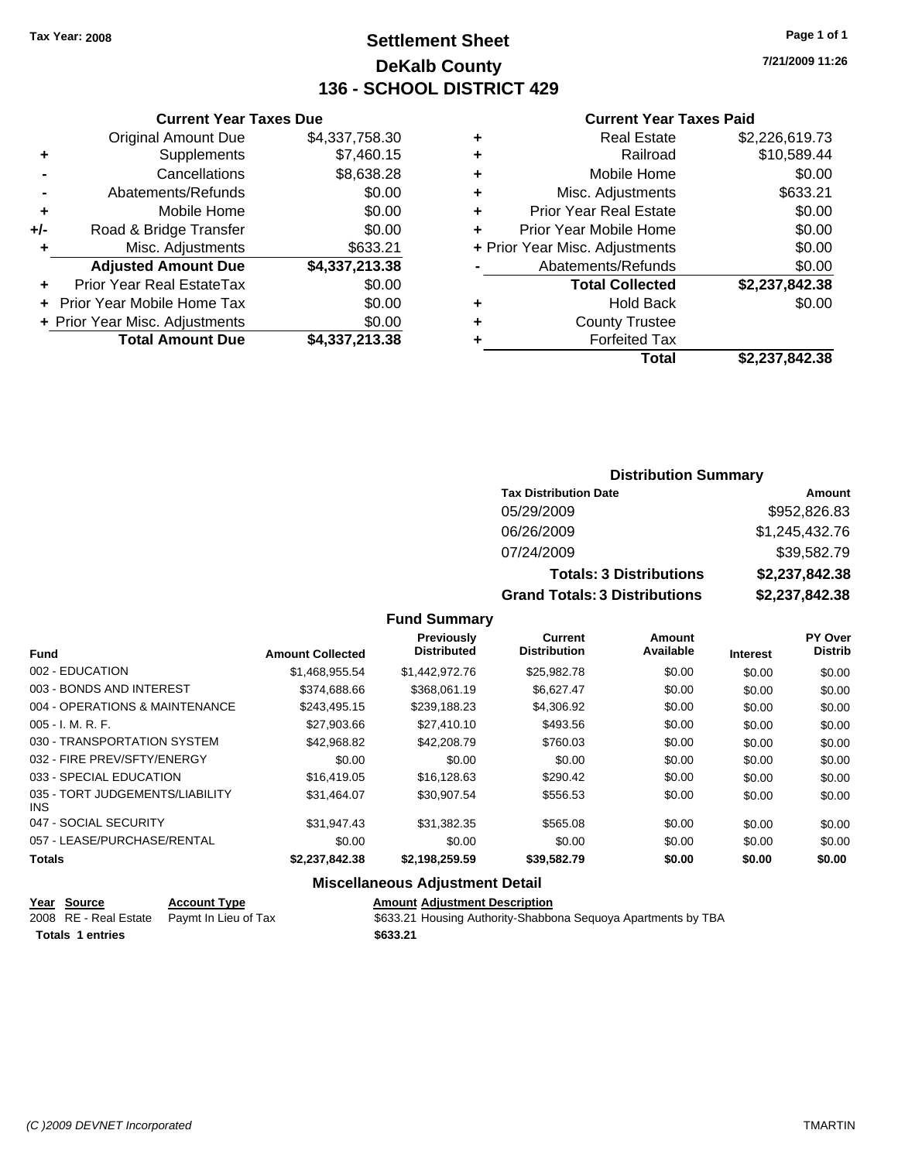### **Settlement Sheet Tax Year: 2008 Page 1 of 1 DeKalb County 136 - SCHOOL DISTRICT 429**

**7/21/2009 11:26**

**+** Real Estate \$2,226,619.73 **+** Railroad \$10,589.44 **+** Mobile Home \$0.00 **+** Misc. Adjustments \$633.21  $$0.00$  $$0.00$ **+** Prior Year Misc. Adjustments \$0.00  $$0.00$ 

**Total Collected \$2,237,842.38**

 $$0.00$ 

#### **Current Year Taxes Paid**

| <b>Current Year</b>            |   |                | <b>Current Year Taxes Due</b>  |     |
|--------------------------------|---|----------------|--------------------------------|-----|
| <b>Real Estate</b>             |   | \$4,337,758.30 | <b>Original Amount Due</b>     |     |
| Railroad                       | ÷ | \$7,460.15     | Supplements                    |     |
| Mobile Home                    | ÷ | \$8,638.28     | Cancellations                  |     |
| Misc. Adjustments              | ÷ | \$0.00         | Abatements/Refunds             |     |
| <b>Prior Year Real Estate</b>  |   | \$0.00         | Mobile Home                    | ÷   |
| Prior Year Mobile Home         |   | \$0.00         | Road & Bridge Transfer         | +/- |
| + Prior Year Misc. Adjustments |   | \$633.21       | Misc. Adjustments              | ٠   |
| Abatements/Refunds             |   | \$4,337,213.38 | <b>Adjusted Amount Due</b>     |     |
| <b>Total Collected</b>         |   | \$0.00         | Prior Year Real EstateTax      |     |
| <b>Hold Back</b>               | ٠ | \$0.00         | + Prior Year Mobile Home Tax   |     |
| <b>County Trustee</b>          | ٠ | \$0.00         | + Prior Year Misc. Adjustments |     |
| <b>Forfeited Tax</b>           |   | \$4,337,213.38 | <b>Total Amount Due</b>        |     |
| Tatal                          |   |                |                                |     |

| d Tax |                |
|-------|----------------|
| Total | \$2,237,842.38 |

### **Distribution Summary**

| <b>Tax Distribution Date</b>         | Amount         |
|--------------------------------------|----------------|
| 05/29/2009                           | \$952,826.83   |
| 06/26/2009                           | \$1,245,432.76 |
| 07/24/2009                           | \$39,582.79    |
| <b>Totals: 3 Distributions</b>       | \$2,237,842.38 |
| <b>Grand Totals: 3 Distributions</b> | \$2,237,842.38 |

#### **Fund Summary**

| <b>Fund</b>                                   | <b>Amount Collected</b> | Previously<br><b>Distributed</b> | Current<br><b>Distribution</b> | Amount<br>Available | <b>Interest</b> | <b>PY Over</b><br><b>Distrib</b> |
|-----------------------------------------------|-------------------------|----------------------------------|--------------------------------|---------------------|-----------------|----------------------------------|
| 002 - EDUCATION                               | \$1.468.955.54          | \$1,442,972,76                   | \$25,982.78                    | \$0.00              | \$0.00          | \$0.00                           |
| 003 - BONDS AND INTEREST                      | \$374,688,66            | \$368.061.19                     | \$6.627.47                     | \$0.00              | \$0.00          | \$0.00                           |
| 004 - OPERATIONS & MAINTENANCE                | \$243.495.15            | \$239.188.23                     | \$4,306.92                     | \$0.00              | \$0.00          | \$0.00                           |
| $005 - I. M. R. F.$                           | \$27,903.66             | \$27,410.10                      | \$493.56                       | \$0.00              | \$0.00          | \$0.00                           |
| 030 - TRANSPORTATION SYSTEM                   | \$42,968.82             | \$42,208.79                      | \$760.03                       | \$0.00              | \$0.00          | \$0.00                           |
| 032 - FIRE PREV/SFTY/ENERGY                   | \$0.00                  | \$0.00                           | \$0.00                         | \$0.00              | \$0.00          | \$0.00                           |
| 033 - SPECIAL EDUCATION                       | \$16,419.05             | \$16.128.63                      | \$290.42                       | \$0.00              | \$0.00          | \$0.00                           |
| 035 - TORT JUDGEMENTS/LIABILITY<br><b>INS</b> | \$31,464.07             | \$30.907.54                      | \$556.53                       | \$0.00              | \$0.00          | \$0.00                           |
| 047 - SOCIAL SECURITY                         | \$31.947.43             | \$31.382.35                      | \$565.08                       | \$0.00              | \$0.00          | \$0.00                           |
| 057 - LEASE/PURCHASE/RENTAL                   | \$0.00                  | \$0.00                           | \$0.00                         | \$0.00              | \$0.00          | \$0.00                           |
| <b>Totals</b>                                 | \$2,237,842.38          | \$2.198.259.59                   | \$39,582.79                    | \$0.00              | \$0.00          | \$0.00                           |

#### **Miscellaneous Adjustment Detail**

| Year Source             | <b>Account Type</b>                        | <b>Amount Adiustment Description</b>                          |
|-------------------------|--------------------------------------------|---------------------------------------------------------------|
|                         | 2008 RE - Real Estate Paymt In Lieu of Tax | \$633.21 Housing Authority-Shabbona Seguoya Apartments by TBA |
| <b>Totals 1 entries</b> |                                            | \$633.21                                                      |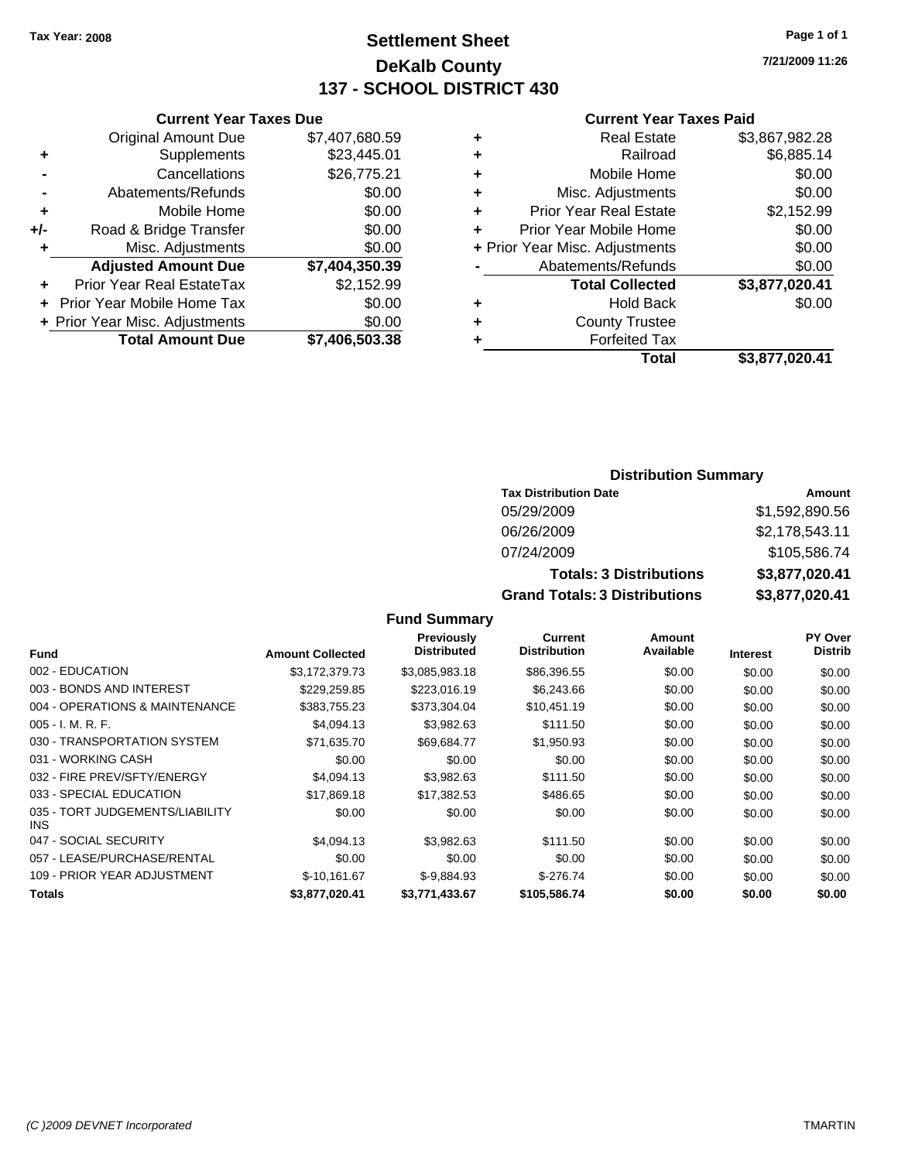### **Settlement Sheet Tax Year: 2008 Page 1 of 1 DeKalb County 137 - SCHOOL DISTRICT 430**

**Current Year Taxes Due**

|       | <b>Original Amount Due</b>       | \$7,407,680.59 |
|-------|----------------------------------|----------------|
| ٠     | Supplements                      | \$23,445.01    |
|       | Cancellations                    | \$26,775.21    |
|       | Abatements/Refunds               | \$0.00         |
| ÷     | Mobile Home                      | \$0.00         |
| $+/-$ | Road & Bridge Transfer           | \$0.00         |
| ٠     | Misc. Adjustments                | \$0.00         |
|       | <b>Adjusted Amount Due</b>       |                |
|       |                                  | \$7,404,350.39 |
|       | <b>Prior Year Real EstateTax</b> | \$2,152.99     |
|       | Prior Year Mobile Home Tax       | \$0.00         |
|       | + Prior Year Misc. Adjustments   | \$0.00         |

#### **Current Year Taxes Paid**

| ٠ | <b>Real Estate</b>             | \$3,867,982.28 |
|---|--------------------------------|----------------|
| ٠ | Railroad                       | \$6,885.14     |
| ٠ | Mobile Home                    | \$0.00         |
| ٠ | Misc. Adjustments              | \$0.00         |
| ÷ | <b>Prior Year Real Estate</b>  | \$2,152.99     |
|   | Prior Year Mobile Home         | \$0.00         |
|   | + Prior Year Misc. Adjustments | \$0.00         |
|   | Abatements/Refunds             | \$0.00         |
|   | <b>Total Collected</b>         | \$3,877,020.41 |
| ٠ | <b>Hold Back</b>               | \$0.00         |
| ٠ | <b>County Trustee</b>          |                |
| ٠ | <b>Forfeited Tax</b>           |                |
|   | Total                          | \$3,877,020.41 |
|   |                                |                |

### **Distribution Summary**

| <b>Tax Distribution Date</b>         | Amount         |
|--------------------------------------|----------------|
| 05/29/2009                           | \$1,592,890.56 |
| 06/26/2009                           | \$2,178,543.11 |
| 07/24/2009                           | \$105,586.74   |
| <b>Totals: 3 Distributions</b>       | \$3,877,020.41 |
| <b>Grand Totals: 3 Distributions</b> | \$3,877,020.41 |

### **Fund Summary**

| Fund                                          | <b>Amount Collected</b> | <b>Previously</b><br><b>Distributed</b> | <b>Current</b><br><b>Distribution</b> | Amount<br>Available | <b>Interest</b> | PY Over<br><b>Distrib</b> |
|-----------------------------------------------|-------------------------|-----------------------------------------|---------------------------------------|---------------------|-----------------|---------------------------|
| 002 - EDUCATION                               | \$3,172,379.73          | \$3,085,983.18                          | \$86,396.55                           | \$0.00              | \$0.00          | \$0.00                    |
| 003 - BONDS AND INTEREST                      | \$229,259.85            | \$223,016.19                            | \$6,243.66                            | \$0.00              | \$0.00          | \$0.00                    |
| 004 - OPERATIONS & MAINTENANCE                | \$383,755.23            | \$373.304.04                            | \$10,451.19                           | \$0.00              | \$0.00          | \$0.00                    |
| $005 - I. M. R. F.$                           | \$4,094.13              | \$3,982.63                              | \$111.50                              | \$0.00              | \$0.00          | \$0.00                    |
| 030 - TRANSPORTATION SYSTEM                   | \$71,635.70             | \$69,684.77                             | \$1,950.93                            | \$0.00              | \$0.00          | \$0.00                    |
| 031 - WORKING CASH                            | \$0.00                  | \$0.00                                  | \$0.00                                | \$0.00              | \$0.00          | \$0.00                    |
| 032 - FIRE PREV/SFTY/ENERGY                   | \$4,094.13              | \$3.982.63                              | \$111.50                              | \$0.00              | \$0.00          | \$0.00                    |
| 033 - SPECIAL EDUCATION                       | \$17,869.18             | \$17,382.53                             | \$486.65                              | \$0.00              | \$0.00          | \$0.00                    |
| 035 - TORT JUDGEMENTS/LIABILITY<br><b>INS</b> | \$0.00                  | \$0.00                                  | \$0.00                                | \$0.00              | \$0.00          | \$0.00                    |
| 047 - SOCIAL SECURITY                         | \$4,094.13              | \$3.982.63                              | \$111.50                              | \$0.00              | \$0.00          | \$0.00                    |
| 057 - LEASE/PURCHASE/RENTAL                   | \$0.00                  | \$0.00                                  | \$0.00                                | \$0.00              | \$0.00          | \$0.00                    |
| 109 - PRIOR YEAR ADJUSTMENT                   | \$-10.161.67            | $$-9.884.93$                            | $$-276.74$                            | \$0.00              | \$0.00          | \$0.00                    |
| <b>Totals</b>                                 | \$3,877,020.41          | \$3,771,433.67                          | \$105,586.74                          | \$0.00              | \$0.00          | \$0.00                    |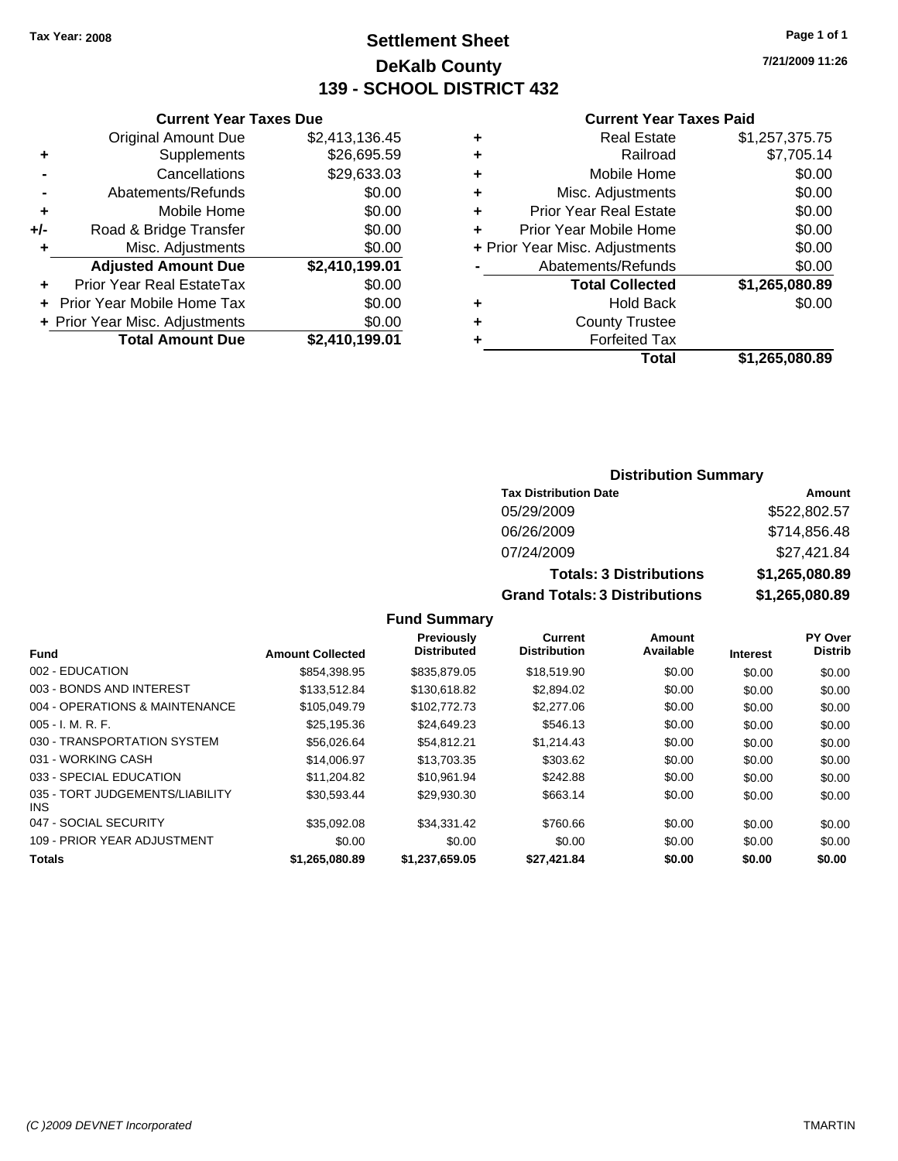### **Settlement Sheet Tax Year: 2008 Page 1 of 1 DeKalb County 139 - SCHOOL DISTRICT 432**

**7/21/2009 11:26**

#### **Current Year Taxes Paid**

|      |   | <b>Total</b>                   | \$1,265,080.89 |
|------|---|--------------------------------|----------------|
| 9.01 | ٠ | <b>Forfeited Tax</b>           |                |
| 0.00 | ٠ | <b>County Trustee</b>          |                |
| 0.00 | ٠ | <b>Hold Back</b>               | \$0.00         |
| 0.00 |   | <b>Total Collected</b>         | \$1,265,080.89 |
| 9.01 |   | Abatements/Refunds             | \$0.00         |
| 0.00 |   | + Prior Year Misc. Adjustments | \$0.00         |
| 0.00 | ÷ | Prior Year Mobile Home         | \$0.00         |
| 0.00 | ÷ | <b>Prior Year Real Estate</b>  | \$0.00         |
| 0.00 | ÷ | Misc. Adjustments              | \$0.00         |
| 3.03 | ÷ | Mobile Home                    | \$0.00         |
| 5.59 | ٠ | Railroad                       | \$7,705.14     |
| 6.45 | ÷ | <b>Real Estate</b>             | \$1,257,375.75 |
|      |   |                                |                |

|     | <b>Current Year Taxes Due</b>    |                |
|-----|----------------------------------|----------------|
|     | <b>Original Amount Due</b>       | \$2,413,136.45 |
| ٠   | Supplements                      | \$26,695.59    |
|     | Cancellations                    | \$29,633.03    |
|     | Abatements/Refunds               | \$0.00         |
| ٠   | Mobile Home                      | \$0.00         |
| +/- | Road & Bridge Transfer           | \$0.00         |
| ٠   | Misc. Adjustments                | \$0.00         |
|     | <b>Adjusted Amount Due</b>       | \$2,410,199.01 |
|     | <b>Prior Year Real EstateTax</b> | \$0.00         |
|     | Prior Year Mobile Home Tax       | \$0.00         |
|     | + Prior Year Misc. Adjustments   | \$0.00         |
|     | <b>Total Amount Due</b>          | \$2,410,199.01 |

#### **Distribution Summary**

| <b>Tax Distribution Date</b>         | Amount         |
|--------------------------------------|----------------|
| 05/29/2009                           | \$522,802.57   |
| 06/26/2009                           | \$714,856.48   |
| 07/24/2009                           | \$27,421.84    |
| <b>Totals: 3 Distributions</b>       | \$1,265,080.89 |
| <b>Grand Totals: 3 Distributions</b> | \$1,265,080.89 |

#### **Fund Summary**

| Fund                                    | <b>Amount Collected</b> | Previously<br><b>Distributed</b> | <b>Current</b><br><b>Distribution</b> | Amount<br>Available | <b>Interest</b> | <b>PY Over</b><br><b>Distrib</b> |
|-----------------------------------------|-------------------------|----------------------------------|---------------------------------------|---------------------|-----------------|----------------------------------|
| 002 - EDUCATION                         | \$854,398.95            | \$835,879.05                     | \$18,519.90                           | \$0.00              | \$0.00          | \$0.00                           |
|                                         |                         |                                  |                                       |                     |                 |                                  |
| 003 - BONDS AND INTEREST                | \$133,512.84            | \$130,618.82                     | \$2,894.02                            | \$0.00              | \$0.00          | \$0.00                           |
| 004 - OPERATIONS & MAINTENANCE          | \$105,049.79            | \$102,772.73                     | \$2,277.06                            | \$0.00              | \$0.00          | \$0.00                           |
| $005 - I. M. R. F.$                     | \$25,195.36             | \$24,649.23                      | \$546.13                              | \$0.00              | \$0.00          | \$0.00                           |
| 030 - TRANSPORTATION SYSTEM             | \$56,026.64             | \$54.812.21                      | \$1.214.43                            | \$0.00              | \$0.00          | \$0.00                           |
| 031 - WORKING CASH                      | \$14,006.97             | \$13,703,35                      | \$303.62                              | \$0.00              | \$0.00          | \$0.00                           |
| 033 - SPECIAL EDUCATION                 | \$11.204.82             | \$10.961.94                      | \$242.88                              | \$0.00              | \$0.00          | \$0.00                           |
| 035 - TORT JUDGEMENTS/LIABILITY<br>INS. | \$30.593.44             | \$29.930.30                      | \$663.14                              | \$0.00              | \$0.00          | \$0.00                           |
| 047 - SOCIAL SECURITY                   | \$35.092.08             | \$34.331.42                      | \$760.66                              | \$0.00              | \$0.00          | \$0.00                           |
| 109 - PRIOR YEAR ADJUSTMENT             | \$0.00                  | \$0.00                           | \$0.00                                | \$0.00              | \$0.00          | \$0.00                           |
| <b>Totals</b>                           | \$1.265.080.89          | \$1,237,659.05                   | \$27,421.84                           | \$0.00              | \$0.00          | \$0.00                           |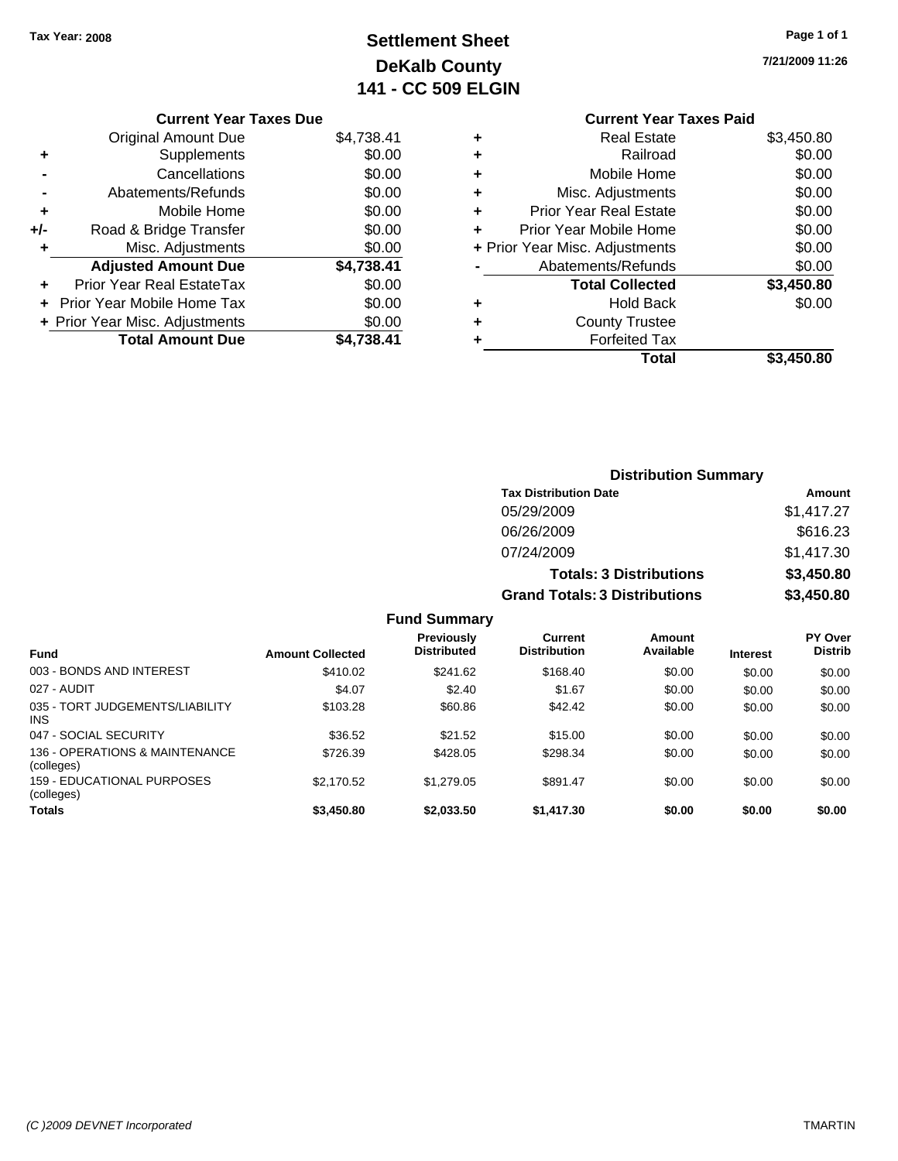# **Settlement Sheet Tax Year: 2008 Page 1 of 1 DeKalb County 141 - CC 509 ELGIN**

**7/21/2009 11:26**

#### **Current Year Taxes Due**

|       | <b>Original Amount Due</b>       | \$4,738.41 |
|-------|----------------------------------|------------|
| ٠     | Supplements                      | \$0.00     |
|       | Cancellations                    | \$0.00     |
|       | Abatements/Refunds               | \$0.00     |
| ٠     | Mobile Home                      | \$0.00     |
| $+/-$ | Road & Bridge Transfer           | \$0.00     |
| ٠     | Misc. Adjustments                | \$0.00     |
|       | <b>Adjusted Amount Due</b>       | \$4,738.41 |
|       | <b>Prior Year Real EstateTax</b> | \$0.00     |
|       | Prior Year Mobile Home Tax       | \$0.00     |
|       | + Prior Year Misc. Adjustments   | \$0.00     |
|       | <b>Total Amount Due</b>          | \$4.738.41 |
|       |                                  |            |

#### **Current Year Taxes Paid +** Real Estate \$3,450.80 **+** Railroad \$0.00 **+** Mobile Home \$0.00 **+** Misc. Adjustments \$0.00 **+** Prior Year Real Estate \$0.00 **+** Prior Year Mobile Home \$0.00

|           | Total                          | \$3,450.80 |
|-----------|--------------------------------|------------|
| $\ddot{}$ | <b>Forfeited Tax</b>           |            |
| ٠         | <b>County Trustee</b>          |            |
| ÷         | <b>Hold Back</b>               | \$0.00     |
|           | <b>Total Collected</b>         | \$3,450.80 |
|           | Abatements/Refunds             | \$0.00     |
|           | + Prior Year Misc. Adjustments | \$0.00     |
|           |                                |            |

### **Distribution Summary Tax Distribution Date Amount** 05/29/2009 \$1,417.27 06/26/2009 \$616.23 07/24/2009 \$1,417.30 **Totals: 3 Distributions \$3,450.80 Grand Totals: 3 Distributions \$3,450.80 Fund Summary**

|                                               |                         | I UIIU VUIIIIIUI Y                      |                                |                     |                 |                                  |
|-----------------------------------------------|-------------------------|-----------------------------------------|--------------------------------|---------------------|-----------------|----------------------------------|
| <b>Fund</b>                                   | <b>Amount Collected</b> | <b>Previously</b><br><b>Distributed</b> | Current<br><b>Distribution</b> | Amount<br>Available | <b>Interest</b> | <b>PY Over</b><br><b>Distrib</b> |
| 003 - BONDS AND INTEREST                      | \$410.02                | \$241.62                                | \$168.40                       | \$0.00              | \$0.00          | \$0.00                           |
| 027 - AUDIT                                   | \$4.07                  | \$2.40                                  | \$1.67                         | \$0.00              | \$0.00          | \$0.00                           |
| 035 - TORT JUDGEMENTS/LIABILITY<br><b>INS</b> | \$103.28                | \$60.86                                 | \$42.42                        | \$0.00              | \$0.00          | \$0.00                           |
| 047 - SOCIAL SECURITY                         | \$36.52                 | \$21.52                                 | \$15.00                        | \$0.00              | \$0.00          | \$0.00                           |
| 136 - OPERATIONS & MAINTENANCE<br>(colleges)  | \$726.39                | \$428.05                                | \$298.34                       | \$0.00              | \$0.00          | \$0.00                           |
| 159 - EDUCATIONAL PURPOSES<br>(colleges)      | \$2,170.52              | \$1,279.05                              | \$891.47                       | \$0.00              | \$0.00          | \$0.00                           |
| Totals                                        | \$3.450.80              | \$2,033,50                              | \$1,417.30                     | \$0.00              | \$0.00          | \$0.00                           |
|                                               |                         |                                         |                                |                     |                 |                                  |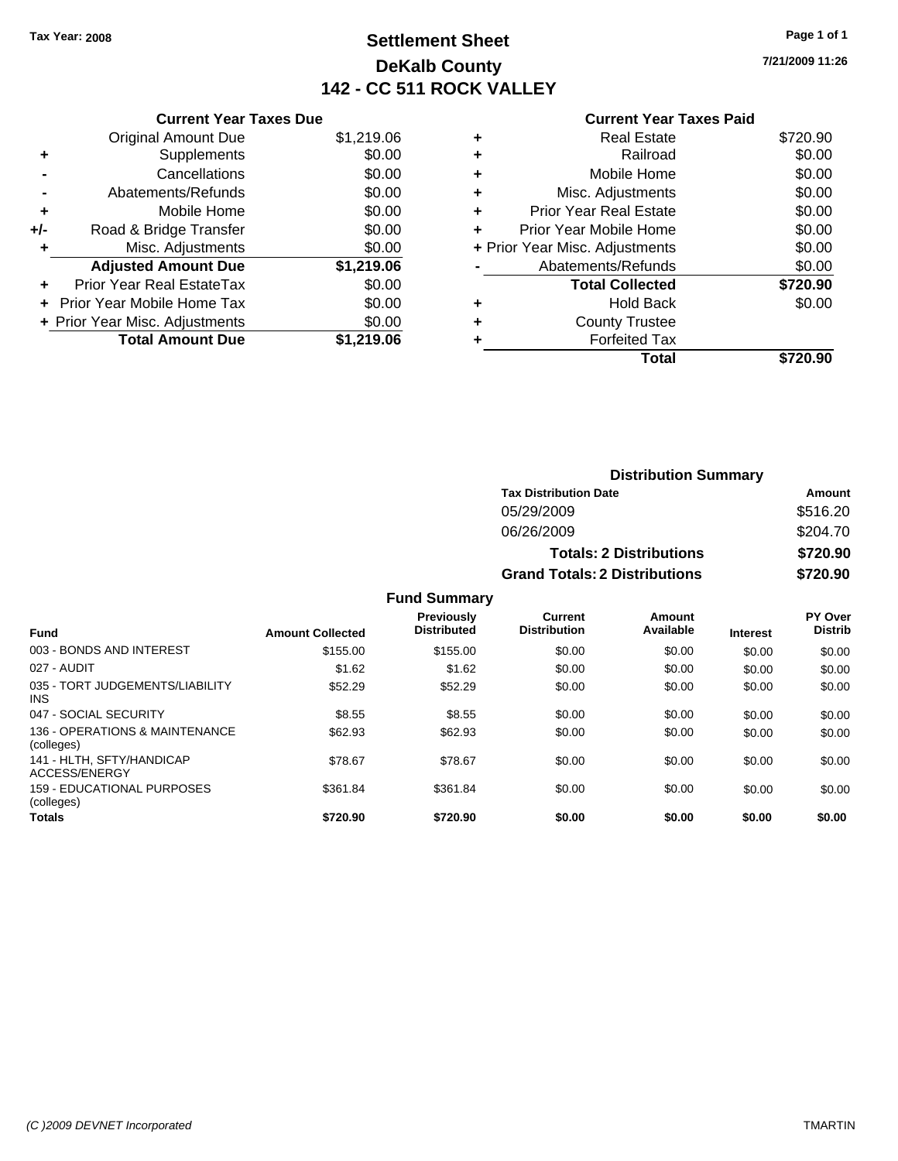### **Settlement Sheet Tax Year: 2008 Page 1 of 1 DeKalb County 142 - CC 511 ROCK VALLEY**

**7/21/2009 11:26**

|     | <b>Current Year Taxes Due</b>  |            |
|-----|--------------------------------|------------|
|     | <b>Original Amount Due</b>     | \$1,219.06 |
| ÷   | Supplements                    | \$0.00     |
|     | Cancellations                  | \$0.00     |
|     | Abatements/Refunds             | \$0.00     |
| ٠   | Mobile Home                    | \$0.00     |
| +/- | Road & Bridge Transfer         | \$0.00     |
|     | Misc. Adjustments              | \$0.00     |
|     | <b>Adjusted Amount Due</b>     | \$1,219.06 |
|     | Prior Year Real EstateTax      | \$0.00     |
|     | Prior Year Mobile Home Tax     | \$0.00     |
|     | + Prior Year Misc. Adjustments | \$0.00     |
|     | <b>Total Amount Due</b>        | \$1.219.06 |
|     |                                |            |

|   | Total                          | \$720.90 |
|---|--------------------------------|----------|
| ٠ | <b>Forfeited Tax</b>           |          |
| ٠ | <b>County Trustee</b>          |          |
| ٠ | <b>Hold Back</b>               | \$0.00   |
|   | <b>Total Collected</b>         | \$720.90 |
|   | Abatements/Refunds             | \$0.00   |
|   | + Prior Year Misc. Adjustments | \$0.00   |
| ٠ | Prior Year Mobile Home         | \$0.00   |
| ÷ | Prior Year Real Estate         | \$0.00   |
| ٠ | Misc. Adjustments              | \$0.00   |
| ٠ | Mobile Home                    | \$0.00   |
| ÷ | Railroad                       | \$0.00   |
| ٠ | <b>Real Estate</b>             | \$720.90 |
|   |                                |          |

|                     | <b>Distribution Summary</b>          |          |
|---------------------|--------------------------------------|----------|
|                     | <b>Tax Distribution Date</b>         | Amount   |
|                     | 05/29/2009                           | \$516.20 |
|                     | 06/26/2009                           | \$204.70 |
|                     | <b>Totals: 2 Distributions</b>       | \$720.90 |
|                     | <b>Grand Totals: 2 Distributions</b> | \$720.90 |
| <b>Fund Summary</b> |                                      |          |

| <b>Fund</b>                                   | <b>Amount Collected</b> | <b>Previously</b><br><b>Distributed</b> | Current<br><b>Distribution</b> | Amount<br>Available | <b>Interest</b> | <b>PY Over</b><br><b>Distrib</b> |
|-----------------------------------------------|-------------------------|-----------------------------------------|--------------------------------|---------------------|-----------------|----------------------------------|
| 003 - BONDS AND INTEREST                      | \$155.00                | \$155.00                                | \$0.00                         | \$0.00              | \$0.00          | \$0.00                           |
| 027 - AUDIT                                   | \$1.62                  | \$1.62                                  | \$0.00                         | \$0.00              | \$0.00          | \$0.00                           |
| 035 - TORT JUDGEMENTS/LIABILITY<br><b>INS</b> | \$52.29                 | \$52.29                                 | \$0.00                         | \$0.00              | \$0.00          | \$0.00                           |
| 047 - SOCIAL SECURITY                         | \$8.55                  | \$8.55                                  | \$0.00                         | \$0.00              | \$0.00          | \$0.00                           |
| 136 - OPERATIONS & MAINTENANCE<br>(colleges)  | \$62.93                 | \$62.93                                 | \$0.00                         | \$0.00              | \$0.00          | \$0.00                           |
| 141 - HLTH, SFTY/HANDICAP<br>ACCESS/ENERGY    | \$78.67                 | \$78.67                                 | \$0.00                         | \$0.00              | \$0.00          | \$0.00                           |
| 159 - EDUCATIONAL PURPOSES<br>(colleges)      | \$361.84                | \$361.84                                | \$0.00                         | \$0.00              | \$0.00          | \$0.00                           |
| <b>Totals</b>                                 | \$720.90                | \$720.90                                | \$0.00                         | \$0.00              | \$0.00          | \$0.00                           |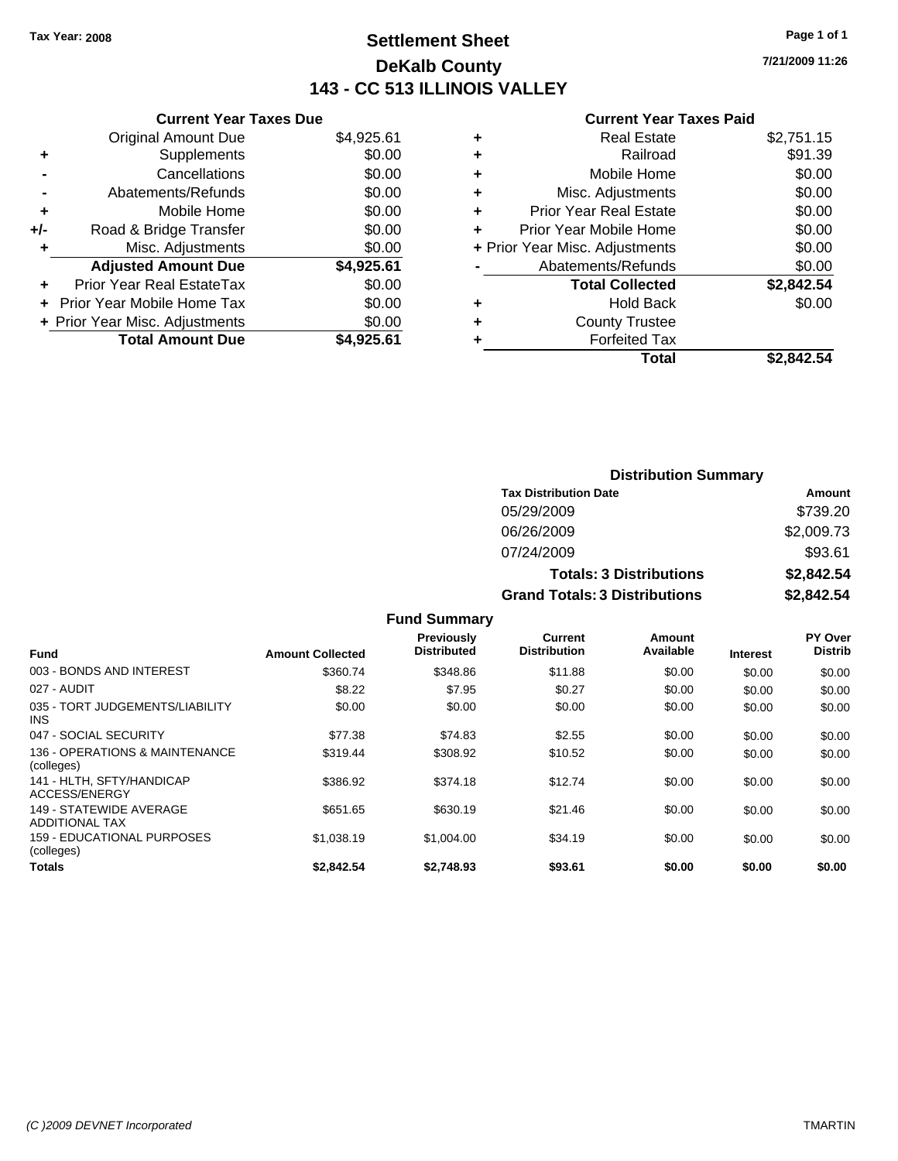### **Settlement Sheet Tax Year: 2008 Page 1 of 1 DeKalb County 143 - CC 513 ILLINOIS VALLEY**

**Current Year Taxes Due**

|     | <b>Original Amount Due</b>       | \$4,925.61 |
|-----|----------------------------------|------------|
| ٠   | Supplements                      | \$0.00     |
|     | Cancellations                    | \$0.00     |
|     | Abatements/Refunds               | \$0.00     |
| ٠   | Mobile Home                      | \$0.00     |
| +/- | Road & Bridge Transfer           | \$0.00     |
| ÷   | Misc. Adjustments                | \$0.00     |
|     | <b>Adjusted Amount Due</b>       | \$4,925.61 |
|     | <b>Prior Year Real EstateTax</b> | \$0.00     |
|     | Prior Year Mobile Home Tax       | \$0.00     |
|     | + Prior Year Misc. Adjustments   | \$0.00     |
|     | <b>Total Amount Due</b>          | \$4.925.61 |

#### **Current Year Taxes Paid**

| <b>Real Estate</b>             | \$2,751.15 |
|--------------------------------|------------|
| Railroad                       | \$91.39    |
| Mobile Home                    | \$0.00     |
| Misc. Adjustments              | \$0.00     |
| <b>Prior Year Real Estate</b>  | \$0.00     |
| Prior Year Mobile Home         | \$0.00     |
| + Prior Year Misc. Adjustments | \$0.00     |
| Abatements/Refunds             | \$0.00     |
| <b>Total Collected</b>         | \$2,842.54 |
| <b>Hold Back</b>               | \$0.00     |
| <b>County Trustee</b>          |            |
| <b>Forfeited Tax</b>           |            |
| Total                          | \$2.842.54 |
|                                |            |

| <b>Distribution Summary</b>          |            |
|--------------------------------------|------------|
| <b>Tax Distribution Date</b>         | Amount     |
| 05/29/2009                           | \$739.20   |
| 06/26/2009                           | \$2,009.73 |
| 07/24/2009                           | \$93.61    |
| <b>Totals: 3 Distributions</b>       | \$2,842.54 |
| <b>Grand Totals: 3 Distributions</b> | \$2,842.54 |

|                                                  |                         | I GIN VANIIKI Y                         |                                |                     |                 |                           |
|--------------------------------------------------|-------------------------|-----------------------------------------|--------------------------------|---------------------|-----------------|---------------------------|
| <b>Fund</b>                                      | <b>Amount Collected</b> | <b>Previously</b><br><b>Distributed</b> | Current<br><b>Distribution</b> | Amount<br>Available | <b>Interest</b> | PY Over<br><b>Distrib</b> |
| 003 - BONDS AND INTEREST                         | \$360.74                | \$348.86                                | \$11.88                        | \$0.00              | \$0.00          | \$0.00                    |
| 027 - AUDIT                                      | \$8.22                  | \$7.95                                  | \$0.27                         | \$0.00              | \$0.00          | \$0.00                    |
| 035 - TORT JUDGEMENTS/LIABILITY<br><b>INS</b>    | \$0.00                  | \$0.00                                  | \$0.00                         | \$0.00              | \$0.00          | \$0.00                    |
| 047 - SOCIAL SECURITY                            | \$77.38                 | \$74.83                                 | \$2.55                         | \$0.00              | \$0.00          | \$0.00                    |
| 136 - OPERATIONS & MAINTENANCE<br>(colleges)     | \$319.44                | \$308.92                                | \$10.52                        | \$0.00              | \$0.00          | \$0.00                    |
| 141 - HLTH, SFTY/HANDICAP<br>ACCESS/ENERGY       | \$386.92                | \$374.18                                | \$12.74                        | \$0.00              | \$0.00          | \$0.00                    |
| 149 - STATEWIDE AVERAGE<br><b>ADDITIONAL TAX</b> | \$651.65                | \$630.19                                | \$21.46                        | \$0.00              | \$0.00          | \$0.00                    |
| 159 - EDUCATIONAL PURPOSES<br>(colleges)         | \$1,038.19              | \$1,004.00                              | \$34.19                        | \$0.00              | \$0.00          | \$0.00                    |
| <b>Totals</b>                                    | \$2.842.54              | \$2.748.93                              | \$93.61                        | \$0.00              | \$0.00          | \$0.00                    |

**Fund Summary**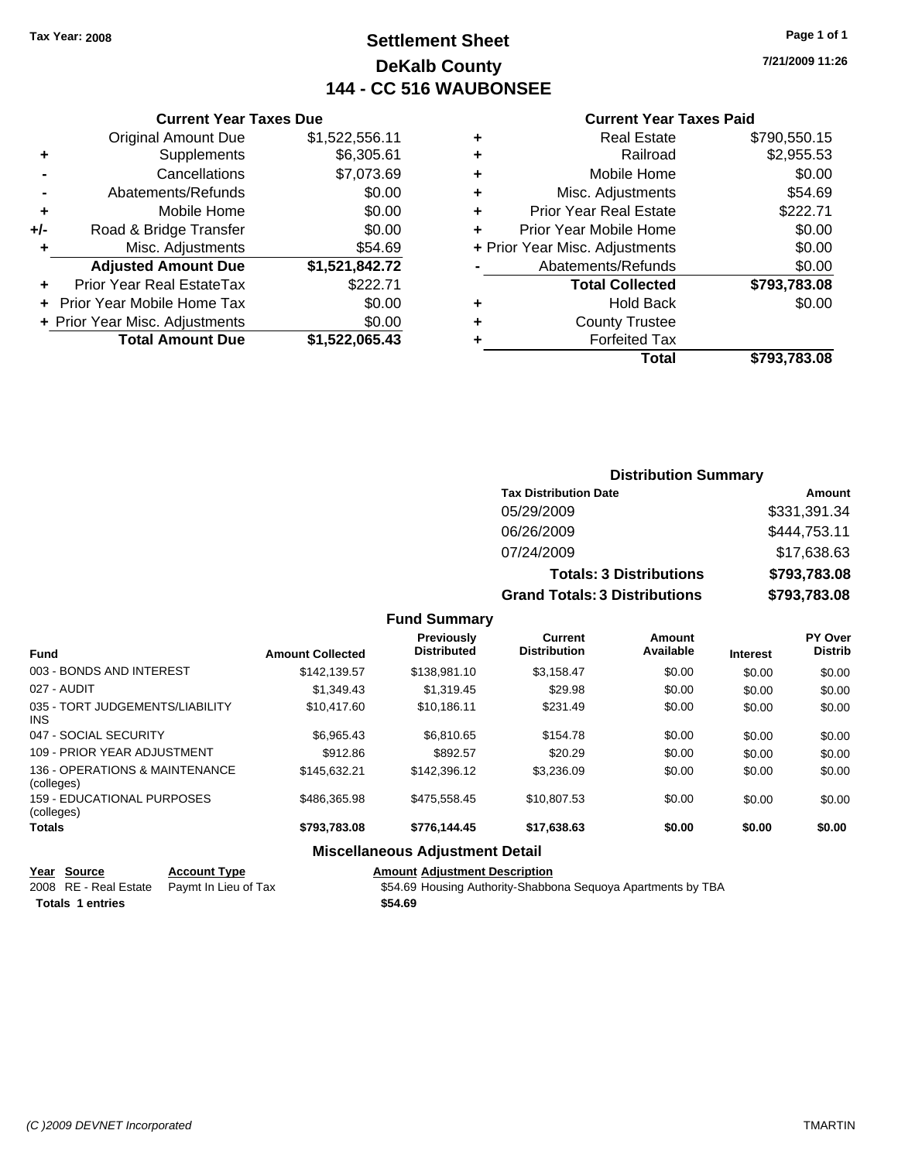### **Settlement Sheet Tax Year: 2008 Page 1 of 1 DeKalb County 144 - CC 516 WAUBONSEE**

**7/21/2009 11:26**

#### **Current Year Taxes Paid**

|     | <b>Current Year Taxes Due</b>  |                |  |  |  |  |
|-----|--------------------------------|----------------|--|--|--|--|
|     | <b>Original Amount Due</b>     | \$1,522,556.11 |  |  |  |  |
| ٠   | Supplements                    | \$6,305.61     |  |  |  |  |
|     | Cancellations                  | \$7,073.69     |  |  |  |  |
|     | Abatements/Refunds             | \$0.00         |  |  |  |  |
| ٠   | Mobile Home                    | \$0.00         |  |  |  |  |
| +/- | Road & Bridge Transfer         | \$0.00         |  |  |  |  |
| ٠   | Misc. Adjustments              | \$54.69        |  |  |  |  |
|     | <b>Adjusted Amount Due</b>     | \$1,521,842.72 |  |  |  |  |
|     | Prior Year Real EstateTax      | \$222.71       |  |  |  |  |
|     | Prior Year Mobile Home Tax     | \$0.00         |  |  |  |  |
|     | + Prior Year Misc. Adjustments | \$0.00         |  |  |  |  |
|     | <b>Total Amount Due</b>        | \$1,522,065.43 |  |  |  |  |

|   | <b>Real Estate</b>             | \$790,550.15 |
|---|--------------------------------|--------------|
| ٠ | Railroad                       | \$2,955.53   |
| ٠ | Mobile Home                    | \$0.00       |
| ٠ | Misc. Adjustments              | \$54.69      |
| ٠ | <b>Prior Year Real Estate</b>  | \$222.71     |
| ÷ | Prior Year Mobile Home         | \$0.00       |
|   | + Prior Year Misc. Adjustments | \$0.00       |
|   | Abatements/Refunds             | \$0.00       |
|   | <b>Total Collected</b>         | \$793,783.08 |
| ٠ | <b>Hold Back</b>               | \$0.00       |
| ٠ | <b>County Trustee</b>          |              |
| ٠ | <b>Forfeited Tax</b>           |              |
|   | Total                          | \$793.783.08 |
|   |                                |              |

### **Distribution Summary Tax Distribution Date Amount** 05/29/2009 \$331,391.34 06/26/2009 \$444,753.11 07/24/2009 \$17,638.63 **Totals: 3 Distributions \$793,783.08 Grand Totals: 3 Distributions \$793,783.08**

|  | <b>Fund Summary</b> |  |
|--|---------------------|--|
|--|---------------------|--|

| <b>Fund</b>                                  | <b>Amount Collected</b> | <b>Previously</b><br><b>Distributed</b> | Current<br><b>Distribution</b> | Amount<br>Available | <b>Interest</b> | <b>PY Over</b><br><b>Distrib</b> |
|----------------------------------------------|-------------------------|-----------------------------------------|--------------------------------|---------------------|-----------------|----------------------------------|
| 003 - BONDS AND INTEREST                     | \$142.139.57            | \$138,981.10                            | \$3.158.47                     | \$0.00              | \$0.00          | \$0.00                           |
| 027 - AUDIT                                  | \$1,349.43              | \$1,319.45                              | \$29.98                        | \$0.00              | \$0.00          | \$0.00                           |
| 035 - TORT JUDGEMENTS/LIABILITY<br>INS.      | \$10,417.60             | \$10.186.11                             | \$231.49                       | \$0.00              | \$0.00          | \$0.00                           |
| 047 - SOCIAL SECURITY                        | \$6.965.43              | \$6,810.65                              | \$154.78                       | \$0.00              | \$0.00          | \$0.00                           |
| 109 - PRIOR YEAR ADJUSTMENT                  | \$912.86                | \$892.57                                | \$20.29                        | \$0.00              | \$0.00          | \$0.00                           |
| 136 - OPERATIONS & MAINTENANCE<br>(colleges) | \$145.632.21            | \$142,396.12                            | \$3,236.09                     | \$0.00              | \$0.00          | \$0.00                           |
| 159 - EDUCATIONAL PURPOSES<br>(colleges)     | \$486,365,98            | \$475,558,45                            | \$10.807.53                    | \$0.00              | \$0.00          | \$0.00                           |
| Totals                                       | \$793,783.08            | \$776,144.45                            | \$17,638.63                    | \$0.00              | \$0.00          | \$0.00                           |

#### **Miscellaneous Adjustment Detail**

| Year Source             | <b>Account Type</b>                        | <b>Amount Adjustment Description</b>                         |
|-------------------------|--------------------------------------------|--------------------------------------------------------------|
|                         | 2008 RE - Real Estate Paymt In Lieu of Tax | \$54.69 Housing Authority-Shabbona Sequoya Apartments by TBA |
| <b>Totals 1 entries</b> |                                            | \$54.69                                                      |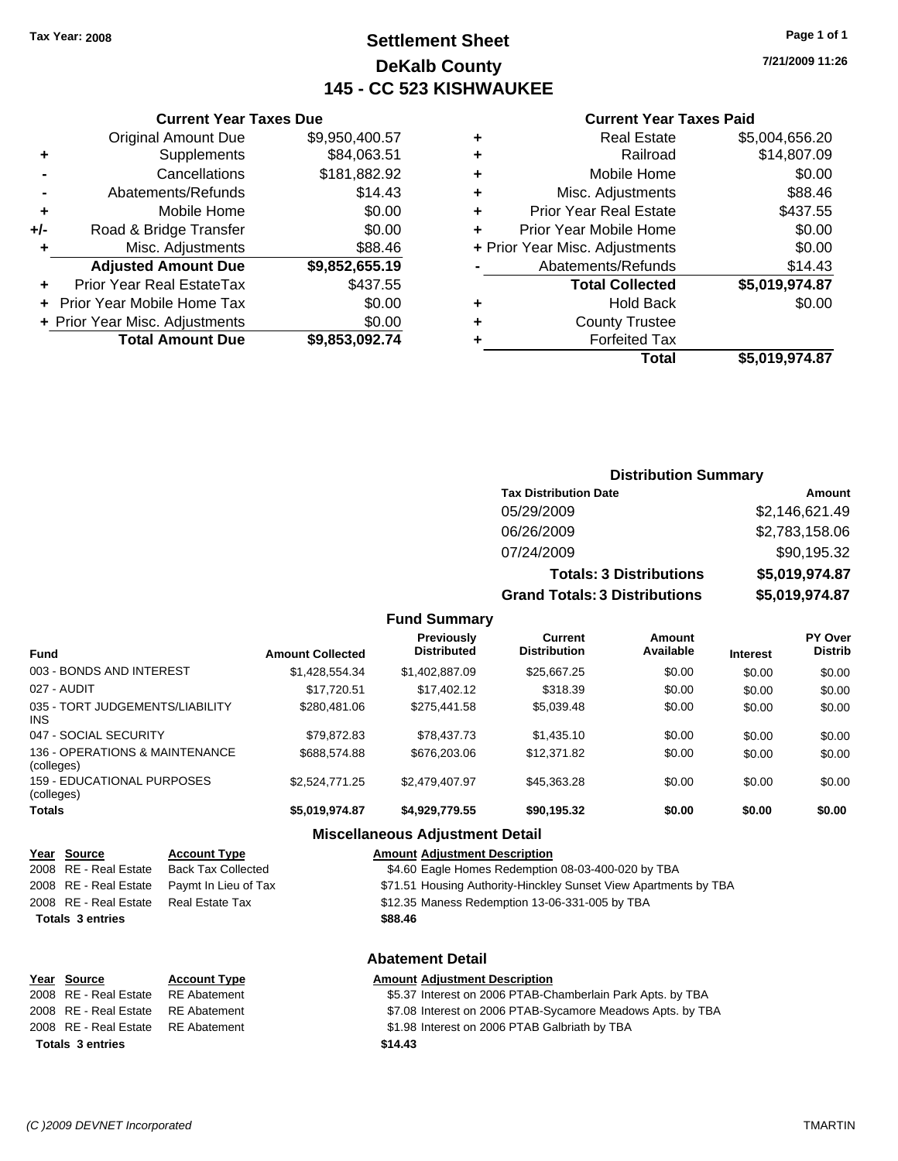### **Settlement Sheet Tax Year: 2008 Page 1 of 1 DeKalb County 145 - CC 523 KISHWAUKEE**

**7/21/2009 11:26**

#### **Current Year Taxes Paid**

|     | <b>Current Year Taxes Due</b>    |                |  |  |  |  |
|-----|----------------------------------|----------------|--|--|--|--|
|     | <b>Original Amount Due</b>       | \$9,950,400.57 |  |  |  |  |
| ٠   | Supplements                      | \$84,063.51    |  |  |  |  |
|     | Cancellations                    | \$181,882.92   |  |  |  |  |
|     | Abatements/Refunds               | \$14.43        |  |  |  |  |
| ٠   | Mobile Home                      | \$0.00         |  |  |  |  |
| +/- | Road & Bridge Transfer           | \$0.00         |  |  |  |  |
|     | \$88.46<br>Misc. Adjustments     |                |  |  |  |  |
|     | <b>Adjusted Amount Due</b>       | \$9,852,655.19 |  |  |  |  |
|     | <b>Prior Year Real EstateTax</b> | \$437.55       |  |  |  |  |
|     | Prior Year Mobile Home Tax       | \$0.00         |  |  |  |  |
|     | + Prior Year Misc. Adjustments   | \$0.00         |  |  |  |  |
|     | <b>Total Amount Due</b>          | \$9,853,092.74 |  |  |  |  |

### **Distribution Summary**

| <b>Tax Distribution Date</b>         | Amount         |
|--------------------------------------|----------------|
| 05/29/2009                           | \$2,146,621.49 |
| 06/26/2009                           | \$2,783,158.06 |
| 07/24/2009                           | \$90,195.32    |
| <b>Totals: 3 Distributions</b>       | \$5,019,974.87 |
| <b>Grand Totals: 3 Distributions</b> | \$5,019,974.87 |

#### **Fund Summary**

| <b>Fund</b>                                   | <b>Amount Collected</b> | <b>Previously</b><br><b>Distributed</b> | Current<br><b>Distribution</b> | Amount<br>Available | <b>Interest</b> | PY Over<br><b>Distrib</b> |
|-----------------------------------------------|-------------------------|-----------------------------------------|--------------------------------|---------------------|-----------------|---------------------------|
| 003 - BONDS AND INTEREST                      | \$1,428,554.34          | \$1,402,887.09                          | \$25,667.25                    | \$0.00              | \$0.00          | \$0.00                    |
| 027 - AUDIT                                   | \$17.720.51             | \$17.402.12                             | \$318.39                       | \$0.00              | \$0.00          | \$0.00                    |
| 035 - TORT JUDGEMENTS/LIABILITY<br><b>INS</b> | \$280,481,06            | \$275.441.58                            | \$5.039.48                     | \$0.00              | \$0.00          | \$0.00                    |
| 047 - SOCIAL SECURITY                         | \$79,872.83             | \$78.437.73                             | \$1,435.10                     | \$0.00              | \$0.00          | \$0.00                    |
| 136 - OPERATIONS & MAINTENANCE<br>(colleges)  | \$688,574.88            | \$676,203,06                            | \$12,371.82                    | \$0.00              | \$0.00          | \$0.00                    |
| 159 - EDUCATIONAL PURPOSES<br>(colleges)      | \$2,524,771.25          | \$2,479,407.97                          | \$45,363.28                    | \$0.00              | \$0.00          | \$0.00                    |
| <b>Totals</b>                                 | \$5,019,974.87          | \$4,929,779.55                          | \$90,195.32                    | \$0.00              | \$0.00          | \$0.00                    |

### **Miscellaneous Adjustment Detail**

| Year Source             | <b>Account Type</b>       | <b>Amount Adjustment Description</b>                             |
|-------------------------|---------------------------|------------------------------------------------------------------|
| 2008 RE - Real Estate   | <b>Back Tax Collected</b> | \$4.60 Eagle Homes Redemption 08-03-400-020 by TBA               |
| 2008 RE - Real Estate   | Paymt In Lieu of Tax      | \$71.51 Housing Authority-Hinckley Sunset View Apartments by TBA |
| 2008 RE - Real Estate   | Real Estate Tax           | \$12.35 Maness Redemption 13-06-331-005 by TBA                   |
| <b>Totals 3 entries</b> |                           | \$88.46                                                          |
|                         |                           |                                                                  |

#### **Abatement Detail**

| Year Source                        | <b>Account Type</b> | <b>Amount Adjustment Description</b>                       |
|------------------------------------|---------------------|------------------------------------------------------------|
| 2008 RE - Real Estate RE Abatement |                     | \$5.37 Interest on 2006 PTAB-Chamberlain Park Apts. by TBA |
| 2008 RE - Real Estate RE Abatement |                     | \$7.08 Interest on 2006 PTAB-Sycamore Meadows Apts. by TBA |
| 2008 RE - Real Estate RE Abatement |                     | \$1.98 Interest on 2006 PTAB Galbriath by TBA              |
| <b>Totals 3 entries</b>            |                     | \$14.43                                                    |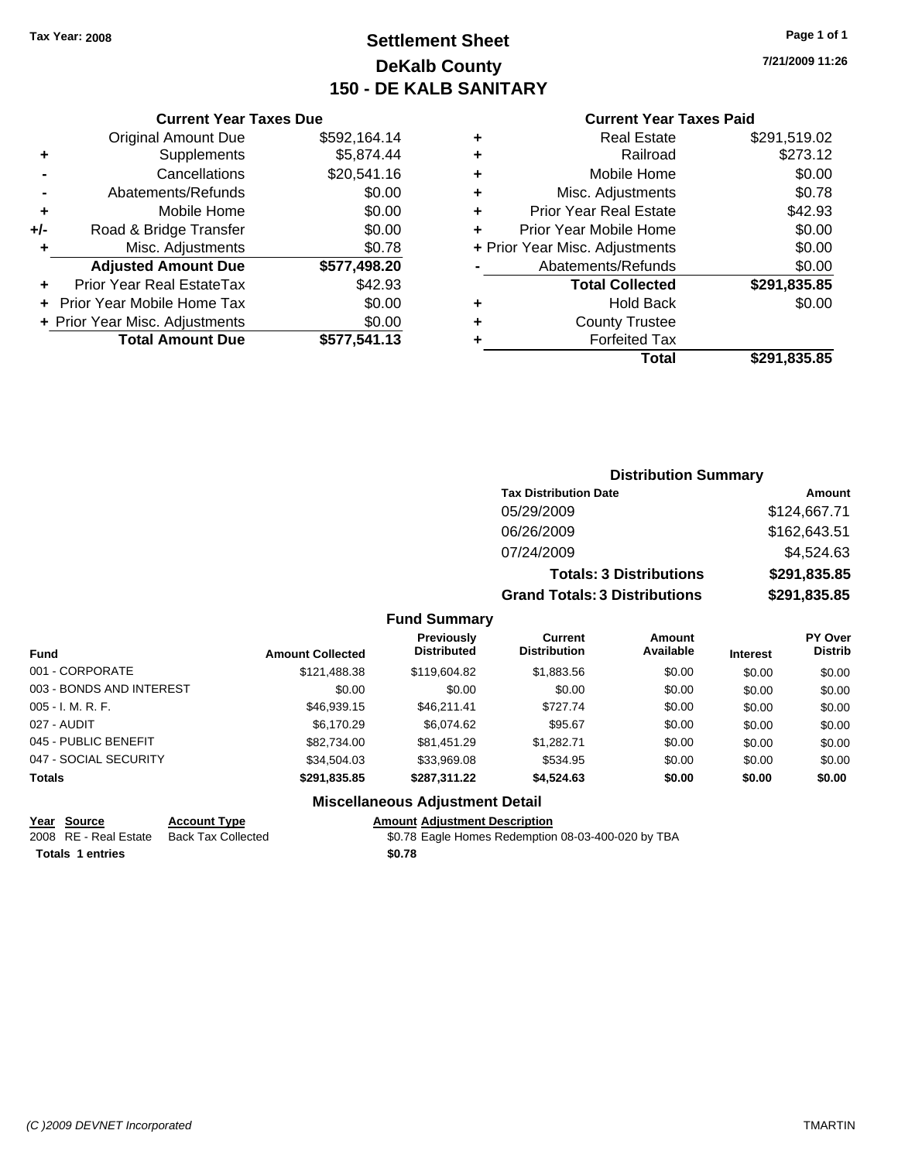### **Settlement Sheet Tax Year: 2008 Page 1 of 1 DeKalb County 150 - DE KALB SANITARY**

**7/21/2009 11:26**

#### **Current Year Taxes Paid**

| 164.14  | ٠ | <b>Real Estate</b>             | \$291,519.02 |
|---------|---|--------------------------------|--------------|
| 374.44  | ٠ | Railroad                       | \$273.12     |
| 541.16  | ٠ | Mobile Home                    | \$0.00       |
| \$0.00  | ÷ | Misc. Adjustments              | \$0.78       |
| \$0.00  | ٠ | <b>Prior Year Real Estate</b>  | \$42.93      |
| \$0.00  |   | Prior Year Mobile Home         | \$0.00       |
| \$0.78  |   | + Prior Year Misc. Adjustments | \$0.00       |
| 198.20  |   | Abatements/Refunds             | \$0.00       |
| \$42.93 |   | <b>Total Collected</b>         | \$291,835.85 |
| \$0.00  | ٠ | <b>Hold Back</b>               | \$0.00       |
| \$0.00  | ٠ | <b>County Trustee</b>          |              |
| 541.13  | ٠ | <b>Forfeited Tax</b>           |              |
|         |   | Total                          | \$291,835.85 |

|     | <b>Current Year Taxes Due</b>  |              |
|-----|--------------------------------|--------------|
|     | <b>Original Amount Due</b>     | \$592,164.14 |
| ٠   | Supplements                    | \$5,874.44   |
|     | Cancellations                  | \$20,541.16  |
|     | Abatements/Refunds             | \$0.00       |
| ٠   | Mobile Home                    | \$0.00       |
| +/- | Road & Bridge Transfer         | \$0.00       |
| ٠   | Misc. Adjustments              | \$0.78       |
|     | <b>Adjusted Amount Due</b>     | \$577,498.20 |
|     | Prior Year Real EstateTax      | \$42.93      |
|     | Prior Year Mobile Home Tax     | \$0.00       |
|     | + Prior Year Misc. Adjustments | \$0.00       |
|     | <b>Total Amount Due</b>        | \$577,541.13 |

#### **Distribution Summary**

| <b>Tax Distribution Date</b>         | Amount       |
|--------------------------------------|--------------|
| 05/29/2009                           | \$124,667.71 |
| 06/26/2009                           | \$162,643.51 |
| 07/24/2009                           | \$4,524.63   |
| <b>Totals: 3 Distributions</b>       | \$291,835.85 |
| <b>Grand Totals: 3 Distributions</b> | \$291,835.85 |

#### **Fund Summary**

| Fund                     | <b>Amount Collected</b> | <b>Previously</b><br><b>Distributed</b> | Current<br><b>Distribution</b> | <b>Amount</b><br>Available | <b>Interest</b> | <b>PY Over</b><br><b>Distrib</b> |
|--------------------------|-------------------------|-----------------------------------------|--------------------------------|----------------------------|-----------------|----------------------------------|
| 001 - CORPORATE          | \$121,488.38            | \$119,604.82                            | \$1,883.56                     | \$0.00                     | \$0.00          | \$0.00                           |
| 003 - BONDS AND INTEREST | \$0.00                  | \$0.00                                  | \$0.00                         | \$0.00                     | \$0.00          | \$0.00                           |
| $005 - I. M. R. F.$      | \$46,939.15             | \$46.211.41                             | \$727.74                       | \$0.00                     | \$0.00          | \$0.00                           |
| 027 - AUDIT              | \$6,170.29              | \$6.074.62                              | \$95.67                        | \$0.00                     | \$0.00          | \$0.00                           |
| 045 - PUBLIC BENEFIT     | \$82,734.00             | \$81,451.29                             | \$1.282.71                     | \$0.00                     | \$0.00          | \$0.00                           |
| 047 - SOCIAL SECURITY    | \$34,504.03             | \$33,969.08                             | \$534.95                       | \$0.00                     | \$0.00          | \$0.00                           |
| <b>Totals</b>            | \$291,835.85            | \$287,311.22                            | \$4,524.63                     | \$0.00                     | \$0.00          | \$0.00                           |

#### **Miscellaneous Adjustment Detail**

#### **Year Source Account Type Amount Adjustment Description**

2008 RE - Real Estate Back Tax Collected \$0.78 Eagle Homes Redemption 08-03-400-020 by TBA

**Totals \$0.78 1 entries**

*(C )2009 DEVNET Incorporated* TMARTIN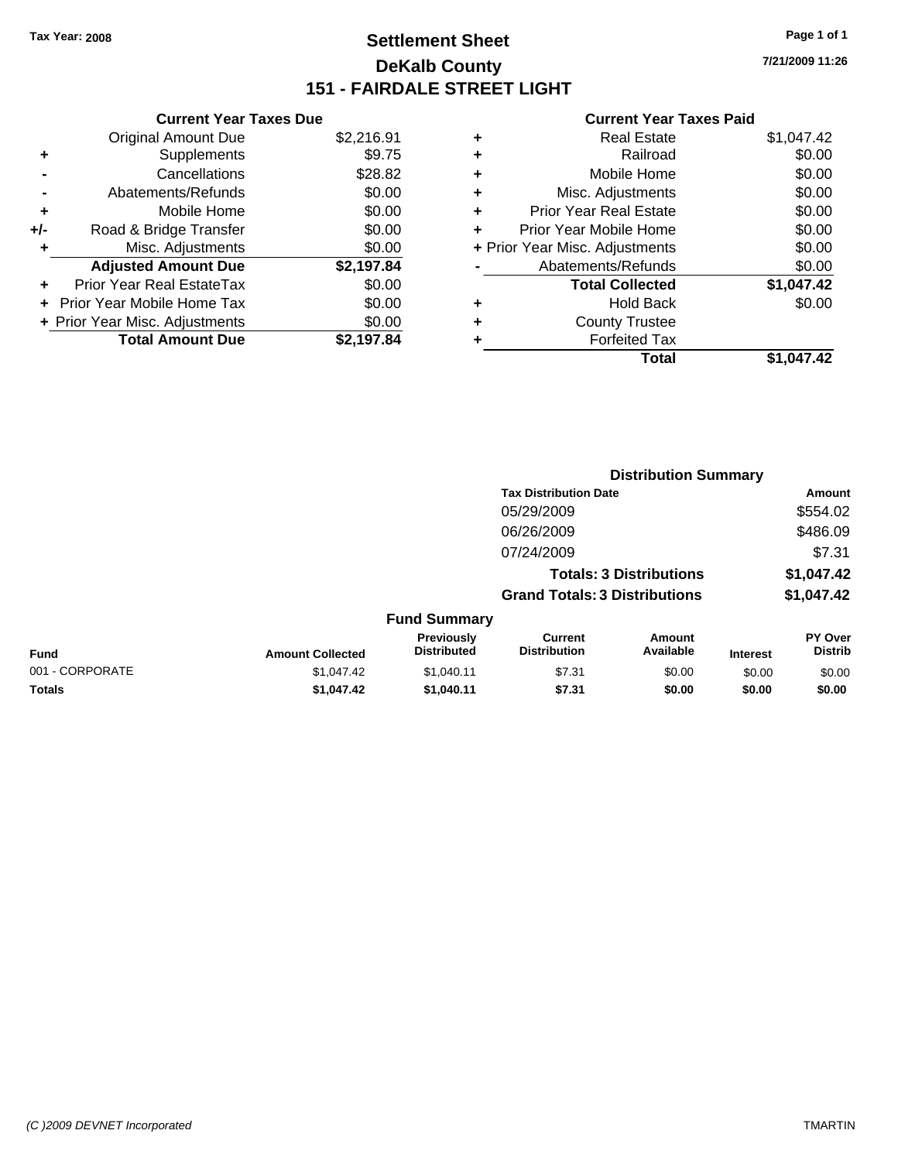### **Settlement Sheet Tax Year: 2008 Page 1 of 1 DeKalb County 151 - FAIRDALE STREET LIGHT**

**7/21/2009 11:26**

|     | <b>Current Year Taxes Due</b>  |            |   |                    |
|-----|--------------------------------|------------|---|--------------------|
|     | <b>Original Amount Due</b>     | \$2,216.91 | ٠ |                    |
|     | <b>Supplements</b>             | \$9.75     | ٠ |                    |
|     | Cancellations                  | \$28.82    | ٠ |                    |
|     | Abatements/Refunds             | \$0.00     | ٠ |                    |
|     | Mobile Home                    | \$0.00     |   | Prior              |
| +/- | Road & Bridge Transfer         | \$0.00     |   | Prior <sup>'</sup> |
|     | Misc. Adjustments              | \$0.00     |   | + Prior Year       |
|     | <b>Adjusted Amount Due</b>     | \$2,197.84 |   | Ab.                |
|     | Prior Year Real EstateTax      | \$0.00     |   |                    |
|     | Prior Year Mobile Home Tax     | \$0.00     | ٠ |                    |
|     | + Prior Year Misc. Adjustments | \$0.00     |   |                    |
|     | <b>Total Amount Due</b>        | \$2,197.84 |   |                    |
|     |                                |            |   |                    |

| ٠ | Real Estate                    | \$1,047.42 |
|---|--------------------------------|------------|
| ٠ | Railroad                       | \$0.00     |
| ٠ | Mobile Home                    | \$0.00     |
| ٠ | Misc. Adjustments              | \$0.00     |
| ÷ | <b>Prior Year Real Estate</b>  | \$0.00     |
| ٠ | Prior Year Mobile Home         | \$0.00     |
|   | + Prior Year Misc. Adjustments | \$0.00     |
|   | Abatements/Refunds             | \$0.00     |
|   | <b>Total Collected</b>         | \$1,047.42 |
| ٠ | Hold Back                      | \$0.00     |
| ٠ | <b>County Trustee</b>          |            |
| ٠ | <b>Forfeited Tax</b>           |            |
|   | Total                          | \$1.047.42 |
|   |                                |            |

|                 |                         |                                  | <b>Distribution Summary</b>           |                                |                 |                                  |
|-----------------|-------------------------|----------------------------------|---------------------------------------|--------------------------------|-----------------|----------------------------------|
|                 |                         |                                  | <b>Tax Distribution Date</b>          |                                |                 | Amount                           |
|                 |                         |                                  | 05/29/2009                            |                                |                 | \$554.02                         |
|                 |                         |                                  | 06/26/2009                            |                                |                 | \$486.09                         |
|                 |                         |                                  | 07/24/2009                            |                                |                 | \$7.31                           |
|                 |                         |                                  |                                       | <b>Totals: 3 Distributions</b> |                 | \$1,047.42                       |
|                 |                         |                                  | <b>Grand Totals: 3 Distributions</b>  |                                |                 | \$1,047.42                       |
|                 |                         | <b>Fund Summary</b>              |                                       |                                |                 |                                  |
| Fund            | <b>Amount Collected</b> | Previously<br><b>Distributed</b> | <b>Current</b><br><b>Distribution</b> | <b>Amount</b><br>Available     | <b>Interest</b> | <b>PY Over</b><br><b>Distrib</b> |
| 001 - CORPORATE | \$1,047.42              | \$1,040.11                       | \$7.31                                | \$0.00                         | \$0.00          | \$0.00                           |
| Totals          | \$1,047.42              | \$1,040.11                       | \$7.31                                | \$0.00                         | \$0.00          | \$0.00                           |
|                 |                         |                                  |                                       |                                |                 |                                  |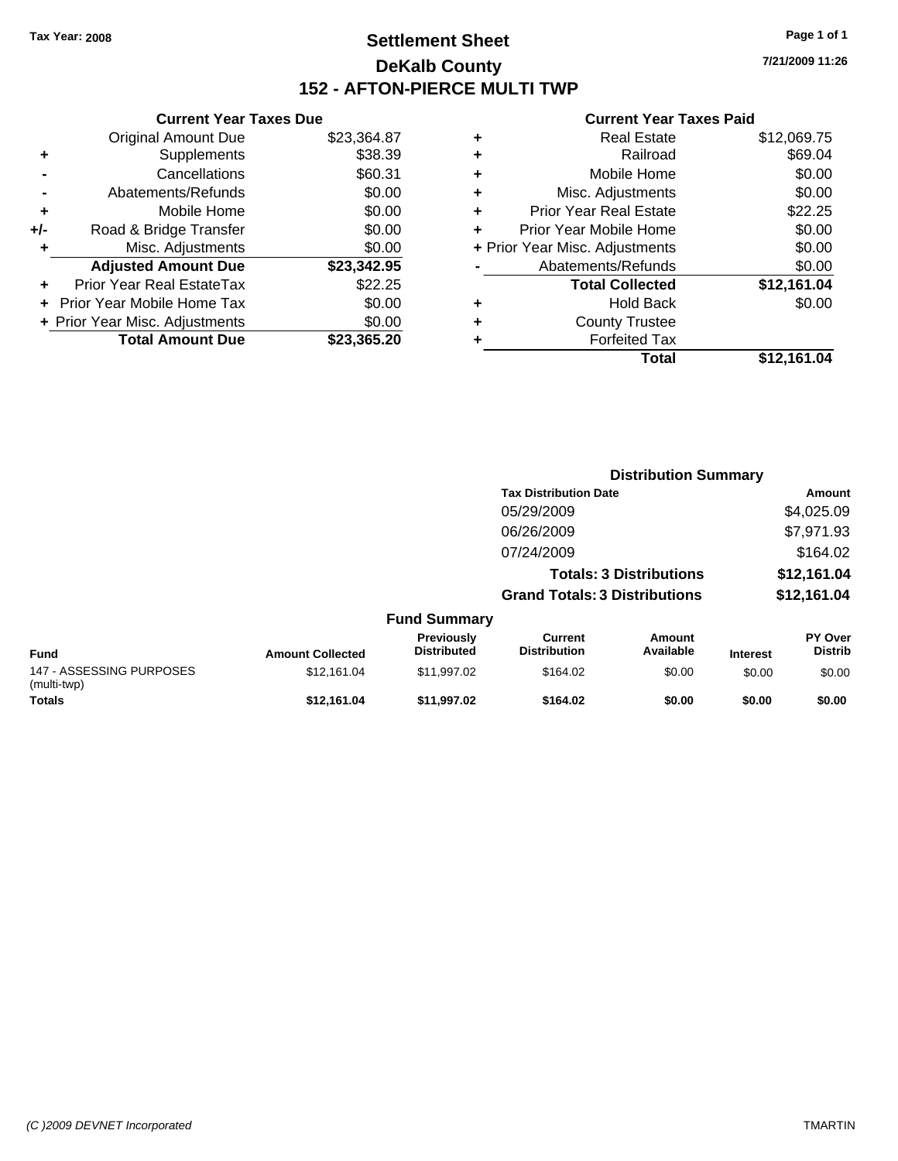### **Settlement Sheet Tax Year: 2008 Page 1 of 1 DeKalb County 152 - AFTON-PIERCE MULTI TWP**

**7/21/2009 11:26**

|     | <b>Current Year Taxes Due</b>  |             |
|-----|--------------------------------|-------------|
|     | <b>Original Amount Due</b>     | \$23,364.87 |
| ٠   | Supplements                    | \$38.39     |
|     | Cancellations                  | \$60.31     |
|     | Abatements/Refunds             | \$0.00      |
| ٠   | Mobile Home                    | \$0.00      |
| +/- | Road & Bridge Transfer         | \$0.00      |
| ٠   | Misc. Adjustments              | \$0.00      |
|     | <b>Adjusted Amount Due</b>     | \$23,342.95 |
| ٠   | Prior Year Real EstateTax      | \$22.25     |
|     | Prior Year Mobile Home Tax     | \$0.00      |
|     | + Prior Year Misc. Adjustments | \$0.00      |
|     | <b>Total Amount Due</b>        | \$23,365.20 |
|     |                                |             |

|   | Total                          | \$12,161.04 |
|---|--------------------------------|-------------|
| ٠ | <b>Forfeited Tax</b>           |             |
| ٠ | <b>County Trustee</b>          |             |
| ٠ | <b>Hold Back</b>               | \$0.00      |
|   | <b>Total Collected</b>         | \$12,161.04 |
|   | Abatements/Refunds             | \$0.00      |
|   | + Prior Year Misc. Adjustments | \$0.00      |
| ٠ | Prior Year Mobile Home         | \$0.00      |
| ÷ | <b>Prior Year Real Estate</b>  | \$22.25     |
| ٠ | Misc. Adjustments              | \$0.00      |
| ÷ | Mobile Home                    | \$0.00      |
| ÷ | Railroad                       | \$69.04     |
| ٠ | <b>Real Estate</b>             | \$12,069.75 |
|   |                                |             |

|                                         | <b>Distribution Summary</b> |                                  |                                       |                                |                 |                                  |
|-----------------------------------------|-----------------------------|----------------------------------|---------------------------------------|--------------------------------|-----------------|----------------------------------|
|                                         |                             |                                  | <b>Tax Distribution Date</b>          |                                |                 | Amount                           |
|                                         |                             |                                  | 05/29/2009                            |                                |                 | \$4,025.09                       |
|                                         |                             |                                  | 06/26/2009                            |                                |                 | \$7,971.93                       |
|                                         |                             |                                  | 07/24/2009                            |                                |                 | \$164.02                         |
|                                         |                             |                                  |                                       | <b>Totals: 3 Distributions</b> |                 | \$12,161.04                      |
|                                         |                             |                                  | <b>Grand Totals: 3 Distributions</b>  |                                |                 | \$12,161.04                      |
|                                         |                             | <b>Fund Summary</b>              |                                       |                                |                 |                                  |
| Fund                                    | <b>Amount Collected</b>     | Previously<br><b>Distributed</b> | <b>Current</b><br><b>Distribution</b> | <b>Amount</b><br>Available     | <b>Interest</b> | <b>PY Over</b><br><b>Distrib</b> |
| 147 - ASSESSING PURPOSES<br>(multi-twp) | \$12.161.04                 | \$11,997.02                      | \$164.02                              | \$0.00                         | \$0.00          | \$0.00                           |
| Totals                                  | \$12.161.04                 | \$11.997.02                      | \$164.02                              | \$0.00                         | \$0.00          | \$0.00                           |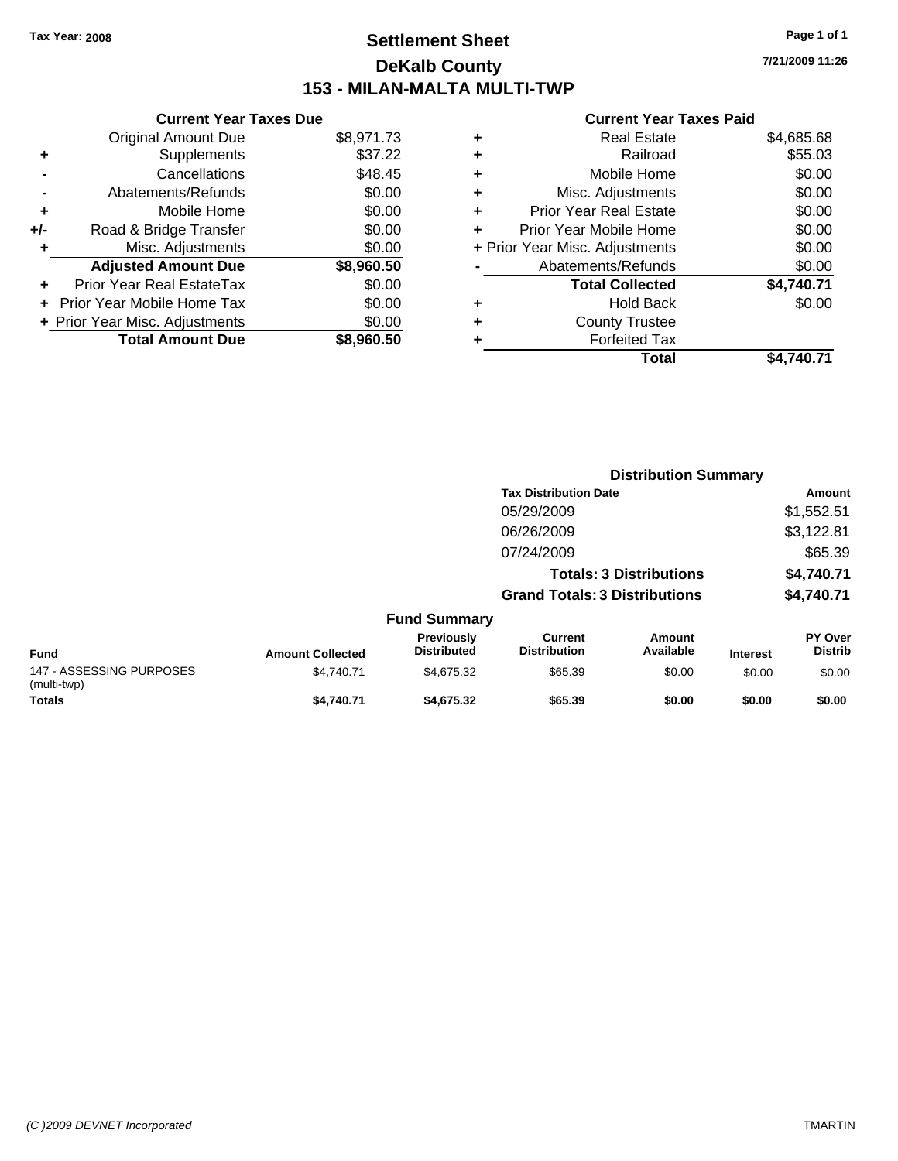### **Settlement Sheet Tax Year: 2008 Page 1 of 1 DeKalb County 153 - MILAN-MALTA MULTI-TWP**

**7/21/2009 11:26**

| <b>Current Yea</b>           |   |            | <b>Current Year Taxes Due</b>  |       |
|------------------------------|---|------------|--------------------------------|-------|
| <b>Real Esta</b>             | ÷ | \$8,971.73 | <b>Original Amount Due</b>     |       |
| Railroa                      | ٠ | \$37.22    | <b>Supplements</b>             | ٠     |
| Mobile Hom                   | ٠ | \$48.45    | Cancellations                  |       |
| Misc. Adjustmen              | ٠ | \$0.00     | Abatements/Refunds             |       |
| <b>Prior Year Real Esta</b>  | ÷ | \$0.00     | Mobile Home                    | ٠     |
| Prior Year Mobile Hom        |   | \$0.00     | Road & Bridge Transfer         | $+/-$ |
| + Prior Year Misc. Adjustmen |   | \$0.00     | Misc. Adjustments              | ٠     |
| Abatements/Refund            |   | \$8,960.50 | <b>Adjusted Amount Due</b>     |       |
| <b>Total Collecte</b>        |   | \$0.00     | Prior Year Real EstateTax      |       |
| Hold Bad                     | ÷ | \$0.00     | + Prior Year Mobile Home Tax   |       |
| <b>County Truste</b>         | ÷ | \$0.00     | + Prior Year Misc. Adjustments |       |
| <b>Forfeited Ta</b>          |   | \$8,960.50 | <b>Total Amount Due</b>        |       |
| <b>T-4</b>                   |   |            |                                |       |

|   | Total                          | \$4.740.71 |
|---|--------------------------------|------------|
|   | <b>Forfeited Tax</b>           |            |
| ÷ | <b>County Trustee</b>          |            |
|   | <b>Hold Back</b>               | \$0.00     |
|   | <b>Total Collected</b>         | \$4,740.71 |
|   | Abatements/Refunds             | \$0.00     |
|   | + Prior Year Misc. Adjustments | \$0.00     |
|   | Prior Year Mobile Home         | \$0.00     |
|   | <b>Prior Year Real Estate</b>  | \$0.00     |
| ٠ | Misc. Adjustments              | \$0.00     |
|   | Mobile Home                    | \$0.00     |
|   | Railroad                       | \$55.03    |
| ٠ | Real Estate                    | \$4,685.68 |

|                                         |                         |                                  |                                       | <b>Distribution Summary</b>    |                 |                                  |  |
|-----------------------------------------|-------------------------|----------------------------------|---------------------------------------|--------------------------------|-----------------|----------------------------------|--|
|                                         |                         |                                  | <b>Tax Distribution Date</b>          |                                |                 | Amount                           |  |
|                                         |                         |                                  | 05/29/2009                            |                                |                 | \$1,552.51                       |  |
|                                         |                         |                                  | 06/26/2009                            |                                |                 | \$3,122.81                       |  |
|                                         |                         |                                  | 07/24/2009                            |                                |                 | \$65.39                          |  |
|                                         |                         |                                  |                                       | <b>Totals: 3 Distributions</b> |                 | \$4,740.71                       |  |
|                                         |                         |                                  | <b>Grand Totals: 3 Distributions</b>  |                                |                 | \$4,740.71                       |  |
|                                         |                         | <b>Fund Summary</b>              |                                       |                                |                 |                                  |  |
| Fund                                    | <b>Amount Collected</b> | Previously<br><b>Distributed</b> | <b>Current</b><br><b>Distribution</b> | Amount<br>Available            | <b>Interest</b> | <b>PY Over</b><br><b>Distrib</b> |  |
| 147 - ASSESSING PURPOSES<br>(multi-twp) | \$4,740.71              | \$4,675.32                       | \$65.39                               | \$0.00                         | \$0.00          | \$0.00                           |  |
| <b>Totals</b>                           | \$4,740.71              | \$4,675.32                       | \$65.39                               | \$0.00                         | \$0.00          | \$0.00                           |  |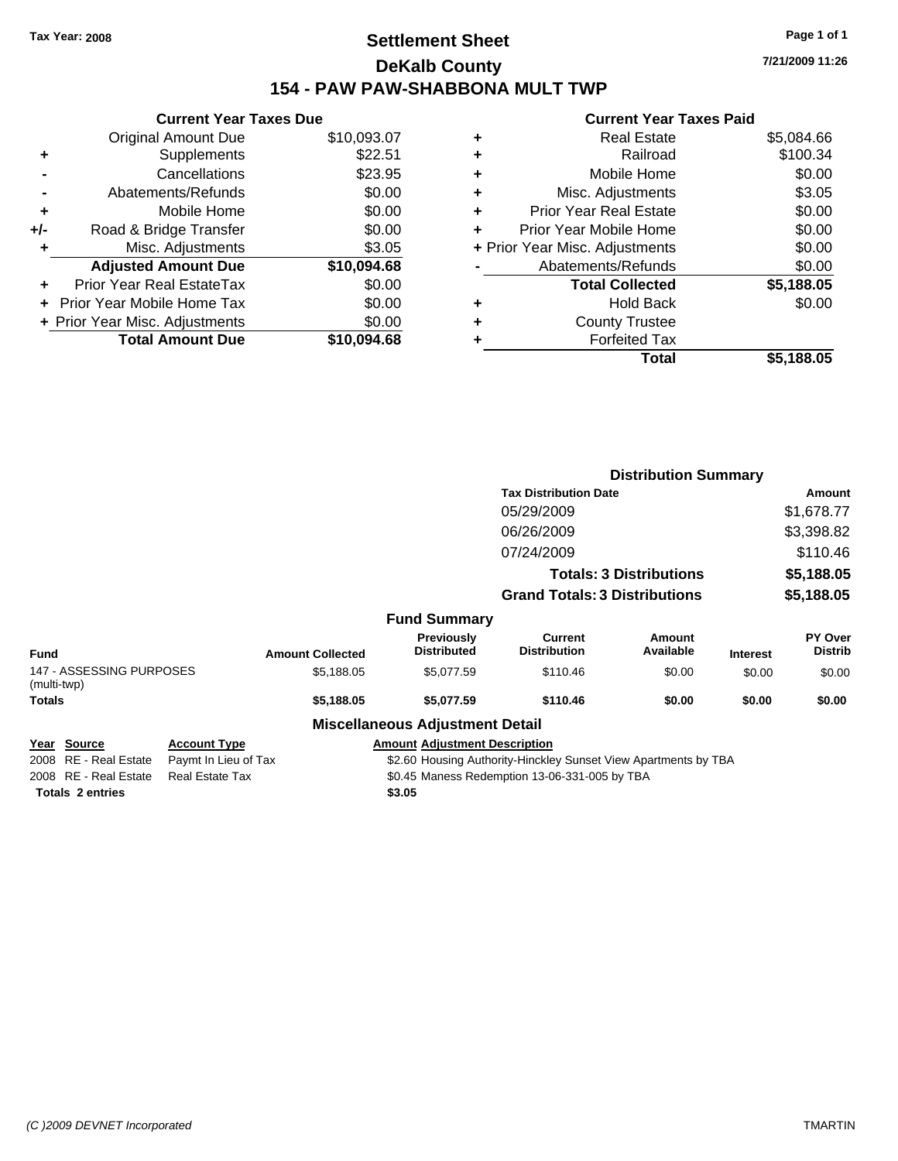### **Settlement Sheet Tax Year: 2008 Page 1 of 1 DeKalb County 154 - PAW PAW-SHABBONA MULT TWP**

**7/21/2009 11:26**

#### **Current Year Taxes Paid**

|     | <b>Current Year Taxes Due</b>  |             |
|-----|--------------------------------|-------------|
|     | <b>Original Amount Due</b>     | \$10,093.07 |
| ÷   | Supplements                    | \$22.51     |
|     | Cancellations                  | \$23.95     |
|     | Abatements/Refunds             | \$0.00      |
| ٠   | Mobile Home                    | \$0.00      |
| +/- | Road & Bridge Transfer         | \$0.00      |
| ٠   | Misc. Adjustments              | \$3.05      |
|     | <b>Adjusted Amount Due</b>     | \$10,094.68 |
|     | Prior Year Real EstateTax      | \$0.00      |
|     | Prior Year Mobile Home Tax     | \$0.00      |
|     | + Prior Year Misc. Adjustments | \$0.00      |
|     | <b>Total Amount Due</b>        | \$10,094.68 |
|     |                                |             |

| ٠ | <b>Real Estate</b>             | \$5,084.66 |
|---|--------------------------------|------------|
| ٠ | Railroad                       | \$100.34   |
| ٠ | Mobile Home                    | \$0.00     |
| ٠ | Misc. Adjustments              | \$3.05     |
| ٠ | Prior Year Real Estate         | \$0.00     |
|   | Prior Year Mobile Home         | \$0.00     |
|   | + Prior Year Misc. Adjustments | \$0.00     |
|   | Abatements/Refunds             | \$0.00     |
|   | <b>Total Collected</b>         | \$5,188.05 |
| ٠ | <b>Hold Back</b>               | \$0.00     |
| ٠ | <b>County Trustee</b>          |            |
| ٠ | <b>Forfeited Tax</b>           |            |
|   | Total                          | \$5,188.05 |
|   |                                |            |

|                                                   |                                             |                         |                                        | <b>Distribution Summary</b>                                     |                                |                 |                                  |
|---------------------------------------------------|---------------------------------------------|-------------------------|----------------------------------------|-----------------------------------------------------------------|--------------------------------|-----------------|----------------------------------|
|                                                   |                                             |                         |                                        | <b>Tax Distribution Date</b>                                    |                                |                 | Amount                           |
|                                                   |                                             |                         |                                        | 05/29/2009                                                      |                                |                 | \$1,678.77                       |
|                                                   |                                             |                         |                                        | 06/26/2009                                                      |                                |                 | \$3,398.82                       |
|                                                   |                                             |                         |                                        | 07/24/2009                                                      |                                |                 | \$110.46                         |
|                                                   |                                             |                         |                                        |                                                                 | <b>Totals: 3 Distributions</b> |                 | \$5,188.05                       |
|                                                   |                                             |                         | <b>Grand Totals: 3 Distributions</b>   |                                                                 |                                | \$5,188.05      |                                  |
|                                                   |                                             |                         | <b>Fund Summary</b>                    |                                                                 |                                |                 |                                  |
| <b>Fund</b>                                       |                                             | <b>Amount Collected</b> | Previously<br><b>Distributed</b>       | Current<br><b>Distribution</b>                                  | Amount<br>Available            | <b>Interest</b> | <b>PY Over</b><br><b>Distrib</b> |
| 147 - ASSESSING PURPOSES<br>(multi-twp)           |                                             | \$5,188.05              | \$5,077.59                             | \$110.46                                                        | \$0.00                         | \$0.00          | \$0.00                           |
| Totals                                            |                                             | \$5,188.05              | \$5,077.59                             | \$110.46                                                        | \$0.00                         | \$0.00          | \$0.00                           |
|                                                   |                                             |                         | <b>Miscellaneous Adjustment Detail</b> |                                                                 |                                |                 |                                  |
| Source<br>Year<br><b>RE</b> - Real Estate<br>2008 | <b>Account Type</b><br>Paymt In Lieu of Tax |                         | <b>Amount Adjustment Description</b>   | \$2.60 Housing Authority-Hinckley Sunset View Apartments by TBA |                                |                 |                                  |

\$2.60 Housing Authority-Hinckley Sunset View Apartments by TBA 2008 RE - Real Estate Real Estate Tax S0.45 Maness Redemption 13-06-331-005 by TBA

**Totals \$3.05 2 entries**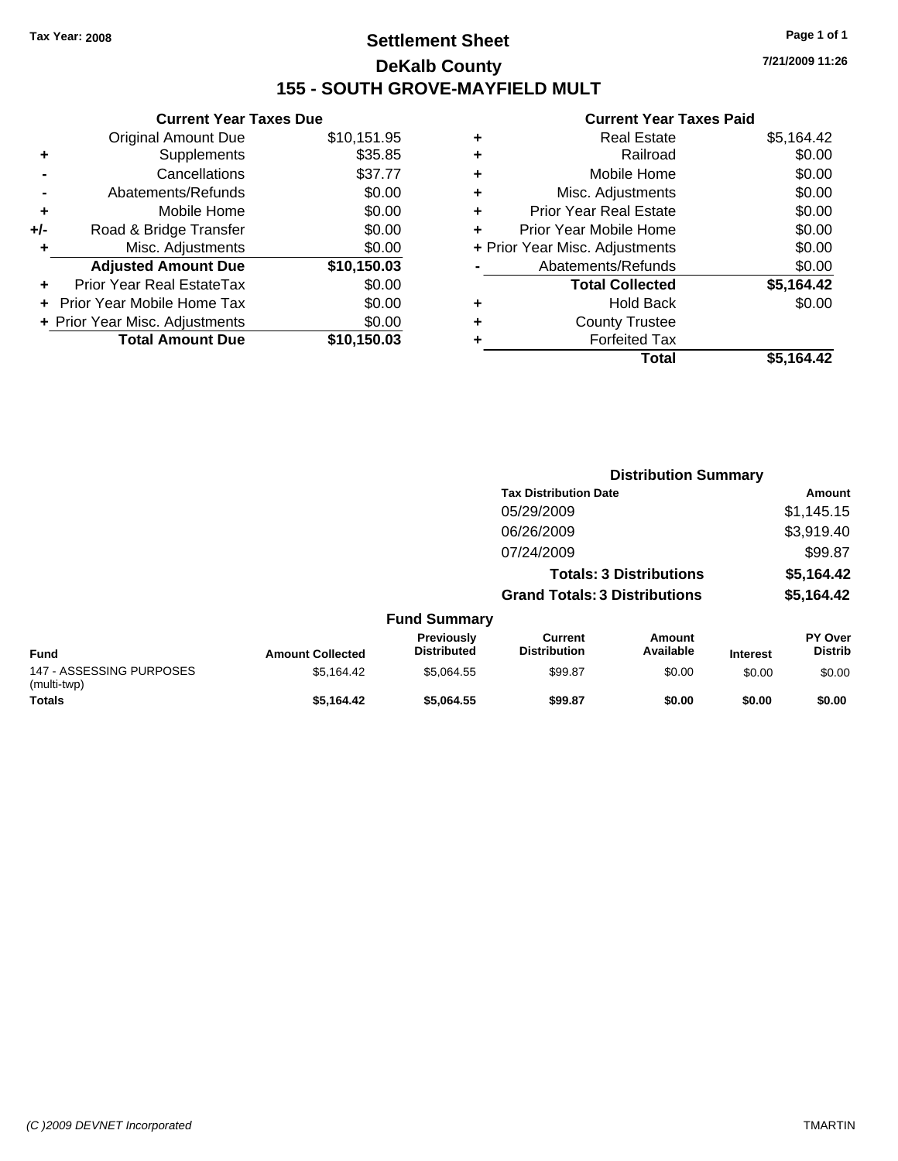### **Settlement Sheet Tax Year: 2008 Page 1 of 1 DeKalb County 155 - SOUTH GROVE-MAYFIELD MULT**

**7/21/2009 11:26**

|       | <b>Current Year Taxes Due</b>     |             |
|-------|-----------------------------------|-------------|
|       | <b>Original Amount Due</b>        | \$10,151.95 |
| ٠     | Supplements                       | \$35.85     |
|       | Cancellations                     | \$37.77     |
|       | Abatements/Refunds                | \$0.00      |
| ÷     | Mobile Home                       | \$0.00      |
| $+/-$ | Road & Bridge Transfer            | \$0.00      |
|       | Misc. Adjustments                 | \$0.00      |
|       | <b>Adjusted Amount Due</b>        | \$10,150.03 |
|       | Prior Year Real EstateTax         | \$0.00      |
|       | <b>Prior Year Mobile Home Tax</b> | \$0.00      |
|       | + Prior Year Misc. Adjustments    | \$0.00      |
|       | <b>Total Amount Due</b>           | \$10.150.03 |
|       |                                   |             |

|   | Total                          | \$5,164.42 |
|---|--------------------------------|------------|
| ٠ | <b>Forfeited Tax</b>           |            |
| ٠ | <b>County Trustee</b>          |            |
| ٠ | <b>Hold Back</b>               | \$0.00     |
|   | <b>Total Collected</b>         | \$5,164.42 |
|   | Abatements/Refunds             | \$0.00     |
|   | + Prior Year Misc. Adjustments | \$0.00     |
| ٠ | Prior Year Mobile Home         | \$0.00     |
| ÷ | <b>Prior Year Real Estate</b>  | \$0.00     |
| ٠ | Misc. Adjustments              | \$0.00     |
| ÷ | Mobile Home                    | \$0.00     |
| ÷ | Railroad                       | \$0.00     |
| ٠ | <b>Real Estate</b>             | \$5,164.42 |
|   |                                |            |

|                                         |                         |                                  | <b>Distribution Summary</b>           |                                |                 |                                  |  |
|-----------------------------------------|-------------------------|----------------------------------|---------------------------------------|--------------------------------|-----------------|----------------------------------|--|
|                                         |                         |                                  | <b>Tax Distribution Date</b>          |                                |                 | <b>Amount</b>                    |  |
|                                         |                         |                                  | 05/29/2009                            |                                |                 | \$1,145.15                       |  |
|                                         |                         |                                  | 06/26/2009                            |                                |                 | \$3,919.40                       |  |
|                                         |                         |                                  | 07/24/2009                            |                                |                 | \$99.87                          |  |
|                                         |                         |                                  |                                       | <b>Totals: 3 Distributions</b> |                 | \$5,164.42                       |  |
|                                         |                         |                                  | <b>Grand Totals: 3 Distributions</b>  |                                |                 | \$5,164.42                       |  |
|                                         |                         | <b>Fund Summary</b>              |                                       |                                |                 |                                  |  |
| <b>Fund</b>                             | <b>Amount Collected</b> | Previously<br><b>Distributed</b> | <b>Current</b><br><b>Distribution</b> | <b>Amount</b><br>Available     | <b>Interest</b> | <b>PY Over</b><br><b>Distrib</b> |  |
| 147 - ASSESSING PURPOSES<br>(multi-twp) | \$5,164.42              | \$5,064.55                       | \$99.87                               | \$0.00                         | \$0.00          | \$0.00                           |  |
| <b>Totals</b>                           | \$5.164.42              | \$5.064.55                       | \$99.87                               | \$0.00                         | \$0.00          | \$0.00                           |  |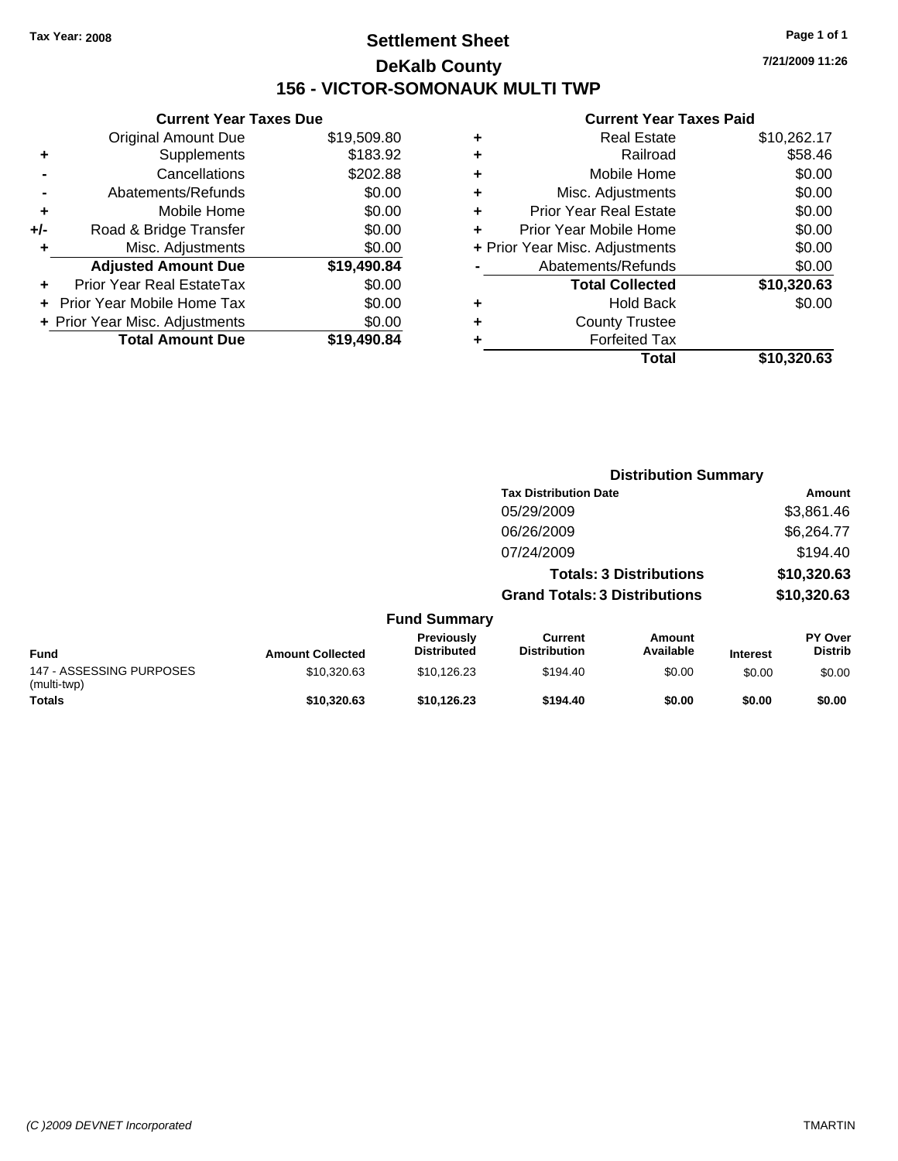### **Settlement Sheet Tax Year: 2008 Page 1 of 1 DeKalb County 156 - VICTOR-SOMONAUK MULTI TWP**

**7/21/2009 11:26**

|       | <b>Current Year Taxes Due</b>  |             |  |  |  |  |
|-------|--------------------------------|-------------|--|--|--|--|
|       | <b>Original Amount Due</b>     | \$19,509.80 |  |  |  |  |
| ٠     | Supplements                    | \$183.92    |  |  |  |  |
|       | Cancellations                  | \$202.88    |  |  |  |  |
|       | Abatements/Refunds             | \$0.00      |  |  |  |  |
| ٠     | Mobile Home                    | \$0.00      |  |  |  |  |
| $+/-$ | Road & Bridge Transfer         | \$0.00      |  |  |  |  |
| ٠     | Misc. Adjustments              | \$0.00      |  |  |  |  |
|       | <b>Adjusted Amount Due</b>     | \$19,490.84 |  |  |  |  |
|       | Prior Year Real EstateTax      | \$0.00      |  |  |  |  |
|       | Prior Year Mobile Home Tax     | \$0.00      |  |  |  |  |
|       | + Prior Year Misc. Adjustments | \$0.00      |  |  |  |  |
|       | <b>Total Amount Due</b>        | \$19,490.84 |  |  |  |  |
|       |                                |             |  |  |  |  |

|   | <b>Real Estate</b>             | \$10,262.17 |
|---|--------------------------------|-------------|
| ٠ | Railroad                       | \$58.46     |
| ٠ | Mobile Home                    | \$0.00      |
| ٠ | Misc. Adjustments              | \$0.00      |
| ٠ | Prior Year Real Estate         | \$0.00      |
|   | Prior Year Mobile Home         | \$0.00      |
|   | + Prior Year Misc. Adjustments | \$0.00      |
|   | Abatements/Refunds             | \$0.00      |
|   | <b>Total Collected</b>         | \$10,320.63 |
| ٠ | <b>Hold Back</b>               | \$0.00      |
| ٠ | <b>County Trustee</b>          |             |
| ٠ | <b>Forfeited Tax</b>           |             |
|   | Total                          | \$10,320.63 |
|   |                                |             |

|                                         |                         |                                  | <b>Distribution Summary</b>           |                                |                 |                           |
|-----------------------------------------|-------------------------|----------------------------------|---------------------------------------|--------------------------------|-----------------|---------------------------|
|                                         |                         |                                  | <b>Tax Distribution Date</b>          |                                | Amount          |                           |
|                                         |                         |                                  | 05/29/2009                            |                                |                 | \$3,861.46                |
|                                         |                         |                                  | 06/26/2009                            |                                |                 | \$6,264.77                |
|                                         |                         |                                  | 07/24/2009                            |                                |                 | \$194.40                  |
|                                         |                         |                                  |                                       | <b>Totals: 3 Distributions</b> |                 | \$10,320.63               |
|                                         |                         |                                  | <b>Grand Totals: 3 Distributions</b>  |                                | \$10,320.63     |                           |
|                                         |                         | <b>Fund Summary</b>              |                                       |                                |                 |                           |
| <b>Fund</b>                             | <b>Amount Collected</b> | Previously<br><b>Distributed</b> | <b>Current</b><br><b>Distribution</b> | Amount<br>Available            | <b>Interest</b> | PY Over<br><b>Distrib</b> |
| 147 - ASSESSING PURPOSES<br>(multi-twp) | \$10,320.63             | \$10,126.23                      | \$194.40                              | \$0.00                         | \$0.00          | \$0.00                    |
| <b>Totals</b>                           | \$10.320.63             | \$10.126.23                      | \$194.40                              | \$0.00                         | \$0.00          | \$0.00                    |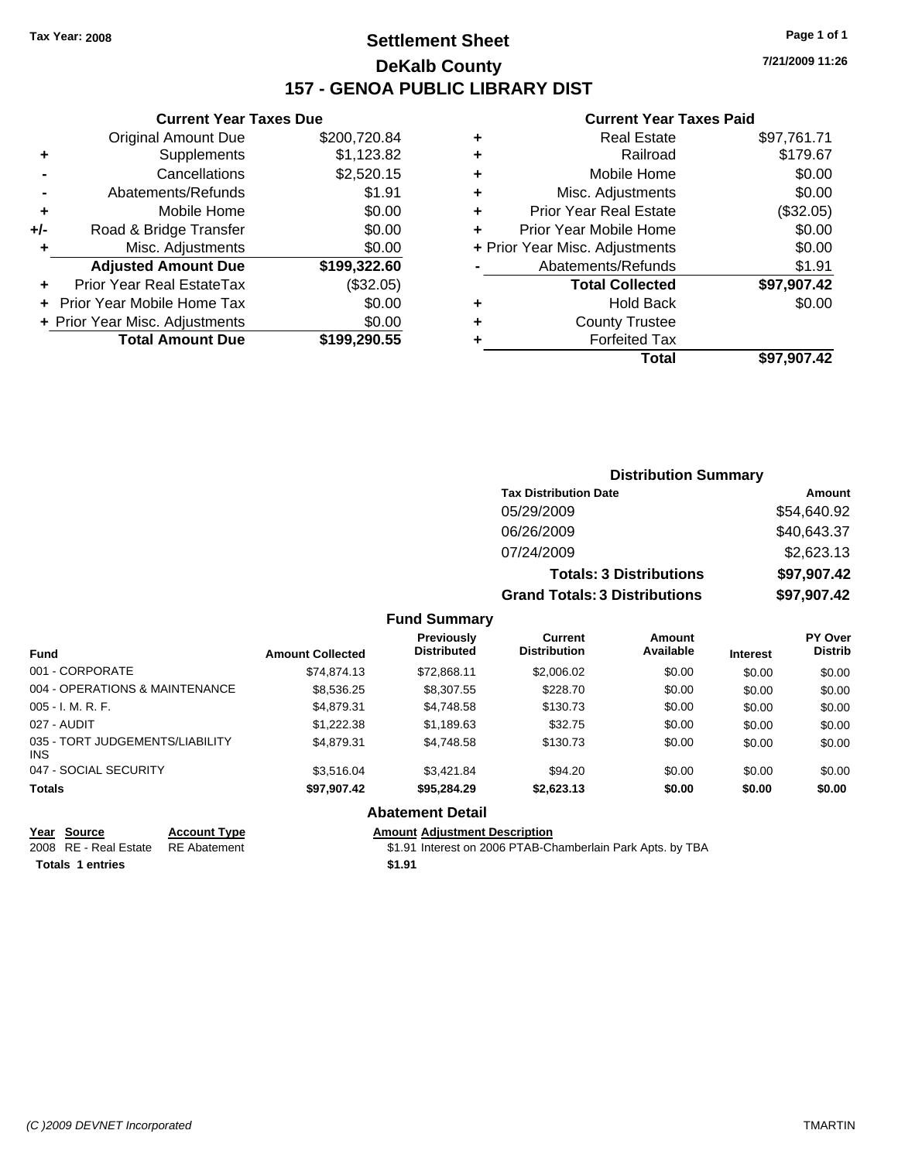### **Settlement Sheet Tax Year: 2008 Page 1 of 1 DeKalb County 157 - GENOA PUBLIC LIBRARY DIST**

#### **Current Year Taxes Due**

|     | <b>Original Amount Due</b>       | \$200,720.84 |
|-----|----------------------------------|--------------|
| ٠   | Supplements                      | \$1,123.82   |
|     | Cancellations                    | \$2,520.15   |
|     | Abatements/Refunds               | \$1.91       |
| ٠   | Mobile Home                      | \$0.00       |
| +/- | Road & Bridge Transfer           | \$0.00       |
| ٠   | Misc. Adjustments                | \$0.00       |
|     | <b>Adjusted Amount Due</b>       | \$199,322.60 |
|     | <b>Prior Year Real EstateTax</b> | (\$32.05)    |
|     | Prior Year Mobile Home Tax       | \$0.00       |
|     | + Prior Year Misc. Adjustments   | \$0.00       |
|     | <b>Total Amount Due</b>          | \$199,290.55 |

#### **Current Year Taxes Paid**

|   | Real Estate                    | \$97,761.71 |
|---|--------------------------------|-------------|
| ٠ | Railroad                       | \$179.67    |
| ٠ | Mobile Home                    | \$0.00      |
| ٠ | Misc. Adjustments              | \$0.00      |
| ٠ | <b>Prior Year Real Estate</b>  | (\$32.05)   |
|   | Prior Year Mobile Home         | \$0.00      |
|   | + Prior Year Misc. Adjustments | \$0.00      |
|   | Abatements/Refunds             | \$1.91      |
|   | <b>Total Collected</b>         | \$97,907.42 |
| ٠ | Hold Back                      | \$0.00      |
| ٠ | <b>County Trustee</b>          |             |
| ٠ | <b>Forfeited Tax</b>           |             |
|   | Total                          | \$97,907.42 |
|   |                                |             |

| <b>Distribution Summary</b>          |             |  |  |
|--------------------------------------|-------------|--|--|
| <b>Tax Distribution Date</b>         | Amount      |  |  |
| 05/29/2009                           | \$54,640.92 |  |  |
| 06/26/2009                           | \$40,643.37 |  |  |
| 07/24/2009                           | \$2,623.13  |  |  |
| <b>Totals: 3 Distributions</b>       | \$97,907.42 |  |  |
| <b>Grand Totals: 3 Distributions</b> | \$97,907.42 |  |  |

#### **Fund Summary**

| <b>Fund</b>                                   | <b>Amount Collected</b> | <b>Previously</b><br><b>Distributed</b> | <b>Current</b><br><b>Distribution</b> | Amount<br>Available | <b>Interest</b> | PY Over<br><b>Distrib</b> |
|-----------------------------------------------|-------------------------|-----------------------------------------|---------------------------------------|---------------------|-----------------|---------------------------|
| 001 - CORPORATE                               | \$74.874.13             | \$72.868.11                             | \$2,006.02                            | \$0.00              | \$0.00          | \$0.00                    |
| 004 - OPERATIONS & MAINTENANCE                | \$8,536.25              | \$8,307.55                              | \$228.70                              | \$0.00              | \$0.00          | \$0.00                    |
| $005 - I. M. R. F.$                           | \$4,879.31              | \$4.748.58                              | \$130.73                              | \$0.00              | \$0.00          | \$0.00                    |
| 027 - AUDIT                                   | \$1,222,38              | \$1,189.63                              | \$32.75                               | \$0.00              | \$0.00          | \$0.00                    |
| 035 - TORT JUDGEMENTS/LIABILITY<br><b>INS</b> | \$4.879.31              | \$4.748.58                              | \$130.73                              | \$0.00              | \$0.00          | \$0.00                    |
| 047 - SOCIAL SECURITY                         | \$3.516.04              | \$3.421.84                              | \$94.20                               | \$0.00              | \$0.00          | \$0.00                    |
| <b>Totals</b>                                 | \$97,907.42             | \$95.284.29                             | \$2.623.13                            | \$0.00              | \$0.00          | \$0.00                    |

#### **Abatement Detail**

#### **Year Source Account Type Amount Adjustment Description**

2008 RE - Real Estate RE Abatement \$1.91 Interest on 2006 PTAB-Chamberlain Park Apts. by TBA **Totals 1 entries** \$1.91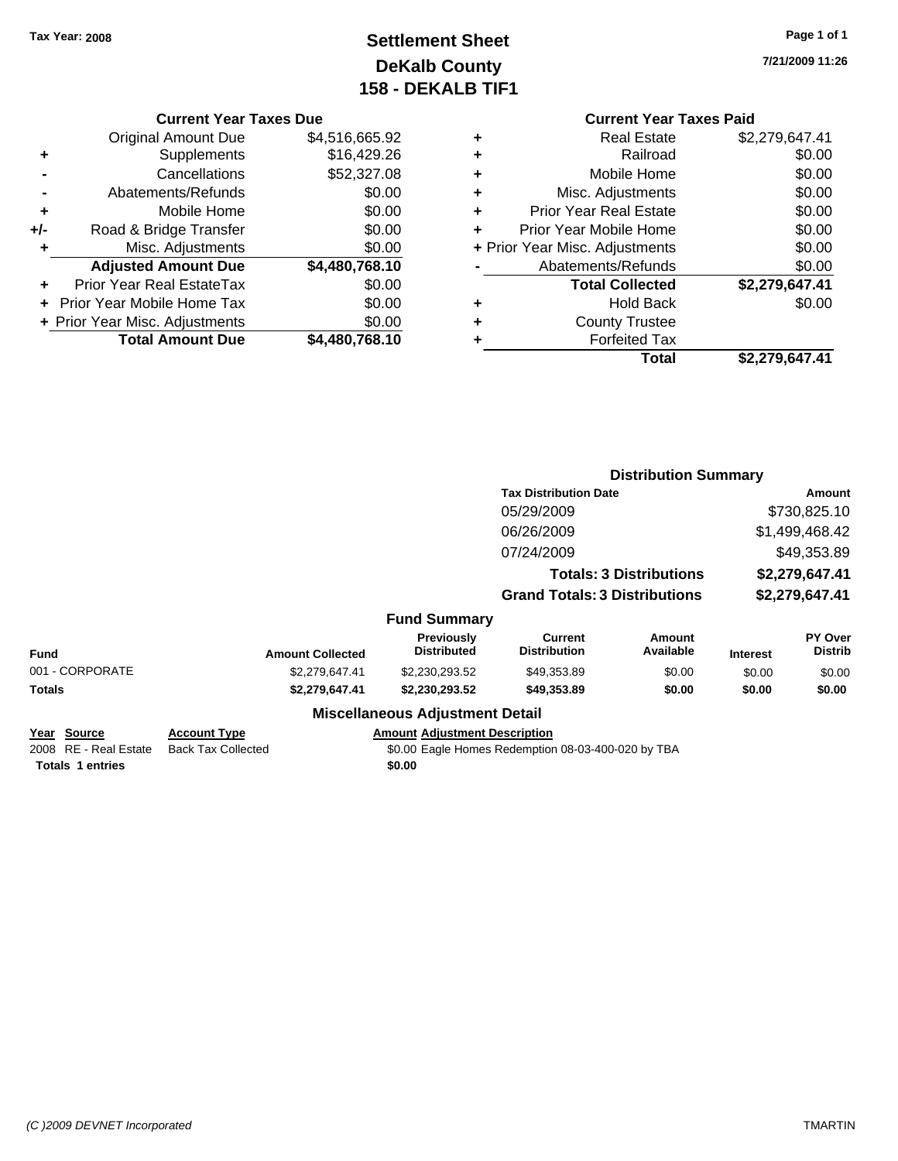# **Settlement Sheet Tax Year: 2008 Page 1 of 1 DeKalb County 158 - DEKALB TIF1**

**7/21/2009 11:26**

#### **Current Year Taxes Due**

|       | <b>Original Amount Due</b>       | \$4,516,665.92 |
|-------|----------------------------------|----------------|
| ٠     | Supplements                      | \$16,429.26    |
|       | Cancellations                    | \$52,327.08    |
|       | Abatements/Refunds               | \$0.00         |
| ٠     | Mobile Home                      | \$0.00         |
| $+/-$ | Road & Bridge Transfer           | \$0.00         |
| ٠     | Misc. Adjustments                | \$0.00         |
|       | <b>Adjusted Amount Due</b>       | \$4,480,768.10 |
|       | <b>Prior Year Real EstateTax</b> | \$0.00         |
|       | Prior Year Mobile Home Tax       | \$0.00         |
|       | + Prior Year Misc. Adjustments   | \$0.00         |
|       | <b>Total Amount Due</b>          | \$4,480,768.10 |

#### **Current Year Taxes Paid +** Real Estate \$2,279,647.41

|   | Total                          | \$2,279,647.41 |
|---|--------------------------------|----------------|
| ٠ | <b>Forfeited Tax</b>           |                |
| ٠ | <b>County Trustee</b>          |                |
| ٠ | <b>Hold Back</b>               | \$0.00         |
|   | <b>Total Collected</b>         | \$2,279,647.41 |
|   | Abatements/Refunds             | \$0.00         |
|   | + Prior Year Misc. Adjustments | \$0.00         |
| ÷ | Prior Year Mobile Home         | \$0.00         |
| ÷ | <b>Prior Year Real Estate</b>  | \$0.00         |
| ٠ | Misc. Adjustments              | \$0.00         |
| ٠ | Mobile Home                    | \$0.00         |
| ٠ | Railroad                       | \$0.00         |
| ٠ | Real Estate                    | \$2,279,647.41 |

|                                                                 |                                                  |                                                | <b>Distribution Summary</b>                        |                                |                 |                           |  |
|-----------------------------------------------------------------|--------------------------------------------------|------------------------------------------------|----------------------------------------------------|--------------------------------|-----------------|---------------------------|--|
|                                                                 |                                                  |                                                | <b>Tax Distribution Date</b>                       |                                |                 | Amount                    |  |
|                                                                 |                                                  |                                                | 05/29/2009                                         |                                |                 | \$730,825.10              |  |
|                                                                 |                                                  |                                                | 06/26/2009                                         |                                |                 | \$1,499,468.42            |  |
|                                                                 |                                                  |                                                | 07/24/2009                                         |                                |                 | \$49,353.89               |  |
|                                                                 |                                                  |                                                |                                                    | <b>Totals: 3 Distributions</b> |                 | \$2,279,647.41            |  |
|                                                                 |                                                  |                                                | <b>Grand Totals: 3 Distributions</b>               |                                |                 | \$2,279,647.41            |  |
|                                                                 |                                                  | <b>Fund Summary</b>                            |                                                    |                                |                 |                           |  |
| <b>Fund</b>                                                     | <b>Amount Collected</b>                          | <b>Previously</b><br><b>Distributed</b>        | <b>Current</b><br><b>Distribution</b>              | Amount<br>Available            | <b>Interest</b> | PY Over<br><b>Distrib</b> |  |
| 001 - CORPORATE                                                 | \$2,279,647.41                                   | \$2,230,293.52                                 | \$49,353.89                                        | \$0.00                         | \$0.00          | \$0.00                    |  |
| Totals                                                          | \$2,279,647.41                                   | \$2,230,293.52                                 | \$49,353.89                                        | \$0.00                         | \$0.00          | \$0.00                    |  |
|                                                                 |                                                  | <b>Miscellaneous Adjustment Detail</b>         |                                                    |                                |                 |                           |  |
| Year Source<br>2008 RE - Real Estate<br><b>Totals 1 entries</b> | <b>Account Type</b><br><b>Back Tax Collected</b> | <b>Amount Adjustment Description</b><br>\$0.00 | \$0.00 Eagle Homes Redemption 08-03-400-020 by TBA |                                |                 |                           |  |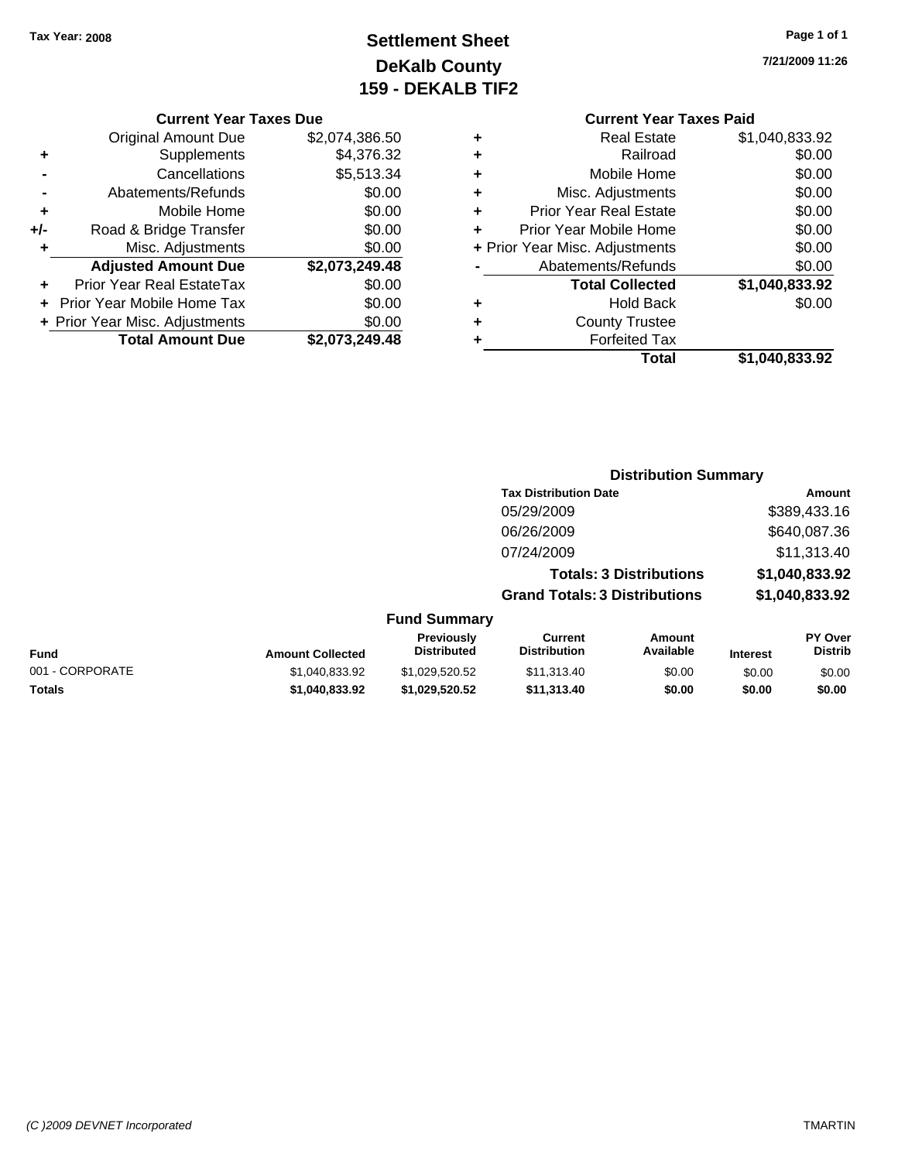# **Settlement Sheet Tax Year: 2008 Page 1 of 1 DeKalb County 159 - DEKALB TIF2**

**7/21/2009 11:26**

#### **Current Year Taxes Due**

|       | <b>Original Amount Due</b>       | \$2,074,386.50 |
|-------|----------------------------------|----------------|
| ٠     | Supplements                      | \$4,376.32     |
|       | Cancellations                    | \$5,513.34     |
|       | Abatements/Refunds               | \$0.00         |
| ٠     | Mobile Home                      | \$0.00         |
| $+/-$ | Road & Bridge Transfer           | \$0.00         |
| ٠     | Misc. Adjustments                | \$0.00         |
|       | <b>Adjusted Amount Due</b>       | \$2,073,249.48 |
|       | <b>Prior Year Real EstateTax</b> | \$0.00         |
|       | Prior Year Mobile Home Tax       | \$0.00         |
|       | + Prior Year Misc. Adjustments   | \$0.00         |
|       | <b>Total Amount Due</b>          | \$2,073,249.48 |

### **Current Year Taxes Paid**

| ٠ | <b>Real Estate</b>             | \$1,040,833.92 |
|---|--------------------------------|----------------|
| ٠ | Railroad                       | \$0.00         |
| ٠ | Mobile Home                    | \$0.00         |
| ٠ | Misc. Adjustments              | \$0.00         |
| ٠ | <b>Prior Year Real Estate</b>  | \$0.00         |
| ÷ | Prior Year Mobile Home         | \$0.00         |
|   | + Prior Year Misc. Adjustments | \$0.00         |
|   | Abatements/Refunds             | \$0.00         |
|   | <b>Total Collected</b>         | \$1,040,833.92 |
| ٠ | <b>Hold Back</b>               | \$0.00         |
| ٠ | <b>County Trustee</b>          |                |
| ٠ | <b>Forfeited Tax</b>           |                |
|   | Total                          | \$1,040,833.92 |
|   |                                |                |

#### **Distribution Summary Tax Distribution Date Amount** 05/29/2009 \$389,433.16 06/26/2009 \$640,087.36 07/24/2009 \$11,313.40 **Totals: 3 Distributions \$1,040,833.92 Grand Totals: 3 Distributions \$1,040,833.92 Fund Summary Fund Interest Amount Collected Distributed PY Over Distrib Amount Available Current Distribution Previously** 001 - CORPORATE \$1,040,833.92 \$1,029,520.52 \$11,313.40 \$0.00 \$0.00 \$0.00 **Totals \$1,040,833.92 \$1,029,520.52 \$11,313.40 \$0.00 \$0.00 \$0.00**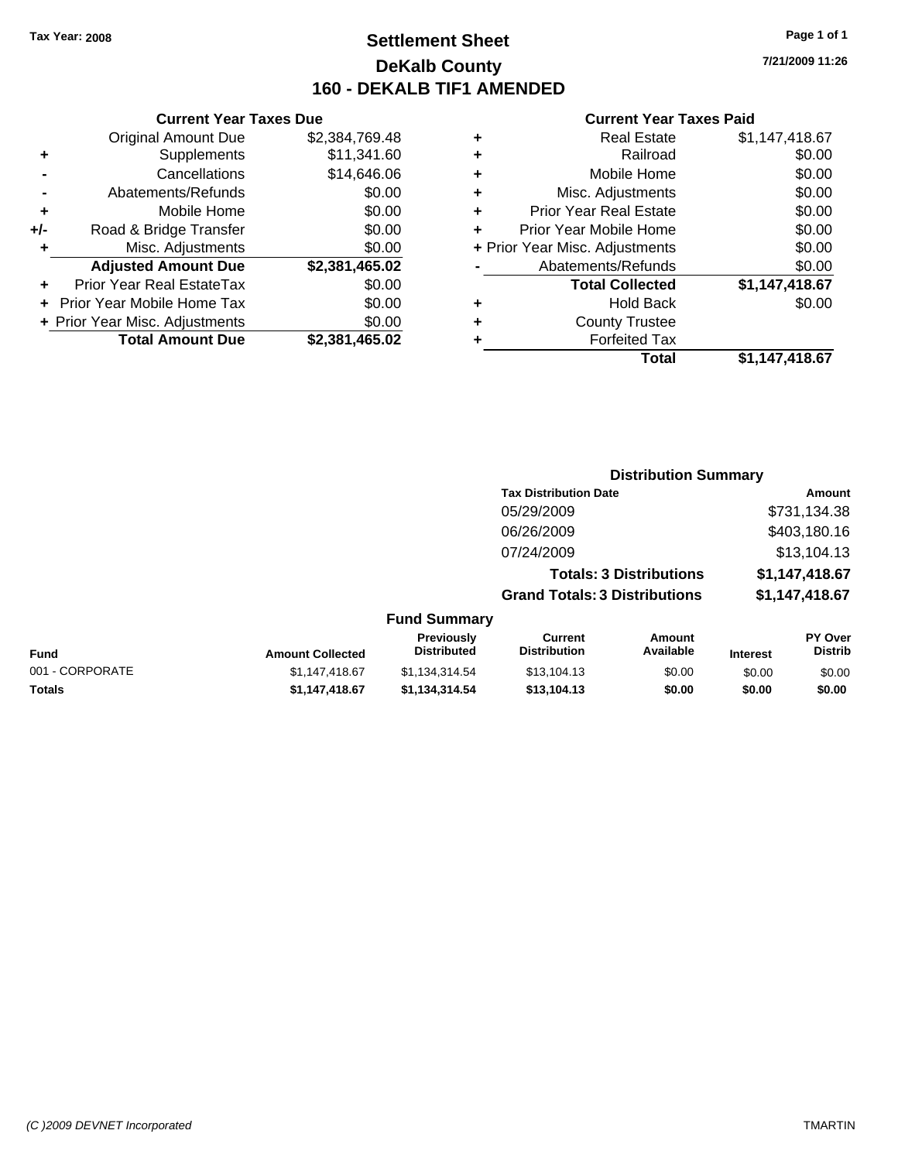### **Settlement Sheet Tax Year: 2008 Page 1 of 1 DeKalb County 160 - DEKALB TIF1 AMENDED**

**7/21/2009 11:26**

#### **Current Year Taxes Paid**

|        |   | Total                          | \$1,147,418.67 |
|--------|---|--------------------------------|----------------|
| 165.02 | ٠ | <b>Forfeited Tax</b>           |                |
| \$0.00 | ٠ | <b>County Trustee</b>          |                |
| \$0.00 | ٠ | <b>Hold Back</b>               | \$0.00         |
| \$0.00 |   | <b>Total Collected</b>         | \$1,147,418.67 |
| 165.02 |   | Abatements/Refunds             | \$0.00         |
| \$0.00 |   | + Prior Year Misc. Adjustments | \$0.00         |
| \$0.00 | ٠ | Prior Year Mobile Home         | \$0.00         |
| \$0.00 | ÷ | <b>Prior Year Real Estate</b>  | \$0.00         |
| \$0.00 | ٠ | Misc. Adjustments              | \$0.00         |
| 646.06 | ٠ | Mobile Home                    | \$0.00         |
| 341.60 | ٠ | Railroad                       | \$0.00         |
| 769.48 | ٠ | <b>Real Estate</b>             | \$1,147,418.67 |
|        |   |                                |                |

|     | <b>Original Amount Due</b>        | \$2,384,769.48 |
|-----|-----------------------------------|----------------|
| ٠   | Supplements                       | \$11,341.60    |
|     | Cancellations                     | \$14,646.06    |
|     | Abatements/Refunds                | \$0.00         |
| ٠   | Mobile Home                       | \$0.00         |
| +/- | Road & Bridge Transfer            | \$0.00         |
|     |                                   |                |
| ٠   | Misc. Adjustments                 | \$0.00         |
|     | <b>Adjusted Amount Due</b>        | \$2,381,465.02 |
|     | <b>Prior Year Real EstateTax</b>  | \$0.00         |
|     | <b>Prior Year Mobile Home Tax</b> | \$0.00         |
|     | + Prior Year Misc. Adjustments    | \$0.00         |

**Current Year Taxes Due**

|                     | <b>Distribution Summary</b>          |                |
|---------------------|--------------------------------------|----------------|
|                     | <b>Tax Distribution Date</b>         | Amount         |
|                     | 05/29/2009                           | \$731,134.38   |
|                     | 06/26/2009                           | \$403,180.16   |
|                     | 07/24/2009                           | \$13,104.13    |
|                     | <b>Totals: 3 Distributions</b>       | \$1,147,418.67 |
|                     | <b>Grand Totals: 3 Distributions</b> | \$1,147,418.67 |
| <b>Fund Summary</b> |                                      |                |

|                 |                         | UITU VUIIIIIIUI Y                       |                                |                     |                 |                                  |
|-----------------|-------------------------|-----------------------------------------|--------------------------------|---------------------|-----------------|----------------------------------|
| <b>Fund</b>     | <b>Amount Collected</b> | <b>Previously</b><br><b>Distributed</b> | Current<br><b>Distribution</b> | Amount<br>Available | <b>Interest</b> | <b>PY Over</b><br><b>Distrib</b> |
| 001 - CORPORATE | \$1.147.418.67          | \$1.134.314.54                          | \$13,104.13                    | \$0.00              | \$0.00          | \$0.00                           |
| Totals          | \$1.147.418.67          | \$1.134.314.54                          | \$13.104.13                    | \$0.00              | \$0.00          | \$0.00                           |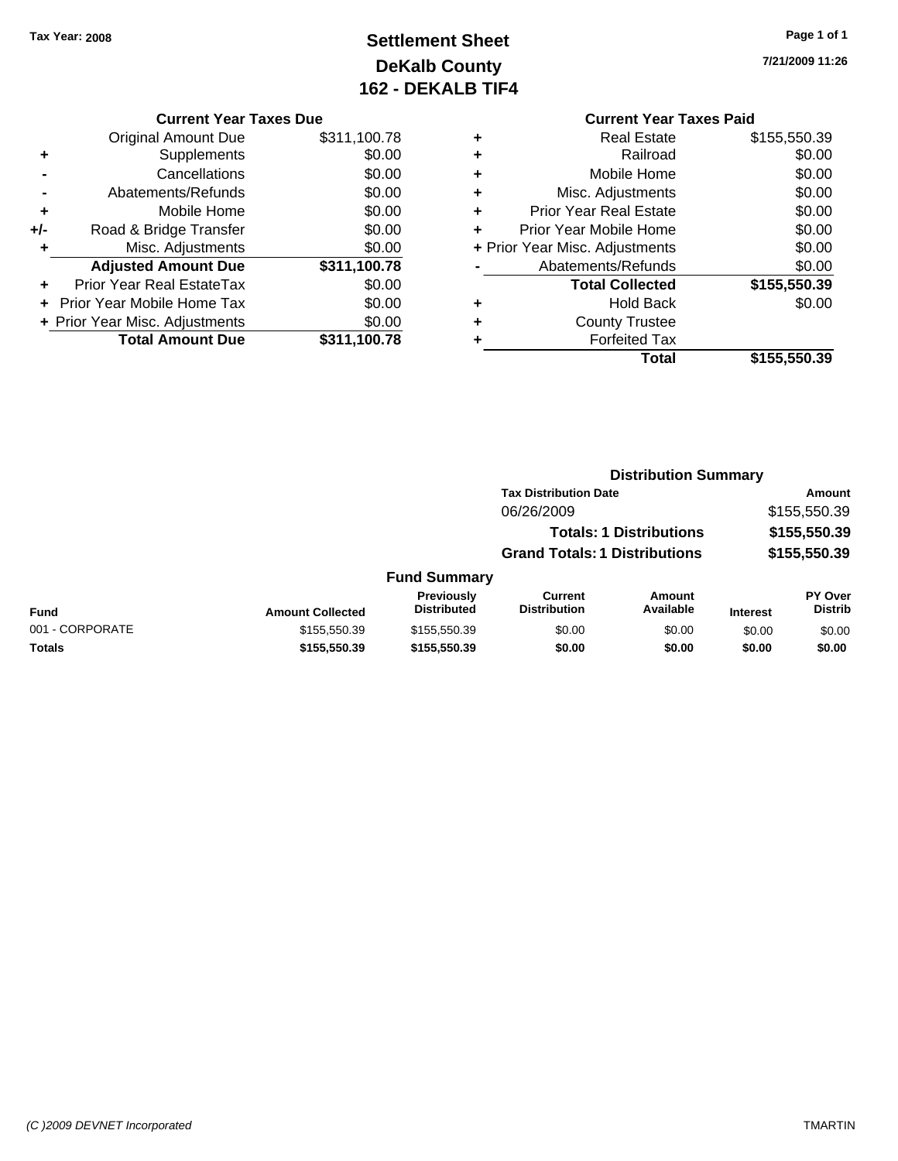# **Settlement Sheet Tax Year: 2008 Page 1 of 1 DeKalb County 162 - DEKALB TIF4**

**7/21/2009 11:26**

#### **Current Year Taxes Due**

| <b>Original Amount Due</b>       | \$311,100.78 |
|----------------------------------|--------------|
| Supplements                      | \$0.00       |
| Cancellations                    | \$0.00       |
| Abatements/Refunds               | \$0.00       |
| Mobile Home                      | \$0.00       |
| Road & Bridge Transfer           | \$0.00       |
| Misc. Adjustments                | \$0.00       |
| <b>Adjusted Amount Due</b>       | \$311,100.78 |
| <b>Prior Year Real EstateTax</b> | \$0.00       |
| Prior Year Mobile Home Tax       | \$0.00       |
| + Prior Year Misc. Adjustments   | \$0.00       |
| <b>Total Amount Due</b>          | \$311,100.78 |
|                                  |              |

### **Current Year Taxes Paid**

|   | <b>Real Estate</b>             | \$155,550.39 |
|---|--------------------------------|--------------|
| ٠ | Railroad                       | \$0.00       |
| ٠ | Mobile Home                    | \$0.00       |
| ٠ | Misc. Adjustments              | \$0.00       |
| ٠ | <b>Prior Year Real Estate</b>  | \$0.00       |
|   | Prior Year Mobile Home         | \$0.00       |
|   | + Prior Year Misc. Adjustments | \$0.00       |
|   | Abatements/Refunds             | \$0.00       |
|   | <b>Total Collected</b>         | \$155,550.39 |
| ٠ | <b>Hold Back</b>               | \$0.00       |
|   | <b>County Trustee</b>          |              |
|   | <b>Forfeited Tax</b>           |              |
|   | Total                          | \$155,550.39 |
|   |                                |              |

#### **Distribution Summary Tax Distribution Date Amount** 06/26/2009 \$155,550.39 **Totals: 1 Distributions \$155,550.39 Grand Totals: 1 Distributions \$155,550.39 Fund Summary PY Over Distrib Amount Available Current Distribution Previously Amount Collected Distributed**

| Fund            | <b>Amount Collected</b> | <b>FICVIOUSIV</b><br><b>Distributed</b> | <b>Current</b><br>Distribution | Alliount<br>Available | <b>Interest</b> | г г оvег<br>Distrib |
|-----------------|-------------------------|-----------------------------------------|--------------------------------|-----------------------|-----------------|---------------------|
| 001 - CORPORATE | \$155.550.39            | \$155,550,39                            | \$0.00                         | \$0.00                | \$0.00          | \$0.00              |
| <b>Totals</b>   | \$155,550,39            | \$155,550,39                            | \$0.00                         | \$0.00                | \$0.00          | \$0.00              |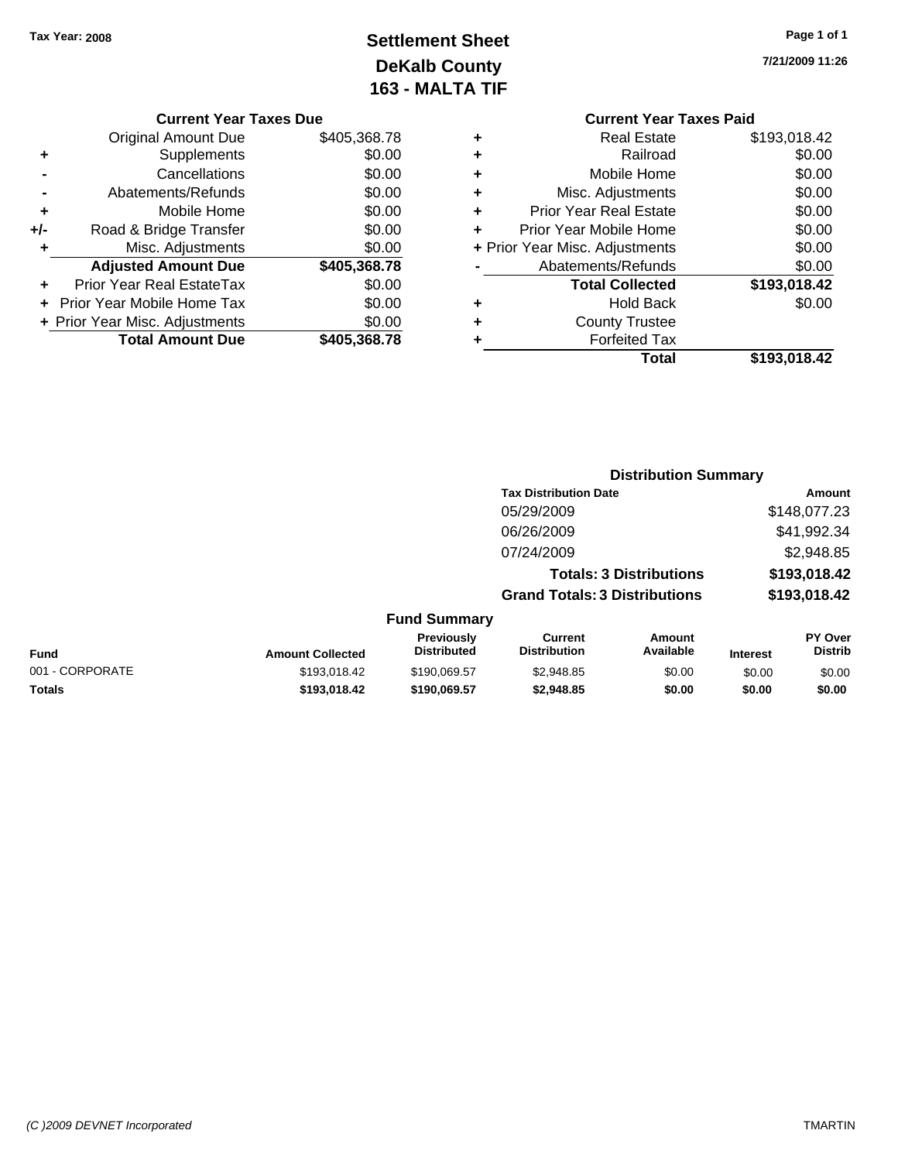# **Settlement Sheet Tax Year: 2008 Page 1 of 1 DeKalb County 163 - MALTA TIF**

**7/21/2009 11:26**

| <b>Original Amount Due</b> | \$405,368.78                   |
|----------------------------|--------------------------------|
| Supplements                | \$0.00                         |
| Cancellations              | \$0.00                         |
| Abatements/Refunds         | \$0.00                         |
| Mobile Home                | \$0.00                         |
| Road & Bridge Transfer     | \$0.00                         |
| Misc. Adjustments          | \$0.00                         |
| <b>Adjusted Amount Due</b> | \$405,368.78                   |
| Prior Year Real EstateTax  | \$0.00                         |
| Prior Year Mobile Home Tax | \$0.00                         |
|                            | \$0.00                         |
|                            |                                |
|                            | + Prior Year Misc. Adjustments |

#### **Current Year Taxes Paid +** Real Estate \$193,018.42 **+** Railroad \$0.00 **+** Mobile Home \$0.00 **+** Misc. Adjustments \$0.00 **+** Prior Year Real Estate \$0.00 **+** Prior Year Mobile Home \$0.00 **+** Prior Year Misc. Adjustments  $$0.00$ **-** Abatements/Refunds \$0.00 **Total Collected \$193,018.42 +** Hold Back \$0.00 **+** County Trustee **+** Forfeited Tax **Total \$193,018.42**

|                 |                         |                                  |                                       | <b>Distribution Summary</b>          |                 |                           |
|-----------------|-------------------------|----------------------------------|---------------------------------------|--------------------------------------|-----------------|---------------------------|
|                 |                         |                                  | <b>Tax Distribution Date</b>          |                                      |                 | Amount                    |
|                 |                         |                                  | 05/29/2009                            |                                      |                 | \$148,077.23              |
|                 |                         |                                  | 06/26/2009                            |                                      |                 | \$41,992.34               |
|                 |                         |                                  | 07/24/2009                            |                                      |                 | \$2,948.85                |
|                 |                         |                                  |                                       | <b>Totals: 3 Distributions</b>       |                 | \$193,018.42              |
|                 |                         |                                  |                                       | <b>Grand Totals: 3 Distributions</b> |                 | \$193,018.42              |
|                 |                         | <b>Fund Summary</b>              |                                       |                                      |                 |                           |
| Fund            | <b>Amount Collected</b> | Previously<br><b>Distributed</b> | <b>Current</b><br><b>Distribution</b> | Amount<br>Available                  | <b>Interest</b> | PY Over<br><b>Distrib</b> |
| 001 - CORPORATE | \$193,018.42            | \$190,069.57                     | \$2,948.85                            | \$0.00                               | \$0.00          | \$0.00                    |
| Totals          | \$193,018.42            | \$190,069.57                     | \$2,948.85                            | \$0.00                               | \$0.00          | \$0.00                    |
|                 |                         |                                  |                                       |                                      |                 |                           |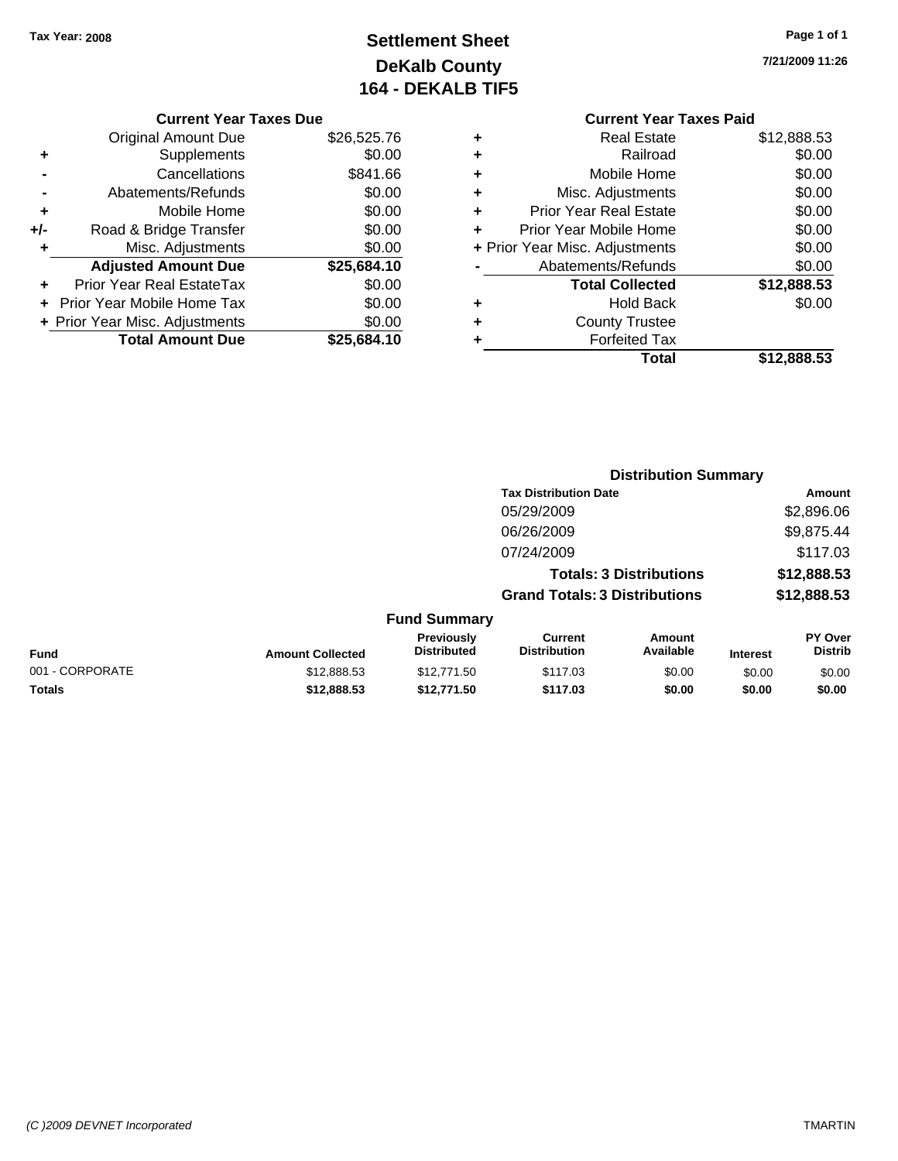# **Settlement Sheet Tax Year: 2008 Page 1 of 1 DeKalb County 164 - DEKALB TIF5**

**7/21/2009 11:26**

|       | <b>Current Year Taxes Due</b>  |             |
|-------|--------------------------------|-------------|
|       | Original Amount Due            | \$26,525.76 |
|       | Supplements                    | \$0.00      |
|       | Cancellations                  | \$841.66    |
|       | Abatements/Refunds             | \$0.00      |
| ٠     | Mobile Home                    | \$0.00      |
| $+/-$ | Road & Bridge Transfer         | \$0.00      |
| ٠     | Misc. Adjustments              | \$0.00      |
|       | <b>Adjusted Amount Due</b>     | \$25,684.10 |
|       | Prior Year Real EstateTax      | \$0.00      |
|       | Prior Year Mobile Home Tax     | \$0.00      |
|       | + Prior Year Misc. Adjustments | \$0.00      |
|       | <b>Total Amount Due</b>        | \$25,684.10 |
|       |                                |             |

#### **Current Year Taxes Paid +** Real Estate \$12,888.53 **+** Railroad \$0.00 **+** Mobile Home \$0.00 **+** Misc. Adjustments \$0.00 **+** Prior Year Real Estate \$0.00 **+** Prior Year Mobile Home \$0.00 **+** Prior Year Misc. Adjustments  $$0.00$ **-** Abatements/Refunds \$0.00 **Total Collected \$12,888.53 +** Hold Back \$0.00 **+** County Trustee **+** Forfeited Tax **Total \$12,888.53**

|                 |                         |                                  | <b>Distribution Summary</b>           |                                |                 |                                  |
|-----------------|-------------------------|----------------------------------|---------------------------------------|--------------------------------|-----------------|----------------------------------|
|                 |                         |                                  | <b>Tax Distribution Date</b>          |                                |                 | Amount                           |
|                 |                         |                                  | 05/29/2009                            |                                |                 | \$2,896.06                       |
|                 |                         |                                  | 06/26/2009                            |                                |                 | \$9,875.44                       |
|                 |                         |                                  | 07/24/2009                            |                                |                 | \$117.03                         |
|                 |                         |                                  |                                       | <b>Totals: 3 Distributions</b> |                 | \$12,888.53                      |
|                 |                         |                                  | <b>Grand Totals: 3 Distributions</b>  |                                |                 | \$12,888.53                      |
|                 |                         | <b>Fund Summary</b>              |                                       |                                |                 |                                  |
| Fund            | <b>Amount Collected</b> | Previously<br><b>Distributed</b> | <b>Current</b><br><b>Distribution</b> | <b>Amount</b><br>Available     | <b>Interest</b> | <b>PY Over</b><br><b>Distrib</b> |
| 001 - CORPORATE | \$12,888.53             | \$12,771.50                      | \$117.03                              | \$0.00                         | \$0.00          | \$0.00                           |
| Totals          | \$12,888.53             | \$12,771.50                      | \$117.03                              | \$0.00                         | \$0.00          | \$0.00                           |
|                 |                         |                                  |                                       |                                |                 |                                  |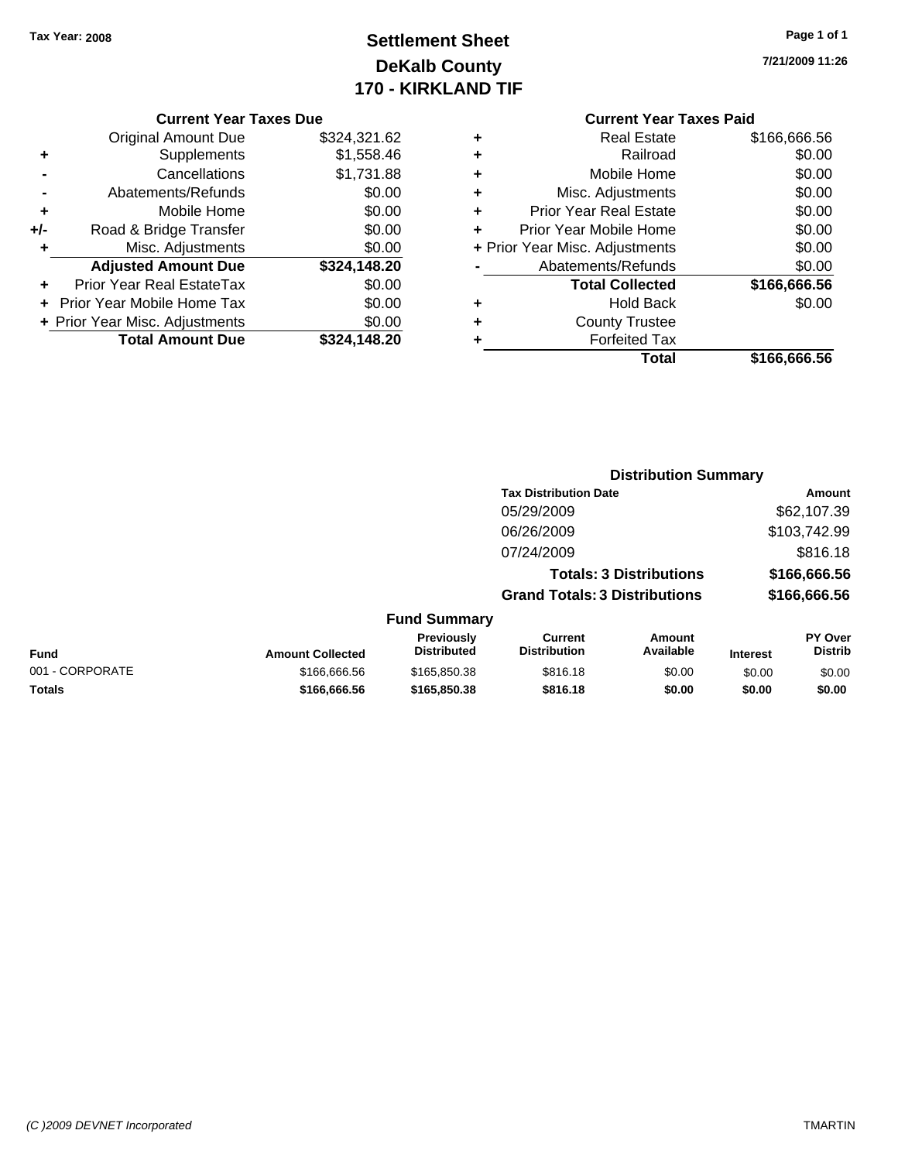# **Settlement Sheet Tax Year: 2008 Page 1 of 1 DeKalb County 170 - KIRKLAND TIF**

**7/21/2009 11:26**

|       | <b>Current Year Taxes Due</b>  |              |
|-------|--------------------------------|--------------|
|       | <b>Original Amount Due</b>     | \$324,321.62 |
| ٠     | Supplements                    | \$1,558.46   |
|       | Cancellations                  | \$1,731.88   |
|       | Abatements/Refunds             | \$0.00       |
| ÷     | Mobile Home                    | \$0.00       |
| $+/-$ | Road & Bridge Transfer         | \$0.00       |
| ٠     | Misc. Adjustments              | \$0.00       |
|       | <b>Adjusted Amount Due</b>     | \$324,148.20 |
|       | Prior Year Real EstateTax      | \$0.00       |
|       | Prior Year Mobile Home Tax     | \$0.00       |
|       | + Prior Year Misc. Adjustments | \$0.00       |
|       | <b>Total Amount Due</b>        | \$324.148.20 |
|       |                                |              |

### **Current Year Taxes Paid +** Real Estate \$166,666.56 **+** Railroad \$0.00 **+** Mobile Home \$0.00 **+** Misc. Adjustments \$0.00 **+** Prior Year Real Estate \$0.00 **+** Prior Year Mobile Home \$0.00 **+ Prior Year Misc. Adjustments**  $$0.00$ **-** Abatements/Refunds \$0.00 **Total Collected \$166,666.56 +** Hold Back \$0.00 **+** County Trustee **+** Forfeited Tax **Total \$166,666.56**

|                 |                         |                                  |                                       | <b>Distribution Summary</b>    |                 |                           |
|-----------------|-------------------------|----------------------------------|---------------------------------------|--------------------------------|-----------------|---------------------------|
|                 |                         |                                  | <b>Tax Distribution Date</b>          |                                |                 | Amount                    |
|                 |                         |                                  | 05/29/2009                            |                                |                 | \$62,107.39               |
|                 |                         |                                  | 06/26/2009                            |                                |                 | \$103,742.99              |
|                 |                         |                                  | 07/24/2009                            |                                |                 | \$816.18                  |
|                 |                         |                                  |                                       | <b>Totals: 3 Distributions</b> |                 | \$166,666.56              |
|                 |                         |                                  | <b>Grand Totals: 3 Distributions</b>  |                                |                 | \$166,666.56              |
|                 |                         | <b>Fund Summary</b>              |                                       |                                |                 |                           |
| Fund            | <b>Amount Collected</b> | Previously<br><b>Distributed</b> | <b>Current</b><br><b>Distribution</b> | Amount<br>Available            | <b>Interest</b> | PY Over<br><b>Distrib</b> |
| 001 - CORPORATE | \$166,666.56            | \$165,850.38                     | \$816.18                              | \$0.00                         | \$0.00          | \$0.00                    |
| Totals          | \$166,666.56            | \$165,850.38                     | \$816.18                              | \$0.00                         | \$0.00          | \$0.00                    |
|                 |                         |                                  |                                       |                                |                 |                           |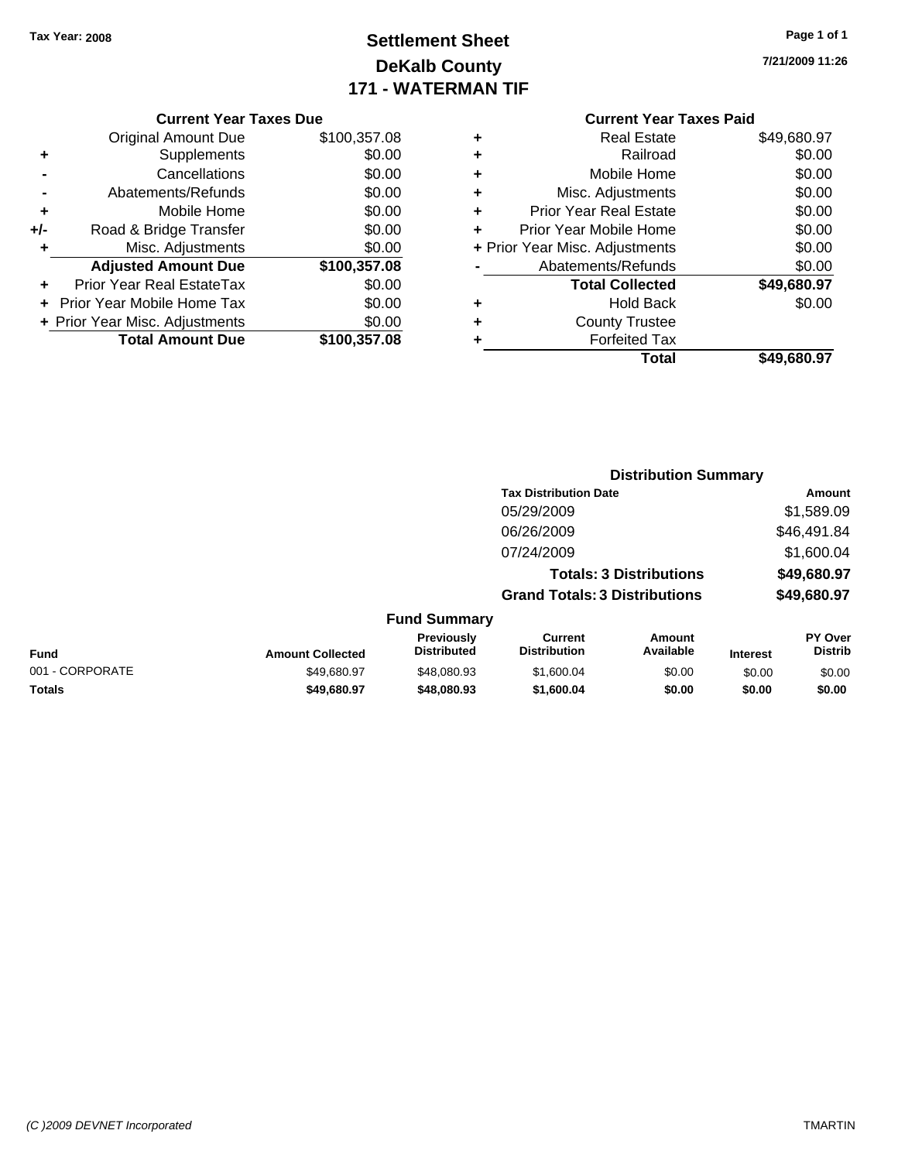# **Settlement Sheet Tax Year: 2008 Page 1 of 1 DeKalb County 171 - WATERMAN TIF**

### **7/21/2009 11:26**

|     | <b>Current Year Taxes Due</b>  |              |  |  |  |  |
|-----|--------------------------------|--------------|--|--|--|--|
|     | <b>Original Amount Due</b>     | \$100,357.08 |  |  |  |  |
| ٠   | Supplements                    | \$0.00       |  |  |  |  |
|     | Cancellations                  | \$0.00       |  |  |  |  |
|     | Abatements/Refunds             | \$0.00       |  |  |  |  |
| ٠   | Mobile Home                    | \$0.00       |  |  |  |  |
| +/- | Road & Bridge Transfer         | \$0.00       |  |  |  |  |
|     | Misc. Adjustments              | \$0.00       |  |  |  |  |
|     | <b>Adjusted Amount Due</b>     | \$100,357.08 |  |  |  |  |
|     | Prior Year Real EstateTax      | \$0.00       |  |  |  |  |
|     | Prior Year Mobile Home Tax     | \$0.00       |  |  |  |  |
|     | + Prior Year Misc. Adjustments | \$0.00       |  |  |  |  |
|     | <b>Total Amount Due</b>        | \$100,357.08 |  |  |  |  |
|     |                                |              |  |  |  |  |

|   | Total                          | \$49,680.97 |
|---|--------------------------------|-------------|
| ٠ | <b>Forfeited Tax</b>           |             |
| ٠ | <b>County Trustee</b>          |             |
| ٠ | <b>Hold Back</b>               | \$0.00      |
|   | <b>Total Collected</b>         | \$49,680.97 |
|   | Abatements/Refunds             | \$0.00      |
|   | + Prior Year Misc. Adjustments | \$0.00      |
| ٠ | Prior Year Mobile Home         | \$0.00      |
| ٠ | <b>Prior Year Real Estate</b>  | \$0.00      |
| ٠ | Misc. Adjustments              | \$0.00      |
| ٠ | Mobile Home                    | \$0.00      |
| ٠ | Railroad                       | \$0.00      |
| ٠ | <b>Real Estate</b>             | \$49,680.97 |

|                 |                         |                                  | <b>Distribution Summary</b>           |                                |                 |                                  |
|-----------------|-------------------------|----------------------------------|---------------------------------------|--------------------------------|-----------------|----------------------------------|
|                 |                         |                                  | <b>Tax Distribution Date</b>          |                                |                 | Amount                           |
|                 |                         |                                  | 05/29/2009                            |                                |                 | \$1,589.09                       |
|                 |                         |                                  | 06/26/2009                            |                                |                 | \$46,491.84                      |
|                 |                         |                                  | 07/24/2009                            |                                |                 | \$1,600.04                       |
|                 |                         |                                  |                                       | <b>Totals: 3 Distributions</b> |                 | \$49,680.97                      |
|                 |                         |                                  | <b>Grand Totals: 3 Distributions</b>  |                                |                 | \$49,680.97                      |
|                 |                         | <b>Fund Summary</b>              |                                       |                                |                 |                                  |
| Fund            | <b>Amount Collected</b> | Previously<br><b>Distributed</b> | <b>Current</b><br><b>Distribution</b> | Amount<br>Available            | <b>Interest</b> | <b>PY Over</b><br><b>Distrib</b> |
| 001 - CORPORATE | \$49.680.97             | \$48,080.93                      | \$1,600.04                            | \$0.00                         | \$0.00          | \$0.00                           |
| Totals          | \$49,680.97             | \$48,080.93                      | \$1,600.04                            | \$0.00                         | \$0.00          | \$0.00                           |
|                 |                         |                                  |                                       |                                |                 |                                  |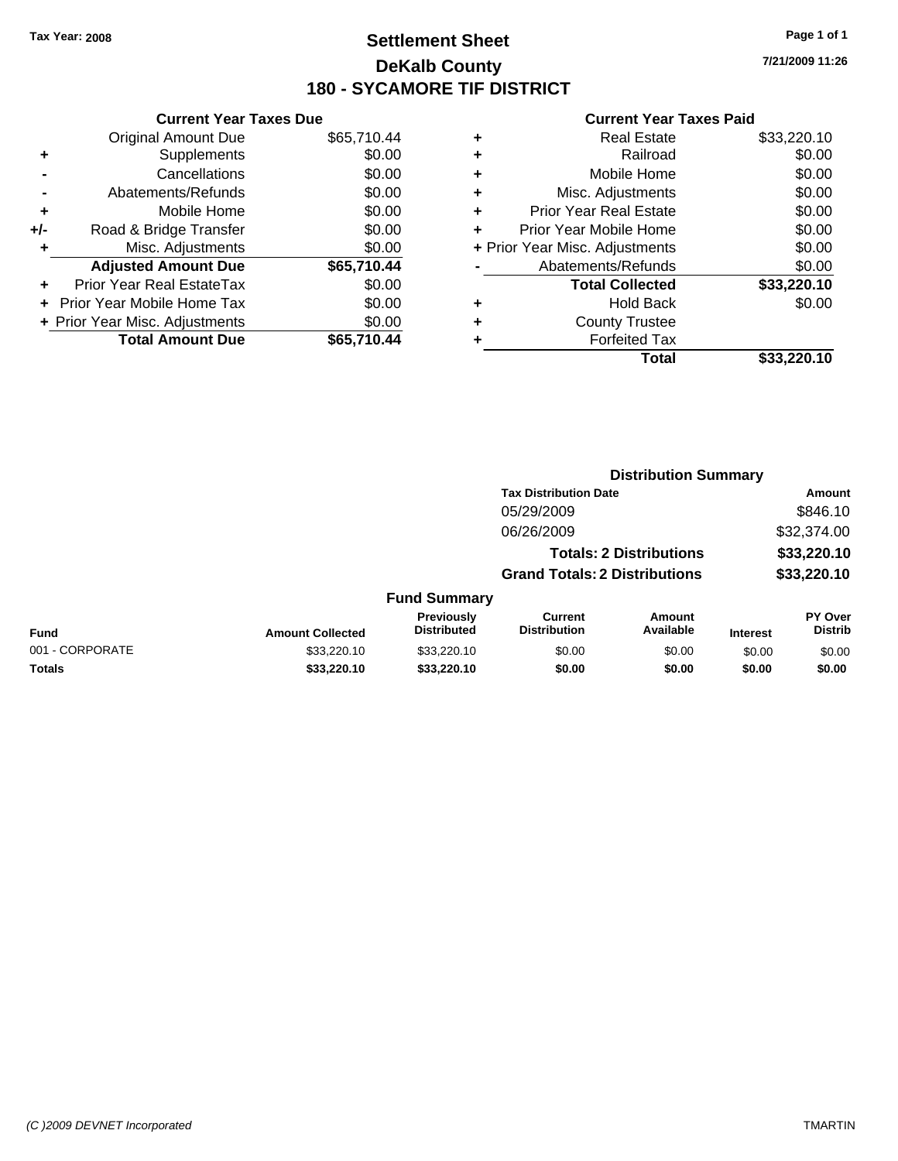### **Settlement Sheet Tax Year: 2008 Page 1 of 1 DeKalb County 180 - SYCAMORE TIF DISTRICT**

**7/21/2009 11:26**

|     | <b>Current Year Taxes Due</b>     |             |  |  |  |  |
|-----|-----------------------------------|-------------|--|--|--|--|
|     | <b>Original Amount Due</b>        | \$65,710.44 |  |  |  |  |
| ÷   | Supplements                       | \$0.00      |  |  |  |  |
|     | Cancellations                     | \$0.00      |  |  |  |  |
|     | Abatements/Refunds                | \$0.00      |  |  |  |  |
| ٠   | Mobile Home                       | \$0.00      |  |  |  |  |
| +/- | Road & Bridge Transfer            | \$0.00      |  |  |  |  |
| ٠   | Misc. Adjustments                 | \$0.00      |  |  |  |  |
|     | <b>Adjusted Amount Due</b>        | \$65,710.44 |  |  |  |  |
| ٠   | Prior Year Real EstateTax         | \$0.00      |  |  |  |  |
|     | <b>Prior Year Mobile Home Tax</b> | \$0.00      |  |  |  |  |
|     | + Prior Year Misc. Adjustments    | \$0.00      |  |  |  |  |
|     | <b>Total Amount Due</b>           | \$65,710,44 |  |  |  |  |
|     |                                   |             |  |  |  |  |

| ٠ | <b>Real Estate</b>             | \$33,220.10 |
|---|--------------------------------|-------------|
| ٠ | Railroad                       | \$0.00      |
| ٠ | Mobile Home                    | \$0.00      |
| ٠ | Misc. Adjustments              | \$0.00      |
| ٠ | <b>Prior Year Real Estate</b>  | \$0.00      |
| ÷ | Prior Year Mobile Home         | \$0.00      |
|   | + Prior Year Misc. Adjustments | \$0.00      |
|   | Abatements/Refunds             | \$0.00      |
|   | <b>Total Collected</b>         | \$33,220.10 |
| ٠ | <b>Hold Back</b>               | \$0.00      |
| ٠ | <b>County Trustee</b>          |             |
| ٠ | <b>Forfeited Tax</b>           |             |
|   | Total                          | \$33,220.10 |
|   |                                |             |

|                 |                         |                                  | <b>Distribution Summary</b>           |                                |                 |                                  |
|-----------------|-------------------------|----------------------------------|---------------------------------------|--------------------------------|-----------------|----------------------------------|
|                 |                         |                                  | <b>Tax Distribution Date</b>          |                                |                 | Amount                           |
|                 |                         |                                  | 05/29/2009                            |                                |                 | \$846.10                         |
|                 |                         |                                  | 06/26/2009                            |                                |                 | \$32,374.00                      |
|                 |                         |                                  |                                       | <b>Totals: 2 Distributions</b> |                 | \$33,220.10                      |
|                 |                         |                                  | <b>Grand Totals: 2 Distributions</b>  |                                |                 | \$33,220.10                      |
|                 |                         | <b>Fund Summary</b>              |                                       |                                |                 |                                  |
| <b>Fund</b>     | <b>Amount Collected</b> | Previously<br><b>Distributed</b> | <b>Current</b><br><b>Distribution</b> | Amount<br>Available            | <b>Interest</b> | <b>PY Over</b><br><b>Distrib</b> |
| 001 - CORPORATE | \$33,220.10             | \$33,220.10                      | \$0.00                                | \$0.00                         | \$0.00          | \$0.00                           |
| Totals          | \$33,220.10             | \$33,220.10                      | \$0.00                                | \$0.00                         | \$0.00          | \$0.00                           |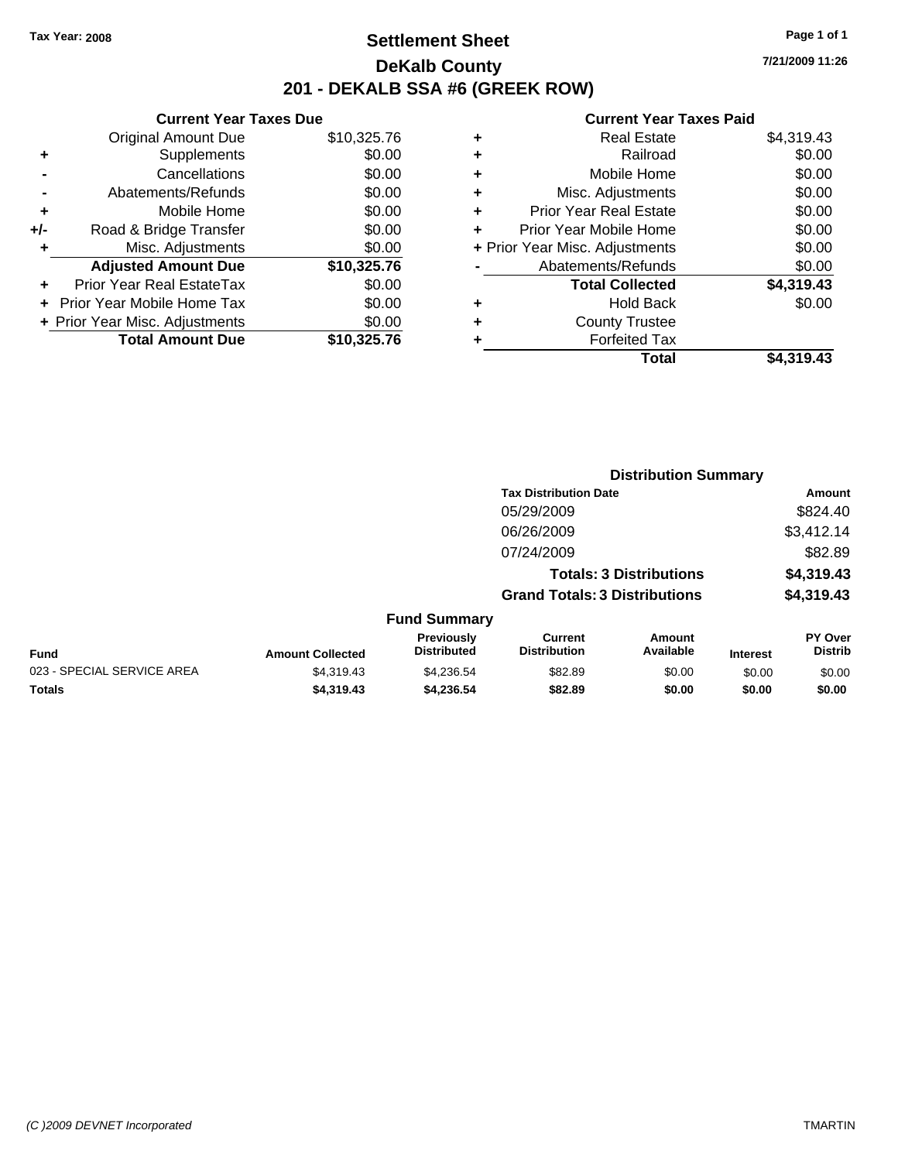### **Settlement Sheet Tax Year: 2008 Page 1 of 1 DeKalb County 201 - DEKALB SSA #6 (GREEK ROW)**

**7/21/2009 11:26**

|     | <b>Current Year Taxes Due</b>  |             |  |  |  |  |
|-----|--------------------------------|-------------|--|--|--|--|
|     | <b>Original Amount Due</b>     | \$10,325.76 |  |  |  |  |
| ٠   | Supplements                    | \$0.00      |  |  |  |  |
|     | Cancellations                  | \$0.00      |  |  |  |  |
|     | Abatements/Refunds             | \$0.00      |  |  |  |  |
| ٠   | Mobile Home                    | \$0.00      |  |  |  |  |
| +/- | Road & Bridge Transfer         | \$0.00      |  |  |  |  |
|     | Misc. Adjustments              | \$0.00      |  |  |  |  |
|     | <b>Adjusted Amount Due</b>     | \$10,325.76 |  |  |  |  |
|     | Prior Year Real EstateTax      | \$0.00      |  |  |  |  |
|     | Prior Year Mobile Home Tax     | \$0.00      |  |  |  |  |
|     | + Prior Year Misc. Adjustments | \$0.00      |  |  |  |  |
|     | <b>Total Amount Due</b>        | \$10,325.76 |  |  |  |  |
|     |                                |             |  |  |  |  |

| ٠ | <b>Real Estate</b>             | \$4,319.43 |
|---|--------------------------------|------------|
| ٠ | Railroad                       | \$0.00     |
| ٠ | Mobile Home                    | \$0.00     |
| ٠ | Misc. Adjustments              | \$0.00     |
| ÷ | <b>Prior Year Real Estate</b>  | \$0.00     |
| ٠ | Prior Year Mobile Home         | \$0.00     |
|   | + Prior Year Misc. Adjustments | \$0.00     |
|   | Abatements/Refunds             | \$0.00     |
|   | <b>Total Collected</b>         | \$4,319.43 |
| ٠ | Hold Back                      | \$0.00     |
| ٠ | <b>County Trustee</b>          |            |
| ٠ | <b>Forfeited Tax</b>           |            |
|   | Total                          | \$4,319.43 |

| <b>Tax Distribution Date</b><br>05/29/2009<br>06/26/2009<br>07/24/2009<br><b>Totals: 3 Distributions</b><br><b>Grand Totals: 3 Distributions</b><br><b>Fund Summary</b><br>Previously<br><b>Current</b><br>Amount<br><b>Distributed</b><br>Available<br><b>Distribution</b><br><b>Fund</b><br><b>Amount Collected</b><br><b>Interest</b><br>023 - SPECIAL SERVICE AREA<br>\$4.319.43<br>\$82.89<br>\$4,236.54<br>\$0.00<br>\$0.00<br>Totals<br>\$4,319.43<br>\$4,236.54<br>\$82.89<br>\$0.00<br>\$0.00 |  | <b>Distribution Summary</b> |  |  |                                  |
|--------------------------------------------------------------------------------------------------------------------------------------------------------------------------------------------------------------------------------------------------------------------------------------------------------------------------------------------------------------------------------------------------------------------------------------------------------------------------------------------------------|--|-----------------------------|--|--|----------------------------------|
|                                                                                                                                                                                                                                                                                                                                                                                                                                                                                                        |  |                             |  |  | Amount                           |
|                                                                                                                                                                                                                                                                                                                                                                                                                                                                                                        |  |                             |  |  | \$824.40                         |
|                                                                                                                                                                                                                                                                                                                                                                                                                                                                                                        |  |                             |  |  | \$3,412.14                       |
|                                                                                                                                                                                                                                                                                                                                                                                                                                                                                                        |  |                             |  |  | \$82.89                          |
|                                                                                                                                                                                                                                                                                                                                                                                                                                                                                                        |  |                             |  |  | \$4,319.43                       |
|                                                                                                                                                                                                                                                                                                                                                                                                                                                                                                        |  |                             |  |  | \$4,319.43                       |
|                                                                                                                                                                                                                                                                                                                                                                                                                                                                                                        |  |                             |  |  |                                  |
|                                                                                                                                                                                                                                                                                                                                                                                                                                                                                                        |  |                             |  |  | <b>PY Over</b><br><b>Distrib</b> |
|                                                                                                                                                                                                                                                                                                                                                                                                                                                                                                        |  |                             |  |  | \$0.00                           |
|                                                                                                                                                                                                                                                                                                                                                                                                                                                                                                        |  |                             |  |  | \$0.00                           |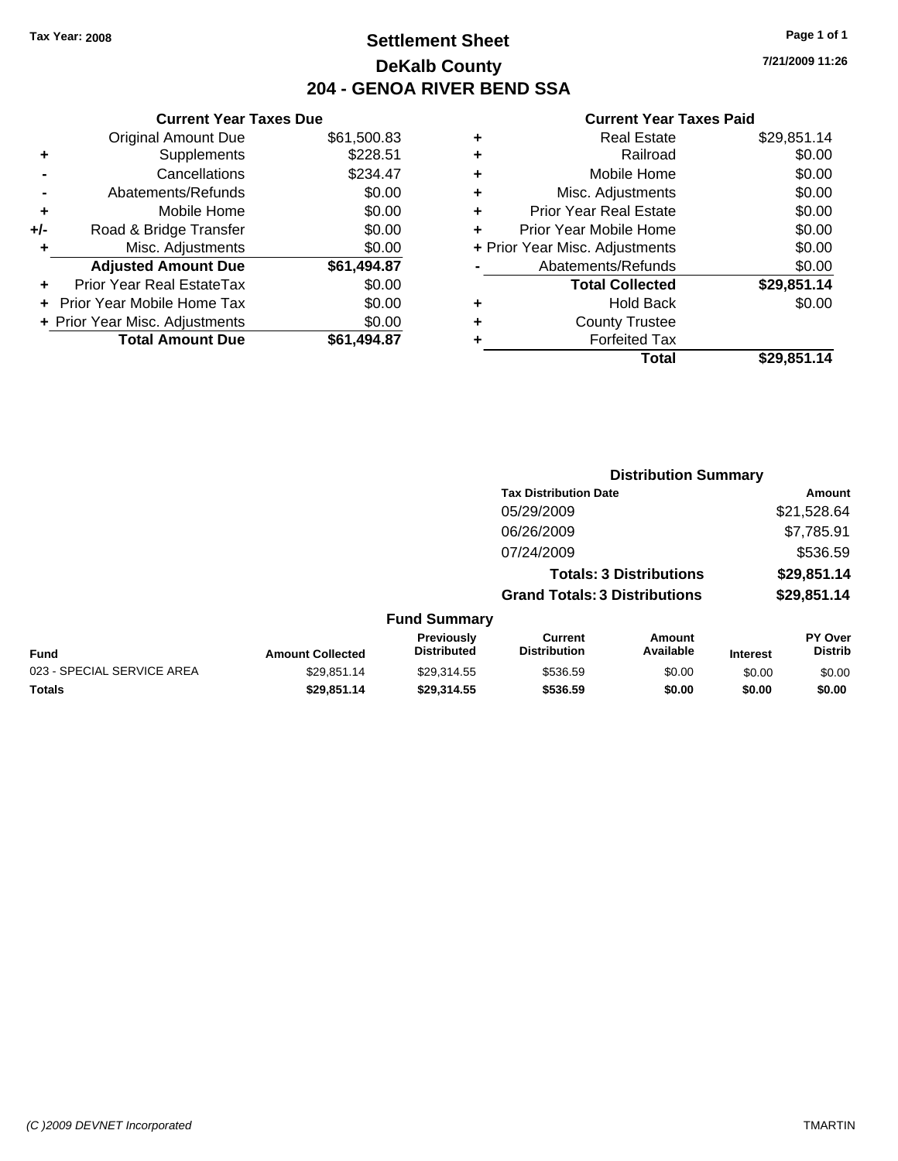### **Settlement Sheet Tax Year: 2008 Page 1 of 1 DeKalb County 204 - GENOA RIVER BEND SSA**

#### **Current Year Taxes Due**

|     | <b>Original Amount Due</b>     | \$61,500.83 |
|-----|--------------------------------|-------------|
| ٠   | Supplements                    | \$228.51    |
|     | Cancellations                  | \$234.47    |
|     | Abatements/Refunds             | \$0.00      |
| ٠   | Mobile Home                    | \$0.00      |
| +/- | Road & Bridge Transfer         | \$0.00      |
| ٠   | Misc. Adjustments              | \$0.00      |
|     | <b>Adjusted Amount Due</b>     | \$61,494.87 |
|     | Prior Year Real EstateTax      | \$0.00      |
|     | Prior Year Mobile Home Tax     | \$0.00      |
|     | + Prior Year Misc. Adjustments | \$0.00      |
|     | <b>Total Amount Due</b>        | \$61.494.87 |

#### **Current Year Taxes Paid**

|   | <b>Real Estate</b>             | \$29,851.14 |
|---|--------------------------------|-------------|
| ٠ | Railroad                       | \$0.00      |
| ٠ | Mobile Home                    | \$0.00      |
| ÷ | Misc. Adjustments              | \$0.00      |
| ٠ | <b>Prior Year Real Estate</b>  | \$0.00      |
|   | Prior Year Mobile Home         | \$0.00      |
|   | + Prior Year Misc. Adjustments | \$0.00      |
|   | Abatements/Refunds             | \$0.00      |
|   | <b>Total Collected</b>         | \$29,851.14 |
| ٠ | Hold Back                      | \$0.00      |
| ٠ | <b>County Trustee</b>          |             |
| ٠ | <b>Forfeited Tax</b>           |             |
|   | Total                          | \$29,851.14 |
|   |                                |             |

|                     | <b>Distribution Summary</b>          |             |  |
|---------------------|--------------------------------------|-------------|--|
|                     | <b>Tax Distribution Date</b>         | Amount      |  |
|                     | 05/29/2009                           | \$21,528.64 |  |
|                     | 06/26/2009                           | \$7,785.91  |  |
|                     | 07/24/2009                           | \$536.59    |  |
|                     | <b>Totals: 3 Distributions</b>       | \$29,851.14 |  |
|                     | <b>Grand Totals: 3 Distributions</b> | \$29,851.14 |  |
| <b>Fund Summary</b> |                                      |             |  |

| Fund                       | <b>Amount Collected</b> | <b>Previously</b><br><b>Distributed</b> | Current<br><b>Distribution</b> | Amount<br>Available | <b>Interest</b> | PY Over<br><b>Distrib</b> |
|----------------------------|-------------------------|-----------------------------------------|--------------------------------|---------------------|-----------------|---------------------------|
| 023 - SPECIAL SERVICE AREA | \$29.851.14             | \$29.314.55                             | \$536.59                       | \$0.00              | \$0.00          | \$0.00                    |
| Totals                     | \$29,851.14             | \$29.314.55                             | \$536.59                       | \$0.00              | \$0.00          | \$0.00                    |

**7/21/2009 11:26**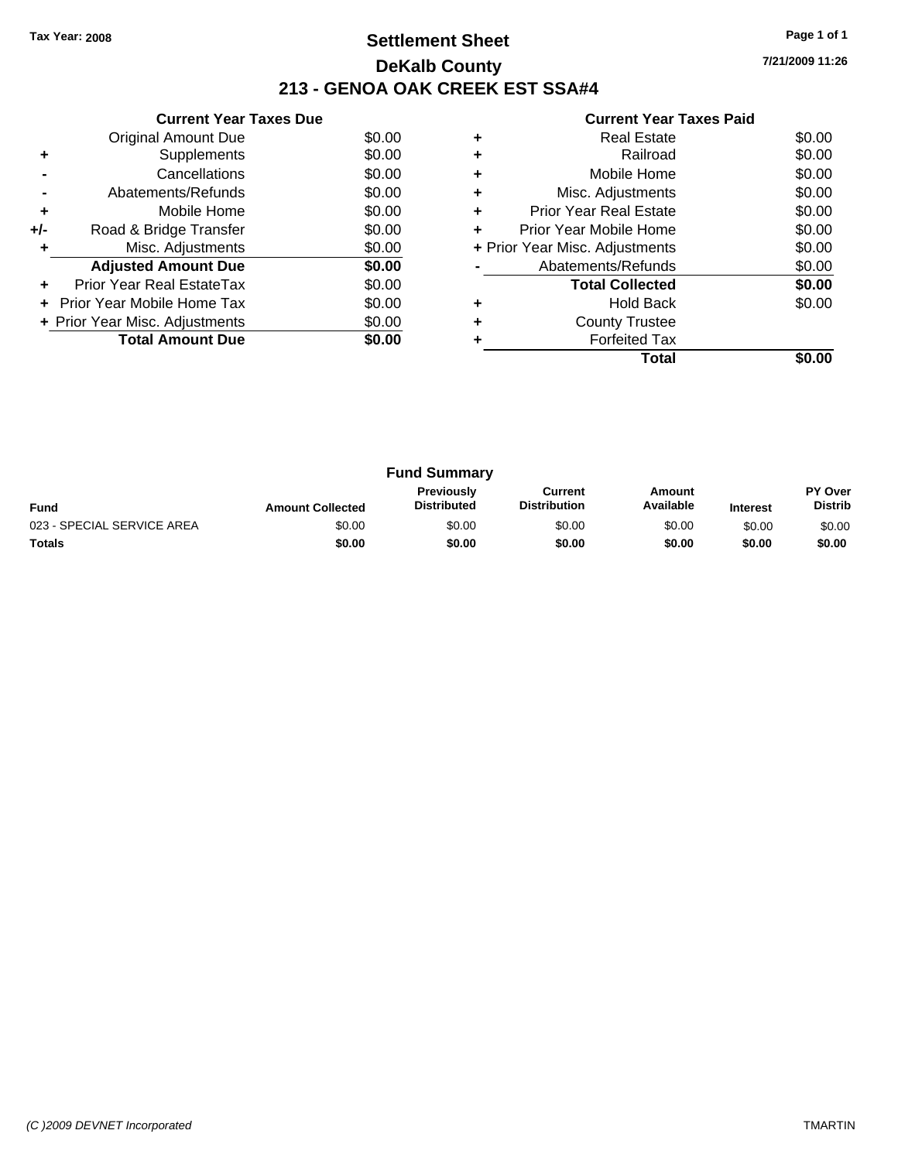### **Settlement Sheet Tax Year: 2008 Page 1 of 1 DeKalb County 213 - GENOA OAK CREEK EST SSA#4**

**7/21/2009 11:26**

| <b>Current Year Taxes Paid</b> |  |
|--------------------------------|--|

|     | <b>Current Year Taxes Due</b>  |        |  |  |  |  |
|-----|--------------------------------|--------|--|--|--|--|
|     | Original Amount Due            | \$0.00 |  |  |  |  |
|     | Supplements                    | \$0.00 |  |  |  |  |
|     | Cancellations                  | \$0.00 |  |  |  |  |
|     | Abatements/Refunds             | \$0.00 |  |  |  |  |
| ÷   | Mobile Home                    | \$0.00 |  |  |  |  |
| +/- | Road & Bridge Transfer         | \$0.00 |  |  |  |  |
|     | Misc. Adjustments              | \$0.00 |  |  |  |  |
|     | <b>Adjusted Amount Due</b>     | \$0.00 |  |  |  |  |
|     | Prior Year Real EstateTax      | \$0.00 |  |  |  |  |
|     | Prior Year Mobile Home Tax     | \$0.00 |  |  |  |  |
|     | + Prior Year Misc. Adjustments | \$0.00 |  |  |  |  |
|     | <b>Total Amount Due</b>        | \$0.00 |  |  |  |  |
|     |                                |        |  |  |  |  |

|   | Total                          |        |
|---|--------------------------------|--------|
|   | <b>Forfeited Tax</b>           |        |
| ٠ | <b>County Trustee</b>          |        |
|   | <b>Hold Back</b>               | \$0.00 |
|   | <b>Total Collected</b>         | \$0.00 |
|   | Abatements/Refunds             | \$0.00 |
|   | + Prior Year Misc. Adjustments | \$0.00 |
| ٠ | Prior Year Mobile Home         | \$0.00 |
| ٠ | <b>Prior Year Real Estate</b>  | \$0.00 |
| ٠ | Misc. Adjustments              | \$0.00 |
| ٠ | Mobile Home                    | \$0.00 |
| ٠ | Railroad                       | \$0.00 |
| ٠ | <b>Real Estate</b>             | \$0.00 |
|   |                                |        |

| <b>Fund Summary</b>        |                         |                                  |                                |                     |                 |                                  |
|----------------------------|-------------------------|----------------------------------|--------------------------------|---------------------|-----------------|----------------------------------|
| <b>Fund</b>                | <b>Amount Collected</b> | Previously<br><b>Distributed</b> | Current<br><b>Distribution</b> | Amount<br>Available | <b>Interest</b> | <b>PY Over</b><br><b>Distrib</b> |
| 023 - SPECIAL SERVICE AREA | \$0.00                  | \$0.00                           | \$0.00                         | \$0.00              | \$0.00          | \$0.00                           |
| <b>Totals</b>              | \$0.00                  | \$0.00                           | \$0.00                         | \$0.00              | \$0.00          | \$0.00                           |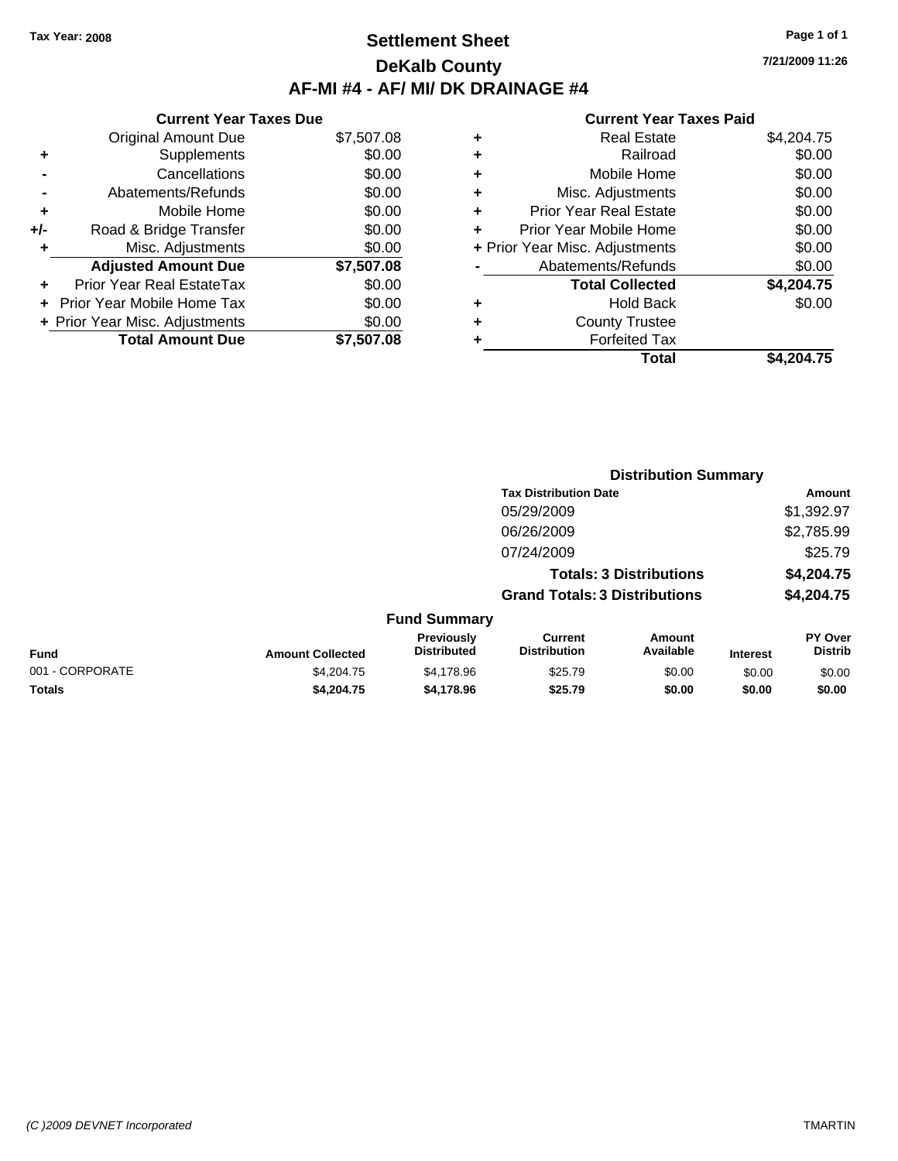### **Settlement Sheet Tax Year: 2008 Page 1 of 1 DeKalb County AF-MI #4 - AF/ MI/ DK DRAINAGE #4**

**Current Year Taxes Due** Original Amount Due \$7,507.08 **+** Supplements \$0.00 **-** Cancellations \$0.00 **-** Abatements/Refunds \$0.00 **+** Mobile Home \$0.00 **+/-** Road & Bridge Transfer \$0.00 **+** Misc. Adjustments \$0.00 **Adjusted Amount Due \$7,507.08 +** Prior Year Real EstateTax \$0.00 **+** Prior Year Mobile Home Tax \$0.00 **+ Prior Year Misc. Adjustments**  $$0.00$ **Total Amount Due \$7,507.08**

|   | <b>Real Estate</b>             | \$4,204.75 |
|---|--------------------------------|------------|
| ÷ | Railroad                       | \$0.00     |
| ٠ | Mobile Home                    | \$0.00     |
| ٠ | Misc. Adjustments              | \$0.00     |
| ٠ | <b>Prior Year Real Estate</b>  | \$0.00     |
|   | Prior Year Mobile Home         | \$0.00     |
|   | + Prior Year Misc. Adjustments | \$0.00     |
|   | Abatements/Refunds             | \$0.00     |
|   | <b>Total Collected</b>         | \$4,204.75 |
| ٠ | <b>Hold Back</b>               | \$0.00     |
| ٠ | <b>County Trustee</b>          |            |
|   | <b>Forfeited Tax</b>           |            |
|   | Total                          | \$4,204.75 |
|   |                                |            |

|                 |                         | <b>Distribution Summary</b>      |                                       |                                |                 |                                  |
|-----------------|-------------------------|----------------------------------|---------------------------------------|--------------------------------|-----------------|----------------------------------|
|                 |                         |                                  | <b>Tax Distribution Date</b>          |                                |                 | Amount                           |
|                 |                         |                                  | 05/29/2009                            |                                |                 | \$1,392.97                       |
|                 |                         |                                  | 06/26/2009                            |                                |                 | \$2,785.99                       |
|                 |                         |                                  | 07/24/2009                            |                                |                 | \$25.79                          |
|                 |                         |                                  |                                       | <b>Totals: 3 Distributions</b> |                 | \$4,204.75                       |
|                 |                         |                                  | <b>Grand Totals: 3 Distributions</b>  |                                |                 | \$4,204.75                       |
|                 |                         | <b>Fund Summary</b>              |                                       |                                |                 |                                  |
| Fund            | <b>Amount Collected</b> | Previously<br><b>Distributed</b> | <b>Current</b><br><b>Distribution</b> | Amount<br>Available            | <b>Interest</b> | <b>PY Over</b><br><b>Distrib</b> |
| 001 - CORPORATE | \$4,204.75              | \$4,178.96                       | \$25.79                               | \$0.00                         | \$0.00          | \$0.00                           |
| Totals          | \$4,204.75              | \$4,178.96                       | \$25.79                               | \$0.00                         | \$0.00          | \$0.00                           |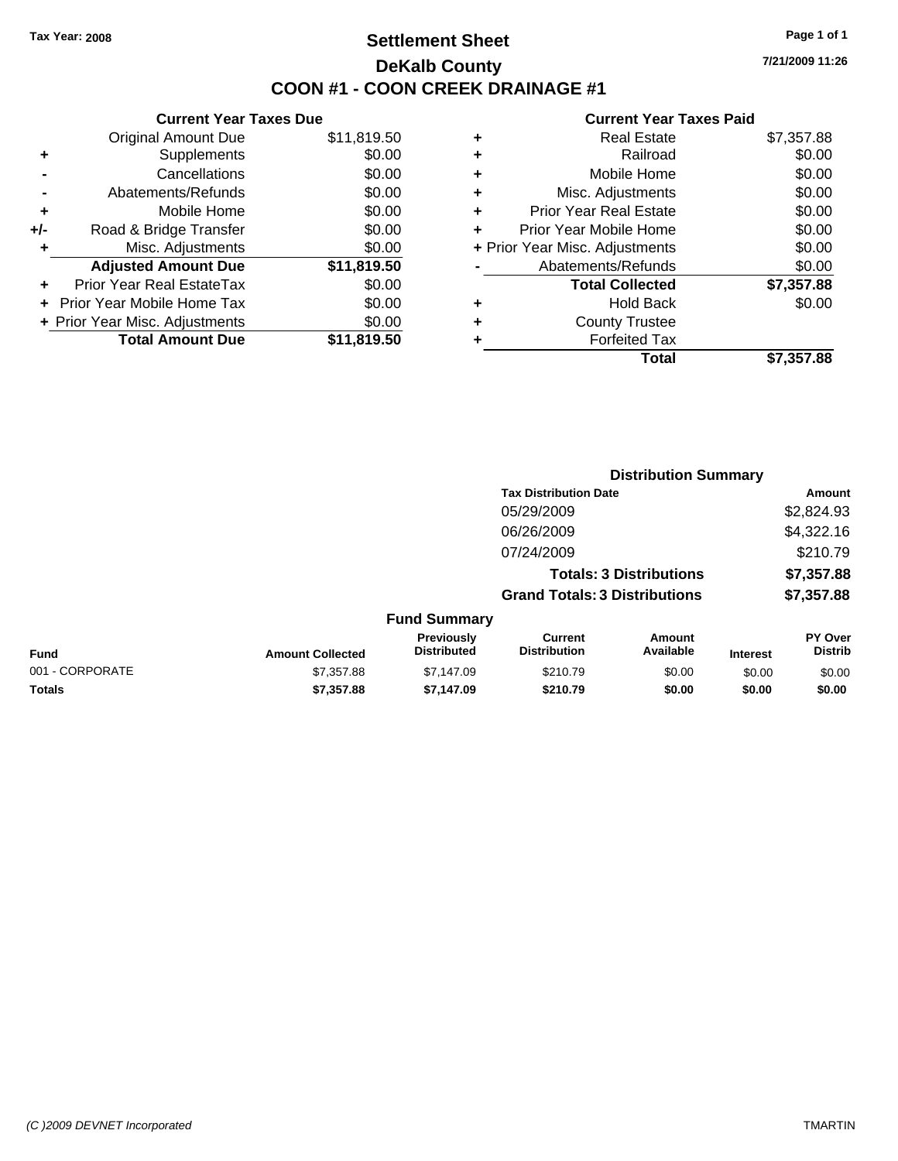### **Settlement Sheet Tax Year: 2008 Page 1 of 1 DeKalb County COON #1 - COON CREEK DRAINAGE #1**

**7/21/2009 11:26**

|     | <b>Current Year Taxes Due</b>  |             |  |  |  |
|-----|--------------------------------|-------------|--|--|--|
|     | <b>Original Amount Due</b>     | \$11,819.50 |  |  |  |
| ٠   | Supplements                    | \$0.00      |  |  |  |
|     | Cancellations                  | \$0.00      |  |  |  |
|     | Abatements/Refunds             | \$0.00      |  |  |  |
| ٠   | Mobile Home                    | \$0.00      |  |  |  |
| +/- | Road & Bridge Transfer         | \$0.00      |  |  |  |
| ٠   | Misc. Adjustments              | \$0.00      |  |  |  |
|     | <b>Adjusted Amount Due</b>     | \$11,819.50 |  |  |  |
|     | Prior Year Real EstateTax      | \$0.00      |  |  |  |
|     | Prior Year Mobile Home Tax     | \$0.00      |  |  |  |
|     | + Prior Year Misc. Adjustments | \$0.00      |  |  |  |
|     | <b>Total Amount Due</b>        | \$11,819.50 |  |  |  |
|     |                                |             |  |  |  |

|   | Total                          | \$7,357.88 |
|---|--------------------------------|------------|
| ٠ | <b>Forfeited Tax</b>           |            |
| ٠ | <b>County Trustee</b>          |            |
| ٠ | <b>Hold Back</b>               | \$0.00     |
|   | <b>Total Collected</b>         | \$7,357.88 |
|   | Abatements/Refunds             | \$0.00     |
|   | + Prior Year Misc. Adjustments | \$0.00     |
| ٠ | Prior Year Mobile Home         | \$0.00     |
| ÷ | <b>Prior Year Real Estate</b>  | \$0.00     |
| ÷ | Misc. Adjustments              | \$0.00     |
| ÷ | Mobile Home                    | \$0.00     |
| ٠ | Railroad                       | \$0.00     |
| ٠ | <b>Real Estate</b>             | \$7,357.88 |
|   |                                |            |

|                 |                         | <b>Distribution Summary</b>      |                                       |                                |                 |                           |
|-----------------|-------------------------|----------------------------------|---------------------------------------|--------------------------------|-----------------|---------------------------|
|                 |                         |                                  | <b>Tax Distribution Date</b>          |                                |                 | Amount                    |
|                 |                         |                                  | 05/29/2009                            |                                |                 | \$2,824.93                |
|                 |                         |                                  | 06/26/2009                            |                                |                 | \$4,322.16                |
|                 |                         |                                  | 07/24/2009                            |                                |                 | \$210.79                  |
|                 |                         |                                  |                                       | <b>Totals: 3 Distributions</b> |                 | \$7,357.88                |
|                 |                         |                                  | <b>Grand Totals: 3 Distributions</b>  |                                |                 | \$7,357.88                |
|                 |                         | <b>Fund Summary</b>              |                                       |                                |                 |                           |
| Fund            | <b>Amount Collected</b> | Previously<br><b>Distributed</b> | <b>Current</b><br><b>Distribution</b> | Amount<br>Available            | <b>Interest</b> | PY Over<br><b>Distrib</b> |
| 001 - CORPORATE | \$7,357.88              | \$7,147.09                       | \$210.79                              | \$0.00                         | \$0.00          | \$0.00                    |
| Totals          | \$7,357.88              | \$7,147.09                       | \$210.79                              | \$0.00                         | \$0.00          | \$0.00                    |
|                 |                         |                                  |                                       |                                |                 |                           |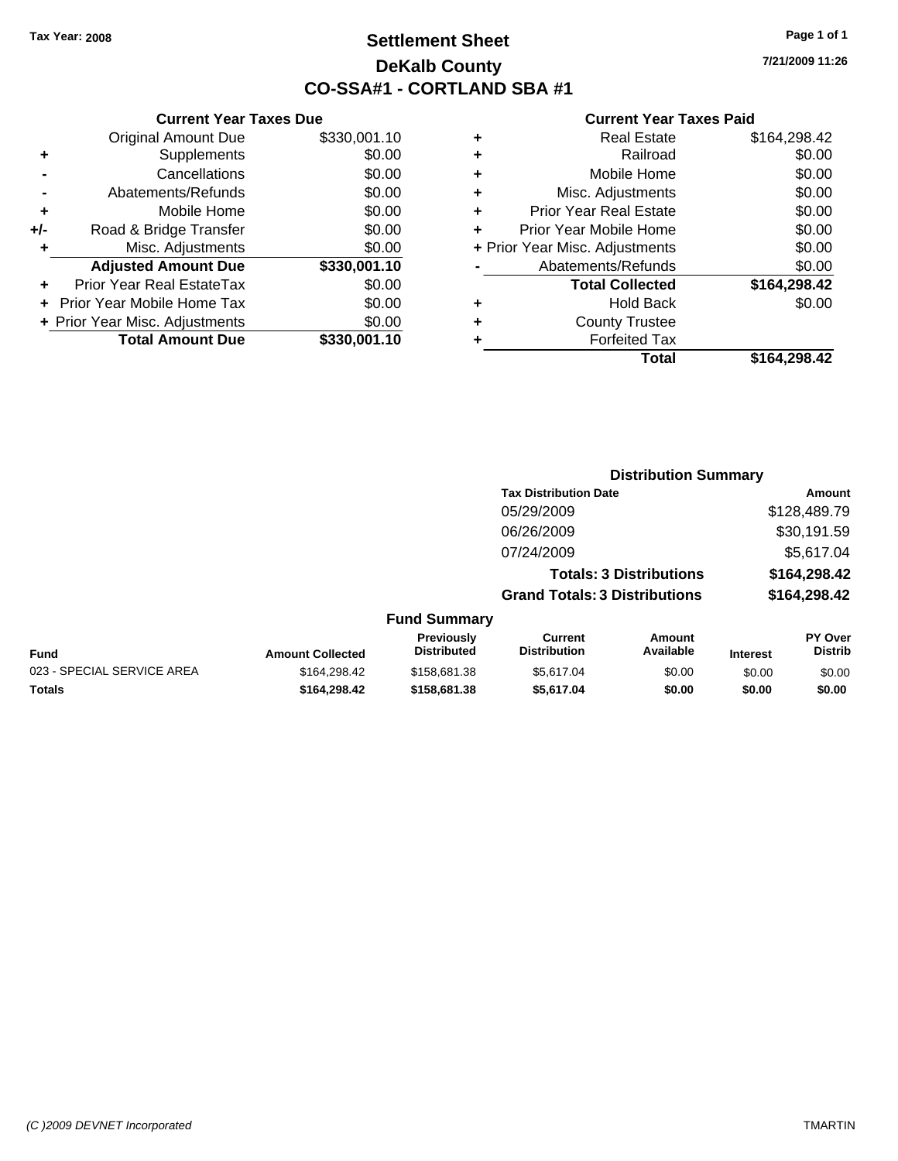**Current Year Taxes Due** Original Amount Due \$330,001.10

**Adjusted Amount Due \$330,001.10**

**Total Amount Due \$330,001.10**

**+** Supplements \$0.00 **-** Cancellations \$0.00 **-** Abatements/Refunds \$0.00 **+** Mobile Home \$0.00 **+/-** Road & Bridge Transfer \$0.00 **+** Misc. Adjustments \$0.00

**+** Prior Year Real EstateTax \$0.00 **+** Prior Year Mobile Home Tax \$0.00 **+ Prior Year Misc. Adjustments**  $$0.00$ 

# **Settlement Sheet Tax Year: 2008 Page 1 of 1 DeKalb County CO-SSA#1 - CORTLAND SBA #1**

**7/21/2009 11:26**

|                            |                         |                                  | <b>Distribution Summary</b>           |                                |                 |                           |  |
|----------------------------|-------------------------|----------------------------------|---------------------------------------|--------------------------------|-----------------|---------------------------|--|
|                            |                         |                                  | <b>Tax Distribution Date</b>          |                                |                 | <b>Amount</b>             |  |
|                            |                         |                                  | 05/29/2009                            |                                |                 | \$128,489.79              |  |
|                            |                         |                                  | 06/26/2009                            |                                |                 | \$30,191.59               |  |
|                            |                         |                                  | 07/24/2009                            |                                |                 | \$5,617.04                |  |
|                            |                         |                                  |                                       | <b>Totals: 3 Distributions</b> |                 | \$164,298.42              |  |
|                            |                         |                                  | <b>Grand Totals: 3 Distributions</b>  |                                |                 | \$164,298.42              |  |
|                            |                         | <b>Fund Summary</b>              |                                       |                                |                 |                           |  |
| <b>Fund</b>                | <b>Amount Collected</b> | Previously<br><b>Distributed</b> | <b>Current</b><br><b>Distribution</b> | Amount<br>Available            | <b>Interest</b> | PY Over<br><b>Distrib</b> |  |
| 023 - SPECIAL SERVICE AREA | \$164.298.42            | \$158,681,38                     | \$5.617.04                            | \$0.00                         | \$0.00          | \$0.00                    |  |
| Totals                     | \$164,298,42            | \$158,681.38                     | \$5,617.04                            | \$0.00                         | \$0.00          | \$0.00                    |  |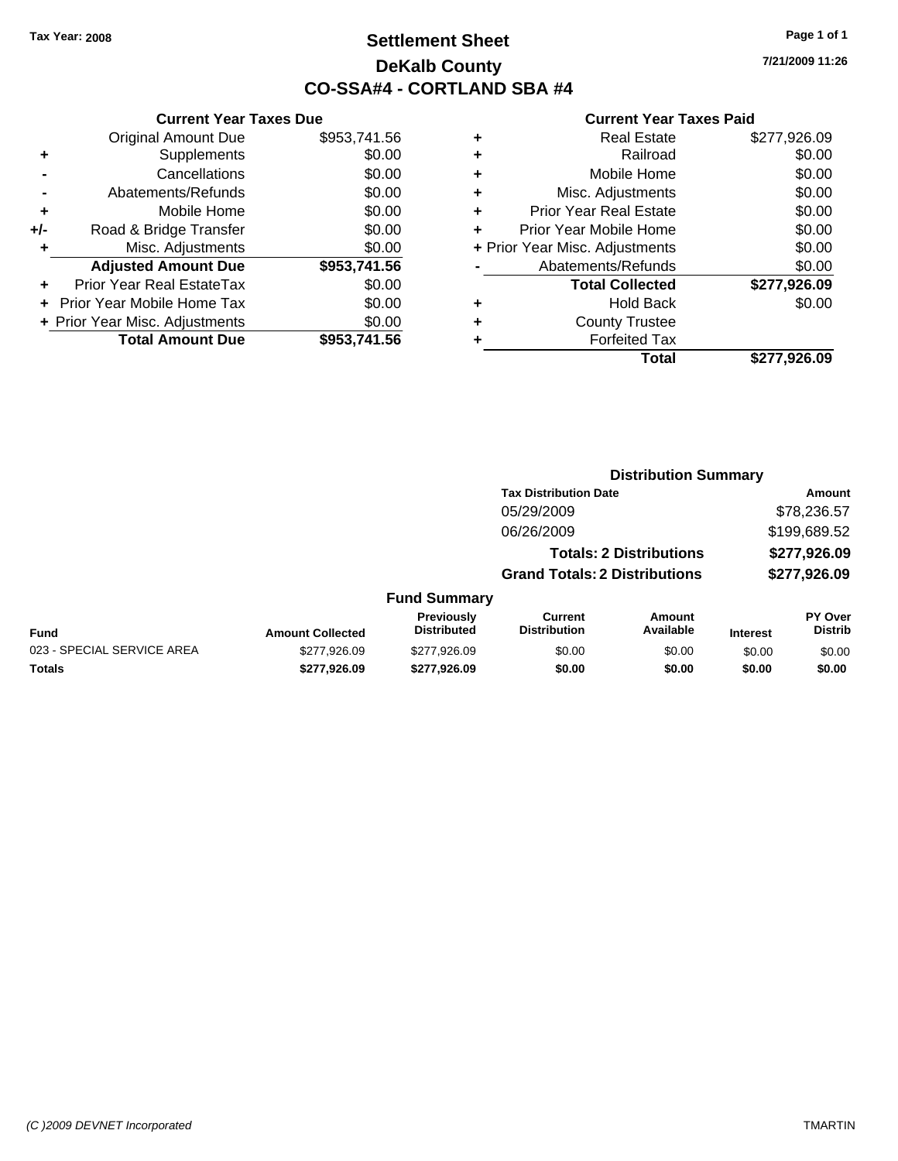# **Settlement Sheet Tax Year: 2008 Page 1 of 1 DeKalb County CO-SSA#4 - CORTLAND SBA #4**

**7/21/2009 11:26**

|     | <b>Current Year Taxes Due</b>  |              |  |  |  |  |
|-----|--------------------------------|--------------|--|--|--|--|
|     | <b>Original Amount Due</b>     | \$953,741.56 |  |  |  |  |
| ٠   | Supplements                    | \$0.00       |  |  |  |  |
|     | Cancellations                  | \$0.00       |  |  |  |  |
|     | Abatements/Refunds             | \$0.00       |  |  |  |  |
| ٠   | Mobile Home                    | \$0.00       |  |  |  |  |
| +/- | Road & Bridge Transfer         | \$0.00       |  |  |  |  |
| ٠   | Misc. Adjustments              | \$0.00       |  |  |  |  |
|     | <b>Adjusted Amount Due</b>     | \$953,741.56 |  |  |  |  |
| ÷   | Prior Year Real EstateTax      | \$0.00       |  |  |  |  |
|     | Prior Year Mobile Home Tax     | \$0.00       |  |  |  |  |
|     | + Prior Year Misc. Adjustments | \$0.00       |  |  |  |  |
|     | <b>Total Amount Due</b>        | \$953,741.56 |  |  |  |  |
|     |                                |              |  |  |  |  |

|   | <b>Real Estate</b>             | \$277,926.09 |
|---|--------------------------------|--------------|
| ٠ | Railroad                       | \$0.00       |
| ٠ | Mobile Home                    | \$0.00       |
| ٠ | Misc. Adjustments              | \$0.00       |
| ٠ | <b>Prior Year Real Estate</b>  | \$0.00       |
|   | Prior Year Mobile Home         | \$0.00       |
|   | + Prior Year Misc. Adjustments | \$0.00       |
|   | Abatements/Refunds             | \$0.00       |
|   | <b>Total Collected</b>         | \$277,926.09 |
| ٠ | Hold Back                      | \$0.00       |
| ٠ | <b>County Trustee</b>          |              |
| ٠ | <b>Forfeited Tax</b>           |              |
|   | Total                          | \$277,926.09 |
|   |                                |              |

|                            |                         |                                         | <b>Distribution Summary</b>           |                                |                 |                                  |  |
|----------------------------|-------------------------|-----------------------------------------|---------------------------------------|--------------------------------|-----------------|----------------------------------|--|
|                            |                         |                                         | <b>Tax Distribution Date</b>          |                                |                 | Amount                           |  |
|                            |                         |                                         | 05/29/2009                            |                                |                 | \$78,236.57                      |  |
|                            |                         |                                         | 06/26/2009                            |                                |                 | \$199,689.52                     |  |
|                            |                         |                                         |                                       | <b>Totals: 2 Distributions</b> |                 | \$277,926.09                     |  |
|                            |                         |                                         | <b>Grand Totals: 2 Distributions</b>  |                                |                 | \$277,926.09                     |  |
|                            |                         | <b>Fund Summary</b>                     |                                       |                                |                 |                                  |  |
| <b>Fund</b>                | <b>Amount Collected</b> | <b>Previously</b><br><b>Distributed</b> | <b>Current</b><br><b>Distribution</b> | Amount<br>Available            | <b>Interest</b> | <b>PY Over</b><br><b>Distrib</b> |  |
| 023 - SPECIAL SERVICE AREA | \$277,926.09            | \$277.926.09                            | \$0.00                                | \$0.00                         | \$0.00          | \$0.00                           |  |
| <b>Totals</b>              | \$277.926.09            | \$277.926.09                            | \$0.00                                | \$0.00                         | \$0.00          | \$0.00                           |  |
|                            |                         |                                         |                                       |                                |                 |                                  |  |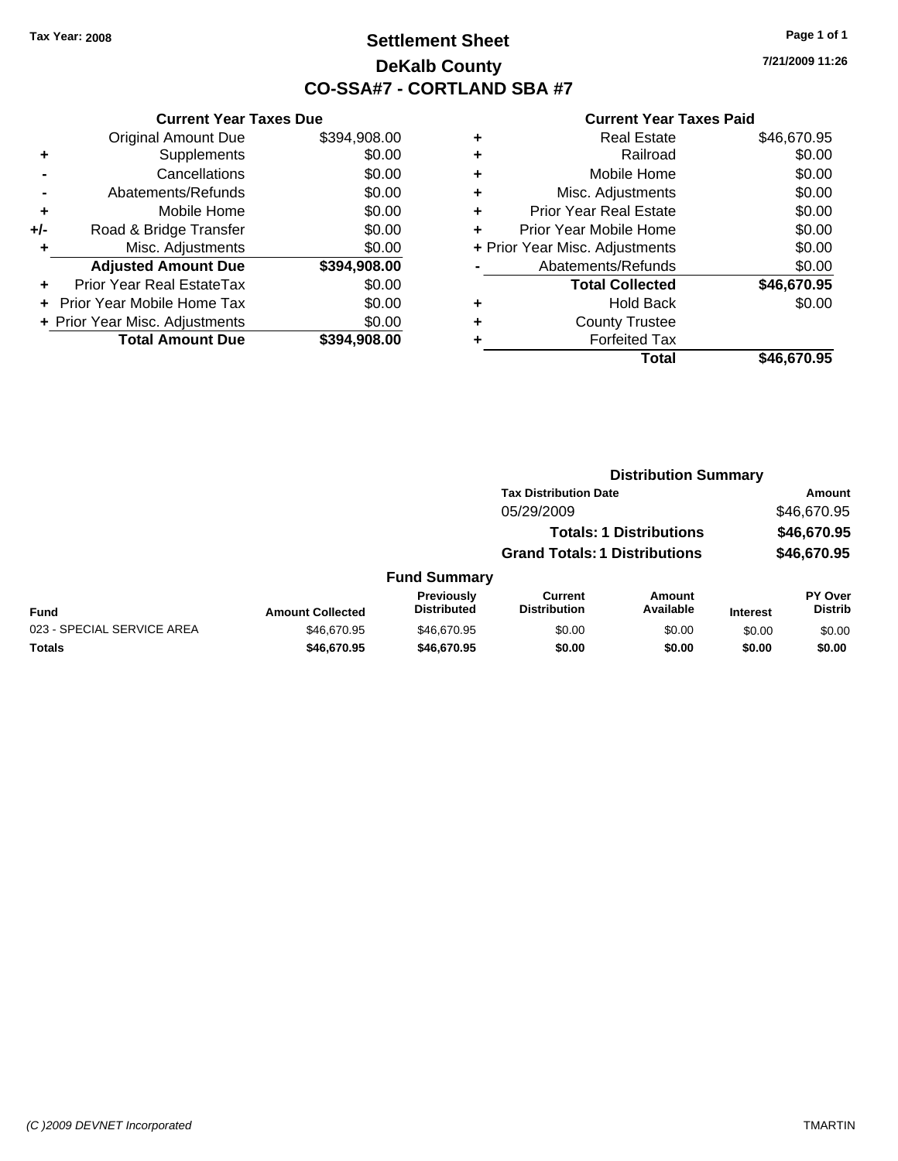# **Settlement Sheet Tax Year: 2008 Page 1 of 1 DeKalb County CO-SSA#7 - CORTLAND SBA #7**

**7/21/2009 11:26**

|       | <b>Current Year Taxes Due</b>  |              |  |  |  |  |
|-------|--------------------------------|--------------|--|--|--|--|
|       | <b>Original Amount Due</b>     | \$394,908.00 |  |  |  |  |
| ٠     | Supplements                    | \$0.00       |  |  |  |  |
|       | Cancellations                  | \$0.00       |  |  |  |  |
|       | Abatements/Refunds             | \$0.00       |  |  |  |  |
| ٠     | Mobile Home                    | \$0.00       |  |  |  |  |
| $+/-$ | Road & Bridge Transfer         | \$0.00       |  |  |  |  |
| ٠     | Misc. Adjustments              | \$0.00       |  |  |  |  |
|       | <b>Adjusted Amount Due</b>     | \$394,908.00 |  |  |  |  |
| ÷     | Prior Year Real EstateTax      | \$0.00       |  |  |  |  |
|       | Prior Year Mobile Home Tax     | \$0.00       |  |  |  |  |
|       | + Prior Year Misc. Adjustments | \$0.00       |  |  |  |  |
|       | <b>Total Amount Due</b>        | \$394,908.00 |  |  |  |  |
|       |                                |              |  |  |  |  |

|   | <b>Real Estate</b>             | \$46,670.95 |
|---|--------------------------------|-------------|
| ٠ | Railroad                       | \$0.00      |
| ٠ | Mobile Home                    | \$0.00      |
| ٠ | Misc. Adjustments              | \$0.00      |
| ٠ | <b>Prior Year Real Estate</b>  | \$0.00      |
| ÷ | Prior Year Mobile Home         | \$0.00      |
|   | + Prior Year Misc. Adjustments | \$0.00      |
|   | Abatements/Refunds             | \$0.00      |
|   | <b>Total Collected</b>         | \$46,670.95 |
| ٠ | Hold Back                      | \$0.00      |
| ٠ | <b>County Trustee</b>          |             |
|   | <b>Forfeited Tax</b>           |             |
|   | Total                          | \$46,670.95 |

|                            |                         |                                  | <b>Distribution Summary</b>          |                                |                 |                                  |
|----------------------------|-------------------------|----------------------------------|--------------------------------------|--------------------------------|-----------------|----------------------------------|
|                            |                         |                                  | <b>Tax Distribution Date</b>         |                                | Amount          |                                  |
|                            |                         |                                  | 05/29/2009                           |                                |                 | \$46,670.95                      |
|                            |                         |                                  |                                      | <b>Totals: 1 Distributions</b> |                 | \$46,670.95                      |
|                            |                         |                                  | <b>Grand Totals: 1 Distributions</b> |                                |                 | \$46,670.95                      |
|                            |                         | <b>Fund Summary</b>              |                                      |                                |                 |                                  |
| <b>Fund</b>                | <b>Amount Collected</b> | Previously<br><b>Distributed</b> | Current<br><b>Distribution</b>       | Amount<br>Available            | <b>Interest</b> | <b>PY Over</b><br><b>Distrib</b> |
| 023 - SPECIAL SERVICE AREA | \$46,670.95             | \$46,670.95                      | \$0.00                               | \$0.00                         | \$0.00          | \$0.00                           |
| Totals                     | \$46,670.95             | \$46,670.95                      | \$0.00                               | \$0.00                         | \$0.00          | \$0.00                           |
|                            |                         |                                  |                                      |                                |                 |                                  |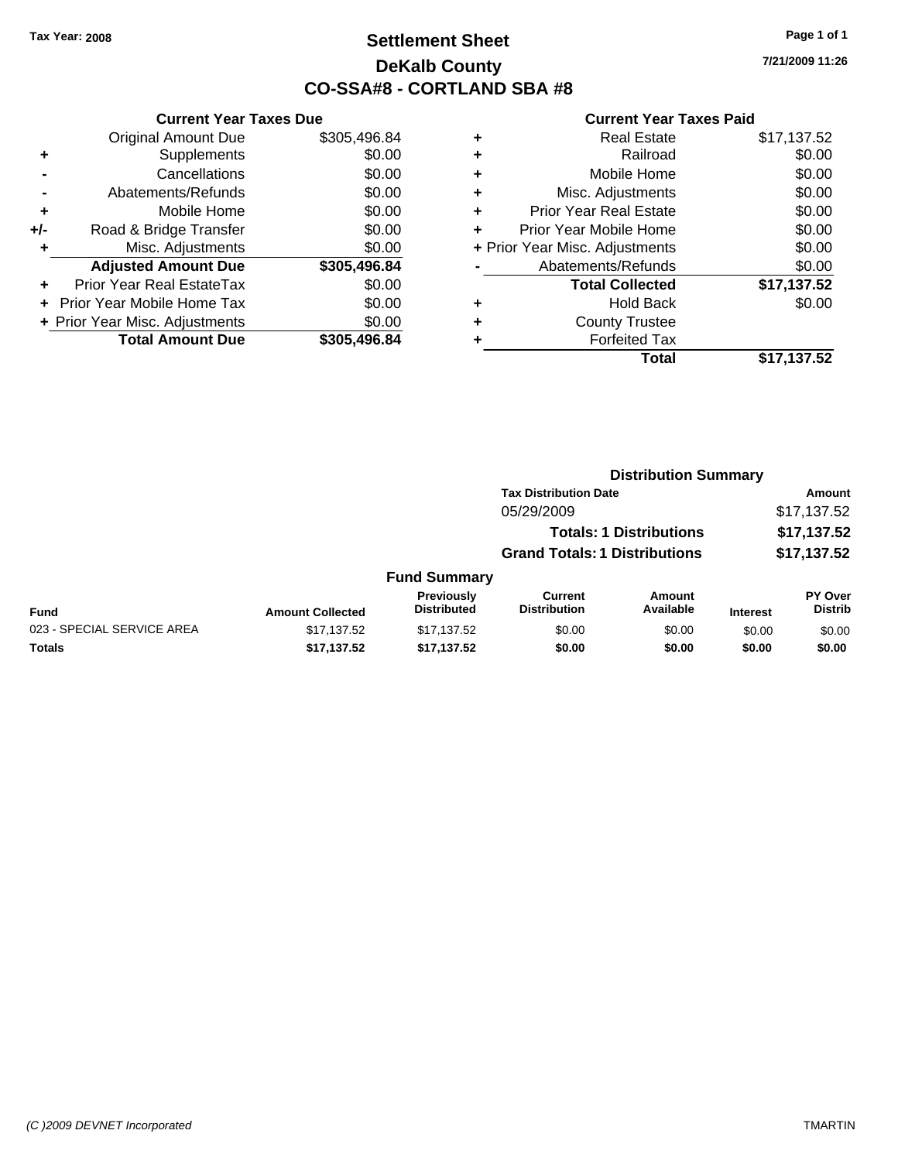# **Settlement Sheet Tax Year: 2008 Page 1 of 1 DeKalb County CO-SSA#8 - CORTLAND SBA #8**

**7/21/2009 11:26**

|     | <b>Current Year Taxes Due</b>  |              |
|-----|--------------------------------|--------------|
|     | <b>Original Amount Due</b>     | \$305,496.84 |
| ٠   | Supplements                    | \$0.00       |
|     | Cancellations                  | \$0.00       |
|     | Abatements/Refunds             | \$0.00       |
| ٠   | Mobile Home                    | \$0.00       |
| +/- | Road & Bridge Transfer         | \$0.00       |
| ٠   | Misc. Adjustments              | \$0.00       |
|     | <b>Adjusted Amount Due</b>     | \$305,496.84 |
| ÷   | Prior Year Real EstateTax      | \$0.00       |
|     | Prior Year Mobile Home Tax     | \$0.00       |
|     | + Prior Year Misc. Adjustments | \$0.00       |
|     | <b>Total Amount Due</b>        | \$305,496.84 |
|     |                                |              |

|   | <b>Real Estate</b>             | \$17,137.52 |
|---|--------------------------------|-------------|
| ٠ | Railroad                       | \$0.00      |
| ٠ | Mobile Home                    | \$0.00      |
| ٠ | Misc. Adjustments              | \$0.00      |
| ÷ | <b>Prior Year Real Estate</b>  | \$0.00      |
|   | Prior Year Mobile Home         | \$0.00      |
|   | + Prior Year Misc. Adjustments | \$0.00      |
|   | Abatements/Refunds             | \$0.00      |
|   | <b>Total Collected</b>         | \$17,137.52 |
| ٠ | <b>Hold Back</b>               | \$0.00      |
| ٠ | <b>County Trustee</b>          |             |
|   | <b>Forfeited Tax</b>           |             |
|   | Total                          | \$17,137.52 |
|   |                                |             |

|                            |                         |                                         |                                       | <b>Distribution Summary</b> |                 |                                  |  |
|----------------------------|-------------------------|-----------------------------------------|---------------------------------------|-----------------------------|-----------------|----------------------------------|--|
|                            |                         |                                         | <b>Tax Distribution Date</b>          |                             |                 | Amount                           |  |
|                            |                         |                                         | 05/29/2009                            |                             |                 | \$17,137.52                      |  |
|                            |                         |                                         | <b>Totals: 1 Distributions</b>        |                             |                 | \$17,137.52                      |  |
|                            |                         |                                         | <b>Grand Totals: 1 Distributions</b>  |                             |                 | \$17,137.52                      |  |
|                            |                         | <b>Fund Summary</b>                     |                                       |                             |                 |                                  |  |
| Fund                       | <b>Amount Collected</b> | <b>Previously</b><br><b>Distributed</b> | <b>Current</b><br><b>Distribution</b> | <b>Amount</b><br>Available  | <b>Interest</b> | <b>PY Over</b><br><b>Distrib</b> |  |
| 023 - SPECIAL SERVICE AREA | \$17,137.52             | \$17,137.52                             | \$0.00                                | \$0.00                      | \$0.00          | \$0.00                           |  |
| Totals                     | \$17,137.52             | \$17,137.52                             | \$0.00                                | \$0.00                      | \$0.00          | \$0.00                           |  |
|                            |                         |                                         |                                       |                             |                 |                                  |  |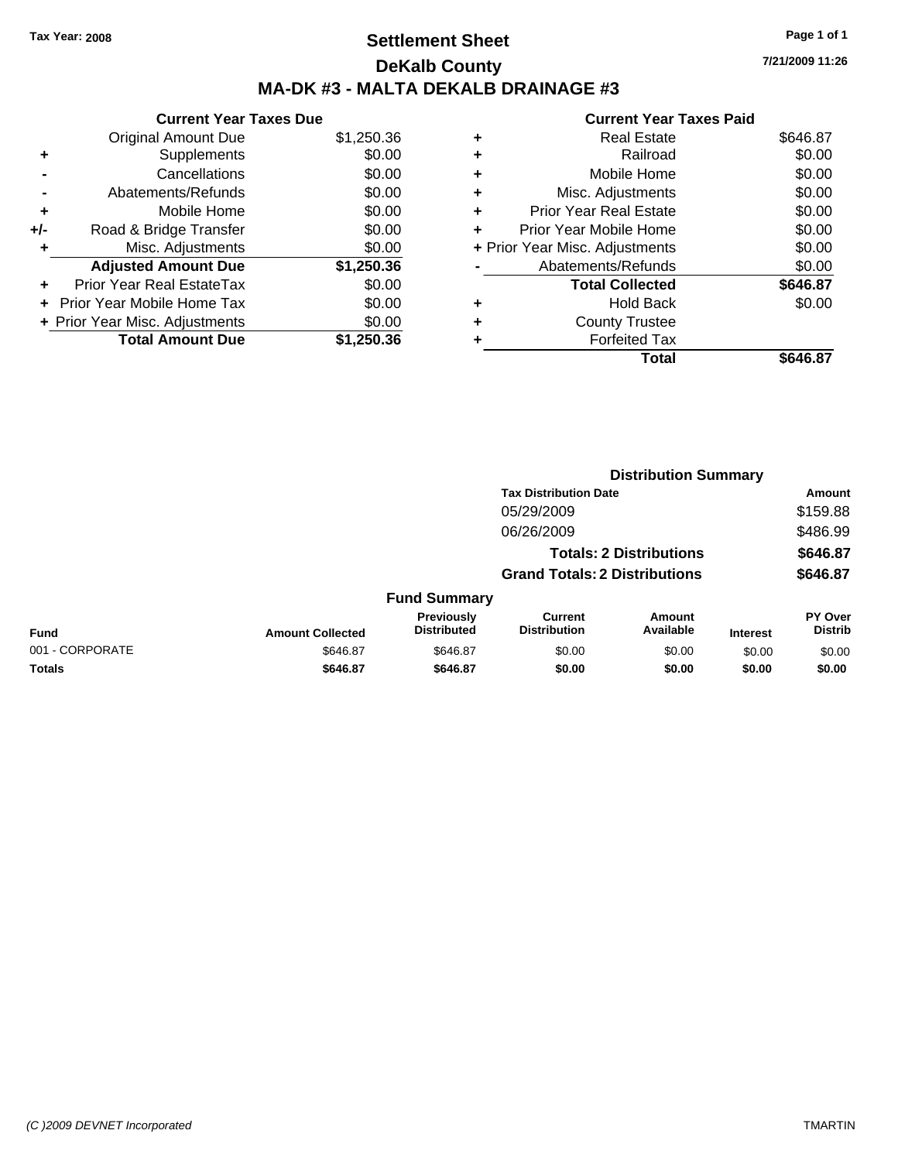# **Settlement Sheet Tax Year: 2008 Page 1 of 1 DeKalb County MA-DK #3 - MALTA DEKALB DRAINAGE #3**

**7/21/2009 11:26**

|     | <b>Current Year Taxes Due</b>     |            |
|-----|-----------------------------------|------------|
|     | <b>Original Amount Due</b>        | \$1,250.36 |
| ٠   | Supplements                       | \$0.00     |
|     | Cancellations                     | \$0.00     |
|     | Abatements/Refunds                | \$0.00     |
| ٠   | Mobile Home                       | \$0.00     |
| +/- | Road & Bridge Transfer            | \$0.00     |
| ٠   | Misc. Adjustments                 | \$0.00     |
|     | <b>Adjusted Amount Due</b>        | \$1,250.36 |
|     | Prior Year Real EstateTax         | \$0.00     |
|     | <b>Prior Year Mobile Home Tax</b> | \$0.00     |
|     | + Prior Year Misc. Adjustments    | \$0.00     |
|     | <b>Total Amount Due</b>           | \$1,250,36 |
|     |                                   |            |

| ٠ | <b>Real Estate</b>             | \$646.87 |
|---|--------------------------------|----------|
| ÷ | Railroad                       | \$0.00   |
| ٠ | Mobile Home                    | \$0.00   |
| ٠ | Misc. Adjustments              | \$0.00   |
| ٠ | Prior Year Real Estate         | \$0.00   |
| ٠ | Prior Year Mobile Home         | \$0.00   |
|   | + Prior Year Misc. Adjustments | \$0.00   |
|   | Abatements/Refunds             | \$0.00   |
|   | <b>Total Collected</b>         | \$646.87 |
| ٠ | <b>Hold Back</b>               | \$0.00   |
| ÷ | <b>County Trustee</b>          |          |
|   | <b>Forfeited Tax</b>           |          |
|   | Total                          | \$646.87 |
|   |                                |          |

|                 |                         |                                  | <b>Distribution Summary</b>           |                                |                 |                                  |  |
|-----------------|-------------------------|----------------------------------|---------------------------------------|--------------------------------|-----------------|----------------------------------|--|
|                 |                         |                                  | <b>Tax Distribution Date</b>          |                                |                 | Amount                           |  |
|                 |                         |                                  | 05/29/2009                            |                                |                 | \$159.88                         |  |
|                 |                         |                                  | 06/26/2009                            |                                |                 | \$486.99                         |  |
|                 |                         |                                  |                                       | <b>Totals: 2 Distributions</b> |                 | \$646.87                         |  |
|                 |                         |                                  | <b>Grand Totals: 2 Distributions</b>  |                                |                 | \$646.87                         |  |
|                 |                         | <b>Fund Summary</b>              |                                       |                                |                 |                                  |  |
| Fund            | <b>Amount Collected</b> | Previously<br><b>Distributed</b> | <b>Current</b><br><b>Distribution</b> | Amount<br>Available            | <b>Interest</b> | <b>PY Over</b><br><b>Distrib</b> |  |
| 001 - CORPORATE | \$646.87                | \$646.87                         | \$0.00                                | \$0.00                         | \$0.00          | \$0.00                           |  |
| Totals          | \$646.87                | \$646.87                         | \$0.00                                | \$0.00                         | \$0.00          | \$0.00                           |  |
|                 |                         |                                  |                                       |                                |                 |                                  |  |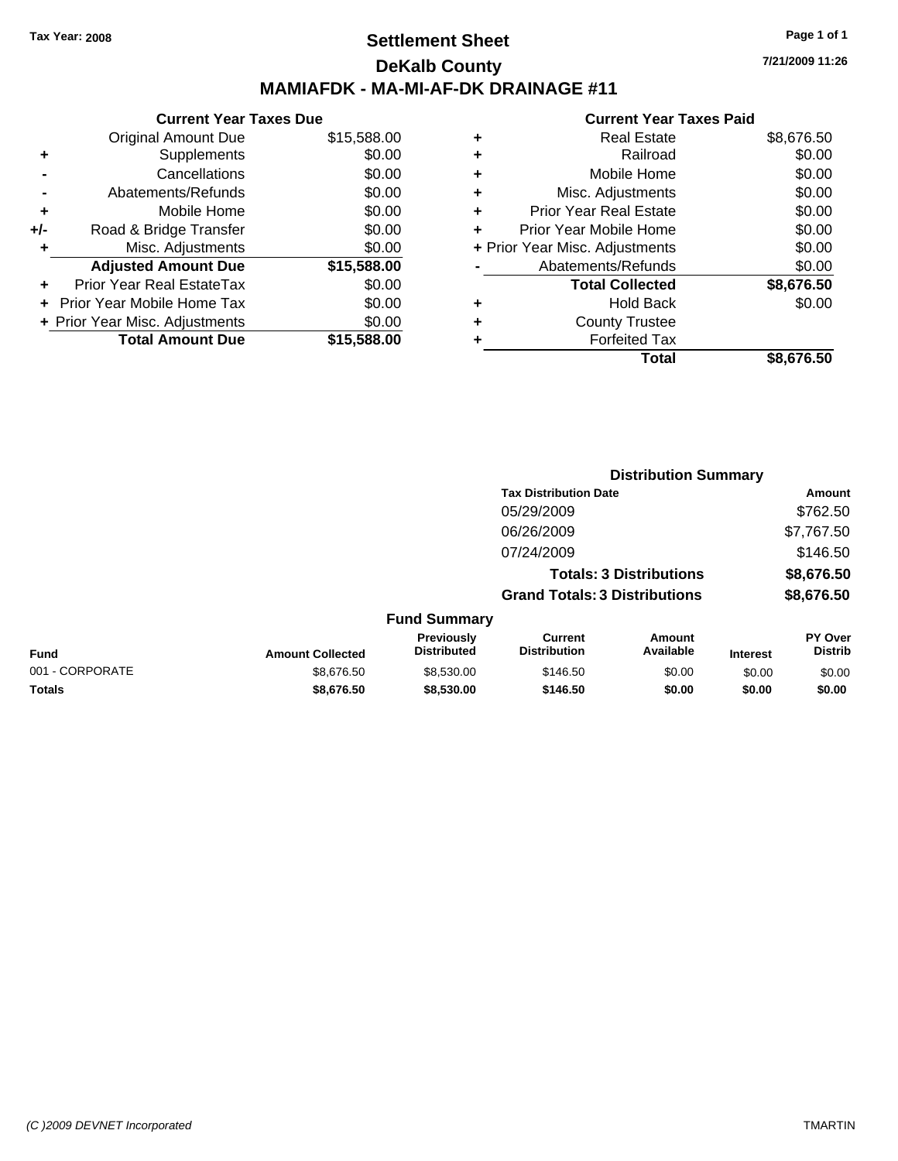### **Settlement Sheet Tax Year: 2008 Page 1 of 1 DeKalb County MAMIAFDK - MA-MI-AF-DK DRAINAGE #11**

**Current Year Taxes Due** Original Amount Due \$15,588.00 **+** Supplements \$0.00<br> **c** Cancellations \$0.00 **-** Cancellations **-** Abatements/Refunds **\$0.00** 

| Prior Year Real EstateTax                                      | \$0.00           |
|----------------------------------------------------------------|------------------|
|                                                                |                  |
|                                                                |                  |
| + Prior Year Mobile Home Tax<br>+ Prior Year Misc. Adjustments | \$0.00<br>\$0.00 |
| <b>Total Amount Due</b>                                        | \$15,588.00      |

|   | <b>Real Estate</b>             | \$8,676.50 |
|---|--------------------------------|------------|
| ٠ | Railroad                       | \$0.00     |
| ÷ | Mobile Home                    | \$0.00     |
| ٠ | Misc. Adjustments              | \$0.00     |
|   | <b>Prior Year Real Estate</b>  | \$0.00     |
|   | Prior Year Mobile Home         | \$0.00     |
|   | + Prior Year Misc. Adjustments | \$0.00     |
|   | Abatements/Refunds             | \$0.00     |
|   | <b>Total Collected</b>         | \$8,676.50 |
| ٠ | <b>Hold Back</b>               | \$0.00     |
|   | <b>County Trustee</b>          |            |
|   | <b>Forfeited Tax</b>           |            |
|   | Total                          | \$8,676.50 |
|   |                                |            |

|                 |                         |                                  | <b>Distribution Summary</b>           |                                |                 |                           |
|-----------------|-------------------------|----------------------------------|---------------------------------------|--------------------------------|-----------------|---------------------------|
|                 |                         |                                  | <b>Tax Distribution Date</b>          |                                |                 | Amount                    |
|                 |                         |                                  | 05/29/2009                            |                                |                 | \$762.50                  |
|                 |                         |                                  | 06/26/2009                            |                                |                 | \$7,767.50                |
|                 |                         |                                  | 07/24/2009                            |                                |                 | \$146.50                  |
|                 |                         |                                  |                                       | <b>Totals: 3 Distributions</b> |                 | \$8,676.50                |
|                 |                         |                                  | <b>Grand Totals: 3 Distributions</b>  |                                |                 | \$8,676.50                |
|                 |                         | <b>Fund Summary</b>              |                                       |                                |                 |                           |
| <b>Fund</b>     | <b>Amount Collected</b> | Previously<br><b>Distributed</b> | <b>Current</b><br><b>Distribution</b> | Amount<br>Available            | <b>Interest</b> | PY Over<br><b>Distrib</b> |
| 001 - CORPORATE | \$8,676.50              | \$8,530.00                       | \$146.50                              | \$0.00                         | \$0.00          | \$0.00                    |
| Totals          | \$8,676.50              | \$8,530.00                       | \$146.50                              | \$0.00                         | \$0.00          | \$0.00                    |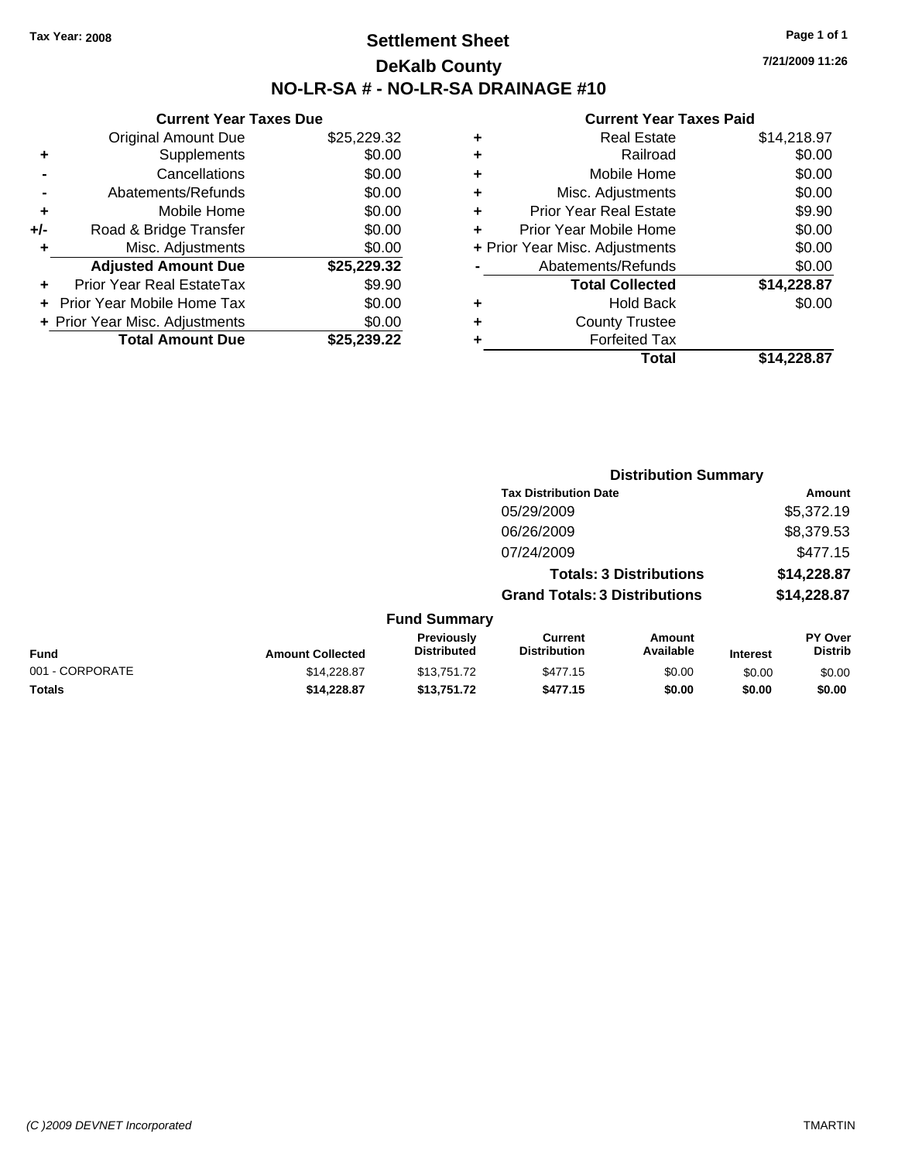# **Settlement Sheet Tax Year: 2008 Page 1 of 1 DeKalb County NO-LR-SA # - NO-LR-SA DRAINAGE #10**

**7/21/2009 11:26**

|     | <b>Current Year Taxes Due</b>  |             |  |  |  |  |
|-----|--------------------------------|-------------|--|--|--|--|
|     | <b>Original Amount Due</b>     | \$25,229.32 |  |  |  |  |
| ٠   | Supplements                    | \$0.00      |  |  |  |  |
|     | Cancellations                  | \$0.00      |  |  |  |  |
|     | Abatements/Refunds             | \$0.00      |  |  |  |  |
| ٠   | Mobile Home                    | \$0.00      |  |  |  |  |
| +/- | Road & Bridge Transfer         | \$0.00      |  |  |  |  |
| ٠   | Misc. Adjustments              | \$0.00      |  |  |  |  |
|     | <b>Adjusted Amount Due</b>     | \$25,229.32 |  |  |  |  |
| ٠   | Prior Year Real EstateTax      | \$9.90      |  |  |  |  |
|     | Prior Year Mobile Home Tax     | \$0.00      |  |  |  |  |
|     | + Prior Year Misc. Adjustments | \$0.00      |  |  |  |  |
|     | <b>Total Amount Due</b>        | \$25.239.22 |  |  |  |  |

| ٠ | <b>Real Estate</b>             | \$14,218.97 |
|---|--------------------------------|-------------|
| ٠ | Railroad                       | \$0.00      |
| ٠ | Mobile Home                    | \$0.00      |
| ٠ | Misc. Adjustments              | \$0.00      |
| ÷ | Prior Year Real Estate         | \$9.90      |
|   | Prior Year Mobile Home         | \$0.00      |
|   | + Prior Year Misc. Adjustments | \$0.00      |
|   | Abatements/Refunds             | \$0.00      |
|   | <b>Total Collected</b>         | \$14,228.87 |
| ٠ | Hold Back                      | \$0.00      |
| ٠ | <b>County Trustee</b>          |             |
| ٠ | <b>Forfeited Tax</b>           |             |
|   | Total                          | \$14.228.87 |

|                 |                         |                                  | <b>Distribution Summary</b>           |                                |                 |                           |
|-----------------|-------------------------|----------------------------------|---------------------------------------|--------------------------------|-----------------|---------------------------|
|                 |                         |                                  | <b>Tax Distribution Date</b>          |                                |                 | Amount                    |
|                 |                         |                                  | 05/29/2009                            |                                |                 | \$5,372.19                |
|                 |                         |                                  | 06/26/2009                            |                                |                 | \$8,379.53                |
|                 |                         |                                  | 07/24/2009                            |                                |                 | \$477.15                  |
|                 |                         |                                  |                                       | <b>Totals: 3 Distributions</b> |                 | \$14,228.87               |
|                 |                         |                                  | <b>Grand Totals: 3 Distributions</b>  |                                |                 | \$14,228.87               |
|                 |                         | <b>Fund Summary</b>              |                                       |                                |                 |                           |
| Fund            | <b>Amount Collected</b> | Previously<br><b>Distributed</b> | <b>Current</b><br><b>Distribution</b> | <b>Amount</b><br>Available     | <b>Interest</b> | PY Over<br><b>Distrib</b> |
| 001 - CORPORATE | \$14,228.87             | \$13,751.72                      | \$477.15                              | \$0.00                         | \$0.00          | \$0.00                    |
| Totals          | \$14,228.87             | \$13,751.72                      | \$477.15                              | \$0.00                         | \$0.00          | \$0.00                    |
|                 |                         |                                  |                                       |                                |                 |                           |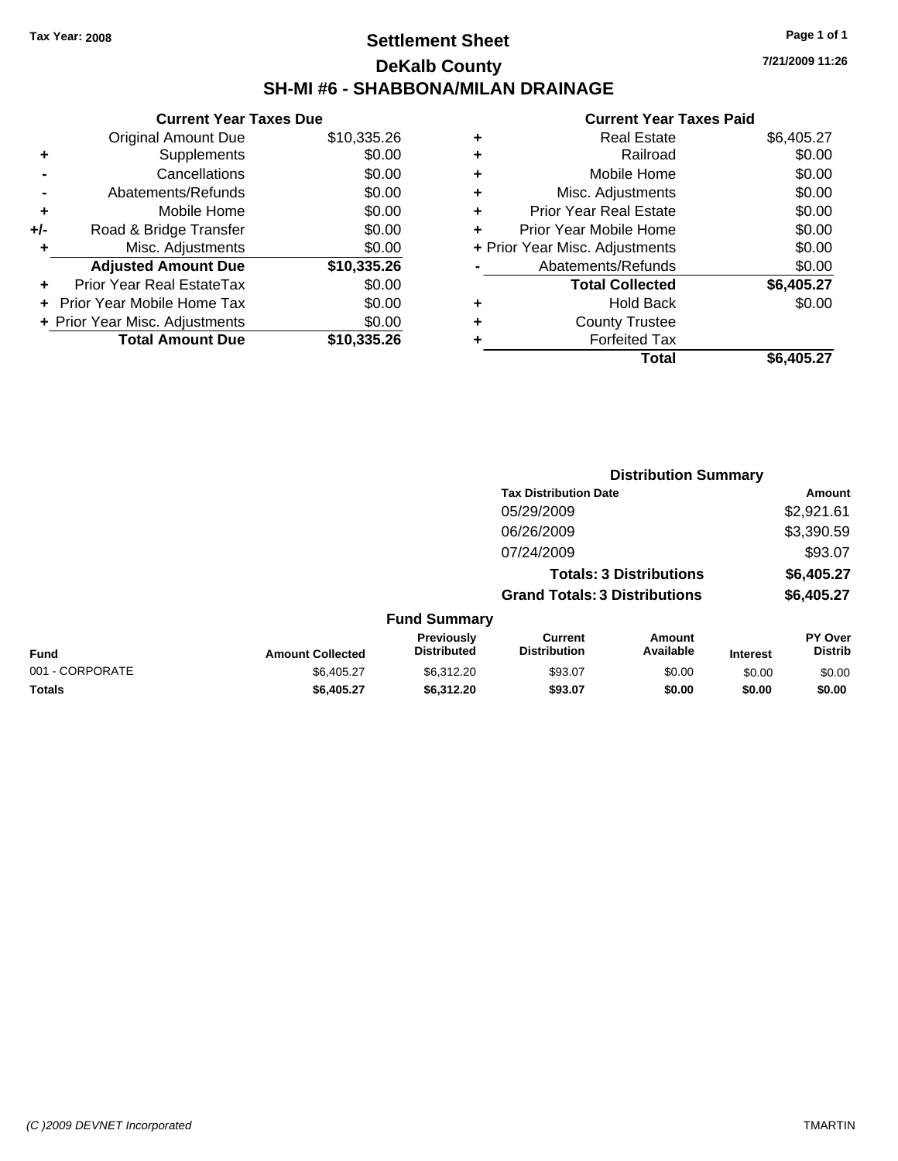### **Settlement Sheet Tax Year: 2008 Page 1 of 1 DeKalb County SH-MI #6 - SHABBONA/MILAN DRAINAGE**

**7/21/2009 11:26**

|     | <b>Current Year Taxes Due</b>     |             |
|-----|-----------------------------------|-------------|
|     | Original Amount Due               | \$10,335.26 |
| ٠   | Supplements                       | \$0.00      |
|     | Cancellations                     | \$0.00      |
|     | Abatements/Refunds                | \$0.00      |
| ٠   | Mobile Home                       | \$0.00      |
| +/- | Road & Bridge Transfer            | \$0.00      |
| ٠   | Misc. Adjustments                 | \$0.00      |
|     | <b>Adjusted Amount Due</b>        | \$10,335.26 |
| ٠   | Prior Year Real EstateTax         | \$0.00      |
|     | <b>Prior Year Mobile Home Tax</b> | \$0.00      |
|     | + Prior Year Misc. Adjustments    | \$0.00      |
|     | <b>Total Amount Due</b>           | \$10,335.26 |
|     |                                   |             |

|   | Total                          | \$6,405.27 |
|---|--------------------------------|------------|
| ٠ | <b>Forfeited Tax</b>           |            |
| ٠ | <b>County Trustee</b>          |            |
| ٠ | <b>Hold Back</b>               | \$0.00     |
|   | <b>Total Collected</b>         | \$6,405.27 |
|   | Abatements/Refunds             | \$0.00     |
|   | + Prior Year Misc. Adjustments | \$0.00     |
| ٠ | Prior Year Mobile Home         | \$0.00     |
| ÷ | Prior Year Real Estate         | \$0.00     |
| ٠ | Misc. Adjustments              | \$0.00     |
| ٠ | Mobile Home                    | \$0.00     |
| ٠ | Railroad                       | \$0.00     |
| ٠ | <b>Real Estate</b>             | \$6,405.27 |
|   |                                |            |

|                 |                         |                                  | <b>Distribution Summary</b>           |                                |                 |                           |  |
|-----------------|-------------------------|----------------------------------|---------------------------------------|--------------------------------|-----------------|---------------------------|--|
|                 |                         |                                  | <b>Tax Distribution Date</b>          |                                |                 | Amount                    |  |
|                 |                         |                                  | 05/29/2009                            |                                |                 | \$2,921.61                |  |
|                 |                         |                                  | 06/26/2009                            |                                |                 | \$3,390.59                |  |
|                 |                         |                                  | 07/24/2009                            |                                |                 | \$93.07                   |  |
|                 |                         |                                  |                                       | <b>Totals: 3 Distributions</b> |                 | \$6,405.27                |  |
|                 |                         |                                  | <b>Grand Totals: 3 Distributions</b>  |                                |                 | \$6,405.27                |  |
|                 |                         | <b>Fund Summary</b>              |                                       |                                |                 |                           |  |
| Fund            | <b>Amount Collected</b> | Previously<br><b>Distributed</b> | <b>Current</b><br><b>Distribution</b> | Amount<br>Available            | <b>Interest</b> | PY Over<br><b>Distrib</b> |  |
| 001 - CORPORATE | \$6,405.27              | \$6,312.20                       | \$93.07                               | \$0.00                         | \$0.00          | \$0.00                    |  |
| Totals          | \$6,405.27              | \$6,312.20                       | \$93.07                               | \$0.00                         | \$0.00          | \$0.00                    |  |
|                 |                         |                                  |                                       |                                |                 |                           |  |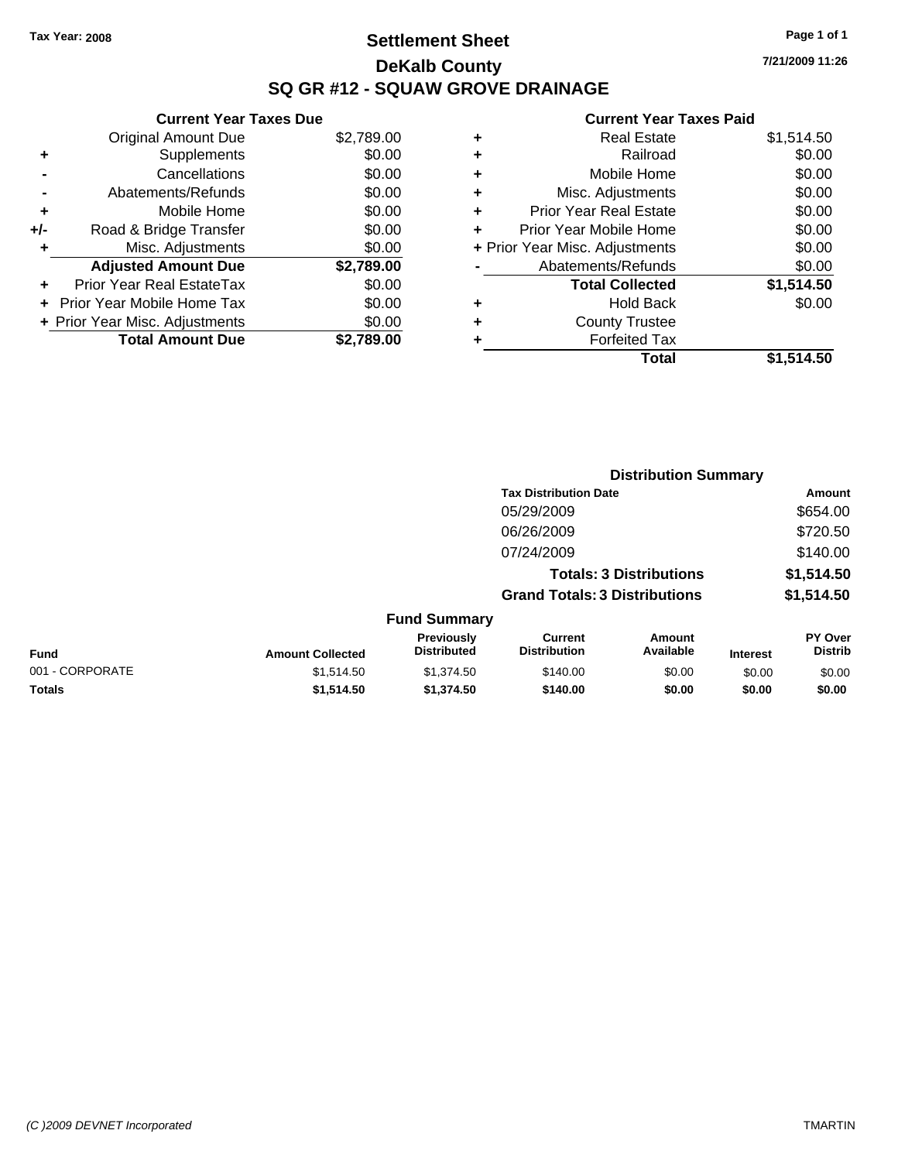# **Settlement Sheet Tax Year: 2008 Page 1 of 1 DeKalb County SQ GR #12 - SQUAW GROVE DRAINAGE**

**Current Year Taxes Due**

|       | <b>Total Amount Due</b>        | \$2,789.00 |
|-------|--------------------------------|------------|
|       | + Prior Year Misc. Adjustments | \$0.00     |
|       | Prior Year Mobile Home Tax     | \$0.00     |
|       | Prior Year Real EstateTax      | \$0.00     |
|       | <b>Adjusted Amount Due</b>     | \$2,789.00 |
| ٠     | Misc. Adjustments              | \$0.00     |
| $+/-$ | Road & Bridge Transfer         | \$0.00     |
| ÷     | Mobile Home                    | \$0.00     |
|       | Abatements/Refunds             | \$0.00     |
|       | Cancellations                  | \$0.00     |
| ٠     | Supplements                    | \$0.00     |
|       | <b>Original Amount Due</b>     | \$2,789.00 |
|       |                                |            |

#### **Current Year Taxes Paid**

|   | <b>Real Estate</b>             | \$1,514.50 |
|---|--------------------------------|------------|
| ٠ | Railroad                       | \$0.00     |
| ٠ | Mobile Home                    | \$0.00     |
| ٠ | Misc. Adjustments              | \$0.00     |
| ÷ | Prior Year Real Estate         | \$0.00     |
|   | Prior Year Mobile Home         | \$0.00     |
|   | + Prior Year Misc. Adjustments | \$0.00     |
|   | Abatements/Refunds             | \$0.00     |
|   | <b>Total Collected</b>         | \$1,514.50 |
| ٠ | <b>Hold Back</b>               | \$0.00     |
| ٠ | <b>County Trustee</b>          |            |
| ٠ | <b>Forfeited Tax</b>           |            |
|   | Total                          | \$1,514.50 |
|   |                                |            |

|                 |                         | <b>Distribution Summary</b>      |                                       |                                |                 |                                  |  |
|-----------------|-------------------------|----------------------------------|---------------------------------------|--------------------------------|-----------------|----------------------------------|--|
|                 |                         |                                  | <b>Tax Distribution Date</b>          |                                |                 | Amount                           |  |
|                 |                         |                                  | 05/29/2009                            |                                |                 | \$654.00                         |  |
|                 |                         |                                  | 06/26/2009                            |                                |                 | \$720.50                         |  |
|                 |                         |                                  | 07/24/2009                            |                                |                 | \$140.00                         |  |
|                 |                         |                                  |                                       | <b>Totals: 3 Distributions</b> |                 | \$1,514.50                       |  |
|                 |                         |                                  | <b>Grand Totals: 3 Distributions</b>  |                                |                 | \$1,514.50                       |  |
|                 |                         | <b>Fund Summary</b>              |                                       |                                |                 |                                  |  |
| Fund            | <b>Amount Collected</b> | Previously<br><b>Distributed</b> | <b>Current</b><br><b>Distribution</b> | Amount<br>Available            | <b>Interest</b> | <b>PY Over</b><br><b>Distrib</b> |  |
| 001 - CORPORATE | \$1,514.50              | \$1,374.50                       | \$140.00                              | \$0.00                         | \$0.00          | \$0.00                           |  |
| Totals          | \$1,514.50              | \$1,374.50                       | \$140.00                              | \$0.00                         | \$0.00          | \$0.00                           |  |

**7/21/2009 11:26**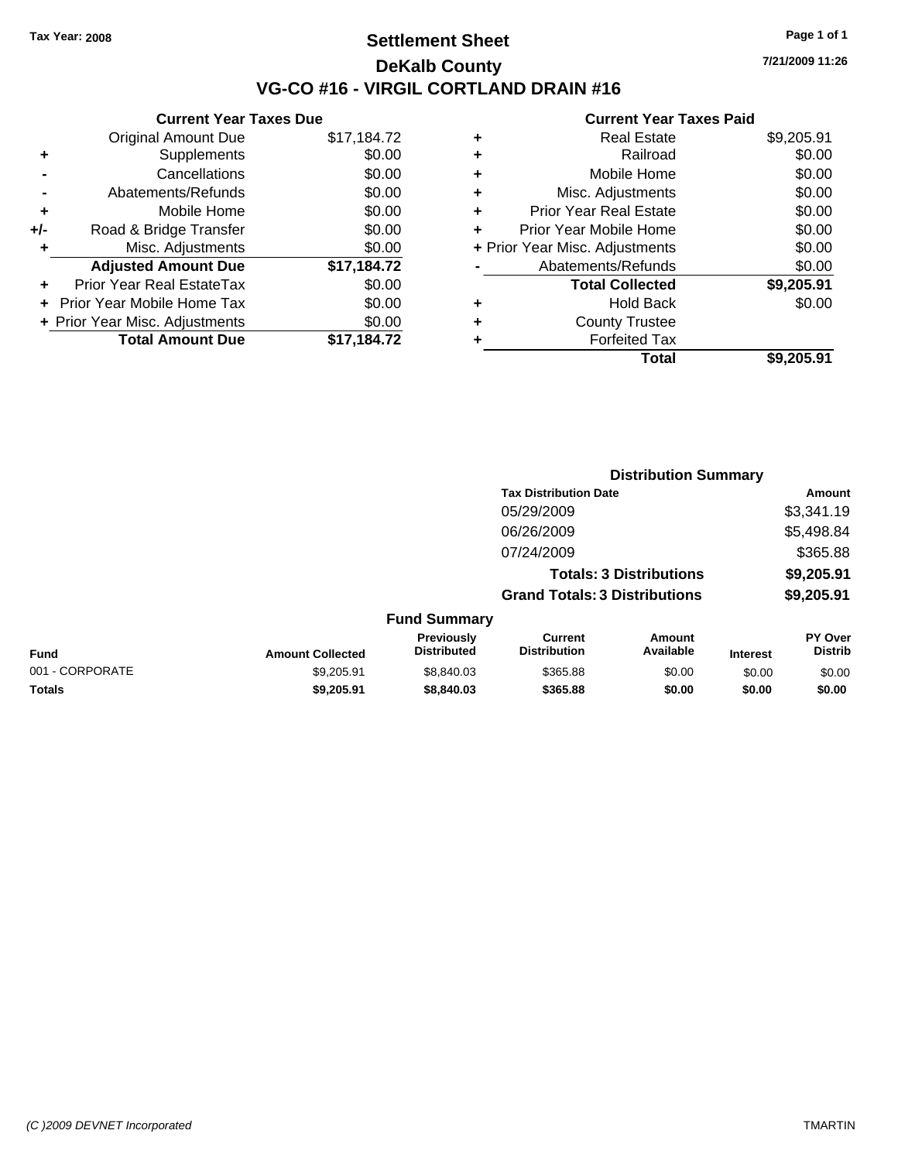### **Settlement Sheet Tax Year: 2008 Page 1 of 1 DeKalb County VG-CO #16 - VIRGIL CORTLAND DRAIN #16**

**7/21/2009 11:26**

| <b>Current Year Taxes Due</b>     |                                |  |  |
|-----------------------------------|--------------------------------|--|--|
| <b>Original Amount Due</b>        | \$17,184.72                    |  |  |
| Supplements                       | \$0.00                         |  |  |
| Cancellations                     | \$0.00                         |  |  |
| Abatements/Refunds                | \$0.00                         |  |  |
| Mobile Home                       | \$0.00                         |  |  |
| Road & Bridge Transfer            | \$0.00                         |  |  |
| Misc. Adjustments                 | \$0.00                         |  |  |
| <b>Adjusted Amount Due</b>        | \$17,184.72                    |  |  |
| Prior Year Real EstateTax         | \$0.00                         |  |  |
| <b>Prior Year Mobile Home Tax</b> | \$0.00                         |  |  |
|                                   | \$0.00                         |  |  |
| <b>Total Amount Due</b>           | \$17,184.72                    |  |  |
|                                   | + Prior Year Misc. Adjustments |  |  |

| ٠ | <b>Real Estate</b>             | \$9,205.91 |
|---|--------------------------------|------------|
| ٠ | Railroad                       | \$0.00     |
| ٠ | Mobile Home                    | \$0.00     |
| ٠ | Misc. Adjustments              | \$0.00     |
| ٠ | Prior Year Real Estate         | \$0.00     |
|   | Prior Year Mobile Home         | \$0.00     |
|   | + Prior Year Misc. Adjustments | \$0.00     |
|   | Abatements/Refunds             | \$0.00     |
|   | <b>Total Collected</b>         | \$9,205.91 |
| ٠ | <b>Hold Back</b>               | \$0.00     |
| ٠ | <b>County Trustee</b>          |            |
| ٠ | <b>Forfeited Tax</b>           |            |
|   | Total                          | \$9,205.91 |
|   |                                |            |

|                 |                         |                                  | <b>Distribution Summary</b>          |                                |                 |                                  |
|-----------------|-------------------------|----------------------------------|--------------------------------------|--------------------------------|-----------------|----------------------------------|
|                 |                         |                                  | <b>Tax Distribution Date</b>         |                                |                 | Amount                           |
|                 |                         |                                  | 05/29/2009                           |                                |                 | \$3,341.19                       |
|                 |                         |                                  | 06/26/2009                           |                                |                 | \$5,498.84                       |
|                 |                         |                                  | 07/24/2009                           |                                |                 | \$365.88                         |
|                 |                         |                                  |                                      | <b>Totals: 3 Distributions</b> |                 | \$9,205.91                       |
|                 |                         |                                  | <b>Grand Totals: 3 Distributions</b> |                                |                 | \$9,205.91                       |
|                 |                         | <b>Fund Summary</b>              |                                      |                                |                 |                                  |
| Fund            | <b>Amount Collected</b> | Previously<br><b>Distributed</b> | Current<br><b>Distribution</b>       | Amount<br>Available            | <b>Interest</b> | <b>PY Over</b><br><b>Distrib</b> |
| 001 - CORPORATE | \$9,205.91              | \$8,840.03                       | \$365.88                             | \$0.00                         | \$0.00          | \$0.00                           |
| Totals          | \$9,205.91              | \$8,840.03                       | \$365.88                             | \$0.00                         | \$0.00          | \$0.00                           |
|                 |                         |                                  |                                      |                                |                 |                                  |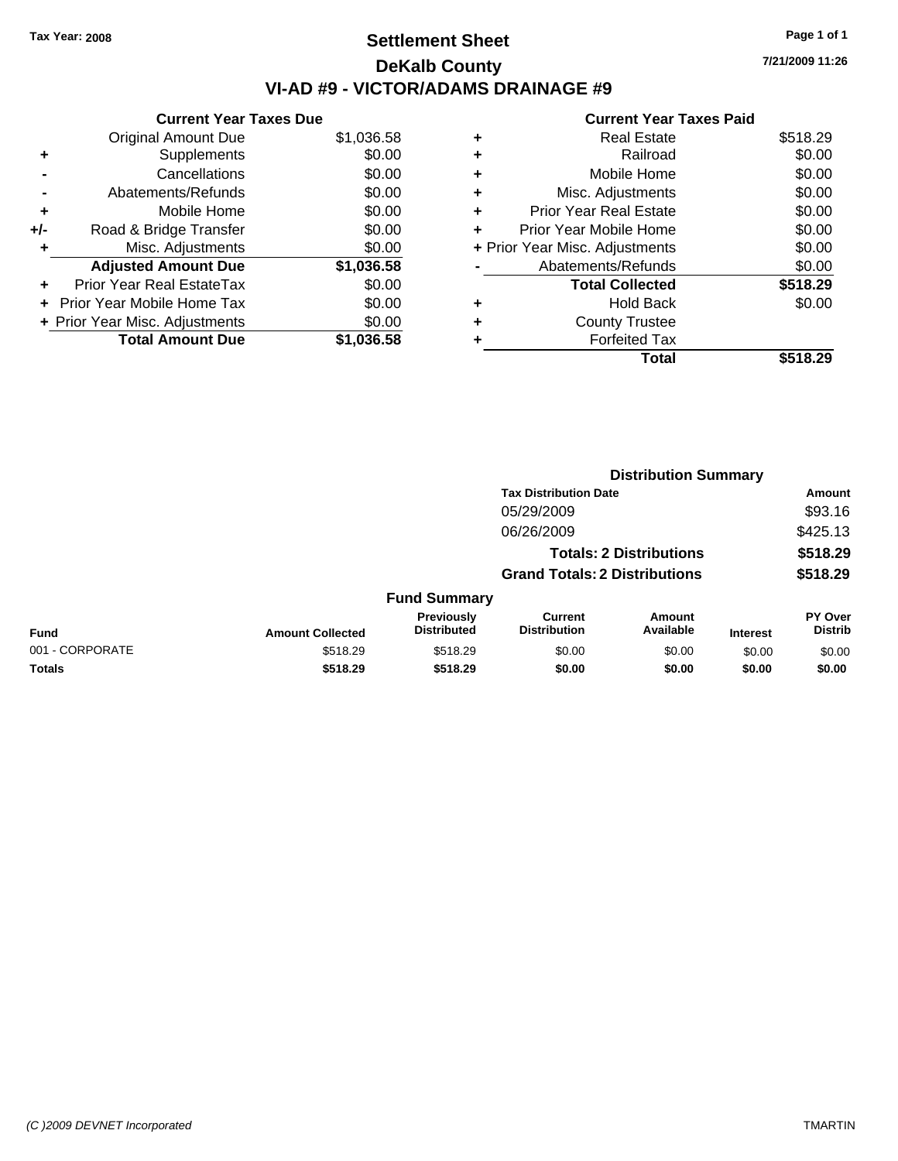# **Settlement Sheet Tax Year: 2008 Page 1 of 1 DeKalb County VI-AD #9 - VICTOR/ADAMS DRAINAGE #9**

**7/21/2009 11:26**

|     | <b>Current Year Taxes Due</b>  |            |
|-----|--------------------------------|------------|
|     | <b>Original Amount Due</b>     | \$1,036.58 |
| ٠   | Supplements                    | \$0.00     |
|     | Cancellations                  | \$0.00     |
|     | Abatements/Refunds             | \$0.00     |
| ٠   | Mobile Home                    | \$0.00     |
| +/- | Road & Bridge Transfer         | \$0.00     |
|     | Misc. Adjustments              | \$0.00     |
|     | <b>Adjusted Amount Due</b>     | \$1,036.58 |
|     | Prior Year Real EstateTax      | \$0.00     |
|     | Prior Year Mobile Home Tax     | \$0.00     |
|     | + Prior Year Misc. Adjustments | \$0.00     |
|     | <b>Total Amount Due</b>        | \$1,036.58 |
|     |                                |            |

|   | Total                          | \$518.29 |
|---|--------------------------------|----------|
| ٠ | <b>Forfeited Tax</b>           |          |
| ٠ | <b>County Trustee</b>          |          |
| ٠ | <b>Hold Back</b>               | \$0.00   |
|   | <b>Total Collected</b>         | \$518.29 |
|   | Abatements/Refunds             | \$0.00   |
|   | + Prior Year Misc. Adjustments | \$0.00   |
| ٠ | Prior Year Mobile Home         | \$0.00   |
| ÷ | <b>Prior Year Real Estate</b>  | \$0.00   |
| ٠ | Misc. Adjustments              | \$0.00   |
| ÷ | Mobile Home                    | \$0.00   |
| ÷ | Railroad                       | \$0.00   |
| ٠ | <b>Real Estate</b>             | \$518.29 |
|   |                                |          |

|                 |                         |                                  | <b>Distribution Summary</b>           |                                |                 |                           |  |
|-----------------|-------------------------|----------------------------------|---------------------------------------|--------------------------------|-----------------|---------------------------|--|
|                 |                         |                                  | <b>Tax Distribution Date</b>          |                                |                 | Amount                    |  |
|                 |                         |                                  | 05/29/2009                            |                                |                 | \$93.16                   |  |
|                 |                         |                                  | 06/26/2009                            |                                |                 | \$425.13                  |  |
|                 |                         |                                  |                                       | <b>Totals: 2 Distributions</b> |                 | \$518.29                  |  |
|                 |                         |                                  | <b>Grand Totals: 2 Distributions</b>  |                                |                 | \$518.29                  |  |
|                 |                         | <b>Fund Summary</b>              |                                       |                                |                 |                           |  |
| Fund            | <b>Amount Collected</b> | Previously<br><b>Distributed</b> | <b>Current</b><br><b>Distribution</b> | Amount<br>Available            | <b>Interest</b> | PY Over<br><b>Distrib</b> |  |
| 001 - CORPORATE | \$518.29                | \$518.29                         | \$0.00                                | \$0.00                         | \$0.00          | \$0.00                    |  |
| Totals          | \$518.29                | \$518.29                         | \$0.00                                | \$0.00                         | \$0.00          | \$0.00                    |  |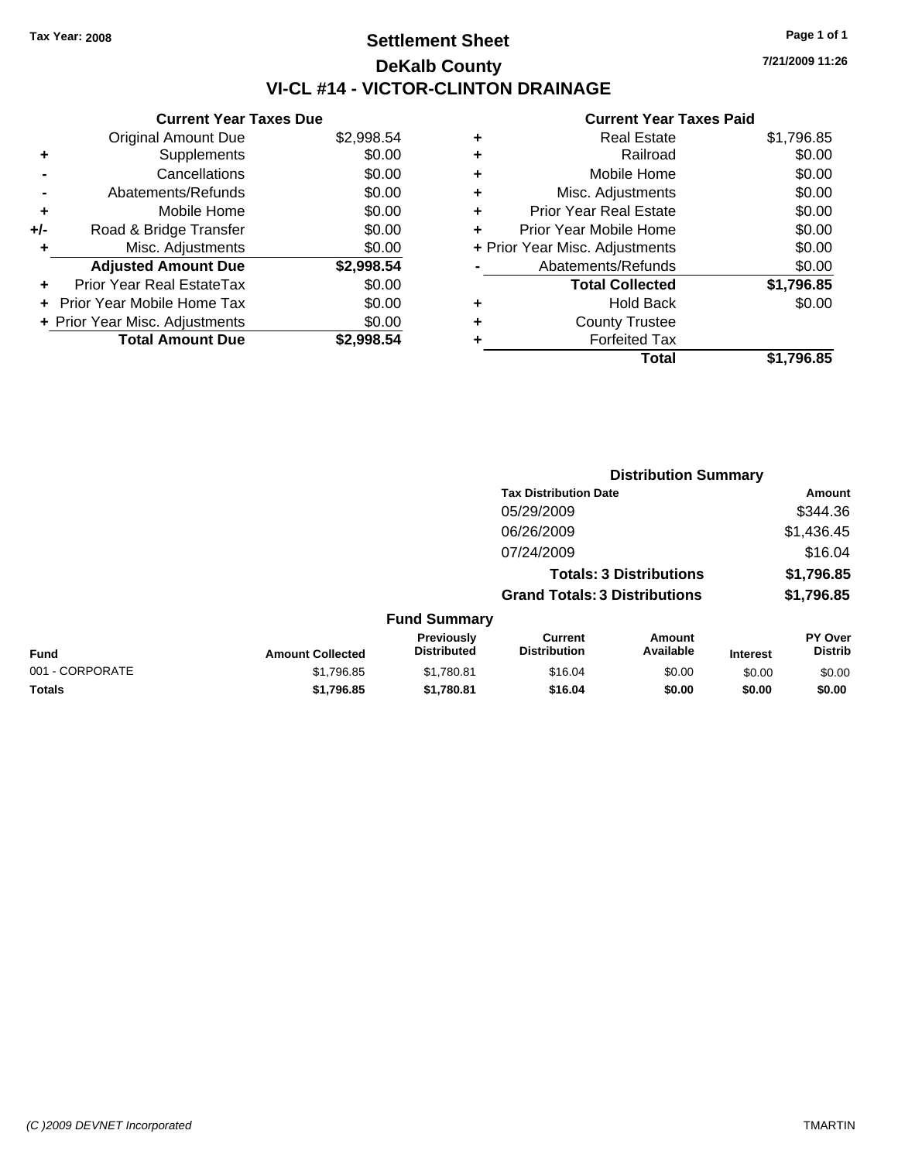# **Settlement Sheet Tax Year: 2008 Page 1 of 1 DeKalb County VI-CL #14 - VICTOR-CLINTON DRAINAGE**

**7/21/2009 11:26**

| <b>Current Year Taxes Due</b>     |            |
|-----------------------------------|------------|
| <b>Original Amount Due</b>        | \$2,998.54 |
| Supplements                       | \$0.00     |
| Cancellations                     | \$0.00     |
| Abatements/Refunds                | \$0.00     |
| Mobile Home                       | \$0.00     |
| Road & Bridge Transfer            | \$0.00     |
| Misc. Adjustments                 | \$0.00     |
| <b>Adjusted Amount Due</b>        | \$2,998.54 |
| Prior Year Real EstateTax         | \$0.00     |
| <b>Prior Year Mobile Home Tax</b> | \$0.00     |
|                                   |            |
| + Prior Year Misc. Adjustments    | \$0.00     |
|                                   |            |

| ٠ | <b>Real Estate</b>             | \$1,796.85 |
|---|--------------------------------|------------|
| ٠ | Railroad                       | \$0.00     |
| ٠ | Mobile Home                    | \$0.00     |
| ٠ | Misc. Adjustments              | \$0.00     |
| ÷ | <b>Prior Year Real Estate</b>  | \$0.00     |
| ٠ | Prior Year Mobile Home         | \$0.00     |
|   | + Prior Year Misc. Adjustments | \$0.00     |
|   | Abatements/Refunds             | \$0.00     |
|   | <b>Total Collected</b>         | \$1,796.85 |
| ٠ | Hold Back                      | \$0.00     |
| ٠ | <b>County Trustee</b>          |            |
| ٠ | <b>Forfeited Tax</b>           |            |
|   | Total                          | \$1.796.85 |
|   |                                |            |

|                 |                         |                                  | <b>Distribution Summary</b>           |                                |                 |                                  |
|-----------------|-------------------------|----------------------------------|---------------------------------------|--------------------------------|-----------------|----------------------------------|
|                 |                         |                                  | <b>Tax Distribution Date</b>          |                                | Amount          |                                  |
|                 |                         |                                  | 05/29/2009                            |                                |                 | \$344.36                         |
|                 |                         |                                  | 06/26/2009                            |                                |                 | \$1,436.45                       |
|                 |                         |                                  | 07/24/2009                            |                                |                 | \$16.04                          |
|                 |                         |                                  |                                       | <b>Totals: 3 Distributions</b> |                 | \$1,796.85                       |
|                 |                         |                                  | <b>Grand Totals: 3 Distributions</b>  |                                |                 | \$1,796.85                       |
|                 |                         | <b>Fund Summary</b>              |                                       |                                |                 |                                  |
| Fund            | <b>Amount Collected</b> | Previously<br><b>Distributed</b> | <b>Current</b><br><b>Distribution</b> | Amount<br>Available            | <b>Interest</b> | <b>PY Over</b><br><b>Distrib</b> |
| 001 - CORPORATE | \$1,796.85              | \$1,780.81                       | \$16.04                               | \$0.00                         | \$0.00          | \$0.00                           |
| Totals          | \$1,796.85              | \$1,780.81                       | \$16.04                               | \$0.00                         | \$0.00          | \$0.00                           |
|                 |                         |                                  |                                       |                                |                 |                                  |